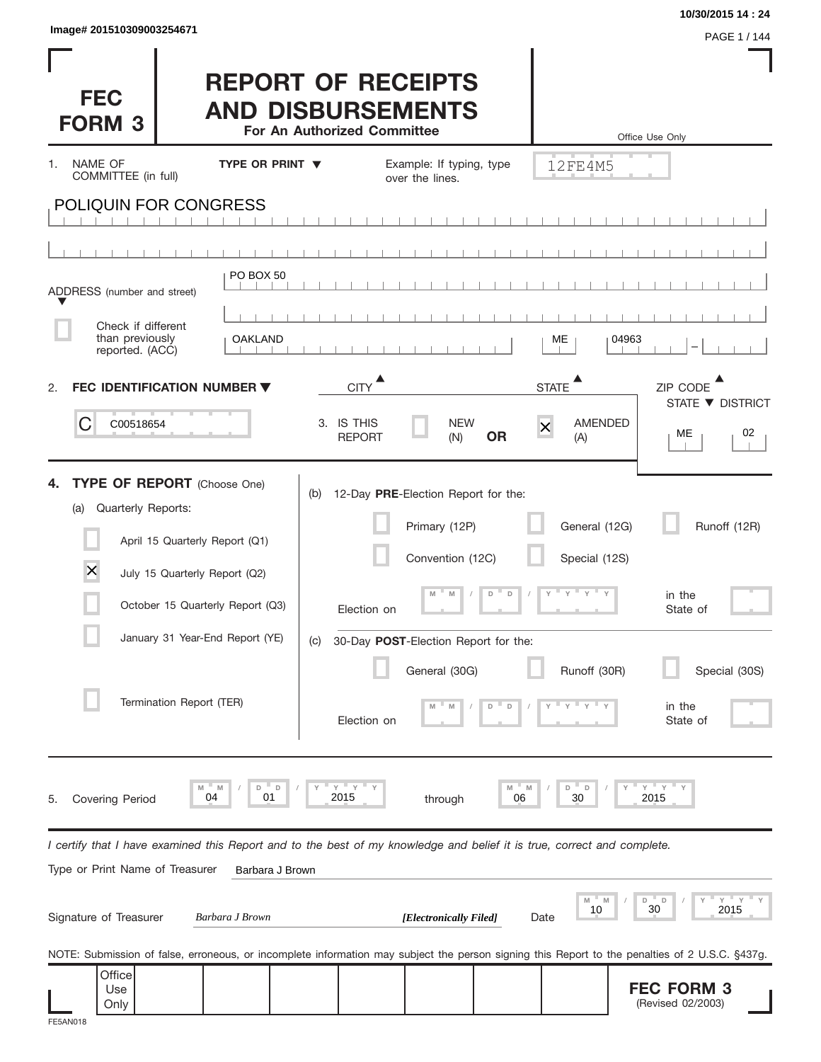**FEC FORM 3** (Revised 02/2003)

| Image# 201510309003254671                                |                                                                                                                                                                                                          |                                                                                                                                                                                                             |                                                                          | 10/30/2015 14:24<br>PAGE 1 / 144                                          |
|----------------------------------------------------------|----------------------------------------------------------------------------------------------------------------------------------------------------------------------------------------------------------|-------------------------------------------------------------------------------------------------------------------------------------------------------------------------------------------------------------|--------------------------------------------------------------------------|---------------------------------------------------------------------------|
| <b>FEC</b><br><b>FORM 3</b>                              |                                                                                                                                                                                                          | <b>REPORT OF RECEIPTS</b><br><b>AND DISBURSEMENTS</b><br>For An Authorized Committee                                                                                                                        |                                                                          | Office Use Only                                                           |
| NAME OF<br>1.<br>COMMITTEE (in full)                     | <b>TYPE OR PRINT ▼</b>                                                                                                                                                                                   | Example: If typing, type<br>over the lines.                                                                                                                                                                 | 12FE4M5                                                                  |                                                                           |
| POLIQUIN FOR CONGRESS                                    |                                                                                                                                                                                                          |                                                                                                                                                                                                             |                                                                          |                                                                           |
|                                                          |                                                                                                                                                                                                          |                                                                                                                                                                                                             |                                                                          |                                                                           |
| ADDRESS (number and street)                              | PO BOX 50                                                                                                                                                                                                |                                                                                                                                                                                                             |                                                                          |                                                                           |
| Check if different<br>than previously<br>reported. (ACC) | <b>OAKLAND</b>                                                                                                                                                                                           |                                                                                                                                                                                                             | 04963<br>МE                                                              |                                                                           |
| 2.                                                       | FEC IDENTIFICATION NUMBER ▼                                                                                                                                                                              | <b>CITY</b>                                                                                                                                                                                                 | <b>STATE</b>                                                             | ZIP CODE                                                                  |
| C<br>C00518654                                           |                                                                                                                                                                                                          | 3. IS THIS<br><b>NEW</b><br><b>OR</b><br><b>REPORT</b><br>(N)                                                                                                                                               | <b>AMENDED</b><br>$\overline{\mathsf{x}}$<br>(A)                         | STATE ▼ DISTRICT<br>02<br>МE                                              |
| 4.<br>Quarterly Reports:<br>(a)<br>X                     | <b>TYPE OF REPORT</b> (Choose One)<br>April 15 Quarterly Report (Q1)<br>July 15 Quarterly Report (Q2)<br>October 15 Quarterly Report (Q3)<br>January 31 Year-End Report (YE)<br>Termination Report (TER) | 12-Day PRE-Election Report for the:<br>(b)<br>Primary (12P)<br>Convention (12C)<br>$\Box$<br>M<br>M<br>D<br>Election on<br>30-Day POST-Election Report for the:<br>(C)<br>General (30G)<br>D<br>Election on | General (12G)<br>Special (12S)<br>. Y<br><b>T</b> Y<br>Y<br>Runoff (30R) | Runoff (12R)<br>in the<br>State of<br>Special (30S)<br>in the<br>State of |
| <b>Covering Period</b><br>5.                             | M<br>D<br>D<br>M<br>04<br>01                                                                                                                                                                             | $Y$ $Y$<br>M<br>2015<br>06<br>through                                                                                                                                                                       | D<br>D<br>M<br>30                                                        | $Y'$ Y<br>2015                                                            |
| Type or Print Name of Treasurer                          | Barbara J Brown                                                                                                                                                                                          | I certify that I have examined this Report and to the best of my knowledge and belief it is true, correct and complete.                                                                                     |                                                                          |                                                                           |
| Signature of Treasurer                                   | Barbara J Brown                                                                                                                                                                                          | [Electronically Filed]                                                                                                                                                                                      | M<br>M<br>10<br>Date                                                     | D<br>D<br>30<br>2015                                                      |
| Office                                                   |                                                                                                                                                                                                          | NOTE: Submission of false, erroneous, or incomplete information may subject the person signing this Report to the penalties of 2 U.S.C. §437g.                                                              |                                                                          |                                                                           |

Use Only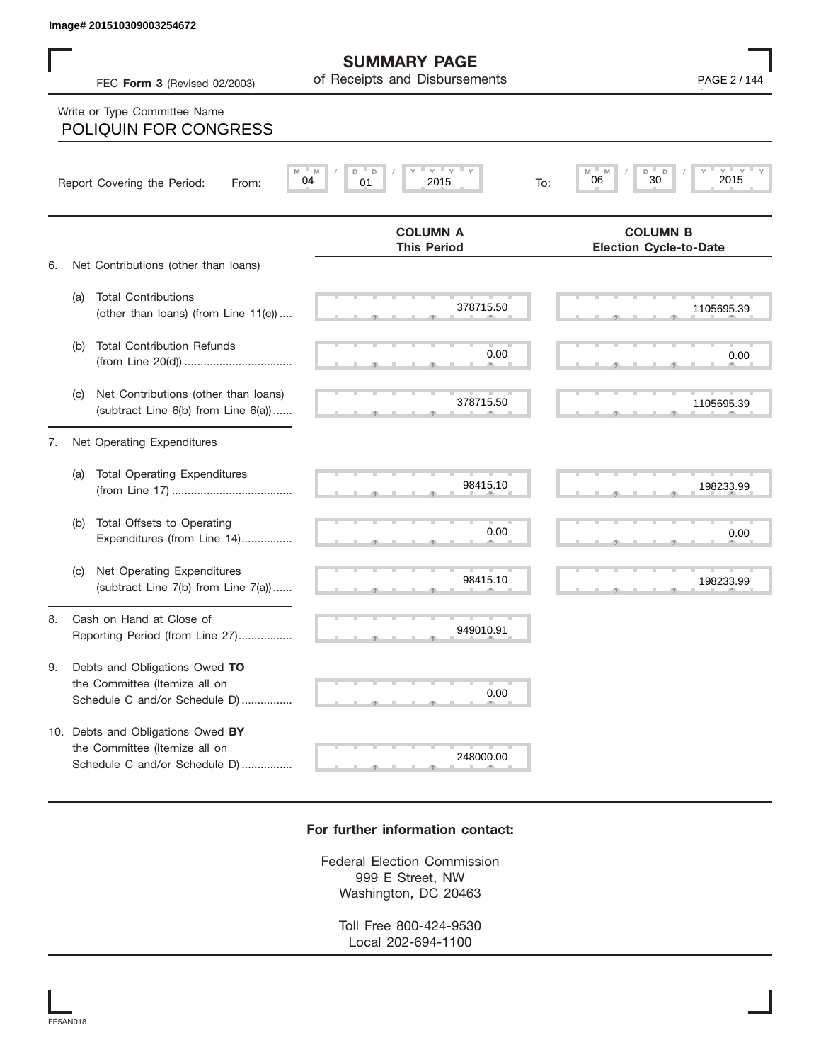## Write or Type Committee Name

|    |     | Image# 201510309003254672                                                                           |                                                           |                                                     |
|----|-----|-----------------------------------------------------------------------------------------------------|-----------------------------------------------------------|-----------------------------------------------------|
|    |     | FEC Form 3 (Revised 02/2003)                                                                        | <b>SUMMARY PAGE</b><br>of Receipts and Disbursements      | PAGE 2 / 144                                        |
|    |     | Write or Type Committee Name<br>POLIQUIN FOR CONGRESS                                               |                                                           |                                                     |
|    |     | Report Covering the Period:<br>From:                                                                | Y<br>$Y =$<br>M<br>D<br>D<br>M<br>04<br>01<br>2015<br>To: | $Y = Y + Y$<br>M<br>D<br>D<br>M<br>30<br>06<br>2015 |
| 6. |     | Net Contributions (other than loans)                                                                | <b>COLUMN A</b><br><b>This Period</b>                     | <b>COLUMN B</b><br><b>Election Cycle-to-Date</b>    |
|    | (a) | <b>Total Contributions</b><br>(other than loans) (from Line 11(e))                                  | 378715.50                                                 | 1105695.39                                          |
|    | (b) | <b>Total Contribution Refunds</b>                                                                   | 0.00                                                      | 0.00                                                |
|    | (C) | Net Contributions (other than loans)<br>(subtract Line 6(b) from Line 6(a))                         | 378715.50                                                 | 1105695.39                                          |
| 7. |     | Net Operating Expenditures                                                                          |                                                           |                                                     |
|    | (a) | <b>Total Operating Expenditures</b>                                                                 | 98415.10                                                  | 198233.99                                           |
|    | (b) | Total Offsets to Operating<br>Expenditures (from Line 14)                                           | 0.00                                                      | 0.00                                                |
|    | (C) | Net Operating Expenditures<br>(subtract Line 7(b) from Line 7(a))                                   | 98415.10                                                  | 198233.99                                           |
| 8  |     | Cash on Hand at Close of<br>Reporting Period (from Line 27)                                         | 949010.91                                                 |                                                     |
| 9. |     | Debts and Obligations Owed TO<br>the Committee (Itemize all on<br>Schedule C and/or Schedule D)     | 0.00                                                      |                                                     |
|    |     | 10. Debts and Obligations Owed BY<br>the Committee (Itemize all on<br>Schedule C and/or Schedule D) | 248000.00                                                 |                                                     |

## **For further information contact:**

Federal Election Commission 999 E Street, NW Washington, DC 20463

> Toll Free 800-424-9530 Local 202-694-1100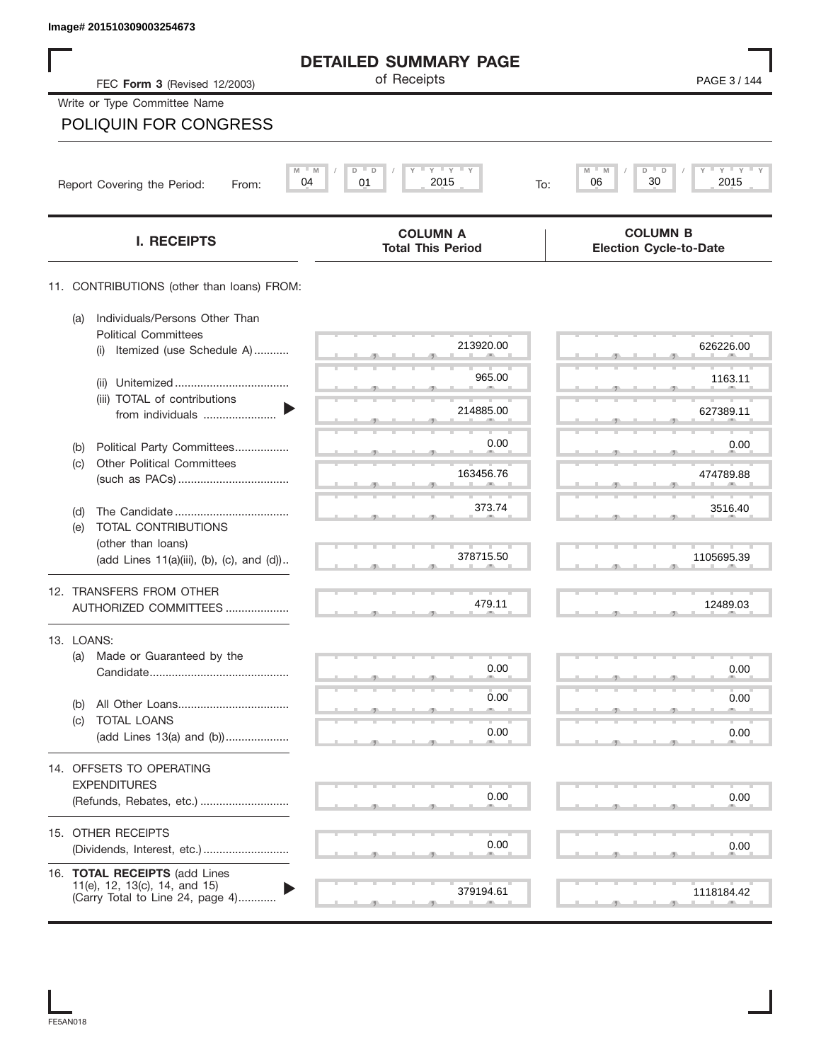| Image# 201510309003254673                                                                          |                                                    |                                                  |
|----------------------------------------------------------------------------------------------------|----------------------------------------------------|--------------------------------------------------|
|                                                                                                    | <b>DETAILED SUMMARY PAGE</b>                       |                                                  |
| FEC Form 3 (Revised 12/2003)                                                                       | of Receipts                                        | PAGE 3 / 144                                     |
| Write or Type Committee Name                                                                       |                                                    |                                                  |
| <b>POLIQUIN FOR CONGRESS</b>                                                                       |                                                    |                                                  |
|                                                                                                    | $-\gamma + \gamma + \gamma$<br>$M = M$<br>D<br>- D | $Y$ $Y$ $Y$ $Y$<br>M<br>D                        |
| Report Covering the Period:<br>From:                                                               | 2015<br>04<br>01<br>To:                            | 30<br>06<br>2015                                 |
| <b>I. RECEIPTS</b>                                                                                 | <b>COLUMN A</b><br><b>Total This Period</b>        | <b>COLUMN B</b><br><b>Election Cycle-to-Date</b> |
| 11. CONTRIBUTIONS (other than loans) FROM:                                                         |                                                    |                                                  |
| Individuals/Persons Other Than<br>(a)<br><b>Political Committees</b>                               |                                                    |                                                  |
| Itemized (use Schedule A)<br>(i)                                                                   | 213920.00                                          | 626226.00                                        |
| (ii)                                                                                               | 965.00                                             | 1163.11                                          |
| (iii) TOTAL of contributions<br>from individuals                                                   | 214885.00                                          | 627389.11                                        |
| Political Party Committees<br>(b)                                                                  | 0.00                                               | 0.00                                             |
| <b>Other Political Committees</b><br>(c)                                                           | 163456.76                                          | 474789.88                                        |
|                                                                                                    | 373.74                                             | 3516.40                                          |
| (d)<br>TOTAL CONTRIBUTIONS<br>(e)                                                                  |                                                    |                                                  |
| (other than loans)<br>(add Lines 11(a)(iii), (b), (c), and (d))                                    | 378715.50                                          | 1105695.39                                       |
| 12. TRANSFERS FROM OTHER                                                                           |                                                    |                                                  |
| AUTHORIZED COMMITTEES                                                                              | 479.11                                             | 12489.03                                         |
| 13. LOANS:                                                                                         |                                                    |                                                  |
| (a)<br>Made or Guaranteed by the                                                                   | 0.00                                               | 0.00                                             |
| (b)                                                                                                | 0.00                                               | 0.00                                             |
| TOTAL LOANS<br>(c)                                                                                 | 0.00                                               | 0.00                                             |
| (add Lines 13(a) and (b))                                                                          |                                                    |                                                  |
| 14. OFFSETS TO OPERATING<br><b>EXPENDITURES</b>                                                    |                                                    |                                                  |
| (Refunds, Rebates, etc.)                                                                           | 0.00                                               | 0.00                                             |
| 15. OTHER RECEIPTS                                                                                 |                                                    |                                                  |
|                                                                                                    | 0.00                                               | 0.00                                             |
| 16. TOTAL RECEIPTS (add Lines<br>11(e), 12, 13(c), 14, and 15)<br>(Carry Total to Line 24, page 4) | 379194.61                                          | 1118184.42                                       |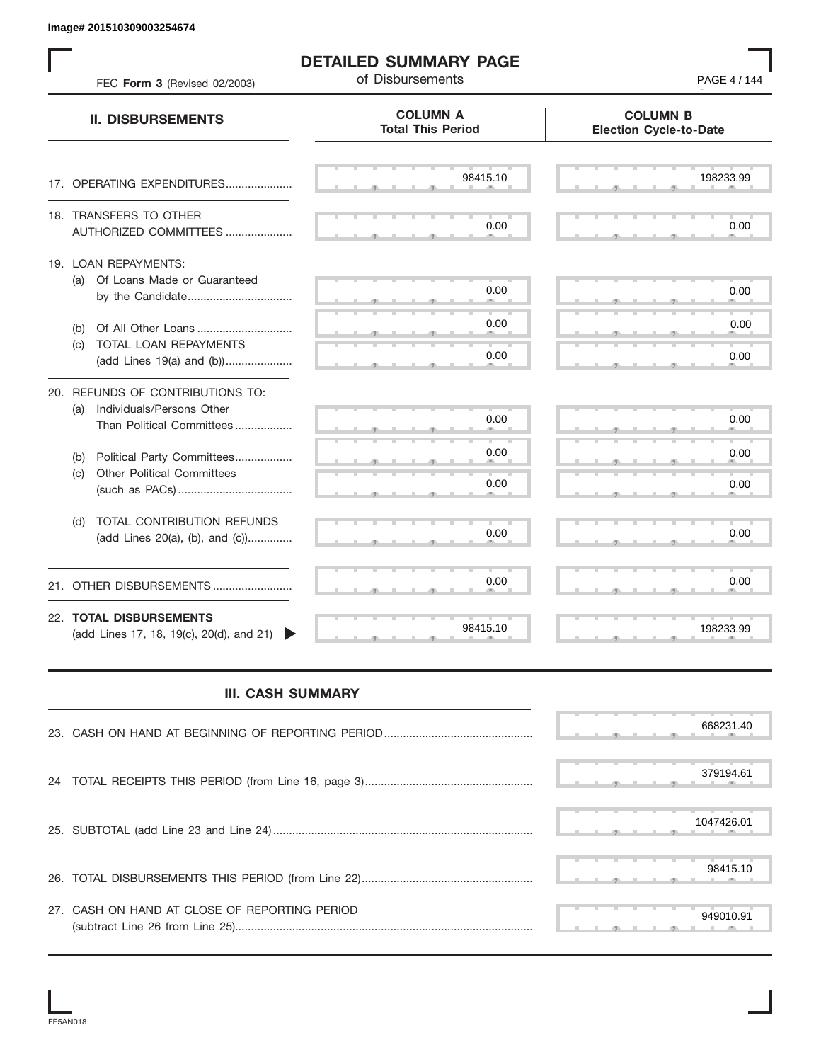| FEC Form 3 (Revised 02/2003)                                                                      | <b>DETAILED SUMMARY PAGE</b><br>of Disbursements | PAGE 4 / 144                                     |
|---------------------------------------------------------------------------------------------------|--------------------------------------------------|--------------------------------------------------|
| <b>II. DISBURSEMENTS</b>                                                                          | <b>COLUMN A</b><br><b>Total This Period</b>      | <b>COLUMN B</b><br><b>Election Cycle-to-Date</b> |
| 17. OPERATING EXPENDITURES                                                                        | 98415.10                                         | 198233.99                                        |
| 18. TRANSFERS TO OTHER<br>AUTHORIZED COMMITTEES                                                   | 0.00                                             | 0.00                                             |
| 19. LOAN REPAYMENTS:<br>(a) Of Loans Made or Guaranteed                                           | 0.00                                             | 0.00                                             |
| Of All Other Loans<br>(b)                                                                         | 0.00                                             | 0.00                                             |
| TOTAL LOAN REPAYMENTS<br>(c)<br>(add Lines 19(a) and (b))                                         | 0.00                                             | 0.00                                             |
| 20. REFUNDS OF CONTRIBUTIONS TO:<br>Individuals/Persons Other<br>(a)<br>Than Political Committees | 0.00                                             | 0.00                                             |
| Political Party Committees<br>(b)                                                                 | 0.00                                             | 0.00                                             |
| <b>Other Political Committees</b><br>(c)                                                          | 0.00                                             | 0.00                                             |
| TOTAL CONTRIBUTION REFUNDS<br>(d)<br>(add Lines 20(a), (b), and (c))                              | 0.00                                             | 0.00                                             |
| 21. OTHER DISBURSEMENTS                                                                           | 0.00                                             | 0.00                                             |
| 22. TOTAL DISBURSEMENTS<br>(add Lines 17, 18, 19(c), 20(d), and 21)                               | 98415.10                                         | 198233.99                                        |
| <b>III. CASH SUMMARY</b>                                                                          |                                                  |                                                  |
|                                                                                                   |                                                  | 668231.40                                        |
| 24                                                                                                |                                                  | 379194.61                                        |
|                                                                                                   |                                                  | 1047426.01                                       |
|                                                                                                   |                                                  | 98415.10                                         |
| 27. CASH ON HAND AT CLOSE OF REPORTING PERIOD                                                     |                                                  | 949010.91                                        |

## **III. CASH SUMMARY**

|                                               |  |  |  | 668231.40  |
|-----------------------------------------------|--|--|--|------------|
|                                               |  |  |  | 379194.61  |
|                                               |  |  |  | 1047426.01 |
|                                               |  |  |  | 98415.10   |
| 27. CASH ON HAND AT CLOSE OF REPORTING PERIOD |  |  |  | 949010.91  |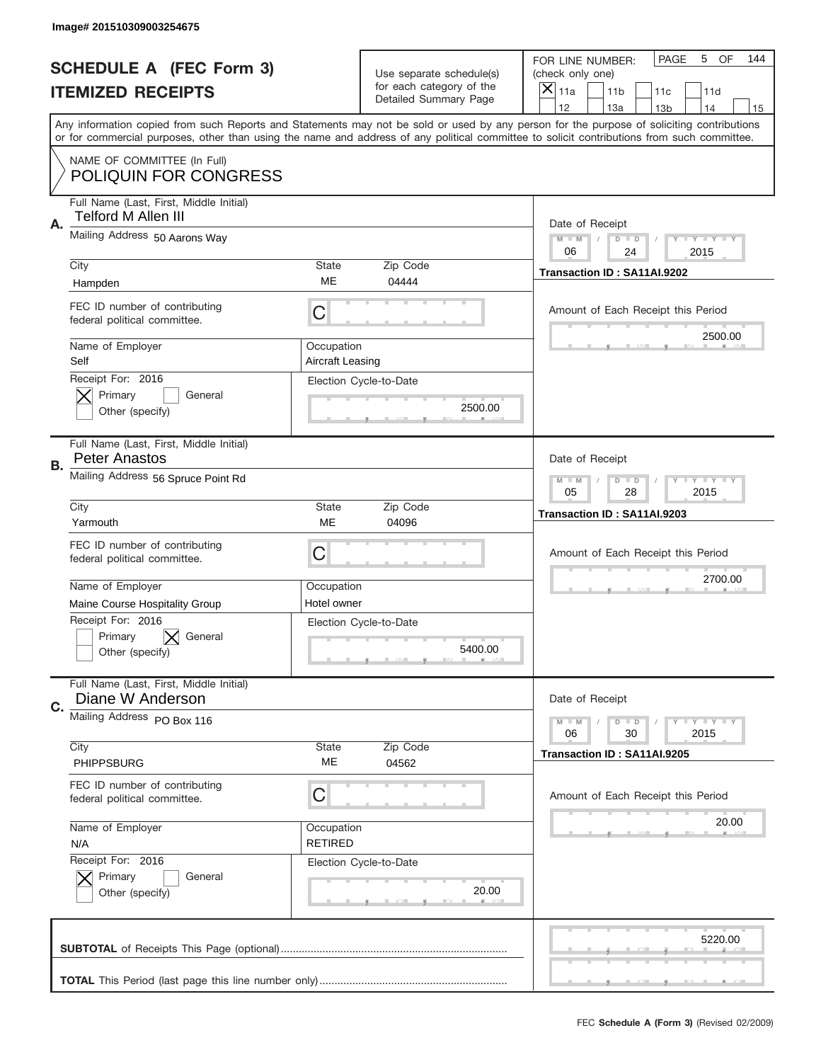|           | Image# 201510309003254675                                       |                                |                                                   |                                                                                                                                                                                                                                                                                                                                     |
|-----------|-----------------------------------------------------------------|--------------------------------|---------------------------------------------------|-------------------------------------------------------------------------------------------------------------------------------------------------------------------------------------------------------------------------------------------------------------------------------------------------------------------------------------|
|           | <b>SCHEDULE A (FEC Form 3)</b>                                  |                                | Use separate schedule(s)                          | PAGE<br>OF<br>5<br>144<br>FOR LINE NUMBER:<br>(check only one)                                                                                                                                                                                                                                                                      |
|           | <b>ITEMIZED RECEIPTS</b>                                        |                                | for each category of the<br>Detailed Summary Page | ×<br>11a<br>11 <sub>b</sub><br>11c<br>11d                                                                                                                                                                                                                                                                                           |
|           |                                                                 |                                |                                                   | 12<br>13a<br>14<br>13 <sub>b</sub><br>15<br>Any information copied from such Reports and Statements may not be sold or used by any person for the purpose of soliciting contributions<br>or for commercial purposes, other than using the name and address of any political committee to solicit contributions from such committee. |
|           | NAME OF COMMITTEE (In Full)<br><b>POLIQUIN FOR CONGRESS</b>     |                                |                                                   |                                                                                                                                                                                                                                                                                                                                     |
| Α.        | Full Name (Last, First, Middle Initial)<br>Telford M Allen III  |                                |                                                   | Date of Receipt                                                                                                                                                                                                                                                                                                                     |
|           | Mailing Address 50 Aarons Way                                   |                                |                                                   | $M - M$<br><b>LYLYLY</b><br>$D$ $D$<br>06<br>24<br>2015                                                                                                                                                                                                                                                                             |
|           | City<br>Hampden                                                 | State<br>ME                    | Zip Code<br>04444                                 | Transaction ID: SA11AI.9202                                                                                                                                                                                                                                                                                                         |
|           | FEC ID number of contributing<br>federal political committee.   | C                              |                                                   | Amount of Each Receipt this Period<br>2500.00                                                                                                                                                                                                                                                                                       |
|           | Name of Employer<br>Self                                        | Occupation<br>Aircraft Leasing |                                                   |                                                                                                                                                                                                                                                                                                                                     |
|           | Receipt For: 2016<br>Primary<br>General<br>Other (specify)      |                                | Election Cycle-to-Date<br>2500.00                 |                                                                                                                                                                                                                                                                                                                                     |
| <b>B.</b> | Full Name (Last, First, Middle Initial)<br><b>Peter Anastos</b> |                                |                                                   | Date of Receipt                                                                                                                                                                                                                                                                                                                     |
|           | Mailing Address 56 Spruce Point Rd                              |                                |                                                   | $M - M$<br>$D$ $D$<br><b>LYLYLY</b><br>05<br>28<br>2015                                                                                                                                                                                                                                                                             |
|           | City<br>Yarmouth                                                | State<br>ME                    | Zip Code<br>04096                                 | Transaction ID: SA11AI.9203                                                                                                                                                                                                                                                                                                         |
|           | FEC ID number of contributing<br>federal political committee.   | C                              |                                                   | Amount of Each Receipt this Period                                                                                                                                                                                                                                                                                                  |
|           | Name of Employer                                                | Occupation                     |                                                   | 2700.00                                                                                                                                                                                                                                                                                                                             |
|           | Maine Course Hospitality Group<br>Receipt For: 2016             | Hotel owner                    |                                                   |                                                                                                                                                                                                                                                                                                                                     |
|           |                                                                 |                                | Election Cycle-to-Date                            |                                                                                                                                                                                                                                                                                                                                     |
|           | Primary<br>General<br>Other (specify)                           |                                | 5400.00                                           |                                                                                                                                                                                                                                                                                                                                     |
| C.        | Full Name (Last, First, Middle Initial)<br>Diane W Anderson     |                                |                                                   | Date of Receipt                                                                                                                                                                                                                                                                                                                     |
|           | Mailing Address PO Box 116                                      |                                |                                                   | <b>LY LY LY</b><br>$M - M$<br>$D$ $D$<br>06<br>2015<br>30                                                                                                                                                                                                                                                                           |
|           | City<br>PHIPPSBURG                                              | State<br>ME                    | Zip Code<br>04562                                 | Transaction ID: SA11AI.9205                                                                                                                                                                                                                                                                                                         |
|           | FEC ID number of contributing<br>federal political committee.   | С                              |                                                   | Amount of Each Receipt this Period                                                                                                                                                                                                                                                                                                  |
|           | Name of Employer<br>N/A                                         | Occupation<br><b>RETIRED</b>   |                                                   | 20.00                                                                                                                                                                                                                                                                                                                               |
|           | Receipt For: 2016<br>Primary<br>General<br>Other (specify)      |                                | Election Cycle-to-Date<br>20.00                   |                                                                                                                                                                                                                                                                                                                                     |
|           |                                                                 |                                |                                                   | 5220.00                                                                                                                                                                                                                                                                                                                             |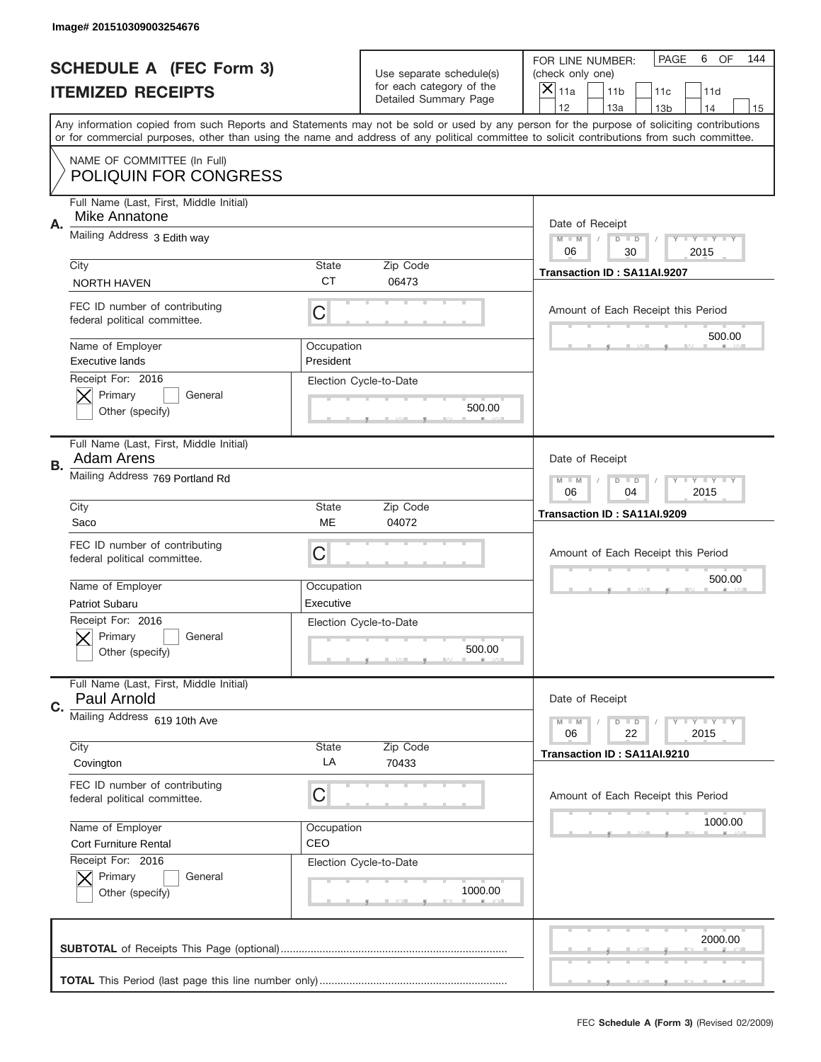|           | Image# 201510309003254676                                       |                         |                                                   |                                                                                                                                                                                                                                                                                                                                     |
|-----------|-----------------------------------------------------------------|-------------------------|---------------------------------------------------|-------------------------------------------------------------------------------------------------------------------------------------------------------------------------------------------------------------------------------------------------------------------------------------------------------------------------------------|
|           | <b>SCHEDULE A (FEC Form 3)</b>                                  |                         | Use separate schedule(s)                          | PAGE<br>OF<br>6<br>144<br>FOR LINE NUMBER:<br>(check only one)                                                                                                                                                                                                                                                                      |
|           | <b>ITEMIZED RECEIPTS</b>                                        |                         | for each category of the<br>Detailed Summary Page | ×<br>11a<br>11 <sub>b</sub><br>11c<br>11d                                                                                                                                                                                                                                                                                           |
|           |                                                                 |                         |                                                   | 12<br>13a<br>14<br>13 <sub>b</sub><br>15<br>Any information copied from such Reports and Statements may not be sold or used by any person for the purpose of soliciting contributions<br>or for commercial purposes, other than using the name and address of any political committee to solicit contributions from such committee. |
|           | NAME OF COMMITTEE (In Full)<br><b>POLIQUIN FOR CONGRESS</b>     |                         |                                                   |                                                                                                                                                                                                                                                                                                                                     |
| Α.        | Full Name (Last, First, Middle Initial)<br>Mike Annatone        |                         |                                                   | Date of Receipt                                                                                                                                                                                                                                                                                                                     |
|           | Mailing Address 3 Edith way                                     |                         |                                                   | $M - M$<br><b>LYLYLY</b><br>$D$ $D$<br>06<br>30<br>2015                                                                                                                                                                                                                                                                             |
|           | City<br><b>NORTH HAVEN</b>                                      | State<br><b>CT</b>      | Zip Code<br>06473                                 | Transaction ID: SA11AI.9207                                                                                                                                                                                                                                                                                                         |
|           | FEC ID number of contributing<br>federal political committee.   | C                       |                                                   | Amount of Each Receipt this Period<br>500.00                                                                                                                                                                                                                                                                                        |
|           | Name of Employer<br><b>Executive lands</b><br>Receipt For: 2016 | Occupation<br>President |                                                   |                                                                                                                                                                                                                                                                                                                                     |
|           | Primary<br>General<br>Other (specify)                           |                         | Election Cycle-to-Date<br>500.00                  |                                                                                                                                                                                                                                                                                                                                     |
| <b>B.</b> | Full Name (Last, First, Middle Initial)<br><b>Adam Arens</b>    |                         |                                                   | Date of Receipt                                                                                                                                                                                                                                                                                                                     |
|           | Mailing Address 769 Portland Rd                                 |                         |                                                   | $M - M$<br>$D$ $D$<br><b>LYLYLY</b><br>06<br>04<br>2015                                                                                                                                                                                                                                                                             |
|           | City<br>Saco                                                    | State<br>ME             | Zip Code<br>04072                                 | Transaction ID: SA11AI.9209                                                                                                                                                                                                                                                                                                         |
|           | FEC ID number of contributing<br>federal political committee.   | C                       |                                                   | Amount of Each Receipt this Period                                                                                                                                                                                                                                                                                                  |
|           | Name of Employer<br>Patriot Subaru                              | Occupation<br>Executive |                                                   | 500.00                                                                                                                                                                                                                                                                                                                              |
|           | Receipt For: 2016                                               |                         | Election Cycle-to-Date                            |                                                                                                                                                                                                                                                                                                                                     |
|           | General<br>Primary<br>Other (specify)                           |                         | 500.00                                            |                                                                                                                                                                                                                                                                                                                                     |
| C.        | Full Name (Last, First, Middle Initial)<br>Paul Arnold          |                         |                                                   | Date of Receipt                                                                                                                                                                                                                                                                                                                     |
|           | Mailing Address 619 10th Ave                                    |                         |                                                   | <b>LY LY LY</b><br>$M - M$<br>$D$ $D$<br>06<br>22<br>2015                                                                                                                                                                                                                                                                           |
|           | City<br>Covington                                               | State<br>LA             | Zip Code<br>70433                                 | Transaction ID: SA11AI.9210                                                                                                                                                                                                                                                                                                         |
|           | FEC ID number of contributing<br>federal political committee.   | C                       |                                                   | Amount of Each Receipt this Period                                                                                                                                                                                                                                                                                                  |
|           | Name of Employer<br>Cort Furniture Rental                       | Occupation<br>CEO       |                                                   | 1000.00                                                                                                                                                                                                                                                                                                                             |
|           | Receipt For: 2016<br>Primary<br>General<br>Other (specify)      |                         | Election Cycle-to-Date<br>1000.00                 |                                                                                                                                                                                                                                                                                                                                     |
|           |                                                                 |                         |                                                   | 2000.00                                                                                                                                                                                                                                                                                                                             |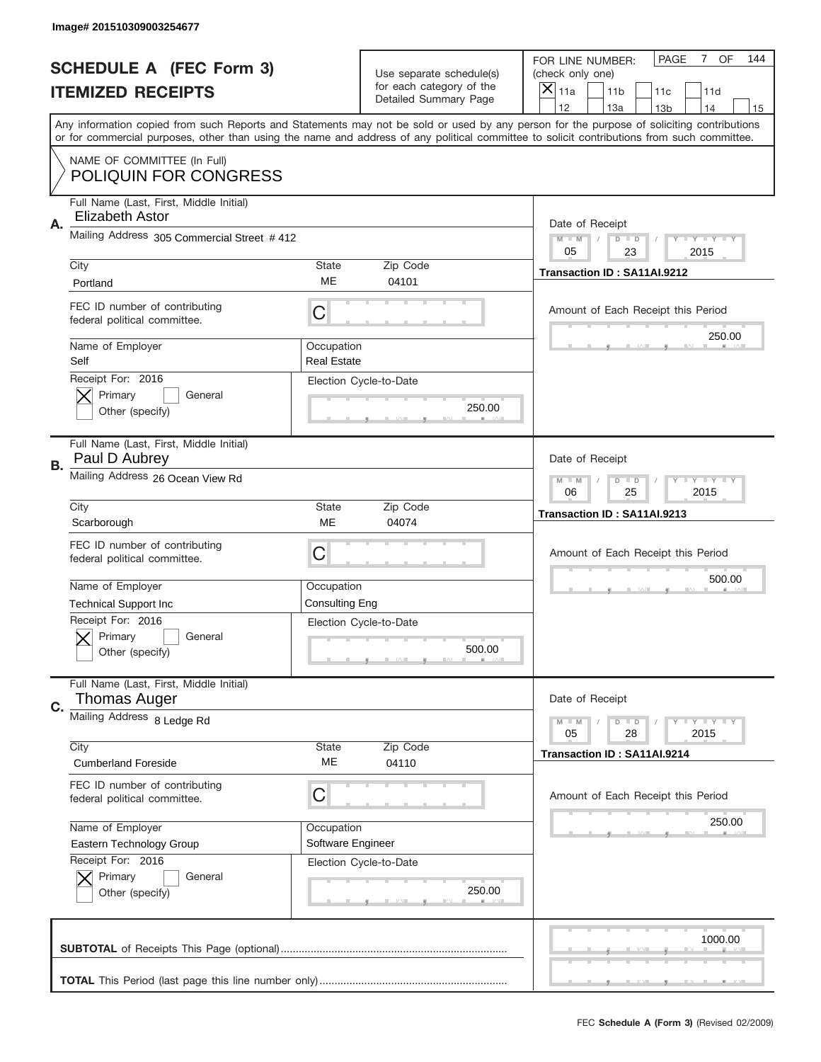|    | Image# 201510309003254677                                      |                                  |                                                   |                                                                                                                                                                                                                                                                                         |
|----|----------------------------------------------------------------|----------------------------------|---------------------------------------------------|-----------------------------------------------------------------------------------------------------------------------------------------------------------------------------------------------------------------------------------------------------------------------------------------|
|    | <b>SCHEDULE A (FEC Form 3)</b>                                 |                                  | Use separate schedule(s)                          | OF<br><b>PAGE</b><br>$\overline{7}$<br>144<br>FOR LINE NUMBER:<br>(check only one)                                                                                                                                                                                                      |
|    | <b>ITEMIZED RECEIPTS</b>                                       |                                  | for each category of the<br>Detailed Summary Page | ×<br>11a<br>11 <sub>b</sub><br>11c<br>11d                                                                                                                                                                                                                                               |
|    |                                                                |                                  |                                                   | 12<br>13a<br>14<br>13 <sub>b</sub><br>15                                                                                                                                                                                                                                                |
|    |                                                                |                                  |                                                   | Any information copied from such Reports and Statements may not be sold or used by any person for the purpose of soliciting contributions<br>or for commercial purposes, other than using the name and address of any political committee to solicit contributions from such committee. |
|    | NAME OF COMMITTEE (In Full)                                    |                                  |                                                   |                                                                                                                                                                                                                                                                                         |
|    | <b>POLIQUIN FOR CONGRESS</b>                                   |                                  |                                                   |                                                                                                                                                                                                                                                                                         |
| Α. | Full Name (Last, First, Middle Initial)<br>Elizabeth Astor     |                                  |                                                   | Date of Receipt                                                                                                                                                                                                                                                                         |
|    | Mailing Address 305 Commercial Street #412                     |                                  |                                                   | $M - M$<br><b>LYLYLY</b><br>$D$ $D$<br>05<br>2015<br>23                                                                                                                                                                                                                                 |
|    | City                                                           | State                            | Zip Code                                          | Transaction ID: SA11AI.9212                                                                                                                                                                                                                                                             |
|    | Portland                                                       | ME                               | 04101                                             |                                                                                                                                                                                                                                                                                         |
|    | FEC ID number of contributing<br>federal political committee.  | C                                |                                                   | Amount of Each Receipt this Period                                                                                                                                                                                                                                                      |
|    | Name of Employer<br>Self                                       | Occupation<br><b>Real Estate</b> |                                                   | 250.00                                                                                                                                                                                                                                                                                  |
|    | Receipt For: 2016<br>Primary<br>General<br>Other (specify)     |                                  | Election Cycle-to-Date<br>250.00                  |                                                                                                                                                                                                                                                                                         |
| В. | Full Name (Last, First, Middle Initial)<br>Paul D Aubrey       |                                  |                                                   | Date of Receipt                                                                                                                                                                                                                                                                         |
|    | Mailing Address 26 Ocean View Rd                               |                                  |                                                   | $M - M$<br>$D$ $D$<br><b>LYLYLY</b><br>06<br>25<br>2015                                                                                                                                                                                                                                 |
|    | City                                                           | State                            | Zip Code                                          | Transaction ID: SA11AI.9213                                                                                                                                                                                                                                                             |
|    | Scarborough                                                    | <b>ME</b>                        | 04074                                             |                                                                                                                                                                                                                                                                                         |
|    | FEC ID number of contributing<br>federal political committee.  | C                                |                                                   | Amount of Each Receipt this Period                                                                                                                                                                                                                                                      |
|    | Name of Employer                                               | Occupation                       |                                                   | 500.00                                                                                                                                                                                                                                                                                  |
|    | <b>Technical Support Inc</b>                                   | <b>Consulting Eng</b>            |                                                   |                                                                                                                                                                                                                                                                                         |
|    | Receipt For: 2016<br>General<br>Primary<br>Other (specify)     |                                  | Election Cycle-to-Date<br>500.00                  |                                                                                                                                                                                                                                                                                         |
| C. | Full Name (Last, First, Middle Initial)<br><b>Thomas Auger</b> |                                  |                                                   | Date of Receipt                                                                                                                                                                                                                                                                         |
|    | Mailing Address 8 Ledge Rd                                     |                                  |                                                   | <b>LYLYLY</b><br>$M - M$<br>$D$ $D$<br>05<br>2015<br>28                                                                                                                                                                                                                                 |
|    | City                                                           | State                            | Zip Code                                          | Transaction ID: SA11AI.9214                                                                                                                                                                                                                                                             |
|    | <b>Cumberland Foreside</b>                                     | МE                               | 04110                                             |                                                                                                                                                                                                                                                                                         |
|    |                                                                |                                  |                                                   |                                                                                                                                                                                                                                                                                         |
|    | FEC ID number of contributing<br>federal political committee.  | C                                |                                                   | Amount of Each Receipt this Period                                                                                                                                                                                                                                                      |
|    | Name of Employer                                               | Occupation                       |                                                   | 250.00                                                                                                                                                                                                                                                                                  |
|    | Eastern Technology Group                                       | Software Engineer                |                                                   |                                                                                                                                                                                                                                                                                         |
|    | Receipt For: 2016<br>Primary<br>General<br>Other (specify)     |                                  | Election Cycle-to-Date<br>250.00                  |                                                                                                                                                                                                                                                                                         |
|    |                                                                |                                  |                                                   | 1000.00                                                                                                                                                                                                                                                                                 |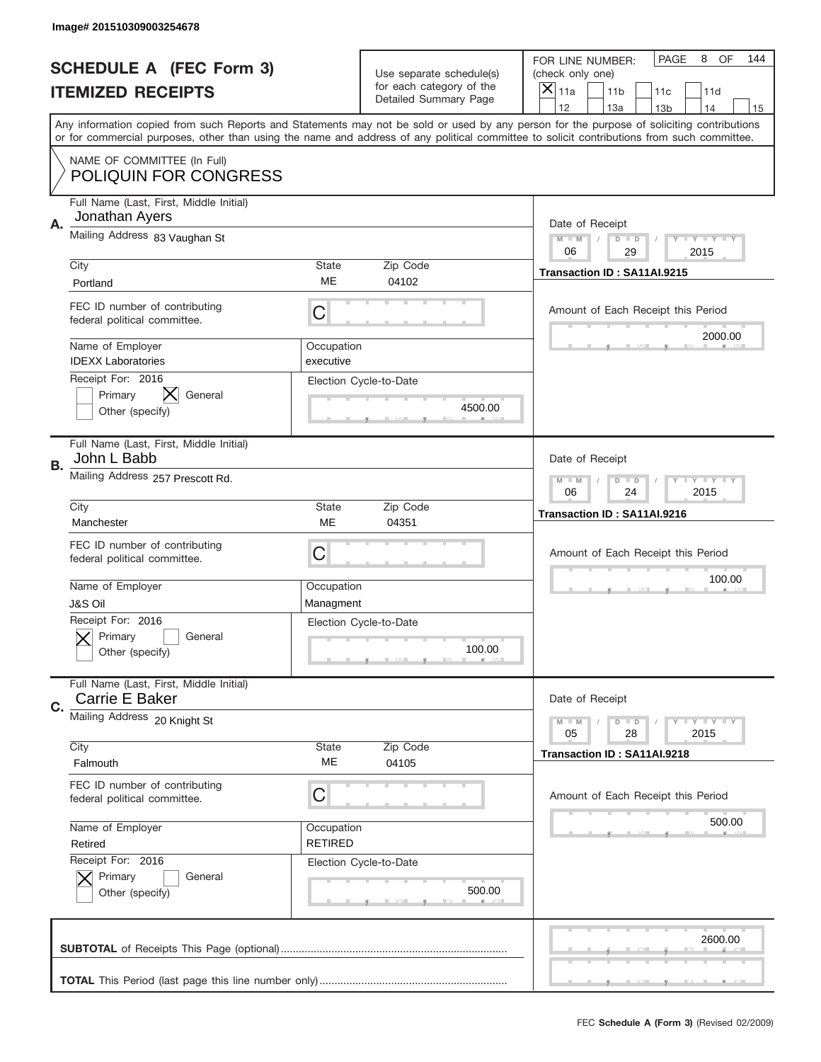|    | Image# 201510309003254678                                        |                              |                                                   |                                                                                                                                                                                                                                                                                                                                     |
|----|------------------------------------------------------------------|------------------------------|---------------------------------------------------|-------------------------------------------------------------------------------------------------------------------------------------------------------------------------------------------------------------------------------------------------------------------------------------------------------------------------------------|
|    | <b>SCHEDULE A (FEC Form 3)</b>                                   |                              | Use separate schedule(s)                          | PAGE<br>OF<br>8<br>144<br>FOR LINE NUMBER:<br>(check only one)                                                                                                                                                                                                                                                                      |
|    | <b>ITEMIZED RECEIPTS</b>                                         |                              | for each category of the<br>Detailed Summary Page | ×<br>11a<br>11 <sub>b</sub><br>11c<br>11d                                                                                                                                                                                                                                                                                           |
|    |                                                                  |                              |                                                   | 12<br>13a<br>14<br>13 <sub>b</sub><br>15<br>Any information copied from such Reports and Statements may not be sold or used by any person for the purpose of soliciting contributions<br>or for commercial purposes, other than using the name and address of any political committee to solicit contributions from such committee. |
|    | NAME OF COMMITTEE (In Full)<br><b>POLIQUIN FOR CONGRESS</b>      |                              |                                                   |                                                                                                                                                                                                                                                                                                                                     |
| Α. | Full Name (Last, First, Middle Initial)<br>Jonathan Ayers        |                              |                                                   | Date of Receipt                                                                                                                                                                                                                                                                                                                     |
|    | Mailing Address 83 Vaughan St                                    |                              |                                                   | $M - M$<br><b>LYLYLY</b><br>$D$ $D$<br>06<br>29<br>2015                                                                                                                                                                                                                                                                             |
|    | City<br>Portland                                                 | State<br>ME                  | Zip Code<br>04102                                 | Transaction ID: SA11AI.9215                                                                                                                                                                                                                                                                                                         |
|    | FEC ID number of contributing<br>federal political committee.    | C                            |                                                   | Amount of Each Receipt this Period<br>2000.00                                                                                                                                                                                                                                                                                       |
|    | Name of Employer<br><b>IDEXX Laboratories</b>                    | Occupation<br>executive      |                                                   |                                                                                                                                                                                                                                                                                                                                     |
|    | Receipt For: 2016<br>X.<br>Primary<br>General<br>Other (specify) |                              | Election Cycle-to-Date<br>4500.00                 |                                                                                                                                                                                                                                                                                                                                     |
| В. | Full Name (Last, First, Middle Initial)<br>John L Babb           |                              |                                                   | Date of Receipt                                                                                                                                                                                                                                                                                                                     |
|    | Mailing Address 257 Prescott Rd.                                 |                              |                                                   | $M - M$<br>$D$ $D$<br><b>LYLYLY</b><br>06<br>24<br>2015                                                                                                                                                                                                                                                                             |
|    | City<br>Manchester                                               | State<br>ME                  | Zip Code<br>04351                                 | Transaction ID: SA11AI.9216                                                                                                                                                                                                                                                                                                         |
|    | FEC ID number of contributing<br>federal political committee.    | C                            |                                                   | Amount of Each Receipt this Period                                                                                                                                                                                                                                                                                                  |
|    |                                                                  |                              |                                                   | 100.00                                                                                                                                                                                                                                                                                                                              |
|    | Name of Employer<br><b>J&amp;S Oil</b>                           | Occupation<br>Managment      |                                                   |                                                                                                                                                                                                                                                                                                                                     |
|    | Receipt For: 2016<br>General<br>Primary<br>Other (specify)       |                              | Election Cycle-to-Date<br>100.00                  |                                                                                                                                                                                                                                                                                                                                     |
| C. | Full Name (Last, First, Middle Initial)<br>Carrie E Baker        |                              |                                                   | Date of Receipt                                                                                                                                                                                                                                                                                                                     |
|    | Mailing Address 20 Knight St                                     |                              |                                                   | <b>LY LY LY</b><br>$M - M$<br>$D$ $D$<br>05<br>2015<br>28                                                                                                                                                                                                                                                                           |
|    | City<br>Falmouth                                                 | State<br>ME                  | Zip Code<br>04105                                 | Transaction ID: SA11AI.9218                                                                                                                                                                                                                                                                                                         |
|    | FEC ID number of contributing<br>federal political committee.    | С                            |                                                   | Amount of Each Receipt this Period                                                                                                                                                                                                                                                                                                  |
|    | Name of Employer<br>Retired                                      | Occupation<br><b>RETIRED</b> |                                                   | 500.00                                                                                                                                                                                                                                                                                                                              |
|    | Receipt For: 2016<br>Primary<br>General<br>Other (specify)       |                              | Election Cycle-to-Date<br>500.00                  |                                                                                                                                                                                                                                                                                                                                     |
|    |                                                                  |                              |                                                   | 2600.00                                                                                                                                                                                                                                                                                                                             |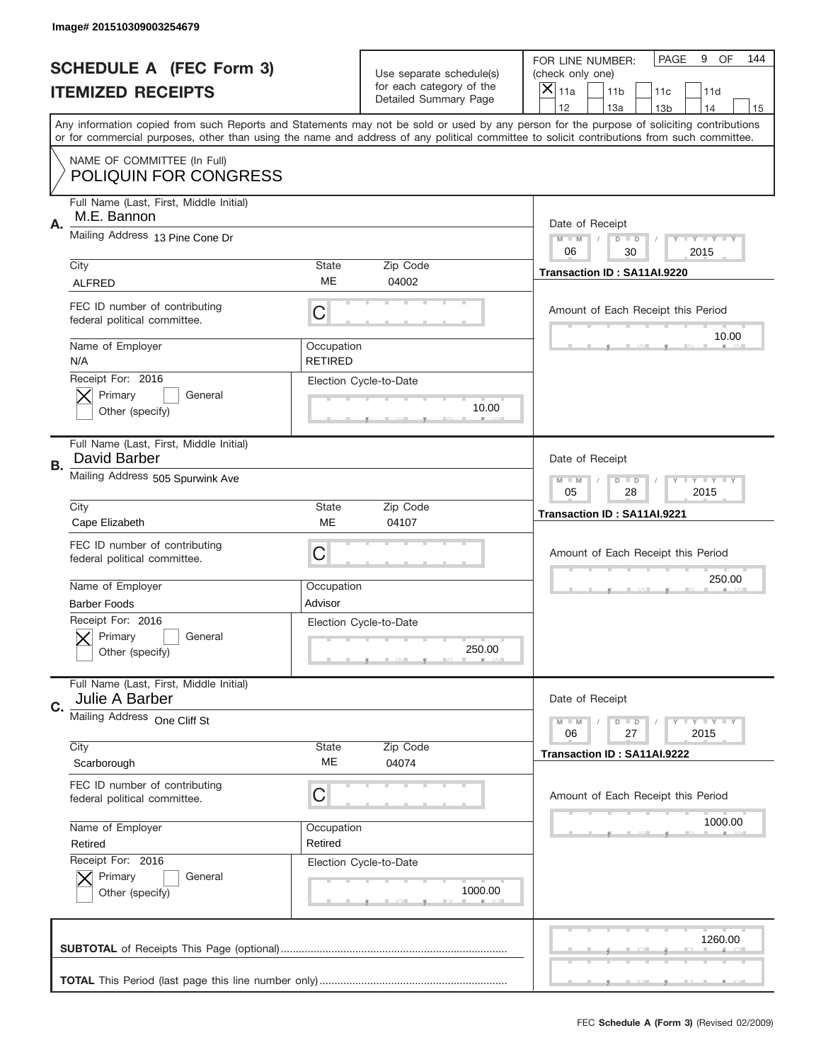|    | Image# 201510309003254679                                     |                              |                                                   |                                                                                                                                                                                                                                                                                         |
|----|---------------------------------------------------------------|------------------------------|---------------------------------------------------|-----------------------------------------------------------------------------------------------------------------------------------------------------------------------------------------------------------------------------------------------------------------------------------------|
|    | <b>SCHEDULE A (FEC Form 3)</b>                                |                              | Use separate schedule(s)                          | PAGE<br>OF<br>9<br>144<br>FOR LINE NUMBER:<br>(check only one)                                                                                                                                                                                                                          |
|    | <b>ITEMIZED RECEIPTS</b>                                      |                              | for each category of the<br>Detailed Summary Page | ×<br>11a<br>11 <sub>b</sub><br>11c<br>11d                                                                                                                                                                                                                                               |
|    |                                                               |                              |                                                   | 12<br>13a<br>14<br>13 <sub>b</sub><br>15                                                                                                                                                                                                                                                |
|    |                                                               |                              |                                                   | Any information copied from such Reports and Statements may not be sold or used by any person for the purpose of soliciting contributions<br>or for commercial purposes, other than using the name and address of any political committee to solicit contributions from such committee. |
|    | NAME OF COMMITTEE (In Full)<br><b>POLIQUIN FOR CONGRESS</b>   |                              |                                                   |                                                                                                                                                                                                                                                                                         |
| Α. | Full Name (Last, First, Middle Initial)<br>M.E. Bannon        |                              |                                                   | Date of Receipt                                                                                                                                                                                                                                                                         |
|    | Mailing Address 13 Pine Cone Dr                               |                              |                                                   | $M - M$<br><b>LYLYLY</b><br>$D$ $D$<br>06<br>2015<br>30                                                                                                                                                                                                                                 |
|    | City                                                          | State                        | Zip Code                                          | Transaction ID: SA11AI.9220                                                                                                                                                                                                                                                             |
|    | <b>ALFRED</b>                                                 | ME                           | 04002                                             |                                                                                                                                                                                                                                                                                         |
|    | FEC ID number of contributing<br>federal political committee. | C                            |                                                   | Amount of Each Receipt this Period                                                                                                                                                                                                                                                      |
|    | Name of Employer<br>N/A                                       | Occupation<br><b>RETIRED</b> |                                                   | 10.00                                                                                                                                                                                                                                                                                   |
|    | Receipt For: 2016<br>Primary<br>General<br>Other (specify)    |                              | Election Cycle-to-Date<br>10.00                   |                                                                                                                                                                                                                                                                                         |
| В. | Full Name (Last, First, Middle Initial)<br>David Barber       |                              |                                                   | Date of Receipt                                                                                                                                                                                                                                                                         |
|    | Mailing Address 505 Spurwink Ave                              |                              |                                                   | <b>LY LY LY</b><br>$M - M$<br>$D$ $D$<br>05<br>28<br>2015                                                                                                                                                                                                                               |
|    | City                                                          | State                        | Zip Code                                          | Transaction ID: SA11AI.9221                                                                                                                                                                                                                                                             |
|    | Cape Elizabeth                                                | ME                           | 04107                                             |                                                                                                                                                                                                                                                                                         |
|    |                                                               |                              |                                                   |                                                                                                                                                                                                                                                                                         |
|    | FEC ID number of contributing<br>federal political committee. | C                            |                                                   | Amount of Each Receipt this Period                                                                                                                                                                                                                                                      |
|    | Name of Employer                                              | Occupation                   |                                                   | 250.00                                                                                                                                                                                                                                                                                  |
|    | <b>Barber Foods</b>                                           | Advisor                      |                                                   |                                                                                                                                                                                                                                                                                         |
|    | Receipt For: 2016<br>General<br>Primary<br>Other (specify)    |                              | Election Cycle-to-Date<br>250.00                  |                                                                                                                                                                                                                                                                                         |
| C. | Full Name (Last, First, Middle Initial)<br>Julie A Barber     |                              |                                                   | Date of Receipt                                                                                                                                                                                                                                                                         |
|    | Mailing Address One Cliff St                                  |                              |                                                   | <b>LY LY LY</b><br>$M - M$<br>$D$ $D$<br>06<br>2015<br>27                                                                                                                                                                                                                               |
|    | City<br>Scarborough                                           | State<br>ME                  | Zip Code<br>04074                                 | Transaction ID: SA11AI.9222                                                                                                                                                                                                                                                             |
|    | FEC ID number of contributing<br>federal political committee. | С                            |                                                   | Amount of Each Receipt this Period                                                                                                                                                                                                                                                      |
|    | Name of Employer                                              | Occupation                   |                                                   | 1000.00                                                                                                                                                                                                                                                                                 |
|    | Retired                                                       | Retired                      |                                                   |                                                                                                                                                                                                                                                                                         |
|    | Receipt For: 2016<br>Primary<br>General<br>Other (specify)    |                              | Election Cycle-to-Date<br>1000.00                 |                                                                                                                                                                                                                                                                                         |
|    |                                                               |                              |                                                   | 1260.00                                                                                                                                                                                                                                                                                 |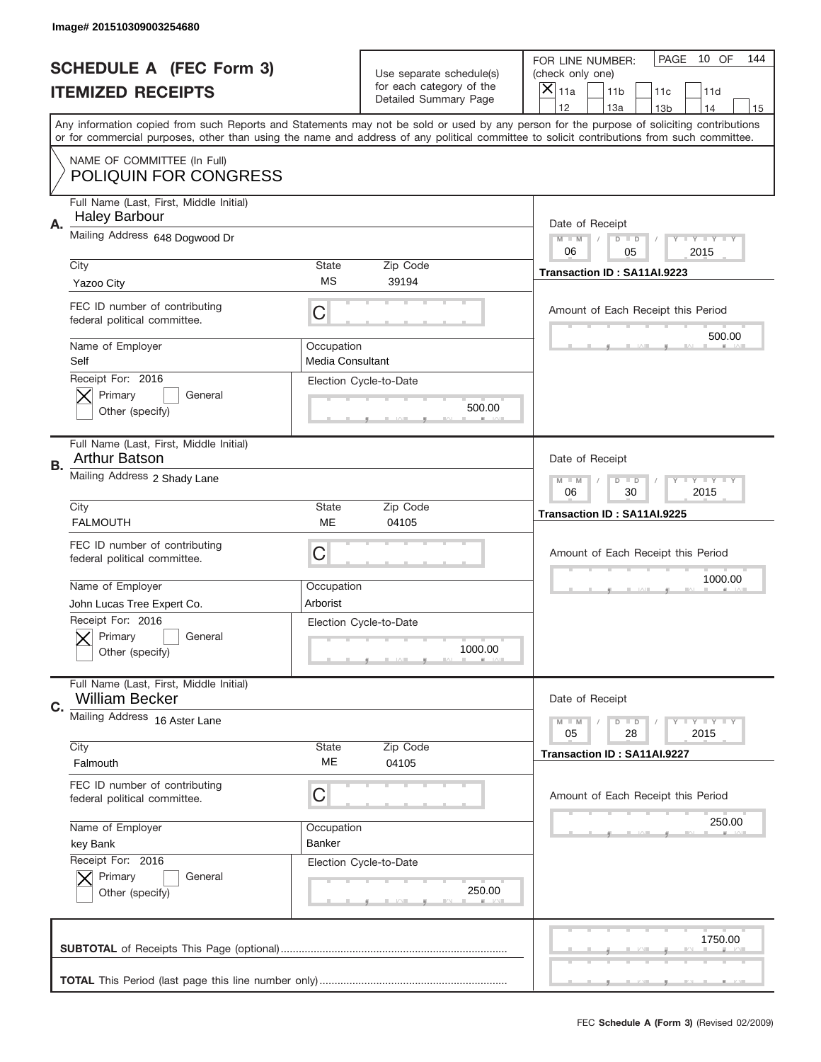|    | Image# 201510309003254680                                                                |                                       |                                                   |                                                                                                                                                                                                                                                                                                                                     |
|----|------------------------------------------------------------------------------------------|---------------------------------------|---------------------------------------------------|-------------------------------------------------------------------------------------------------------------------------------------------------------------------------------------------------------------------------------------------------------------------------------------------------------------------------------------|
|    | <b>SCHEDULE A (FEC Form 3)</b>                                                           |                                       | Use separate schedule(s)                          | PAGE<br>10 OF<br>144<br>FOR LINE NUMBER:<br>(check only one)                                                                                                                                                                                                                                                                        |
|    | <b>ITEMIZED RECEIPTS</b>                                                                 |                                       | for each category of the<br>Detailed Summary Page | ×<br>11a<br>11 <sub>b</sub><br>11c<br>11d                                                                                                                                                                                                                                                                                           |
|    |                                                                                          |                                       |                                                   | 12<br>13a<br>14<br>13 <sub>b</sub><br>15<br>Any information copied from such Reports and Statements may not be sold or used by any person for the purpose of soliciting contributions<br>or for commercial purposes, other than using the name and address of any political committee to solicit contributions from such committee. |
|    | NAME OF COMMITTEE (In Full)<br><b>POLIQUIN FOR CONGRESS</b>                              |                                       |                                                   |                                                                                                                                                                                                                                                                                                                                     |
| Α. | Full Name (Last, First, Middle Initial)<br><b>Haley Barbour</b>                          |                                       |                                                   | Date of Receipt                                                                                                                                                                                                                                                                                                                     |
|    | Mailing Address 648 Dogwood Dr                                                           |                                       |                                                   | $M - M$<br><b>LYLYLY</b><br>$D$ $D$<br>06<br>2015<br>05                                                                                                                                                                                                                                                                             |
|    | City<br>Yazoo City                                                                       | State<br><b>MS</b>                    | Zip Code<br>39194                                 | Transaction ID: SA11AI.9223                                                                                                                                                                                                                                                                                                         |
|    | FEC ID number of contributing<br>federal political committee.                            | C                                     |                                                   | Amount of Each Receipt this Period<br>500.00                                                                                                                                                                                                                                                                                        |
|    | Name of Employer<br>Self                                                                 | Occupation<br><b>Media Consultant</b> |                                                   |                                                                                                                                                                                                                                                                                                                                     |
|    | Receipt For: 2016<br>Primary<br>General<br>Other (specify)                               |                                       | Election Cycle-to-Date<br>500.00                  |                                                                                                                                                                                                                                                                                                                                     |
| В. | Full Name (Last, First, Middle Initial)<br><b>Arthur Batson</b>                          |                                       |                                                   | Date of Receipt                                                                                                                                                                                                                                                                                                                     |
|    | Mailing Address 2 Shady Lane                                                             |                                       |                                                   | <b>LY LY LY</b><br>$M - M$<br>$D$ $D$<br>06<br>30<br>2015                                                                                                                                                                                                                                                                           |
|    | City<br><b>FALMOUTH</b>                                                                  | State<br>ME                           | Zip Code<br>04105                                 | Transaction ID: SA11AI.9225                                                                                                                                                                                                                                                                                                         |
|    | FEC ID number of contributing<br>federal political committee.                            | C                                     |                                                   | Amount of Each Receipt this Period                                                                                                                                                                                                                                                                                                  |
|    |                                                                                          |                                       |                                                   |                                                                                                                                                                                                                                                                                                                                     |
|    | Name of Employer                                                                         | Occupation                            |                                                   | 1000.00                                                                                                                                                                                                                                                                                                                             |
|    | John Lucas Tree Expert Co.<br>Receipt For: 2016<br>General<br>Primary<br>Other (specify) | Arborist                              | Election Cycle-to-Date<br>1000.00                 |                                                                                                                                                                                                                                                                                                                                     |
| C. | Full Name (Last, First, Middle Initial)<br><b>William Becker</b>                         |                                       |                                                   | Date of Receipt                                                                                                                                                                                                                                                                                                                     |
|    | Mailing Address 16 Aster Lane                                                            |                                       |                                                   | <b>LY LY LY</b><br>$M - M$<br>$D$ $D$<br>05<br>2015<br>28                                                                                                                                                                                                                                                                           |
|    | City<br>Falmouth                                                                         | <b>State</b><br>ME                    | Zip Code<br>04105                                 | Transaction ID: SA11AI.9227                                                                                                                                                                                                                                                                                                         |
|    | FEC ID number of contributing<br>federal political committee.                            | С                                     |                                                   | Amount of Each Receipt this Period                                                                                                                                                                                                                                                                                                  |
|    | Name of Employer<br>key Bank                                                             | Occupation<br>Banker                  |                                                   | 250.00                                                                                                                                                                                                                                                                                                                              |
|    | Receipt For: 2016<br>Primary<br>General<br>Other (specify)                               |                                       | Election Cycle-to-Date<br>250.00                  |                                                                                                                                                                                                                                                                                                                                     |
|    |                                                                                          |                                       |                                                   | 1750.00                                                                                                                                                                                                                                                                                                                             |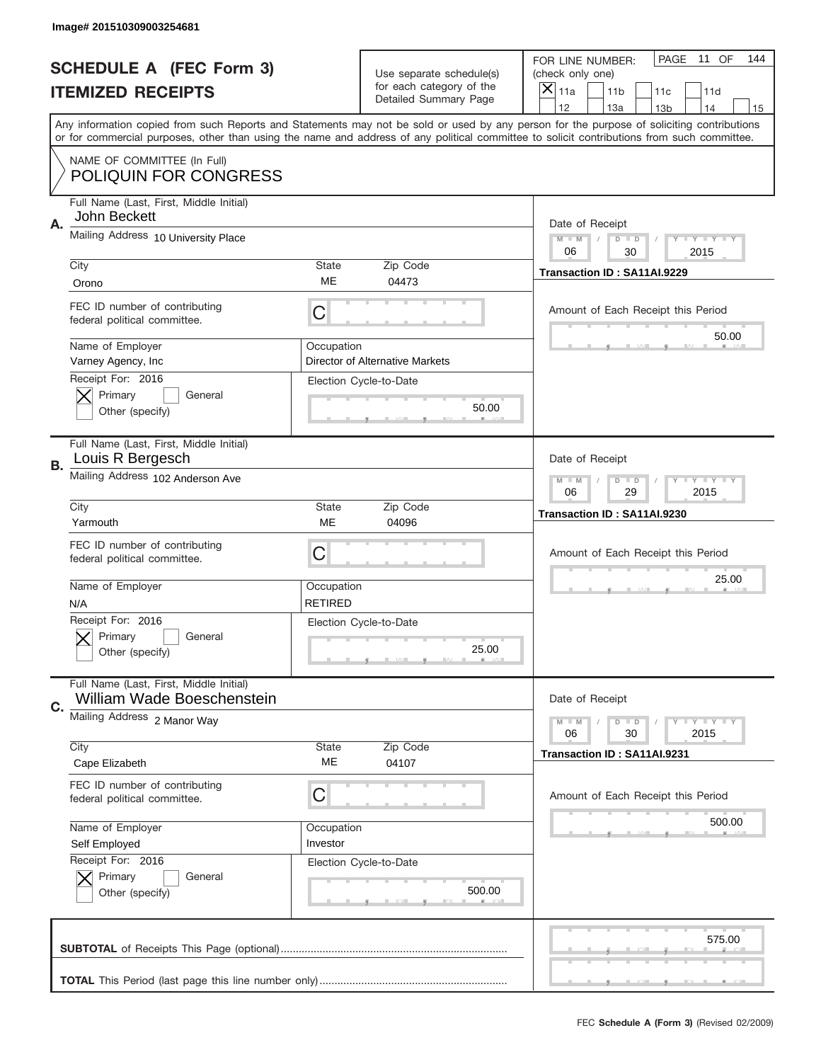|    | Image# 201510309003254681                                             |                              |                                                   |                                                                                                                                                                                                                                                                                                                                     |
|----|-----------------------------------------------------------------------|------------------------------|---------------------------------------------------|-------------------------------------------------------------------------------------------------------------------------------------------------------------------------------------------------------------------------------------------------------------------------------------------------------------------------------------|
|    | <b>SCHEDULE A (FEC Form 3)</b>                                        |                              | Use separate schedule(s)                          | PAGE<br>11 OF<br>144<br>FOR LINE NUMBER:<br>(check only one)                                                                                                                                                                                                                                                                        |
|    | <b>ITEMIZED RECEIPTS</b>                                              |                              | for each category of the<br>Detailed Summary Page | $\overline{X} _{11a}$<br>11 <sub>b</sub><br>11c<br>11d                                                                                                                                                                                                                                                                              |
|    |                                                                       |                              |                                                   | 12<br>13a<br>14<br>13 <sub>b</sub><br>15<br>Any information copied from such Reports and Statements may not be sold or used by any person for the purpose of soliciting contributions<br>or for commercial purposes, other than using the name and address of any political committee to solicit contributions from such committee. |
|    | NAME OF COMMITTEE (In Full)<br><b>POLIQUIN FOR CONGRESS</b>           |                              |                                                   |                                                                                                                                                                                                                                                                                                                                     |
| Α. | Full Name (Last, First, Middle Initial)<br>John Beckett               |                              |                                                   | Date of Receipt                                                                                                                                                                                                                                                                                                                     |
|    | Mailing Address 10 University Place                                   |                              |                                                   | $M$ $M$<br>$D$ $D$<br>Y I Y I Y I Y<br>06<br>2015<br>30                                                                                                                                                                                                                                                                             |
|    | City<br>Orono                                                         | <b>State</b><br>ME           | Zip Code<br>04473                                 | Transaction ID: SA11AI.9229                                                                                                                                                                                                                                                                                                         |
|    | FEC ID number of contributing<br>federal political committee.         | C                            |                                                   | Amount of Each Receipt this Period<br>50.00                                                                                                                                                                                                                                                                                         |
|    | Name of Employer<br>Varney Agency, Inc                                | Occupation                   | Director of Alternative Markets                   |                                                                                                                                                                                                                                                                                                                                     |
|    | Receipt For: 2016<br>Primary<br>General<br>Other (specify)            |                              | Election Cycle-to-Date<br>50.00                   |                                                                                                                                                                                                                                                                                                                                     |
| В. | Full Name (Last, First, Middle Initial)<br>Louis R Bergesch           |                              |                                                   | Date of Receipt                                                                                                                                                                                                                                                                                                                     |
|    | Mailing Address 102 Anderson Ave                                      |                              |                                                   | $M - M$<br>$D$ $D$<br><b>THEY THEY</b><br>06<br>29<br>2015                                                                                                                                                                                                                                                                          |
|    | City<br>Yarmouth                                                      | <b>State</b><br>ME           | Zip Code<br>04096                                 | Transaction ID: SA11AI.9230                                                                                                                                                                                                                                                                                                         |
|    | FEC ID number of contributing<br>federal political committee.         | C                            |                                                   | Amount of Each Receipt this Period                                                                                                                                                                                                                                                                                                  |
|    | Name of Employer<br>N/A                                               | Occupation<br><b>RETIRED</b> |                                                   | 25.00                                                                                                                                                                                                                                                                                                                               |
|    | Receipt For: 2016<br>General<br>Primary<br>Other (specify)            |                              | Election Cycle-to-Date<br>25.00                   |                                                                                                                                                                                                                                                                                                                                     |
| C. | Full Name (Last, First, Middle Initial)<br>William Wade Boeschenstein |                              |                                                   | Date of Receipt                                                                                                                                                                                                                                                                                                                     |
|    | Mailing Address 2 Manor Way                                           |                              |                                                   | <b>LYLYLY</b><br>$M - M$<br>$D$ $D$<br>06<br>30<br>2015                                                                                                                                                                                                                                                                             |
|    | City<br>Cape Elizabeth                                                | <b>State</b><br>ME           | Zip Code<br>04107                                 | Transaction ID: SA11AI.9231                                                                                                                                                                                                                                                                                                         |
|    | FEC ID number of contributing<br>federal political committee.         | C                            |                                                   | Amount of Each Receipt this Period                                                                                                                                                                                                                                                                                                  |
|    | Name of Employer<br>Self Employed                                     | Occupation<br>Investor       |                                                   | 500.00                                                                                                                                                                                                                                                                                                                              |
|    | Receipt For: 2016<br>Primary<br>General<br>Other (specify)            |                              | Election Cycle-to-Date<br>500.00                  |                                                                                                                                                                                                                                                                                                                                     |
|    |                                                                       |                              |                                                   | 575.00                                                                                                                                                                                                                                                                                                                              |
|    |                                                                       |                              |                                                   |                                                                                                                                                                                                                                                                                                                                     |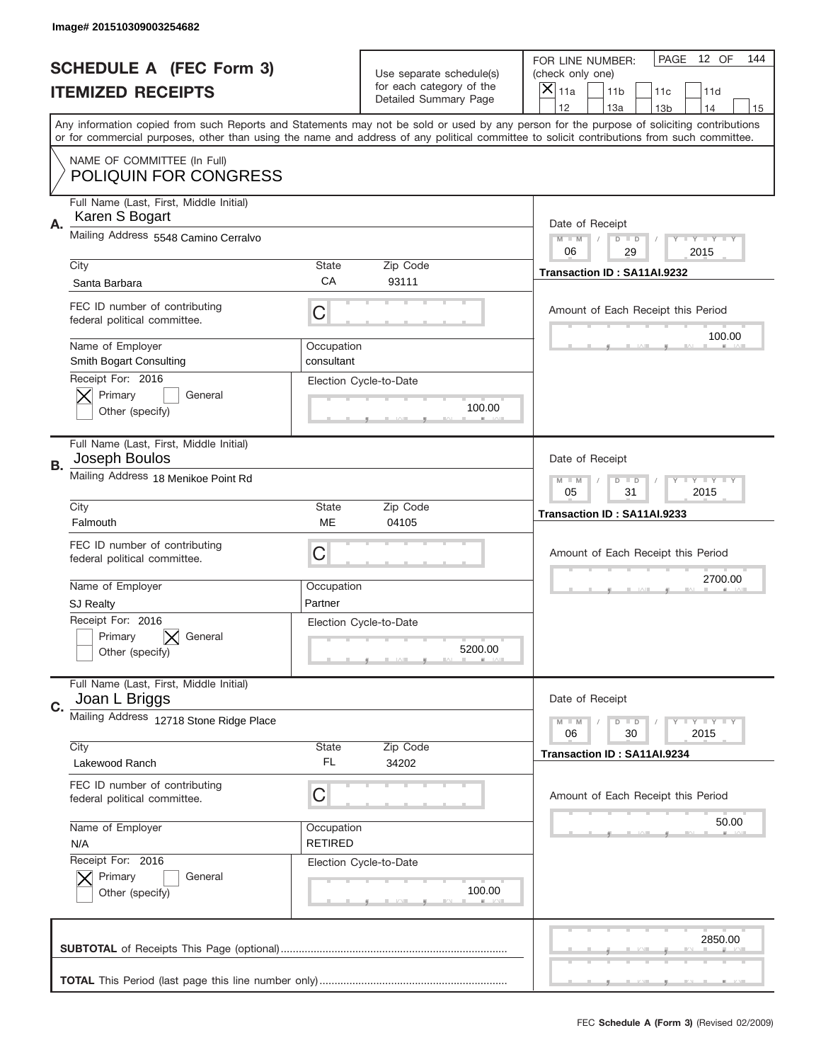|           | Image# 201510309003254682                                     |                              |                                                          |                                                                                                                                                                                                                                                                                         |
|-----------|---------------------------------------------------------------|------------------------------|----------------------------------------------------------|-----------------------------------------------------------------------------------------------------------------------------------------------------------------------------------------------------------------------------------------------------------------------------------------|
|           | <b>SCHEDULE A (FEC Form 3)</b>                                |                              | Use separate schedule(s)                                 | PAGE<br>12 OF<br>144<br>FOR LINE NUMBER:<br>(check only one)                                                                                                                                                                                                                            |
|           | <b>ITEMIZED RECEIPTS</b>                                      |                              | for each category of the<br><b>Detailed Summary Page</b> | $\overline{X} _{11a}$<br>11 <sub>b</sub><br>11c<br>11d                                                                                                                                                                                                                                  |
|           |                                                               |                              |                                                          | 12<br>13a<br>14<br>13 <sub>b</sub><br>15                                                                                                                                                                                                                                                |
|           |                                                               |                              |                                                          | Any information copied from such Reports and Statements may not be sold or used by any person for the purpose of soliciting contributions<br>or for commercial purposes, other than using the name and address of any political committee to solicit contributions from such committee. |
|           | NAME OF COMMITTEE (In Full)<br><b>POLIQUIN FOR CONGRESS</b>   |                              |                                                          |                                                                                                                                                                                                                                                                                         |
| Α.        | Full Name (Last, First, Middle Initial)<br>Karen S Bogart     |                              |                                                          | Date of Receipt                                                                                                                                                                                                                                                                         |
|           | Mailing Address 5548 Camino Cerralvo                          |                              |                                                          | $M$ $M$<br>$D$ $D$<br>Y I Y I Y I Y<br>06<br>29<br>2015                                                                                                                                                                                                                                 |
|           | City                                                          | State                        | Zip Code                                                 | Transaction ID: SA11AI.9232                                                                                                                                                                                                                                                             |
|           | Santa Barbara                                                 | CA                           | 93111                                                    |                                                                                                                                                                                                                                                                                         |
|           | FEC ID number of contributing<br>federal political committee. | C                            |                                                          | Amount of Each Receipt this Period                                                                                                                                                                                                                                                      |
|           | Name of Employer<br>Smith Bogart Consulting                   | Occupation<br>consultant     |                                                          | 100.00                                                                                                                                                                                                                                                                                  |
|           | Receipt For: 2016<br>Primary<br>General<br>Other (specify)    |                              | Election Cycle-to-Date<br>100.00                         |                                                                                                                                                                                                                                                                                         |
| <b>B.</b> | Full Name (Last, First, Middle Initial)<br>Joseph Boulos      |                              |                                                          | Date of Receipt                                                                                                                                                                                                                                                                         |
|           | Mailing Address 18 Menikoe Point Rd                           |                              |                                                          | $M - M$<br>$D$ $D$<br>Y I Y I Y I Y<br>05<br>31<br>2015                                                                                                                                                                                                                                 |
|           | City<br>Falmouth                                              | <b>State</b><br>ME           | Zip Code<br>04105                                        | Transaction ID: SA11AI.9233                                                                                                                                                                                                                                                             |
|           | FEC ID number of contributing<br>federal political committee. | C                            |                                                          | Amount of Each Receipt this Period                                                                                                                                                                                                                                                      |
|           | Name of Employer                                              | Occupation                   |                                                          | 2700.00                                                                                                                                                                                                                                                                                 |
|           | <b>SJ Realty</b>                                              | Partner                      |                                                          |                                                                                                                                                                                                                                                                                         |
|           | Receipt For: 2016<br>Primary<br>General<br>Other (specify)    |                              | Election Cycle-to-Date<br>5200.00                        |                                                                                                                                                                                                                                                                                         |
| C.        | Full Name (Last, First, Middle Initial)<br>Joan L Briggs      |                              |                                                          | Date of Receipt                                                                                                                                                                                                                                                                         |
|           | Mailing Address 12718 Stone Ridge Place                       |                              |                                                          | <b>LYLYLY</b><br>$M - M$<br>$D$ $D$<br>06<br>30<br>2015                                                                                                                                                                                                                                 |
|           | City<br>Lakewood Ranch                                        | <b>State</b><br>FL           | Zip Code<br>34202                                        | Transaction ID: SA11AI.9234                                                                                                                                                                                                                                                             |
|           | FEC ID number of contributing<br>federal political committee. | C                            |                                                          | Amount of Each Receipt this Period                                                                                                                                                                                                                                                      |
|           | Name of Employer<br>N/A                                       | Occupation<br><b>RETIRED</b> |                                                          | 50.00                                                                                                                                                                                                                                                                                   |
|           | Receipt For: 2016<br>Primary<br>General<br>Other (specify)    |                              | Election Cycle-to-Date<br>100.00                         |                                                                                                                                                                                                                                                                                         |
|           |                                                               |                              |                                                          | 2850.00                                                                                                                                                                                                                                                                                 |
|           |                                                               |                              |                                                          |                                                                                                                                                                                                                                                                                         |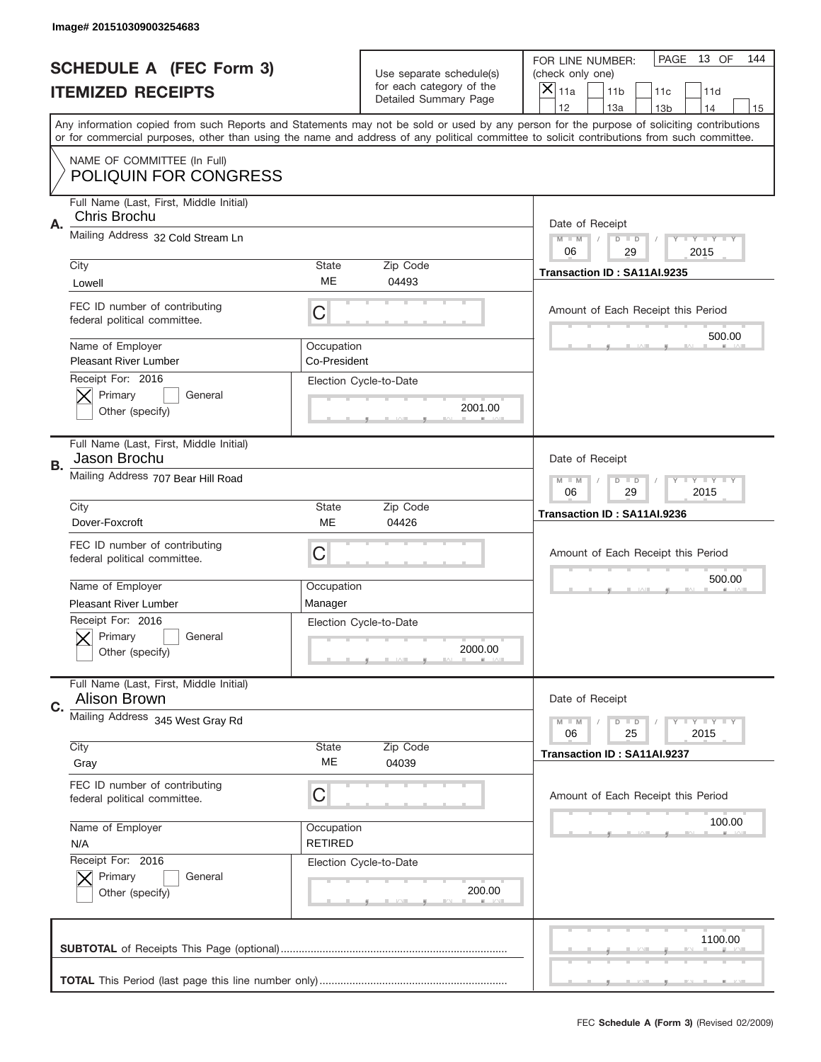|    | Image# 201510309003254683                                                                  |                              |                                                   |                                                                                                                                                                                                                                                                                                                                     |
|----|--------------------------------------------------------------------------------------------|------------------------------|---------------------------------------------------|-------------------------------------------------------------------------------------------------------------------------------------------------------------------------------------------------------------------------------------------------------------------------------------------------------------------------------------|
|    | <b>SCHEDULE A (FEC Form 3)</b>                                                             |                              | Use separate schedule(s)                          | PAGE<br>13 OF<br>144<br>FOR LINE NUMBER:<br>(check only one)                                                                                                                                                                                                                                                                        |
|    | <b>ITEMIZED RECEIPTS</b>                                                                   |                              | for each category of the<br>Detailed Summary Page | ×<br>11a<br>11 <sub>b</sub><br>11c<br>11d                                                                                                                                                                                                                                                                                           |
|    |                                                                                            |                              |                                                   | 12<br>13a<br>14<br>13 <sub>b</sub><br>15<br>Any information copied from such Reports and Statements may not be sold or used by any person for the purpose of soliciting contributions<br>or for commercial purposes, other than using the name and address of any political committee to solicit contributions from such committee. |
|    | NAME OF COMMITTEE (In Full)<br><b>POLIQUIN FOR CONGRESS</b>                                |                              |                                                   |                                                                                                                                                                                                                                                                                                                                     |
| Α. | Full Name (Last, First, Middle Initial)<br>Chris Brochu                                    |                              |                                                   | Date of Receipt                                                                                                                                                                                                                                                                                                                     |
|    | Mailing Address 32 Cold Stream Ln                                                          |                              |                                                   | $M - M$<br><b>LYLYLY</b><br>$D$ $D$<br>06<br>2015<br>29                                                                                                                                                                                                                                                                             |
|    | City<br>Lowell                                                                             | State<br>ME                  | Zip Code<br>04493                                 | Transaction ID: SA11AI.9235                                                                                                                                                                                                                                                                                                         |
|    | FEC ID number of contributing<br>federal political committee.                              | C                            |                                                   | Amount of Each Receipt this Period<br>500.00                                                                                                                                                                                                                                                                                        |
|    | Name of Employer<br><b>Pleasant River Lumber</b>                                           | Occupation<br>Co-President   |                                                   |                                                                                                                                                                                                                                                                                                                                     |
|    | Receipt For: 2016<br>Primary<br>General<br>Other (specify)                                 |                              | Election Cycle-to-Date<br>2001.00                 |                                                                                                                                                                                                                                                                                                                                     |
| В. | Full Name (Last, First, Middle Initial)<br>Jason Brochu                                    |                              |                                                   | Date of Receipt                                                                                                                                                                                                                                                                                                                     |
|    | Mailing Address 707 Bear Hill Road                                                         |                              |                                                   | $M - M$<br>$D$ $D$<br><b>LYLYLY</b><br>06<br>29<br>2015                                                                                                                                                                                                                                                                             |
|    | City<br>Dover-Foxcroft                                                                     | State<br><b>ME</b>           | Zip Code<br>04426                                 | Transaction ID: SA11AI.9236                                                                                                                                                                                                                                                                                                         |
|    | FEC ID number of contributing<br>federal political committee.                              | C                            |                                                   | Amount of Each Receipt this Period                                                                                                                                                                                                                                                                                                  |
|    |                                                                                            |                              |                                                   |                                                                                                                                                                                                                                                                                                                                     |
|    | Name of Employer                                                                           | Occupation                   |                                                   | 500.00                                                                                                                                                                                                                                                                                                                              |
|    | <b>Pleasant River Lumber</b><br>Receipt For: 2016<br>General<br>Primary<br>Other (specify) | Manager                      | Election Cycle-to-Date<br>2000.00                 |                                                                                                                                                                                                                                                                                                                                     |
| C. | Full Name (Last, First, Middle Initial)<br><b>Alison Brown</b>                             |                              |                                                   | Date of Receipt                                                                                                                                                                                                                                                                                                                     |
|    | Mailing Address 345 West Gray Rd                                                           |                              |                                                   | <b>LYLYLY</b><br>$M - M$<br>$D$ $D$<br>06<br>25<br>2015                                                                                                                                                                                                                                                                             |
|    | City<br>Gray                                                                               | State<br>МE                  | Zip Code<br>04039                                 | Transaction ID: SA11AI.9237                                                                                                                                                                                                                                                                                                         |
|    | FEC ID number of contributing<br>federal political committee.                              | C                            |                                                   | Amount of Each Receipt this Period                                                                                                                                                                                                                                                                                                  |
|    | Name of Employer<br>N/A                                                                    | Occupation<br><b>RETIRED</b> |                                                   | 100.00                                                                                                                                                                                                                                                                                                                              |
|    | Receipt For: 2016<br>Primary<br>General<br>Other (specify)                                 |                              | Election Cycle-to-Date<br>200.00                  |                                                                                                                                                                                                                                                                                                                                     |
|    |                                                                                            |                              |                                                   | 1100.00                                                                                                                                                                                                                                                                                                                             |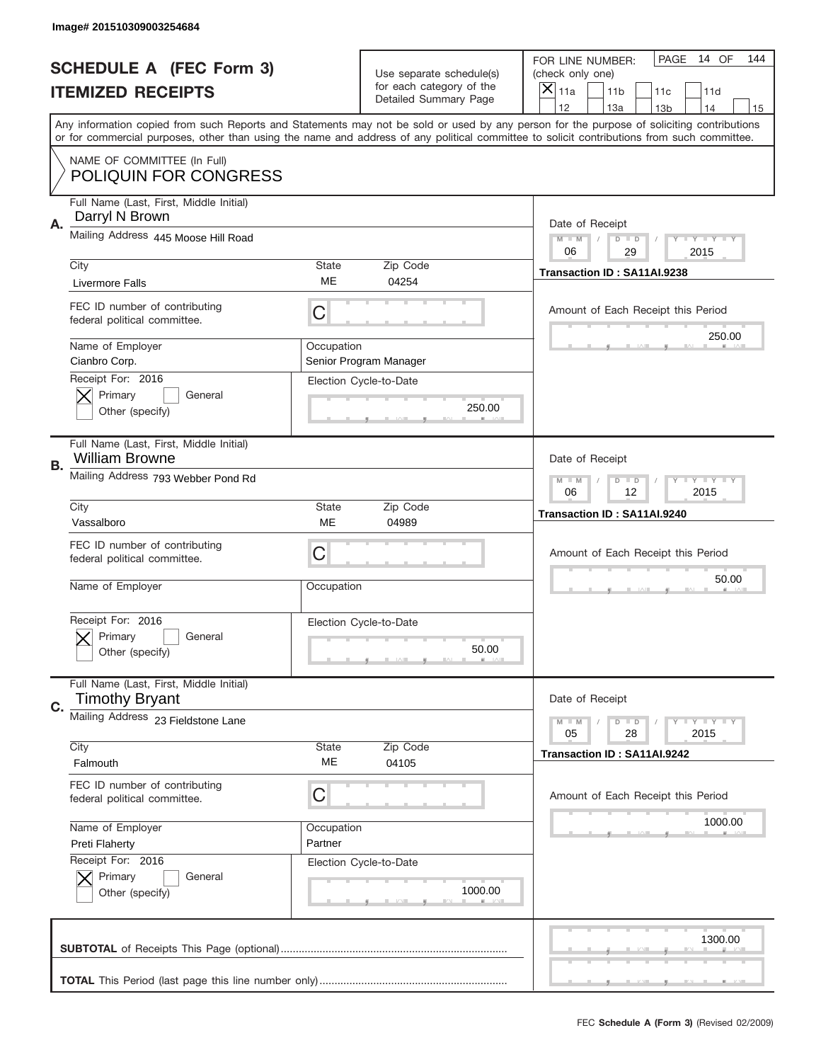|           | Image# 201510309003254684                                        |            |                                                   |                                                                                                                                                                                                                                                                                         |
|-----------|------------------------------------------------------------------|------------|---------------------------------------------------|-----------------------------------------------------------------------------------------------------------------------------------------------------------------------------------------------------------------------------------------------------------------------------------------|
|           | <b>SCHEDULE A (FEC Form 3)</b>                                   |            | Use separate schedule(s)                          | PAGE<br>14 OF<br>144<br>FOR LINE NUMBER:<br>(check only one)                                                                                                                                                                                                                            |
|           | <b>ITEMIZED RECEIPTS</b>                                         |            | for each category of the<br>Detailed Summary Page | ×<br>11a<br>11 <sub>b</sub><br>11c<br>11d                                                                                                                                                                                                                                               |
|           |                                                                  |            |                                                   | 12<br>13a<br>14<br>13 <sub>b</sub><br>15                                                                                                                                                                                                                                                |
|           |                                                                  |            |                                                   | Any information copied from such Reports and Statements may not be sold or used by any person for the purpose of soliciting contributions<br>or for commercial purposes, other than using the name and address of any political committee to solicit contributions from such committee. |
|           | NAME OF COMMITTEE (In Full)<br><b>POLIQUIN FOR CONGRESS</b>      |            |                                                   |                                                                                                                                                                                                                                                                                         |
| Α.        | Full Name (Last, First, Middle Initial)<br>Darryl N Brown        |            |                                                   | Date of Receipt                                                                                                                                                                                                                                                                         |
|           | Mailing Address 445 Moose Hill Road                              |            |                                                   | $M - M$<br><b>LYLYLY</b><br>$D$ $D$<br>06<br>29<br>2015                                                                                                                                                                                                                                 |
|           | City                                                             | State      | Zip Code                                          | Transaction ID: SA11AI.9238                                                                                                                                                                                                                                                             |
|           | <b>Livermore Falls</b>                                           | ME         | 04254                                             |                                                                                                                                                                                                                                                                                         |
|           | FEC ID number of contributing<br>federal political committee.    | C          |                                                   | Amount of Each Receipt this Period                                                                                                                                                                                                                                                      |
|           | Name of Employer<br>Cianbro Corp.                                | Occupation | Senior Program Manager                            | 250.00                                                                                                                                                                                                                                                                                  |
|           | Receipt For: 2016                                                |            | Election Cycle-to-Date                            |                                                                                                                                                                                                                                                                                         |
|           | Primary<br>General<br>Other (specify)                            |            | 250.00                                            |                                                                                                                                                                                                                                                                                         |
| <b>B.</b> | Full Name (Last, First, Middle Initial)<br><b>William Browne</b> |            |                                                   | Date of Receipt                                                                                                                                                                                                                                                                         |
|           | Mailing Address 793 Webber Pond Rd                               |            |                                                   | $M - M$<br>$D$ $D$<br><b>LYLYLY</b><br>06<br>12<br>2015                                                                                                                                                                                                                                 |
|           | City                                                             | State      | Zip Code                                          | Transaction ID: SA11AI.9240                                                                                                                                                                                                                                                             |
|           | Vassalboro                                                       | ME         | 04989                                             |                                                                                                                                                                                                                                                                                         |
|           | FEC ID number of contributing<br>federal political committee.    | C          |                                                   | Amount of Each Receipt this Period                                                                                                                                                                                                                                                      |
|           |                                                                  | Occupation |                                                   | 50.00                                                                                                                                                                                                                                                                                   |
|           | Name of Employer                                                 |            |                                                   |                                                                                                                                                                                                                                                                                         |
|           | Receipt For: 2016                                                |            | Election Cycle-to-Date                            |                                                                                                                                                                                                                                                                                         |
|           | General<br>Primary<br>Other (specify)                            |            | 50.00                                             |                                                                                                                                                                                                                                                                                         |
|           | Full Name (Last, First, Middle Initial)<br><b>Timothy Bryant</b> |            |                                                   | Date of Receipt                                                                                                                                                                                                                                                                         |
| C.        | Mailing Address 23 Fieldstone Lane                               |            |                                                   | <b>LYLYLY</b><br>$M - M$<br>$D$ $D$<br>05<br>2015<br>28                                                                                                                                                                                                                                 |
|           | City                                                             | State      | Zip Code                                          | Transaction ID: SA11AI.9242                                                                                                                                                                                                                                                             |
|           | Falmouth                                                         | ME         | 04105                                             |                                                                                                                                                                                                                                                                                         |
|           | FEC ID number of contributing<br>federal political committee.    | С          |                                                   | Amount of Each Receipt this Period                                                                                                                                                                                                                                                      |
|           | Name of Employer                                                 | Occupation |                                                   | 1000.00                                                                                                                                                                                                                                                                                 |
|           | Preti Flaherty                                                   | Partner    |                                                   |                                                                                                                                                                                                                                                                                         |
|           | Receipt For: 2016                                                |            | Election Cycle-to-Date                            |                                                                                                                                                                                                                                                                                         |
|           | Primary<br>General<br>Other (specify)                            |            | 1000.00                                           |                                                                                                                                                                                                                                                                                         |
|           |                                                                  |            |                                                   | 1300.00                                                                                                                                                                                                                                                                                 |
|           |                                                                  |            |                                                   |                                                                                                                                                                                                                                                                                         |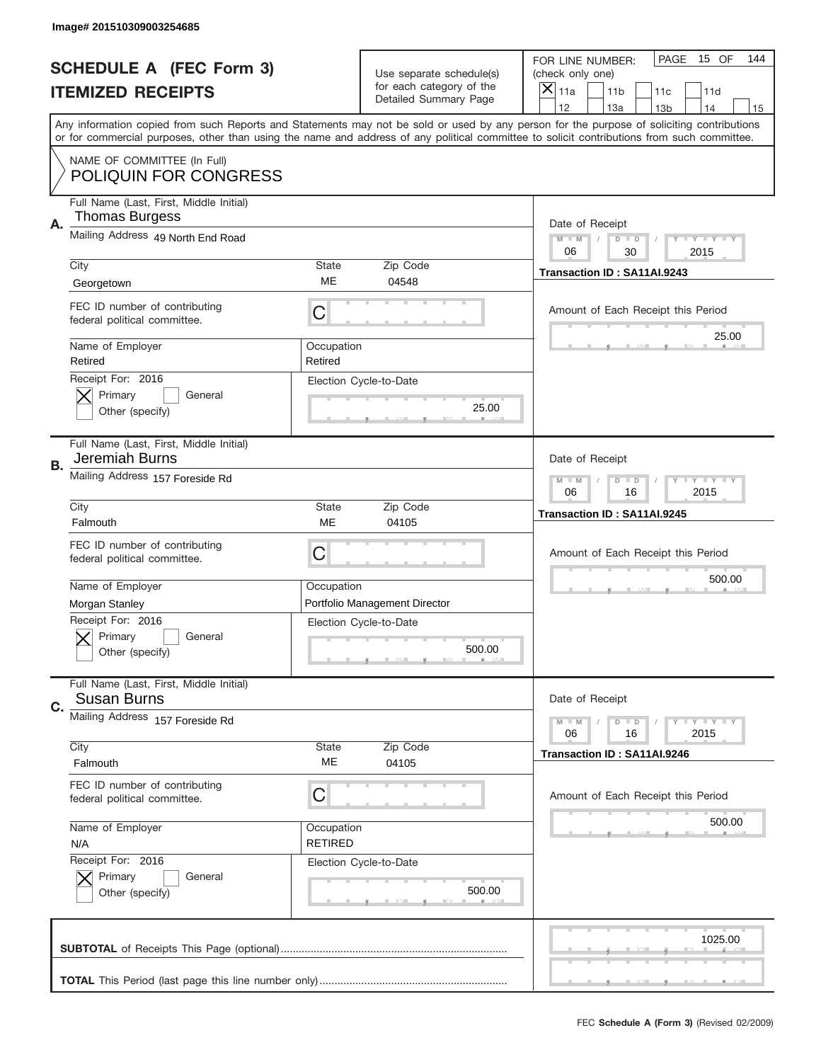|    | Image# 201510309003254685                                        |                              |                                                   |                                                                                                                                                                                                                                                                                                                                     |
|----|------------------------------------------------------------------|------------------------------|---------------------------------------------------|-------------------------------------------------------------------------------------------------------------------------------------------------------------------------------------------------------------------------------------------------------------------------------------------------------------------------------------|
|    | <b>SCHEDULE A (FEC Form 3)</b>                                   |                              | Use separate schedule(s)                          | PAGE<br>15 OF<br>144<br>FOR LINE NUMBER:<br>(check only one)                                                                                                                                                                                                                                                                        |
|    | <b>ITEMIZED RECEIPTS</b>                                         |                              | for each category of the<br>Detailed Summary Page | ×<br>11a<br>11 <sub>b</sub><br>11c<br>11d                                                                                                                                                                                                                                                                                           |
|    |                                                                  |                              |                                                   | 12<br>13a<br>14<br>13 <sub>b</sub><br>15<br>Any information copied from such Reports and Statements may not be sold or used by any person for the purpose of soliciting contributions<br>or for commercial purposes, other than using the name and address of any political committee to solicit contributions from such committee. |
|    | NAME OF COMMITTEE (In Full)<br><b>POLIQUIN FOR CONGRESS</b>      |                              |                                                   |                                                                                                                                                                                                                                                                                                                                     |
| Α. | Full Name (Last, First, Middle Initial)<br><b>Thomas Burgess</b> |                              |                                                   | Date of Receipt                                                                                                                                                                                                                                                                                                                     |
|    | Mailing Address 49 North End Road                                |                              |                                                   | $M - M$<br><b>LYLYLY</b><br>$D$ $D$<br>06<br>2015<br>30                                                                                                                                                                                                                                                                             |
|    | City<br>Georgetown                                               | State<br>ME                  | Zip Code<br>04548                                 | Transaction ID: SA11AI.9243                                                                                                                                                                                                                                                                                                         |
|    | FEC ID number of contributing<br>federal political committee.    | C                            |                                                   | Amount of Each Receipt this Period<br>25.00                                                                                                                                                                                                                                                                                         |
|    | Name of Employer<br>Retired<br>Receipt For: 2016                 | Occupation<br>Retired        |                                                   |                                                                                                                                                                                                                                                                                                                                     |
|    | Primary<br>General<br>Other (specify)                            |                              | Election Cycle-to-Date<br>25.00                   |                                                                                                                                                                                                                                                                                                                                     |
| В. | Full Name (Last, First, Middle Initial)<br>Jeremiah Burns        |                              |                                                   | Date of Receipt                                                                                                                                                                                                                                                                                                                     |
|    | Mailing Address 157 Foreside Rd                                  |                              |                                                   | $M - M$<br>$D$ $D$<br><b>LYLYLY</b><br>06<br>16<br>2015                                                                                                                                                                                                                                                                             |
|    | City<br>Falmouth                                                 | State<br>ME                  | Zip Code<br>04105                                 | Transaction ID: SA11AI.9245                                                                                                                                                                                                                                                                                                         |
|    |                                                                  |                              |                                                   |                                                                                                                                                                                                                                                                                                                                     |
|    | FEC ID number of contributing<br>federal political committee.    | C                            |                                                   | Amount of Each Receipt this Period                                                                                                                                                                                                                                                                                                  |
|    | Name of Employer                                                 | Occupation                   |                                                   | 500.00                                                                                                                                                                                                                                                                                                                              |
|    | Morgan Stanley                                                   |                              | Portfolio Management Director                     |                                                                                                                                                                                                                                                                                                                                     |
|    | Receipt For: 2016<br>General<br>Primary<br>Other (specify)       |                              | Election Cycle-to-Date<br>500.00                  |                                                                                                                                                                                                                                                                                                                                     |
| C. | Full Name (Last, First, Middle Initial)<br>Susan Burns           |                              |                                                   | Date of Receipt                                                                                                                                                                                                                                                                                                                     |
|    | Mailing Address 157 Foreside Rd                                  |                              |                                                   | <b>LY LY LY</b><br>$M - M$<br>$D$ $D$<br>06<br>2015<br>16                                                                                                                                                                                                                                                                           |
|    | City<br>Falmouth                                                 | State<br>ME                  | Zip Code<br>04105                                 | Transaction ID: SA11AI.9246                                                                                                                                                                                                                                                                                                         |
|    | FEC ID number of contributing<br>federal political committee.    | С                            |                                                   | Amount of Each Receipt this Period                                                                                                                                                                                                                                                                                                  |
|    | Name of Employer<br>N/A                                          | Occupation<br><b>RETIRED</b> |                                                   | 500.00                                                                                                                                                                                                                                                                                                                              |
|    | Receipt For: 2016<br>Primary<br>General<br>Other (specify)       |                              | Election Cycle-to-Date<br>500.00                  |                                                                                                                                                                                                                                                                                                                                     |
|    |                                                                  |                              |                                                   | 1025.00                                                                                                                                                                                                                                                                                                                             |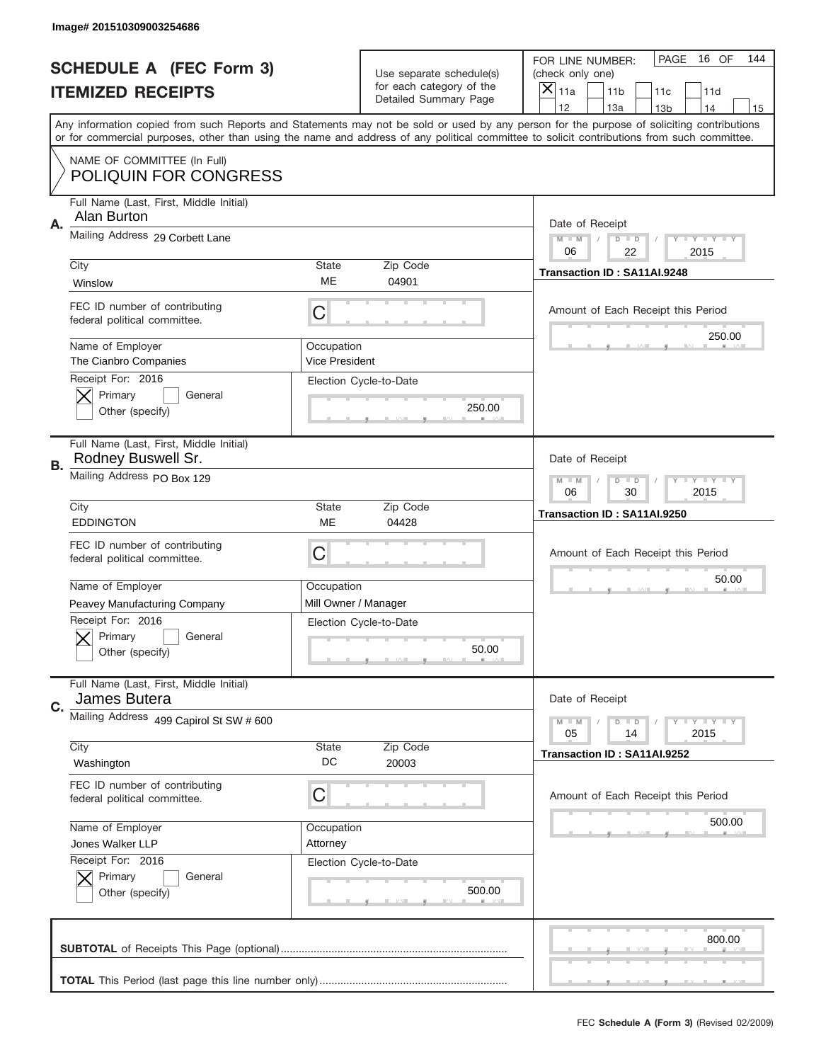|           | Image# 201510309003254686                                     |                              |                                                   |                                                                                                                                                                                                                                                                                         |
|-----------|---------------------------------------------------------------|------------------------------|---------------------------------------------------|-----------------------------------------------------------------------------------------------------------------------------------------------------------------------------------------------------------------------------------------------------------------------------------------|
|           | <b>SCHEDULE A (FEC Form 3)</b>                                |                              | Use separate schedule(s)                          | PAGE<br>16 OF<br>144<br>FOR LINE NUMBER:<br>(check only one)                                                                                                                                                                                                                            |
|           | <b>ITEMIZED RECEIPTS</b>                                      |                              | for each category of the<br>Detailed Summary Page | ×<br>11a<br>11 <sub>b</sub><br>11c<br>11d                                                                                                                                                                                                                                               |
|           |                                                               |                              |                                                   | 12<br>13a<br>14<br>13 <sub>b</sub><br>15                                                                                                                                                                                                                                                |
|           |                                                               |                              |                                                   | Any information copied from such Reports and Statements may not be sold or used by any person for the purpose of soliciting contributions<br>or for commercial purposes, other than using the name and address of any political committee to solicit contributions from such committee. |
|           | NAME OF COMMITTEE (In Full)<br><b>POLIQUIN FOR CONGRESS</b>   |                              |                                                   |                                                                                                                                                                                                                                                                                         |
|           | Full Name (Last, First, Middle Initial)<br>Alan Burton        |                              |                                                   |                                                                                                                                                                                                                                                                                         |
| Α.        | Mailing Address 29 Corbett Lane                               |                              |                                                   | Date of Receipt<br>$M - M$<br><b>LYLYLY</b><br>$D$ $D$<br>06<br>22<br>2015                                                                                                                                                                                                              |
|           | City                                                          | State                        | Zip Code                                          | Transaction ID: SA11AI.9248                                                                                                                                                                                                                                                             |
|           | Winslow                                                       | ME                           | 04901                                             |                                                                                                                                                                                                                                                                                         |
|           | FEC ID number of contributing<br>federal political committee. | C                            |                                                   | Amount of Each Receipt this Period                                                                                                                                                                                                                                                      |
|           | Name of Employer<br>The Cianbro Companies                     | Occupation<br>Vice President |                                                   | 250.00                                                                                                                                                                                                                                                                                  |
|           | Receipt For: 2016<br>Primary<br>General<br>Other (specify)    |                              | Election Cycle-to-Date<br>250.00                  |                                                                                                                                                                                                                                                                                         |
| <b>B.</b> | Full Name (Last, First, Middle Initial)<br>Rodney Buswell Sr. |                              |                                                   | Date of Receipt                                                                                                                                                                                                                                                                         |
|           | Mailing Address PO Box 129                                    |                              |                                                   | $M - M$<br>$D$ $D$<br><b>LYLYLY</b><br>06<br>30<br>2015                                                                                                                                                                                                                                 |
|           | City                                                          | State                        | Zip Code                                          | Transaction ID: SA11AI.9250                                                                                                                                                                                                                                                             |
|           | <b>EDDINGTON</b>                                              | <b>ME</b>                    | 04428                                             |                                                                                                                                                                                                                                                                                         |
|           | FEC ID number of contributing<br>federal political committee. | C                            |                                                   | Amount of Each Receipt this Period                                                                                                                                                                                                                                                      |
|           | Name of Employer                                              |                              |                                                   | 50.00                                                                                                                                                                                                                                                                                   |
|           |                                                               | Occupation                   |                                                   |                                                                                                                                                                                                                                                                                         |
|           | Peavey Manufacturing Company                                  |                              | Mill Owner / Manager                              |                                                                                                                                                                                                                                                                                         |
|           | Receipt For: 2016<br>General<br>Primary<br>Other (specify)    |                              | Election Cycle-to-Date<br>50.00                   |                                                                                                                                                                                                                                                                                         |
| C.        | Full Name (Last, First, Middle Initial)<br>James Butera       |                              |                                                   | Date of Receipt                                                                                                                                                                                                                                                                         |
|           | Mailing Address 499 Capirol St SW # 600                       |                              |                                                   | <b>LYLYLY</b><br>$M - M$<br>$D$ $D$<br>05<br>2015<br>14                                                                                                                                                                                                                                 |
|           | City<br>Washington                                            | State<br>DC                  | Zip Code<br>20003                                 | Transaction ID: SA11AI.9252                                                                                                                                                                                                                                                             |
|           | FEC ID number of contributing<br>federal political committee. | С                            |                                                   | Amount of Each Receipt this Period                                                                                                                                                                                                                                                      |
|           | Name of Employer                                              | Occupation                   |                                                   | 500.00                                                                                                                                                                                                                                                                                  |
|           | Jones Walker LLP                                              | Attorney                     |                                                   |                                                                                                                                                                                                                                                                                         |
|           | Receipt For: 2016<br>Primary<br>General<br>Other (specify)    |                              | Election Cycle-to-Date<br>500.00                  |                                                                                                                                                                                                                                                                                         |
|           |                                                               |                              |                                                   | 800.00                                                                                                                                                                                                                                                                                  |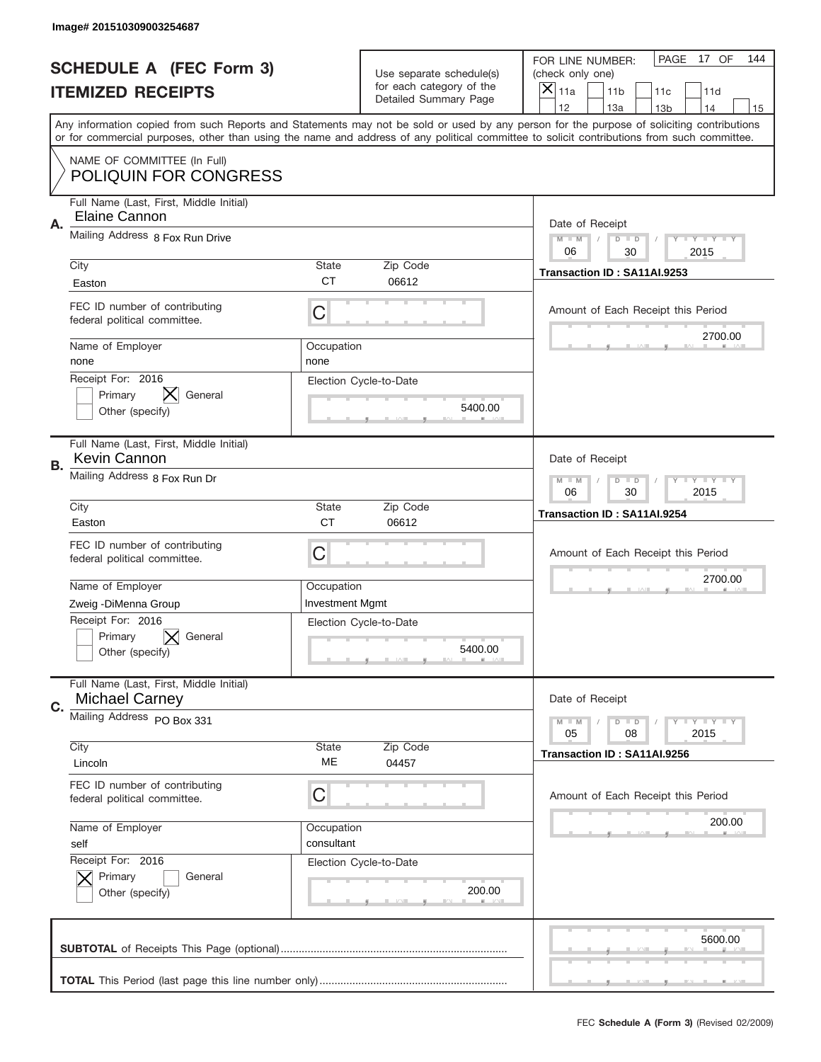|    | Image# 201510309003254687                                        |                        |                                                   |                                                                                                                                                                                       |
|----|------------------------------------------------------------------|------------------------|---------------------------------------------------|---------------------------------------------------------------------------------------------------------------------------------------------------------------------------------------|
|    | <b>SCHEDULE A (FEC Form 3)</b>                                   |                        | Use separate schedule(s)                          | PAGE<br>17 OF<br>144<br>FOR LINE NUMBER:<br>(check only one)                                                                                                                          |
|    | <b>ITEMIZED RECEIPTS</b>                                         |                        | for each category of the<br>Detailed Summary Page | ×<br>11a<br>11 <sub>b</sub><br>11c<br>11d                                                                                                                                             |
|    |                                                                  |                        |                                                   | 12<br>13a<br>14<br>13 <sub>b</sub><br>15<br>Any information copied from such Reports and Statements may not be sold or used by any person for the purpose of soliciting contributions |
|    |                                                                  |                        |                                                   | or for commercial purposes, other than using the name and address of any political committee to solicit contributions from such committee.                                            |
|    | NAME OF COMMITTEE (In Full)<br><b>POLIQUIN FOR CONGRESS</b>      |                        |                                                   |                                                                                                                                                                                       |
| Α. | Full Name (Last, First, Middle Initial)<br>Elaine Cannon         |                        |                                                   | Date of Receipt                                                                                                                                                                       |
|    | Mailing Address 8 Fox Run Drive                                  |                        |                                                   | $M - M$<br><b>LYLYLY</b><br>$D$ $D$<br>06<br>2015<br>30                                                                                                                               |
|    | City                                                             | State                  | Zip Code                                          | Transaction ID: SA11AI.9253                                                                                                                                                           |
|    | Easton                                                           | <b>CT</b>              | 06612                                             |                                                                                                                                                                                       |
|    | FEC ID number of contributing<br>federal political committee.    | C                      |                                                   | Amount of Each Receipt this Period                                                                                                                                                    |
|    | Name of Employer<br>none                                         | Occupation<br>none     |                                                   | 2700.00                                                                                                                                                                               |
|    | Receipt For: 2016<br>Primary<br>General<br>Other (specify)       |                        | Election Cycle-to-Date<br>5400.00                 |                                                                                                                                                                                       |
| В. | Full Name (Last, First, Middle Initial)<br>Kevin Cannon          |                        |                                                   | Date of Receipt                                                                                                                                                                       |
|    | Mailing Address 8 Fox Run Dr                                     |                        |                                                   | $M - M$<br>$D$ $D$<br><b>LYLYLY</b><br>06<br>30<br>2015                                                                                                                               |
|    | City<br>Easton                                                   | State<br><b>CT</b>     | Zip Code<br>06612                                 | Transaction ID: SA11AI.9254                                                                                                                                                           |
|    |                                                                  |                        |                                                   |                                                                                                                                                                                       |
|    | FEC ID number of contributing<br>federal political committee.    | C                      |                                                   | Amount of Each Receipt this Period                                                                                                                                                    |
|    | Name of Employer                                                 | Occupation             |                                                   | 2700.00                                                                                                                                                                               |
|    | Zweig - DiMenna Group                                            | <b>Investment Mgmt</b> |                                                   |                                                                                                                                                                                       |
|    | Receipt For: 2016<br>General<br>Primary<br>Other (specify)       |                        | Election Cycle-to-Date<br>5400.00                 |                                                                                                                                                                                       |
| C. | Full Name (Last, First, Middle Initial)<br><b>Michael Carney</b> |                        |                                                   | Date of Receipt                                                                                                                                                                       |
|    | Mailing Address PO Box 331                                       |                        |                                                   | <b>LY LY LY</b><br>$M - M$<br>$D$ $D$<br>08<br>2015<br>05                                                                                                                             |
|    | City<br>Lincoln                                                  | State<br>МE            | Zip Code<br>04457                                 | Transaction ID: SA11AI.9256                                                                                                                                                           |
|    | FEC ID number of contributing<br>federal political committee.    | C                      |                                                   | Amount of Each Receipt this Period                                                                                                                                                    |
|    | Name of Employer                                                 | Occupation             |                                                   | 200.00                                                                                                                                                                                |
|    | self                                                             | consultant             |                                                   |                                                                                                                                                                                       |
|    | Receipt For: 2016<br>Primary<br>General<br>Other (specify)       |                        | Election Cycle-to-Date<br>200.00                  |                                                                                                                                                                                       |
|    |                                                                  |                        |                                                   | 5600.00                                                                                                                                                                               |
|    |                                                                  |                        |                                                   |                                                                                                                                                                                       |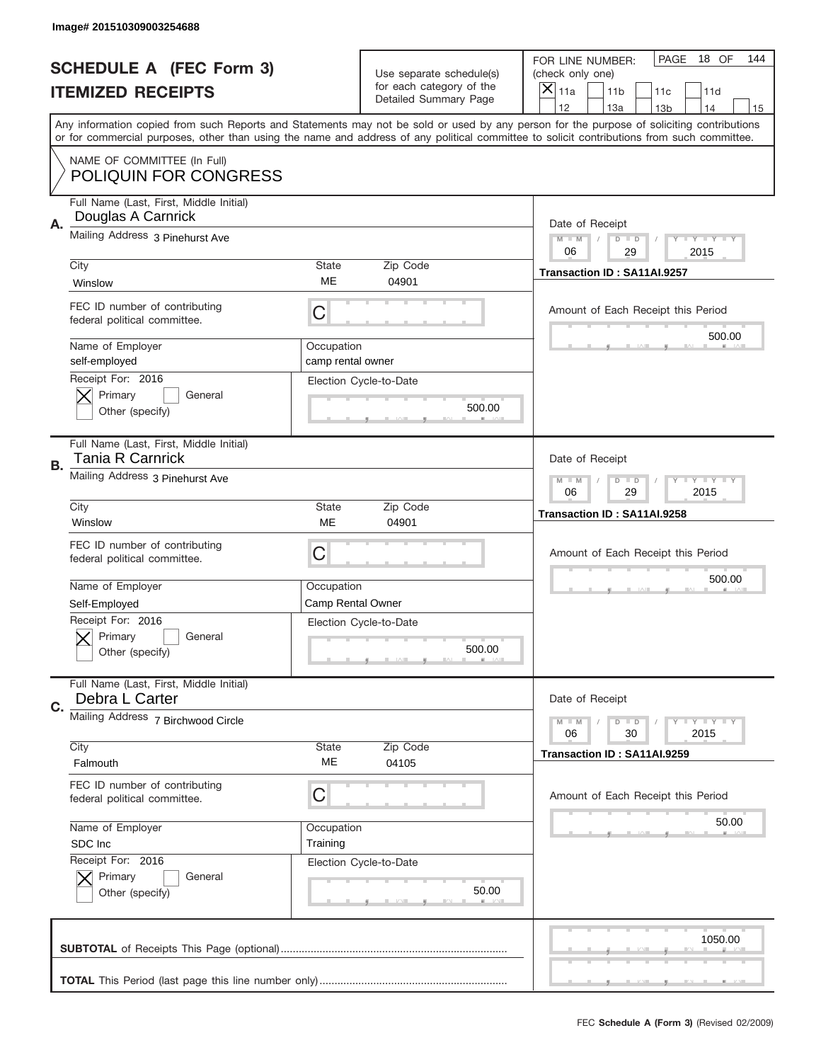|    | Image# 201510309003254688                                     |                                 |                                                   |                                                                                                                                                                                                                                                                                                                                     |
|----|---------------------------------------------------------------|---------------------------------|---------------------------------------------------|-------------------------------------------------------------------------------------------------------------------------------------------------------------------------------------------------------------------------------------------------------------------------------------------------------------------------------------|
|    | <b>SCHEDULE A (FEC Form 3)</b>                                |                                 | Use separate schedule(s)                          | PAGE<br>18 OF<br>144<br>FOR LINE NUMBER:<br>(check only one)                                                                                                                                                                                                                                                                        |
|    | <b>ITEMIZED RECEIPTS</b>                                      |                                 | for each category of the<br>Detailed Summary Page | ×<br>11a<br>11 <sub>b</sub><br>11c<br>11d                                                                                                                                                                                                                                                                                           |
|    |                                                               |                                 |                                                   | 12<br>13a<br>14<br>13 <sub>b</sub><br>15<br>Any information copied from such Reports and Statements may not be sold or used by any person for the purpose of soliciting contributions<br>or for commercial purposes, other than using the name and address of any political committee to solicit contributions from such committee. |
|    | NAME OF COMMITTEE (In Full)<br><b>POLIQUIN FOR CONGRESS</b>   |                                 |                                                   |                                                                                                                                                                                                                                                                                                                                     |
| Α. | Full Name (Last, First, Middle Initial)<br>Douglas A Carnrick |                                 |                                                   | Date of Receipt                                                                                                                                                                                                                                                                                                                     |
|    | Mailing Address 3 Pinehurst Ave                               |                                 |                                                   | $M - M$<br><b>LYLYLY</b><br>$D$ $D$<br>06<br>29<br>2015                                                                                                                                                                                                                                                                             |
|    | City<br>Winslow                                               | State<br>ME                     | Zip Code<br>04901                                 | Transaction ID: SA11AI.9257                                                                                                                                                                                                                                                                                                         |
|    | FEC ID number of contributing<br>federal political committee. | C                               |                                                   | Amount of Each Receipt this Period<br>500.00                                                                                                                                                                                                                                                                                        |
|    | Name of Employer<br>self-employed                             | Occupation<br>camp rental owner |                                                   |                                                                                                                                                                                                                                                                                                                                     |
|    | Receipt For: 2016<br>Primary<br>General<br>Other (specify)    |                                 | Election Cycle-to-Date<br>500.00                  |                                                                                                                                                                                                                                                                                                                                     |
| В. | Full Name (Last, First, Middle Initial)<br>Tania R Carnrick   |                                 |                                                   | Date of Receipt                                                                                                                                                                                                                                                                                                                     |
|    | Mailing Address 3 Pinehurst Ave                               |                                 |                                                   | $M - M$<br>$D$ $D$<br><b>LYLYLY</b><br>06<br>29<br>2015                                                                                                                                                                                                                                                                             |
|    | City<br>Winslow                                               | <b>State</b><br>ME              | Zip Code<br>04901                                 | Transaction ID: SA11AI.9258                                                                                                                                                                                                                                                                                                         |
|    | FEC ID number of contributing<br>federal political committee. | C                               |                                                   | Amount of Each Receipt this Period                                                                                                                                                                                                                                                                                                  |
|    | Name of Employer<br>Self-Employed                             | Occupation<br>Camp Rental Owner |                                                   | 500.00                                                                                                                                                                                                                                                                                                                              |
|    | Receipt For: 2016                                             |                                 | Election Cycle-to-Date                            |                                                                                                                                                                                                                                                                                                                                     |
|    | General<br>Primary<br>Other (specify)                         |                                 | 500.00                                            |                                                                                                                                                                                                                                                                                                                                     |
| C. | Full Name (Last, First, Middle Initial)<br>Debra L Carter     |                                 |                                                   | Date of Receipt                                                                                                                                                                                                                                                                                                                     |
|    | Mailing Address 7 Birchwood Circle                            |                                 |                                                   | <b>LYLYLY</b><br>$M - M$<br>$D$ $D$<br>06<br>2015<br>30                                                                                                                                                                                                                                                                             |
|    | City<br>Falmouth                                              | State<br>ME                     | Zip Code<br>04105                                 | Transaction ID: SA11AI.9259                                                                                                                                                                                                                                                                                                         |
|    | FEC ID number of contributing<br>federal political committee. | С                               |                                                   | Amount of Each Receipt this Period                                                                                                                                                                                                                                                                                                  |
|    | Name of Employer<br>SDC Inc                                   | Occupation<br>Training          |                                                   | 50.00                                                                                                                                                                                                                                                                                                                               |
|    | Receipt For: 2016<br>Primary<br>General<br>Other (specify)    |                                 | Election Cycle-to-Date<br>50.00                   |                                                                                                                                                                                                                                                                                                                                     |
|    |                                                               |                                 |                                                   | 1050.00                                                                                                                                                                                                                                                                                                                             |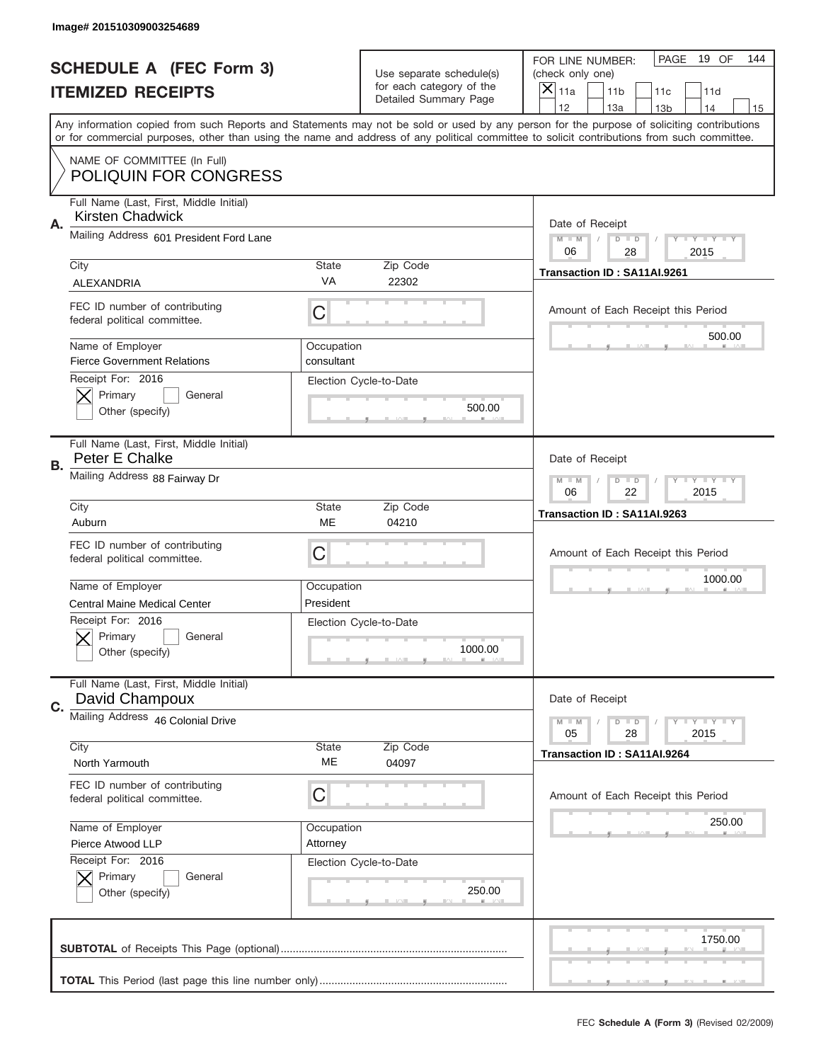|           | Image# 201510309003254689                                                                         |                          |                                                   |                                                                                                                                                                                                                                                                                                                                     |
|-----------|---------------------------------------------------------------------------------------------------|--------------------------|---------------------------------------------------|-------------------------------------------------------------------------------------------------------------------------------------------------------------------------------------------------------------------------------------------------------------------------------------------------------------------------------------|
|           | <b>SCHEDULE A (FEC Form 3)</b>                                                                    |                          | Use separate schedule(s)                          | PAGE<br>19 OF<br>144<br>FOR LINE NUMBER:<br>(check only one)                                                                                                                                                                                                                                                                        |
|           | <b>ITEMIZED RECEIPTS</b>                                                                          |                          | for each category of the<br>Detailed Summary Page | ×<br>11a<br>11 <sub>b</sub><br>11c<br>11d                                                                                                                                                                                                                                                                                           |
|           |                                                                                                   |                          |                                                   | 12<br>13a<br>14<br>13 <sub>b</sub><br>15<br>Any information copied from such Reports and Statements may not be sold or used by any person for the purpose of soliciting contributions<br>or for commercial purposes, other than using the name and address of any political committee to solicit contributions from such committee. |
|           | NAME OF COMMITTEE (In Full)<br><b>POLIQUIN FOR CONGRESS</b>                                       |                          |                                                   |                                                                                                                                                                                                                                                                                                                                     |
| Α.        | Full Name (Last, First, Middle Initial)<br><b>Kirsten Chadwick</b>                                |                          |                                                   | Date of Receipt                                                                                                                                                                                                                                                                                                                     |
|           | Mailing Address 601 President Ford Lane                                                           |                          |                                                   | $M - M$<br><b>LYLYLY</b><br>$D$ $D$<br>06<br>2015<br>28                                                                                                                                                                                                                                                                             |
|           | City<br><b>ALEXANDRIA</b>                                                                         | State<br>VA              | Zip Code<br>22302                                 | Transaction ID: SA11AI.9261                                                                                                                                                                                                                                                                                                         |
|           | FEC ID number of contributing<br>federal political committee.                                     | C                        |                                                   | Amount of Each Receipt this Period<br>500.00                                                                                                                                                                                                                                                                                        |
|           | Name of Employer<br><b>Fierce Government Relations</b><br>Receipt For: 2016                       | Occupation<br>consultant |                                                   |                                                                                                                                                                                                                                                                                                                                     |
|           | Primary<br>General<br>Other (specify)                                                             |                          | Election Cycle-to-Date<br>500.00                  |                                                                                                                                                                                                                                                                                                                                     |
| <b>B.</b> | Full Name (Last, First, Middle Initial)<br>Peter E Chalke                                         |                          |                                                   | Date of Receipt                                                                                                                                                                                                                                                                                                                     |
|           | Mailing Address 88 Fairway Dr                                                                     |                          |                                                   | $M - M$<br>$D$ $D$<br>$T - Y = Y - T Y$<br>06<br>22<br>2015                                                                                                                                                                                                                                                                         |
|           | City<br>Auburn                                                                                    | State<br>ME              | Zip Code<br>04210                                 | Transaction ID: SA11AI.9263                                                                                                                                                                                                                                                                                                         |
|           |                                                                                                   |                          |                                                   |                                                                                                                                                                                                                                                                                                                                     |
|           | FEC ID number of contributing<br>federal political committee.                                     | C                        |                                                   | Amount of Each Receipt this Period                                                                                                                                                                                                                                                                                                  |
|           | Name of Employer                                                                                  | Occupation               |                                                   | 1000.00                                                                                                                                                                                                                                                                                                                             |
|           | <b>Central Maine Medical Center</b><br>Receipt For: 2016<br>General<br>Primary<br>Other (specify) | President                | Election Cycle-to-Date<br>1000.00                 |                                                                                                                                                                                                                                                                                                                                     |
| C.        | Full Name (Last, First, Middle Initial)<br>David Champoux                                         |                          |                                                   | Date of Receipt                                                                                                                                                                                                                                                                                                                     |
|           | Mailing Address 46 Colonial Drive                                                                 |                          |                                                   | <b>LYLYLY</b><br>$M - M$<br>$D$ $D$<br>05<br>2015<br>28                                                                                                                                                                                                                                                                             |
|           | City<br>North Yarmouth                                                                            | State<br>ME              | Zip Code<br>04097                                 | Transaction ID: SA11AI.9264                                                                                                                                                                                                                                                                                                         |
|           | FEC ID number of contributing<br>federal political committee.                                     | С                        |                                                   | Amount of Each Receipt this Period                                                                                                                                                                                                                                                                                                  |
|           | Name of Employer<br>Pierce Atwood LLP                                                             | Occupation<br>Attorney   |                                                   | 250.00                                                                                                                                                                                                                                                                                                                              |
|           | Receipt For: 2016<br>Primary<br>General<br>Other (specify)                                        |                          | Election Cycle-to-Date<br>250.00                  |                                                                                                                                                                                                                                                                                                                                     |
|           |                                                                                                   |                          |                                                   | 1750.00                                                                                                                                                                                                                                                                                                                             |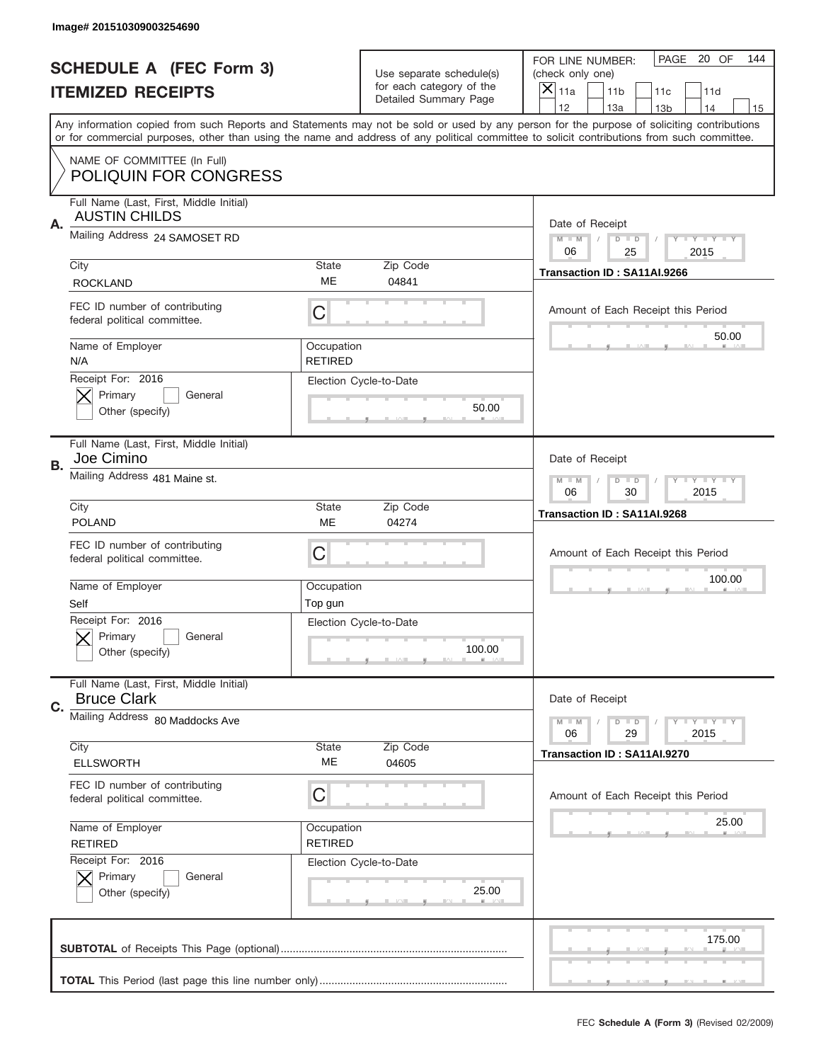|    | Image# 201510309003254690                                       |                              |                                                   |                                                                                                                                                                                                                                                                                                                                     |
|----|-----------------------------------------------------------------|------------------------------|---------------------------------------------------|-------------------------------------------------------------------------------------------------------------------------------------------------------------------------------------------------------------------------------------------------------------------------------------------------------------------------------------|
|    | <b>SCHEDULE A (FEC Form 3)</b>                                  |                              | Use separate schedule(s)                          | PAGE 20 OF<br>144<br>FOR LINE NUMBER:<br>(check only one)                                                                                                                                                                                                                                                                           |
|    | <b>ITEMIZED RECEIPTS</b>                                        |                              | for each category of the<br>Detailed Summary Page | ×<br>11a<br>11 <sub>b</sub><br>11c<br>11d                                                                                                                                                                                                                                                                                           |
|    |                                                                 |                              |                                                   | 12<br>13a<br>14<br>13 <sub>b</sub><br>15<br>Any information copied from such Reports and Statements may not be sold or used by any person for the purpose of soliciting contributions<br>or for commercial purposes, other than using the name and address of any political committee to solicit contributions from such committee. |
|    | NAME OF COMMITTEE (In Full)<br><b>POLIQUIN FOR CONGRESS</b>     |                              |                                                   |                                                                                                                                                                                                                                                                                                                                     |
| Α. | Full Name (Last, First, Middle Initial)<br><b>AUSTIN CHILDS</b> |                              |                                                   | Date of Receipt                                                                                                                                                                                                                                                                                                                     |
|    | Mailing Address 24 SAMOSET RD                                   |                              |                                                   | $M - M$<br><b>THEY THEY</b><br>$D$ $D$<br>06<br>25<br>2015                                                                                                                                                                                                                                                                          |
|    | City<br><b>ROCKLAND</b>                                         | State<br>ME                  | Zip Code<br>04841                                 | Transaction ID: SA11AI.9266                                                                                                                                                                                                                                                                                                         |
|    | FEC ID number of contributing<br>federal political committee.   | C                            |                                                   | Amount of Each Receipt this Period<br>50.00                                                                                                                                                                                                                                                                                         |
|    | Name of Employer<br>N/A<br>Receipt For: 2016                    | Occupation<br><b>RETIRED</b> |                                                   |                                                                                                                                                                                                                                                                                                                                     |
|    | Primary<br>General<br>Other (specify)                           |                              | Election Cycle-to-Date<br>50.00                   |                                                                                                                                                                                                                                                                                                                                     |
| В. | Full Name (Last, First, Middle Initial)<br>Joe Cimino           |                              |                                                   | Date of Receipt                                                                                                                                                                                                                                                                                                                     |
|    | Mailing Address 481 Maine st.                                   |                              |                                                   | $M - M$<br>$D$ $D$<br><b>LYLYLY</b><br>06<br>30<br>2015                                                                                                                                                                                                                                                                             |
|    | City<br><b>POLAND</b>                                           | State<br>ME                  | Zip Code<br>04274                                 | Transaction ID: SA11AI.9268                                                                                                                                                                                                                                                                                                         |
|    | FEC ID number of contributing                                   | C                            |                                                   | Amount of Each Receipt this Period                                                                                                                                                                                                                                                                                                  |
|    | federal political committee.                                    |                              |                                                   |                                                                                                                                                                                                                                                                                                                                     |
|    | Name of Employer<br>Self                                        | Occupation<br>Top gun        |                                                   | 100.00                                                                                                                                                                                                                                                                                                                              |
|    | Receipt For: 2016<br>General<br>Primary<br>Other (specify)      |                              | Election Cycle-to-Date<br>100.00                  |                                                                                                                                                                                                                                                                                                                                     |
| C. | Full Name (Last, First, Middle Initial)<br><b>Bruce Clark</b>   |                              |                                                   | Date of Receipt                                                                                                                                                                                                                                                                                                                     |
|    | Mailing Address 80 Maddocks Ave                                 |                              |                                                   | <b>LY LY LY</b><br>$M - M$<br>$D$ $D$<br>06<br>2015<br>29                                                                                                                                                                                                                                                                           |
|    | City<br><b>ELLSWORTH</b>                                        | State<br>ME                  | Zip Code<br>04605                                 | Transaction ID: SA11AI.9270                                                                                                                                                                                                                                                                                                         |
|    | FEC ID number of contributing<br>federal political committee.   | С                            |                                                   | Amount of Each Receipt this Period                                                                                                                                                                                                                                                                                                  |
|    | Name of Employer<br><b>RETIRED</b>                              | Occupation<br><b>RETIRED</b> |                                                   | 25.00                                                                                                                                                                                                                                                                                                                               |
|    | Receipt For: 2016<br>Primary<br>General<br>Other (specify)      |                              | Election Cycle-to-Date<br>25.00                   |                                                                                                                                                                                                                                                                                                                                     |
|    |                                                                 |                              |                                                   | 175.00                                                                                                                                                                                                                                                                                                                              |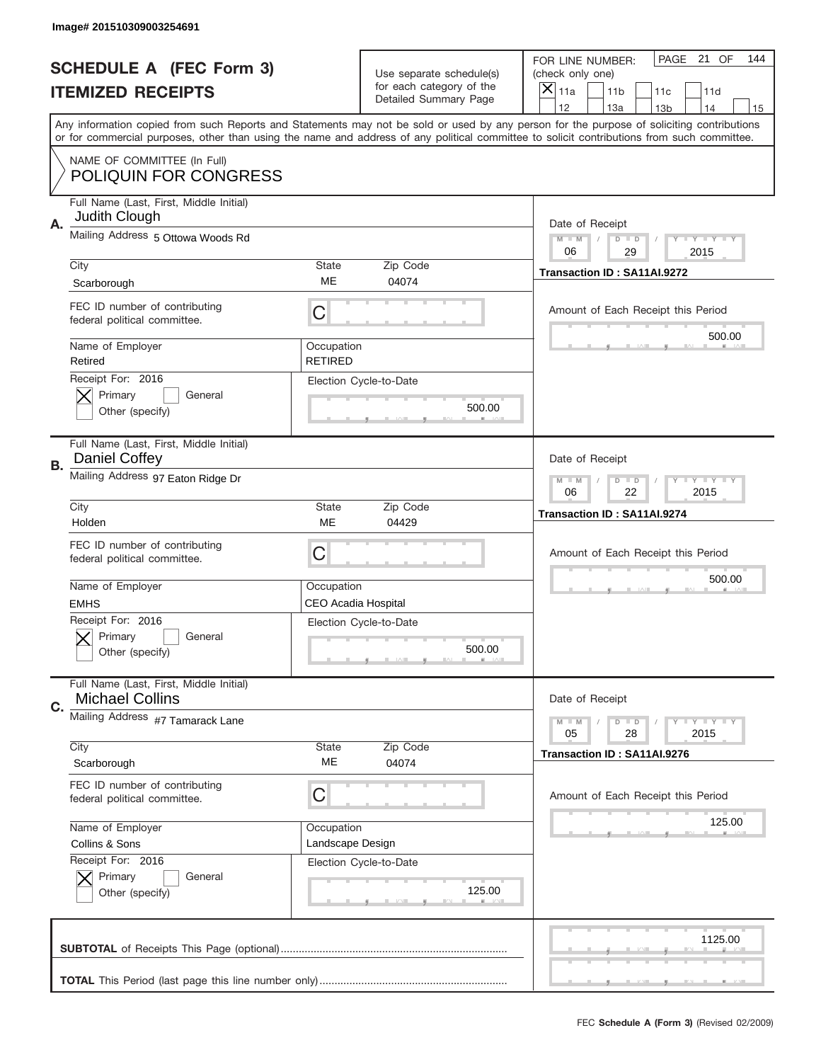|           | Image# 201510309003254691                                         |                                          |                                  |                                                                                                                                                                                                                                                                                         |
|-----------|-------------------------------------------------------------------|------------------------------------------|----------------------------------|-----------------------------------------------------------------------------------------------------------------------------------------------------------------------------------------------------------------------------------------------------------------------------------------|
|           | <b>SCHEDULE A (FEC Form 3)</b>                                    |                                          | Use separate schedule(s)         | PAGE 21 OF<br>144<br>FOR LINE NUMBER:<br>(check only one)                                                                                                                                                                                                                               |
|           | <b>ITEMIZED RECEIPTS</b>                                          |                                          | for each category of the         | $\overline{X} _{11a}$<br>11 <sub>b</sub><br>11c<br>11d                                                                                                                                                                                                                                  |
|           |                                                                   |                                          | Detailed Summary Page            | 12<br>13a<br>14<br>13 <sub>b</sub><br>15                                                                                                                                                                                                                                                |
|           |                                                                   |                                          |                                  | Any information copied from such Reports and Statements may not be sold or used by any person for the purpose of soliciting contributions<br>or for commercial purposes, other than using the name and address of any political committee to solicit contributions from such committee. |
|           | NAME OF COMMITTEE (In Full)<br><b>POLIQUIN FOR CONGRESS</b>       |                                          |                                  |                                                                                                                                                                                                                                                                                         |
| Α.        | Full Name (Last, First, Middle Initial)<br>Judith Clough          |                                          |                                  | Date of Receipt                                                                                                                                                                                                                                                                         |
|           | Mailing Address 5 Ottowa Woods Rd                                 |                                          |                                  | $M$ $M$<br>$D$ $D$<br>Y I Y I Y I Y<br>06<br>29<br>2015                                                                                                                                                                                                                                 |
|           | City<br>Scarborough                                               | <b>State</b><br>ME                       | Zip Code<br>04074                | Transaction ID: SA11AI.9272                                                                                                                                                                                                                                                             |
|           | FEC ID number of contributing<br>federal political committee.     | C                                        |                                  | Amount of Each Receipt this Period<br>500.00                                                                                                                                                                                                                                            |
|           | Name of Employer<br>Retired                                       | Occupation<br><b>RETIRED</b>             |                                  |                                                                                                                                                                                                                                                                                         |
|           | Receipt For: 2016<br>Primary<br>General<br>Other (specify)        |                                          | Election Cycle-to-Date<br>500.00 |                                                                                                                                                                                                                                                                                         |
| <b>B.</b> | Full Name (Last, First, Middle Initial)<br>Daniel Coffey          |                                          |                                  | Date of Receipt                                                                                                                                                                                                                                                                         |
|           | Mailing Address 97 Eaton Ridge Dr                                 |                                          |                                  | $M - M$<br>$D$ $D$<br>Y I Y I Y I Y<br>06<br>22<br>2015                                                                                                                                                                                                                                 |
|           | City<br>Holden                                                    | <b>State</b><br>ME                       | Zip Code<br>04429                | Transaction ID: SA11AI.9274                                                                                                                                                                                                                                                             |
|           | FEC ID number of contributing<br>federal political committee.     | C                                        |                                  | Amount of Each Receipt this Period                                                                                                                                                                                                                                                      |
|           | Name of Employer<br><b>EMHS</b>                                   | Occupation<br><b>CEO Acadia Hospital</b> |                                  | 500.00                                                                                                                                                                                                                                                                                  |
|           | Receipt For: 2016<br>General<br>Primary<br>Other (specify)        |                                          | Election Cycle-to-Date<br>500.00 |                                                                                                                                                                                                                                                                                         |
| C.        | Full Name (Last, First, Middle Initial)<br><b>Michael Collins</b> |                                          |                                  | Date of Receipt                                                                                                                                                                                                                                                                         |
|           | Mailing Address #7 Tamarack Lane                                  |                                          |                                  | $D$ $D$<br><b>LYLYLY</b><br>$M - M$<br>05<br>28<br>2015                                                                                                                                                                                                                                 |
|           | City<br>Scarborough                                               | <b>State</b><br>ME                       | Zip Code<br>04074                | Transaction ID: SA11AI.9276                                                                                                                                                                                                                                                             |
|           | FEC ID number of contributing<br>federal political committee.     | C                                        |                                  | Amount of Each Receipt this Period                                                                                                                                                                                                                                                      |
|           | Name of Employer<br>Collins & Sons                                | Occupation<br>Landscape Design           |                                  | 125.00                                                                                                                                                                                                                                                                                  |
|           | Receipt For: 2016<br>Primary<br>General<br>Other (specify)        |                                          | Election Cycle-to-Date<br>125.00 |                                                                                                                                                                                                                                                                                         |
|           |                                                                   |                                          |                                  | 1125.00                                                                                                                                                                                                                                                                                 |
|           |                                                                   |                                          |                                  | _                                                                                                                                                                                                                                                                                       |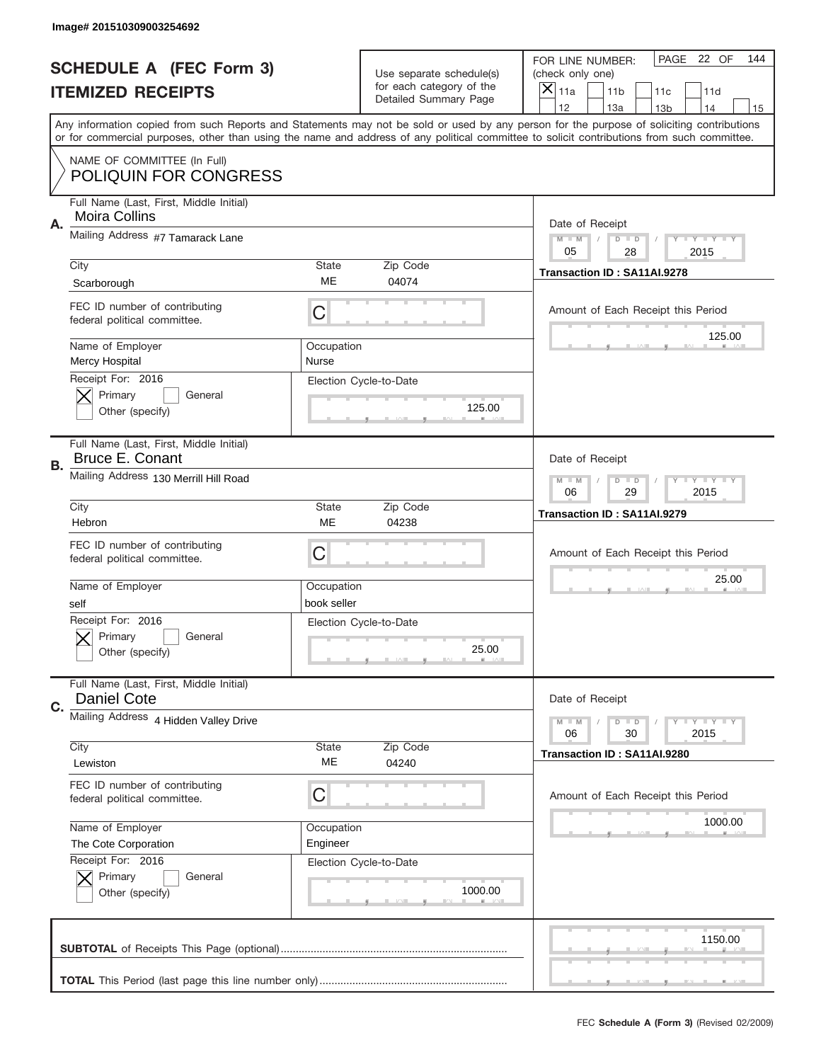|           | Image# 201510309003254692                                         |                           |                                                   |                                                                                                                                                                                                                                                                                                                                     |
|-----------|-------------------------------------------------------------------|---------------------------|---------------------------------------------------|-------------------------------------------------------------------------------------------------------------------------------------------------------------------------------------------------------------------------------------------------------------------------------------------------------------------------------------|
|           | <b>SCHEDULE A (FEC Form 3)</b>                                    |                           | Use separate schedule(s)                          | PAGE 22 OF<br>144<br>FOR LINE NUMBER:<br>(check only one)                                                                                                                                                                                                                                                                           |
|           | <b>ITEMIZED RECEIPTS</b>                                          |                           | for each category of the<br>Detailed Summary Page | ×<br>11a<br>11 <sub>b</sub><br>11c<br>11d                                                                                                                                                                                                                                                                                           |
|           |                                                                   |                           |                                                   | 12<br>13a<br>14<br>13 <sub>b</sub><br>15<br>Any information copied from such Reports and Statements may not be sold or used by any person for the purpose of soliciting contributions<br>or for commercial purposes, other than using the name and address of any political committee to solicit contributions from such committee. |
|           | NAME OF COMMITTEE (In Full)<br><b>POLIQUIN FOR CONGRESS</b>       |                           |                                                   |                                                                                                                                                                                                                                                                                                                                     |
| Α.        | Full Name (Last, First, Middle Initial)<br>Moira Collins          |                           |                                                   | Date of Receipt                                                                                                                                                                                                                                                                                                                     |
|           | Mailing Address #7 Tamarack Lane                                  |                           |                                                   | $M - M$<br><b>LYLYLY</b><br>$D$ $D$<br>05<br>2015<br>28                                                                                                                                                                                                                                                                             |
|           | City<br>Scarborough                                               | State<br>ME               | Zip Code<br>04074                                 | Transaction ID: SA11AI.9278                                                                                                                                                                                                                                                                                                         |
|           | FEC ID number of contributing<br>federal political committee.     | C                         |                                                   | Amount of Each Receipt this Period<br>125.00                                                                                                                                                                                                                                                                                        |
|           | Name of Employer<br>Mercy Hospital                                | Occupation<br>Nurse       |                                                   |                                                                                                                                                                                                                                                                                                                                     |
|           | Receipt For: 2016<br>Primary<br>General<br>Other (specify)        |                           | Election Cycle-to-Date<br>125.00                  |                                                                                                                                                                                                                                                                                                                                     |
| <b>B.</b> | Full Name (Last, First, Middle Initial)<br><b>Bruce E. Conant</b> |                           |                                                   | Date of Receipt                                                                                                                                                                                                                                                                                                                     |
|           | Mailing Address 130 Merrill Hill Road                             |                           |                                                   | $M - M$<br>$D$ $D$<br><b>LYLYLY</b><br>06<br>29<br>2015                                                                                                                                                                                                                                                                             |
|           | City<br>Hebron                                                    | <b>State</b><br>ME        | Zip Code<br>04238                                 | Transaction ID: SA11AI.9279                                                                                                                                                                                                                                                                                                         |
|           | FEC ID number of contributing<br>federal political committee.     | C                         |                                                   | Amount of Each Receipt this Period                                                                                                                                                                                                                                                                                                  |
|           | Name of Employer<br>self                                          | Occupation<br>book seller |                                                   | 25.00                                                                                                                                                                                                                                                                                                                               |
|           | Receipt For: 2016                                                 |                           | Election Cycle-to-Date                            |                                                                                                                                                                                                                                                                                                                                     |
|           | General<br>Primary<br>Other (specify)                             |                           | 25.00                                             |                                                                                                                                                                                                                                                                                                                                     |
| C.        | Full Name (Last, First, Middle Initial)<br><b>Daniel Cote</b>     |                           |                                                   | Date of Receipt                                                                                                                                                                                                                                                                                                                     |
|           | Mailing Address 4 Hidden Valley Drive                             |                           |                                                   | <b>LYLYLY</b><br>$M - M$<br>$D$ $D$<br>06<br>2015<br>30                                                                                                                                                                                                                                                                             |
|           | City<br>Lewiston                                                  | State<br>ME               | Zip Code<br>04240                                 | Transaction ID: SA11AI.9280                                                                                                                                                                                                                                                                                                         |
|           | FEC ID number of contributing<br>federal political committee.     | С                         |                                                   | Amount of Each Receipt this Period                                                                                                                                                                                                                                                                                                  |
|           | Name of Employer<br>The Cote Corporation                          | Occupation<br>Engineer    |                                                   | 1000.00                                                                                                                                                                                                                                                                                                                             |
|           | Receipt For: 2016<br>Primary<br>General<br>Other (specify)        |                           | Election Cycle-to-Date<br>1000.00                 |                                                                                                                                                                                                                                                                                                                                     |
|           |                                                                   |                           |                                                   | 1150.00                                                                                                                                                                                                                                                                                                                             |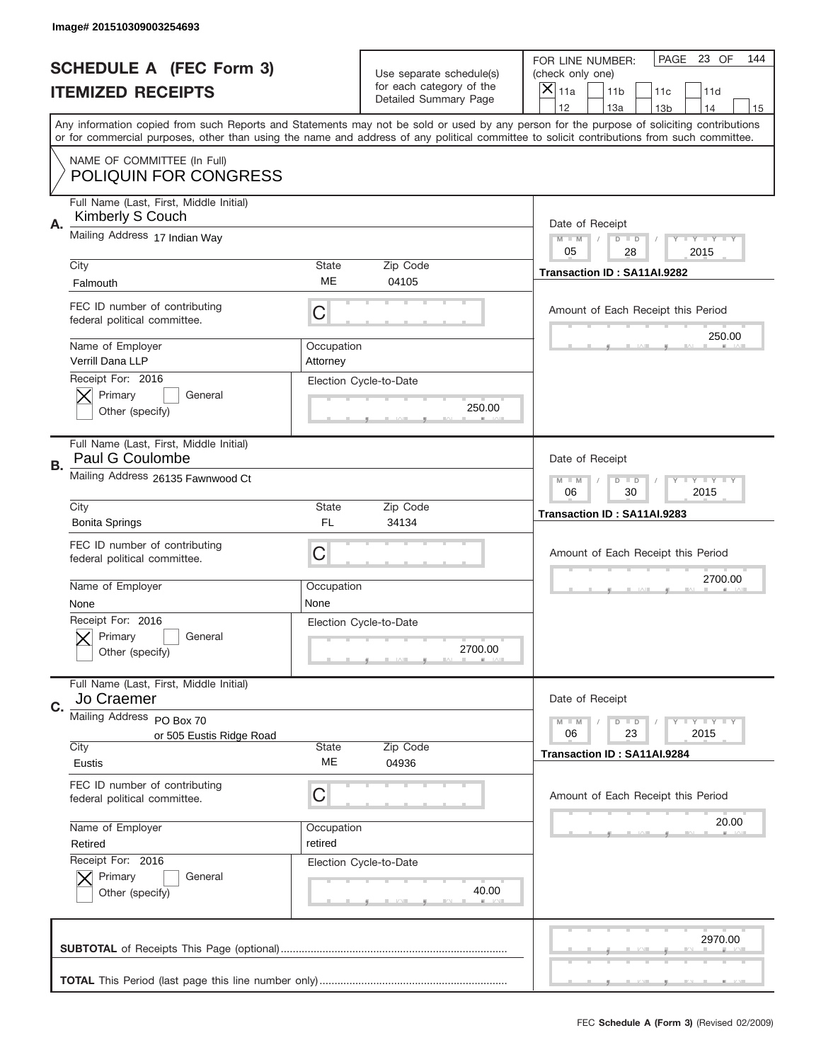|    | Image# 201510309003254693                                     |                        |                                                      |                                                                                                                                                                                                                                                                                                                                     |
|----|---------------------------------------------------------------|------------------------|------------------------------------------------------|-------------------------------------------------------------------------------------------------------------------------------------------------------------------------------------------------------------------------------------------------------------------------------------------------------------------------------------|
|    | <b>SCHEDULE A (FEC Form 3)</b>                                |                        | Use separate schedule(s)<br>for each category of the | PAGE 23 OF<br>144<br>FOR LINE NUMBER:<br>(check only one)                                                                                                                                                                                                                                                                           |
|    | <b>ITEMIZED RECEIPTS</b>                                      |                        | Detailed Summary Page                                | $\times$<br>11a<br>11 <sub>b</sub><br>11c<br>11d                                                                                                                                                                                                                                                                                    |
|    |                                                               |                        |                                                      | 12<br>13a<br>14<br>13 <sub>b</sub><br>15<br>Any information copied from such Reports and Statements may not be sold or used by any person for the purpose of soliciting contributions<br>or for commercial purposes, other than using the name and address of any political committee to solicit contributions from such committee. |
|    | NAME OF COMMITTEE (In Full)<br><b>POLIQUIN FOR CONGRESS</b>   |                        |                                                      |                                                                                                                                                                                                                                                                                                                                     |
| Α. | Full Name (Last, First, Middle Initial)<br>Kimberly S Couch   |                        |                                                      | Date of Receipt                                                                                                                                                                                                                                                                                                                     |
|    | Mailing Address 17 Indian Way                                 |                        |                                                      | $M - M$<br>$D$ $D$<br>Y I Y I Y I Y<br>05<br>28<br>2015                                                                                                                                                                                                                                                                             |
|    | City<br>Falmouth                                              | State<br>ME            | Zip Code<br>04105                                    | Transaction ID: SA11AI.9282                                                                                                                                                                                                                                                                                                         |
|    | FEC ID number of contributing<br>federal political committee. | C                      |                                                      | Amount of Each Receipt this Period<br>250.00                                                                                                                                                                                                                                                                                        |
|    | Name of Employer<br>Verrill Dana LLP                          | Occupation<br>Attorney |                                                      |                                                                                                                                                                                                                                                                                                                                     |
|    | Receipt For: 2016<br>Primary<br>General<br>Other (specify)    |                        | Election Cycle-to-Date<br>250.00                     |                                                                                                                                                                                                                                                                                                                                     |
| В. | Full Name (Last, First, Middle Initial)<br>Paul G Coulombe    |                        |                                                      | Date of Receipt                                                                                                                                                                                                                                                                                                                     |
|    | Mailing Address 26135 Fawnwood Ct                             |                        |                                                      | $M - M$<br>$D$ $D$<br>Y I Y I Y I Y<br>06<br>30<br>2015                                                                                                                                                                                                                                                                             |
|    | City<br><b>Bonita Springs</b>                                 | <b>State</b><br>FL.    | Zip Code<br>34134                                    | Transaction ID: SA11AI.9283                                                                                                                                                                                                                                                                                                         |
|    | FEC ID number of contributing<br>federal political committee. | C                      |                                                      | Amount of Each Receipt this Period                                                                                                                                                                                                                                                                                                  |
|    | Name of Employer<br>None                                      | Occupation<br>None     |                                                      | 2700.00                                                                                                                                                                                                                                                                                                                             |
|    | Receipt For: 2016<br>General<br>Primary<br>Other (specify)    |                        | Election Cycle-to-Date<br>2700.00                    |                                                                                                                                                                                                                                                                                                                                     |
| C. | Full Name (Last, First, Middle Initial)<br>Jo Craemer         |                        |                                                      | Date of Receipt                                                                                                                                                                                                                                                                                                                     |
|    | Mailing Address PO Box 70<br>or 505 Eustis Ridge Road<br>City | State                  | Zip Code                                             | <b>LYLYLY</b><br>$M - M$<br>$D$ $D$<br>06<br>23<br>2015                                                                                                                                                                                                                                                                             |
|    | Eustis                                                        | ME                     | 04936                                                | Transaction ID: SA11AI.9284                                                                                                                                                                                                                                                                                                         |
|    | FEC ID number of contributing<br>federal political committee. | C                      |                                                      | Amount of Each Receipt this Period                                                                                                                                                                                                                                                                                                  |
|    | Name of Employer<br>Retired                                   | Occupation<br>retired  |                                                      | 20.00                                                                                                                                                                                                                                                                                                                               |
|    | Receipt For: 2016<br>Primary<br>General<br>Other (specify)    |                        | Election Cycle-to-Date<br>40.00                      |                                                                                                                                                                                                                                                                                                                                     |
|    |                                                               |                        |                                                      | 2970.00                                                                                                                                                                                                                                                                                                                             |
|    |                                                               |                        |                                                      |                                                                                                                                                                                                                                                                                                                                     |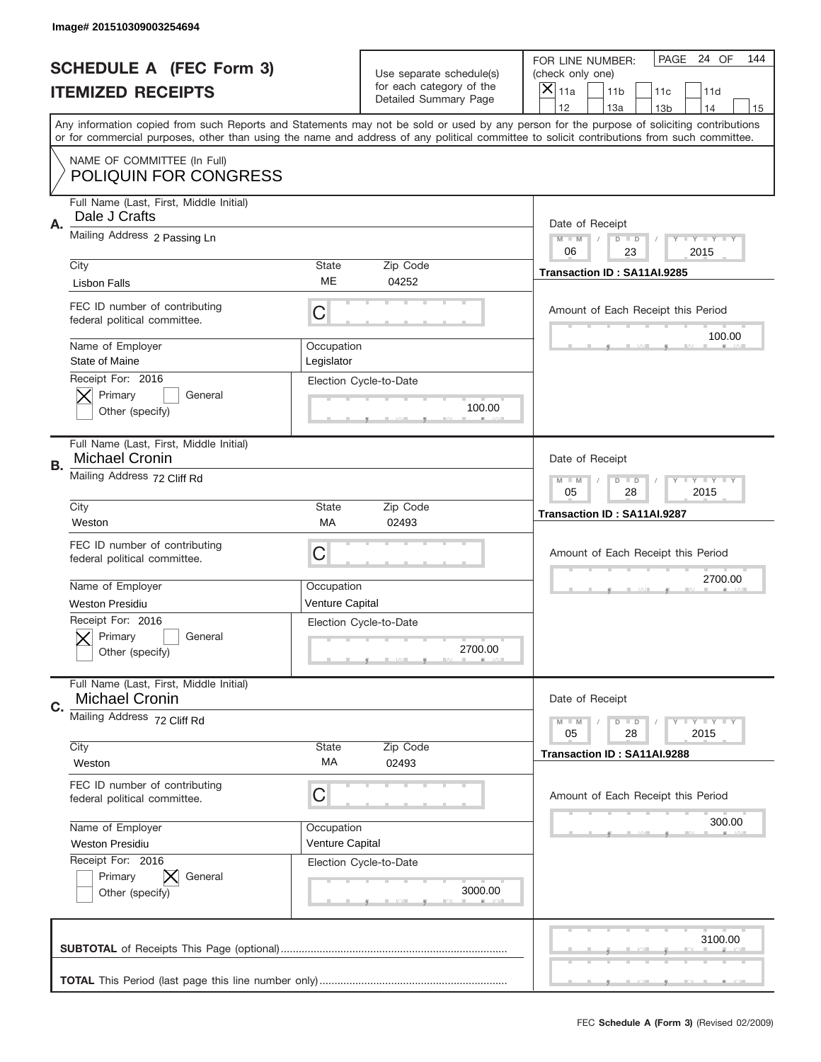|           | Image# 201510309003254694                                        |                          |                                                          |                                                                                                                                                                                                                                                                                         |
|-----------|------------------------------------------------------------------|--------------------------|----------------------------------------------------------|-----------------------------------------------------------------------------------------------------------------------------------------------------------------------------------------------------------------------------------------------------------------------------------------|
|           | <b>SCHEDULE A (FEC Form 3)</b>                                   |                          | Use separate schedule(s)                                 | PAGE 24 OF<br>144<br>FOR LINE NUMBER:<br>(check only one)                                                                                                                                                                                                                               |
|           | <b>ITEMIZED RECEIPTS</b>                                         |                          | for each category of the<br><b>Detailed Summary Page</b> | $\overline{X} _{11a}$<br>11 <sub>b</sub><br>11c<br>11d                                                                                                                                                                                                                                  |
|           |                                                                  |                          |                                                          | 12<br>13a<br>14<br>13 <sub>b</sub><br>15                                                                                                                                                                                                                                                |
|           |                                                                  |                          |                                                          | Any information copied from such Reports and Statements may not be sold or used by any person for the purpose of soliciting contributions<br>or for commercial purposes, other than using the name and address of any political committee to solicit contributions from such committee. |
|           | NAME OF COMMITTEE (In Full)                                      |                          |                                                          |                                                                                                                                                                                                                                                                                         |
|           | <b>POLIQUIN FOR CONGRESS</b>                                     |                          |                                                          |                                                                                                                                                                                                                                                                                         |
| Α.        | Full Name (Last, First, Middle Initial)<br>Dale J Crafts         |                          |                                                          | Date of Receipt                                                                                                                                                                                                                                                                         |
|           | Mailing Address 2 Passing Ln                                     |                          |                                                          | $M$ $M$<br>$D$ $D$<br>Y I Y I Y I Y<br>06<br>23<br>2015                                                                                                                                                                                                                                 |
|           | City                                                             | <b>State</b>             | Zip Code                                                 | Transaction ID: SA11AI.9285                                                                                                                                                                                                                                                             |
|           | <b>Lisbon Falls</b>                                              | ME                       | 04252                                                    |                                                                                                                                                                                                                                                                                         |
|           | FEC ID number of contributing<br>federal political committee.    | C                        |                                                          | Amount of Each Receipt this Period                                                                                                                                                                                                                                                      |
|           | Name of Employer<br>State of Maine                               | Occupation<br>Legislator |                                                          | 100.00                                                                                                                                                                                                                                                                                  |
|           | Receipt For: 2016                                                |                          | Election Cycle-to-Date                                   |                                                                                                                                                                                                                                                                                         |
|           | Primary<br>General                                               |                          | 100.00                                                   |                                                                                                                                                                                                                                                                                         |
|           | Other (specify)                                                  |                          |                                                          |                                                                                                                                                                                                                                                                                         |
| <b>B.</b> | Full Name (Last, First, Middle Initial)<br><b>Michael Cronin</b> |                          |                                                          | Date of Receipt                                                                                                                                                                                                                                                                         |
|           | Mailing Address 72 Cliff Rd                                      |                          |                                                          | $M - M$<br>$D$ $D$<br>Y I Y I Y I Y                                                                                                                                                                                                                                                     |
|           |                                                                  | <b>State</b>             | Zip Code                                                 | 05<br>28<br>2015                                                                                                                                                                                                                                                                        |
|           | City<br>Weston                                                   | МA                       | 02493                                                    | Transaction ID: SA11AI.9287                                                                                                                                                                                                                                                             |
|           | FEC ID number of contributing                                    |                          |                                                          |                                                                                                                                                                                                                                                                                         |
|           | federal political committee.                                     | C                        |                                                          | Amount of Each Receipt this Period                                                                                                                                                                                                                                                      |
|           | Name of Employer                                                 | Occupation               |                                                          | 2700.00                                                                                                                                                                                                                                                                                 |
|           | <b>Weston Presidiu</b>                                           | Venture Capital          |                                                          |                                                                                                                                                                                                                                                                                         |
|           | Receipt For: 2016                                                |                          | Election Cycle-to-Date                                   |                                                                                                                                                                                                                                                                                         |
|           | General<br>Primary                                               |                          |                                                          |                                                                                                                                                                                                                                                                                         |
|           | Other (specify)                                                  |                          | 2700.00                                                  |                                                                                                                                                                                                                                                                                         |
|           | Full Name (Last, First, Middle Initial)<br><b>Michael Cronin</b> |                          |                                                          | Date of Receipt                                                                                                                                                                                                                                                                         |
| C.        | Mailing Address 72 Cliff Rd                                      |                          |                                                          | $D$ $D$<br><b>LYLYLY</b><br>$M - M$                                                                                                                                                                                                                                                     |
|           |                                                                  |                          |                                                          | 05<br>28<br>2015                                                                                                                                                                                                                                                                        |
|           | City<br>Weston                                                   | <b>State</b><br>МA       | Zip Code<br>02493                                        | Transaction ID: SA11AI.9288                                                                                                                                                                                                                                                             |
|           | FEC ID number of contributing                                    |                          |                                                          |                                                                                                                                                                                                                                                                                         |
|           | federal political committee.                                     | C                        |                                                          | Amount of Each Receipt this Period                                                                                                                                                                                                                                                      |
|           | Name of Employer                                                 | Occupation               |                                                          | 300.00                                                                                                                                                                                                                                                                                  |
|           | <b>Weston Presidiu</b>                                           | Venture Capital          |                                                          |                                                                                                                                                                                                                                                                                         |
|           | Receipt For: 2016                                                |                          | Election Cycle-to-Date                                   |                                                                                                                                                                                                                                                                                         |
|           | Primary<br>General                                               |                          |                                                          |                                                                                                                                                                                                                                                                                         |
|           | Other (specify)                                                  |                          | 3000.00                                                  |                                                                                                                                                                                                                                                                                         |
|           |                                                                  |                          |                                                          |                                                                                                                                                                                                                                                                                         |
|           |                                                                  |                          |                                                          | 3100.00                                                                                                                                                                                                                                                                                 |
|           |                                                                  |                          |                                                          |                                                                                                                                                                                                                                                                                         |
|           |                                                                  |                          |                                                          |                                                                                                                                                                                                                                                                                         |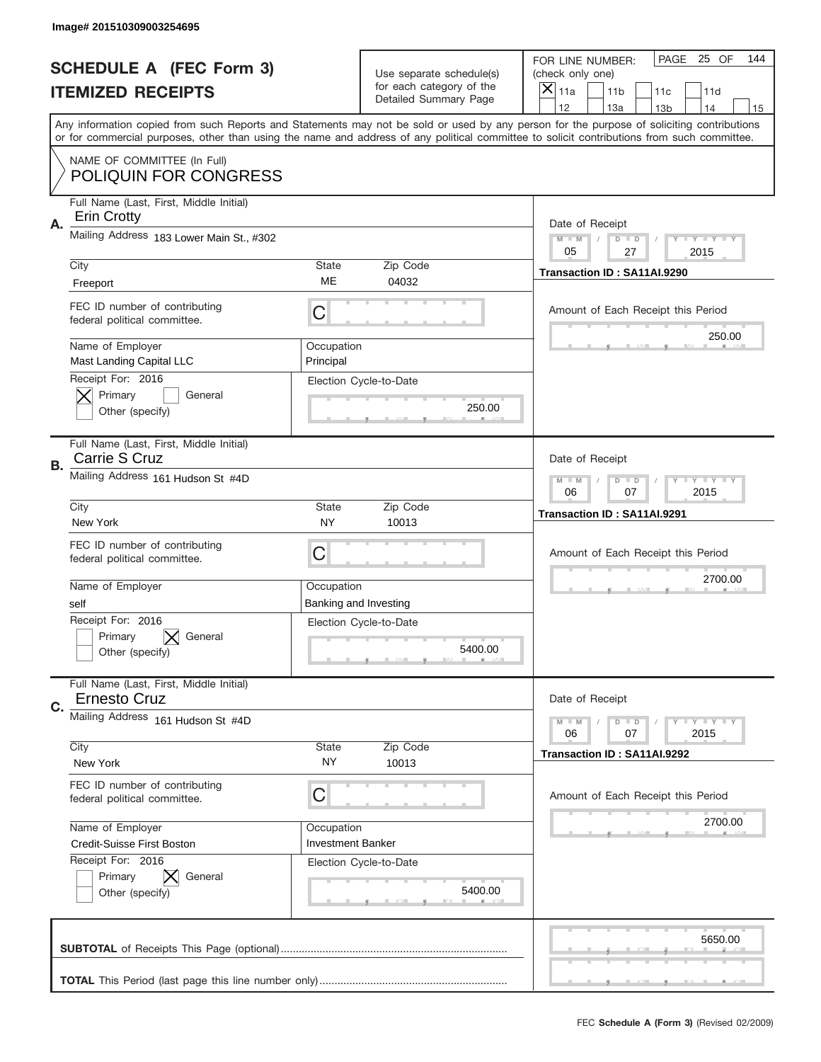|    | Image# 201510309003254695                                      |                                        |                                                   |                                                                                                                                                                                                                                                                                                                                     |
|----|----------------------------------------------------------------|----------------------------------------|---------------------------------------------------|-------------------------------------------------------------------------------------------------------------------------------------------------------------------------------------------------------------------------------------------------------------------------------------------------------------------------------------|
|    | <b>SCHEDULE A (FEC Form 3)</b>                                 |                                        | Use separate schedule(s)                          | PAGE 25 OF<br>144<br>FOR LINE NUMBER:<br>(check only one)                                                                                                                                                                                                                                                                           |
|    | <b>ITEMIZED RECEIPTS</b>                                       |                                        | for each category of the<br>Detailed Summary Page | ×<br>11a<br>11 <sub>b</sub><br>11c<br>11d                                                                                                                                                                                                                                                                                           |
|    |                                                                |                                        |                                                   | 12<br>13a<br>14<br>13 <sub>b</sub><br>15<br>Any information copied from such Reports and Statements may not be sold or used by any person for the purpose of soliciting contributions<br>or for commercial purposes, other than using the name and address of any political committee to solicit contributions from such committee. |
|    | NAME OF COMMITTEE (In Full)<br><b>POLIQUIN FOR CONGRESS</b>    |                                        |                                                   |                                                                                                                                                                                                                                                                                                                                     |
| Α. | Full Name (Last, First, Middle Initial)<br><b>Erin Crotty</b>  |                                        |                                                   | Date of Receipt                                                                                                                                                                                                                                                                                                                     |
|    | Mailing Address 183 Lower Main St., #302                       |                                        |                                                   | $M - M$<br><b>LYLYLY</b><br>$D$ $D$<br>05<br>27<br>2015                                                                                                                                                                                                                                                                             |
|    | City<br>Freeport                                               | State<br>ME                            | Zip Code<br>04032                                 | Transaction ID: SA11AI.9290                                                                                                                                                                                                                                                                                                         |
|    | FEC ID number of contributing<br>federal political committee.  | С                                      |                                                   | Amount of Each Receipt this Period<br>250.00                                                                                                                                                                                                                                                                                        |
|    | Name of Employer<br>Mast Landing Capital LLC                   | Occupation<br>Principal                |                                                   |                                                                                                                                                                                                                                                                                                                                     |
|    | Receipt For: 2016<br>Primary<br>General<br>Other (specify)     |                                        | Election Cycle-to-Date<br>250.00                  |                                                                                                                                                                                                                                                                                                                                     |
| В. | Full Name (Last, First, Middle Initial)<br>Carrie S Cruz       |                                        |                                                   | Date of Receipt                                                                                                                                                                                                                                                                                                                     |
|    | Mailing Address 161 Hudson St #4D                              |                                        |                                                   | $M - M$<br>$D$ $D$<br><b>LYLYLY</b><br>06<br>07<br>2015                                                                                                                                                                                                                                                                             |
|    | City<br>New York                                               | State<br>NY                            | Zip Code<br>10013                                 | Transaction ID: SA11AI.9291                                                                                                                                                                                                                                                                                                         |
|    | FEC ID number of contributing<br>federal political committee.  | C                                      |                                                   | Amount of Each Receipt this Period                                                                                                                                                                                                                                                                                                  |
|    | Name of Employer<br>self                                       | Occupation                             | Banking and Investing                             | 2700.00                                                                                                                                                                                                                                                                                                                             |
|    | Receipt For: 2016<br>Primary<br>General                        |                                        | Election Cycle-to-Date                            |                                                                                                                                                                                                                                                                                                                                     |
|    | Other (specify)                                                |                                        | 5400.00                                           |                                                                                                                                                                                                                                                                                                                                     |
| C. | Full Name (Last, First, Middle Initial)<br><b>Ernesto Cruz</b> |                                        |                                                   | Date of Receipt                                                                                                                                                                                                                                                                                                                     |
|    | Mailing Address 161 Hudson St #4D                              |                                        |                                                   | $D$ $D$<br><b>LY LY LY</b><br>$M - M$<br>06<br>2015<br>07                                                                                                                                                                                                                                                                           |
|    | City<br>New York                                               | State<br><b>NY</b>                     | Zip Code<br>10013                                 | Transaction ID: SA11AI.9292                                                                                                                                                                                                                                                                                                         |
|    | FEC ID number of contributing<br>federal political committee.  | С                                      |                                                   | Amount of Each Receipt this Period                                                                                                                                                                                                                                                                                                  |
|    | Name of Employer<br>Credit-Suisse First Boston                 | Occupation<br><b>Investment Banker</b> |                                                   | 2700.00                                                                                                                                                                                                                                                                                                                             |
|    | Receipt For: 2016<br>Primary<br>General<br>Other (specify)     |                                        | Election Cycle-to-Date<br>5400.00                 |                                                                                                                                                                                                                                                                                                                                     |
|    |                                                                |                                        |                                                   | 5650.00                                                                                                                                                                                                                                                                                                                             |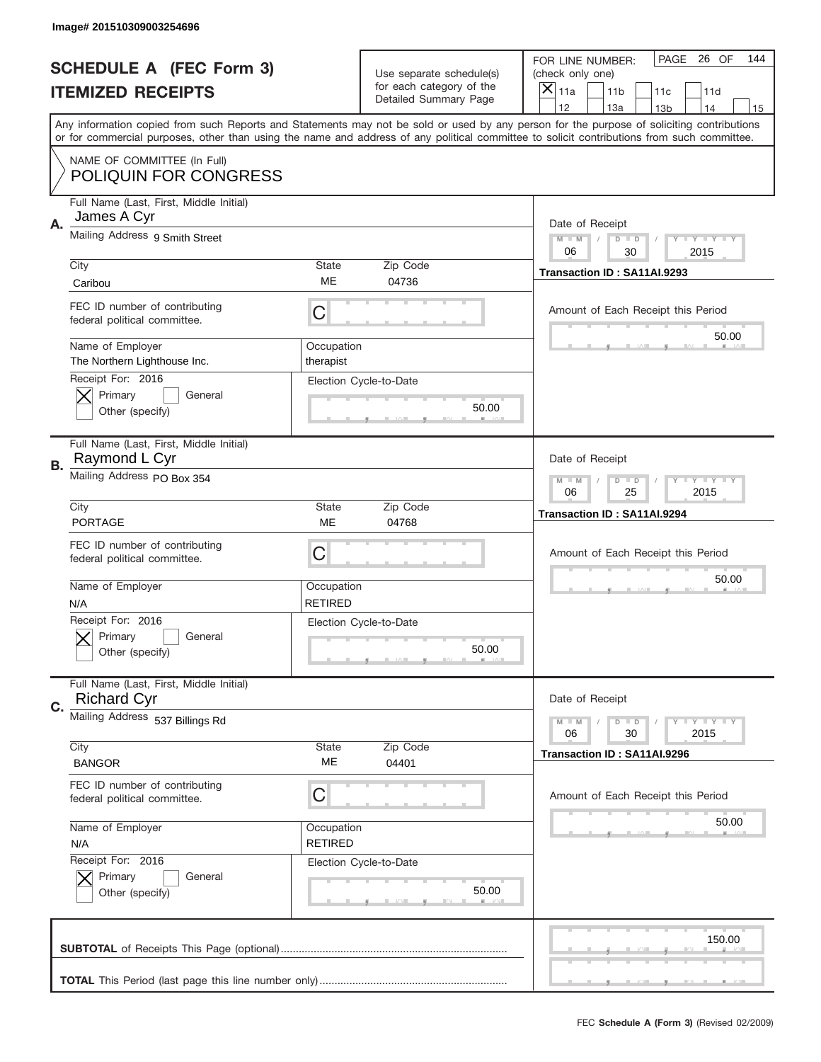|           | Image# 201510309003254696                                     |                              |                                                          |                                                                                                                                                                                                                                                                                                                                     |
|-----------|---------------------------------------------------------------|------------------------------|----------------------------------------------------------|-------------------------------------------------------------------------------------------------------------------------------------------------------------------------------------------------------------------------------------------------------------------------------------------------------------------------------------|
|           | <b>SCHEDULE A (FEC Form 3)</b>                                |                              | Use separate schedule(s)                                 | PAGE<br>26 OF<br>144<br>FOR LINE NUMBER:<br>(check only one)                                                                                                                                                                                                                                                                        |
|           | <b>ITEMIZED RECEIPTS</b>                                      |                              | for each category of the<br><b>Detailed Summary Page</b> | $\overline{X} _{11a}$<br>11 <sub>b</sub><br>11c<br>11d                                                                                                                                                                                                                                                                              |
|           |                                                               |                              |                                                          | 12<br>13a<br>14<br>13 <sub>b</sub><br>15<br>Any information copied from such Reports and Statements may not be sold or used by any person for the purpose of soliciting contributions<br>or for commercial purposes, other than using the name and address of any political committee to solicit contributions from such committee. |
|           | NAME OF COMMITTEE (In Full)<br><b>POLIQUIN FOR CONGRESS</b>   |                              |                                                          |                                                                                                                                                                                                                                                                                                                                     |
| Α.        | Full Name (Last, First, Middle Initial)<br>James A Cyr        |                              |                                                          | Date of Receipt                                                                                                                                                                                                                                                                                                                     |
|           | Mailing Address 9 Smith Street                                |                              |                                                          | Y TY TY TY<br>$M$ $M$<br>$D$ $D$<br>06<br>2015<br>30                                                                                                                                                                                                                                                                                |
|           | City<br>Caribou                                               | <b>State</b><br>ME           | Zip Code<br>04736                                        | Transaction ID: SA11AI.9293                                                                                                                                                                                                                                                                                                         |
|           | FEC ID number of contributing<br>federal political committee. | C                            |                                                          | Amount of Each Receipt this Period<br>50.00                                                                                                                                                                                                                                                                                         |
|           | Name of Employer<br>The Northern Lighthouse Inc.              | Occupation<br>therapist      |                                                          |                                                                                                                                                                                                                                                                                                                                     |
|           | Receipt For: 2016<br>Primary<br>General<br>Other (specify)    |                              | Election Cycle-to-Date<br>50.00                          |                                                                                                                                                                                                                                                                                                                                     |
| <b>B.</b> | Full Name (Last, First, Middle Initial)<br>Raymond L Cyr      |                              |                                                          | Date of Receipt                                                                                                                                                                                                                                                                                                                     |
|           | Mailing Address PO Box 354                                    |                              |                                                          | $M - M$<br>$D$ $D$<br>Y I Y I Y I Y<br>06<br>25<br>2015                                                                                                                                                                                                                                                                             |
|           | City<br><b>PORTAGE</b>                                        | <b>State</b><br>ME           | Zip Code<br>04768                                        | Transaction ID: SA11AI.9294                                                                                                                                                                                                                                                                                                         |
|           | FEC ID number of contributing<br>federal political committee. | C                            |                                                          | Amount of Each Receipt this Period                                                                                                                                                                                                                                                                                                  |
|           | Name of Employer<br>N/A                                       | Occupation<br><b>RETIRED</b> |                                                          | 50.00                                                                                                                                                                                                                                                                                                                               |
|           | Receipt For: 2016<br>General<br>Primary<br>Other (specify)    |                              | Election Cycle-to-Date<br>50.00                          |                                                                                                                                                                                                                                                                                                                                     |
| C.        | Full Name (Last, First, Middle Initial)<br><b>Richard Cyr</b> |                              |                                                          | Date of Receipt                                                                                                                                                                                                                                                                                                                     |
|           | Mailing Address 537 Billings Rd                               |                              |                                                          | <b>LYLYLY</b><br>$M - M$<br>$D$ $D$<br>06<br>30<br>2015                                                                                                                                                                                                                                                                             |
|           | City<br><b>BANGOR</b>                                         | <b>State</b><br>МE           | Zip Code<br>04401                                        | Transaction ID: SA11AI.9296                                                                                                                                                                                                                                                                                                         |
|           | FEC ID number of contributing<br>federal political committee. | С                            |                                                          | Amount of Each Receipt this Period                                                                                                                                                                                                                                                                                                  |
|           | Name of Employer<br>N/A<br>Receipt For: 2016                  | Occupation<br><b>RETIRED</b> |                                                          | 50.00                                                                                                                                                                                                                                                                                                                               |
|           | Primary<br>General<br>Other (specify)                         |                              | Election Cycle-to-Date<br>50.00                          |                                                                                                                                                                                                                                                                                                                                     |
|           |                                                               |                              |                                                          | 150.00                                                                                                                                                                                                                                                                                                                              |
|           |                                                               |                              |                                                          |                                                                                                                                                                                                                                                                                                                                     |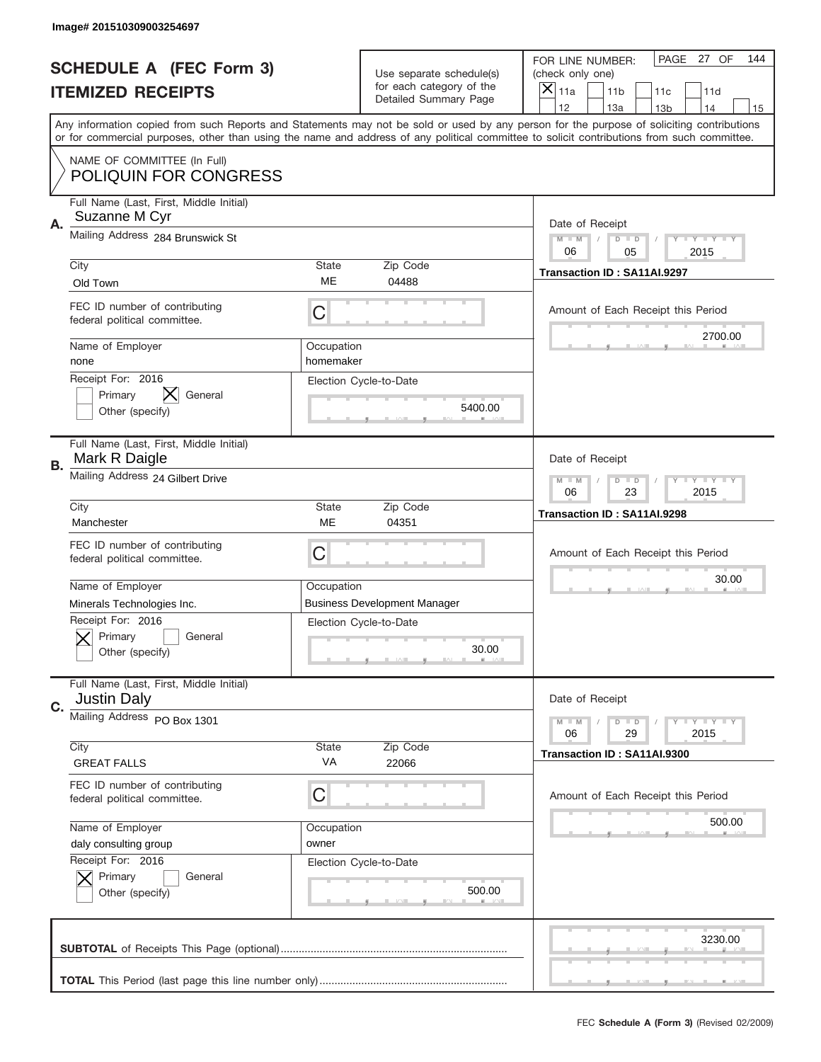| Image# 201510309003254697                                           |                         |                                                   |                                                                                                                                                                                       |
|---------------------------------------------------------------------|-------------------------|---------------------------------------------------|---------------------------------------------------------------------------------------------------------------------------------------------------------------------------------------|
| <b>SCHEDULE A (FEC Form 3)</b>                                      |                         | Use separate schedule(s)                          | PAGE 27 OF<br>144<br>FOR LINE NUMBER:<br>(check only one)                                                                                                                             |
| <b>ITEMIZED RECEIPTS</b>                                            |                         | for each category of the<br>Detailed Summary Page | ×<br>11a<br>11 <sub>b</sub><br>11c<br>11d                                                                                                                                             |
|                                                                     |                         |                                                   | 12<br>13a<br>14<br>13 <sub>b</sub><br>15<br>Any information copied from such Reports and Statements may not be sold or used by any person for the purpose of soliciting contributions |
|                                                                     |                         |                                                   | or for commercial purposes, other than using the name and address of any political committee to solicit contributions from such committee.                                            |
| NAME OF COMMITTEE (In Full)<br><b>POLIQUIN FOR CONGRESS</b>         |                         |                                                   |                                                                                                                                                                                       |
| Full Name (Last, First, Middle Initial)<br>Suzanne M Cyr<br>Α.      |                         |                                                   | Date of Receipt                                                                                                                                                                       |
| Mailing Address 284 Brunswick St                                    |                         |                                                   | $M - M$<br><b>LYLYLY</b><br>$D$ $D$<br>06<br>05<br>2015                                                                                                                               |
| City                                                                | State                   | Zip Code                                          | Transaction ID: SA11AI.9297                                                                                                                                                           |
| Old Town                                                            | ME                      | 04488                                             |                                                                                                                                                                                       |
| FEC ID number of contributing<br>federal political committee.       | C                       |                                                   | Amount of Each Receipt this Period                                                                                                                                                    |
| Name of Employer<br>none                                            | Occupation<br>homemaker |                                                   | 2700.00                                                                                                                                                                               |
| Receipt For: 2016<br>Primary<br>General<br>Other (specify)          |                         | Election Cycle-to-Date<br>5400.00                 |                                                                                                                                                                                       |
| Full Name (Last, First, Middle Initial)<br>Mark R Daigle<br>В.      |                         |                                                   | Date of Receipt                                                                                                                                                                       |
| Mailing Address 24 Gilbert Drive                                    |                         |                                                   | $M - M$<br>$D$ $D$<br><b>LYLYLY</b><br>06<br>23<br>2015                                                                                                                               |
| City                                                                | State                   | Zip Code                                          | Transaction ID: SA11AI.9298                                                                                                                                                           |
| Manchester                                                          | ME                      | 04351                                             |                                                                                                                                                                                       |
| FEC ID number of contributing<br>federal political committee.       | C                       |                                                   | Amount of Each Receipt this Period                                                                                                                                                    |
| Name of Employer                                                    | Occupation              |                                                   | 30.00                                                                                                                                                                                 |
| Minerals Technologies Inc.                                          |                         | <b>Business Development Manager</b>               |                                                                                                                                                                                       |
| Receipt For: 2016<br>General<br>Primary<br>Other (specify)          |                         | Election Cycle-to-Date<br>30.00                   |                                                                                                                                                                                       |
| Full Name (Last, First, Middle Initial)<br><b>Justin Daly</b><br>C. |                         |                                                   | Date of Receipt                                                                                                                                                                       |
| Mailing Address PO Box 1301                                         |                         |                                                   | <b>LYLYLY</b><br>$M - M$<br>$D$ $D$<br>06<br>29<br>2015                                                                                                                               |
| City                                                                | State                   | Zip Code                                          |                                                                                                                                                                                       |
| <b>GREAT FALLS</b>                                                  | VA                      | 22066                                             | Transaction ID: SA11AI.9300                                                                                                                                                           |
| FEC ID number of contributing<br>federal political committee.       | C                       |                                                   | Amount of Each Receipt this Period                                                                                                                                                    |
| Name of Employer                                                    | Occupation              |                                                   | 500.00                                                                                                                                                                                |
| daly consulting group                                               | owner                   |                                                   |                                                                                                                                                                                       |
| Receipt For: 2016<br>Primary<br>General<br>Other (specify)          |                         | Election Cycle-to-Date<br>500.00                  |                                                                                                                                                                                       |
|                                                                     |                         |                                                   | 3230.00                                                                                                                                                                               |
|                                                                     |                         |                                                   |                                                                                                                                                                                       |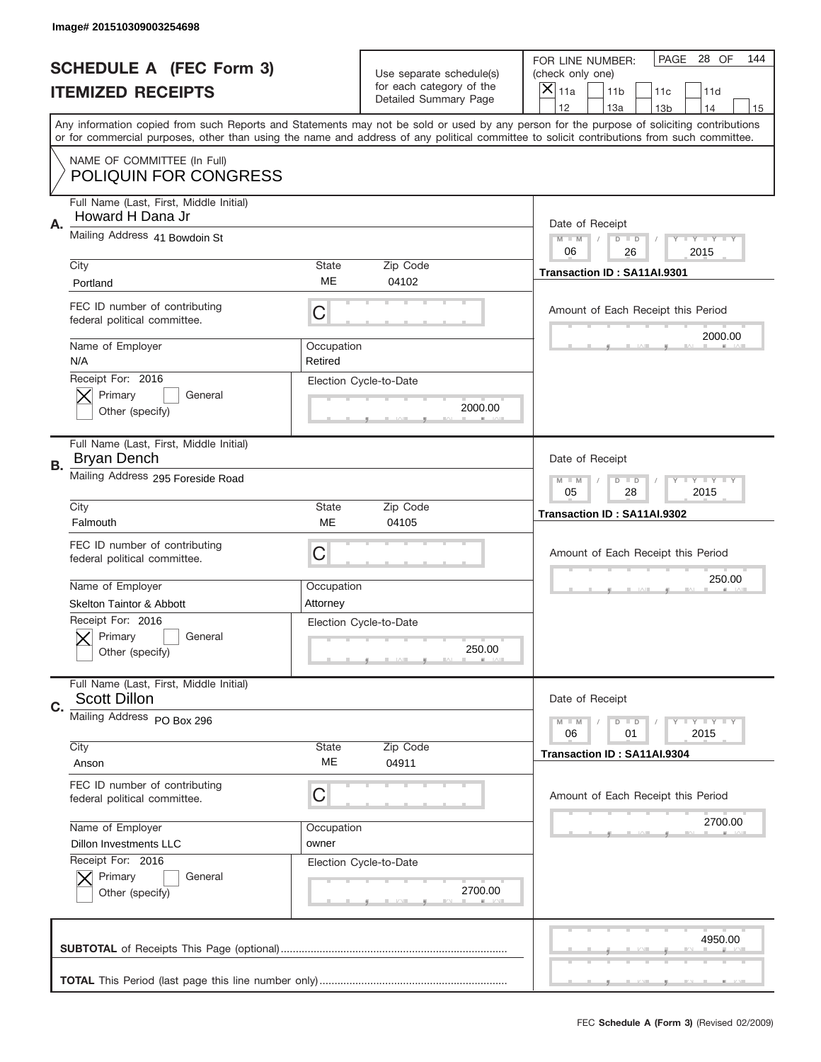|           | Image# 201510309003254698                                                                         |                       |                                                   |                                                                                                                                                                                                                                                                                                                                     |
|-----------|---------------------------------------------------------------------------------------------------|-----------------------|---------------------------------------------------|-------------------------------------------------------------------------------------------------------------------------------------------------------------------------------------------------------------------------------------------------------------------------------------------------------------------------------------|
|           | <b>SCHEDULE A (FEC Form 3)</b>                                                                    |                       | Use separate schedule(s)                          | PAGE 28 OF<br>144<br>FOR LINE NUMBER:<br>(check only one)                                                                                                                                                                                                                                                                           |
|           | <b>ITEMIZED RECEIPTS</b>                                                                          |                       | for each category of the<br>Detailed Summary Page | ×<br>11a<br>11 <sub>b</sub><br>11c<br>11d                                                                                                                                                                                                                                                                                           |
|           |                                                                                                   |                       |                                                   | 12<br>13a<br>14<br>13 <sub>b</sub><br>15<br>Any information copied from such Reports and Statements may not be sold or used by any person for the purpose of soliciting contributions<br>or for commercial purposes, other than using the name and address of any political committee to solicit contributions from such committee. |
|           | NAME OF COMMITTEE (In Full)<br><b>POLIQUIN FOR CONGRESS</b>                                       |                       |                                                   |                                                                                                                                                                                                                                                                                                                                     |
| Α.        | Full Name (Last, First, Middle Initial)<br>Howard H Dana Jr                                       |                       |                                                   | Date of Receipt                                                                                                                                                                                                                                                                                                                     |
|           | Mailing Address 41 Bowdoin St                                                                     |                       |                                                   | $M - M$<br><b>LYLYLY</b><br>$D$ $D$<br>06<br>26<br>2015                                                                                                                                                                                                                                                                             |
|           | City<br>Portland                                                                                  | State<br>ME           | Zip Code<br>04102                                 | Transaction ID: SA11AI.9301                                                                                                                                                                                                                                                                                                         |
|           | FEC ID number of contributing<br>federal political committee.                                     | C                     |                                                   | Amount of Each Receipt this Period<br>2000.00                                                                                                                                                                                                                                                                                       |
|           | Name of Employer<br>N/A                                                                           | Occupation<br>Retired |                                                   |                                                                                                                                                                                                                                                                                                                                     |
|           | Receipt For: 2016<br>Primary<br>General<br>Other (specify)                                        |                       | Election Cycle-to-Date<br>2000.00                 |                                                                                                                                                                                                                                                                                                                                     |
| <b>B.</b> | Full Name (Last, First, Middle Initial)<br>Bryan Dench                                            |                       |                                                   | Date of Receipt                                                                                                                                                                                                                                                                                                                     |
|           | Mailing Address 295 Foreside Road                                                                 |                       |                                                   | $M - M$<br>$D$ $D$<br><b>LYLYLY</b><br>05<br>28<br>2015                                                                                                                                                                                                                                                                             |
|           | City<br>Falmouth                                                                                  | State<br>ME           | Zip Code<br>04105                                 | Transaction ID: SA11AI.9302                                                                                                                                                                                                                                                                                                         |
|           | FEC ID number of contributing<br>federal political committee.                                     | C                     |                                                   | Amount of Each Receipt this Period                                                                                                                                                                                                                                                                                                  |
|           |                                                                                                   |                       |                                                   |                                                                                                                                                                                                                                                                                                                                     |
|           | Name of Employer                                                                                  | Occupation            |                                                   | 250.00                                                                                                                                                                                                                                                                                                                              |
|           | <b>Skelton Taintor &amp; Abbott</b><br>Receipt For: 2016<br>General<br>Primary<br>Other (specify) | Attorney              | Election Cycle-to-Date<br>250.00                  |                                                                                                                                                                                                                                                                                                                                     |
| C.        | Full Name (Last, First, Middle Initial)<br><b>Scott Dillon</b>                                    |                       |                                                   | Date of Receipt                                                                                                                                                                                                                                                                                                                     |
|           | Mailing Address PO Box 296                                                                        |                       |                                                   | <b>LYLYLY</b><br>$M - M$<br>$D$ $D$<br>06<br>2015<br>01                                                                                                                                                                                                                                                                             |
|           | City<br>Anson                                                                                     | State<br>ME           | Zip Code<br>04911                                 | Transaction ID: SA11AI.9304                                                                                                                                                                                                                                                                                                         |
|           | FEC ID number of contributing<br>federal political committee.                                     | С                     |                                                   | Amount of Each Receipt this Period                                                                                                                                                                                                                                                                                                  |
|           | Name of Employer                                                                                  | Occupation            |                                                   | 2700.00                                                                                                                                                                                                                                                                                                                             |
|           | <b>Dillon Investments LLC</b><br>Receipt For: 2016<br>Primary<br>General<br>Other (specify)       | owner                 | Election Cycle-to-Date<br>2700.00                 |                                                                                                                                                                                                                                                                                                                                     |
|           |                                                                                                   |                       |                                                   | 4950.00                                                                                                                                                                                                                                                                                                                             |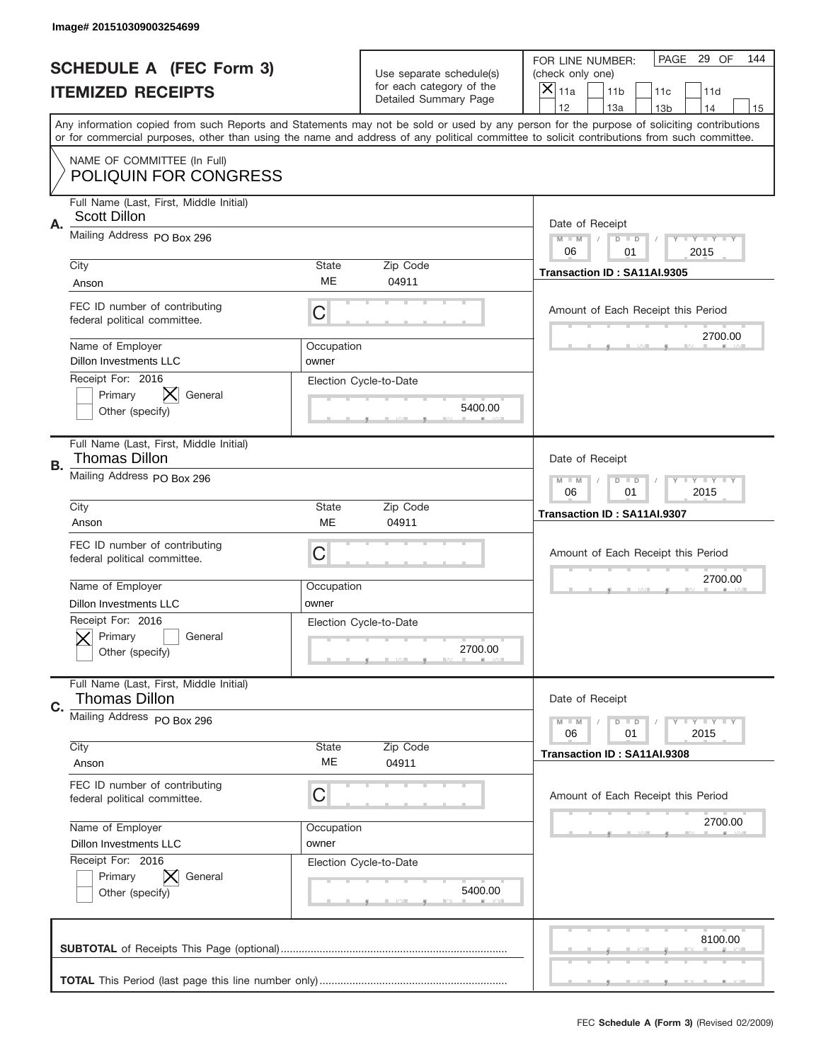|    | Image# 201510309003254699                                        |                     |                                                   |                                                                                                                                                                                                                                                                                                                                     |
|----|------------------------------------------------------------------|---------------------|---------------------------------------------------|-------------------------------------------------------------------------------------------------------------------------------------------------------------------------------------------------------------------------------------------------------------------------------------------------------------------------------------|
|    | <b>SCHEDULE A (FEC Form 3)</b>                                   |                     | Use separate schedule(s)                          | PAGE 29 OF<br>144<br>FOR LINE NUMBER:<br>(check only one)                                                                                                                                                                                                                                                                           |
|    | <b>ITEMIZED RECEIPTS</b>                                         |                     | for each category of the<br>Detailed Summary Page | ×<br>11a<br>11 <sub>b</sub><br>11c<br>11d                                                                                                                                                                                                                                                                                           |
|    |                                                                  |                     |                                                   | 12<br>13a<br>14<br>13 <sub>b</sub><br>15<br>Any information copied from such Reports and Statements may not be sold or used by any person for the purpose of soliciting contributions<br>or for commercial purposes, other than using the name and address of any political committee to solicit contributions from such committee. |
|    | NAME OF COMMITTEE (In Full)<br><b>POLIQUIN FOR CONGRESS</b>      |                     |                                                   |                                                                                                                                                                                                                                                                                                                                     |
| Α. | Full Name (Last, First, Middle Initial)<br><b>Scott Dillon</b>   |                     |                                                   | Date of Receipt                                                                                                                                                                                                                                                                                                                     |
|    | Mailing Address PO Box 296                                       |                     |                                                   | $M - M$<br><b>LYLYLY</b><br>$D$ $D$<br>06<br>2015<br>01                                                                                                                                                                                                                                                                             |
|    | City<br>Anson                                                    | State<br>ME         | Zip Code<br>04911                                 | Transaction ID: SA11AI.9305                                                                                                                                                                                                                                                                                                         |
|    | FEC ID number of contributing<br>federal political committee.    | C                   |                                                   | Amount of Each Receipt this Period<br>2700.00                                                                                                                                                                                                                                                                                       |
|    | Name of Employer<br><b>Dillon Investments LLC</b>                | Occupation<br>owner |                                                   |                                                                                                                                                                                                                                                                                                                                     |
|    | Receipt For: 2016<br>X.<br>Primary<br>General<br>Other (specify) |                     | Election Cycle-to-Date<br>5400.00                 |                                                                                                                                                                                                                                                                                                                                     |
| В. | Full Name (Last, First, Middle Initial)<br>Thomas Dillon         |                     |                                                   | Date of Receipt                                                                                                                                                                                                                                                                                                                     |
|    | Mailing Address PO Box 296                                       |                     |                                                   | $M - M$<br>$D$ $D$<br><b>THEY THEY</b><br>06<br>01<br>2015                                                                                                                                                                                                                                                                          |
|    | City<br>Anson                                                    | State<br>ME         | Zip Code<br>04911                                 | Transaction ID: SA11AI.9307                                                                                                                                                                                                                                                                                                         |
|    | FEC ID number of contributing<br>federal political committee.    | C                   |                                                   | Amount of Each Receipt this Period                                                                                                                                                                                                                                                                                                  |
|    | Name of Employer<br>Dillon Investments LLC                       | Occupation<br>owner |                                                   | 2700.00                                                                                                                                                                                                                                                                                                                             |
|    | Receipt For: 2016<br>General<br>Primary<br>Other (specify)       |                     | Election Cycle-to-Date<br>2700.00                 |                                                                                                                                                                                                                                                                                                                                     |
| C. | Full Name (Last, First, Middle Initial)<br><b>Thomas Dillon</b>  |                     |                                                   | Date of Receipt                                                                                                                                                                                                                                                                                                                     |
|    | Mailing Address PO Box 296                                       |                     |                                                   | <b>LYLYLY</b><br>$M - M$<br>$D$ $D$<br>06<br>2015<br>01                                                                                                                                                                                                                                                                             |
|    | City<br>Anson                                                    | State<br>ME         | Zip Code<br>04911                                 | Transaction ID: SA11AI.9308                                                                                                                                                                                                                                                                                                         |
|    |                                                                  |                     |                                                   |                                                                                                                                                                                                                                                                                                                                     |
|    | FEC ID number of contributing<br>federal political committee.    | С                   |                                                   | Amount of Each Receipt this Period                                                                                                                                                                                                                                                                                                  |
|    | Name of Employer<br><b>Dillon Investments LLC</b>                | Occupation<br>owner |                                                   | 2700.00                                                                                                                                                                                                                                                                                                                             |
|    | Receipt For: 2016<br>Primary<br>General<br>Other (specify)       |                     | Election Cycle-to-Date<br>5400.00                 |                                                                                                                                                                                                                                                                                                                                     |
|    |                                                                  |                     |                                                   | 8100.00                                                                                                                                                                                                                                                                                                                             |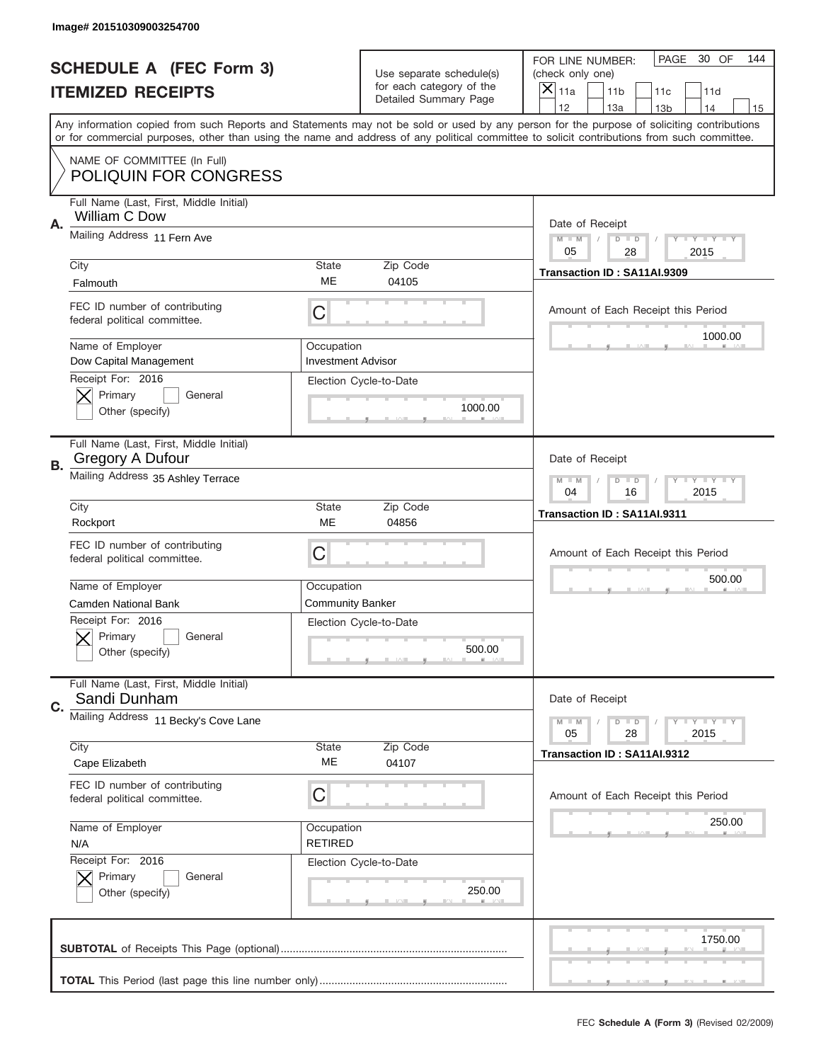|    | Image# 201510309003254700                                     |                                         |                                                   |                                                                                                                                                                                                                                                                                                                                     |
|----|---------------------------------------------------------------|-----------------------------------------|---------------------------------------------------|-------------------------------------------------------------------------------------------------------------------------------------------------------------------------------------------------------------------------------------------------------------------------------------------------------------------------------------|
|    | <b>SCHEDULE A (FEC Form 3)</b>                                |                                         | Use separate schedule(s)                          | PAGE<br>30 OF<br>144<br>FOR LINE NUMBER:<br>(check only one)                                                                                                                                                                                                                                                                        |
|    | <b>ITEMIZED RECEIPTS</b>                                      |                                         | for each category of the<br>Detailed Summary Page | ×<br>11a<br>11 <sub>b</sub><br>11c<br>11d                                                                                                                                                                                                                                                                                           |
|    |                                                               |                                         |                                                   | 12<br>13a<br>14<br>13 <sub>b</sub><br>15<br>Any information copied from such Reports and Statements may not be sold or used by any person for the purpose of soliciting contributions<br>or for commercial purposes, other than using the name and address of any political committee to solicit contributions from such committee. |
|    | NAME OF COMMITTEE (In Full)<br><b>POLIQUIN FOR CONGRESS</b>   |                                         |                                                   |                                                                                                                                                                                                                                                                                                                                     |
| Α. | Full Name (Last, First, Middle Initial)<br>William C Dow      |                                         |                                                   | Date of Receipt                                                                                                                                                                                                                                                                                                                     |
|    | Mailing Address 11 Fern Ave                                   |                                         |                                                   | $M - M$<br><b>LYLYLY</b><br>$D$ $D$<br>05<br>28<br>2015                                                                                                                                                                                                                                                                             |
|    | City<br>Falmouth                                              | State<br>ME                             | Zip Code<br>04105                                 | Transaction ID: SA11AI.9309                                                                                                                                                                                                                                                                                                         |
|    | FEC ID number of contributing<br>federal political committee. | C                                       |                                                   | Amount of Each Receipt this Period<br>1000.00                                                                                                                                                                                                                                                                                       |
|    | Name of Employer<br>Dow Capital Management                    | Occupation<br><b>Investment Advisor</b> |                                                   |                                                                                                                                                                                                                                                                                                                                     |
|    | Receipt For: 2016<br>Primary<br>General<br>Other (specify)    |                                         | Election Cycle-to-Date<br>1000.00                 |                                                                                                                                                                                                                                                                                                                                     |
| В. | Full Name (Last, First, Middle Initial)<br>Gregory A Dufour   |                                         |                                                   | Date of Receipt                                                                                                                                                                                                                                                                                                                     |
|    | Mailing Address 35 Ashley Terrace                             |                                         |                                                   | $M - M$<br>$D$ $D$<br><b>LYLYLY</b><br>04<br>16<br>2015                                                                                                                                                                                                                                                                             |
|    | City<br>Rockport                                              | <b>State</b><br>ME                      | Zip Code<br>04856                                 | Transaction ID: SA11AI.9311                                                                                                                                                                                                                                                                                                         |
|    | FEC ID number of contributing<br>federal political committee. | C                                       |                                                   | Amount of Each Receipt this Period                                                                                                                                                                                                                                                                                                  |
|    | Name of Employer<br><b>Camden National Bank</b>               | Occupation<br><b>Community Banker</b>   |                                                   | 500.00                                                                                                                                                                                                                                                                                                                              |
|    |                                                               |                                         |                                                   |                                                                                                                                                                                                                                                                                                                                     |
|    | Receipt For: 2016<br>General<br>Primary<br>Other (specify)    | Election Cycle-to-Date                  | 500.00                                            |                                                                                                                                                                                                                                                                                                                                     |
| C. | Full Name (Last, First, Middle Initial)<br>Sandi Dunham       |                                         |                                                   | Date of Receipt                                                                                                                                                                                                                                                                                                                     |
|    | Mailing Address 11 Becky's Cove Lane                          |                                         |                                                   | <b>LYLYLY</b><br>$M - M$<br>$D$ $D$<br>05<br>2015<br>28                                                                                                                                                                                                                                                                             |
|    | City<br>Cape Elizabeth                                        | State<br>ME                             | Zip Code<br>04107                                 | Transaction ID: SA11AI.9312                                                                                                                                                                                                                                                                                                         |
|    | FEC ID number of contributing<br>federal political committee. | С                                       |                                                   | Amount of Each Receipt this Period                                                                                                                                                                                                                                                                                                  |
|    | Name of Employer<br>N/A                                       | Occupation<br><b>RETIRED</b>            |                                                   | 250.00                                                                                                                                                                                                                                                                                                                              |
|    | Receipt For: 2016<br>Primary<br>General<br>Other (specify)    |                                         | Election Cycle-to-Date<br>250.00                  |                                                                                                                                                                                                                                                                                                                                     |
|    |                                                               |                                         |                                                   | 1750.00                                                                                                                                                                                                                                                                                                                             |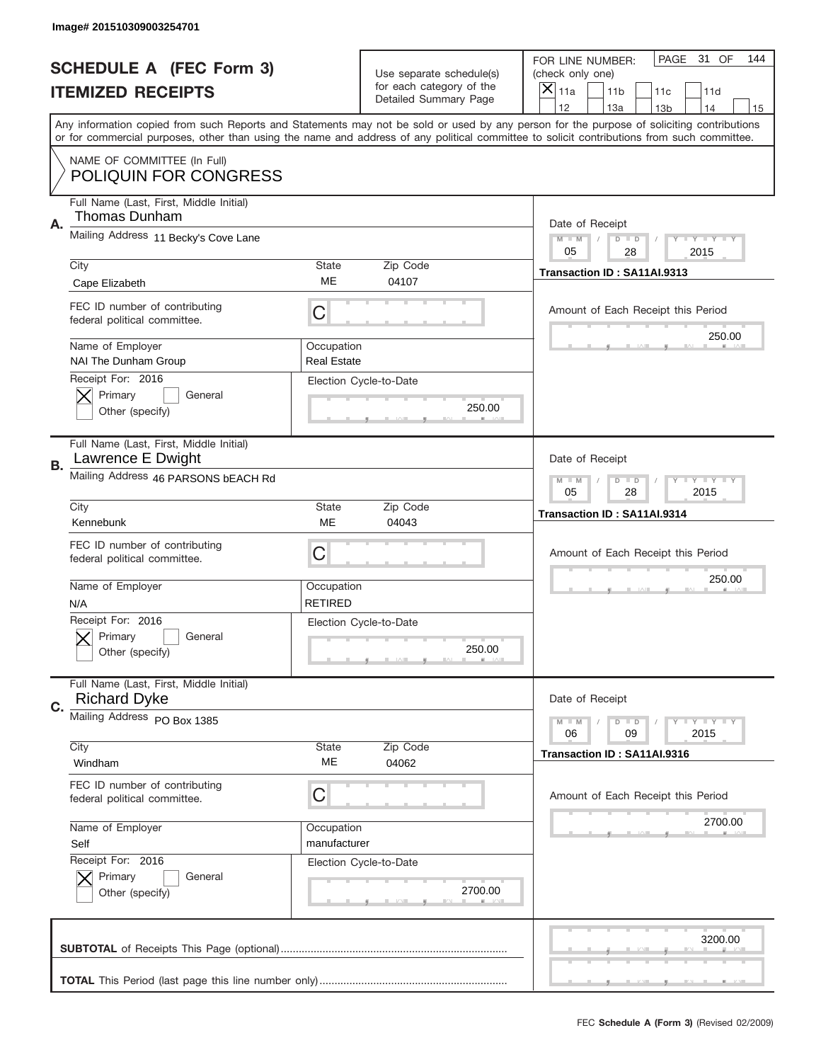|    | Image# 201510309003254701                                      |                                  |                                                   |                                                                                                                                                                                                                                                                                                                                     |
|----|----------------------------------------------------------------|----------------------------------|---------------------------------------------------|-------------------------------------------------------------------------------------------------------------------------------------------------------------------------------------------------------------------------------------------------------------------------------------------------------------------------------------|
|    | <b>SCHEDULE A (FEC Form 3)</b>                                 |                                  | Use separate schedule(s)                          | PAGE<br>31 OF<br>144<br>FOR LINE NUMBER:<br>(check only one)                                                                                                                                                                                                                                                                        |
|    | <b>ITEMIZED RECEIPTS</b>                                       |                                  | for each category of the<br>Detailed Summary Page | $\overline{X} _{11a}$<br>11 <sub>b</sub><br>11c<br>11d                                                                                                                                                                                                                                                                              |
|    |                                                                |                                  |                                                   | 12<br>13a<br>14<br>13 <sub>b</sub><br>15<br>Any information copied from such Reports and Statements may not be sold or used by any person for the purpose of soliciting contributions<br>or for commercial purposes, other than using the name and address of any political committee to solicit contributions from such committee. |
|    | NAME OF COMMITTEE (In Full)<br><b>POLIQUIN FOR CONGRESS</b>    |                                  |                                                   |                                                                                                                                                                                                                                                                                                                                     |
| Α. | Full Name (Last, First, Middle Initial)<br>Thomas Dunham       |                                  |                                                   | Date of Receipt                                                                                                                                                                                                                                                                                                                     |
|    | Mailing Address 11 Becky's Cove Lane                           |                                  |                                                   | $M$ $M$<br>$D$ $D$<br>Y I Y I Y I Y<br>05<br>28<br>2015                                                                                                                                                                                                                                                                             |
|    | City<br>Cape Elizabeth                                         | State<br>ME                      | Zip Code<br>04107                                 | Transaction ID: SA11AI.9313                                                                                                                                                                                                                                                                                                         |
|    | FEC ID number of contributing<br>federal political committee.  | C                                |                                                   | Amount of Each Receipt this Period                                                                                                                                                                                                                                                                                                  |
|    | Name of Employer<br>NAI The Dunham Group                       | Occupation<br><b>Real Estate</b> |                                                   | 250.00                                                                                                                                                                                                                                                                                                                              |
|    | Receipt For: 2016<br>Primary<br>General<br>Other (specify)     |                                  | Election Cycle-to-Date<br>250.00                  |                                                                                                                                                                                                                                                                                                                                     |
| В. | Full Name (Last, First, Middle Initial)<br>Lawrence E Dwight   |                                  |                                                   | Date of Receipt                                                                                                                                                                                                                                                                                                                     |
|    | Mailing Address 46 PARSONS bEACH Rd                            |                                  |                                                   | $M - M$<br>$D$ $D$<br>Y I Y I Y I Y<br>05<br>28<br>2015                                                                                                                                                                                                                                                                             |
|    | City<br>Kennebunk                                              | <b>State</b><br>ME               | Zip Code<br>04043                                 | Transaction ID: SA11AI.9314                                                                                                                                                                                                                                                                                                         |
|    | FEC ID number of contributing<br>federal political committee.  | C                                |                                                   | Amount of Each Receipt this Period                                                                                                                                                                                                                                                                                                  |
|    | Name of Employer<br>N/A                                        | Occupation<br><b>RETIRED</b>     |                                                   | 250.00                                                                                                                                                                                                                                                                                                                              |
|    | Receipt For: 2016<br>General<br>Primary<br>Other (specify)     |                                  | Election Cycle-to-Date<br>250.00                  |                                                                                                                                                                                                                                                                                                                                     |
| C. | Full Name (Last, First, Middle Initial)<br><b>Richard Dyke</b> |                                  |                                                   | Date of Receipt                                                                                                                                                                                                                                                                                                                     |
|    | Mailing Address PO Box 1385                                    |                                  |                                                   | $D$ $D$<br><b>LYLYLY</b><br>$M - M$<br>06<br>09<br>2015                                                                                                                                                                                                                                                                             |
|    | City<br>Windham                                                | <b>State</b><br>МE               | Zip Code<br>04062                                 | Transaction ID: SA11AI.9316                                                                                                                                                                                                                                                                                                         |
|    | FEC ID number of contributing<br>federal political committee.  | С                                |                                                   | Amount of Each Receipt this Period                                                                                                                                                                                                                                                                                                  |
|    | Name of Employer<br>Self<br>Receipt For: 2016                  | Occupation<br>manufacturer       |                                                   | 2700.00                                                                                                                                                                                                                                                                                                                             |
|    | Primary<br>General<br>Other (specify)                          |                                  | Election Cycle-to-Date<br>2700.00                 |                                                                                                                                                                                                                                                                                                                                     |
|    |                                                                |                                  |                                                   | 3200.00                                                                                                                                                                                                                                                                                                                             |
|    |                                                                |                                  |                                                   |                                                                                                                                                                                                                                                                                                                                     |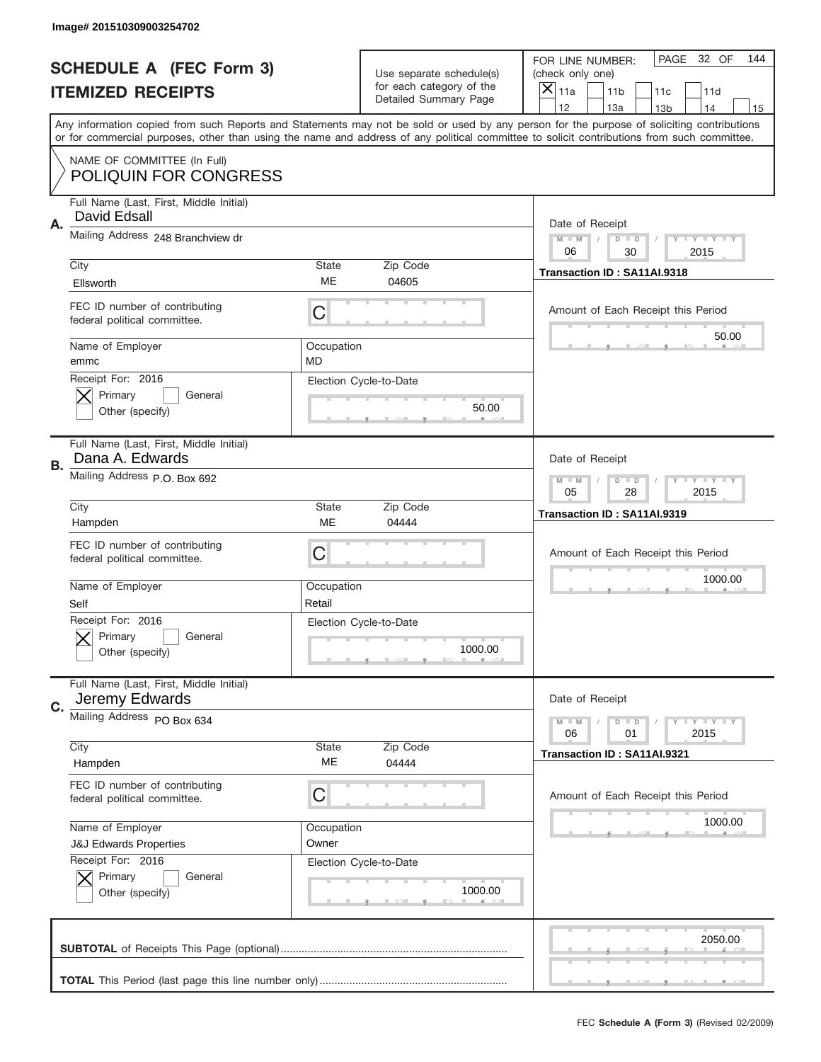|    | Image# 201510309003254702                                     |                  |                                                   |                                                                                                                                                                                                                                                                                         |
|----|---------------------------------------------------------------|------------------|---------------------------------------------------|-----------------------------------------------------------------------------------------------------------------------------------------------------------------------------------------------------------------------------------------------------------------------------------------|
|    | <b>SCHEDULE A (FEC Form 3)</b>                                |                  | Use separate schedule(s)                          | PAGE 32 OF<br>144<br>FOR LINE NUMBER:<br>(check only one)                                                                                                                                                                                                                               |
|    | <b>ITEMIZED RECEIPTS</b>                                      |                  | for each category of the<br>Detailed Summary Page | ×<br>11a<br>11 <sub>b</sub><br>11c<br>11d                                                                                                                                                                                                                                               |
|    |                                                               |                  |                                                   | 12<br>13a<br>14<br>13 <sub>b</sub><br>15                                                                                                                                                                                                                                                |
|    |                                                               |                  |                                                   | Any information copied from such Reports and Statements may not be sold or used by any person for the purpose of soliciting contributions<br>or for commercial purposes, other than using the name and address of any political committee to solicit contributions from such committee. |
|    | NAME OF COMMITTEE (In Full)<br><b>POLIQUIN FOR CONGRESS</b>   |                  |                                                   |                                                                                                                                                                                                                                                                                         |
| Α. | Full Name (Last, First, Middle Initial)<br>David Edsall       |                  |                                                   | Date of Receipt                                                                                                                                                                                                                                                                         |
|    | Mailing Address 248 Branchview dr                             |                  |                                                   | $M - M$<br><b>LYLYLY</b><br>$D$ $D$<br>06<br>2015<br>30                                                                                                                                                                                                                                 |
|    | City                                                          | State            | Zip Code                                          | Transaction ID: SA11AI.9318                                                                                                                                                                                                                                                             |
|    | Ellsworth                                                     | ME               | 04605                                             |                                                                                                                                                                                                                                                                                         |
|    | FEC ID number of contributing<br>federal political committee. | C                |                                                   | Amount of Each Receipt this Period                                                                                                                                                                                                                                                      |
|    | Name of Employer<br>emmc                                      | Occupation<br>MD |                                                   | 50.00                                                                                                                                                                                                                                                                                   |
|    | Receipt For: 2016<br>Primary<br>General                       |                  | Election Cycle-to-Date                            |                                                                                                                                                                                                                                                                                         |
|    | Other (specify)                                               |                  | 50.00                                             |                                                                                                                                                                                                                                                                                         |
| В. | Full Name (Last, First, Middle Initial)<br>Dana A. Edwards    |                  |                                                   | Date of Receipt                                                                                                                                                                                                                                                                         |
|    | Mailing Address P.O. Box 692                                  |                  |                                                   | $M - M$<br>$D$ $D$<br><b>LYLYLY</b><br>05<br>28<br>2015                                                                                                                                                                                                                                 |
|    | City                                                          | State            | Zip Code                                          | Transaction ID: SA11AI.9319                                                                                                                                                                                                                                                             |
|    | Hampden                                                       | ME               | 04444                                             |                                                                                                                                                                                                                                                                                         |
|    |                                                               |                  |                                                   |                                                                                                                                                                                                                                                                                         |
|    | FEC ID number of contributing<br>federal political committee. | C                |                                                   | Amount of Each Receipt this Period                                                                                                                                                                                                                                                      |
|    | Name of Employer                                              | Occupation       |                                                   | 1000.00                                                                                                                                                                                                                                                                                 |
|    | Self                                                          | Retail           |                                                   |                                                                                                                                                                                                                                                                                         |
|    | Receipt For: 2016<br>General<br>Primary<br>Other (specify)    |                  | Election Cycle-to-Date<br>1000.00                 |                                                                                                                                                                                                                                                                                         |
|    | Full Name (Last, First, Middle Initial)                       |                  |                                                   | Date of Receipt                                                                                                                                                                                                                                                                         |
| C. | Jeremy Edwards<br>Mailing Address PO Box 634                  |                  |                                                   | <b>LYLYLY</b><br>$M - M$<br>$D$ $D$                                                                                                                                                                                                                                                     |
|    | City                                                          | State            | Zip Code                                          | 06<br>2015<br>01                                                                                                                                                                                                                                                                        |
|    | Hampden                                                       | ME               | 04444                                             | Transaction ID: SA11AI.9321                                                                                                                                                                                                                                                             |
|    | FEC ID number of contributing<br>federal political committee. | С                |                                                   | Amount of Each Receipt this Period                                                                                                                                                                                                                                                      |
|    | Name of Employer                                              | Occupation       |                                                   | 1000.00                                                                                                                                                                                                                                                                                 |
|    | <b>J&amp;J Edwards Properties</b>                             | Owner            |                                                   |                                                                                                                                                                                                                                                                                         |
|    | Receipt For: 2016                                             |                  | Election Cycle-to-Date                            |                                                                                                                                                                                                                                                                                         |
|    | Primary<br>General<br>Other (specify)                         |                  | 1000.00                                           |                                                                                                                                                                                                                                                                                         |
|    |                                                               |                  |                                                   | 2050.00                                                                                                                                                                                                                                                                                 |
|    |                                                               |                  |                                                   |                                                                                                                                                                                                                                                                                         |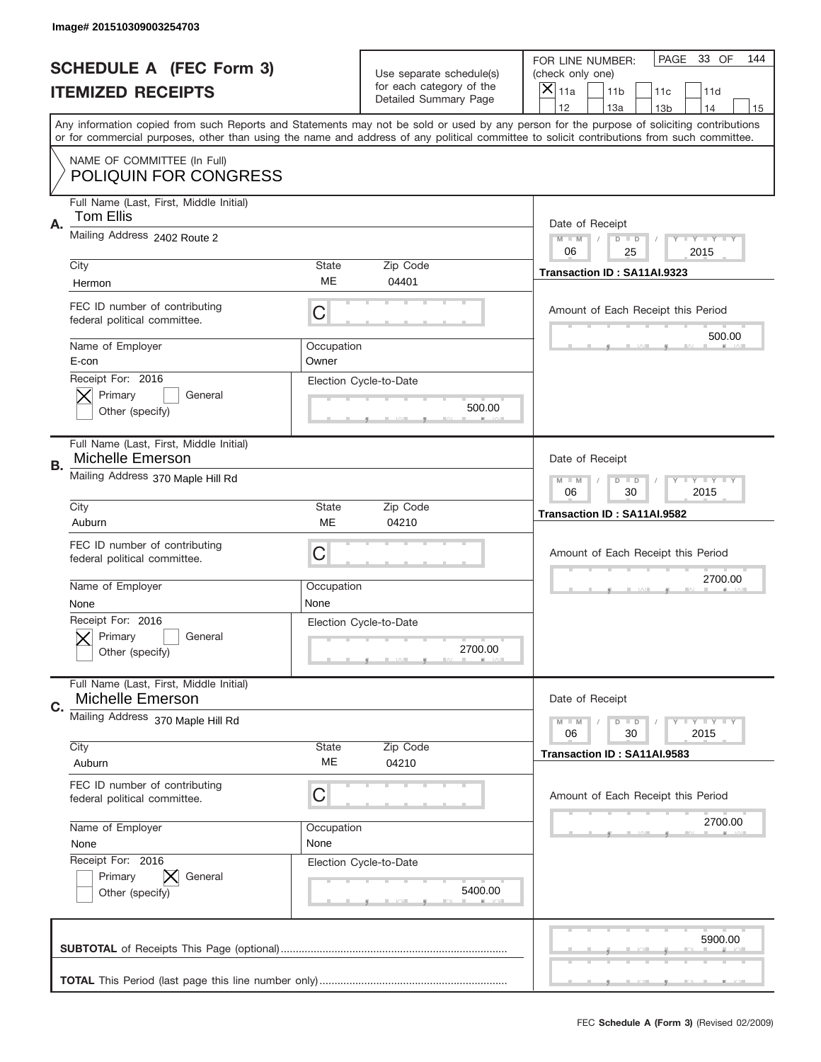|           | Image# 201510309003254703                                          |                     |                                                   |                                                                                                                                                                                                                                                                                                                                     |
|-----------|--------------------------------------------------------------------|---------------------|---------------------------------------------------|-------------------------------------------------------------------------------------------------------------------------------------------------------------------------------------------------------------------------------------------------------------------------------------------------------------------------------------|
|           | <b>SCHEDULE A (FEC Form 3)</b>                                     |                     | Use separate schedule(s)                          | PAGE 33 OF<br>144<br>FOR LINE NUMBER:<br>(check only one)                                                                                                                                                                                                                                                                           |
|           | <b>ITEMIZED RECEIPTS</b>                                           |                     | for each category of the<br>Detailed Summary Page | ×<br>11a<br>11 <sub>b</sub><br>11c<br>11d                                                                                                                                                                                                                                                                                           |
|           |                                                                    |                     |                                                   | 12<br>13a<br>14<br>13 <sub>b</sub><br>15<br>Any information copied from such Reports and Statements may not be sold or used by any person for the purpose of soliciting contributions<br>or for commercial purposes, other than using the name and address of any political committee to solicit contributions from such committee. |
|           | NAME OF COMMITTEE (In Full)<br><b>POLIQUIN FOR CONGRESS</b>        |                     |                                                   |                                                                                                                                                                                                                                                                                                                                     |
| Α.        | Full Name (Last, First, Middle Initial)<br>Tom Ellis               |                     |                                                   | Date of Receipt                                                                                                                                                                                                                                                                                                                     |
|           | Mailing Address 2402 Route 2                                       |                     |                                                   | $M - M$<br><b>THEY THEY</b><br>$D$ $D$<br>06<br>25<br>2015                                                                                                                                                                                                                                                                          |
|           | City<br>Hermon                                                     | State<br>ME         | Zip Code<br>04401                                 | Transaction ID: SA11AI.9323                                                                                                                                                                                                                                                                                                         |
|           | FEC ID number of contributing<br>federal political committee.      | C                   |                                                   | Amount of Each Receipt this Period<br>500.00                                                                                                                                                                                                                                                                                        |
|           | Name of Employer<br>E-con                                          | Occupation<br>Owner |                                                   |                                                                                                                                                                                                                                                                                                                                     |
|           | Receipt For: 2016<br>Primary<br>General<br>Other (specify)         |                     | Election Cycle-to-Date<br>500.00                  |                                                                                                                                                                                                                                                                                                                                     |
| <b>B.</b> | Full Name (Last, First, Middle Initial)<br><b>Michelle Emerson</b> |                     |                                                   | Date of Receipt                                                                                                                                                                                                                                                                                                                     |
|           | Mailing Address 370 Maple Hill Rd                                  |                     |                                                   | <b>LY LY LY</b><br>$M - M$<br>$D$ $D$<br>06<br>30<br>2015                                                                                                                                                                                                                                                                           |
|           | City<br>Auburn                                                     | State<br>ME         | Zip Code<br>04210                                 | Transaction ID: SA11AI.9582                                                                                                                                                                                                                                                                                                         |
|           | FEC ID number of contributing<br>federal political committee.      | C                   |                                                   | Amount of Each Receipt this Period                                                                                                                                                                                                                                                                                                  |
|           |                                                                    |                     |                                                   |                                                                                                                                                                                                                                                                                                                                     |
|           | Name of Employer<br>None                                           | Occupation<br>None  |                                                   | 2700.00                                                                                                                                                                                                                                                                                                                             |
|           | Receipt For: 2016<br>General<br>Primary<br>Other (specify)         |                     | Election Cycle-to-Date<br>2700.00                 |                                                                                                                                                                                                                                                                                                                                     |
| C.        | Full Name (Last, First, Middle Initial)<br>Michelle Emerson        |                     |                                                   | Date of Receipt                                                                                                                                                                                                                                                                                                                     |
|           | Mailing Address 370 Maple Hill Rd                                  |                     |                                                   | <b>LYLYLY</b><br>$M - M$<br>$D$ $D$<br>06<br>2015<br>30                                                                                                                                                                                                                                                                             |
|           | City<br>Auburn                                                     | State<br>ME         | Zip Code<br>04210                                 | Transaction ID: SA11AI.9583                                                                                                                                                                                                                                                                                                         |
|           | FEC ID number of contributing<br>federal political committee.      | C                   |                                                   | Amount of Each Receipt this Period                                                                                                                                                                                                                                                                                                  |
|           | Name of Employer<br>None                                           | Occupation<br>None  |                                                   | 2700.00                                                                                                                                                                                                                                                                                                                             |
|           | Receipt For: 2016<br>Primary<br>General<br>Other (specify)         |                     | Election Cycle-to-Date<br>5400.00                 |                                                                                                                                                                                                                                                                                                                                     |
|           |                                                                    |                     |                                                   | 5900.00                                                                                                                                                                                                                                                                                                                             |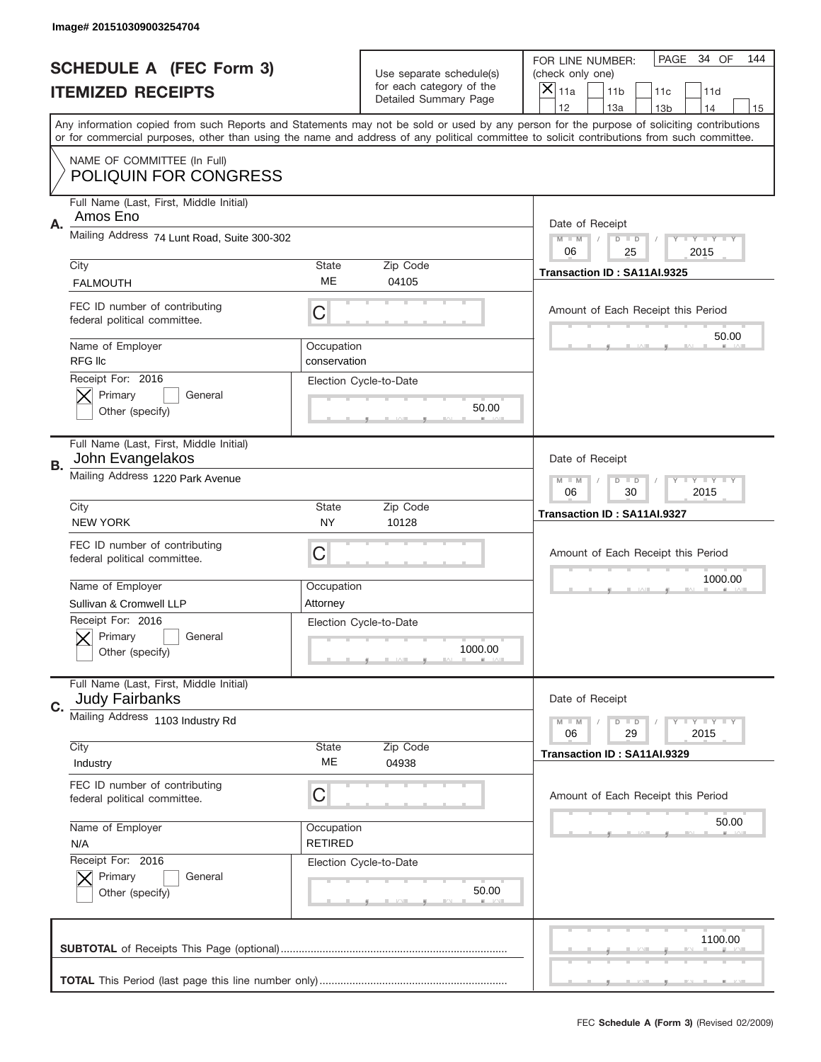|    | Image# 201510309003254704                                        |                              |                                                   |                                                                                                                                                                                       |
|----|------------------------------------------------------------------|------------------------------|---------------------------------------------------|---------------------------------------------------------------------------------------------------------------------------------------------------------------------------------------|
|    | <b>SCHEDULE A (FEC Form 3)</b>                                   |                              | Use separate schedule(s)                          | PAGE 34 OF<br>144<br>FOR LINE NUMBER:<br>(check only one)                                                                                                                             |
|    | <b>ITEMIZED RECEIPTS</b>                                         |                              | for each category of the<br>Detailed Summary Page | ×<br>11a<br>11 <sub>b</sub><br>11c<br>11d                                                                                                                                             |
|    |                                                                  |                              |                                                   | 12<br>13a<br>14<br>13 <sub>b</sub><br>15<br>Any information copied from such Reports and Statements may not be sold or used by any person for the purpose of soliciting contributions |
|    |                                                                  |                              |                                                   | or for commercial purposes, other than using the name and address of any political committee to solicit contributions from such committee.                                            |
|    | NAME OF COMMITTEE (In Full)<br><b>POLIQUIN FOR CONGRESS</b>      |                              |                                                   |                                                                                                                                                                                       |
| Α. | Full Name (Last, First, Middle Initial)<br>Amos Eno              |                              |                                                   | Date of Receipt                                                                                                                                                                       |
|    | Mailing Address 74 Lunt Road, Suite 300-302                      |                              |                                                   | $M - M$<br><b>LYLYLY</b><br>$D$ $D$<br>06<br>2015<br>25                                                                                                                               |
|    | City<br><b>FALMOUTH</b>                                          | State<br>ME                  | Zip Code<br>04105                                 | Transaction ID: SA11AI.9325                                                                                                                                                           |
|    | FEC ID number of contributing<br>federal political committee.    | C                            |                                                   | Amount of Each Receipt this Period                                                                                                                                                    |
|    | Name of Employer<br><b>RFG IIc</b>                               | Occupation<br>conservation   |                                                   | 50.00                                                                                                                                                                                 |
|    | Receipt For: 2016<br>Primary<br>General<br>Other (specify)       |                              | Election Cycle-to-Date<br>50.00                   |                                                                                                                                                                                       |
| В. | Full Name (Last, First, Middle Initial)<br>John Evangelakos      |                              |                                                   | Date of Receipt                                                                                                                                                                       |
|    | Mailing Address 1220 Park Avenue                                 |                              |                                                   | $M - M$<br>$D$ $D$<br><b>LYLYLY</b><br>06<br>30<br>2015                                                                                                                               |
|    | City<br><b>NEW YORK</b>                                          | State<br>NY.                 | Zip Code<br>10128                                 | Transaction ID: SA11AI.9327                                                                                                                                                           |
|    | FEC ID number of contributing<br>federal political committee.    | C                            |                                                   | Amount of Each Receipt this Period                                                                                                                                                    |
|    |                                                                  |                              |                                                   |                                                                                                                                                                                       |
|    | Name of Employer                                                 | Occupation                   |                                                   | 1000.00                                                                                                                                                                               |
|    | Sullivan & Cromwell LLP                                          | Attorney                     |                                                   |                                                                                                                                                                                       |
|    | Receipt For: 2016<br>General<br>Primary<br>Other (specify)       |                              | Election Cycle-to-Date<br>1000.00                 |                                                                                                                                                                                       |
| C. | Full Name (Last, First, Middle Initial)<br><b>Judy Fairbanks</b> |                              |                                                   | Date of Receipt                                                                                                                                                                       |
|    | Mailing Address 1103 Industry Rd                                 |                              |                                                   | <b>LYLYLY</b><br>$M - M$<br>$D$ $D$<br>06<br>29<br>2015                                                                                                                               |
|    | City<br>Industry                                                 | State<br>МE                  | Zip Code<br>04938                                 | Transaction ID: SA11AI.9329                                                                                                                                                           |
|    | FEC ID number of contributing<br>federal political committee.    | C                            |                                                   | Amount of Each Receipt this Period                                                                                                                                                    |
|    | Name of Employer<br>N/A                                          | Occupation<br><b>RETIRED</b> |                                                   | 50.00                                                                                                                                                                                 |
|    | Receipt For: 2016<br>Primary<br>General<br>Other (specify)       |                              | Election Cycle-to-Date<br>50.00                   |                                                                                                                                                                                       |
|    |                                                                  |                              |                                                   | 1100.00                                                                                                                                                                               |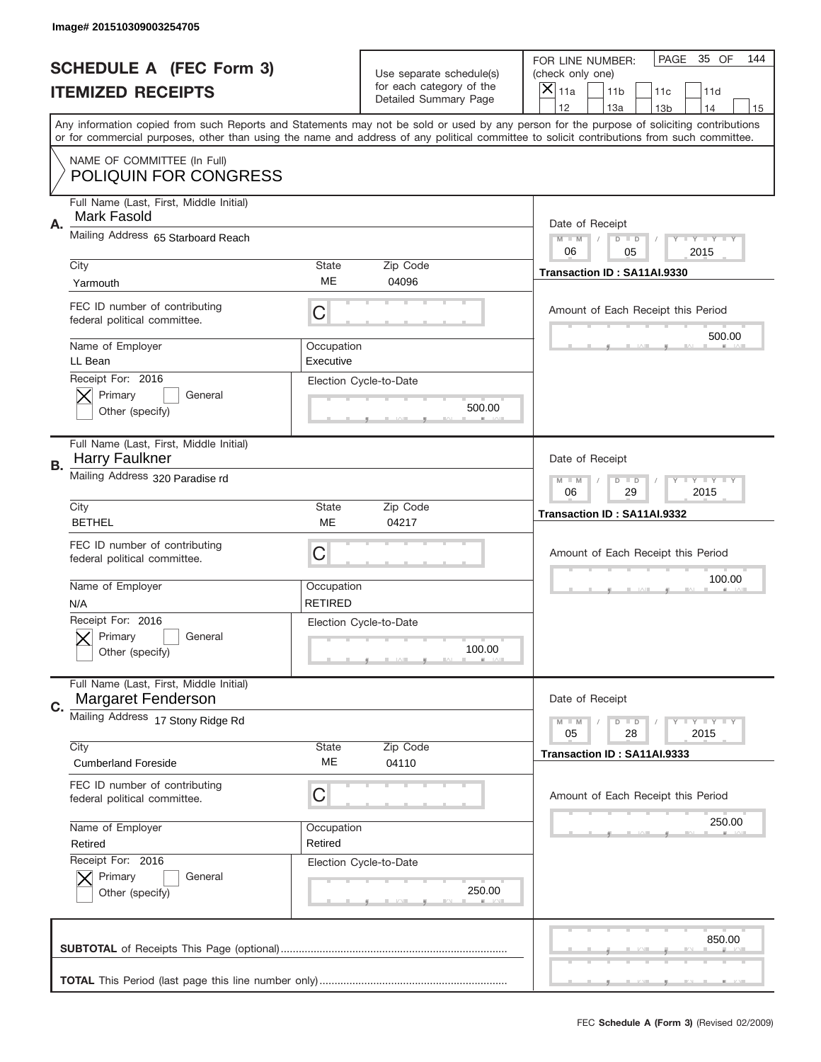|                                | Image# 201510309003254705                                            |                              |                                                   |                                                                                                                                                                                                                                                                                                                                     |  |  |
|--------------------------------|----------------------------------------------------------------------|------------------------------|---------------------------------------------------|-------------------------------------------------------------------------------------------------------------------------------------------------------------------------------------------------------------------------------------------------------------------------------------------------------------------------------------|--|--|
| <b>SCHEDULE A (FEC Form 3)</b> |                                                                      |                              | Use separate schedule(s)                          | PAGE 35 OF<br>144<br>FOR LINE NUMBER:<br>(check only one)                                                                                                                                                                                                                                                                           |  |  |
|                                | <b>ITEMIZED RECEIPTS</b>                                             |                              | for each category of the<br>Detailed Summary Page | ×<br>11a<br>11 <sub>b</sub><br>11c<br>11d                                                                                                                                                                                                                                                                                           |  |  |
|                                |                                                                      |                              |                                                   | 12<br>13a<br>14<br>13 <sub>b</sub><br>15<br>Any information copied from such Reports and Statements may not be sold or used by any person for the purpose of soliciting contributions<br>or for commercial purposes, other than using the name and address of any political committee to solicit contributions from such committee. |  |  |
|                                | NAME OF COMMITTEE (In Full)<br><b>POLIQUIN FOR CONGRESS</b>          |                              |                                                   |                                                                                                                                                                                                                                                                                                                                     |  |  |
| Α.                             | Full Name (Last, First, Middle Initial)<br>Mark Fasold               |                              |                                                   | Date of Receipt                                                                                                                                                                                                                                                                                                                     |  |  |
|                                | Mailing Address 65 Starboard Reach                                   |                              |                                                   | $M - M$<br><b>THEY THEY</b><br>$D$ $D$<br>06<br>05<br>2015                                                                                                                                                                                                                                                                          |  |  |
|                                | City<br>Yarmouth                                                     | State<br>ME                  | Zip Code<br>04096                                 | Transaction ID: SA11AI.9330                                                                                                                                                                                                                                                                                                         |  |  |
|                                | FEC ID number of contributing<br>federal political committee.        | C                            |                                                   | Amount of Each Receipt this Period<br>500.00                                                                                                                                                                                                                                                                                        |  |  |
|                                | Name of Employer<br>LL Bean                                          | Occupation<br>Executive      |                                                   |                                                                                                                                                                                                                                                                                                                                     |  |  |
|                                | Receipt For: 2016<br>Primary<br>General<br>Other (specify)           |                              | Election Cycle-to-Date<br>500.00                  |                                                                                                                                                                                                                                                                                                                                     |  |  |
| В.                             | Full Name (Last, First, Middle Initial)<br>Harry Faulkner            |                              |                                                   | Date of Receipt                                                                                                                                                                                                                                                                                                                     |  |  |
|                                | Mailing Address 320 Paradise rd                                      |                              |                                                   | $M - M$<br>$D$ $D$<br><b>LYLYLY</b><br>06<br>29<br>2015                                                                                                                                                                                                                                                                             |  |  |
|                                | City<br><b>BETHEL</b>                                                | State<br>ME                  | Zip Code<br>04217                                 | Transaction ID: SA11AI.9332                                                                                                                                                                                                                                                                                                         |  |  |
|                                | FEC ID number of contributing<br>federal political committee.        | C                            |                                                   | Amount of Each Receipt this Period                                                                                                                                                                                                                                                                                                  |  |  |
|                                | Name of Employer<br>N/A                                              | Occupation<br><b>RETIRED</b> |                                                   | 100.00                                                                                                                                                                                                                                                                                                                              |  |  |
|                                | Receipt For: 2016<br>General<br>Primary<br>Other (specify)           |                              | Election Cycle-to-Date<br>100.00                  |                                                                                                                                                                                                                                                                                                                                     |  |  |
| C.                             | Full Name (Last, First, Middle Initial)<br><b>Margaret Fenderson</b> |                              |                                                   | Date of Receipt                                                                                                                                                                                                                                                                                                                     |  |  |
|                                | Mailing Address 17 Stony Ridge Rd                                    |                              |                                                   | <b>LYLYLY</b><br>$M - M$<br>$D$ $D$<br>05<br>2015<br>28                                                                                                                                                                                                                                                                             |  |  |
|                                | City<br><b>Cumberland Foreside</b>                                   | State<br>ME                  | Zip Code<br>04110                                 | Transaction ID: SA11AI.9333                                                                                                                                                                                                                                                                                                         |  |  |
|                                | FEC ID number of contributing<br>federal political committee.        | С                            |                                                   | Amount of Each Receipt this Period                                                                                                                                                                                                                                                                                                  |  |  |
|                                | Name of Employer                                                     | Occupation                   |                                                   | 250.00                                                                                                                                                                                                                                                                                                                              |  |  |
|                                | Retired                                                              | Retired                      |                                                   |                                                                                                                                                                                                                                                                                                                                     |  |  |
|                                | Receipt For: 2016<br>Primary<br>General<br>Other (specify)           |                              | Election Cycle-to-Date<br>250.00                  |                                                                                                                                                                                                                                                                                                                                     |  |  |
|                                |                                                                      |                              |                                                   | 850.00                                                                                                                                                                                                                                                                                                                              |  |  |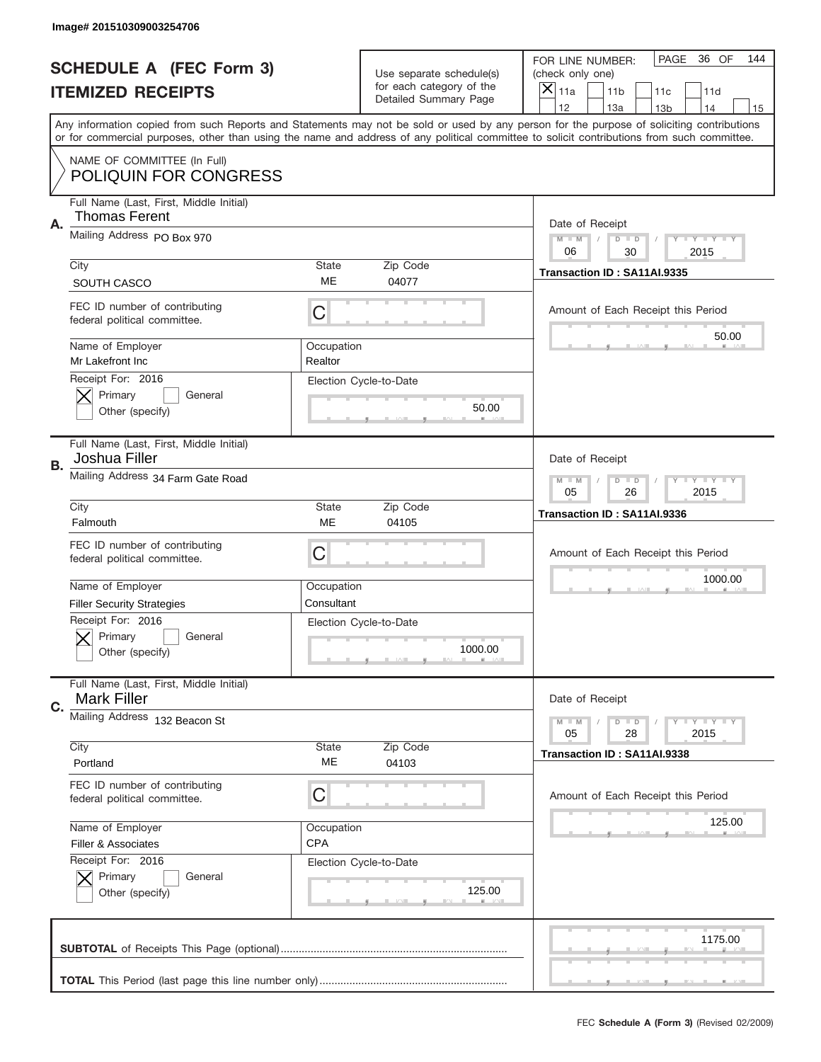|                                | Image# 201510309003254706                                                                       |                          |                                                   |                                                                                                                                                                                                                                                                                                                                     |  |
|--------------------------------|-------------------------------------------------------------------------------------------------|--------------------------|---------------------------------------------------|-------------------------------------------------------------------------------------------------------------------------------------------------------------------------------------------------------------------------------------------------------------------------------------------------------------------------------------|--|
| <b>SCHEDULE A (FEC Form 3)</b> |                                                                                                 |                          | Use separate schedule(s)                          | PAGE<br>36 OF<br>144<br>FOR LINE NUMBER:<br>(check only one)                                                                                                                                                                                                                                                                        |  |
|                                | <b>ITEMIZED RECEIPTS</b>                                                                        |                          | for each category of the<br>Detailed Summary Page | ×<br>11a<br>11 <sub>b</sub><br>11c<br>11d                                                                                                                                                                                                                                                                                           |  |
|                                |                                                                                                 |                          |                                                   | 12<br>13a<br>14<br>13 <sub>b</sub><br>15<br>Any information copied from such Reports and Statements may not be sold or used by any person for the purpose of soliciting contributions<br>or for commercial purposes, other than using the name and address of any political committee to solicit contributions from such committee. |  |
|                                | NAME OF COMMITTEE (In Full)<br><b>POLIQUIN FOR CONGRESS</b>                                     |                          |                                                   |                                                                                                                                                                                                                                                                                                                                     |  |
| Α.                             | Full Name (Last, First, Middle Initial)<br><b>Thomas Ferent</b>                                 |                          |                                                   | Date of Receipt                                                                                                                                                                                                                                                                                                                     |  |
|                                | Mailing Address PO Box 970                                                                      |                          |                                                   | $M - M$<br><b>LYLYLY</b><br>$D$ $D$<br>06<br>2015<br>30                                                                                                                                                                                                                                                                             |  |
|                                | City<br>SOUTH CASCO                                                                             | State<br>ME              | Zip Code<br>04077                                 | Transaction ID: SA11AI.9335                                                                                                                                                                                                                                                                                                         |  |
|                                | FEC ID number of contributing<br>federal political committee.                                   | C                        |                                                   | Amount of Each Receipt this Period<br>50.00                                                                                                                                                                                                                                                                                         |  |
|                                | Name of Employer<br>Mr Lakefront Inc                                                            | Occupation<br>Realtor    |                                                   |                                                                                                                                                                                                                                                                                                                                     |  |
|                                | Receipt For: 2016<br>Primary<br>General<br>Other (specify)                                      |                          | Election Cycle-to-Date<br>50.00                   |                                                                                                                                                                                                                                                                                                                                     |  |
| <b>B.</b>                      | Full Name (Last, First, Middle Initial)<br>Joshua Filler                                        |                          |                                                   | Date of Receipt                                                                                                                                                                                                                                                                                                                     |  |
|                                | Mailing Address 34 Farm Gate Road                                                               |                          |                                                   | $M - M$<br>$D$ $D$<br><b>LYLYLY</b><br>05<br>26<br>2015                                                                                                                                                                                                                                                                             |  |
|                                | City<br>Falmouth                                                                                | State<br>ME              | Zip Code<br>04105                                 | Transaction ID: SA11AI.9336                                                                                                                                                                                                                                                                                                         |  |
|                                |                                                                                                 |                          |                                                   |                                                                                                                                                                                                                                                                                                                                     |  |
|                                | FEC ID number of contributing<br>federal political committee.                                   | C                        |                                                   | Amount of Each Receipt this Period                                                                                                                                                                                                                                                                                                  |  |
|                                | Name of Employer                                                                                | Occupation               |                                                   | 1000.00                                                                                                                                                                                                                                                                                                                             |  |
|                                | <b>Filler Security Strategies</b><br>Receipt For: 2016<br>General<br>Primary<br>Other (specify) | Consultant               | Election Cycle-to-Date<br>1000.00                 |                                                                                                                                                                                                                                                                                                                                     |  |
| C.                             | Full Name (Last, First, Middle Initial)<br><b>Mark Filler</b>                                   |                          |                                                   | Date of Receipt                                                                                                                                                                                                                                                                                                                     |  |
|                                | Mailing Address 132 Beacon St                                                                   |                          |                                                   | <b>LY LY LY</b><br>$M - M$<br>$D$ $D$<br>05<br>2015<br>28                                                                                                                                                                                                                                                                           |  |
|                                | City<br>Portland                                                                                | State<br>ME              | Zip Code<br>04103                                 | Transaction ID: SA11AI.9338                                                                                                                                                                                                                                                                                                         |  |
|                                | FEC ID number of contributing<br>federal political committee.                                   | С                        |                                                   | Amount of Each Receipt this Period                                                                                                                                                                                                                                                                                                  |  |
|                                | Name of Employer<br>Filler & Associates                                                         | Occupation<br><b>CPA</b> |                                                   | 125.00                                                                                                                                                                                                                                                                                                                              |  |
|                                | Receipt For: 2016<br>Primary<br>General<br>Other (specify)                                      |                          | Election Cycle-to-Date<br>125.00                  |                                                                                                                                                                                                                                                                                                                                     |  |
|                                |                                                                                                 |                          |                                                   | 1175.00                                                                                                                                                                                                                                                                                                                             |  |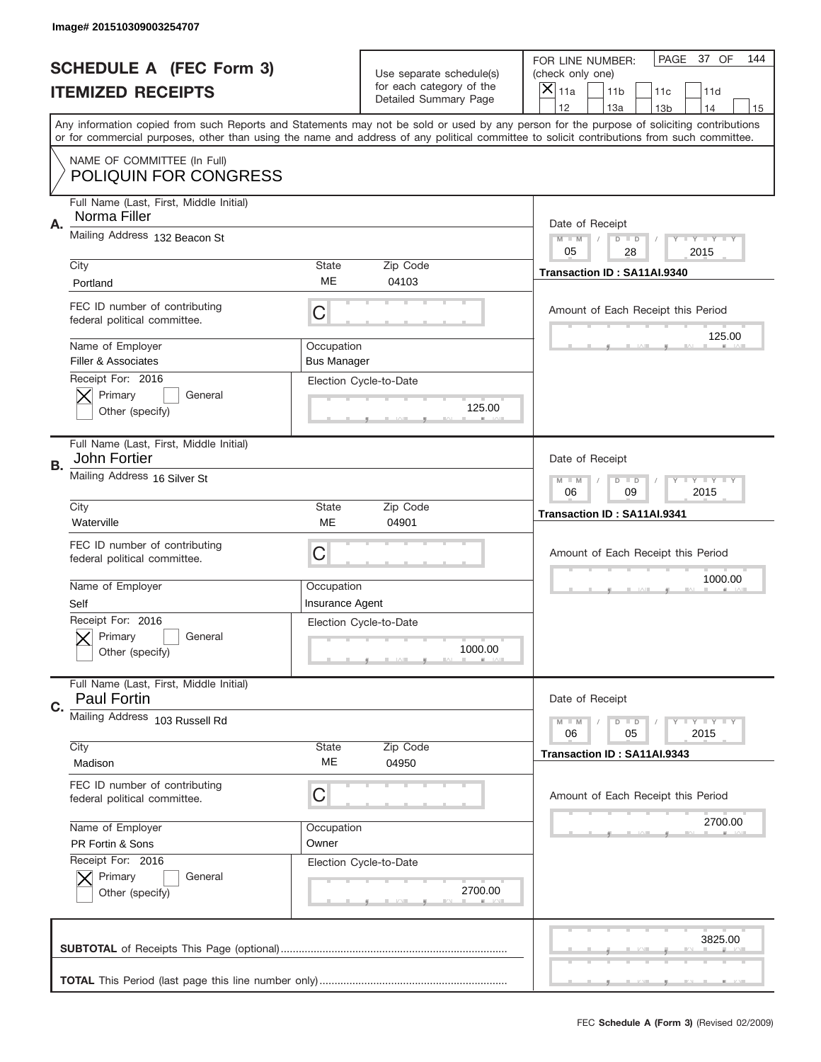|    | Image# 201510309003254707                                     |                                  |                                                      |                                                                                                                                                                                                                                                                                                                                     |
|----|---------------------------------------------------------------|----------------------------------|------------------------------------------------------|-------------------------------------------------------------------------------------------------------------------------------------------------------------------------------------------------------------------------------------------------------------------------------------------------------------------------------------|
|    | <b>SCHEDULE A (FEC Form 3)</b>                                |                                  | Use separate schedule(s)<br>for each category of the | PAGE 37 OF<br>144<br>FOR LINE NUMBER:<br>(check only one)                                                                                                                                                                                                                                                                           |
|    | <b>ITEMIZED RECEIPTS</b>                                      |                                  | Detailed Summary Page                                | ×<br>11a<br>11 <sub>b</sub><br>11c<br>11d                                                                                                                                                                                                                                                                                           |
|    |                                                               |                                  |                                                      | 12<br>13a<br>14<br>13 <sub>b</sub><br>15<br>Any information copied from such Reports and Statements may not be sold or used by any person for the purpose of soliciting contributions<br>or for commercial purposes, other than using the name and address of any political committee to solicit contributions from such committee. |
|    | NAME OF COMMITTEE (In Full)<br>POLIQUIN FOR CONGRESS          |                                  |                                                      |                                                                                                                                                                                                                                                                                                                                     |
| Α. | Full Name (Last, First, Middle Initial)<br>Norma Filler       |                                  |                                                      | Date of Receipt                                                                                                                                                                                                                                                                                                                     |
|    | Mailing Address 132 Beacon St                                 |                                  |                                                      | $M - M$<br><b>LYLYLY</b><br>$D$ $D$<br>05<br>2015<br>28                                                                                                                                                                                                                                                                             |
|    | City<br>Portland                                              | State<br>ME                      | Zip Code<br>04103                                    | Transaction ID: SA11AI.9340                                                                                                                                                                                                                                                                                                         |
|    | FEC ID number of contributing<br>federal political committee. | C                                |                                                      | Amount of Each Receipt this Period<br>125.00                                                                                                                                                                                                                                                                                        |
|    | Name of Employer<br>Filler & Associates                       | Occupation<br><b>Bus Manager</b> |                                                      |                                                                                                                                                                                                                                                                                                                                     |
|    | Receipt For: 2016<br>Primary<br>General<br>Other (specify)    |                                  | Election Cycle-to-Date<br>125.00                     |                                                                                                                                                                                                                                                                                                                                     |
| В. | Full Name (Last, First, Middle Initial)<br>John Fortier       |                                  |                                                      | Date of Receipt                                                                                                                                                                                                                                                                                                                     |
|    | Mailing Address 16 Silver St                                  |                                  |                                                      | <b>LY LY LY</b><br>$M - M$<br>$D$ $D$<br>06<br>09<br>2015                                                                                                                                                                                                                                                                           |
|    | City<br>Waterville                                            | State<br>ME                      | Zip Code<br>04901                                    | Transaction ID: SA11AI.9341                                                                                                                                                                                                                                                                                                         |
|    | FEC ID number of contributing<br>federal political committee. | C                                |                                                      | Amount of Each Receipt this Period                                                                                                                                                                                                                                                                                                  |
|    | Name of Employer                                              | Occupation                       |                                                      | 1000.00                                                                                                                                                                                                                                                                                                                             |
|    | Self                                                          | Insurance Agent                  |                                                      |                                                                                                                                                                                                                                                                                                                                     |
|    | Receipt For: 2016<br>General<br>Primary<br>Other (specify)    |                                  | Election Cycle-to-Date<br>1000.00                    |                                                                                                                                                                                                                                                                                                                                     |
| C. | Full Name (Last, First, Middle Initial)<br><b>Paul Fortin</b> |                                  |                                                      | Date of Receipt                                                                                                                                                                                                                                                                                                                     |
|    | Mailing Address 103 Russell Rd                                |                                  |                                                      | <b>LYLYLY</b><br>$M - M$<br>$D$ $D$<br>06<br>05<br>2015                                                                                                                                                                                                                                                                             |
|    | City<br>Madison                                               | State<br>МE                      | Zip Code<br>04950                                    | Transaction ID: SA11AI.9343                                                                                                                                                                                                                                                                                                         |
|    | FEC ID number of contributing<br>federal political committee. | C                                |                                                      | Amount of Each Receipt this Period                                                                                                                                                                                                                                                                                                  |
|    | Name of Employer<br>PR Fortin & Sons                          | Occupation<br>Owner              |                                                      | 2700.00                                                                                                                                                                                                                                                                                                                             |
|    | Receipt For: 2016<br>Primary<br>General<br>Other (specify)    |                                  | Election Cycle-to-Date<br>2700.00                    |                                                                                                                                                                                                                                                                                                                                     |
|    |                                                               |                                  |                                                      | 3825.00                                                                                                                                                                                                                                                                                                                             |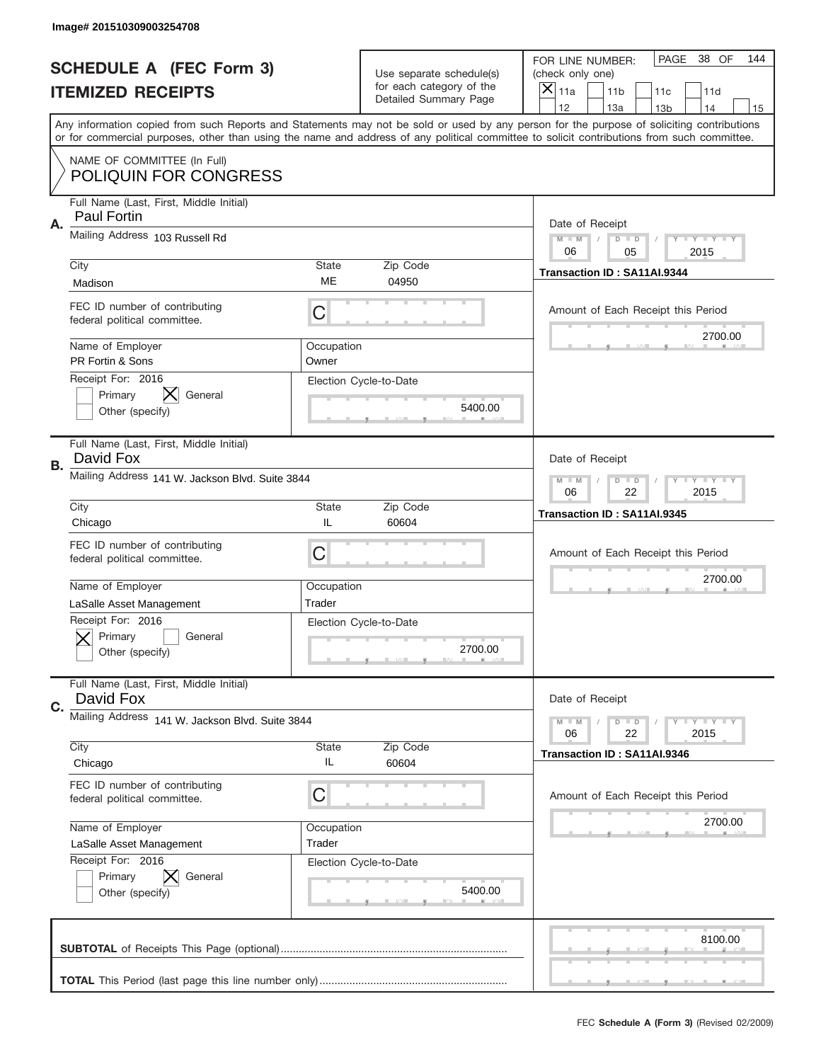|    | Image# 201510309003254708                                         |                                                                   |                                                   |                                                                                                                                                                                                                                                                                         |
|----|-------------------------------------------------------------------|-------------------------------------------------------------------|---------------------------------------------------|-----------------------------------------------------------------------------------------------------------------------------------------------------------------------------------------------------------------------------------------------------------------------------------------|
|    | <b>SCHEDULE A (FEC Form 3)</b>                                    |                                                                   | Use separate schedule(s)                          | PAGE<br>38 OF<br>144<br>FOR LINE NUMBER:<br>(check only one)                                                                                                                                                                                                                            |
|    | <b>ITEMIZED RECEIPTS</b>                                          |                                                                   | for each category of the<br>Detailed Summary Page | ×<br>11a<br>11 <sub>b</sub><br>11c<br>11d                                                                                                                                                                                                                                               |
|    |                                                                   |                                                                   |                                                   | 12<br>13a<br>14<br>13 <sub>b</sub><br>15                                                                                                                                                                                                                                                |
|    |                                                                   |                                                                   |                                                   | Any information copied from such Reports and Statements may not be sold or used by any person for the purpose of soliciting contributions<br>or for commercial purposes, other than using the name and address of any political committee to solicit contributions from such committee. |
|    | NAME OF COMMITTEE (In Full)<br><b>POLIQUIN FOR CONGRESS</b>       |                                                                   |                                                   |                                                                                                                                                                                                                                                                                         |
| Α. | Full Name (Last, First, Middle Initial)<br><b>Paul Fortin</b>     |                                                                   |                                                   | Date of Receipt                                                                                                                                                                                                                                                                         |
|    | Mailing Address 103 Russell Rd                                    |                                                                   |                                                   | $M - M$<br><b>LYLYLY</b><br>$D$ $D$<br>06<br>05<br>2015                                                                                                                                                                                                                                 |
|    | City                                                              | State                                                             | Zip Code                                          | Transaction ID: SA11AI.9344                                                                                                                                                                                                                                                             |
|    | Madison                                                           | ME                                                                | 04950                                             |                                                                                                                                                                                                                                                                                         |
|    | FEC ID number of contributing<br>federal political committee.     | C                                                                 |                                                   | Amount of Each Receipt this Period                                                                                                                                                                                                                                                      |
|    | Name of Employer<br>PR Fortin & Sons                              | Occupation<br>Owner                                               |                                                   | 2700.00                                                                                                                                                                                                                                                                                 |
|    | Receipt For: 2016<br>IХ.<br>Primary<br>General<br>Other (specify) |                                                                   | Election Cycle-to-Date<br>5400.00                 |                                                                                                                                                                                                                                                                                         |
| В. | Full Name (Last, First, Middle Initial)<br>David Fox              |                                                                   |                                                   | Date of Receipt                                                                                                                                                                                                                                                                         |
|    | Mailing Address 141 W. Jackson Blvd. Suite 3844                   | $T$ $Y$ $T$ $Y$ $T$ $Y$<br>$M - M$<br>$D$ $D$<br>06<br>22<br>2015 |                                                   |                                                                                                                                                                                                                                                                                         |
|    | City<br>Chicago                                                   | State<br>IL                                                       | Zip Code<br>60604                                 | Transaction ID: SA11AI.9345                                                                                                                                                                                                                                                             |
|    |                                                                   |                                                                   |                                                   |                                                                                                                                                                                                                                                                                         |
|    | FEC ID number of contributing<br>federal political committee.     | C                                                                 |                                                   | Amount of Each Receipt this Period                                                                                                                                                                                                                                                      |
|    |                                                                   |                                                                   |                                                   |                                                                                                                                                                                                                                                                                         |
|    | Name of Employer                                                  | Occupation                                                        |                                                   | 2700.00                                                                                                                                                                                                                                                                                 |
|    | LaSalle Asset Management                                          | Trader                                                            |                                                   |                                                                                                                                                                                                                                                                                         |
|    | Receipt For: 2016<br>General<br>Primary<br>Other (specify)        |                                                                   | Election Cycle-to-Date<br>2700.00                 |                                                                                                                                                                                                                                                                                         |
| C. | Full Name (Last, First, Middle Initial)<br>David Fox              |                                                                   |                                                   | Date of Receipt                                                                                                                                                                                                                                                                         |
|    | Mailing Address 141 W. Jackson Blvd. Suite 3844                   |                                                                   |                                                   | $M - M$<br>$D$ $D$<br><b>LY LY LY</b>                                                                                                                                                                                                                                                   |
|    | City                                                              | State                                                             | Zip Code                                          | 06<br>22<br>2015                                                                                                                                                                                                                                                                        |
|    | Chicago                                                           | IL                                                                | 60604                                             | Transaction ID: SA11AI.9346                                                                                                                                                                                                                                                             |
|    | FEC ID number of contributing<br>federal political committee.     | С                                                                 |                                                   | Amount of Each Receipt this Period                                                                                                                                                                                                                                                      |
|    | Name of Employer                                                  | Occupation                                                        |                                                   | 2700.00                                                                                                                                                                                                                                                                                 |
|    | LaSalle Asset Management                                          | Trader                                                            |                                                   |                                                                                                                                                                                                                                                                                         |
|    | Receipt For: 2016<br>Primary<br>General<br>Other (specify)        |                                                                   | Election Cycle-to-Date<br>5400.00                 |                                                                                                                                                                                                                                                                                         |
|    |                                                                   |                                                                   |                                                   | 8100.00                                                                                                                                                                                                                                                                                 |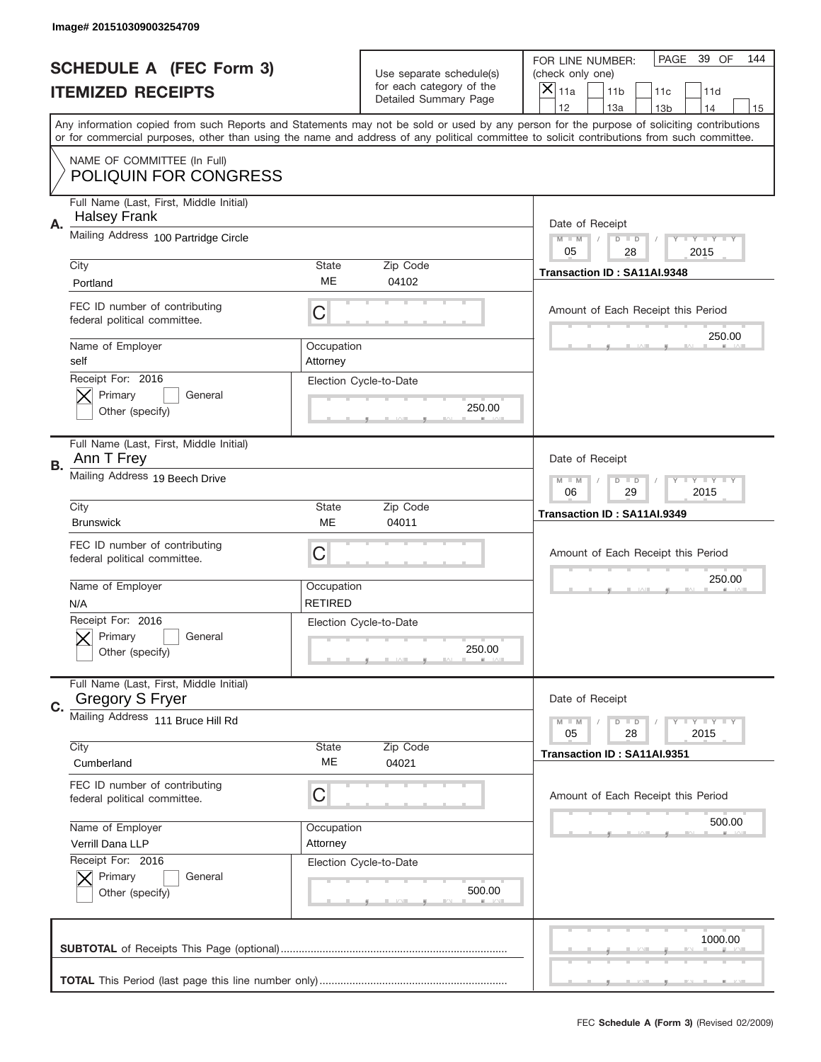|    | Image# 201510309003254709                                         |                              |                                                   |                                                                                                                                                                                                                                                                                                                                     |
|----|-------------------------------------------------------------------|------------------------------|---------------------------------------------------|-------------------------------------------------------------------------------------------------------------------------------------------------------------------------------------------------------------------------------------------------------------------------------------------------------------------------------------|
|    | <b>SCHEDULE A (FEC Form 3)</b>                                    |                              | Use separate schedule(s)                          | PAGE<br>39 OF<br>144<br>FOR LINE NUMBER:<br>(check only one)                                                                                                                                                                                                                                                                        |
|    | <b>ITEMIZED RECEIPTS</b>                                          |                              | for each category of the<br>Detailed Summary Page | ×<br>11a<br>11 <sub>b</sub><br>11c<br>11d                                                                                                                                                                                                                                                                                           |
|    |                                                                   |                              |                                                   | 12<br>13a<br>14<br>13 <sub>b</sub><br>15<br>Any information copied from such Reports and Statements may not be sold or used by any person for the purpose of soliciting contributions<br>or for commercial purposes, other than using the name and address of any political committee to solicit contributions from such committee. |
|    | NAME OF COMMITTEE (In Full)<br><b>POLIQUIN FOR CONGRESS</b>       |                              |                                                   |                                                                                                                                                                                                                                                                                                                                     |
| Α. | Full Name (Last, First, Middle Initial)<br><b>Halsey Frank</b>    |                              |                                                   | Date of Receipt                                                                                                                                                                                                                                                                                                                     |
|    | Mailing Address 100 Partridge Circle                              |                              |                                                   | $M - M$<br><b>THEY THEY</b><br>$D$ $D$<br>05<br>28<br>2015                                                                                                                                                                                                                                                                          |
|    | City<br>Portland                                                  | State<br>ME                  | Zip Code<br>04102                                 | Transaction ID: SA11AI.9348                                                                                                                                                                                                                                                                                                         |
|    | FEC ID number of contributing<br>federal political committee.     | C                            |                                                   | Amount of Each Receipt this Period<br>250.00                                                                                                                                                                                                                                                                                        |
|    | Name of Employer<br>self                                          | Occupation<br>Attorney       |                                                   |                                                                                                                                                                                                                                                                                                                                     |
|    | Receipt For: 2016<br>Primary<br>General<br>Other (specify)        |                              | Election Cycle-to-Date<br>250.00                  |                                                                                                                                                                                                                                                                                                                                     |
| В. | Full Name (Last, First, Middle Initial)<br>Ann T Frey             |                              |                                                   | Date of Receipt                                                                                                                                                                                                                                                                                                                     |
|    | Mailing Address 19 Beech Drive                                    |                              |                                                   | $M - M$<br>$D$ $D$<br><b>LYLYLY</b><br>06<br>29<br>2015                                                                                                                                                                                                                                                                             |
|    | City<br><b>Brunswick</b>                                          | <b>State</b><br>ME           | Zip Code<br>04011                                 | Transaction ID: SA11AI.9349                                                                                                                                                                                                                                                                                                         |
|    | FEC ID number of contributing<br>federal political committee.     | C                            |                                                   | Amount of Each Receipt this Period                                                                                                                                                                                                                                                                                                  |
|    | Name of Employer                                                  |                              |                                                   | 250.00                                                                                                                                                                                                                                                                                                                              |
|    | N/A                                                               | Occupation<br><b>RETIRED</b> |                                                   |                                                                                                                                                                                                                                                                                                                                     |
|    | Receipt For: 2016<br>General<br>Primary<br>Other (specify)        |                              | Election Cycle-to-Date<br>250.00                  |                                                                                                                                                                                                                                                                                                                                     |
| C. | Full Name (Last, First, Middle Initial)<br><b>Gregory S Fryer</b> |                              |                                                   | Date of Receipt                                                                                                                                                                                                                                                                                                                     |
|    | Mailing Address 111 Bruce Hill Rd                                 |                              |                                                   | <b>LYLYLY</b><br>$M - M$<br>$D$ $D$<br>05<br>2015<br>28                                                                                                                                                                                                                                                                             |
|    | City<br>Cumberland                                                | State<br>ME                  | Zip Code<br>04021                                 | Transaction ID: SA11AI.9351                                                                                                                                                                                                                                                                                                         |
|    | FEC ID number of contributing<br>federal political committee.     | С                            |                                                   | Amount of Each Receipt this Period                                                                                                                                                                                                                                                                                                  |
|    | Name of Employer<br>Verrill Dana LLP                              | Occupation<br>Attorney       |                                                   | 500.00                                                                                                                                                                                                                                                                                                                              |
|    | Receipt For: 2016<br>Primary<br>General<br>Other (specify)        |                              | Election Cycle-to-Date<br>500.00                  |                                                                                                                                                                                                                                                                                                                                     |
|    |                                                                   |                              |                                                   | 1000.00                                                                                                                                                                                                                                                                                                                             |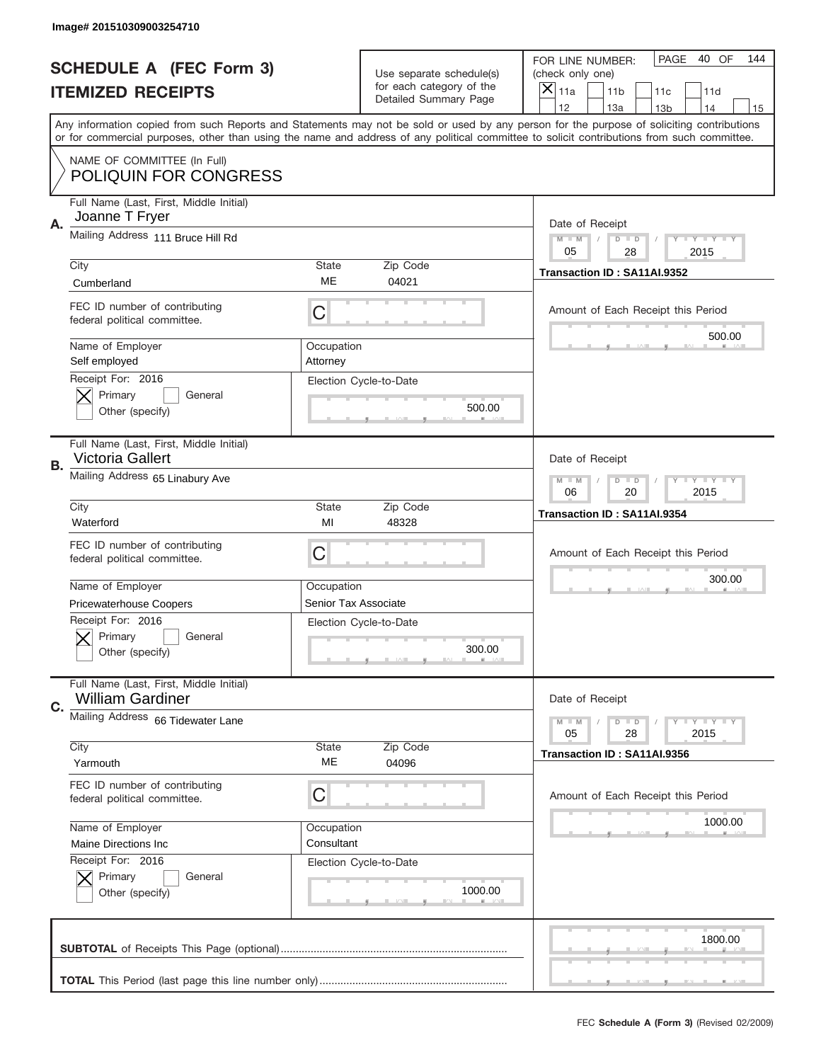|    | Image# 201510309003254710                                          |                        |                                                         |                                                                                                                                                                                       |
|----|--------------------------------------------------------------------|------------------------|---------------------------------------------------------|---------------------------------------------------------------------------------------------------------------------------------------------------------------------------------------|
|    | <b>SCHEDULE A (FEC Form 3)</b>                                     |                        | Use separate schedule(s)                                | PAGE<br>40 OF<br>144<br>FOR LINE NUMBER:<br>(check only one)                                                                                                                          |
|    | <b>ITEMIZED RECEIPTS</b>                                           |                        | for each category of the<br>Detailed Summary Page       | ×<br>11a<br>11 <sub>b</sub><br>11c<br>11d                                                                                                                                             |
|    |                                                                    |                        |                                                         | 12<br>13a<br>14<br>13 <sub>b</sub><br>15<br>Any information copied from such Reports and Statements may not be sold or used by any person for the purpose of soliciting contributions |
|    |                                                                    |                        |                                                         | or for commercial purposes, other than using the name and address of any political committee to solicit contributions from such committee.                                            |
|    | NAME OF COMMITTEE (In Full)<br><b>POLIQUIN FOR CONGRESS</b>        |                        |                                                         |                                                                                                                                                                                       |
| Α. | Full Name (Last, First, Middle Initial)<br>Joanne T Fryer          |                        |                                                         | Date of Receipt                                                                                                                                                                       |
|    | Mailing Address 111 Bruce Hill Rd                                  |                        |                                                         | $M - M$<br><b>LYLYLY</b><br>$D$ $D$<br>05<br>28<br>2015                                                                                                                               |
|    | City                                                               | State                  | Zip Code                                                | Transaction ID: SA11AI.9352                                                                                                                                                           |
|    | Cumberland                                                         | ME                     | 04021                                                   |                                                                                                                                                                                       |
|    | FEC ID number of contributing<br>federal political committee.      | C                      |                                                         | Amount of Each Receipt this Period                                                                                                                                                    |
|    | Name of Employer<br>Self employed                                  | Occupation<br>Attorney |                                                         | 500.00                                                                                                                                                                                |
|    | Receipt For: 2016<br>Primary<br>General<br>Other (specify)         |                        | Election Cycle-to-Date<br>500.00                        |                                                                                                                                                                                       |
| В. | Full Name (Last, First, Middle Initial)<br>Victoria Gallert        |                        |                                                         | Date of Receipt                                                                                                                                                                       |
|    | Mailing Address 65 Linabury Ave                                    |                        | $M - M$<br>$D$ $D$<br><b>LYLYLY</b><br>06<br>20<br>2015 |                                                                                                                                                                                       |
|    | City                                                               | State                  | Zip Code                                                | Transaction ID: SA11AI.9354                                                                                                                                                           |
|    | Waterford                                                          | MI                     | 48328                                                   |                                                                                                                                                                                       |
|    |                                                                    |                        |                                                         |                                                                                                                                                                                       |
|    | FEC ID number of contributing<br>federal political committee.      | C                      |                                                         | Amount of Each Receipt this Period                                                                                                                                                    |
|    | Name of Employer                                                   | Occupation             |                                                         | 300.00                                                                                                                                                                                |
|    | <b>Pricewaterhouse Coopers</b>                                     | Senior Tax Associate   |                                                         |                                                                                                                                                                                       |
|    | Receipt For: 2016<br>General<br>Primary<br>Other (specify)         |                        | Election Cycle-to-Date<br>300.00                        |                                                                                                                                                                                       |
|    | Full Name (Last, First, Middle Initial)<br><b>William Gardiner</b> |                        |                                                         | Date of Receipt                                                                                                                                                                       |
| C. | Mailing Address 66 Tidewater Lane                                  |                        |                                                         | <b>LYLYLY</b><br>$M - M$<br>$D$ $D$<br>05<br>2015<br>28                                                                                                                               |
|    | City                                                               | <b>State</b>           | Zip Code                                                | Transaction ID: SA11AI.9356                                                                                                                                                           |
|    | Yarmouth                                                           | МE                     | 04096                                                   |                                                                                                                                                                                       |
|    | FEC ID number of contributing<br>federal political committee.      | C                      |                                                         | Amount of Each Receipt this Period                                                                                                                                                    |
|    | Name of Employer                                                   | Occupation             |                                                         | 1000.00                                                                                                                                                                               |
|    | Maine Directions Inc                                               | Consultant             |                                                         |                                                                                                                                                                                       |
|    | Receipt For: 2016<br>Primary<br>General<br>Other (specify)         |                        | Election Cycle-to-Date<br>1000.00                       |                                                                                                                                                                                       |
|    |                                                                    |                        |                                                         | 1800.00                                                                                                                                                                               |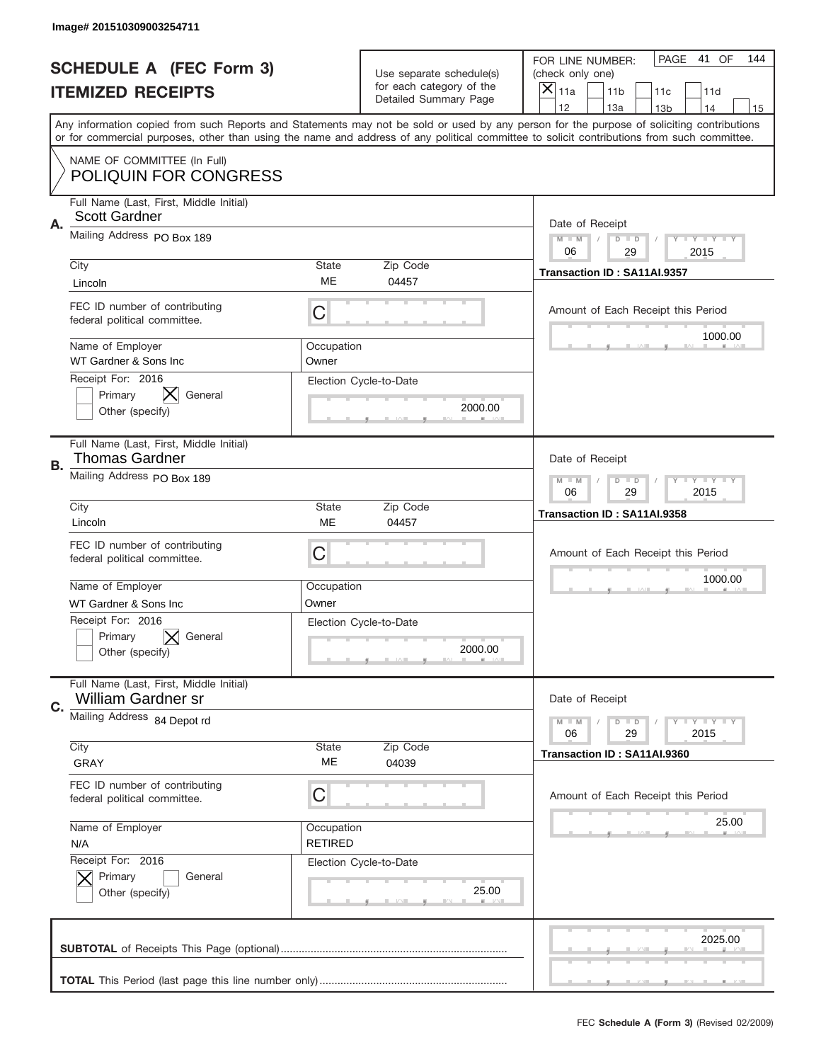|    | Image# 201510309003254711                                            |                              |                                                      |                                                                                                                                                                                                                                                                                                                                     |
|----|----------------------------------------------------------------------|------------------------------|------------------------------------------------------|-------------------------------------------------------------------------------------------------------------------------------------------------------------------------------------------------------------------------------------------------------------------------------------------------------------------------------------|
|    | <b>SCHEDULE A (FEC Form 3)</b>                                       |                              | Use separate schedule(s)<br>for each category of the | PAGE 41 OF<br>144<br>FOR LINE NUMBER:<br>(check only one)                                                                                                                                                                                                                                                                           |
|    | <b>ITEMIZED RECEIPTS</b>                                             |                              | Detailed Summary Page                                | ×<br>11a<br>11 <sub>b</sub><br>11c<br>11d                                                                                                                                                                                                                                                                                           |
|    |                                                                      |                              |                                                      | 12<br>13a<br>14<br>13 <sub>b</sub><br>15<br>Any information copied from such Reports and Statements may not be sold or used by any person for the purpose of soliciting contributions<br>or for commercial purposes, other than using the name and address of any political committee to solicit contributions from such committee. |
|    | NAME OF COMMITTEE (In Full)<br><b>POLIQUIN FOR CONGRESS</b>          |                              |                                                      |                                                                                                                                                                                                                                                                                                                                     |
| Α. | Full Name (Last, First, Middle Initial)<br><b>Scott Gardner</b>      |                              |                                                      | Date of Receipt                                                                                                                                                                                                                                                                                                                     |
|    | Mailing Address PO Box 189                                           |                              |                                                      | $M - M$<br><b>LYLYLY</b><br>$D$ $D$<br>06<br>2015<br>29                                                                                                                                                                                                                                                                             |
|    | City<br>Lincoln                                                      | State<br>MЕ                  | Zip Code<br>04457                                    | Transaction ID: SA11AI.9357                                                                                                                                                                                                                                                                                                         |
|    | FEC ID number of contributing<br>federal political committee.        | C                            |                                                      | Amount of Each Receipt this Period<br>1000.00                                                                                                                                                                                                                                                                                       |
|    | Name of Employer<br>WT Gardner & Sons Inc                            | Occupation<br>Owner          |                                                      |                                                                                                                                                                                                                                                                                                                                     |
|    | Receipt For: 2016<br>⋉<br>Primary<br>General<br>Other (specify)      |                              | Election Cycle-to-Date<br>2000.00                    |                                                                                                                                                                                                                                                                                                                                     |
| В. | Full Name (Last, First, Middle Initial)<br><b>Thomas Gardner</b>     |                              |                                                      | Date of Receipt                                                                                                                                                                                                                                                                                                                     |
|    | Mailing Address PO Box 189                                           |                              |                                                      | $M - M$<br>$D$ $D$<br><b>LYLYLY</b><br>06<br>29<br>2015                                                                                                                                                                                                                                                                             |
|    | City<br>Lincoln                                                      | State<br>ME                  | Zip Code<br>04457                                    | Transaction ID: SA11AI.9358                                                                                                                                                                                                                                                                                                         |
|    | FEC ID number of contributing<br>federal political committee.        | C                            |                                                      | Amount of Each Receipt this Period                                                                                                                                                                                                                                                                                                  |
|    | Name of Employer<br>WT Gardner & Sons Inc.                           | Occupation<br>Owner          |                                                      | 1000.00                                                                                                                                                                                                                                                                                                                             |
|    | Receipt For: 2016<br>General<br>Primary<br>Other (specify)           |                              | Election Cycle-to-Date<br>2000.00                    |                                                                                                                                                                                                                                                                                                                                     |
|    |                                                                      |                              |                                                      |                                                                                                                                                                                                                                                                                                                                     |
| C. | Full Name (Last, First, Middle Initial)<br><b>William Gardner sr</b> |                              |                                                      | Date of Receipt                                                                                                                                                                                                                                                                                                                     |
|    | Mailing Address 84 Depot rd                                          |                              |                                                      | <b>LYLYLY</b><br>$M - M$<br>$D$ $D$<br>06<br>29<br>2015                                                                                                                                                                                                                                                                             |
|    | City<br>GRAY                                                         | State<br>МE                  | Zip Code<br>04039                                    | Transaction ID: SA11AI.9360                                                                                                                                                                                                                                                                                                         |
|    | FEC ID number of contributing<br>federal political committee.        | C                            |                                                      | Amount of Each Receipt this Period                                                                                                                                                                                                                                                                                                  |
|    | Name of Employer<br>N/A                                              | Occupation<br><b>RETIRED</b> |                                                      | 25.00                                                                                                                                                                                                                                                                                                                               |
|    | Receipt For: 2016<br>Primary<br>General<br>Other (specify)           |                              | Election Cycle-to-Date<br>25.00                      |                                                                                                                                                                                                                                                                                                                                     |
|    |                                                                      |                              |                                                      | 2025.00                                                                                                                                                                                                                                                                                                                             |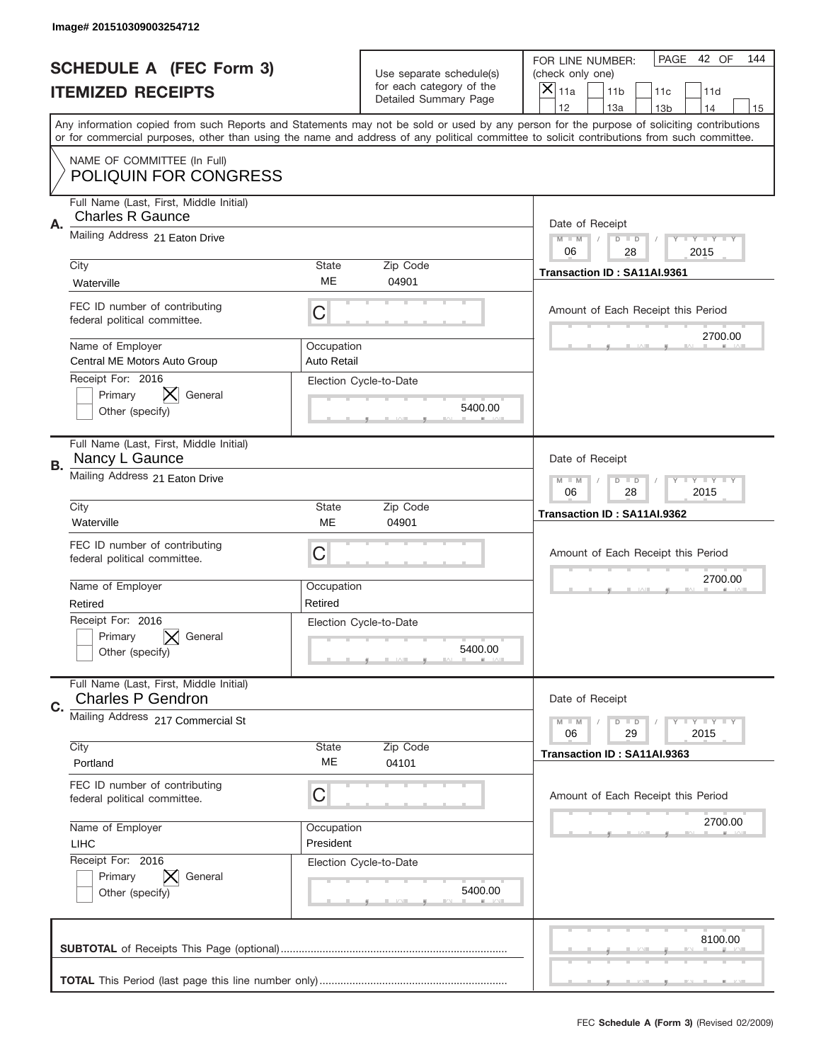|    | Image# 201510309003254712                                          |                           |                                                         |                                                                                                                                                                                                                                                                                                                                     |
|----|--------------------------------------------------------------------|---------------------------|---------------------------------------------------------|-------------------------------------------------------------------------------------------------------------------------------------------------------------------------------------------------------------------------------------------------------------------------------------------------------------------------------------|
|    | <b>SCHEDULE A (FEC Form 3)</b>                                     |                           | Use separate schedule(s)                                | PAGE 42 OF<br>144<br>FOR LINE NUMBER:<br>(check only one)                                                                                                                                                                                                                                                                           |
|    | <b>ITEMIZED RECEIPTS</b>                                           |                           | for each category of the<br>Detailed Summary Page       | ×<br>11a<br>11 <sub>b</sub><br>11c<br>11d                                                                                                                                                                                                                                                                                           |
|    |                                                                    |                           |                                                         | 12<br>13a<br>14<br>13 <sub>b</sub><br>15<br>Any information copied from such Reports and Statements may not be sold or used by any person for the purpose of soliciting contributions<br>or for commercial purposes, other than using the name and address of any political committee to solicit contributions from such committee. |
|    | NAME OF COMMITTEE (In Full)<br><b>POLIQUIN FOR CONGRESS</b>        |                           |                                                         |                                                                                                                                                                                                                                                                                                                                     |
| Α. | Full Name (Last, First, Middle Initial)<br><b>Charles R Gaunce</b> |                           |                                                         | Date of Receipt                                                                                                                                                                                                                                                                                                                     |
|    | Mailing Address 21 Eaton Drive<br>City                             | State                     | Zip Code                                                | $M - M$<br><b>LYLYLY</b><br>$D$ $D$<br>06<br>28<br>2015                                                                                                                                                                                                                                                                             |
|    | Waterville                                                         | ME                        | 04901                                                   | Transaction ID: SA11AI.9361                                                                                                                                                                                                                                                                                                         |
|    | FEC ID number of contributing<br>federal political committee.      | C                         |                                                         | Amount of Each Receipt this Period<br>2700.00                                                                                                                                                                                                                                                                                       |
|    | Name of Employer<br>Central ME Motors Auto Group                   | Occupation<br>Auto Retail |                                                         |                                                                                                                                                                                                                                                                                                                                     |
|    | Receipt For: 2016<br>General<br>Primary<br>Other (specify)         |                           | Election Cycle-to-Date<br>5400.00                       |                                                                                                                                                                                                                                                                                                                                     |
| В. | Full Name (Last, First, Middle Initial)<br>Nancy L Gaunce          |                           |                                                         | Date of Receipt                                                                                                                                                                                                                                                                                                                     |
|    | Mailing Address 21 Eaton Drive                                     |                           | $M - M$<br>$D$ $D$<br><b>LYLYLY</b><br>06<br>28<br>2015 |                                                                                                                                                                                                                                                                                                                                     |
|    | City<br>Waterville                                                 | State<br>ME               | Zip Code<br>04901                                       | Transaction ID: SA11AI.9362                                                                                                                                                                                                                                                                                                         |
|    | FEC ID number of contributing<br>federal political committee.      | C                         |                                                         | Amount of Each Receipt this Period                                                                                                                                                                                                                                                                                                  |
|    | Name of Employer<br>Retired                                        | Occupation<br>Retired     |                                                         | 2700.00                                                                                                                                                                                                                                                                                                                             |
|    | Receipt For: 2016<br>Primary<br>General<br>Other (specify)         |                           | Election Cycle-to-Date<br>5400.00                       |                                                                                                                                                                                                                                                                                                                                     |
|    | Full Name (Last, First, Middle Initial)                            |                           |                                                         |                                                                                                                                                                                                                                                                                                                                     |
| C. | <b>Charles P Gendron</b>                                           |                           |                                                         | Date of Receipt                                                                                                                                                                                                                                                                                                                     |
|    | Mailing Address 217 Commercial St                                  |                           |                                                         | <b>LY LY LY</b><br>$M - M$<br>$D$ $D$<br>06<br>2015<br>29                                                                                                                                                                                                                                                                           |
|    | City<br>Portland                                                   | State<br>ME               | Zip Code<br>04101                                       | Transaction ID: SA11AI.9363                                                                                                                                                                                                                                                                                                         |
|    | FEC ID number of contributing<br>federal political committee.      | C                         |                                                         | Amount of Each Receipt this Period                                                                                                                                                                                                                                                                                                  |
|    | Name of Employer<br><b>LIHC</b>                                    | Occupation<br>President   |                                                         | 2700.00                                                                                                                                                                                                                                                                                                                             |
|    | Receipt For: 2016<br>Primary<br>General<br>Other (specify)         |                           | Election Cycle-to-Date<br>5400.00                       |                                                                                                                                                                                                                                                                                                                                     |
|    |                                                                    |                           |                                                         | 8100.00                                                                                                                                                                                                                                                                                                                             |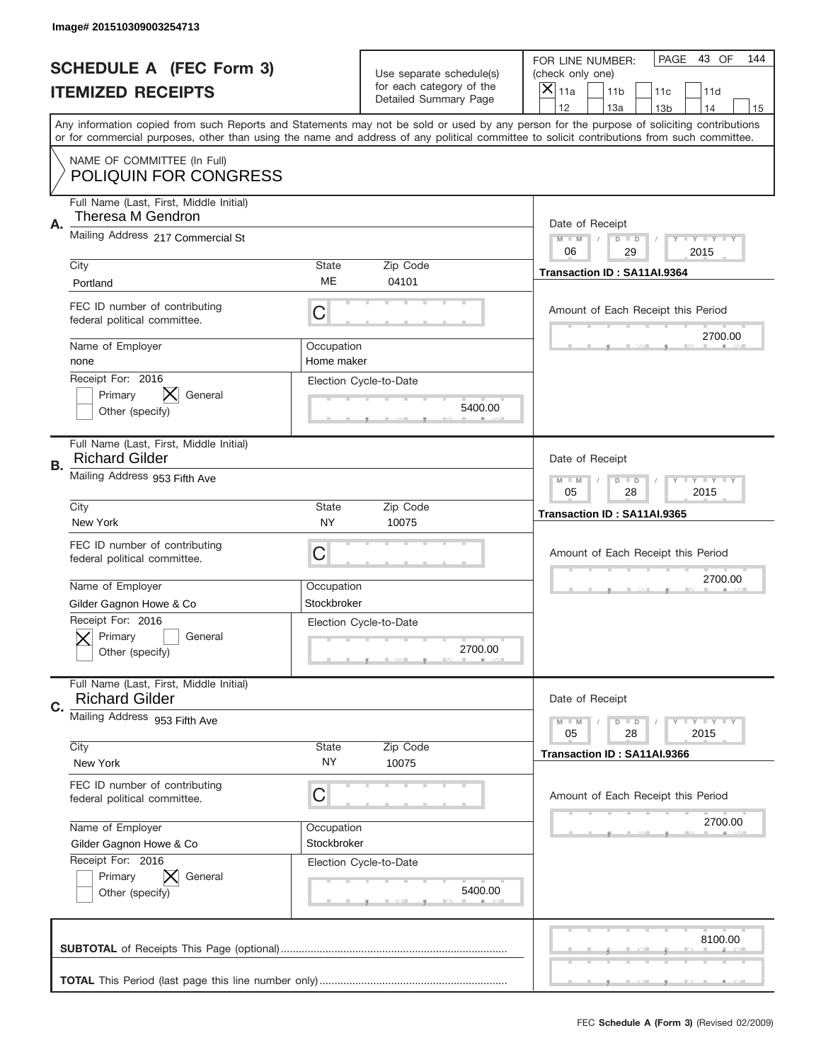|    | Image# 201510309003254713                                                             |                           |                                                   |                                                                                                                                                                                                                                                                                                                                     |
|----|---------------------------------------------------------------------------------------|---------------------------|---------------------------------------------------|-------------------------------------------------------------------------------------------------------------------------------------------------------------------------------------------------------------------------------------------------------------------------------------------------------------------------------------|
|    | <b>SCHEDULE A (FEC Form 3)</b>                                                        |                           | Use separate schedule(s)                          | PAGE 43 OF<br>144<br>FOR LINE NUMBER:<br>(check only one)                                                                                                                                                                                                                                                                           |
|    | <b>ITEMIZED RECEIPTS</b>                                                              |                           | for each category of the<br>Detailed Summary Page | ×<br>11a<br>11 <sub>b</sub><br>11c<br>11d                                                                                                                                                                                                                                                                                           |
|    |                                                                                       |                           |                                                   | 12<br>13a<br>14<br>13 <sub>b</sub><br>15<br>Any information copied from such Reports and Statements may not be sold or used by any person for the purpose of soliciting contributions<br>or for commercial purposes, other than using the name and address of any political committee to solicit contributions from such committee. |
|    | NAME OF COMMITTEE (In Full)<br><b>POLIQUIN FOR CONGRESS</b>                           |                           |                                                   |                                                                                                                                                                                                                                                                                                                                     |
| Α. | Full Name (Last, First, Middle Initial)<br>Theresa M Gendron                          |                           |                                                   | Date of Receipt                                                                                                                                                                                                                                                                                                                     |
|    | Mailing Address 217 Commercial St                                                     |                           |                                                   | $M - M$<br><b>LYLYLY</b><br>$D$ $D$<br>06<br>29<br>2015                                                                                                                                                                                                                                                                             |
|    | City<br>Portland                                                                      | State<br>MЕ               | Zip Code<br>04101                                 | Transaction ID: SA11AI.9364                                                                                                                                                                                                                                                                                                         |
|    | FEC ID number of contributing<br>federal political committee.                         | C                         |                                                   | Amount of Each Receipt this Period<br>2700.00                                                                                                                                                                                                                                                                                       |
|    | Name of Employer<br>none                                                              | Occupation<br>Home maker  |                                                   |                                                                                                                                                                                                                                                                                                                                     |
|    | Receipt For: 2016<br>Primary<br>General<br>Other (specify)                            |                           | Election Cycle-to-Date<br>5400.00                 |                                                                                                                                                                                                                                                                                                                                     |
| В. | Full Name (Last, First, Middle Initial)<br><b>Richard Gilder</b>                      |                           |                                                   | Date of Receipt                                                                                                                                                                                                                                                                                                                     |
|    | Mailing Address 953 Fifth Ave                                                         |                           |                                                   | $M$ M<br>$D$ $D$<br><b>LYLYLY</b><br>05<br>28<br>2015                                                                                                                                                                                                                                                                               |
|    | City<br>New York                                                                      | State<br><b>NY</b>        | Zip Code<br>10075                                 | Transaction ID: SA11AI.9365                                                                                                                                                                                                                                                                                                         |
|    |                                                                                       |                           |                                                   |                                                                                                                                                                                                                                                                                                                                     |
|    | FEC ID number of contributing<br>federal political committee.                         | C                         |                                                   | Amount of Each Receipt this Period                                                                                                                                                                                                                                                                                                  |
|    | Name of Employer                                                                      | Occupation<br>Stockbroker |                                                   | 2700.00                                                                                                                                                                                                                                                                                                                             |
|    | Gilder Gagnon Howe & Co<br>Receipt For: 2016<br>General<br>Primary<br>Other (specify) |                           | Election Cycle-to-Date<br>2700.00                 |                                                                                                                                                                                                                                                                                                                                     |
| C. | Full Name (Last, First, Middle Initial)<br><b>Richard Gilder</b>                      |                           |                                                   | Date of Receipt                                                                                                                                                                                                                                                                                                                     |
|    | Mailing Address 953 Fifth Ave                                                         |                           |                                                   | <b>LYLYLY</b><br>$M - M$<br>$D$ $D$<br>05<br>28<br>2015                                                                                                                                                                                                                                                                             |
|    | City<br>New York                                                                      | <b>State</b><br>NY.       | Zip Code<br>10075                                 | Transaction ID: SA11AI.9366                                                                                                                                                                                                                                                                                                         |
|    | FEC ID number of contributing<br>federal political committee.                         | C                         |                                                   | Amount of Each Receipt this Period                                                                                                                                                                                                                                                                                                  |
|    | Name of Employer<br>Gilder Gagnon Howe & Co                                           | Occupation<br>Stockbroker |                                                   | 2700.00                                                                                                                                                                                                                                                                                                                             |
|    | Receipt For: 2016<br>Primary<br>General<br>Other (specify)                            |                           | Election Cycle-to-Date<br>5400.00                 |                                                                                                                                                                                                                                                                                                                                     |
|    |                                                                                       |                           |                                                   | 8100.00                                                                                                                                                                                                                                                                                                                             |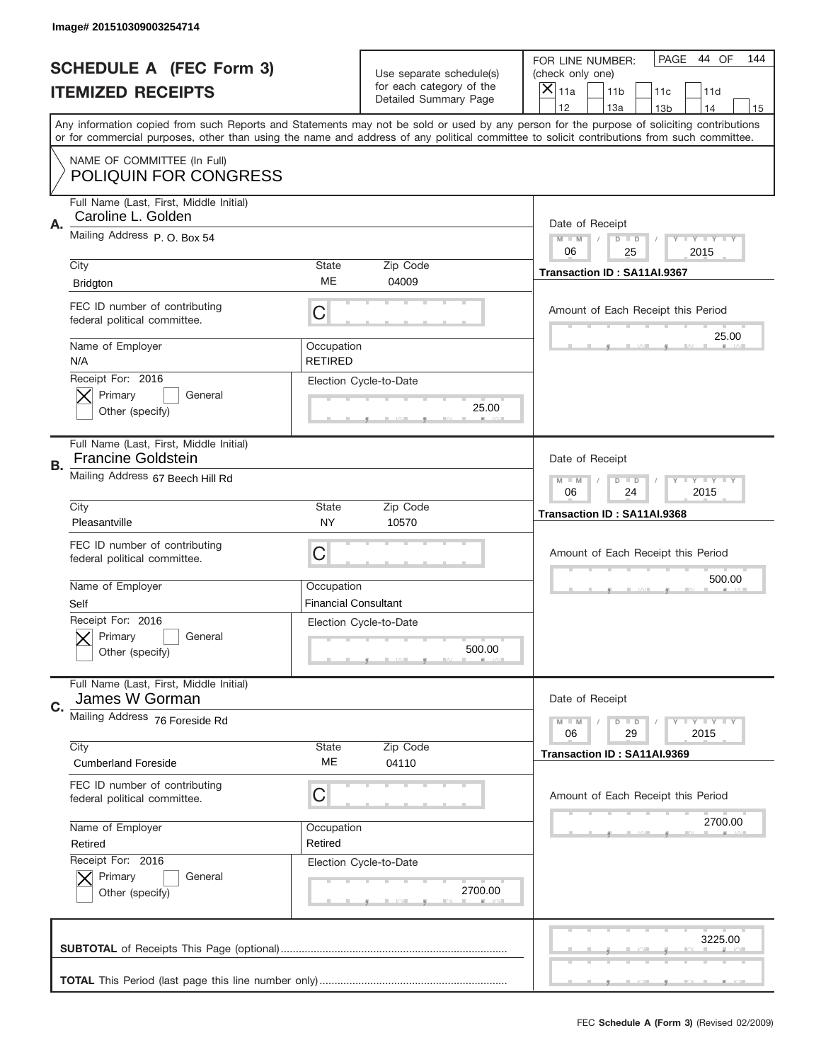|    | Image# 201510309003254714                                            |                                           |                                                      |                                                                                                                                                                                                                                                                                         |
|----|----------------------------------------------------------------------|-------------------------------------------|------------------------------------------------------|-----------------------------------------------------------------------------------------------------------------------------------------------------------------------------------------------------------------------------------------------------------------------------------------|
|    | <b>SCHEDULE A (FEC Form 3)</b>                                       |                                           | Use separate schedule(s)<br>for each category of the | PAGE<br>44 OF<br>144<br>FOR LINE NUMBER:<br>(check only one)                                                                                                                                                                                                                            |
|    | <b>ITEMIZED RECEIPTS</b>                                             |                                           | Detailed Summary Page                                | $\overline{X} _{11a}$<br>11 <sub>b</sub><br>11c<br>11d<br>12<br>13a<br>13 <sub>b</sub><br>14<br>15                                                                                                                                                                                      |
|    |                                                                      |                                           |                                                      | Any information copied from such Reports and Statements may not be sold or used by any person for the purpose of soliciting contributions<br>or for commercial purposes, other than using the name and address of any political committee to solicit contributions from such committee. |
|    | NAME OF COMMITTEE (In Full)<br><b>POLIQUIN FOR CONGRESS</b>          |                                           |                                                      |                                                                                                                                                                                                                                                                                         |
| Α. | Full Name (Last, First, Middle Initial)<br>Caroline L. Golden        |                                           |                                                      | Date of Receipt                                                                                                                                                                                                                                                                         |
|    | Mailing Address P.O. Box 54                                          |                                           |                                                      | $M$ M<br>$D$ $D$<br><b>LYLYLY</b><br>06<br>25<br>2015                                                                                                                                                                                                                                   |
|    | City<br><b>Bridgton</b>                                              | State<br>ME                               | Zip Code<br>04009                                    | Transaction ID: SA11AI.9367                                                                                                                                                                                                                                                             |
|    | FEC ID number of contributing<br>federal political committee.        | C                                         |                                                      | Amount of Each Receipt this Period<br>25.00                                                                                                                                                                                                                                             |
|    | Name of Employer<br>N/A                                              | Occupation<br><b>RETIRED</b>              |                                                      |                                                                                                                                                                                                                                                                                         |
|    | Receipt For: 2016<br>Primary<br>General<br>Other (specify)           |                                           | Election Cycle-to-Date<br>25.00                      |                                                                                                                                                                                                                                                                                         |
| В. | Full Name (Last, First, Middle Initial)<br><b>Francine Goldstein</b> |                                           |                                                      | Date of Receipt                                                                                                                                                                                                                                                                         |
|    | Mailing Address 67 Beech Hill Rd                                     |                                           |                                                      | $M - M$<br><b>LYLYLY</b><br>$D$ $D$<br>06<br>24<br>2015                                                                                                                                                                                                                                 |
|    | City<br>Pleasantville                                                | State<br><b>NY</b>                        | Zip Code<br>10570                                    | Transaction ID: SA11AI.9368                                                                                                                                                                                                                                                             |
|    | FEC ID number of contributing<br>federal political committee.        | C                                         |                                                      | Amount of Each Receipt this Period                                                                                                                                                                                                                                                      |
|    | Name of Employer<br>Self                                             | Occupation<br><b>Financial Consultant</b> |                                                      | 500.00                                                                                                                                                                                                                                                                                  |
|    | Receipt For: 2016<br>General<br>Primary<br>Other (specify)           |                                           | Election Cycle-to-Date<br>500.00                     |                                                                                                                                                                                                                                                                                         |
| C. | Full Name (Last, First, Middle Initial)<br>James W Gorman            |                                           |                                                      | Date of Receipt                                                                                                                                                                                                                                                                         |
|    | Mailing Address 76 Foreside Rd                                       |                                           |                                                      | <b>LEY LEY LEY</b><br>$M - M$<br>$D$ $D$<br>06<br>29<br>2015                                                                                                                                                                                                                            |
|    | City<br><b>Cumberland Foreside</b>                                   | State<br>ME                               | Zip Code<br>04110                                    | Transaction ID: SA11AI.9369                                                                                                                                                                                                                                                             |
|    | FEC ID number of contributing<br>federal political committee.        | C                                         |                                                      | Amount of Each Receipt this Period                                                                                                                                                                                                                                                      |
|    | Name of Employer<br>Retired                                          | Occupation<br>Retired                     |                                                      | 2700.00                                                                                                                                                                                                                                                                                 |
|    | Receipt For: 2016                                                    |                                           | Election Cycle-to-Date                               |                                                                                                                                                                                                                                                                                         |
|    | Primary<br>General<br>Other (specify)                                |                                           | 2700.00                                              |                                                                                                                                                                                                                                                                                         |
|    |                                                                      |                                           |                                                      | 3225.00                                                                                                                                                                                                                                                                                 |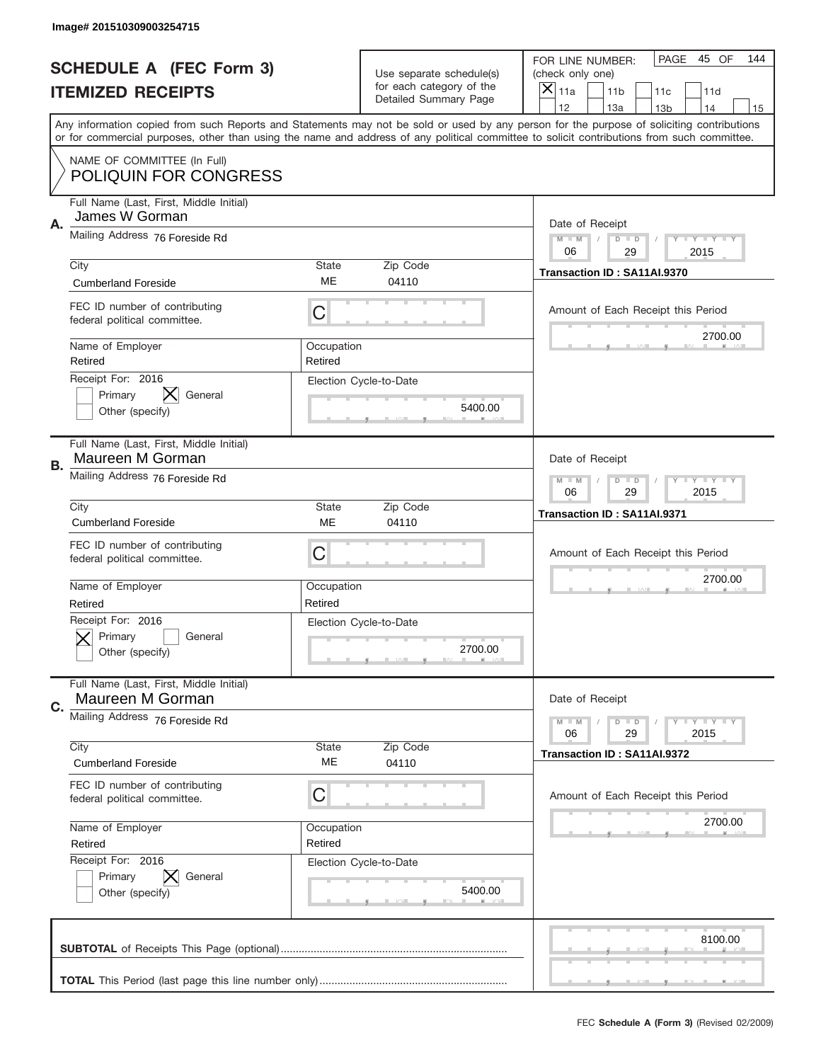|    | Image# 201510309003254715                                     |                           |                                                   |                                                                                                                                                                                                                                                                                                                                     |
|----|---------------------------------------------------------------|---------------------------|---------------------------------------------------|-------------------------------------------------------------------------------------------------------------------------------------------------------------------------------------------------------------------------------------------------------------------------------------------------------------------------------------|
|    | <b>SCHEDULE A (FEC Form 3)</b>                                |                           | Use separate schedule(s)                          | PAGE<br>45 OF<br>144<br>FOR LINE NUMBER:<br>(check only one)                                                                                                                                                                                                                                                                        |
|    | <b>ITEMIZED RECEIPTS</b>                                      |                           | for each category of the<br>Detailed Summary Page | ×<br>11a<br>11 <sub>b</sub><br>11c<br>11d                                                                                                                                                                                                                                                                                           |
|    |                                                               |                           |                                                   | 12<br>13a<br>14<br>13 <sub>b</sub><br>15<br>Any information copied from such Reports and Statements may not be sold or used by any person for the purpose of soliciting contributions<br>or for commercial purposes, other than using the name and address of any political committee to solicit contributions from such committee. |
|    | NAME OF COMMITTEE (In Full)<br><b>POLIQUIN FOR CONGRESS</b>   |                           |                                                   |                                                                                                                                                                                                                                                                                                                                     |
| Α. | Full Name (Last, First, Middle Initial)<br>James W Gorman     |                           |                                                   | Date of Receipt                                                                                                                                                                                                                                                                                                                     |
|    | Mailing Address 76 Foreside Rd                                |                           |                                                   | $M - M$<br>$D$ $D$<br>Y FY FY FY<br>06<br>29<br>2015                                                                                                                                                                                                                                                                                |
|    | City<br><b>Cumberland Foreside</b>                            | <b>State</b><br><b>ME</b> | Zip Code<br>04110                                 | Transaction ID: SA11AI.9370                                                                                                                                                                                                                                                                                                         |
|    | FEC ID number of contributing<br>federal political committee. | С                         |                                                   | Amount of Each Receipt this Period<br>2700.00                                                                                                                                                                                                                                                                                       |
|    | Name of Employer<br>Retired                                   | Occupation<br>Retired     |                                                   |                                                                                                                                                                                                                                                                                                                                     |
|    | Receipt For: 2016<br>Primary<br>General<br>Other (specify)    |                           | Election Cycle-to-Date<br>5400.00                 |                                                                                                                                                                                                                                                                                                                                     |
| В. | Full Name (Last, First, Middle Initial)<br>Maureen M Gorman   |                           |                                                   | Date of Receipt                                                                                                                                                                                                                                                                                                                     |
|    | Mailing Address 76 Foreside Rd                                |                           |                                                   | <b>LY LY LY</b><br>$M - M$<br>$D$ $D$<br>06<br>29<br>2015                                                                                                                                                                                                                                                                           |
|    | City<br><b>Cumberland Foreside</b>                            | <b>State</b><br>ME        | Zip Code<br>04110                                 | Transaction ID: SA11AI.9371                                                                                                                                                                                                                                                                                                         |
|    | FEC ID number of contributing<br>federal political committee. | С                         |                                                   | Amount of Each Receipt this Period                                                                                                                                                                                                                                                                                                  |
|    | Name of Employer<br>Retired                                   | Occupation<br>Retired     |                                                   | 2700.00                                                                                                                                                                                                                                                                                                                             |
|    | Receipt For: 2016<br>General<br>Primary<br>Other (specify)    |                           | Election Cycle-to-Date<br>2700.00                 |                                                                                                                                                                                                                                                                                                                                     |
|    |                                                               |                           |                                                   |                                                                                                                                                                                                                                                                                                                                     |
| C. | Full Name (Last, First, Middle Initial)<br>Maureen M Gorman   |                           |                                                   | Date of Receipt                                                                                                                                                                                                                                                                                                                     |
|    | Mailing Address 76 Foreside Rd                                |                           |                                                   | <b>LY LY LY</b><br>$M - M$<br>$D$ $D$<br>06<br>29<br>2015                                                                                                                                                                                                                                                                           |
|    | City<br><b>Cumberland Foreside</b>                            | State<br>ME               | Zip Code<br>04110                                 | Transaction ID: SA11AI.9372                                                                                                                                                                                                                                                                                                         |
|    | FEC ID number of contributing<br>federal political committee. | С                         |                                                   | Amount of Each Receipt this Period                                                                                                                                                                                                                                                                                                  |
|    | Name of Employer<br>Retired                                   | Occupation<br>Retired     |                                                   | 2700.00                                                                                                                                                                                                                                                                                                                             |
|    | Receipt For: 2016<br>Primary<br>General<br>Other (specify)    |                           | Election Cycle-to-Date<br>5400.00                 |                                                                                                                                                                                                                                                                                                                                     |
|    |                                                               |                           |                                                   | 8100.00                                                                                                                                                                                                                                                                                                                             |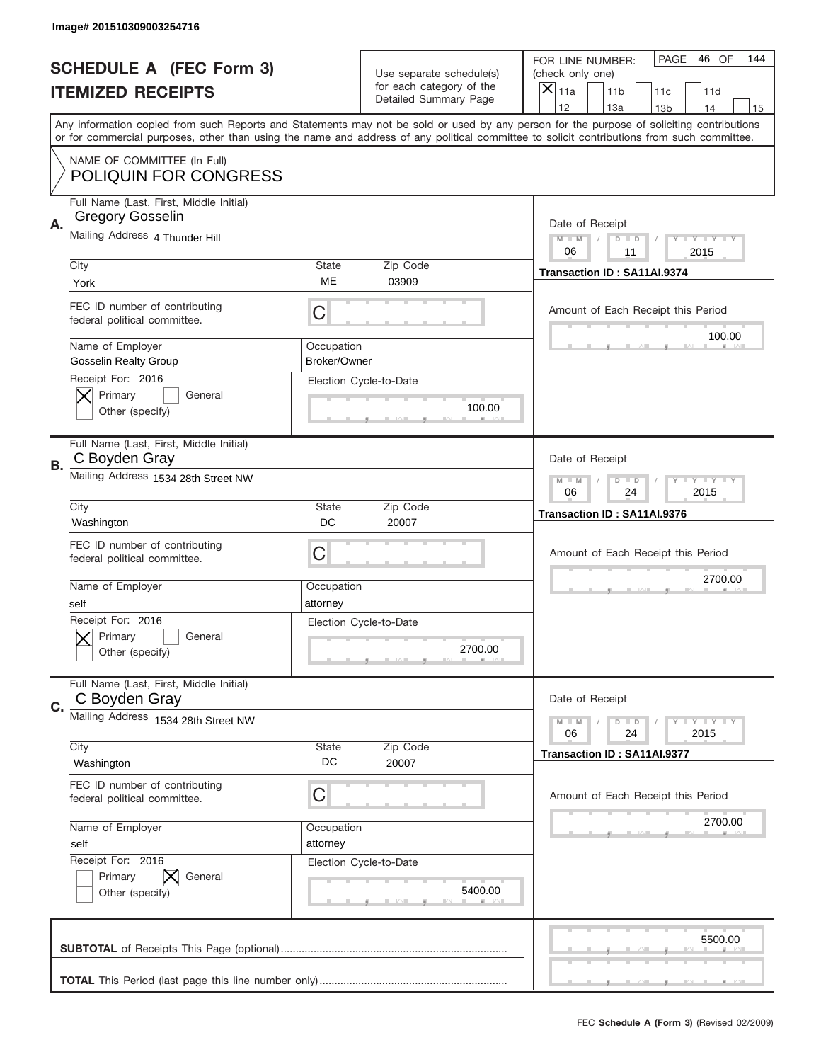|    | Image# 201510309003254716                                          |                            |                                                      |                                                                                                                                                                                                                                                                                                                         |
|----|--------------------------------------------------------------------|----------------------------|------------------------------------------------------|-------------------------------------------------------------------------------------------------------------------------------------------------------------------------------------------------------------------------------------------------------------------------------------------------------------------------|
|    | <b>SCHEDULE A (FEC Form 3)</b>                                     |                            | Use separate schedule(s)<br>for each category of the | PAGE<br>46 OF<br>144<br>FOR LINE NUMBER:<br>(check only one)                                                                                                                                                                                                                                                            |
|    | <b>ITEMIZED RECEIPTS</b>                                           |                            | Detailed Summary Page                                | ×<br>11a<br>11 <sub>b</sub><br>11c<br>11d<br>12<br>14                                                                                                                                                                                                                                                                   |
|    |                                                                    |                            |                                                      | 13a<br>13 <sub>b</sub><br>15<br>Any information copied from such Reports and Statements may not be sold or used by any person for the purpose of soliciting contributions<br>or for commercial purposes, other than using the name and address of any political committee to solicit contributions from such committee. |
|    | NAME OF COMMITTEE (In Full)<br><b>POLIQUIN FOR CONGRESS</b>        |                            |                                                      |                                                                                                                                                                                                                                                                                                                         |
| Α. | Full Name (Last, First, Middle Initial)<br><b>Gregory Gosselin</b> |                            |                                                      | Date of Receipt                                                                                                                                                                                                                                                                                                         |
|    | Mailing Address 4 Thunder Hill                                     |                            |                                                      | $M - M$<br><b>LYLYLY</b><br>$D$ $D$<br>06<br>11<br>2015                                                                                                                                                                                                                                                                 |
|    | City<br>York                                                       | State<br>ME                | Zip Code<br>03909                                    | Transaction ID: SA11AI.9374                                                                                                                                                                                                                                                                                             |
|    | FEC ID number of contributing<br>federal political committee.      | C                          |                                                      | Amount of Each Receipt this Period                                                                                                                                                                                                                                                                                      |
|    | Name of Employer<br><b>Gosselin Realty Group</b>                   | Occupation<br>Broker/Owner |                                                      | 100.00                                                                                                                                                                                                                                                                                                                  |
|    | Receipt For: 2016<br>Primary<br>General<br>Other (specify)         |                            | Election Cycle-to-Date<br>100.00                     |                                                                                                                                                                                                                                                                                                                         |
| В. | Full Name (Last, First, Middle Initial)<br>C Boyden Gray           |                            |                                                      | Date of Receipt                                                                                                                                                                                                                                                                                                         |
|    | Mailing Address 1534 28th Street NW                                |                            |                                                      | $M - M$<br>$D$ $D$<br><b>LYLYLY</b><br>06<br>24<br>2015                                                                                                                                                                                                                                                                 |
|    | City<br>Washington                                                 | State<br>DC                | Zip Code<br>20007                                    | Transaction ID: SA11AI.9376                                                                                                                                                                                                                                                                                             |
|    | FEC ID number of contributing                                      |                            |                                                      |                                                                                                                                                                                                                                                                                                                         |
|    | federal political committee.                                       | C                          |                                                      | Amount of Each Receipt this Period                                                                                                                                                                                                                                                                                      |
|    | Name of Employer<br>self                                           | Occupation<br>attorney     |                                                      | 2700.00                                                                                                                                                                                                                                                                                                                 |
|    | Receipt For: 2016<br>General<br>Primary<br>Other (specify)         |                            | Election Cycle-to-Date<br>2700.00                    |                                                                                                                                                                                                                                                                                                                         |
| C. | Full Name (Last, First, Middle Initial)<br>C Boyden Gray           |                            |                                                      | Date of Receipt                                                                                                                                                                                                                                                                                                         |
|    | Mailing Address 1534 28th Street NW                                |                            |                                                      | <b>LYLYLY</b><br>$M - M$<br>$D$ $D$<br>06<br>2015<br>24                                                                                                                                                                                                                                                                 |
|    | City<br>Washington                                                 | State<br>DC                | Zip Code<br>20007                                    | Transaction ID: SA11AI.9377                                                                                                                                                                                                                                                                                             |
|    | FEC ID number of contributing<br>federal political committee.      | С                          |                                                      | Amount of Each Receipt this Period                                                                                                                                                                                                                                                                                      |
|    | Name of Employer<br>self                                           | Occupation<br>attorney     |                                                      | 2700.00                                                                                                                                                                                                                                                                                                                 |
|    | Receipt For: 2016<br>Primary<br>General<br>Other (specify)         |                            | Election Cycle-to-Date<br>5400.00                    |                                                                                                                                                                                                                                                                                                                         |
|    |                                                                    |                            |                                                      | 5500.00                                                                                                                                                                                                                                                                                                                 |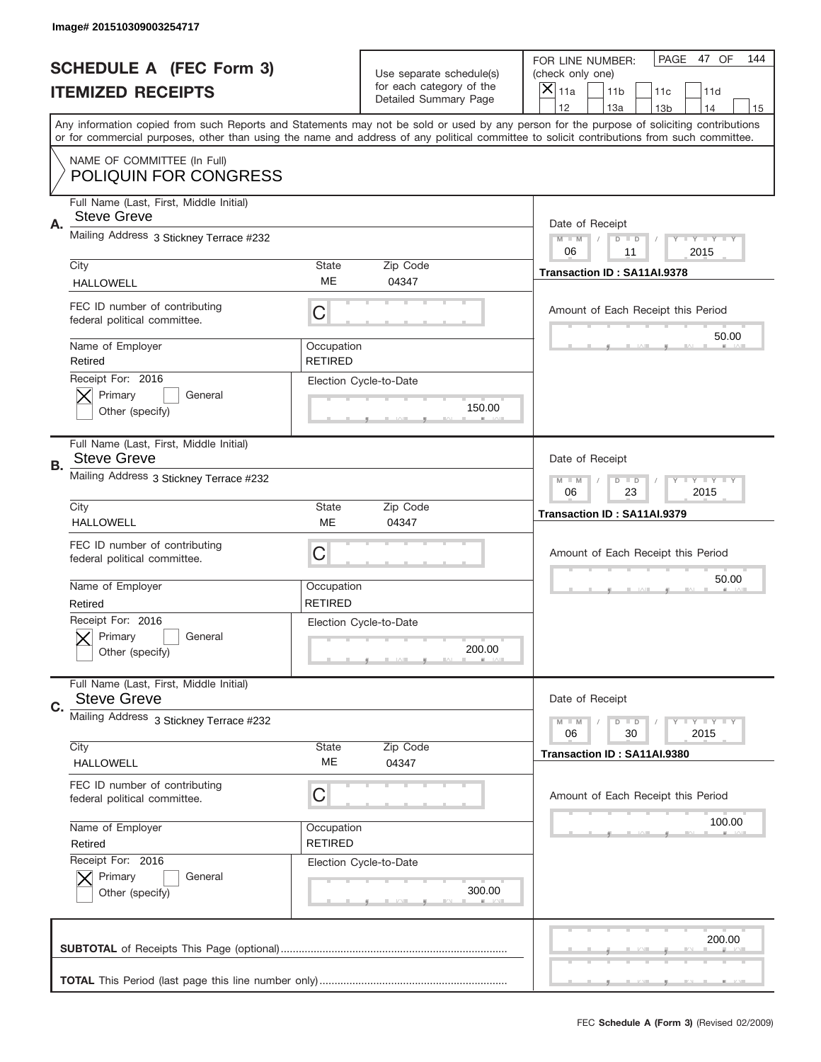|    | Image# 201510309003254717                                     |                              |                                                   |                                                                                                                                                                                                                                                                                                                                     |
|----|---------------------------------------------------------------|------------------------------|---------------------------------------------------|-------------------------------------------------------------------------------------------------------------------------------------------------------------------------------------------------------------------------------------------------------------------------------------------------------------------------------------|
|    | <b>SCHEDULE A (FEC Form 3)</b>                                |                              | Use separate schedule(s)                          | PAGE 47 OF<br>144<br>FOR LINE NUMBER:<br>(check only one)                                                                                                                                                                                                                                                                           |
|    | <b>ITEMIZED RECEIPTS</b>                                      |                              | for each category of the<br>Detailed Summary Page | ×<br>11a<br>11 <sub>b</sub><br>11c<br>11d                                                                                                                                                                                                                                                                                           |
|    |                                                               |                              |                                                   | 12<br>13a<br>14<br>13 <sub>b</sub><br>15<br>Any information copied from such Reports and Statements may not be sold or used by any person for the purpose of soliciting contributions<br>or for commercial purposes, other than using the name and address of any political committee to solicit contributions from such committee. |
|    |                                                               |                              |                                                   |                                                                                                                                                                                                                                                                                                                                     |
|    | NAME OF COMMITTEE (In Full)<br><b>POLIQUIN FOR CONGRESS</b>   |                              |                                                   |                                                                                                                                                                                                                                                                                                                                     |
| Α. | Full Name (Last, First, Middle Initial)<br><b>Steve Greve</b> |                              |                                                   | Date of Receipt                                                                                                                                                                                                                                                                                                                     |
|    | Mailing Address 3 Stickney Terrace #232                       |                              |                                                   | $M - M$<br><b>LYLYLY</b><br>$D$ $D$<br>06<br>2015<br>11                                                                                                                                                                                                                                                                             |
|    | City<br><b>HALLOWELL</b>                                      | State<br>ME                  | Zip Code<br>04347                                 | Transaction ID: SA11AI.9378                                                                                                                                                                                                                                                                                                         |
|    | FEC ID number of contributing<br>federal political committee. | C                            |                                                   | Amount of Each Receipt this Period                                                                                                                                                                                                                                                                                                  |
|    | Name of Employer<br>Retired                                   | Occupation<br><b>RETIRED</b> |                                                   | 50.00                                                                                                                                                                                                                                                                                                                               |
|    | Receipt For: 2016<br>Primary<br>General<br>Other (specify)    |                              | Election Cycle-to-Date<br>150.00                  |                                                                                                                                                                                                                                                                                                                                     |
| В. | Full Name (Last, First, Middle Initial)<br><b>Steve Greve</b> |                              |                                                   | Date of Receipt                                                                                                                                                                                                                                                                                                                     |
|    | Mailing Address 3 Stickney Terrace #232                       |                              |                                                   | $M$ M<br>$D$ $D$<br><b>LYLYLY</b><br>06<br>23<br>2015                                                                                                                                                                                                                                                                               |
|    | City<br><b>HALLOWELL</b>                                      | State<br><b>ME</b>           | Zip Code<br>04347                                 | Transaction ID: SA11AI.9379                                                                                                                                                                                                                                                                                                         |
|    | FEC ID number of contributing<br>federal political committee. | C                            |                                                   | Amount of Each Receipt this Period                                                                                                                                                                                                                                                                                                  |
|    | Name of Employer<br>Retired                                   | Occupation<br><b>RETIRED</b> |                                                   | 50.00                                                                                                                                                                                                                                                                                                                               |
|    | Receipt For: 2016<br>General<br>Primary<br>Other (specify)    |                              | Election Cycle-to-Date<br>200.00                  |                                                                                                                                                                                                                                                                                                                                     |
| C. | Full Name (Last, First, Middle Initial)<br><b>Steve Greve</b> |                              |                                                   | Date of Receipt                                                                                                                                                                                                                                                                                                                     |
|    | Mailing Address 3 Stickney Terrace #232                       |                              |                                                   | <b>LYLYLY</b><br>$M - M$<br>$D$ $D$<br>2015<br>06<br>30                                                                                                                                                                                                                                                                             |
|    | City<br><b>HALLOWELL</b>                                      | State<br>МE                  | Zip Code<br>04347                                 | Transaction ID: SA11AI.9380                                                                                                                                                                                                                                                                                                         |
|    | FEC ID number of contributing<br>federal political committee. | C                            |                                                   | Amount of Each Receipt this Period                                                                                                                                                                                                                                                                                                  |
|    | Name of Employer<br>Retired                                   | Occupation<br><b>RETIRED</b> |                                                   | 100.00                                                                                                                                                                                                                                                                                                                              |
|    | Receipt For: 2016<br>Primary<br>General<br>Other (specify)    |                              | Election Cycle-to-Date<br>300.00                  |                                                                                                                                                                                                                                                                                                                                     |
|    |                                                               |                              |                                                   |                                                                                                                                                                                                                                                                                                                                     |
|    |                                                               |                              |                                                   | 200.00                                                                                                                                                                                                                                                                                                                              |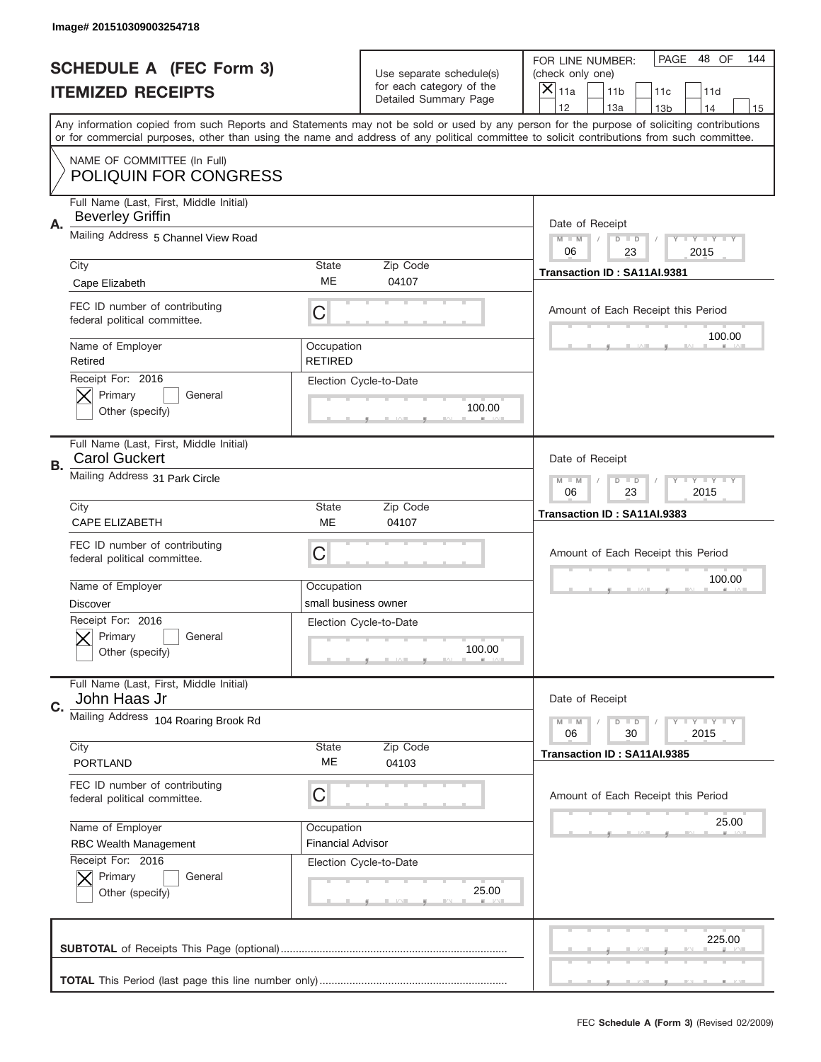|           | Image# 201510309003254718                                                     |                              |                                                         |                                                                                                                                                                                                                                                                                                                                     |
|-----------|-------------------------------------------------------------------------------|------------------------------|---------------------------------------------------------|-------------------------------------------------------------------------------------------------------------------------------------------------------------------------------------------------------------------------------------------------------------------------------------------------------------------------------------|
|           | <b>SCHEDULE A (FEC Form 3)</b>                                                |                              | Use separate schedule(s)                                | PAGE<br>48 OF<br>144<br>FOR LINE NUMBER:<br>(check only one)                                                                                                                                                                                                                                                                        |
|           | <b>ITEMIZED RECEIPTS</b>                                                      |                              | for each category of the<br>Detailed Summary Page       | ×<br>11a<br>11 <sub>b</sub><br>11c<br>11d                                                                                                                                                                                                                                                                                           |
|           |                                                                               |                              |                                                         | 12<br>13a<br>14<br>13 <sub>b</sub><br>15<br>Any information copied from such Reports and Statements may not be sold or used by any person for the purpose of soliciting contributions<br>or for commercial purposes, other than using the name and address of any political committee to solicit contributions from such committee. |
|           | NAME OF COMMITTEE (In Full)<br><b>POLIQUIN FOR CONGRESS</b>                   |                              |                                                         |                                                                                                                                                                                                                                                                                                                                     |
| Α.        | Full Name (Last, First, Middle Initial)<br><b>Beverley Griffin</b>            |                              |                                                         | Date of Receipt                                                                                                                                                                                                                                                                                                                     |
|           | Mailing Address 5 Channel View Road                                           |                              |                                                         | $M - M$<br><b>LYLYLY</b><br>$D$ $D$<br>06<br>23<br>2015                                                                                                                                                                                                                                                                             |
|           | City                                                                          | State<br>ME                  | Zip Code                                                | Transaction ID: SA11AI.9381                                                                                                                                                                                                                                                                                                         |
|           | Cape Elizabeth                                                                |                              | 04107                                                   |                                                                                                                                                                                                                                                                                                                                     |
|           | FEC ID number of contributing<br>federal political committee.                 | C                            |                                                         | Amount of Each Receipt this Period<br>100.00                                                                                                                                                                                                                                                                                        |
|           | Name of Employer<br>Retired                                                   | Occupation<br><b>RETIRED</b> |                                                         |                                                                                                                                                                                                                                                                                                                                     |
|           | Receipt For: 2016<br>Primary<br>General<br>Other (specify)                    |                              | Election Cycle-to-Date<br>100.00                        |                                                                                                                                                                                                                                                                                                                                     |
| <b>B.</b> | Full Name (Last, First, Middle Initial)<br><b>Carol Guckert</b>               |                              |                                                         | Date of Receipt                                                                                                                                                                                                                                                                                                                     |
|           | Mailing Address 31 Park Circle                                                |                              | $M - M$<br>$D$ $D$<br><b>LYLYLY</b><br>06<br>23<br>2015 |                                                                                                                                                                                                                                                                                                                                     |
|           | City                                                                          | State                        | Zip Code                                                | Transaction ID: SA11AI.9383                                                                                                                                                                                                                                                                                                         |
|           | CAPE ELIZABETH<br>FEC ID number of contributing                               | ME<br>C                      | 04107                                                   | Amount of Each Receipt this Period                                                                                                                                                                                                                                                                                                  |
|           | federal political committee.                                                  |                              |                                                         | 100.00                                                                                                                                                                                                                                                                                                                              |
|           |                                                                               |                              |                                                         |                                                                                                                                                                                                                                                                                                                                     |
|           | Name of Employer                                                              | Occupation                   |                                                         |                                                                                                                                                                                                                                                                                                                                     |
|           | <b>Discover</b><br>Receipt For: 2016<br>General<br>Primary<br>Other (specify) | small business owner         | Election Cycle-to-Date<br>100.00                        |                                                                                                                                                                                                                                                                                                                                     |
|           | Full Name (Last, First, Middle Initial)<br>John Haas Jr                       |                              |                                                         | Date of Receipt                                                                                                                                                                                                                                                                                                                     |
| C.        | Mailing Address 104 Roaring Brook Rd                                          |                              |                                                         | <b>LEY LEY LEY</b><br>$M - M$<br>$D$ $D$<br>06<br>2015<br>30                                                                                                                                                                                                                                                                        |
|           | City<br><b>PORTLAND</b>                                                       | State<br>ME                  | Zip Code<br>04103                                       | Transaction ID: SA11AI.9385                                                                                                                                                                                                                                                                                                         |
|           | FEC ID number of contributing<br>federal political committee.                 | С                            |                                                         | Amount of Each Receipt this Period                                                                                                                                                                                                                                                                                                  |
|           | Name of Employer                                                              | Occupation                   |                                                         | 25.00                                                                                                                                                                                                                                                                                                                               |
|           | <b>RBC Wealth Management</b>                                                  | <b>Financial Advisor</b>     |                                                         |                                                                                                                                                                                                                                                                                                                                     |
|           | Receipt For: 2016<br>Primary<br>General<br>Other (specify)                    |                              | Election Cycle-to-Date<br>25.00                         |                                                                                                                                                                                                                                                                                                                                     |
|           |                                                                               |                              |                                                         | 225.00                                                                                                                                                                                                                                                                                                                              |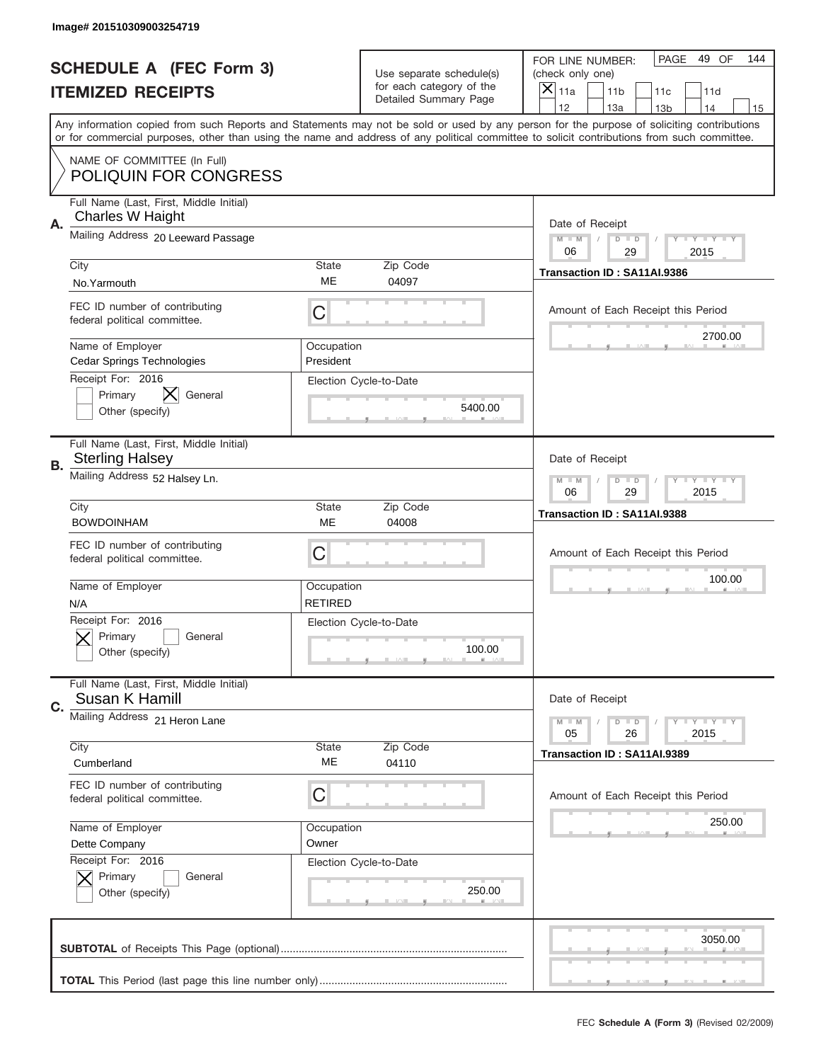|    | Image# 201510309003254719                                         |                              |                                                      |                                                                                                                                                                                                                                                                                                                                     |
|----|-------------------------------------------------------------------|------------------------------|------------------------------------------------------|-------------------------------------------------------------------------------------------------------------------------------------------------------------------------------------------------------------------------------------------------------------------------------------------------------------------------------------|
|    | <b>SCHEDULE A (FEC Form 3)</b>                                    |                              | Use separate schedule(s)<br>for each category of the | PAGE<br>49 OF<br>144<br>FOR LINE NUMBER:<br>(check only one)                                                                                                                                                                                                                                                                        |
|    | <b>ITEMIZED RECEIPTS</b>                                          |                              | Detailed Summary Page                                | ×<br>11a<br>11 <sub>b</sub><br>11c<br>11d                                                                                                                                                                                                                                                                                           |
|    |                                                                   |                              |                                                      | 12<br>13a<br>14<br>13 <sub>b</sub><br>15<br>Any information copied from such Reports and Statements may not be sold or used by any person for the purpose of soliciting contributions<br>or for commercial purposes, other than using the name and address of any political committee to solicit contributions from such committee. |
|    | NAME OF COMMITTEE (In Full)<br><b>POLIQUIN FOR CONGRESS</b>       |                              |                                                      |                                                                                                                                                                                                                                                                                                                                     |
| Α. | Full Name (Last, First, Middle Initial)<br>Charles W Haight       |                              |                                                      | Date of Receipt                                                                                                                                                                                                                                                                                                                     |
|    | Mailing Address 20 Leeward Passage                                |                              |                                                      | $M - M$<br><b>LEY LEY LEY</b><br>$D$ $D$<br>06<br>29<br>2015                                                                                                                                                                                                                                                                        |
|    | City<br>No.Yarmouth                                               | State<br>ME                  | Zip Code<br>04097                                    | Transaction ID: SA11AI.9386                                                                                                                                                                                                                                                                                                         |
|    | FEC ID number of contributing<br>federal political committee.     | C                            |                                                      | Amount of Each Receipt this Period<br>2700.00                                                                                                                                                                                                                                                                                       |
|    | Name of Employer<br>Cedar Springs Technologies                    | Occupation<br>President      |                                                      |                                                                                                                                                                                                                                                                                                                                     |
|    | Receipt For: 2016<br>Primary<br>General<br>Other (specify)        |                              | Election Cycle-to-Date<br>5400.00                    |                                                                                                                                                                                                                                                                                                                                     |
| В. | Full Name (Last, First, Middle Initial)<br><b>Sterling Halsey</b> |                              |                                                      | Date of Receipt                                                                                                                                                                                                                                                                                                                     |
|    | Mailing Address 52 Halsey Ln.                                     |                              |                                                      | $M$ M<br>$D$ $D$<br><b>LYLYLY</b><br>06<br>29<br>2015                                                                                                                                                                                                                                                                               |
|    | City<br><b>BOWDOINHAM</b>                                         | State<br><b>ME</b>           | Zip Code<br>04008                                    | Transaction ID: SA11AI.9388                                                                                                                                                                                                                                                                                                         |
|    | FEC ID number of contributing<br>federal political committee.     | C                            |                                                      | Amount of Each Receipt this Period                                                                                                                                                                                                                                                                                                  |
|    | Name of Employer<br>N/A                                           | Occupation<br><b>RETIRED</b> |                                                      | 100.00                                                                                                                                                                                                                                                                                                                              |
|    | Receipt For: 2016                                                 |                              |                                                      |                                                                                                                                                                                                                                                                                                                                     |
|    | General<br>Primary<br>Other (specify)                             | Election Cycle-to-Date       | 100.00                                               |                                                                                                                                                                                                                                                                                                                                     |
| C. | Full Name (Last, First, Middle Initial)<br>Susan K Hamill         |                              |                                                      | Date of Receipt                                                                                                                                                                                                                                                                                                                     |
|    | Mailing Address 21 Heron Lane                                     |                              |                                                      | <b>LYLYLY</b><br>$M - M$<br>$D$ $D$<br>05<br>2015<br>26                                                                                                                                                                                                                                                                             |
|    | City<br>Cumberland                                                | State<br>МE                  | Zip Code<br>04110                                    | Transaction ID: SA11AI.9389                                                                                                                                                                                                                                                                                                         |
|    | FEC ID number of contributing<br>federal political committee.     | C                            |                                                      | Amount of Each Receipt this Period                                                                                                                                                                                                                                                                                                  |
|    | Name of Employer<br>Dette Company                                 | Occupation<br>Owner          |                                                      | 250.00                                                                                                                                                                                                                                                                                                                              |
|    | Receipt For: 2016<br>Primary<br>General<br>Other (specify)        |                              | Election Cycle-to-Date<br>250.00                     |                                                                                                                                                                                                                                                                                                                                     |
|    |                                                                   |                              |                                                      | 3050.00                                                                                                                                                                                                                                                                                                                             |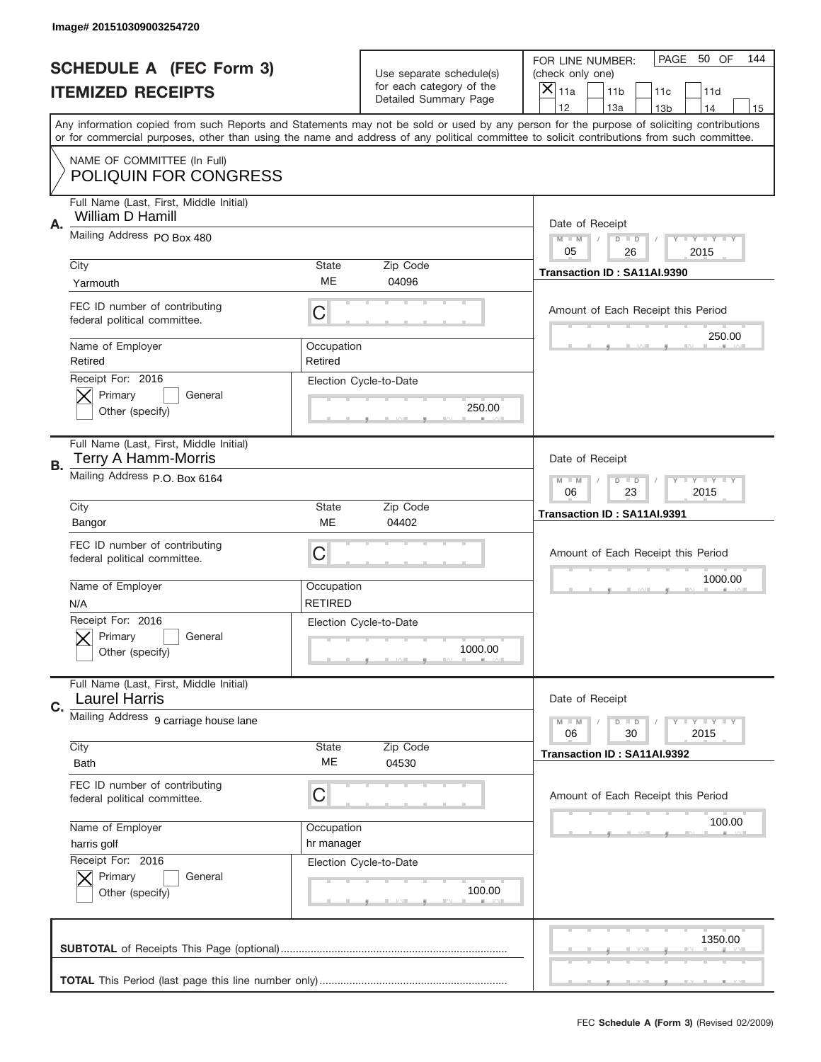|    | Image# 201510309003254720                                       |                              |                                                   |                                                                                                                                                                                                                                                                                                                                     |
|----|-----------------------------------------------------------------|------------------------------|---------------------------------------------------|-------------------------------------------------------------------------------------------------------------------------------------------------------------------------------------------------------------------------------------------------------------------------------------------------------------------------------------|
|    | <b>SCHEDULE A (FEC Form 3)</b>                                  |                              | Use separate schedule(s)                          | PAGE<br>50 OF<br>144<br>FOR LINE NUMBER:<br>(check only one)                                                                                                                                                                                                                                                                        |
|    | <b>ITEMIZED RECEIPTS</b>                                        |                              | for each category of the<br>Detailed Summary Page | ×<br>11a<br>11 <sub>b</sub><br>11c<br>11d                                                                                                                                                                                                                                                                                           |
|    |                                                                 |                              |                                                   | 12<br>13a<br>14<br>13 <sub>b</sub><br>15<br>Any information copied from such Reports and Statements may not be sold or used by any person for the purpose of soliciting contributions<br>or for commercial purposes, other than using the name and address of any political committee to solicit contributions from such committee. |
|    | NAME OF COMMITTEE (In Full)<br><b>POLIQUIN FOR CONGRESS</b>     |                              |                                                   |                                                                                                                                                                                                                                                                                                                                     |
| Α. | Full Name (Last, First, Middle Initial)<br>William D Hamill     |                              |                                                   | Date of Receipt                                                                                                                                                                                                                                                                                                                     |
|    | Mailing Address PO Box 480                                      |                              |                                                   | $M - M$<br><b>THEY THEY</b><br>$D$ $D$<br>05<br>26<br>2015                                                                                                                                                                                                                                                                          |
|    | City<br>Yarmouth                                                | State<br>ME                  | Zip Code<br>04096                                 | Transaction ID: SA11AI.9390                                                                                                                                                                                                                                                                                                         |
|    | FEC ID number of contributing<br>federal political committee.   | C                            |                                                   | Amount of Each Receipt this Period<br>250.00                                                                                                                                                                                                                                                                                        |
|    | Name of Employer<br>Retired                                     | Occupation<br>Retired        |                                                   |                                                                                                                                                                                                                                                                                                                                     |
|    | Receipt For: 2016<br>Primary<br>General<br>Other (specify)      |                              | Election Cycle-to-Date<br>250.00                  |                                                                                                                                                                                                                                                                                                                                     |
| В. | Full Name (Last, First, Middle Initial)<br>Terry A Hamm-Morris  |                              |                                                   | Date of Receipt                                                                                                                                                                                                                                                                                                                     |
|    | Mailing Address P.O. Box 6164                                   |                              |                                                   | $M - M$<br>$D$ $D$<br><b>LYLYLY</b><br>06<br>23<br>2015                                                                                                                                                                                                                                                                             |
|    | City<br>Bangor                                                  | <b>State</b><br>ME           | Zip Code<br>04402                                 | Transaction ID: SA11AI.9391                                                                                                                                                                                                                                                                                                         |
|    | FEC ID number of contributing<br>federal political committee.   | C                            |                                                   | Amount of Each Receipt this Period                                                                                                                                                                                                                                                                                                  |
|    |                                                                 |                              |                                                   |                                                                                                                                                                                                                                                                                                                                     |
|    | Name of Employer<br>N/A                                         | Occupation<br><b>RETIRED</b> |                                                   | 1000.00                                                                                                                                                                                                                                                                                                                             |
|    | Receipt For: 2016<br>General<br>Primary<br>Other (specify)      |                              | Election Cycle-to-Date<br>1000.00                 |                                                                                                                                                                                                                                                                                                                                     |
| C. | Full Name (Last, First, Middle Initial)<br><b>Laurel Harris</b> |                              |                                                   | Date of Receipt                                                                                                                                                                                                                                                                                                                     |
|    | Mailing Address 9 carriage house lane                           |                              |                                                   | <b>LYLYLY</b><br>$M - M$<br>$D$ $D$<br>06<br>2015<br>30                                                                                                                                                                                                                                                                             |
|    | City<br><b>Bath</b>                                             | State<br>ME                  | Zip Code<br>04530                                 | Transaction ID: SA11AI.9392                                                                                                                                                                                                                                                                                                         |
|    | FEC ID number of contributing<br>federal political committee.   | С                            |                                                   | Amount of Each Receipt this Period                                                                                                                                                                                                                                                                                                  |
|    | Name of Employer<br>harris golf                                 | Occupation<br>hr manager     |                                                   | 100.00                                                                                                                                                                                                                                                                                                                              |
|    | Receipt For: 2016<br>Primary<br>General<br>Other (specify)      |                              | Election Cycle-to-Date<br>100.00                  |                                                                                                                                                                                                                                                                                                                                     |
|    |                                                                 |                              |                                                   | 1350.00                                                                                                                                                                                                                                                                                                                             |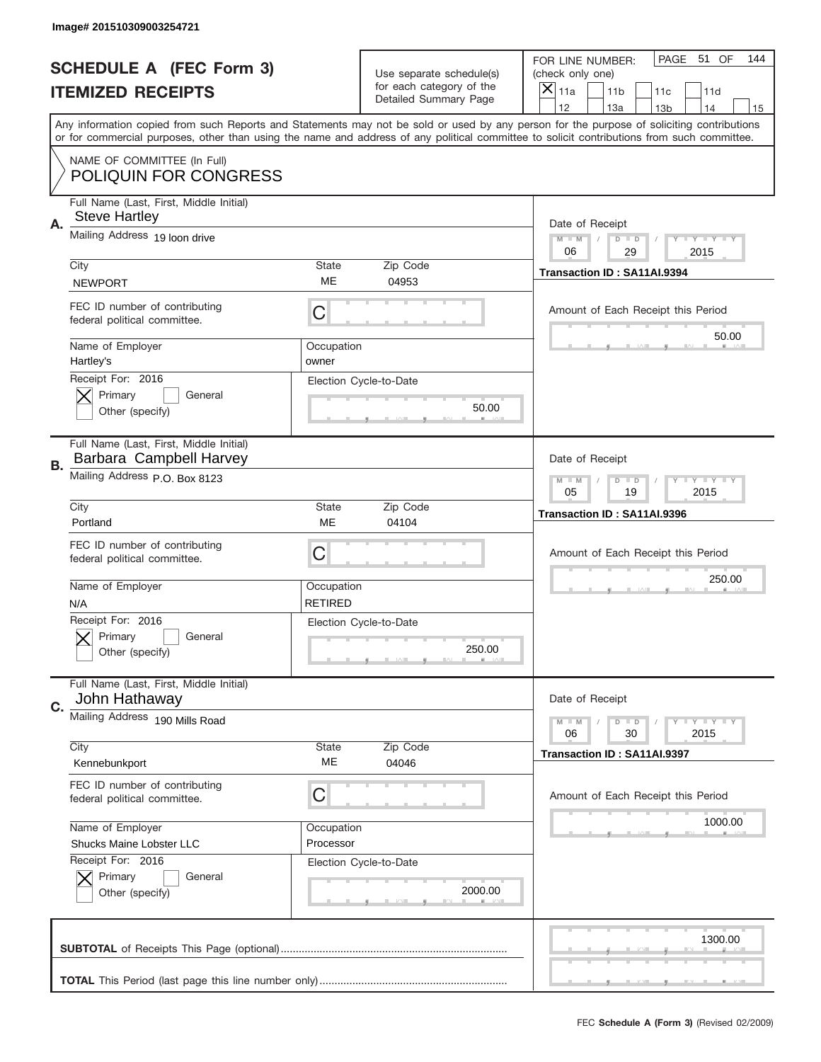|           | Image# 201510309003254721                                          |                              |                                                          |                                                                                                                                                                                                                                                                                                                                     |
|-----------|--------------------------------------------------------------------|------------------------------|----------------------------------------------------------|-------------------------------------------------------------------------------------------------------------------------------------------------------------------------------------------------------------------------------------------------------------------------------------------------------------------------------------|
|           | <b>SCHEDULE A (FEC Form 3)</b>                                     |                              | Use separate schedule(s)                                 | PAGE<br>51 OF<br>144<br>FOR LINE NUMBER:<br>(check only one)                                                                                                                                                                                                                                                                        |
|           | <b>ITEMIZED RECEIPTS</b>                                           |                              | for each category of the<br><b>Detailed Summary Page</b> | $\overline{X} _{11a}$<br>11 <sub>b</sub><br>11c<br>11d                                                                                                                                                                                                                                                                              |
|           |                                                                    |                              |                                                          | 12<br>13a<br>14<br>13 <sub>b</sub><br>15<br>Any information copied from such Reports and Statements may not be sold or used by any person for the purpose of soliciting contributions<br>or for commercial purposes, other than using the name and address of any political committee to solicit contributions from such committee. |
|           | NAME OF COMMITTEE (In Full)<br><b>POLIQUIN FOR CONGRESS</b>        |                              |                                                          |                                                                                                                                                                                                                                                                                                                                     |
| Α.        | Full Name (Last, First, Middle Initial)<br><b>Steve Hartley</b>    |                              |                                                          | Date of Receipt                                                                                                                                                                                                                                                                                                                     |
|           | Mailing Address 19 loon drive                                      |                              |                                                          | $M$ $M$<br>$D$ $D$<br>Y FY FY FY<br>06<br>29<br>2015                                                                                                                                                                                                                                                                                |
|           | City<br><b>NEWPORT</b>                                             | <b>State</b><br>ME           | Zip Code<br>04953                                        | Transaction ID: SA11AI.9394                                                                                                                                                                                                                                                                                                         |
|           | FEC ID number of contributing<br>federal political committee.      | C                            |                                                          | Amount of Each Receipt this Period<br>50.00                                                                                                                                                                                                                                                                                         |
|           | Name of Employer<br>Hartley's                                      | Occupation<br>owner          |                                                          |                                                                                                                                                                                                                                                                                                                                     |
|           | Receipt For: 2016<br>Primary<br>General<br>Other (specify)         |                              | Election Cycle-to-Date<br>50.00                          |                                                                                                                                                                                                                                                                                                                                     |
| <b>B.</b> | Full Name (Last, First, Middle Initial)<br>Barbara Campbell Harvey |                              |                                                          | Date of Receipt                                                                                                                                                                                                                                                                                                                     |
|           | Mailing Address P.O. Box 8123                                      |                              |                                                          | $M - M$<br>$D$ $D$<br>Y FY FY FY<br>05<br>19<br>2015                                                                                                                                                                                                                                                                                |
|           | City<br>Portland                                                   | <b>State</b><br>ME           | Zip Code<br>04104                                        | Transaction ID: SA11AI.9396                                                                                                                                                                                                                                                                                                         |
|           | FEC ID number of contributing<br>federal political committee.      | C                            |                                                          | Amount of Each Receipt this Period                                                                                                                                                                                                                                                                                                  |
|           | Name of Employer<br>N/A                                            | Occupation<br><b>RETIRED</b> |                                                          | 250.00                                                                                                                                                                                                                                                                                                                              |
|           | Receipt For: 2016<br>General<br>Primary<br>Other (specify)         |                              | Election Cycle-to-Date<br>250.00                         |                                                                                                                                                                                                                                                                                                                                     |
| C.        | Full Name (Last, First, Middle Initial)<br>John Hathaway           |                              |                                                          | Date of Receipt                                                                                                                                                                                                                                                                                                                     |
|           | Mailing Address 190 Mills Road                                     |                              |                                                          | <b>LYLYLY</b><br>$M - M$<br>$D$ $D$<br>06<br>30<br>2015                                                                                                                                                                                                                                                                             |
|           | City<br>Kennebunkport                                              | <b>State</b><br>МE           | Zip Code<br>04046                                        | Transaction ID: SA11AI.9397                                                                                                                                                                                                                                                                                                         |
|           | FEC ID number of contributing<br>federal political committee.      | C                            |                                                          | Amount of Each Receipt this Period                                                                                                                                                                                                                                                                                                  |
|           | Name of Employer<br>Shucks Maine Lobster LLC                       | Occupation<br>Processor      |                                                          | 1000.00                                                                                                                                                                                                                                                                                                                             |
|           | Receipt For: 2016<br>Primary<br>General<br>Other (specify)         |                              | Election Cycle-to-Date<br>2000.00                        |                                                                                                                                                                                                                                                                                                                                     |
|           |                                                                    |                              |                                                          | 1300.00                                                                                                                                                                                                                                                                                                                             |
|           |                                                                    |                              |                                                          |                                                                                                                                                                                                                                                                                                                                     |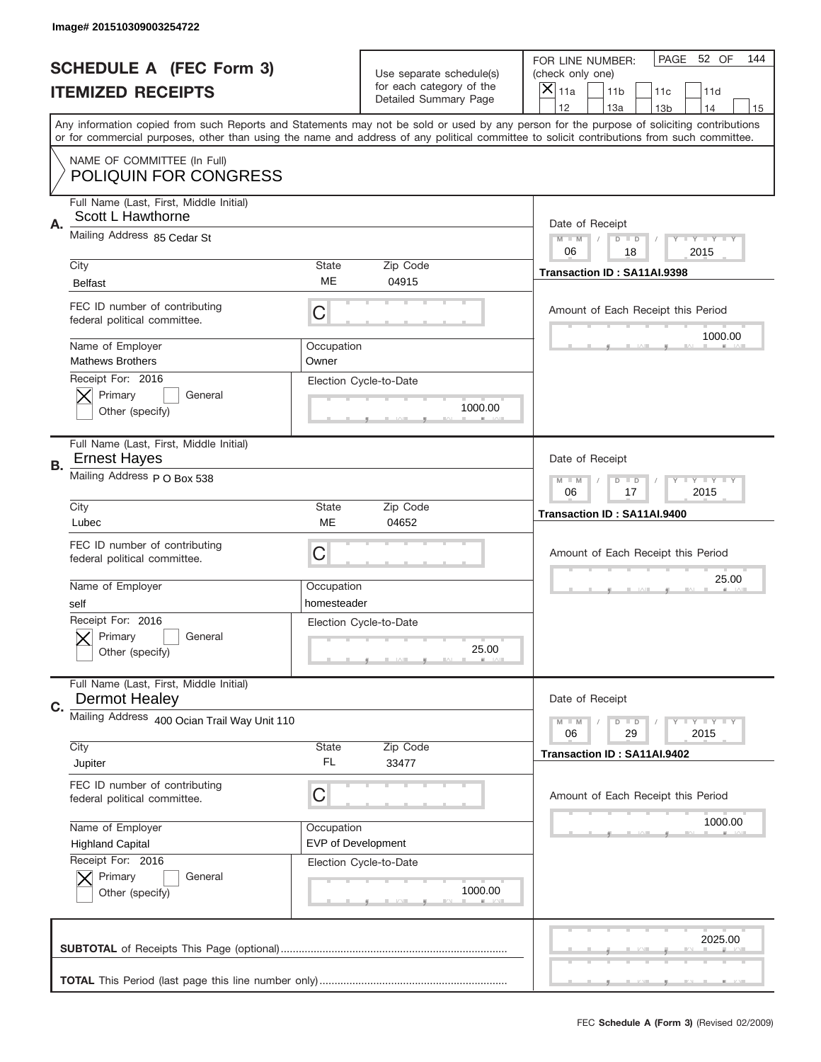|    | Image# 201510309003254722                                       |                                         |                                                      |                                                                                                                                                                                                                                                                                                                                     |
|----|-----------------------------------------------------------------|-----------------------------------------|------------------------------------------------------|-------------------------------------------------------------------------------------------------------------------------------------------------------------------------------------------------------------------------------------------------------------------------------------------------------------------------------------|
|    | <b>SCHEDULE A (FEC Form 3)</b>                                  |                                         | Use separate schedule(s)<br>for each category of the | PAGE<br>52 OF<br>144<br>FOR LINE NUMBER:<br>(check only one)                                                                                                                                                                                                                                                                        |
|    | <b>ITEMIZED RECEIPTS</b>                                        |                                         | Detailed Summary Page                                | $\times$<br>11a<br>11 <sub>b</sub><br>11c<br>11d                                                                                                                                                                                                                                                                                    |
|    |                                                                 |                                         |                                                      | 12<br>13a<br>14<br>13 <sub>b</sub><br>15<br>Any information copied from such Reports and Statements may not be sold or used by any person for the purpose of soliciting contributions<br>or for commercial purposes, other than using the name and address of any political committee to solicit contributions from such committee. |
|    | NAME OF COMMITTEE (In Full)<br><b>POLIQUIN FOR CONGRESS</b>     |                                         |                                                      |                                                                                                                                                                                                                                                                                                                                     |
| Α. | Full Name (Last, First, Middle Initial)<br>Scott L Hawthorne    |                                         |                                                      | Date of Receipt                                                                                                                                                                                                                                                                                                                     |
|    | Mailing Address 85 Cedar St                                     |                                         |                                                      | $M - M$<br>$D$ $D$<br>Y FY FY FY<br>06<br>2015<br>18                                                                                                                                                                                                                                                                                |
|    | City<br><b>Belfast</b>                                          | State<br>ME                             | Zip Code<br>04915                                    | Transaction ID: SA11AI.9398                                                                                                                                                                                                                                                                                                         |
|    | FEC ID number of contributing<br>federal political committee.   | C                                       |                                                      | Amount of Each Receipt this Period<br>1000.00                                                                                                                                                                                                                                                                                       |
|    | Name of Employer<br><b>Mathews Brothers</b>                     | Occupation<br>Owner                     |                                                      |                                                                                                                                                                                                                                                                                                                                     |
|    | Receipt For: 2016<br>Primary<br>General<br>Other (specify)      |                                         | Election Cycle-to-Date<br>1000.00                    |                                                                                                                                                                                                                                                                                                                                     |
| В. | Full Name (Last, First, Middle Initial)<br><b>Ernest Hayes</b>  |                                         |                                                      | Date of Receipt                                                                                                                                                                                                                                                                                                                     |
|    | Mailing Address P O Box 538                                     |                                         |                                                      | $M - M$<br>$D$ $D$<br>Y TY TY TY<br>06<br>17<br>2015                                                                                                                                                                                                                                                                                |
|    | City<br>Lubec                                                   | <b>State</b><br>ME                      | Zip Code<br>04652                                    | Transaction ID: SA11AI.9400                                                                                                                                                                                                                                                                                                         |
|    | FEC ID number of contributing<br>federal political committee.   | C                                       |                                                      | Amount of Each Receipt this Period                                                                                                                                                                                                                                                                                                  |
|    | Name of Employer<br>self                                        | Occupation<br>homesteader               |                                                      | 25.00                                                                                                                                                                                                                                                                                                                               |
|    | Receipt For: 2016<br>General<br>Primary<br>Other (specify)      |                                         | Election Cycle-to-Date<br>25.00                      |                                                                                                                                                                                                                                                                                                                                     |
| C. | Full Name (Last, First, Middle Initial)<br><b>Dermot Healey</b> |                                         |                                                      | Date of Receipt                                                                                                                                                                                                                                                                                                                     |
|    | Mailing Address 400 Ocian Trail Way Unit 110                    |                                         |                                                      | <b>LEY LEY LEY</b><br>$M - M$<br>$D$ $D$<br>06<br>29<br>2015                                                                                                                                                                                                                                                                        |
|    | City<br>Jupiter                                                 | State<br>FL                             | Zip Code<br>33477                                    | Transaction ID: SA11AI.9402                                                                                                                                                                                                                                                                                                         |
|    | FEC ID number of contributing<br>federal political committee.   | C                                       |                                                      | Amount of Each Receipt this Period                                                                                                                                                                                                                                                                                                  |
|    | Name of Employer<br><b>Highland Capital</b>                     | Occupation<br><b>EVP of Development</b> |                                                      | 1000.00                                                                                                                                                                                                                                                                                                                             |
|    | Receipt For: 2016<br>Primary<br>General<br>Other (specify)      |                                         | Election Cycle-to-Date<br>1000.00                    |                                                                                                                                                                                                                                                                                                                                     |
|    |                                                                 |                                         |                                                      | 2025.00                                                                                                                                                                                                                                                                                                                             |
|    |                                                                 |                                         |                                                      |                                                                                                                                                                                                                                                                                                                                     |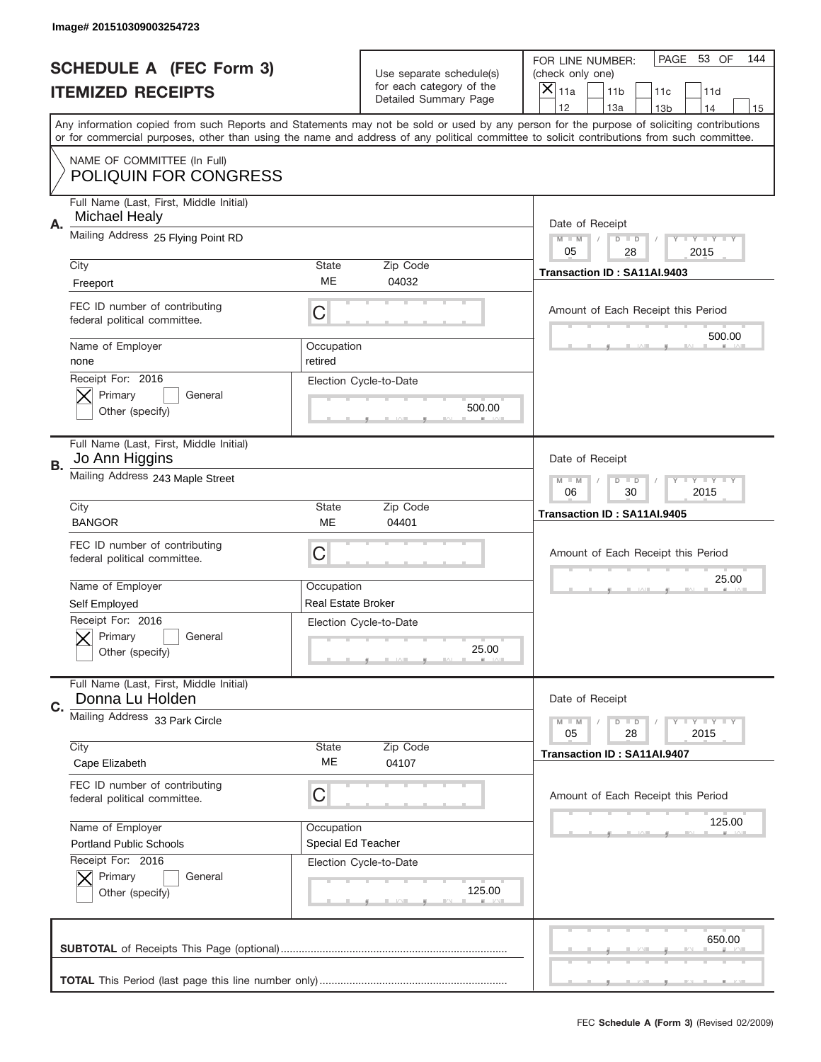|    | Image# 201510309003254723                                       |                                                         |                                                   |                                                                                                                                                                                                                                                                                                                                     |
|----|-----------------------------------------------------------------|---------------------------------------------------------|---------------------------------------------------|-------------------------------------------------------------------------------------------------------------------------------------------------------------------------------------------------------------------------------------------------------------------------------------------------------------------------------------|
|    | <b>SCHEDULE A (FEC Form 3)</b>                                  |                                                         | Use separate schedule(s)                          | PAGE 53 OF<br>144<br>FOR LINE NUMBER:<br>(check only one)                                                                                                                                                                                                                                                                           |
|    | <b>ITEMIZED RECEIPTS</b>                                        |                                                         | for each category of the<br>Detailed Summary Page | ×<br>11a<br>11 <sub>b</sub><br>11c<br>11d                                                                                                                                                                                                                                                                                           |
|    |                                                                 |                                                         |                                                   | 12<br>13a<br>14<br>13 <sub>b</sub><br>15<br>Any information copied from such Reports and Statements may not be sold or used by any person for the purpose of soliciting contributions<br>or for commercial purposes, other than using the name and address of any political committee to solicit contributions from such committee. |
|    | NAME OF COMMITTEE (In Full)<br><b>POLIQUIN FOR CONGRESS</b>     |                                                         |                                                   |                                                                                                                                                                                                                                                                                                                                     |
| Α. | Full Name (Last, First, Middle Initial)<br><b>Michael Healy</b> |                                                         |                                                   | Date of Receipt                                                                                                                                                                                                                                                                                                                     |
|    | Mailing Address 25 Flying Point RD                              |                                                         |                                                   | $M - M$<br><b>LYLYLY</b><br>$D$ $D$<br>05<br>28<br>2015                                                                                                                                                                                                                                                                             |
|    | City<br>Freeport                                                | State<br>ME                                             | Zip Code<br>04032                                 | Transaction ID: SA11AI.9403                                                                                                                                                                                                                                                                                                         |
|    | FEC ID number of contributing<br>federal political committee.   | C                                                       |                                                   | Amount of Each Receipt this Period<br>500.00                                                                                                                                                                                                                                                                                        |
|    | Name of Employer<br>none                                        | Occupation<br>retired                                   |                                                   |                                                                                                                                                                                                                                                                                                                                     |
|    | Receipt For: 2016<br>Primary<br>General<br>Other (specify)      |                                                         | Election Cycle-to-Date<br>500.00                  |                                                                                                                                                                                                                                                                                                                                     |
| В. | Full Name (Last, First, Middle Initial)<br>Jo Ann Higgins       |                                                         |                                                   | Date of Receipt                                                                                                                                                                                                                                                                                                                     |
|    | Mailing Address 243 Maple Street                                | $M - M$<br>$D$ $D$<br><b>LYLYLY</b><br>06<br>30<br>2015 |                                                   |                                                                                                                                                                                                                                                                                                                                     |
|    | City<br><b>BANGOR</b>                                           | <b>State</b><br>ME                                      | Zip Code<br>04401                                 | Transaction ID: SA11AI.9405                                                                                                                                                                                                                                                                                                         |
|    | FEC ID number of contributing<br>federal political committee.   | C                                                       |                                                   | Amount of Each Receipt this Period                                                                                                                                                                                                                                                                                                  |
|    | Name of Employer                                                | Occupation                                              |                                                   | 25.00                                                                                                                                                                                                                                                                                                                               |
|    |                                                                 |                                                         |                                                   |                                                                                                                                                                                                                                                                                                                                     |
|    | Self Employed                                                   | <b>Real Estate Broker</b>                               |                                                   |                                                                                                                                                                                                                                                                                                                                     |
|    | Receipt For: 2016<br>General<br>Primary<br>Other (specify)      |                                                         | Election Cycle-to-Date<br>25.00                   |                                                                                                                                                                                                                                                                                                                                     |
| C. | Full Name (Last, First, Middle Initial)<br>Donna Lu Holden      |                                                         |                                                   | Date of Receipt                                                                                                                                                                                                                                                                                                                     |
|    | Mailing Address 33 Park Circle                                  |                                                         |                                                   | <b>LEY LEY LEY</b><br>$M - M$<br>$D$ $D$<br>05<br>2015<br>28                                                                                                                                                                                                                                                                        |
|    | City<br>Cape Elizabeth                                          | State<br>ME                                             | Zip Code<br>04107                                 | Transaction ID: SA11AI.9407                                                                                                                                                                                                                                                                                                         |
|    | FEC ID number of contributing<br>federal political committee.   | С                                                       |                                                   | Amount of Each Receipt this Period                                                                                                                                                                                                                                                                                                  |
|    | Name of Employer                                                | Occupation                                              |                                                   | 125.00                                                                                                                                                                                                                                                                                                                              |
|    | <b>Portland Public Schools</b>                                  | Special Ed Teacher                                      |                                                   |                                                                                                                                                                                                                                                                                                                                     |
|    | Receipt For: 2016<br>Primary<br>General<br>Other (specify)      |                                                         | Election Cycle-to-Date<br>125.00                  |                                                                                                                                                                                                                                                                                                                                     |
|    |                                                                 |                                                         |                                                   | 650.00                                                                                                                                                                                                                                                                                                                              |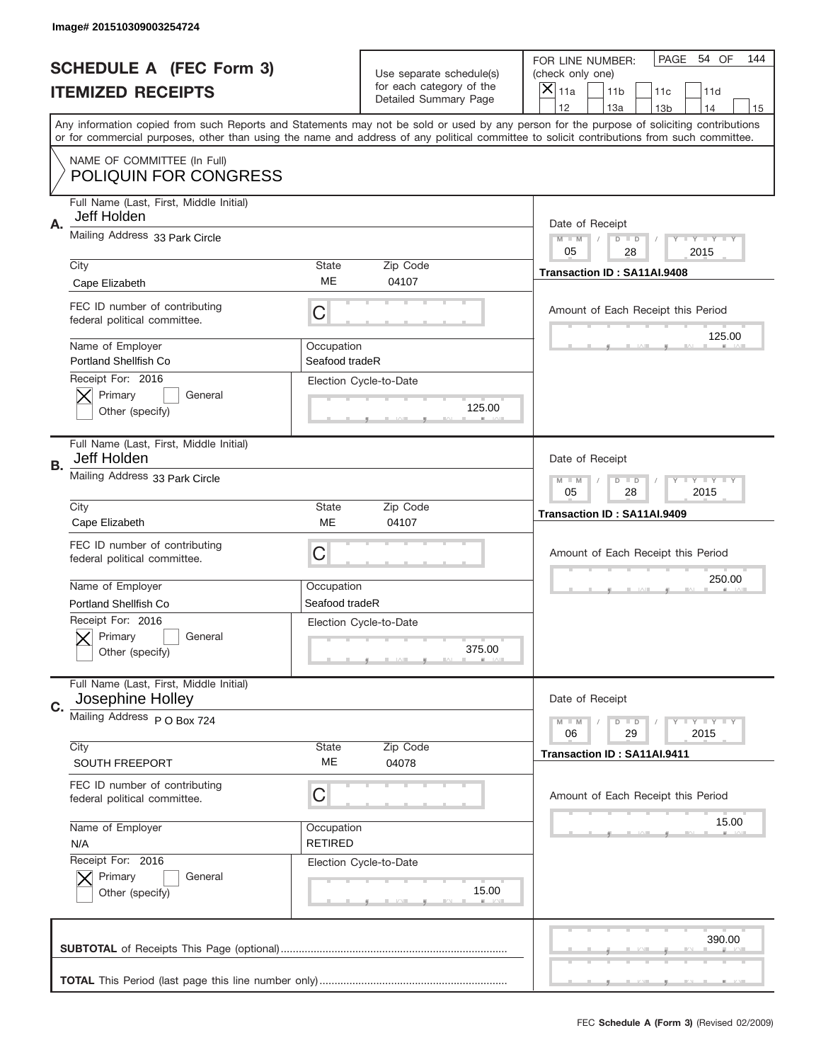|    | Image# 201510309003254724                                                           |                              |                                                   |                                                                                                                                                                                                                                                                                                                                     |
|----|-------------------------------------------------------------------------------------|------------------------------|---------------------------------------------------|-------------------------------------------------------------------------------------------------------------------------------------------------------------------------------------------------------------------------------------------------------------------------------------------------------------------------------------|
|    | <b>SCHEDULE A (FEC Form 3)</b>                                                      |                              | Use separate schedule(s)                          | PAGE 54 OF<br>144<br>FOR LINE NUMBER:<br>(check only one)                                                                                                                                                                                                                                                                           |
|    | <b>ITEMIZED RECEIPTS</b>                                                            |                              | for each category of the<br>Detailed Summary Page | ×<br>11a<br>11 <sub>b</sub><br>11c<br>11d                                                                                                                                                                                                                                                                                           |
|    |                                                                                     |                              |                                                   | 12<br>13a<br>14<br>13 <sub>b</sub><br>15<br>Any information copied from such Reports and Statements may not be sold or used by any person for the purpose of soliciting contributions<br>or for commercial purposes, other than using the name and address of any political committee to solicit contributions from such committee. |
|    | NAME OF COMMITTEE (In Full)<br><b>POLIQUIN FOR CONGRESS</b>                         |                              |                                                   |                                                                                                                                                                                                                                                                                                                                     |
| Α. | Full Name (Last, First, Middle Initial)<br>Jeff Holden                              |                              |                                                   | Date of Receipt                                                                                                                                                                                                                                                                                                                     |
|    | Mailing Address 33 Park Circle                                                      |                              |                                                   | $M - M$<br><b>LYLYLY</b><br>$D$ $D$<br>05<br>28<br>2015                                                                                                                                                                                                                                                                             |
|    | City<br>Cape Elizabeth                                                              | State<br>ME                  | Zip Code<br>04107                                 | Transaction ID: SA11AI.9408                                                                                                                                                                                                                                                                                                         |
|    | FEC ID number of contributing<br>federal political committee.                       | C                            |                                                   | Amount of Each Receipt this Period<br>125.00                                                                                                                                                                                                                                                                                        |
|    | Name of Employer<br><b>Portland Shellfish Co</b><br>Receipt For: 2016               | Occupation<br>Seafood tradeR |                                                   |                                                                                                                                                                                                                                                                                                                                     |
|    | Primary<br>General<br>Other (specify)                                               |                              | Election Cycle-to-Date<br>125.00                  |                                                                                                                                                                                                                                                                                                                                     |
| В. | Full Name (Last, First, Middle Initial)<br>Jeff Holden                              |                              |                                                   | Date of Receipt                                                                                                                                                                                                                                                                                                                     |
|    | Mailing Address 33 Park Circle                                                      |                              |                                                   | $M - M$<br>$D$ $D$<br><b>LYLYLY</b><br>05<br>28<br>2015                                                                                                                                                                                                                                                                             |
|    | City<br>Cape Elizabeth                                                              | State<br>ME                  | Zip Code<br>04107                                 | Transaction ID: SA11AI.9409                                                                                                                                                                                                                                                                                                         |
|    | FEC ID number of contributing                                                       |                              |                                                   |                                                                                                                                                                                                                                                                                                                                     |
|    | federal political committee.                                                        | C                            |                                                   | Amount of Each Receipt this Period                                                                                                                                                                                                                                                                                                  |
|    | Name of Employer                                                                    | Occupation                   |                                                   | 250.00                                                                                                                                                                                                                                                                                                                              |
|    | Portland Shellfish Co<br>Receipt For: 2016<br>General<br>Primary<br>Other (specify) | Seafood tradeR               | Election Cycle-to-Date<br>375.00                  |                                                                                                                                                                                                                                                                                                                                     |
| C. | Full Name (Last, First, Middle Initial)<br>Josephine Holley                         |                              |                                                   | Date of Receipt                                                                                                                                                                                                                                                                                                                     |
|    | Mailing Address P O Box 724                                                         |                              |                                                   | <b>LY LY LY</b><br>$M - M$<br>$D$ $D$<br>06<br>2015<br>29                                                                                                                                                                                                                                                                           |
|    | City<br>SOUTH FREEPORT                                                              | State<br>ME                  | Zip Code<br>04078                                 | Transaction ID: SA11AI.9411                                                                                                                                                                                                                                                                                                         |
|    | FEC ID number of contributing<br>federal political committee.                       | С                            |                                                   | Amount of Each Receipt this Period                                                                                                                                                                                                                                                                                                  |
|    | Name of Employer<br>N/A                                                             | Occupation<br><b>RETIRED</b> |                                                   | 15.00                                                                                                                                                                                                                                                                                                                               |
|    | Receipt For: 2016<br>Primary<br>General<br>Other (specify)                          |                              | Election Cycle-to-Date<br>15.00                   |                                                                                                                                                                                                                                                                                                                                     |
|    |                                                                                     |                              |                                                   | 390.00                                                                                                                                                                                                                                                                                                                              |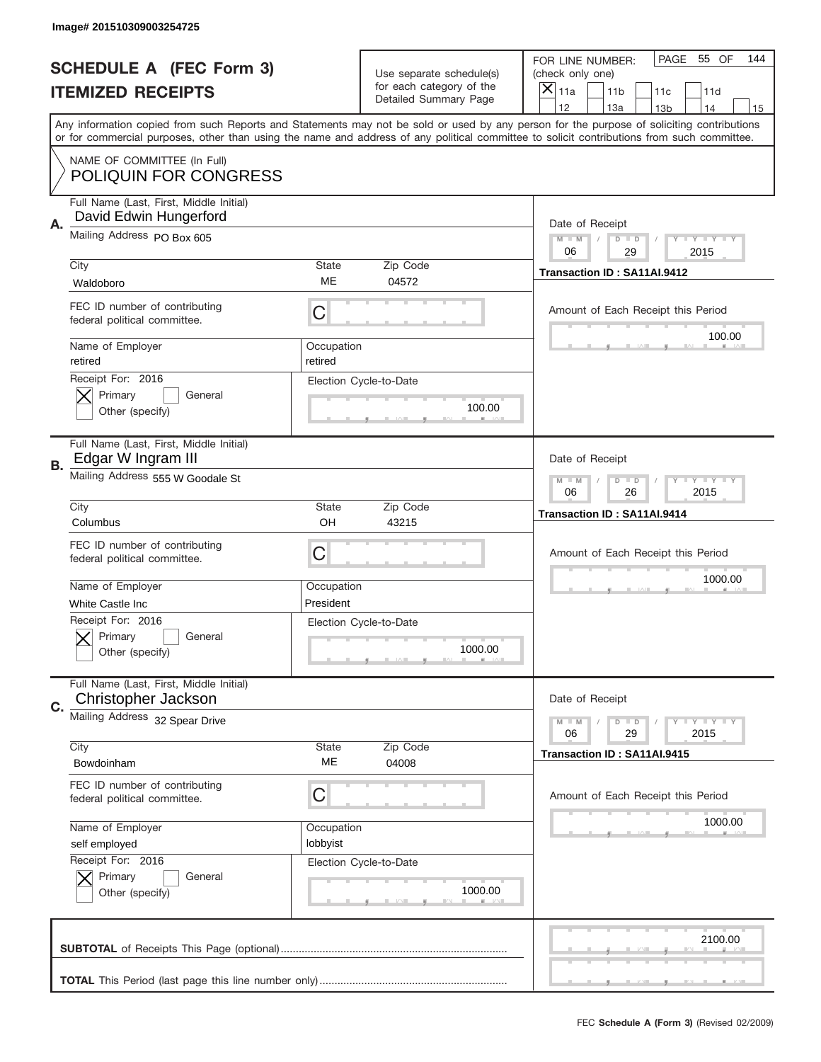|           | Image# 201510309003254725                                                      |                        |                                                   |                                                                                                                                                                                                                                                                                                                                     |
|-----------|--------------------------------------------------------------------------------|------------------------|---------------------------------------------------|-------------------------------------------------------------------------------------------------------------------------------------------------------------------------------------------------------------------------------------------------------------------------------------------------------------------------------------|
|           | <b>SCHEDULE A (FEC Form 3)</b>                                                 |                        | Use separate schedule(s)                          | PAGE 55 OF<br>144<br>FOR LINE NUMBER:<br>(check only one)                                                                                                                                                                                                                                                                           |
|           | <b>ITEMIZED RECEIPTS</b>                                                       |                        | for each category of the<br>Detailed Summary Page | ×<br>11a<br>11 <sub>b</sub><br>11c<br>11d                                                                                                                                                                                                                                                                                           |
|           |                                                                                |                        |                                                   | 12<br>13a<br>14<br>13 <sub>b</sub><br>15<br>Any information copied from such Reports and Statements may not be sold or used by any person for the purpose of soliciting contributions<br>or for commercial purposes, other than using the name and address of any political committee to solicit contributions from such committee. |
|           | NAME OF COMMITTEE (In Full)<br><b>POLIQUIN FOR CONGRESS</b>                    |                        |                                                   |                                                                                                                                                                                                                                                                                                                                     |
| А.        | Full Name (Last, First, Middle Initial)<br>David Edwin Hungerford              |                        |                                                   | Date of Receipt                                                                                                                                                                                                                                                                                                                     |
|           | Mailing Address PO Box 605                                                     |                        |                                                   | $M - M$<br><b>LYLYLY</b><br>$D$ $D$<br>06<br>29<br>2015                                                                                                                                                                                                                                                                             |
|           | City<br>Waldoboro                                                              | State<br>ME            | Zip Code<br>04572                                 | Transaction ID: SA11AI.9412                                                                                                                                                                                                                                                                                                         |
|           | FEC ID number of contributing<br>federal political committee.                  | C                      |                                                   | Amount of Each Receipt this Period<br>100.00                                                                                                                                                                                                                                                                                        |
|           | Name of Employer<br>retired                                                    | Occupation<br>retired  |                                                   |                                                                                                                                                                                                                                                                                                                                     |
|           | Receipt For: 2016<br>Primary<br>General<br>Other (specify)                     |                        | Election Cycle-to-Date<br>100.00                  |                                                                                                                                                                                                                                                                                                                                     |
| <b>B.</b> | Full Name (Last, First, Middle Initial)<br>Edgar W Ingram III                  |                        |                                                   | Date of Receipt                                                                                                                                                                                                                                                                                                                     |
|           | Mailing Address 555 W Goodale St                                               |                        |                                                   | $M - M$<br>$D$ $D$<br><b>LYLYLY</b><br>06<br>26<br>2015                                                                                                                                                                                                                                                                             |
|           | City<br>Columbus                                                               | State<br>OH            | Zip Code<br>43215                                 | Transaction ID: SA11AI.9414                                                                                                                                                                                                                                                                                                         |
|           |                                                                                |                        |                                                   |                                                                                                                                                                                                                                                                                                                                     |
|           | FEC ID number of contributing<br>federal political committee.                  | C                      |                                                   | Amount of Each Receipt this Period                                                                                                                                                                                                                                                                                                  |
|           | Name of Employer                                                               | Occupation             |                                                   | 1000.00                                                                                                                                                                                                                                                                                                                             |
|           | White Castle Inc<br>Receipt For: 2016<br>General<br>Primary<br>Other (specify) | President              | Election Cycle-to-Date<br>1000.00                 |                                                                                                                                                                                                                                                                                                                                     |
| C.        | Full Name (Last, First, Middle Initial)<br>Christopher Jackson                 |                        |                                                   | Date of Receipt                                                                                                                                                                                                                                                                                                                     |
|           | Mailing Address 32 Spear Drive                                                 |                        |                                                   | <b>LEY LEY LEY</b><br>$M - M$<br>$D$ $D$<br>06<br>2015<br>29                                                                                                                                                                                                                                                                        |
|           | City<br>Bowdoinham                                                             | State<br>ME            | Zip Code<br>04008                                 | Transaction ID: SA11AI.9415                                                                                                                                                                                                                                                                                                         |
|           | FEC ID number of contributing<br>federal political committee.                  | С                      |                                                   | Amount of Each Receipt this Period                                                                                                                                                                                                                                                                                                  |
|           | Name of Employer<br>self employed                                              | Occupation<br>lobbyist |                                                   | 1000.00                                                                                                                                                                                                                                                                                                                             |
|           | Receipt For: 2016<br>Primary<br>General<br>Other (specify)                     |                        | Election Cycle-to-Date<br>1000.00                 |                                                                                                                                                                                                                                                                                                                                     |
|           |                                                                                |                        |                                                   | 2100.00                                                                                                                                                                                                                                                                                                                             |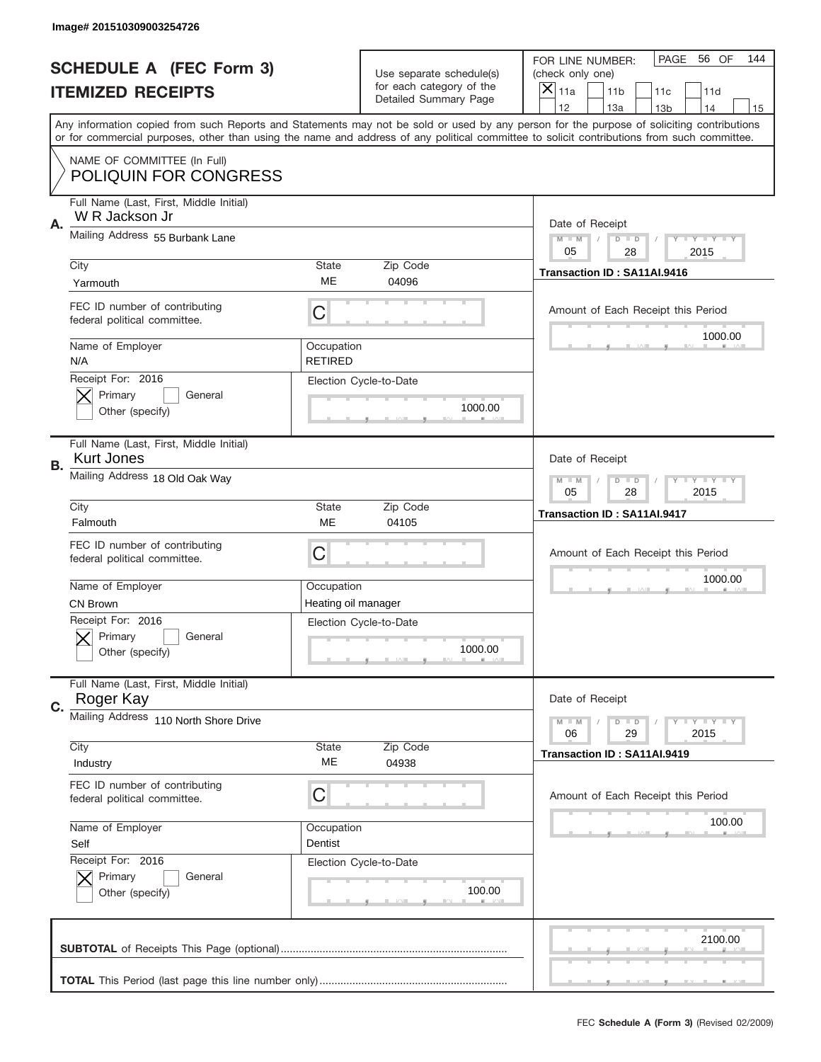|           | Image# 201510309003254726                                     |                              |                                                           |                                                                                                                                                                                                                                                                                                                                     |
|-----------|---------------------------------------------------------------|------------------------------|-----------------------------------------------------------|-------------------------------------------------------------------------------------------------------------------------------------------------------------------------------------------------------------------------------------------------------------------------------------------------------------------------------------|
|           | <b>SCHEDULE A (FEC Form 3)</b>                                |                              | Use separate schedule(s)                                  | PAGE 56 OF<br>144<br>FOR LINE NUMBER:<br>(check only one)                                                                                                                                                                                                                                                                           |
|           | <b>ITEMIZED RECEIPTS</b>                                      |                              | for each category of the<br>Detailed Summary Page         | ×<br>11a<br>11 <sub>b</sub><br>11c<br>11d                                                                                                                                                                                                                                                                                           |
|           |                                                               |                              |                                                           | 12<br>13a<br>14<br>13 <sub>b</sub><br>15<br>Any information copied from such Reports and Statements may not be sold or used by any person for the purpose of soliciting contributions<br>or for commercial purposes, other than using the name and address of any political committee to solicit contributions from such committee. |
|           | NAME OF COMMITTEE (In Full)<br><b>POLIQUIN FOR CONGRESS</b>   |                              |                                                           |                                                                                                                                                                                                                                                                                                                                     |
| Α.        | Full Name (Last, First, Middle Initial)<br>W R Jackson Jr     |                              |                                                           | Date of Receipt                                                                                                                                                                                                                                                                                                                     |
|           | Mailing Address 55 Burbank Lane                               |                              |                                                           | $M - M$<br><b>THEY THEY</b><br>$D$ $D$<br>05<br>2015<br>28                                                                                                                                                                                                                                                                          |
|           | City<br>Yarmouth                                              | State<br>ME                  | Zip Code<br>04096                                         | Transaction ID: SA11AI.9416                                                                                                                                                                                                                                                                                                         |
|           | FEC ID number of contributing<br>federal political committee. | C                            |                                                           | Amount of Each Receipt this Period<br>1000.00                                                                                                                                                                                                                                                                                       |
|           | Name of Employer<br>N/A                                       | Occupation<br><b>RETIRED</b> |                                                           |                                                                                                                                                                                                                                                                                                                                     |
|           | Receipt For: 2016<br>Primary<br>General<br>Other (specify)    |                              | Election Cycle-to-Date<br>1000.00                         |                                                                                                                                                                                                                                                                                                                                     |
| <b>B.</b> | Full Name (Last, First, Middle Initial)<br><b>Kurt Jones</b>  |                              |                                                           | Date of Receipt                                                                                                                                                                                                                                                                                                                     |
|           | Mailing Address 18 Old Oak Way                                |                              | <b>LY LY LY</b><br>$M - M$<br>$D$ $D$<br>05<br>28<br>2015 |                                                                                                                                                                                                                                                                                                                                     |
|           | City<br>Falmouth                                              | State<br>ME                  | Zip Code<br>04105                                         | Transaction ID: SA11AI.9417                                                                                                                                                                                                                                                                                                         |
|           | FEC ID number of contributing<br>federal political committee. | C                            |                                                           | Amount of Each Receipt this Period                                                                                                                                                                                                                                                                                                  |
|           | Name of Employer                                              | Occupation                   |                                                           | 1000.00                                                                                                                                                                                                                                                                                                                             |
|           |                                                               |                              |                                                           |                                                                                                                                                                                                                                                                                                                                     |
|           | <b>CN Brown</b><br>Receipt For: 2016                          | Heating oil manager          | Election Cycle-to-Date                                    |                                                                                                                                                                                                                                                                                                                                     |
|           | General<br>Primary<br>Other (specify)                         |                              | 1000.00                                                   |                                                                                                                                                                                                                                                                                                                                     |
| C.        | Full Name (Last, First, Middle Initial)<br>Roger Kay          |                              |                                                           | Date of Receipt                                                                                                                                                                                                                                                                                                                     |
|           | Mailing Address 110 North Shore Drive                         |                              |                                                           | <b>LY LY LY</b><br>$M - M$<br>$D$ $D$<br>06<br>2015<br>29                                                                                                                                                                                                                                                                           |
|           | City<br>Industry                                              | State<br>ME                  | Zip Code<br>04938                                         | Transaction ID: SA11AI.9419                                                                                                                                                                                                                                                                                                         |
|           | FEC ID number of contributing<br>federal political committee. | С                            |                                                           | Amount of Each Receipt this Period                                                                                                                                                                                                                                                                                                  |
|           | Name of Employer<br>Self                                      | Occupation<br>Dentist        |                                                           | 100.00                                                                                                                                                                                                                                                                                                                              |
|           | Receipt For: 2016<br>Primary<br>General<br>Other (specify)    |                              | Election Cycle-to-Date<br>100.00                          |                                                                                                                                                                                                                                                                                                                                     |
|           |                                                               |                              |                                                           | 2100.00                                                                                                                                                                                                                                                                                                                             |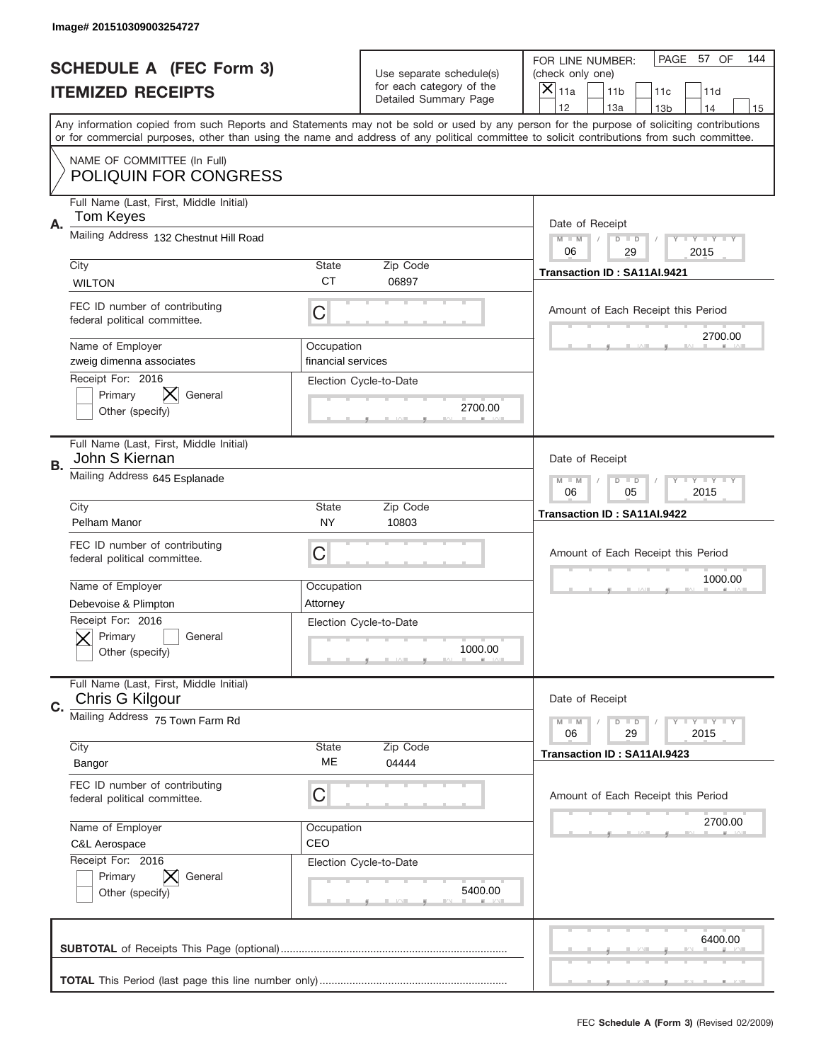|    | Image# 201510309003254727                                        |                                  |                                                   |                                                                                                                                                                                       |
|----|------------------------------------------------------------------|----------------------------------|---------------------------------------------------|---------------------------------------------------------------------------------------------------------------------------------------------------------------------------------------|
|    | <b>SCHEDULE A (FEC Form 3)</b>                                   |                                  | Use separate schedule(s)                          | PAGE 57 OF<br>144<br>FOR LINE NUMBER:<br>(check only one)                                                                                                                             |
|    | <b>ITEMIZED RECEIPTS</b>                                         |                                  | for each category of the<br>Detailed Summary Page | ×<br>11a<br>11 <sub>b</sub><br>11c<br>11d                                                                                                                                             |
|    |                                                                  |                                  |                                                   | 12<br>13a<br>14<br>13 <sub>b</sub><br>15<br>Any information copied from such Reports and Statements may not be sold or used by any person for the purpose of soliciting contributions |
|    |                                                                  |                                  |                                                   | or for commercial purposes, other than using the name and address of any political committee to solicit contributions from such committee.                                            |
|    | NAME OF COMMITTEE (In Full)<br><b>POLIQUIN FOR CONGRESS</b>      |                                  |                                                   |                                                                                                                                                                                       |
| Α. | Full Name (Last, First, Middle Initial)<br><b>Tom Keyes</b>      |                                  |                                                   | Date of Receipt                                                                                                                                                                       |
|    | Mailing Address 132 Chestnut Hill Road                           |                                  |                                                   | $M - M$<br><b>LEY LEY LEY</b><br>$D$ $D$<br>06<br>2015<br>29                                                                                                                          |
|    | City<br><b>WILTON</b>                                            | State<br><b>CT</b>               | Zip Code<br>06897                                 | Transaction ID: SA11AI.9421                                                                                                                                                           |
|    | FEC ID number of contributing<br>federal political committee.    | C                                |                                                   | Amount of Each Receipt this Period                                                                                                                                                    |
|    | Name of Employer<br>zweig dimenna associates                     | Occupation<br>financial services |                                                   | 2700.00                                                                                                                                                                               |
|    | Receipt For: 2016<br>IX<br>Primary<br>General<br>Other (specify) |                                  | Election Cycle-to-Date<br>2700.00                 |                                                                                                                                                                                       |
| В. | Full Name (Last, First, Middle Initial)<br>John S Kiernan        |                                  |                                                   | Date of Receipt                                                                                                                                                                       |
|    | Mailing Address 645 Esplanade                                    |                                  |                                                   | $M - M$<br>$D$ $D$<br><b>LYLYLY</b><br>06<br>05<br>2015                                                                                                                               |
|    | City<br>Pelham Manor                                             | State<br>NY.                     | Zip Code<br>10803                                 | Transaction ID: SA11AI.9422                                                                                                                                                           |
|    | FEC ID number of contributing<br>federal political committee.    | C                                |                                                   | Amount of Each Receipt this Period                                                                                                                                                    |
|    | Name of Employer                                                 | Occupation                       |                                                   | 1000.00                                                                                                                                                                               |
|    | Debevoise & Plimpton                                             | Attorney                         |                                                   |                                                                                                                                                                                       |
|    |                                                                  |                                  |                                                   |                                                                                                                                                                                       |
|    | Receipt For: 2016<br>General<br>Primary<br>Other (specify)       | Election Cycle-to-Date           | 1000.00                                           |                                                                                                                                                                                       |
| C. | Full Name (Last, First, Middle Initial)<br>Chris G Kilgour       |                                  |                                                   | Date of Receipt                                                                                                                                                                       |
|    | Mailing Address 75 Town Farm Rd                                  |                                  |                                                   | <b>LYLYLY</b><br>$M - M$<br>$D$ $D$<br>06<br>29<br>2015                                                                                                                               |
|    | City<br>Bangor                                                   | State<br>МE                      | Zip Code<br>04444                                 | Transaction ID: SA11AI.9423                                                                                                                                                           |
|    | FEC ID number of contributing<br>federal political committee.    | C                                |                                                   | Amount of Each Receipt this Period                                                                                                                                                    |
|    | Name of Employer<br>C&L Aerospace                                | Occupation<br>CEO                |                                                   | 2700.00                                                                                                                                                                               |
|    | Receipt For: 2016<br>Primary<br>General<br>Other (specify)       |                                  | Election Cycle-to-Date<br>5400.00                 |                                                                                                                                                                                       |
|    |                                                                  |                                  |                                                   | 6400.00                                                                                                                                                                               |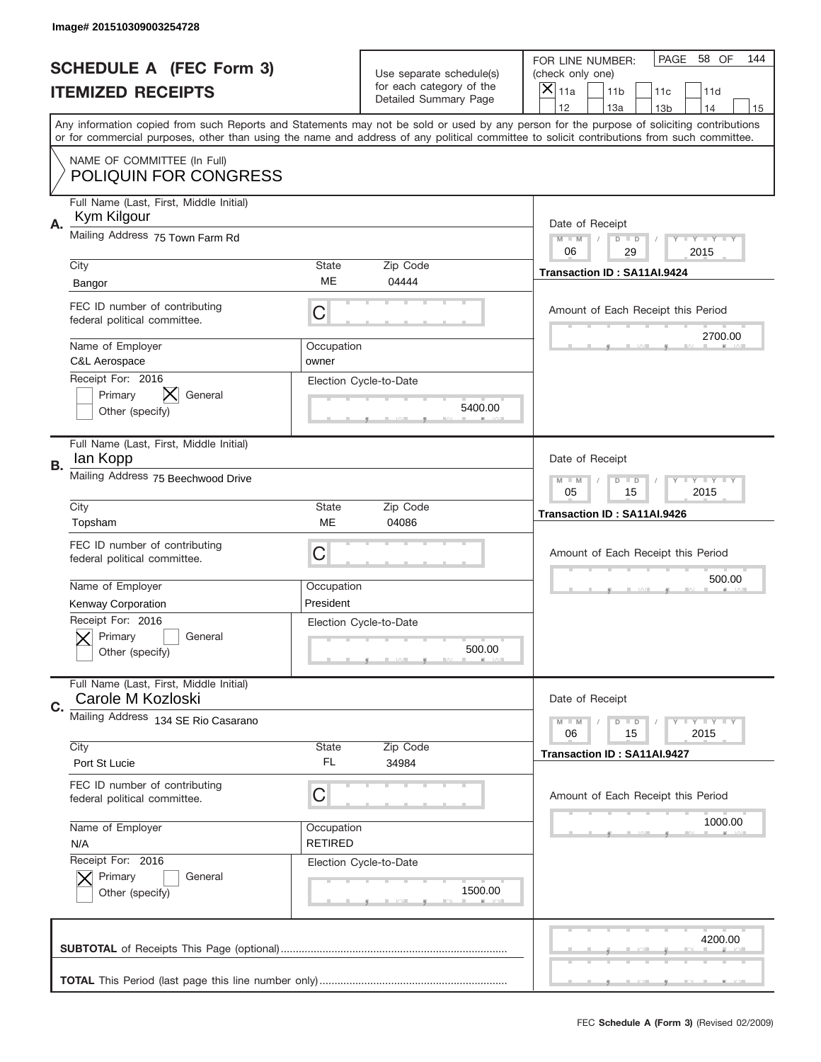|    | Image# 201510309003254728                                                        |                              |                                                   |                                                                                                                                                                                                                                                                                                                                     |
|----|----------------------------------------------------------------------------------|------------------------------|---------------------------------------------------|-------------------------------------------------------------------------------------------------------------------------------------------------------------------------------------------------------------------------------------------------------------------------------------------------------------------------------------|
|    | <b>SCHEDULE A (FEC Form 3)</b>                                                   |                              | Use separate schedule(s)                          | PAGE<br>58 OF<br>144<br>FOR LINE NUMBER:<br>(check only one)                                                                                                                                                                                                                                                                        |
|    | <b>ITEMIZED RECEIPTS</b>                                                         |                              | for each category of the<br>Detailed Summary Page | ×<br>11a<br>11 <sub>b</sub><br>11c<br>11d                                                                                                                                                                                                                                                                                           |
|    |                                                                                  |                              |                                                   | 12<br>13a<br>14<br>13 <sub>b</sub><br>15<br>Any information copied from such Reports and Statements may not be sold or used by any person for the purpose of soliciting contributions<br>or for commercial purposes, other than using the name and address of any political committee to solicit contributions from such committee. |
|    | NAME OF COMMITTEE (In Full)<br><b>POLIQUIN FOR CONGRESS</b>                      |                              |                                                   |                                                                                                                                                                                                                                                                                                                                     |
| Α. | Full Name (Last, First, Middle Initial)<br>Kym Kilgour                           |                              |                                                   | Date of Receipt                                                                                                                                                                                                                                                                                                                     |
|    | Mailing Address 75 Town Farm Rd                                                  |                              |                                                   | $M - M$<br><b>LEY LEY LEY</b><br>$D$ $D$<br>06<br>2015<br>29                                                                                                                                                                                                                                                                        |
|    | City<br>Bangor                                                                   | State<br>ME                  | Zip Code<br>04444                                 | Transaction ID: SA11AI.9424                                                                                                                                                                                                                                                                                                         |
|    | FEC ID number of contributing<br>federal political committee.                    | C                            |                                                   | Amount of Each Receipt this Period<br>2700.00                                                                                                                                                                                                                                                                                       |
|    | Name of Employer<br>C&L Aerospace                                                | Occupation<br>owner          |                                                   |                                                                                                                                                                                                                                                                                                                                     |
|    | Receipt For: 2016<br>Primary<br>General<br>Other (specify)                       |                              | Election Cycle-to-Date<br>5400.00                 |                                                                                                                                                                                                                                                                                                                                     |
| В. | Full Name (Last, First, Middle Initial)<br>lan Kopp                              |                              |                                                   | Date of Receipt                                                                                                                                                                                                                                                                                                                     |
|    | Mailing Address 75 Beechwood Drive                                               |                              |                                                   | $M$ M<br>$D$ $D$<br><b>LYLYLY</b><br>05<br>15<br>2015                                                                                                                                                                                                                                                                               |
|    | City<br>Topsham                                                                  | State<br>ME                  | Zip Code<br>04086                                 | Transaction ID: SA11AI.9426                                                                                                                                                                                                                                                                                                         |
|    | FEC ID number of contributing<br>federal political committee.                    | C                            |                                                   | Amount of Each Receipt this Period                                                                                                                                                                                                                                                                                                  |
|    |                                                                                  |                              |                                                   |                                                                                                                                                                                                                                                                                                                                     |
|    | Name of Employer                                                                 | Occupation<br>President      |                                                   | 500.00                                                                                                                                                                                                                                                                                                                              |
|    | Kenway Corporation<br>Receipt For: 2016<br>General<br>Primary<br>Other (specify) |                              | Election Cycle-to-Date<br>500.00                  |                                                                                                                                                                                                                                                                                                                                     |
| C. | Full Name (Last, First, Middle Initial)<br>Carole M Kozloski                     |                              |                                                   | Date of Receipt                                                                                                                                                                                                                                                                                                                     |
|    | Mailing Address 134 SE Rio Casarano                                              |                              |                                                   | <b>LY LY LY</b><br>$M - M$<br>$D$ $D$<br>06<br>2015<br>15                                                                                                                                                                                                                                                                           |
|    | City<br>Port St Lucie                                                            | State<br>FL                  | Zip Code<br>34984                                 | Transaction ID: SA11AI.9427                                                                                                                                                                                                                                                                                                         |
|    | FEC ID number of contributing<br>federal political committee.                    | C                            |                                                   | Amount of Each Receipt this Period                                                                                                                                                                                                                                                                                                  |
|    | Name of Employer<br>N/A                                                          | Occupation<br><b>RETIRED</b> |                                                   | 1000.00                                                                                                                                                                                                                                                                                                                             |
|    | Receipt For: 2016<br>Primary<br>General<br>Other (specify)                       |                              | Election Cycle-to-Date<br>1500.00                 |                                                                                                                                                                                                                                                                                                                                     |
|    |                                                                                  |                              |                                                   | 4200.00                                                                                                                                                                                                                                                                                                                             |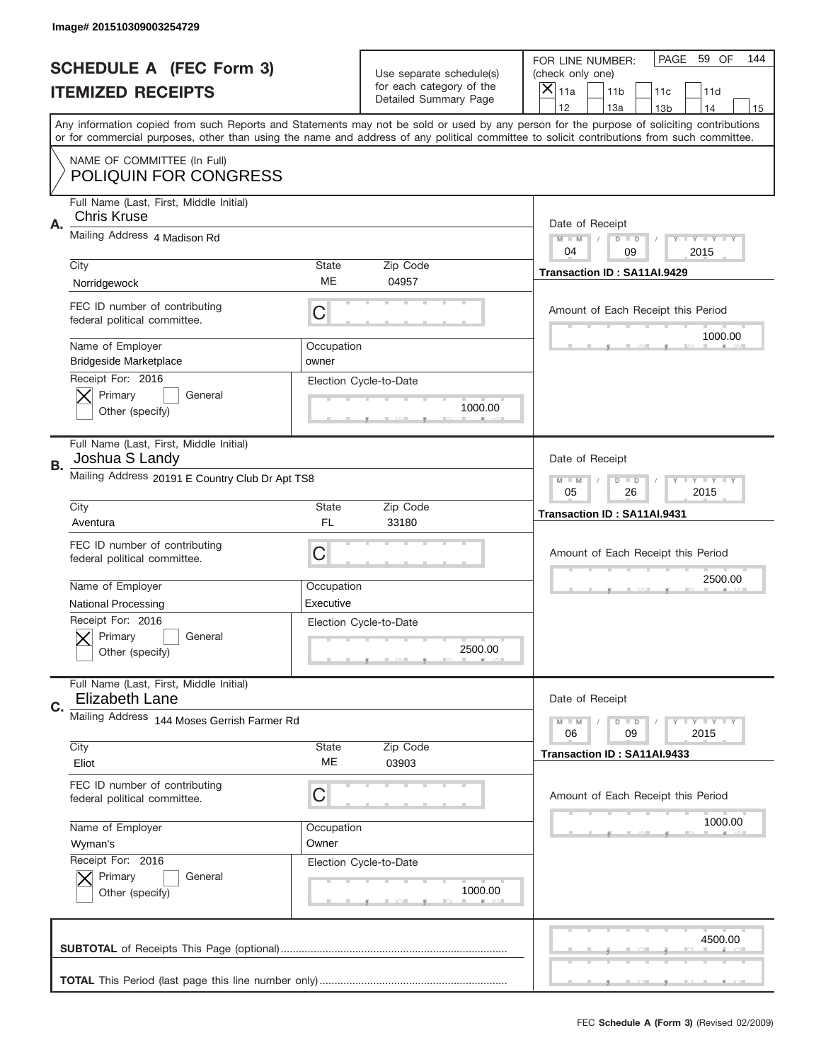|           | Image# 201510309003254729                                        |                                     |                                                   |                                                                                                                                                                                                                                                                                         |
|-----------|------------------------------------------------------------------|-------------------------------------|---------------------------------------------------|-----------------------------------------------------------------------------------------------------------------------------------------------------------------------------------------------------------------------------------------------------------------------------------------|
|           | <b>SCHEDULE A (FEC Form 3)</b>                                   |                                     | Use separate schedule(s)                          | PAGE 59 OF<br>144<br>FOR LINE NUMBER:<br>(check only one)                                                                                                                                                                                                                               |
|           | <b>ITEMIZED RECEIPTS</b>                                         |                                     | for each category of the<br>Detailed Summary Page | ×<br>11a<br>11 <sub>b</sub><br>11c<br>11d                                                                                                                                                                                                                                               |
|           |                                                                  |                                     |                                                   | 12<br>13a<br>14<br>13 <sub>b</sub><br>15                                                                                                                                                                                                                                                |
|           |                                                                  |                                     |                                                   | Any information copied from such Reports and Statements may not be sold or used by any person for the purpose of soliciting contributions<br>or for commercial purposes, other than using the name and address of any political committee to solicit contributions from such committee. |
|           | NAME OF COMMITTEE (In Full)<br><b>POLIQUIN FOR CONGRESS</b>      |                                     |                                                   |                                                                                                                                                                                                                                                                                         |
| Α.        | Full Name (Last, First, Middle Initial)<br><b>Chris Kruse</b>    |                                     |                                                   | Date of Receipt                                                                                                                                                                                                                                                                         |
|           | Mailing Address 4 Madison Rd                                     |                                     |                                                   | $M - M$<br><b>LYLYLY</b><br>$D$ $D$                                                                                                                                                                                                                                                     |
|           |                                                                  |                                     |                                                   | 04<br>2015<br>09                                                                                                                                                                                                                                                                        |
|           | City                                                             | State<br>ME                         | Zip Code                                          | Transaction ID: SA11AI.9429                                                                                                                                                                                                                                                             |
|           | Norridgewock                                                     |                                     | 04957                                             |                                                                                                                                                                                                                                                                                         |
|           | FEC ID number of contributing<br>federal political committee.    | C                                   |                                                   | Amount of Each Receipt this Period                                                                                                                                                                                                                                                      |
|           | Name of Employer<br><b>Bridgeside Marketplace</b>                | Occupation<br>owner                 |                                                   | 1000.00                                                                                                                                                                                                                                                                                 |
|           | Receipt For: 2016                                                |                                     | Election Cycle-to-Date                            |                                                                                                                                                                                                                                                                                         |
|           | Primary<br>General                                               |                                     | 1000.00                                           |                                                                                                                                                                                                                                                                                         |
|           | Other (specify)                                                  |                                     |                                                   |                                                                                                                                                                                                                                                                                         |
|           | Full Name (Last, First, Middle Initial)<br>Joshua S Landy        |                                     |                                                   | Date of Receipt                                                                                                                                                                                                                                                                         |
| <b>B.</b> | Mailing Address 20191 E Country Club Dr Apt TS8                  | $M - M$<br>$D$ $D$<br><b>LYLYLY</b> |                                                   |                                                                                                                                                                                                                                                                                         |
|           |                                                                  |                                     |                                                   | 05<br>26<br>2015                                                                                                                                                                                                                                                                        |
|           | City                                                             | State                               | Zip Code                                          | Transaction ID: SA11AI.9431                                                                                                                                                                                                                                                             |
|           | Aventura                                                         | FL                                  | 33180                                             |                                                                                                                                                                                                                                                                                         |
|           |                                                                  |                                     |                                                   |                                                                                                                                                                                                                                                                                         |
|           | FEC ID number of contributing                                    |                                     |                                                   |                                                                                                                                                                                                                                                                                         |
|           | federal political committee.                                     | C                                   |                                                   | Amount of Each Receipt this Period                                                                                                                                                                                                                                                      |
|           | Name of Employer                                                 | Occupation                          |                                                   | 2500.00                                                                                                                                                                                                                                                                                 |
|           | <b>National Processing</b>                                       | Executive                           |                                                   |                                                                                                                                                                                                                                                                                         |
|           | Receipt For: 2016                                                |                                     | Election Cycle-to-Date                            |                                                                                                                                                                                                                                                                                         |
|           | General<br>Primary                                               |                                     |                                                   |                                                                                                                                                                                                                                                                                         |
|           | Other (specify)                                                  |                                     | 2500.00                                           |                                                                                                                                                                                                                                                                                         |
|           | Full Name (Last, First, Middle Initial)<br><b>Elizabeth Lane</b> |                                     |                                                   | Date of Receipt                                                                                                                                                                                                                                                                         |
| C.        |                                                                  |                                     |                                                   | <b>LYLYLY</b><br>$M - M$<br>$D$ $D$                                                                                                                                                                                                                                                     |
|           | Mailing Address 144 Moses Gerrish Farmer Rd                      |                                     |                                                   | 06<br>2015<br>09                                                                                                                                                                                                                                                                        |
|           | City                                                             | <b>State</b>                        | Zip Code                                          | Transaction ID: SA11AI.9433                                                                                                                                                                                                                                                             |
|           | Eliot                                                            | ME                                  | 03903                                             |                                                                                                                                                                                                                                                                                         |
|           | FEC ID number of contributing                                    | С                                   |                                                   | Amount of Each Receipt this Period                                                                                                                                                                                                                                                      |
|           | federal political committee.                                     |                                     |                                                   |                                                                                                                                                                                                                                                                                         |
|           | Name of Employer                                                 | Occupation                          |                                                   | 1000.00                                                                                                                                                                                                                                                                                 |
|           | Wyman's                                                          | Owner                               |                                                   |                                                                                                                                                                                                                                                                                         |
|           | Receipt For: 2016                                                |                                     | Election Cycle-to-Date                            |                                                                                                                                                                                                                                                                                         |
|           | Primary<br>General<br>Other (specify)                            |                                     | 1000.00                                           |                                                                                                                                                                                                                                                                                         |
|           |                                                                  |                                     |                                                   |                                                                                                                                                                                                                                                                                         |
|           |                                                                  |                                     |                                                   |                                                                                                                                                                                                                                                                                         |
|           |                                                                  |                                     |                                                   | 4500.00                                                                                                                                                                                                                                                                                 |
|           |                                                                  |                                     |                                                   |                                                                                                                                                                                                                                                                                         |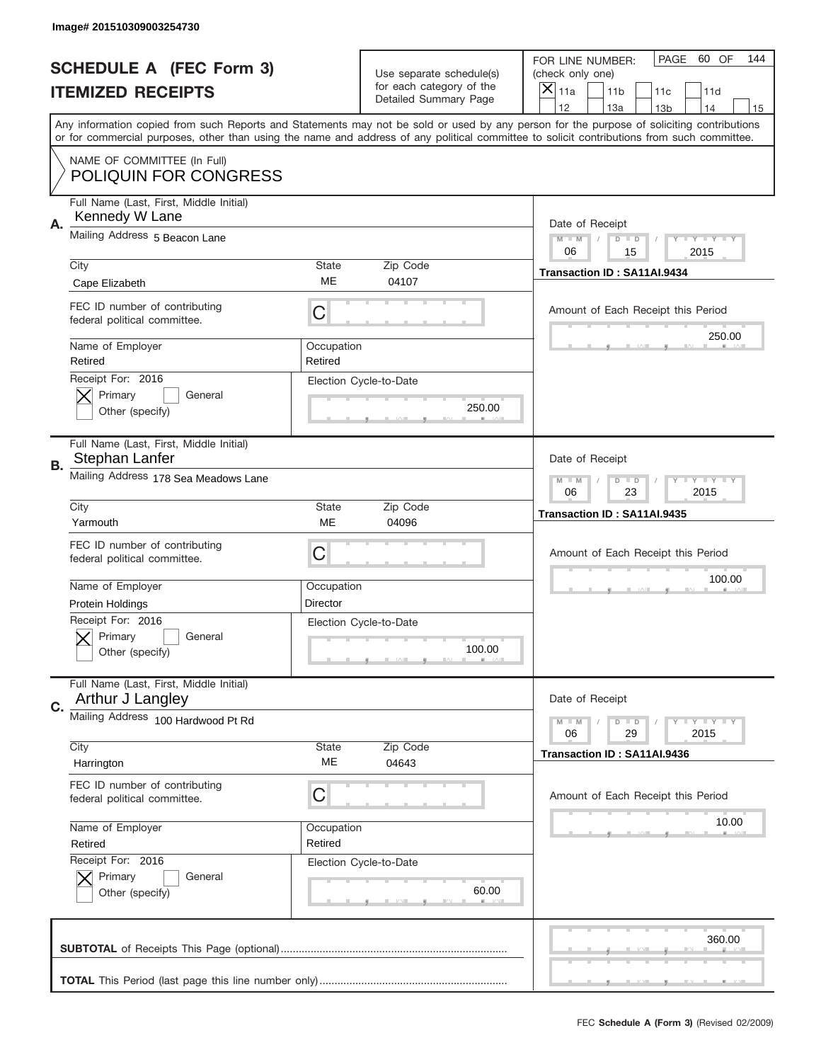|           | Image# 201510309003254730                                                      |                                                         |                                                   |                                                                                                                                                                                                                                                                                                                                     |
|-----------|--------------------------------------------------------------------------------|---------------------------------------------------------|---------------------------------------------------|-------------------------------------------------------------------------------------------------------------------------------------------------------------------------------------------------------------------------------------------------------------------------------------------------------------------------------------|
|           | <b>SCHEDULE A (FEC Form 3)</b>                                                 |                                                         | Use separate schedule(s)                          | PAGE<br>60 OF<br>144<br>FOR LINE NUMBER:<br>(check only one)                                                                                                                                                                                                                                                                        |
|           | <b>ITEMIZED RECEIPTS</b>                                                       |                                                         | for each category of the<br>Detailed Summary Page | ×<br>11a<br>11 <sub>b</sub><br>11c<br>11d                                                                                                                                                                                                                                                                                           |
|           |                                                                                |                                                         |                                                   | 12<br>13a<br>14<br>13 <sub>b</sub><br>15<br>Any information copied from such Reports and Statements may not be sold or used by any person for the purpose of soliciting contributions<br>or for commercial purposes, other than using the name and address of any political committee to solicit contributions from such committee. |
|           | NAME OF COMMITTEE (In Full)<br><b>POLIQUIN FOR CONGRESS</b>                    |                                                         |                                                   |                                                                                                                                                                                                                                                                                                                                     |
| Α.        | Full Name (Last, First, Middle Initial)<br>Kennedy W Lane                      |                                                         |                                                   | Date of Receipt                                                                                                                                                                                                                                                                                                                     |
|           | Mailing Address 5 Beacon Lane                                                  |                                                         |                                                   | $M - M$<br><b>LYLYLY</b><br>$D$ $D$<br>06<br>15<br>2015                                                                                                                                                                                                                                                                             |
|           | City<br>Cape Elizabeth                                                         | State<br>ME                                             | Zip Code<br>04107                                 | Transaction ID: SA11AI.9434                                                                                                                                                                                                                                                                                                         |
|           | FEC ID number of contributing<br>federal political committee.                  | C                                                       |                                                   | Amount of Each Receipt this Period                                                                                                                                                                                                                                                                                                  |
|           | Name of Employer<br>Retired                                                    | Occupation<br>Retired                                   |                                                   | 250.00                                                                                                                                                                                                                                                                                                                              |
|           | Receipt For: 2016<br>Primary<br>General<br>Other (specify)                     |                                                         | Election Cycle-to-Date<br>250.00                  |                                                                                                                                                                                                                                                                                                                                     |
| <b>B.</b> | Full Name (Last, First, Middle Initial)<br>Stephan Lanfer                      |                                                         |                                                   | Date of Receipt                                                                                                                                                                                                                                                                                                                     |
|           | Mailing Address 178 Sea Meadows Lane                                           | $M - M$<br>$D$ $D$<br><b>LYLYLY</b><br>06<br>23<br>2015 |                                                   |                                                                                                                                                                                                                                                                                                                                     |
|           | City<br>Yarmouth                                                               | State<br>ME                                             | Zip Code<br>04096                                 | Transaction ID: SA11AI.9435                                                                                                                                                                                                                                                                                                         |
|           | FEC ID number of contributing                                                  | C                                                       |                                                   | Amount of Each Receipt this Period                                                                                                                                                                                                                                                                                                  |
|           | federal political committee.                                                   |                                                         |                                                   |                                                                                                                                                                                                                                                                                                                                     |
|           | Name of Employer                                                               | Occupation                                              |                                                   | 100.00                                                                                                                                                                                                                                                                                                                              |
|           | Protein Holdings<br>Receipt For: 2016<br>General<br>Primary<br>Other (specify) | Director                                                | Election Cycle-to-Date<br>100.00                  |                                                                                                                                                                                                                                                                                                                                     |
| C.        | Full Name (Last, First, Middle Initial)<br>Arthur J Langley                    |                                                         |                                                   | Date of Receipt                                                                                                                                                                                                                                                                                                                     |
|           | Mailing Address 100 Hardwood Pt Rd                                             |                                                         |                                                   | <b>LYLYLY</b><br>$M - M$<br>$D$ $D$<br>06<br>2015<br>29                                                                                                                                                                                                                                                                             |
|           | City<br>Harrington                                                             | State<br>ME                                             | Zip Code<br>04643                                 | Transaction ID: SA11AI.9436                                                                                                                                                                                                                                                                                                         |
|           | FEC ID number of contributing<br>federal political committee.                  | С                                                       |                                                   | Amount of Each Receipt this Period                                                                                                                                                                                                                                                                                                  |
|           | Name of Employer<br>Retired                                                    | Occupation<br>Retired                                   |                                                   | 10.00                                                                                                                                                                                                                                                                                                                               |
|           | Receipt For: 2016<br>Primary<br>General<br>Other (specify)                     |                                                         | Election Cycle-to-Date<br>60.00                   |                                                                                                                                                                                                                                                                                                                                     |
|           |                                                                                |                                                         |                                                   | 360.00                                                                                                                                                                                                                                                                                                                              |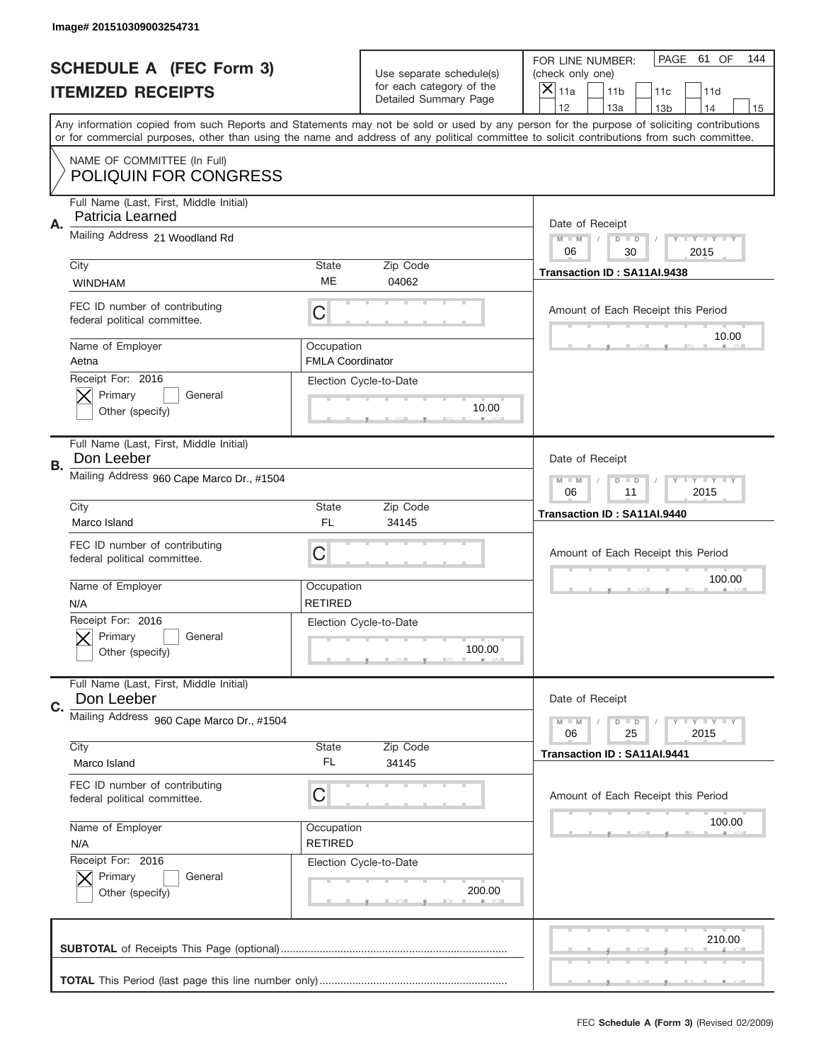|           | Image# 201510309003254731                                     |                                                            |                                                   |                                                                                                                                                                                                                                                                                                                                     |
|-----------|---------------------------------------------------------------|------------------------------------------------------------|---------------------------------------------------|-------------------------------------------------------------------------------------------------------------------------------------------------------------------------------------------------------------------------------------------------------------------------------------------------------------------------------------|
|           | <b>SCHEDULE A (FEC Form 3)</b>                                |                                                            | Use separate schedule(s)                          | PAGE 61 OF<br>144<br>FOR LINE NUMBER:<br>(check only one)                                                                                                                                                                                                                                                                           |
|           | <b>ITEMIZED RECEIPTS</b>                                      |                                                            | for each category of the<br>Detailed Summary Page | ×<br>11a<br>11 <sub>b</sub><br>11c<br>11d                                                                                                                                                                                                                                                                                           |
|           |                                                               |                                                            |                                                   | 12<br>13a<br>14<br>13 <sub>b</sub><br>15<br>Any information copied from such Reports and Statements may not be sold or used by any person for the purpose of soliciting contributions<br>or for commercial purposes, other than using the name and address of any political committee to solicit contributions from such committee. |
|           | NAME OF COMMITTEE (In Full)<br><b>POLIQUIN FOR CONGRESS</b>   |                                                            |                                                   |                                                                                                                                                                                                                                                                                                                                     |
| Α.        | Full Name (Last, First, Middle Initial)<br>Patricia Learned   |                                                            |                                                   | Date of Receipt                                                                                                                                                                                                                                                                                                                     |
|           | Mailing Address 21 Woodland Rd                                |                                                            |                                                   | $M - M$<br><b>LYLYLY</b><br>$D$ $D$<br>06<br>2015<br>30                                                                                                                                                                                                                                                                             |
|           | City<br><b>WINDHAM</b>                                        | State<br>ME                                                | Zip Code<br>04062                                 | Transaction ID: SA11AI.9438                                                                                                                                                                                                                                                                                                         |
|           | FEC ID number of contributing<br>federal political committee. | C                                                          |                                                   | Amount of Each Receipt this Period<br>10.00                                                                                                                                                                                                                                                                                         |
|           | Name of Employer<br>Aetna                                     | Occupation<br><b>FMLA Coordinator</b>                      |                                                   |                                                                                                                                                                                                                                                                                                                                     |
|           | Receipt For: 2016<br>Primary<br>General<br>Other (specify)    |                                                            | Election Cycle-to-Date<br>10.00                   |                                                                                                                                                                                                                                                                                                                                     |
| <b>B.</b> | Full Name (Last, First, Middle Initial)<br>Don Leeber         |                                                            |                                                   | Date of Receipt                                                                                                                                                                                                                                                                                                                     |
|           | Mailing Address 960 Cape Marco Dr., #1504                     | $M - M$<br>$D$ $D$<br><b>THEY THEY</b><br>06<br>11<br>2015 |                                                   |                                                                                                                                                                                                                                                                                                                                     |
|           | City<br>Marco Island                                          | State<br>FL                                                | Zip Code<br>34145                                 | Transaction ID: SA11AI.9440                                                                                                                                                                                                                                                                                                         |
|           | FEC ID number of contributing                                 | C                                                          |                                                   | Amount of Each Receipt this Period                                                                                                                                                                                                                                                                                                  |
|           | federal political committee.                                  |                                                            |                                                   |                                                                                                                                                                                                                                                                                                                                     |
|           | Name of Employer<br>N/A                                       | Occupation<br><b>RETIRED</b>                               |                                                   | 100.00                                                                                                                                                                                                                                                                                                                              |
|           | Receipt For: 2016<br>General<br>Primary<br>Other (specify)    |                                                            | Election Cycle-to-Date<br>100.00                  |                                                                                                                                                                                                                                                                                                                                     |
| C.        | Full Name (Last, First, Middle Initial)<br>Don Leeber         |                                                            |                                                   | Date of Receipt                                                                                                                                                                                                                                                                                                                     |
|           | Mailing Address 960 Cape Marco Dr., #1504                     |                                                            |                                                   | <b>LYLYLY</b><br>$M - M$<br>$D$ $D$<br>06<br>2015<br>25                                                                                                                                                                                                                                                                             |
|           | City<br>Marco Island                                          | State<br>FL                                                | Zip Code<br>34145                                 | Transaction ID: SA11AI.9441                                                                                                                                                                                                                                                                                                         |
|           | FEC ID number of contributing<br>federal political committee. | С                                                          |                                                   | Amount of Each Receipt this Period                                                                                                                                                                                                                                                                                                  |
|           | Name of Employer<br>N/A                                       | Occupation<br><b>RETIRED</b>                               |                                                   | 100.00                                                                                                                                                                                                                                                                                                                              |
|           | Receipt For: 2016<br>Primary<br>General<br>Other (specify)    |                                                            | Election Cycle-to-Date<br>200.00                  |                                                                                                                                                                                                                                                                                                                                     |
|           |                                                               |                                                            |                                                   | 210.00                                                                                                                                                                                                                                                                                                                              |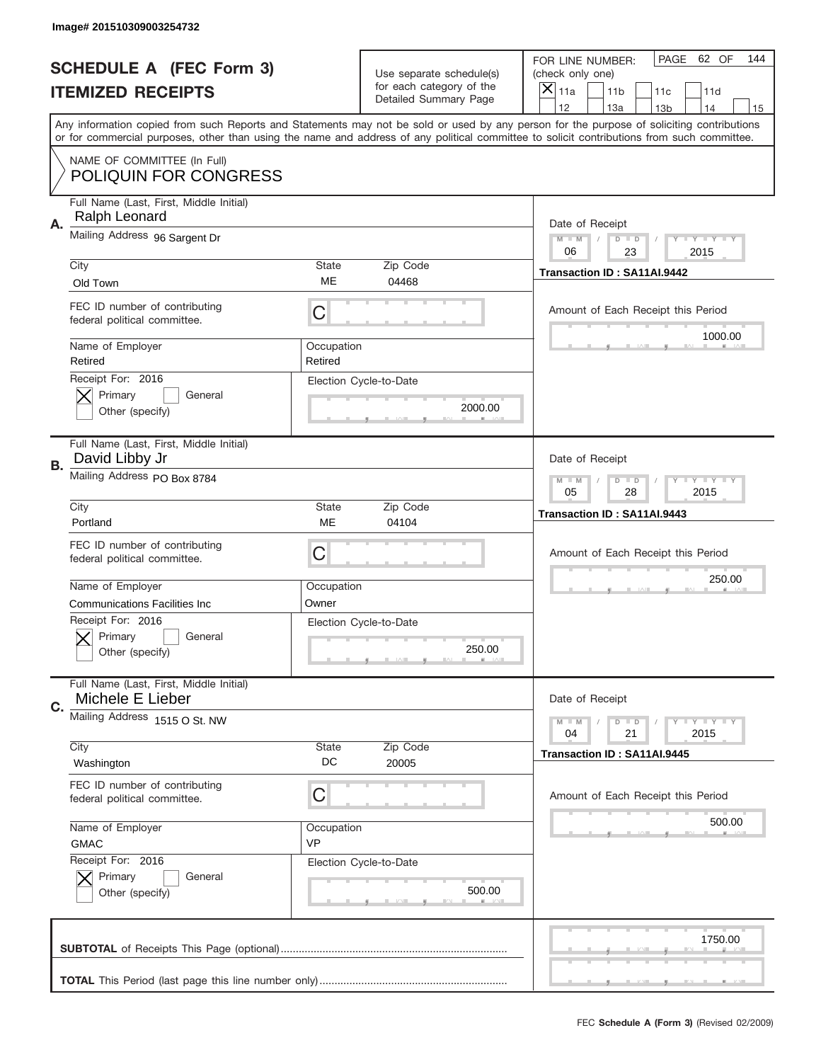|           | Image# 201510309003254732                                     |                                                                   |                                                   |                                                                                                                                                                                                                                                                                                                                     |
|-----------|---------------------------------------------------------------|-------------------------------------------------------------------|---------------------------------------------------|-------------------------------------------------------------------------------------------------------------------------------------------------------------------------------------------------------------------------------------------------------------------------------------------------------------------------------------|
|           | <b>SCHEDULE A (FEC Form 3)</b>                                |                                                                   | Use separate schedule(s)                          | PAGE 62 OF<br>144<br>FOR LINE NUMBER:<br>(check only one)                                                                                                                                                                                                                                                                           |
|           | <b>ITEMIZED RECEIPTS</b>                                      |                                                                   | for each category of the<br>Detailed Summary Page | ×<br>11a<br>11 <sub>b</sub><br>11c<br>11d                                                                                                                                                                                                                                                                                           |
|           |                                                               |                                                                   |                                                   | 12<br>13a<br>14<br>13 <sub>b</sub><br>15<br>Any information copied from such Reports and Statements may not be sold or used by any person for the purpose of soliciting contributions<br>or for commercial purposes, other than using the name and address of any political committee to solicit contributions from such committee. |
|           | NAME OF COMMITTEE (In Full)<br><b>POLIQUIN FOR CONGRESS</b>   |                                                                   |                                                   |                                                                                                                                                                                                                                                                                                                                     |
| Α.        | Full Name (Last, First, Middle Initial)<br>Ralph Leonard      |                                                                   |                                                   | Date of Receipt                                                                                                                                                                                                                                                                                                                     |
|           | Mailing Address 96 Sargent Dr                                 |                                                                   |                                                   | $M - M$<br><b>THEY THEY</b><br>$D$ $D$<br>06<br>23<br>2015                                                                                                                                                                                                                                                                          |
|           | City<br>Old Town                                              | State<br>ME                                                       | Zip Code<br>04468                                 | Transaction ID: SA11AI.9442                                                                                                                                                                                                                                                                                                         |
|           | FEC ID number of contributing<br>federal political committee. | C                                                                 |                                                   | Amount of Each Receipt this Period<br>1000.00                                                                                                                                                                                                                                                                                       |
|           | Name of Employer<br>Retired                                   | Occupation<br>Retired                                             |                                                   |                                                                                                                                                                                                                                                                                                                                     |
|           | Receipt For: 2016<br>Primary<br>General<br>Other (specify)    |                                                                   | Election Cycle-to-Date<br>2000.00                 |                                                                                                                                                                                                                                                                                                                                     |
| <b>B.</b> | Full Name (Last, First, Middle Initial)<br>David Libby Jr     |                                                                   |                                                   | Date of Receipt                                                                                                                                                                                                                                                                                                                     |
|           | Mailing Address PO Box 8784                                   | $T$ $Y$ $T$ $Y$ $T$ $Y$<br>$M - M$<br>$D$ $D$<br>05<br>28<br>2015 |                                                   |                                                                                                                                                                                                                                                                                                                                     |
|           | City<br>Portland                                              | State<br>ME                                                       | Zip Code<br>04104                                 | Transaction ID: SA11AI.9443                                                                                                                                                                                                                                                                                                         |
|           | FEC ID number of contributing<br>federal political committee. | C                                                                 |                                                   | Amount of Each Receipt this Period                                                                                                                                                                                                                                                                                                  |
|           | Name of Employer<br><b>Communications Facilities Inc</b>      | Occupation<br>Owner                                               |                                                   | 250.00                                                                                                                                                                                                                                                                                                                              |
|           | Receipt For: 2016<br>General<br>Primary<br>Other (specify)    |                                                                   | Election Cycle-to-Date                            |                                                                                                                                                                                                                                                                                                                                     |
|           |                                                               |                                                                   | 250.00                                            |                                                                                                                                                                                                                                                                                                                                     |
| C.        | Full Name (Last, First, Middle Initial)<br>Michele E Lieber   |                                                                   |                                                   | Date of Receipt                                                                                                                                                                                                                                                                                                                     |
|           | Mailing Address 1515 O St. NW                                 |                                                                   |                                                   | <b>LY LY LY</b><br>$M - M$<br>$D$ $D$<br>2015<br>04<br>21                                                                                                                                                                                                                                                                           |
|           | City<br>Washington                                            | State<br>DC                                                       | Zip Code<br>20005                                 | Transaction ID: SA11AI.9445                                                                                                                                                                                                                                                                                                         |
|           | FEC ID number of contributing<br>federal political committee. | C                                                                 |                                                   | Amount of Each Receipt this Period                                                                                                                                                                                                                                                                                                  |
|           | Name of Employer<br><b>GMAC</b>                               | Occupation<br><b>VP</b>                                           |                                                   | 500.00                                                                                                                                                                                                                                                                                                                              |
|           | Receipt For: 2016<br>Primary<br>General<br>Other (specify)    |                                                                   | Election Cycle-to-Date<br>500.00                  |                                                                                                                                                                                                                                                                                                                                     |
|           |                                                               |                                                                   |                                                   | 1750.00                                                                                                                                                                                                                                                                                                                             |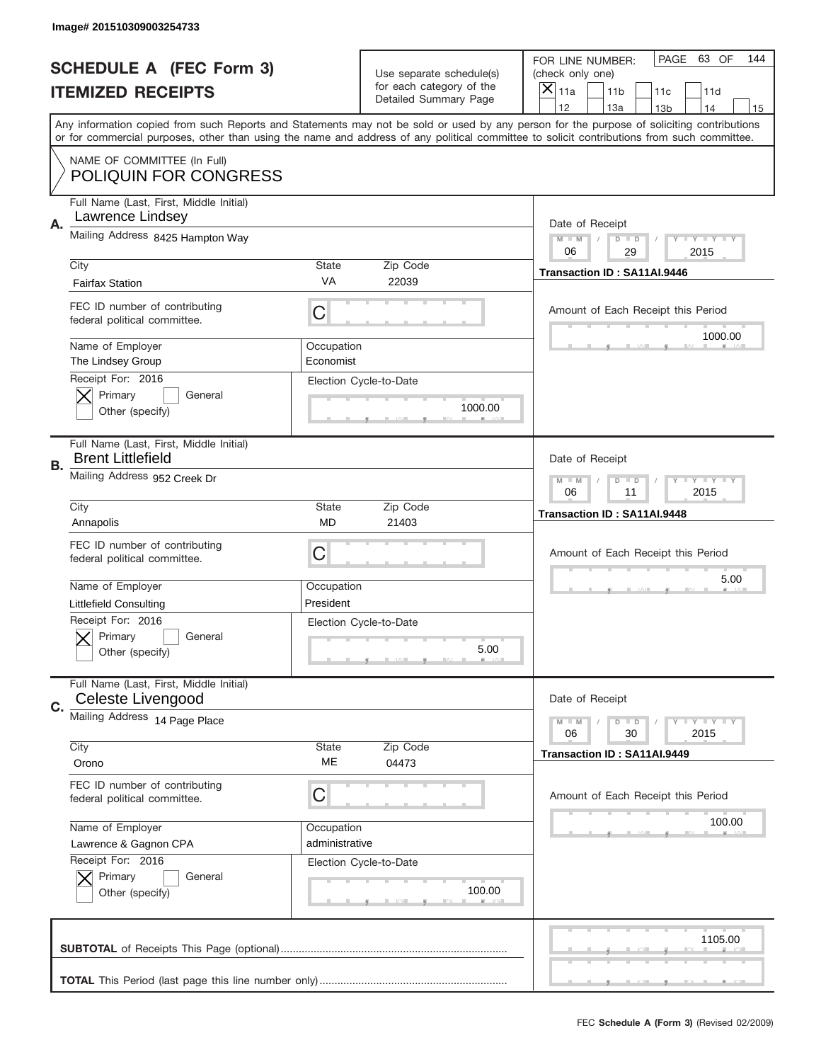|    | Image# 201510309003254733                                           |                |                                                   |                                                                                                                                                                                                                                                                                         |
|----|---------------------------------------------------------------------|----------------|---------------------------------------------------|-----------------------------------------------------------------------------------------------------------------------------------------------------------------------------------------------------------------------------------------------------------------------------------------|
|    | <b>SCHEDULE A (FEC Form 3)</b>                                      |                | Use separate schedule(s)                          | PAGE 63 OF<br>144<br>FOR LINE NUMBER:<br>(check only one)                                                                                                                                                                                                                               |
|    | <b>ITEMIZED RECEIPTS</b>                                            |                | for each category of the<br>Detailed Summary Page | ×<br>11a<br>11 <sub>b</sub><br>11c<br>11d                                                                                                                                                                                                                                               |
|    |                                                                     |                |                                                   | 12<br>13a<br>14<br>13 <sub>b</sub><br>15                                                                                                                                                                                                                                                |
|    |                                                                     |                |                                                   | Any information copied from such Reports and Statements may not be sold or used by any person for the purpose of soliciting contributions<br>or for commercial purposes, other than using the name and address of any political committee to solicit contributions from such committee. |
|    | NAME OF COMMITTEE (In Full)<br><b>POLIQUIN FOR CONGRESS</b>         |                |                                                   |                                                                                                                                                                                                                                                                                         |
|    | Full Name (Last, First, Middle Initial)                             |                |                                                   |                                                                                                                                                                                                                                                                                         |
|    | Lawrence Lindsey                                                    |                |                                                   |                                                                                                                                                                                                                                                                                         |
| Α. | Mailing Address 8425 Hampton Way                                    |                |                                                   | Date of Receipt<br>$M - M$<br><b>LYLYLY</b><br>$D$ $D$                                                                                                                                                                                                                                  |
|    |                                                                     |                |                                                   | 06<br>2015<br>29                                                                                                                                                                                                                                                                        |
|    | City                                                                | State          | Zip Code                                          | Transaction ID: SA11AI.9446                                                                                                                                                                                                                                                             |
|    | <b>Fairfax Station</b>                                              | VA             | 22039                                             |                                                                                                                                                                                                                                                                                         |
|    | FEC ID number of contributing<br>federal political committee.       | C              |                                                   | Amount of Each Receipt this Period                                                                                                                                                                                                                                                      |
|    | Name of Employer                                                    | Occupation     |                                                   | 1000.00                                                                                                                                                                                                                                                                                 |
|    | The Lindsey Group                                                   | Economist      |                                                   |                                                                                                                                                                                                                                                                                         |
|    | Receipt For: 2016                                                   |                | Election Cycle-to-Date                            |                                                                                                                                                                                                                                                                                         |
|    | Primary<br>General                                                  |                |                                                   |                                                                                                                                                                                                                                                                                         |
|    | Other (specify)                                                     |                | 1000.00                                           |                                                                                                                                                                                                                                                                                         |
|    | Full Name (Last, First, Middle Initial)<br><b>Brent Littlefield</b> |                |                                                   | Date of Receipt                                                                                                                                                                                                                                                                         |
| В. | Mailing Address 952 Creek Dr                                        |                |                                                   | $M - M$<br>$D$ $D$<br><b>LYLYLY</b>                                                                                                                                                                                                                                                     |
|    |                                                                     |                |                                                   | 06<br>11<br>2015                                                                                                                                                                                                                                                                        |
|    | City                                                                | State          | Zip Code                                          | Transaction ID: SA11AI.9448                                                                                                                                                                                                                                                             |
|    | Annapolis                                                           | MD             | 21403                                             |                                                                                                                                                                                                                                                                                         |
|    | FEC ID number of contributing                                       | C              |                                                   | Amount of Each Receipt this Period                                                                                                                                                                                                                                                      |
|    | federal political committee.                                        |                |                                                   |                                                                                                                                                                                                                                                                                         |
|    | Name of Employer                                                    | Occupation     |                                                   | 5.00                                                                                                                                                                                                                                                                                    |
|    | <b>Littlefield Consulting</b>                                       | President      |                                                   |                                                                                                                                                                                                                                                                                         |
|    | Receipt For: 2016                                                   |                | Election Cycle-to-Date                            |                                                                                                                                                                                                                                                                                         |
|    | General<br>Primary                                                  |                |                                                   |                                                                                                                                                                                                                                                                                         |
|    | Other (specify)                                                     |                | 5.00                                              |                                                                                                                                                                                                                                                                                         |
|    | Full Name (Last, First, Middle Initial)                             |                |                                                   |                                                                                                                                                                                                                                                                                         |
| C. | Celeste Livengood                                                   |                |                                                   | Date of Receipt                                                                                                                                                                                                                                                                         |
|    | Mailing Address 14 Page Place                                       |                |                                                   | <b>LYLYLY</b><br>$M - M$<br>$D$ $D$<br>06<br>2015<br>30                                                                                                                                                                                                                                 |
|    | City                                                                | State          | Zip Code                                          | Transaction ID: SA11AI.9449                                                                                                                                                                                                                                                             |
|    | Orono                                                               | МE             | 04473                                             |                                                                                                                                                                                                                                                                                         |
|    | FEC ID number of contributing                                       |                |                                                   |                                                                                                                                                                                                                                                                                         |
|    | federal political committee.                                        | C              |                                                   | Amount of Each Receipt this Period                                                                                                                                                                                                                                                      |
|    | Name of Employer                                                    | Occupation     |                                                   | 100.00                                                                                                                                                                                                                                                                                  |
|    | Lawrence & Gagnon CPA                                               | administrative |                                                   |                                                                                                                                                                                                                                                                                         |
|    | Receipt For: 2016                                                   |                | Election Cycle-to-Date                            |                                                                                                                                                                                                                                                                                         |
|    | Primary<br>General                                                  |                |                                                   |                                                                                                                                                                                                                                                                                         |
|    | Other (specify)                                                     |                | 100.00                                            |                                                                                                                                                                                                                                                                                         |
|    |                                                                     |                |                                                   |                                                                                                                                                                                                                                                                                         |
|    |                                                                     |                |                                                   | 1105.00                                                                                                                                                                                                                                                                                 |
|    |                                                                     |                |                                                   |                                                                                                                                                                                                                                                                                         |
|    |                                                                     |                |                                                   |                                                                                                                                                                                                                                                                                         |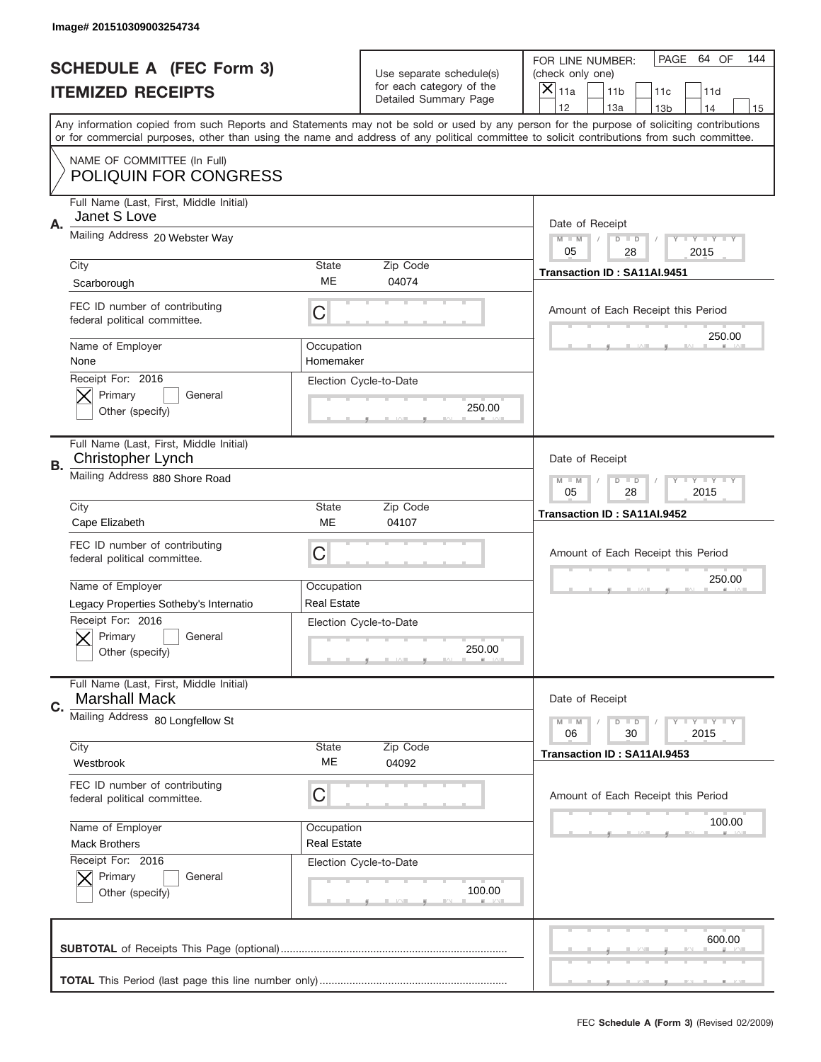|           | Image# 201510309003254734                                       |                                                         |                                                          |                                                                                                                                                                                                                                                                                         |
|-----------|-----------------------------------------------------------------|---------------------------------------------------------|----------------------------------------------------------|-----------------------------------------------------------------------------------------------------------------------------------------------------------------------------------------------------------------------------------------------------------------------------------------|
|           | <b>SCHEDULE A (FEC Form 3)</b>                                  |                                                         | Use separate schedule(s)                                 | PAGE<br>64 OF<br>144<br>FOR LINE NUMBER:<br>(check only one)                                                                                                                                                                                                                            |
|           | <b>ITEMIZED RECEIPTS</b>                                        |                                                         | for each category of the<br><b>Detailed Summary Page</b> | $\overline{X} _{11a}$<br>11 <sub>b</sub><br>11c<br>11d                                                                                                                                                                                                                                  |
|           |                                                                 |                                                         |                                                          | 12<br>13a<br>14<br>13 <sub>b</sub><br>15                                                                                                                                                                                                                                                |
|           |                                                                 |                                                         |                                                          | Any information copied from such Reports and Statements may not be sold or used by any person for the purpose of soliciting contributions<br>or for commercial purposes, other than using the name and address of any political committee to solicit contributions from such committee. |
|           | NAME OF COMMITTEE (In Full)<br><b>POLIQUIN FOR CONGRESS</b>     |                                                         |                                                          |                                                                                                                                                                                                                                                                                         |
| Α.        | Full Name (Last, First, Middle Initial)<br>Janet S Love         |                                                         |                                                          | Date of Receipt                                                                                                                                                                                                                                                                         |
|           | Mailing Address 20 Webster Way                                  |                                                         |                                                          | $M$ $M$<br>$D$ $D$<br>Y FY FY FY<br>05<br>28<br>2015                                                                                                                                                                                                                                    |
|           | City                                                            | State                                                   | Zip Code                                                 | Transaction ID: SA11AI.9451                                                                                                                                                                                                                                                             |
|           | Scarborough                                                     | ME                                                      | 04074                                                    |                                                                                                                                                                                                                                                                                         |
|           | FEC ID number of contributing<br>federal political committee.   | C                                                       |                                                          | Amount of Each Receipt this Period                                                                                                                                                                                                                                                      |
|           | Name of Employer<br>None                                        | Occupation<br>Homemaker                                 |                                                          | 250.00                                                                                                                                                                                                                                                                                  |
|           | Receipt For: 2016<br>Primary<br>General<br>Other (specify)      |                                                         | Election Cycle-to-Date<br>250.00                         |                                                                                                                                                                                                                                                                                         |
| <b>B.</b> | Full Name (Last, First, Middle Initial)<br>Christopher Lynch    |                                                         |                                                          | Date of Receipt                                                                                                                                                                                                                                                                         |
|           | Mailing Address 880 Shore Road                                  | $M - M$<br>$D$ $D$<br>Y I Y I Y I Y<br>05<br>28<br>2015 |                                                          |                                                                                                                                                                                                                                                                                         |
|           | City                                                            | <b>State</b>                                            | Zip Code<br>04107                                        | Transaction ID: SA11AI.9452                                                                                                                                                                                                                                                             |
|           | Cape Elizabeth                                                  | ME                                                      |                                                          |                                                                                                                                                                                                                                                                                         |
|           | FEC ID number of contributing<br>federal political committee.   | C                                                       |                                                          | Amount of Each Receipt this Period                                                                                                                                                                                                                                                      |
|           | Name of Employer                                                | Occupation                                              |                                                          | 250.00                                                                                                                                                                                                                                                                                  |
|           | Legacy Properties Sotheby's Internatio                          | <b>Real Estate</b>                                      |                                                          |                                                                                                                                                                                                                                                                                         |
|           | Receipt For: 2016<br>General<br>Primary<br>Other (specify)      |                                                         | Election Cycle-to-Date<br>250.00                         |                                                                                                                                                                                                                                                                                         |
| C.        | Full Name (Last, First, Middle Initial)<br><b>Marshall Mack</b> |                                                         |                                                          | Date of Receipt                                                                                                                                                                                                                                                                         |
|           | Mailing Address 80 Longfellow St                                |                                                         |                                                          | <b>LYLYLY</b><br>$M - M$<br>$D$ $D$<br>06<br>30<br>2015                                                                                                                                                                                                                                 |
|           | City                                                            | <b>State</b>                                            | Zip Code                                                 | Transaction ID: SA11AI.9453                                                                                                                                                                                                                                                             |
|           | Westbrook                                                       | МE                                                      | 04092                                                    |                                                                                                                                                                                                                                                                                         |
|           | FEC ID number of contributing<br>federal political committee.   | C                                                       |                                                          | Amount of Each Receipt this Period                                                                                                                                                                                                                                                      |
|           | Name of Employer                                                | Occupation                                              |                                                          | 100.00                                                                                                                                                                                                                                                                                  |
|           | <b>Mack Brothers</b>                                            | <b>Real Estate</b>                                      |                                                          |                                                                                                                                                                                                                                                                                         |
|           | Receipt For: 2016<br>Primary<br>General<br>Other (specify)      |                                                         | Election Cycle-to-Date<br>100.00                         |                                                                                                                                                                                                                                                                                         |
|           |                                                                 |                                                         |                                                          | 600.00                                                                                                                                                                                                                                                                                  |
|           |                                                                 |                                                         |                                                          |                                                                                                                                                                                                                                                                                         |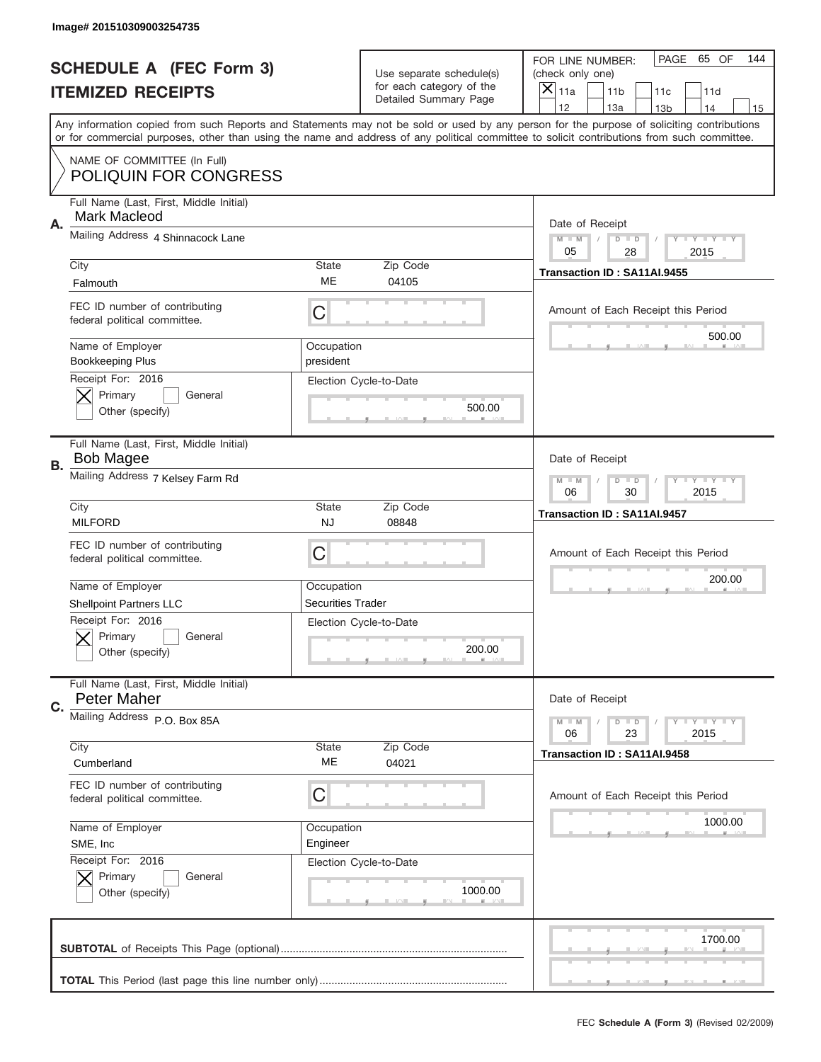|    | Image# 201510309003254735                                                                    |                                                         |                                                   |                                                                                                                                                                                                                                                                                                                                     |
|----|----------------------------------------------------------------------------------------------|---------------------------------------------------------|---------------------------------------------------|-------------------------------------------------------------------------------------------------------------------------------------------------------------------------------------------------------------------------------------------------------------------------------------------------------------------------------------|
|    | <b>SCHEDULE A (FEC Form 3)</b>                                                               |                                                         | Use separate schedule(s)                          | PAGE 65 OF<br>144<br>FOR LINE NUMBER:<br>(check only one)                                                                                                                                                                                                                                                                           |
|    | <b>ITEMIZED RECEIPTS</b>                                                                     |                                                         | for each category of the<br>Detailed Summary Page | ×<br>11a<br>11 <sub>b</sub><br>11c<br>11d                                                                                                                                                                                                                                                                                           |
|    |                                                                                              |                                                         |                                                   | 12<br>13a<br>14<br>13 <sub>b</sub><br>15<br>Any information copied from such Reports and Statements may not be sold or used by any person for the purpose of soliciting contributions<br>or for commercial purposes, other than using the name and address of any political committee to solicit contributions from such committee. |
|    | NAME OF COMMITTEE (In Full)<br><b>POLIQUIN FOR CONGRESS</b>                                  |                                                         |                                                   |                                                                                                                                                                                                                                                                                                                                     |
| Α. | Full Name (Last, First, Middle Initial)<br>Mark Macleod                                      |                                                         |                                                   | Date of Receipt                                                                                                                                                                                                                                                                                                                     |
|    | Mailing Address 4 Shinnacock Lane                                                            |                                                         |                                                   | $M - M$<br><b>THEY THEY</b><br>$D$ $D$<br>05<br>28<br>2015                                                                                                                                                                                                                                                                          |
|    | City<br>Falmouth                                                                             | State<br>ME                                             | Zip Code<br>04105                                 | Transaction ID: SA11AI.9455                                                                                                                                                                                                                                                                                                         |
|    | FEC ID number of contributing<br>federal political committee.                                | C                                                       |                                                   | Amount of Each Receipt this Period<br>500.00                                                                                                                                                                                                                                                                                        |
|    | Name of Employer<br><b>Bookkeeping Plus</b>                                                  | Occupation<br>president                                 |                                                   |                                                                                                                                                                                                                                                                                                                                     |
|    | Receipt For: 2016<br>Primary<br>General<br>Other (specify)                                   |                                                         | Election Cycle-to-Date<br>500.00                  |                                                                                                                                                                                                                                                                                                                                     |
| В. | Full Name (Last, First, Middle Initial)<br><b>Bob Magee</b>                                  |                                                         |                                                   | Date of Receipt                                                                                                                                                                                                                                                                                                                     |
|    | Mailing Address 7 Kelsey Farm Rd                                                             | $M - M$<br>$D$ $D$<br><b>LYLYLY</b><br>06<br>30<br>2015 |                                                   |                                                                                                                                                                                                                                                                                                                                     |
|    | City<br><b>MILFORD</b>                                                                       | State<br><b>NJ</b>                                      | Zip Code<br>08848                                 | Transaction ID: SA11AI.9457                                                                                                                                                                                                                                                                                                         |
|    |                                                                                              |                                                         |                                                   |                                                                                                                                                                                                                                                                                                                                     |
|    | FEC ID number of contributing<br>federal political committee.                                | C                                                       |                                                   | Amount of Each Receipt this Period                                                                                                                                                                                                                                                                                                  |
|    | Name of Employer                                                                             | Occupation                                              |                                                   | 200.00                                                                                                                                                                                                                                                                                                                              |
|    | <b>Shellpoint Partners LLC</b><br>Receipt For: 2016<br>General<br>Primary<br>Other (specify) | <b>Securities Trader</b>                                | Election Cycle-to-Date<br>200.00                  |                                                                                                                                                                                                                                                                                                                                     |
| C. | Full Name (Last, First, Middle Initial)<br>Peter Maher                                       |                                                         |                                                   | Date of Receipt                                                                                                                                                                                                                                                                                                                     |
|    | Mailing Address P.O. Box 85A                                                                 |                                                         |                                                   | <b>LYLYLY</b><br>$M - M$<br>$D$ $D$<br>06<br>2015<br>23                                                                                                                                                                                                                                                                             |
|    | City<br>Cumberland                                                                           | State<br>ME                                             | Zip Code<br>04021                                 | Transaction ID: SA11AI.9458                                                                                                                                                                                                                                                                                                         |
|    | FEC ID number of contributing<br>federal political committee.                                | С                                                       |                                                   | Amount of Each Receipt this Period                                                                                                                                                                                                                                                                                                  |
|    | Name of Employer<br>SME, Inc                                                                 | Occupation<br>Engineer                                  |                                                   | 1000.00                                                                                                                                                                                                                                                                                                                             |
|    | Receipt For: 2016<br>Primary<br>General<br>Other (specify)                                   |                                                         | Election Cycle-to-Date<br>1000.00                 |                                                                                                                                                                                                                                                                                                                                     |
|    |                                                                                              |                                                         |                                                   | 1700.00                                                                                                                                                                                                                                                                                                                             |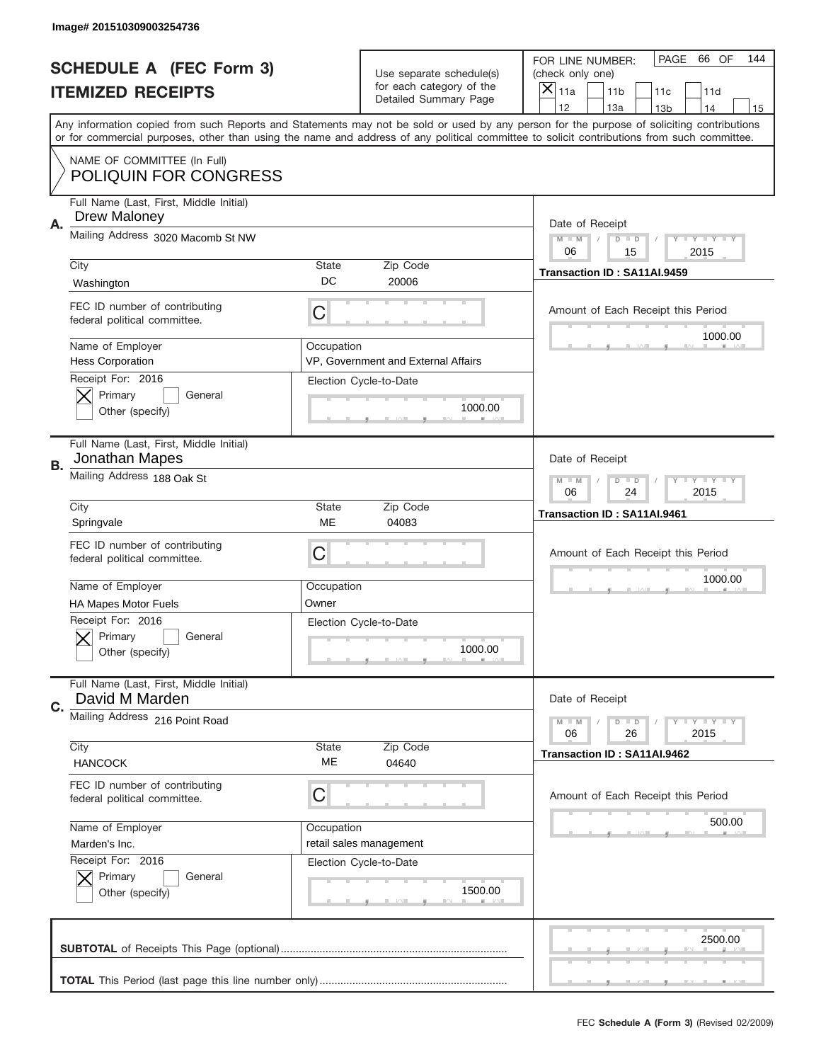|           | Image# 201510309003254736                                     |                                                         |                                                          |                                                                                                                                                                                                                                                                                         |
|-----------|---------------------------------------------------------------|---------------------------------------------------------|----------------------------------------------------------|-----------------------------------------------------------------------------------------------------------------------------------------------------------------------------------------------------------------------------------------------------------------------------------------|
|           | <b>SCHEDULE A (FEC Form 3)</b>                                |                                                         | Use separate schedule(s)                                 | PAGE<br>66 OF<br>144<br>FOR LINE NUMBER:<br>(check only one)                                                                                                                                                                                                                            |
|           | <b>ITEMIZED RECEIPTS</b>                                      |                                                         | for each category of the<br><b>Detailed Summary Page</b> | $\overline{X} _{11a}$<br>11 <sub>b</sub><br>11c<br>11d                                                                                                                                                                                                                                  |
|           |                                                               |                                                         |                                                          | 12<br>13a<br>14<br>13 <sub>b</sub><br>15                                                                                                                                                                                                                                                |
|           |                                                               |                                                         |                                                          | Any information copied from such Reports and Statements may not be sold or used by any person for the purpose of soliciting contributions<br>or for commercial purposes, other than using the name and address of any political committee to solicit contributions from such committee. |
|           | NAME OF COMMITTEE (In Full)<br><b>POLIQUIN FOR CONGRESS</b>   |                                                         |                                                          |                                                                                                                                                                                                                                                                                         |
| Α.        | Full Name (Last, First, Middle Initial)<br>Drew Maloney       |                                                         |                                                          | Date of Receipt                                                                                                                                                                                                                                                                         |
|           | Mailing Address 3020 Macomb St NW                             |                                                         |                                                          | $M$ $M$<br>$D$ $D$<br>Y FY FY FY<br>06<br>15<br>2015                                                                                                                                                                                                                                    |
|           | City                                                          | State                                                   | Zip Code                                                 | Transaction ID: SA11AI.9459                                                                                                                                                                                                                                                             |
|           | Washington                                                    | DC                                                      | 20006                                                    |                                                                                                                                                                                                                                                                                         |
|           | FEC ID number of contributing<br>federal political committee. | C                                                       |                                                          | Amount of Each Receipt this Period<br>1000.00                                                                                                                                                                                                                                           |
|           | Name of Employer<br><b>Hess Corporation</b>                   | Occupation                                              | VP, Government and External Affairs                      |                                                                                                                                                                                                                                                                                         |
|           | Receipt For: 2016<br>Primary<br>General<br>Other (specify)    |                                                         | Election Cycle-to-Date<br>1000.00                        |                                                                                                                                                                                                                                                                                         |
|           | Full Name (Last, First, Middle Initial)<br>Jonathan Mapes     |                                                         |                                                          | Date of Receipt                                                                                                                                                                                                                                                                         |
| <b>B.</b> | Mailing Address 188 Oak St                                    | $M - M$<br>$D$ $D$<br>Y I Y I Y I Y<br>06<br>24<br>2015 |                                                          |                                                                                                                                                                                                                                                                                         |
|           | City<br>Springvale                                            | <b>State</b><br>ME                                      | Zip Code<br>04083                                        | Transaction ID: SA11AI.9461                                                                                                                                                                                                                                                             |
|           | FEC ID number of contributing<br>federal political committee. | C                                                       |                                                          | Amount of Each Receipt this Period                                                                                                                                                                                                                                                      |
|           | Name of Employer                                              | Occupation                                              |                                                          | 1000.00                                                                                                                                                                                                                                                                                 |
|           | <b>HA Mapes Motor Fuels</b>                                   | Owner                                                   |                                                          |                                                                                                                                                                                                                                                                                         |
|           | Receipt For: 2016<br>General<br>Primary<br>Other (specify)    |                                                         | Election Cycle-to-Date<br>1000.00                        |                                                                                                                                                                                                                                                                                         |
| C.        | Full Name (Last, First, Middle Initial)<br>David M Marden     |                                                         |                                                          | Date of Receipt                                                                                                                                                                                                                                                                         |
|           | Mailing Address 216 Point Road                                |                                                         |                                                          | <b>LYLYLY</b><br>$M - M$<br>$D$ $D$<br>06<br>26<br>2015                                                                                                                                                                                                                                 |
|           | City<br><b>HANCOCK</b>                                        | <b>State</b><br>МE                                      | Zip Code<br>04640                                        | Transaction ID: SA11AI.9462                                                                                                                                                                                                                                                             |
|           | FEC ID number of contributing<br>federal political committee. | C                                                       |                                                          | Amount of Each Receipt this Period                                                                                                                                                                                                                                                      |
|           | Name of Employer                                              | Occupation                                              |                                                          | 500.00                                                                                                                                                                                                                                                                                  |
|           | Marden's Inc.                                                 |                                                         | retail sales management                                  |                                                                                                                                                                                                                                                                                         |
|           | Receipt For: 2016<br>Primary<br>General<br>Other (specify)    |                                                         | Election Cycle-to-Date<br>1500.00                        |                                                                                                                                                                                                                                                                                         |
|           |                                                               |                                                         |                                                          | 2500.00                                                                                                                                                                                                                                                                                 |
|           |                                                               |                                                         |                                                          |                                                                                                                                                                                                                                                                                         |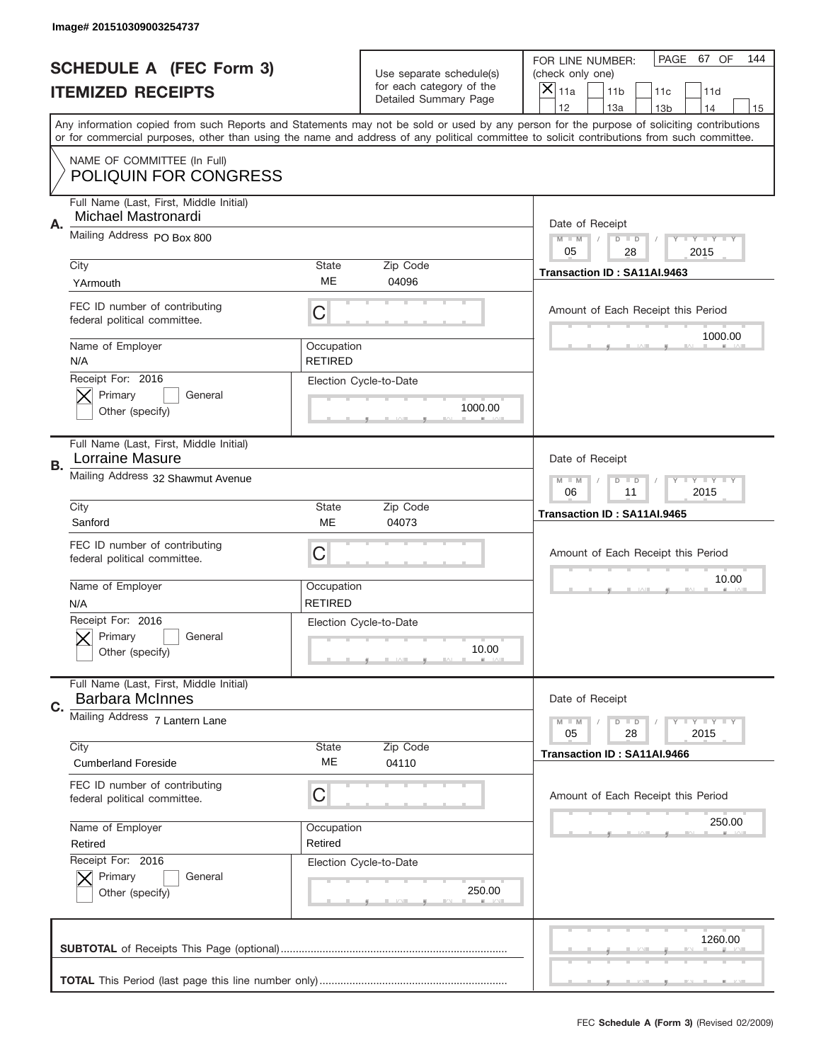|           | Image# 201510309003254737                                         |                                                            |                                                   |                                                                                                                                                                                                                                                                                                                                     |
|-----------|-------------------------------------------------------------------|------------------------------------------------------------|---------------------------------------------------|-------------------------------------------------------------------------------------------------------------------------------------------------------------------------------------------------------------------------------------------------------------------------------------------------------------------------------------|
|           | <b>SCHEDULE A (FEC Form 3)</b>                                    |                                                            | Use separate schedule(s)                          | PAGE 67 OF<br>144<br>FOR LINE NUMBER:<br>(check only one)                                                                                                                                                                                                                                                                           |
|           | <b>ITEMIZED RECEIPTS</b>                                          |                                                            | for each category of the<br>Detailed Summary Page | ×<br>11a<br>11 <sub>b</sub><br>11c<br>11d                                                                                                                                                                                                                                                                                           |
|           |                                                                   |                                                            |                                                   | 12<br>13a<br>14<br>13 <sub>b</sub><br>15<br>Any information copied from such Reports and Statements may not be sold or used by any person for the purpose of soliciting contributions<br>or for commercial purposes, other than using the name and address of any political committee to solicit contributions from such committee. |
|           | NAME OF COMMITTEE (In Full)<br><b>POLIQUIN FOR CONGRESS</b>       |                                                            |                                                   |                                                                                                                                                                                                                                                                                                                                     |
| Α.        | Full Name (Last, First, Middle Initial)<br>Michael Mastronardi    |                                                            |                                                   | Date of Receipt                                                                                                                                                                                                                                                                                                                     |
|           | Mailing Address PO Box 800                                        |                                                            |                                                   | $M - M$<br><b>LYLYLY</b><br>$D$ $D$<br>05<br>2015<br>28                                                                                                                                                                                                                                                                             |
|           | City<br>YArmouth                                                  | State<br>ME                                                | Zip Code<br>04096                                 | Transaction ID: SA11AI.9463                                                                                                                                                                                                                                                                                                         |
|           | FEC ID number of contributing<br>federal political committee.     | C                                                          |                                                   | Amount of Each Receipt this Period<br>1000.00                                                                                                                                                                                                                                                                                       |
|           | Name of Employer<br>N/A                                           | Occupation<br><b>RETIRED</b>                               |                                                   |                                                                                                                                                                                                                                                                                                                                     |
|           | Receipt For: 2016<br>Primary<br>General<br>Other (specify)        |                                                            | Election Cycle-to-Date<br>1000.00                 |                                                                                                                                                                                                                                                                                                                                     |
| <b>B.</b> | Full Name (Last, First, Middle Initial)<br>Lorraine Masure        |                                                            |                                                   | Date of Receipt                                                                                                                                                                                                                                                                                                                     |
|           | Mailing Address 32 Shawmut Avenue                                 | $M - M$<br>$D$ $D$<br><b>THEY THEY</b><br>06<br>11<br>2015 |                                                   |                                                                                                                                                                                                                                                                                                                                     |
|           | City<br>Sanford                                                   | State<br>ME                                                | Zip Code<br>04073                                 | Transaction ID: SA11AI.9465                                                                                                                                                                                                                                                                                                         |
|           | FEC ID number of contributing<br>federal political committee.     | C                                                          |                                                   | Amount of Each Receipt this Period                                                                                                                                                                                                                                                                                                  |
|           |                                                                   |                                                            |                                                   | 10.00                                                                                                                                                                                                                                                                                                                               |
|           | Name of Employer<br>N/A                                           | Occupation<br><b>RETIRED</b>                               |                                                   |                                                                                                                                                                                                                                                                                                                                     |
|           | Receipt For: 2016<br>General<br>Primary<br>Other (specify)        |                                                            | Election Cycle-to-Date<br>10.00                   |                                                                                                                                                                                                                                                                                                                                     |
| C.        | Full Name (Last, First, Middle Initial)<br><b>Barbara McInnes</b> |                                                            |                                                   | Date of Receipt                                                                                                                                                                                                                                                                                                                     |
|           | Mailing Address 7 Lantern Lane                                    |                                                            |                                                   | <b>LY LY LY</b><br>$M - M$<br>$D$ $D$<br>05<br>2015<br>28                                                                                                                                                                                                                                                                           |
|           | City<br><b>Cumberland Foreside</b>                                | State<br>ME                                                | Zip Code<br>04110                                 | Transaction ID: SA11AI.9466                                                                                                                                                                                                                                                                                                         |
|           | FEC ID number of contributing<br>federal political committee.     | С                                                          |                                                   | Amount of Each Receipt this Period                                                                                                                                                                                                                                                                                                  |
|           | Name of Employer<br>Retired                                       | Occupation<br>Retired                                      |                                                   | 250.00                                                                                                                                                                                                                                                                                                                              |
|           | Receipt For: 2016<br>Primary<br>General<br>Other (specify)        |                                                            | Election Cycle-to-Date<br>250.00                  |                                                                                                                                                                                                                                                                                                                                     |
|           |                                                                   |                                                            |                                                   | 1260.00                                                                                                                                                                                                                                                                                                                             |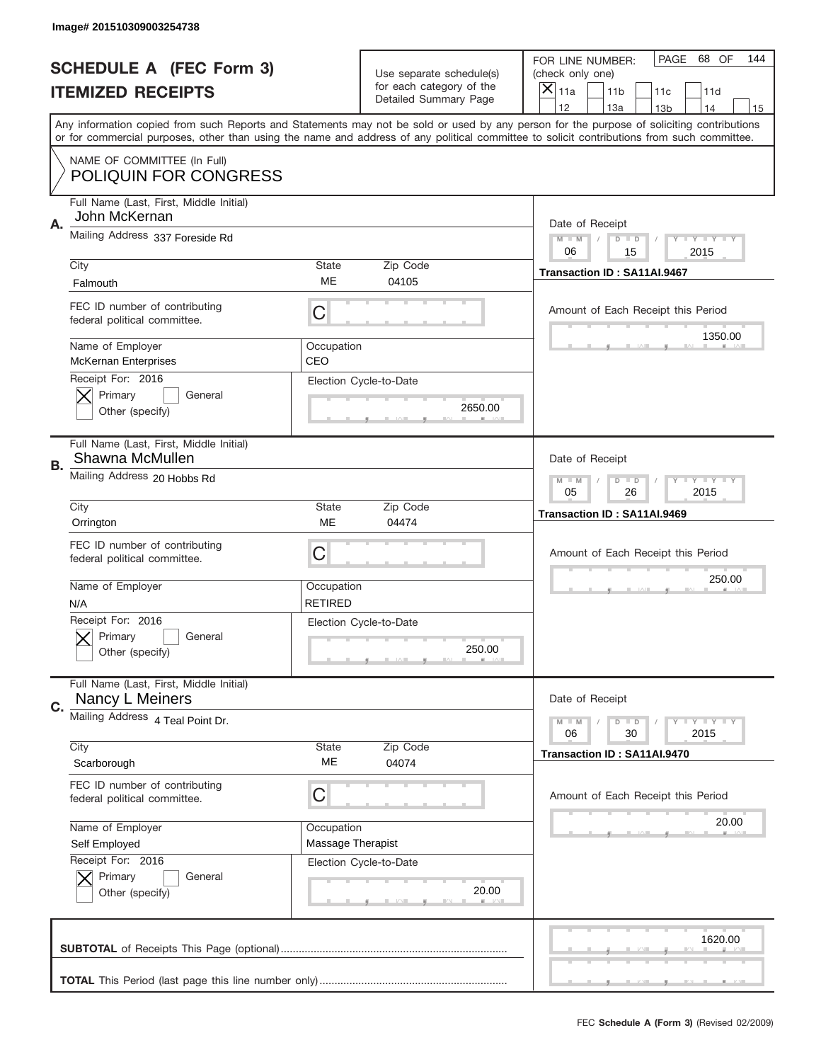|           | Image# 201510309003254738                                     |                                                         |                                                   |                                                                                                                                                                                                                                                                                                                                     |
|-----------|---------------------------------------------------------------|---------------------------------------------------------|---------------------------------------------------|-------------------------------------------------------------------------------------------------------------------------------------------------------------------------------------------------------------------------------------------------------------------------------------------------------------------------------------|
|           | <b>SCHEDULE A (FEC Form 3)</b>                                |                                                         | Use separate schedule(s)                          | PAGE 68 OF<br>144<br>FOR LINE NUMBER:<br>(check only one)                                                                                                                                                                                                                                                                           |
|           | <b>ITEMIZED RECEIPTS</b>                                      |                                                         | for each category of the<br>Detailed Summary Page | ×<br>11a<br>11 <sub>b</sub><br>11c<br>11d                                                                                                                                                                                                                                                                                           |
|           |                                                               |                                                         |                                                   | 12<br>13a<br>14<br>13 <sub>b</sub><br>15<br>Any information copied from such Reports and Statements may not be sold or used by any person for the purpose of soliciting contributions<br>or for commercial purposes, other than using the name and address of any political committee to solicit contributions from such committee. |
|           | NAME OF COMMITTEE (In Full)<br><b>POLIQUIN FOR CONGRESS</b>   |                                                         |                                                   |                                                                                                                                                                                                                                                                                                                                     |
| Α.        | Full Name (Last, First, Middle Initial)<br>John McKernan      |                                                         |                                                   | Date of Receipt                                                                                                                                                                                                                                                                                                                     |
|           | Mailing Address 337 Foreside Rd                               |                                                         |                                                   | $M - M$<br><b>LYLYLY</b><br>$D$ $D$<br>06<br>2015<br>15                                                                                                                                                                                                                                                                             |
|           | City<br>Falmouth                                              | State<br>ME                                             | Zip Code<br>04105                                 | Transaction ID: SA11AI.9467                                                                                                                                                                                                                                                                                                         |
|           | FEC ID number of contributing<br>federal political committee. | C                                                       |                                                   | Amount of Each Receipt this Period<br>1350.00                                                                                                                                                                                                                                                                                       |
|           | Name of Employer<br><b>McKernan Enterprises</b>               | Occupation<br>CEO                                       |                                                   |                                                                                                                                                                                                                                                                                                                                     |
|           | Receipt For: 2016<br>Primary<br>General<br>Other (specify)    |                                                         | Election Cycle-to-Date<br>2650.00                 |                                                                                                                                                                                                                                                                                                                                     |
| <b>B.</b> | Full Name (Last, First, Middle Initial)<br>Shawna McMullen    |                                                         |                                                   | Date of Receipt                                                                                                                                                                                                                                                                                                                     |
|           | Mailing Address 20 Hobbs Rd                                   | $M - M$<br>$D$ $D$<br><b>LYLYLY</b><br>05<br>26<br>2015 |                                                   |                                                                                                                                                                                                                                                                                                                                     |
|           | City<br>Orrington                                             | State<br>ME                                             | Zip Code<br>04474                                 | Transaction ID: SA11AI.9469                                                                                                                                                                                                                                                                                                         |
|           | FEC ID number of contributing<br>federal political committee. | C                                                       |                                                   | Amount of Each Receipt this Period                                                                                                                                                                                                                                                                                                  |
|           | Name of Employer<br>N/A                                       | Occupation<br><b>RETIRED</b>                            |                                                   | 250.00                                                                                                                                                                                                                                                                                                                              |
|           | Receipt For: 2016<br>General<br>Primary<br>Other (specify)    |                                                         | Election Cycle-to-Date<br>250.00                  |                                                                                                                                                                                                                                                                                                                                     |
| C.        | Full Name (Last, First, Middle Initial)<br>Nancy L Meiners    |                                                         |                                                   | Date of Receipt                                                                                                                                                                                                                                                                                                                     |
|           | Mailing Address 4 Teal Point Dr.                              |                                                         |                                                   | <b>LEY LEY LEY</b><br>$M - M$<br>$D$ $D$<br>06<br>2015<br>30                                                                                                                                                                                                                                                                        |
|           | City<br>Scarborough                                           | State<br>ME                                             | Zip Code<br>04074                                 | Transaction ID: SA11AI.9470                                                                                                                                                                                                                                                                                                         |
|           | FEC ID number of contributing<br>federal political committee. | С                                                       |                                                   | Amount of Each Receipt this Period                                                                                                                                                                                                                                                                                                  |
|           | Name of Employer<br>Self Employed                             | Occupation<br>Massage Therapist                         |                                                   | 20.00                                                                                                                                                                                                                                                                                                                               |
|           | Receipt For: 2016                                             |                                                         | Election Cycle-to-Date                            |                                                                                                                                                                                                                                                                                                                                     |
|           | Primary<br>General<br>Other (specify)                         |                                                         | 20.00                                             |                                                                                                                                                                                                                                                                                                                                     |
|           |                                                               |                                                         |                                                   | 1620.00                                                                                                                                                                                                                                                                                                                             |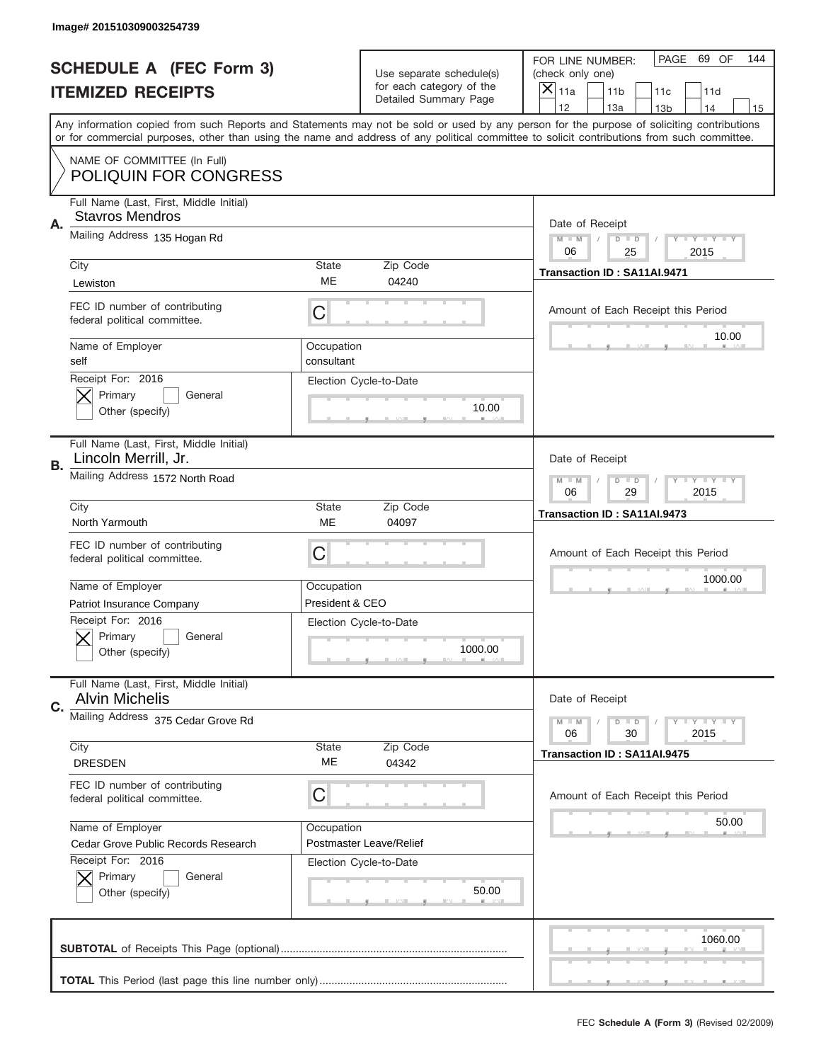|    | Image# 201510309003254739                                         |                                                            |                                                   |                                                                                                                                                                                                                                                                                                                                     |
|----|-------------------------------------------------------------------|------------------------------------------------------------|---------------------------------------------------|-------------------------------------------------------------------------------------------------------------------------------------------------------------------------------------------------------------------------------------------------------------------------------------------------------------------------------------|
|    | <b>SCHEDULE A (FEC Form 3)</b>                                    |                                                            | Use separate schedule(s)                          | PAGE<br>69 OF<br>144<br>FOR LINE NUMBER:<br>(check only one)                                                                                                                                                                                                                                                                        |
|    | <b>ITEMIZED RECEIPTS</b>                                          |                                                            | for each category of the<br>Detailed Summary Page | ×<br>11a<br>11 <sub>b</sub><br>11c<br>11d                                                                                                                                                                                                                                                                                           |
|    |                                                                   |                                                            |                                                   | 12<br>13a<br>13 <sub>b</sub><br>14<br>15<br>Any information copied from such Reports and Statements may not be sold or used by any person for the purpose of soliciting contributions<br>or for commercial purposes, other than using the name and address of any political committee to solicit contributions from such committee. |
|    | NAME OF COMMITTEE (In Full)<br><b>POLIQUIN FOR CONGRESS</b>       |                                                            |                                                   |                                                                                                                                                                                                                                                                                                                                     |
| Α. | Full Name (Last, First, Middle Initial)<br><b>Stavros Mendros</b> |                                                            |                                                   | Date of Receipt                                                                                                                                                                                                                                                                                                                     |
|    | Mailing Address 135 Hogan Rd                                      |                                                            |                                                   | Y TY TY TY<br>$M - M$<br>$D$ $D$<br>25<br>06<br>2015                                                                                                                                                                                                                                                                                |
|    | City<br>Lewiston                                                  | <b>State</b><br><b>ME</b>                                  | Zip Code<br>04240                                 | Transaction ID: SA11AI.9471                                                                                                                                                                                                                                                                                                         |
|    | FEC ID number of contributing<br>federal political committee.     | С                                                          |                                                   | Amount of Each Receipt this Period<br>10.00                                                                                                                                                                                                                                                                                         |
|    | Name of Employer<br>self                                          | Occupation<br>consultant                                   |                                                   |                                                                                                                                                                                                                                                                                                                                     |
|    | Receipt For: 2016<br>Primary<br>General<br>Other (specify)        |                                                            | Election Cycle-to-Date<br>10.00                   |                                                                                                                                                                                                                                                                                                                                     |
| В. | Full Name (Last, First, Middle Initial)<br>Lincoln Merrill, Jr.   |                                                            |                                                   | Date of Receipt                                                                                                                                                                                                                                                                                                                     |
|    | Mailing Address 1572 North Road                                   | $M - M$<br>$D$ $D$<br><b>THEY THEY</b><br>06<br>29<br>2015 |                                                   |                                                                                                                                                                                                                                                                                                                                     |
|    | City<br>North Yarmouth                                            | <b>State</b><br>ME                                         | Zip Code<br>04097                                 | Transaction ID: SA11AI.9473                                                                                                                                                                                                                                                                                                         |
|    | FEC ID number of contributing<br>federal political committee.     | С                                                          |                                                   | Amount of Each Receipt this Period                                                                                                                                                                                                                                                                                                  |
|    | Name of Employer                                                  | Occupation                                                 |                                                   | 1000.00                                                                                                                                                                                                                                                                                                                             |
|    | Patriot Insurance Company                                         | President & CEO                                            |                                                   |                                                                                                                                                                                                                                                                                                                                     |
|    | Receipt For: 2016<br>General<br>Primary<br>Other (specify)        |                                                            | Election Cycle-to-Date<br>1000.00                 |                                                                                                                                                                                                                                                                                                                                     |
|    |                                                                   |                                                            |                                                   |                                                                                                                                                                                                                                                                                                                                     |
| C. | Full Name (Last, First, Middle Initial)<br><b>Alvin Michelis</b>  |                                                            |                                                   | Date of Receipt                                                                                                                                                                                                                                                                                                                     |
|    | Mailing Address 375 Cedar Grove Rd                                |                                                            |                                                   | $I - Y - I - Y - I - Y$<br>$M - M$<br>$D$ $D$<br>06<br>2015<br>30                                                                                                                                                                                                                                                                   |
|    | City<br><b>DRESDEN</b>                                            | <b>State</b><br>ME                                         | Zip Code<br>04342                                 | Transaction ID: SA11AI.9475                                                                                                                                                                                                                                                                                                         |
|    | FEC ID number of contributing<br>federal political committee.     | С                                                          |                                                   | Amount of Each Receipt this Period                                                                                                                                                                                                                                                                                                  |
|    | Name of Employer                                                  | Occupation                                                 |                                                   | 50.00                                                                                                                                                                                                                                                                                                                               |
|    | Cedar Grove Public Records Research                               |                                                            | Postmaster Leave/Relief                           |                                                                                                                                                                                                                                                                                                                                     |
|    | Receipt For: 2016<br>Primary<br>General<br>Other (specify)        |                                                            | Election Cycle-to-Date<br>50.00                   |                                                                                                                                                                                                                                                                                                                                     |
|    |                                                                   |                                                            |                                                   | 1060.00                                                                                                                                                                                                                                                                                                                             |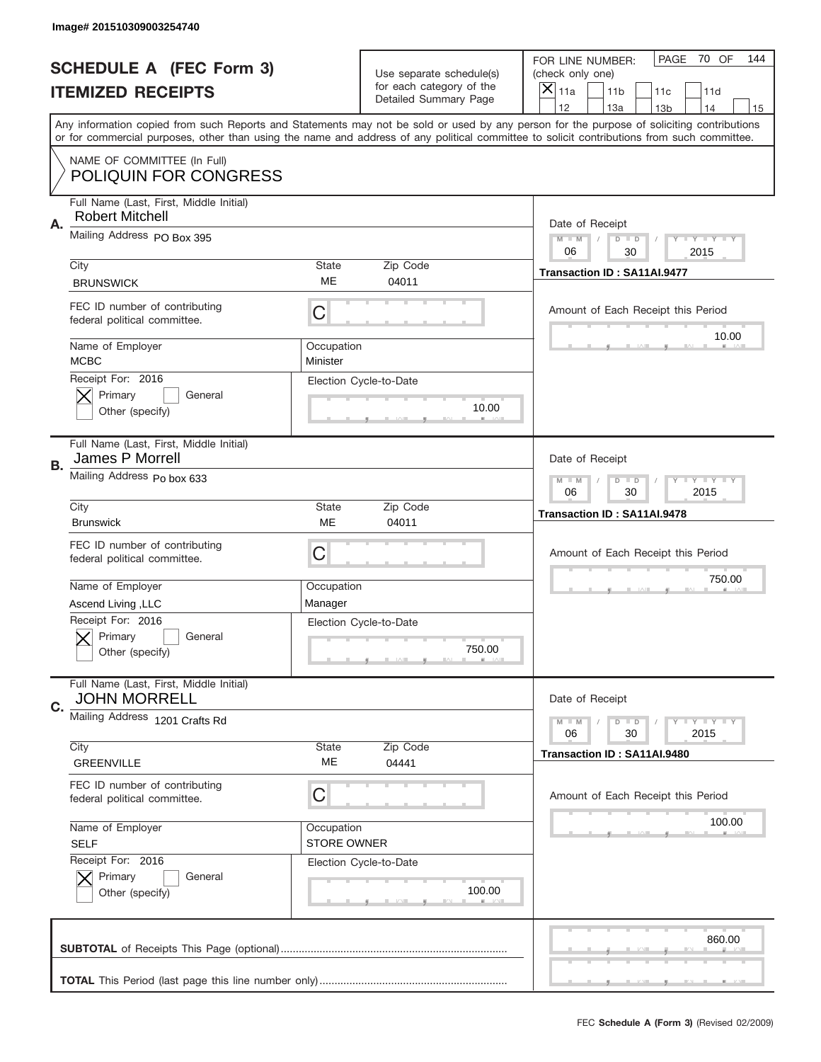|    | Image# 201510309003254740                                         |                                                      |                                                   |                                                                                                                                                                                       |
|----|-------------------------------------------------------------------|------------------------------------------------------|---------------------------------------------------|---------------------------------------------------------------------------------------------------------------------------------------------------------------------------------------|
|    | <b>SCHEDULE A (FEC Form 3)</b>                                    |                                                      | Use separate schedule(s)                          | PAGE<br>70 OF<br>144<br>FOR LINE NUMBER:<br>(check only one)                                                                                                                          |
|    | <b>ITEMIZED RECEIPTS</b>                                          |                                                      | for each category of the<br>Detailed Summary Page | $\overline{X} _{11a}$<br>11 <sub>b</sub><br>11c<br>11d                                                                                                                                |
|    |                                                                   |                                                      |                                                   | 12<br>13a<br>14<br>13 <sub>b</sub><br>15<br>Any information copied from such Reports and Statements may not be sold or used by any person for the purpose of soliciting contributions |
|    |                                                                   |                                                      |                                                   | or for commercial purposes, other than using the name and address of any political committee to solicit contributions from such committee.                                            |
|    | NAME OF COMMITTEE (In Full)<br><b>POLIQUIN FOR CONGRESS</b>       |                                                      |                                                   |                                                                                                                                                                                       |
| Α. | Full Name (Last, First, Middle Initial)<br><b>Robert Mitchell</b> |                                                      |                                                   | Date of Receipt                                                                                                                                                                       |
|    | Mailing Address PO Box 395                                        |                                                      |                                                   | Y TY TY TY<br>$M$ $M$<br>$D$ $D$<br>06<br>2015<br>30                                                                                                                                  |
|    | City<br><b>BRUNSWICK</b>                                          | State<br>ME                                          | Zip Code<br>04011                                 | Transaction ID: SA11AI.9477                                                                                                                                                           |
|    | FEC ID number of contributing<br>federal political committee.     | C                                                    |                                                   | Amount of Each Receipt this Period                                                                                                                                                    |
|    | Name of Employer<br><b>MCBC</b>                                   | Occupation<br>Minister                               |                                                   | 10.00                                                                                                                                                                                 |
|    | Receipt For: 2016<br>Primary<br>General<br>Other (specify)        |                                                      | Election Cycle-to-Date<br>10.00                   |                                                                                                                                                                                       |
| В. | Full Name (Last, First, Middle Initial)<br>James P Morrell        |                                                      |                                                   | Date of Receipt                                                                                                                                                                       |
|    | Mailing Address Po box 633                                        | Y TY TY TY<br>$M - M$<br>$D$ $D$<br>06<br>30<br>2015 |                                                   |                                                                                                                                                                                       |
|    | City<br><b>Brunswick</b>                                          | <b>State</b><br>ME                                   | Zip Code<br>04011                                 | Transaction ID: SA11AI.9478                                                                                                                                                           |
|    | FEC ID number of contributing<br>federal political committee.     | C                                                    |                                                   | Amount of Each Receipt this Period                                                                                                                                                    |
|    | Name of Employer                                                  | Occupation                                           |                                                   | 750.00                                                                                                                                                                                |
|    | Ascend Living, LLC                                                | Manager                                              |                                                   |                                                                                                                                                                                       |
|    | Receipt For: 2016<br>General<br>Primary<br>Other (specify)        |                                                      | Election Cycle-to-Date<br>750.00                  |                                                                                                                                                                                       |
| C. | Full Name (Last, First, Middle Initial)<br><b>JOHN MORRELL</b>    |                                                      |                                                   | Date of Receipt                                                                                                                                                                       |
|    | Mailing Address 1201 Crafts Rd                                    |                                                      |                                                   | $D$ $D$<br><b>LYLYLY</b><br>$M - M$<br>06<br>30<br>2015                                                                                                                               |
|    | City<br><b>GREENVILLE</b>                                         | State<br>МE                                          | Zip Code<br>04441                                 | Transaction ID: SA11AI.9480                                                                                                                                                           |
|    | FEC ID number of contributing<br>federal political committee.     | C                                                    |                                                   | Amount of Each Receipt this Period                                                                                                                                                    |
|    | Name of Employer<br><b>SELF</b>                                   | Occupation<br>STORE OWNER                            |                                                   | 100.00                                                                                                                                                                                |
|    | Receipt For: 2016<br>Primary<br>General<br>Other (specify)        |                                                      | Election Cycle-to-Date<br>100.00                  |                                                                                                                                                                                       |
|    |                                                                   |                                                      |                                                   | 860.00                                                                                                                                                                                |
|    |                                                                   |                                                      |                                                   | __                                                                                                                                                                                    |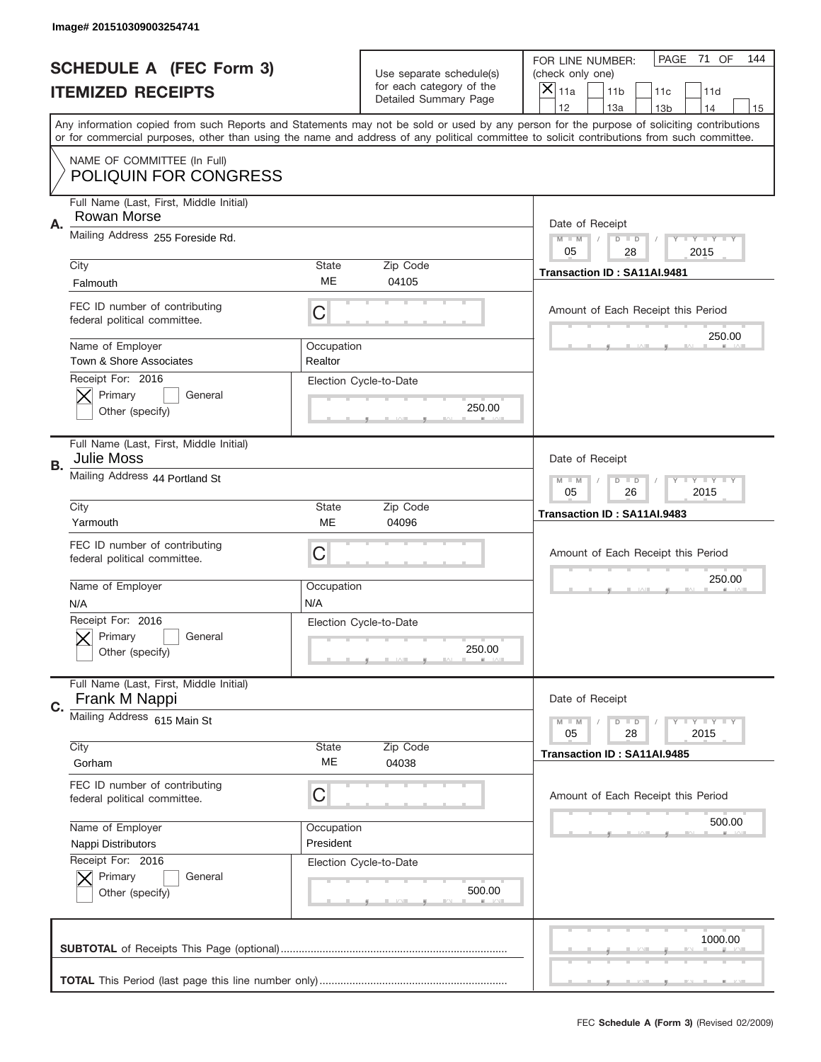|           | Image# 201510309003254741                                     |                                                      |                                  |                                                                                                                                                                                                                                                                                         |
|-----------|---------------------------------------------------------------|------------------------------------------------------|----------------------------------|-----------------------------------------------------------------------------------------------------------------------------------------------------------------------------------------------------------------------------------------------------------------------------------------|
|           | <b>SCHEDULE A (FEC Form 3)</b>                                |                                                      | Use separate schedule(s)         | PAGE<br>71 OF<br>144<br>FOR LINE NUMBER:<br>(check only one)                                                                                                                                                                                                                            |
|           | <b>ITEMIZED RECEIPTS</b>                                      |                                                      | for each category of the         | $\overline{X} _{11a}$<br>11 <sub>b</sub><br>11c<br>11d                                                                                                                                                                                                                                  |
|           |                                                               |                                                      | <b>Detailed Summary Page</b>     | 12<br>13a<br>14<br>13 <sub>b</sub><br>15                                                                                                                                                                                                                                                |
|           |                                                               |                                                      |                                  | Any information copied from such Reports and Statements may not be sold or used by any person for the purpose of soliciting contributions<br>or for commercial purposes, other than using the name and address of any political committee to solicit contributions from such committee. |
|           | NAME OF COMMITTEE (In Full)<br><b>POLIQUIN FOR CONGRESS</b>   |                                                      |                                  |                                                                                                                                                                                                                                                                                         |
| Α.        | Full Name (Last, First, Middle Initial)<br>Rowan Morse        |                                                      |                                  | Date of Receipt                                                                                                                                                                                                                                                                         |
|           | Mailing Address 255 Foreside Rd.                              |                                                      |                                  | Y TY TY TY<br>$M$ $M$<br>$D$ $D$<br>05<br>28<br>2015                                                                                                                                                                                                                                    |
|           | City<br>Falmouth                                              | State<br>ME                                          | Zip Code<br>04105                | Transaction ID: SA11AI.9481                                                                                                                                                                                                                                                             |
|           | FEC ID number of contributing<br>federal political committee. | C                                                    |                                  | Amount of Each Receipt this Period                                                                                                                                                                                                                                                      |
|           | Name of Employer<br>Town & Shore Associates                   | Occupation<br>Realtor                                |                                  | 250.00                                                                                                                                                                                                                                                                                  |
|           | Receipt For: 2016<br>Primary<br>General<br>Other (specify)    |                                                      | Election Cycle-to-Date<br>250.00 |                                                                                                                                                                                                                                                                                         |
| <b>B.</b> | Full Name (Last, First, Middle Initial)<br><b>Julie Moss</b>  |                                                      |                                  | Date of Receipt                                                                                                                                                                                                                                                                         |
|           | Mailing Address 44 Portland St                                | Y TY TY TY<br>$M - M$<br>$D$ $D$<br>05<br>26<br>2015 |                                  |                                                                                                                                                                                                                                                                                         |
|           | City<br>Yarmouth                                              | <b>State</b><br>ME                                   | Zip Code<br>04096                | Transaction ID: SA11AI.9483                                                                                                                                                                                                                                                             |
|           | FEC ID number of contributing<br>federal political committee. | C                                                    |                                  | Amount of Each Receipt this Period                                                                                                                                                                                                                                                      |
|           | Name of Employer<br>N/A                                       | Occupation<br>N/A                                    |                                  | 250.00                                                                                                                                                                                                                                                                                  |
|           | Receipt For: 2016<br>General<br>Primary<br>Other (specify)    |                                                      | Election Cycle-to-Date<br>250.00 |                                                                                                                                                                                                                                                                                         |
| C.        | Full Name (Last, First, Middle Initial)<br>Frank M Nappi      |                                                      |                                  | Date of Receipt                                                                                                                                                                                                                                                                         |
|           | Mailing Address 615 Main St                                   |                                                      |                                  | $D$ $D$<br><b>LYLYLY</b><br>$M - M$<br>05<br>28<br>2015                                                                                                                                                                                                                                 |
|           | City<br>Gorham                                                | <b>State</b><br>ME                                   | Zip Code<br>04038                | Transaction ID: SA11AI.9485                                                                                                                                                                                                                                                             |
|           | FEC ID number of contributing<br>federal political committee. | C                                                    |                                  | Amount of Each Receipt this Period                                                                                                                                                                                                                                                      |
|           | Name of Employer<br>Nappi Distributors                        | Occupation<br>President                              |                                  | 500.00                                                                                                                                                                                                                                                                                  |
|           | Receipt For: 2016<br>Primary<br>General<br>Other (specify)    |                                                      | Election Cycle-to-Date<br>500.00 |                                                                                                                                                                                                                                                                                         |
|           |                                                               |                                                      |                                  | 1000.00                                                                                                                                                                                                                                                                                 |
|           |                                                               |                                                      |                                  |                                                                                                                                                                                                                                                                                         |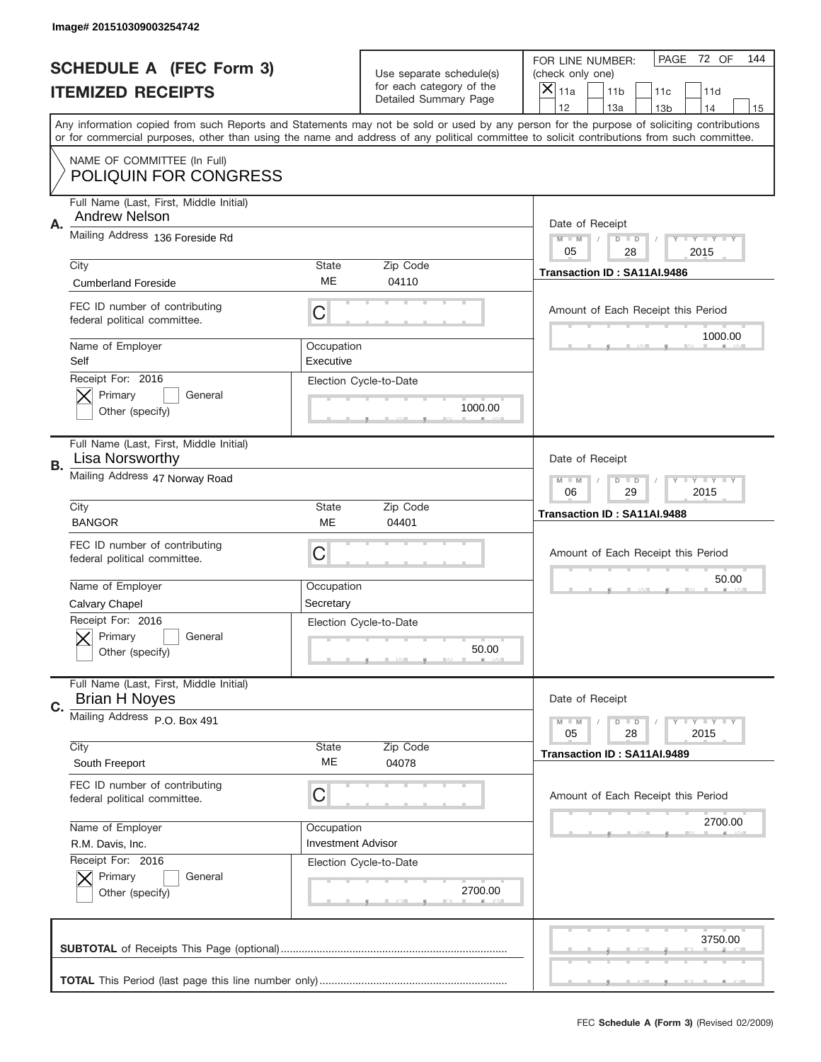|           | Image# 201510309003254742                                       |                                                         |                                                   |                                                                                                                                                                                                                                                                                                                                     |
|-----------|-----------------------------------------------------------------|---------------------------------------------------------|---------------------------------------------------|-------------------------------------------------------------------------------------------------------------------------------------------------------------------------------------------------------------------------------------------------------------------------------------------------------------------------------------|
|           | <b>SCHEDULE A (FEC Form 3)</b>                                  |                                                         | Use separate schedule(s)                          | PAGE<br>72 OF<br>144<br>FOR LINE NUMBER:<br>(check only one)                                                                                                                                                                                                                                                                        |
|           | <b>ITEMIZED RECEIPTS</b>                                        |                                                         | for each category of the<br>Detailed Summary Page | ×<br>11a<br>11 <sub>b</sub><br>11c<br>11d                                                                                                                                                                                                                                                                                           |
|           |                                                                 |                                                         |                                                   | 12<br>13a<br>14<br>13 <sub>b</sub><br>15<br>Any information copied from such Reports and Statements may not be sold or used by any person for the purpose of soliciting contributions<br>or for commercial purposes, other than using the name and address of any political committee to solicit contributions from such committee. |
|           | NAME OF COMMITTEE (In Full)<br><b>POLIQUIN FOR CONGRESS</b>     |                                                         |                                                   |                                                                                                                                                                                                                                                                                                                                     |
| Α.        | Full Name (Last, First, Middle Initial)<br><b>Andrew Nelson</b> |                                                         |                                                   | Date of Receipt                                                                                                                                                                                                                                                                                                                     |
|           | Mailing Address 136 Foreside Rd                                 |                                                         |                                                   | $M - M$<br><b>LYLYLY</b><br>$D$ $D$<br>05<br>28<br>2015                                                                                                                                                                                                                                                                             |
|           | City<br><b>Cumberland Foreside</b>                              | State<br>ME                                             | Zip Code<br>04110                                 | Transaction ID: SA11AI.9486                                                                                                                                                                                                                                                                                                         |
|           | FEC ID number of contributing<br>federal political committee.   | C                                                       |                                                   | Amount of Each Receipt this Period<br>1000.00                                                                                                                                                                                                                                                                                       |
|           | Name of Employer<br>Self                                        | Occupation<br>Executive                                 |                                                   |                                                                                                                                                                                                                                                                                                                                     |
|           | Receipt For: 2016<br>Primary<br>General<br>Other (specify)      |                                                         | Election Cycle-to-Date<br>1000.00                 |                                                                                                                                                                                                                                                                                                                                     |
| <b>B.</b> | Full Name (Last, First, Middle Initial)<br>Lisa Norsworthy      |                                                         |                                                   | Date of Receipt                                                                                                                                                                                                                                                                                                                     |
|           | Mailing Address 47 Norway Road                                  | $M - M$<br>$D$ $D$<br><b>LYLYLY</b><br>06<br>29<br>2015 |                                                   |                                                                                                                                                                                                                                                                                                                                     |
|           | City<br><b>BANGOR</b>                                           | <b>State</b><br>ME                                      | Zip Code<br>04401                                 | Transaction ID: SA11AI.9488                                                                                                                                                                                                                                                                                                         |
|           | FEC ID number of contributing<br>federal political committee.   | C                                                       |                                                   | Amount of Each Receipt this Period                                                                                                                                                                                                                                                                                                  |
|           | Name of Employer<br>Calvary Chapel                              | Occupation<br>Secretary                                 |                                                   | 50.00                                                                                                                                                                                                                                                                                                                               |
|           | Receipt For: 2016<br>General<br>Primary<br>Other (specify)      |                                                         | Election Cycle-to-Date<br>50.00                   |                                                                                                                                                                                                                                                                                                                                     |
| C.        | Full Name (Last, First, Middle Initial)<br><b>Brian H Noyes</b> |                                                         |                                                   | Date of Receipt                                                                                                                                                                                                                                                                                                                     |
|           | Mailing Address P.O. Box 491                                    | State                                                   |                                                   | <b>LEY LEY LEY</b><br>$M - M$<br>$D$ $D$<br>05<br>2015<br>28                                                                                                                                                                                                                                                                        |
|           |                                                                 |                                                         | Zip Code                                          |                                                                                                                                                                                                                                                                                                                                     |
|           | City<br>South Freeport                                          | ME                                                      | 04078                                             | Transaction ID: SA11AI.9489                                                                                                                                                                                                                                                                                                         |
|           | FEC ID number of contributing<br>federal political committee.   | С                                                       |                                                   | Amount of Each Receipt this Period                                                                                                                                                                                                                                                                                                  |
|           | Name of Employer<br>R.M. Davis, Inc.                            | Occupation<br><b>Investment Advisor</b>                 |                                                   | 2700.00                                                                                                                                                                                                                                                                                                                             |
|           | Receipt For: 2016<br>Primary<br>General<br>Other (specify)      |                                                         | Election Cycle-to-Date<br>2700.00                 |                                                                                                                                                                                                                                                                                                                                     |
|           |                                                                 |                                                         |                                                   | 3750.00                                                                                                                                                                                                                                                                                                                             |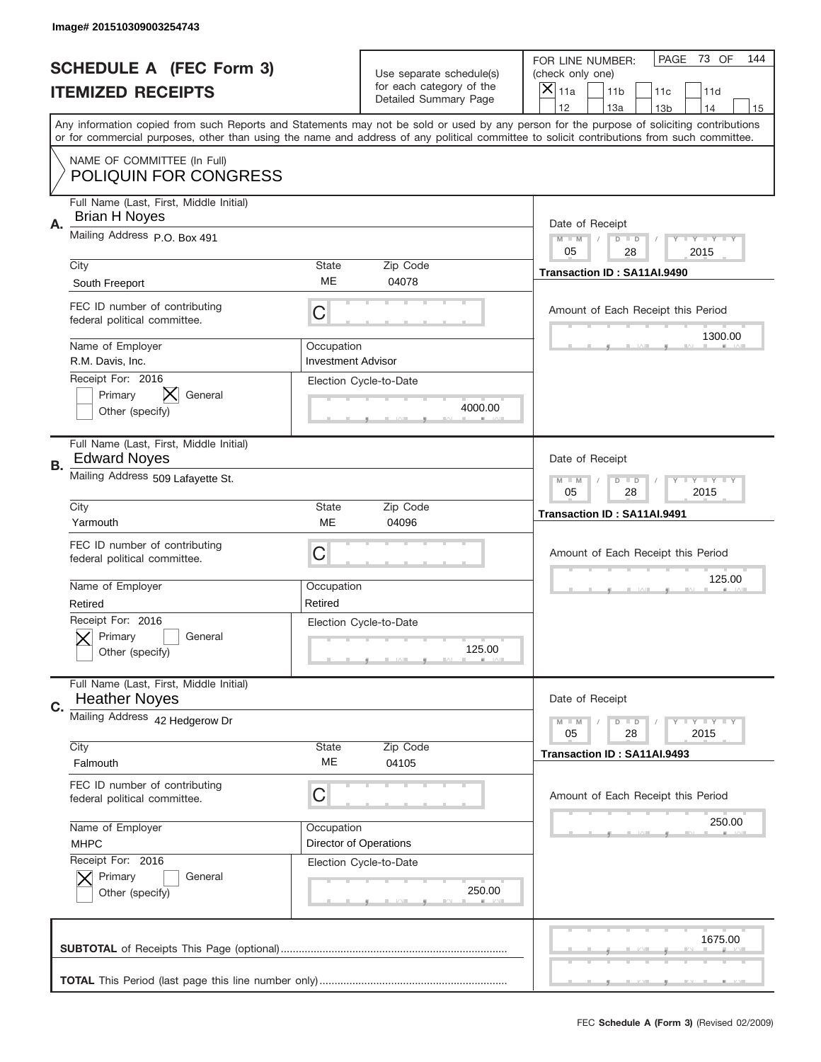|           | Image# 201510309003254743                                       |                                                      |                                                   |                                                                                                                                                                                                                                                                                                                                     |
|-----------|-----------------------------------------------------------------|------------------------------------------------------|---------------------------------------------------|-------------------------------------------------------------------------------------------------------------------------------------------------------------------------------------------------------------------------------------------------------------------------------------------------------------------------------------|
|           | <b>SCHEDULE A (FEC Form 3)</b>                                  |                                                      | Use separate schedule(s)                          | PAGE<br>73 OF<br>144<br>FOR LINE NUMBER:<br>(check only one)                                                                                                                                                                                                                                                                        |
|           | <b>ITEMIZED RECEIPTS</b>                                        |                                                      | for each category of the<br>Detailed Summary Page | $\overline{X} _{11a}$<br>11 <sub>b</sub><br>11c<br>11d                                                                                                                                                                                                                                                                              |
|           |                                                                 |                                                      |                                                   | 12<br>13a<br>14<br>13 <sub>b</sub><br>15<br>Any information copied from such Reports and Statements may not be sold or used by any person for the purpose of soliciting contributions<br>or for commercial purposes, other than using the name and address of any political committee to solicit contributions from such committee. |
|           | NAME OF COMMITTEE (In Full)<br><b>POLIQUIN FOR CONGRESS</b>     |                                                      |                                                   |                                                                                                                                                                                                                                                                                                                                     |
| Α.        | Full Name (Last, First, Middle Initial)<br><b>Brian H Noyes</b> |                                                      |                                                   | Date of Receipt                                                                                                                                                                                                                                                                                                                     |
|           | Mailing Address P.O. Box 491                                    |                                                      |                                                   | Y TY TY TY<br>$M$ $M$<br>$D$ $D$<br>05<br>28<br>2015                                                                                                                                                                                                                                                                                |
|           | City<br>South Freeport                                          | State<br>ME                                          | Zip Code<br>04078                                 | Transaction ID: SA11AI.9490                                                                                                                                                                                                                                                                                                         |
|           | FEC ID number of contributing<br>federal political committee.   | C                                                    |                                                   | Amount of Each Receipt this Period<br>1300.00                                                                                                                                                                                                                                                                                       |
|           | Name of Employer<br>R.M. Davis, Inc.                            | Occupation<br><b>Investment Advisor</b>              |                                                   |                                                                                                                                                                                                                                                                                                                                     |
|           | Receipt For: 2016<br>Primary<br>General<br>Other (specify)      |                                                      | Election Cycle-to-Date<br>4000.00                 |                                                                                                                                                                                                                                                                                                                                     |
| <b>B.</b> | Full Name (Last, First, Middle Initial)<br><b>Edward Noyes</b>  |                                                      |                                                   | Date of Receipt                                                                                                                                                                                                                                                                                                                     |
|           | Mailing Address 509 Lafayette St.                               | Y TY TY TY<br>$M - M$<br>$D$ $D$<br>05<br>28<br>2015 |                                                   |                                                                                                                                                                                                                                                                                                                                     |
|           | City<br>Yarmouth                                                | <b>State</b><br>ME                                   | Zip Code<br>04096                                 | Transaction ID: SA11AI.9491                                                                                                                                                                                                                                                                                                         |
|           | FEC ID number of contributing<br>federal political committee.   | C                                                    |                                                   | Amount of Each Receipt this Period                                                                                                                                                                                                                                                                                                  |
|           | Name of Employer<br>Retired                                     | Occupation<br>Retired                                |                                                   | 125.00                                                                                                                                                                                                                                                                                                                              |
|           | Receipt For: 2016<br>General<br>Primary<br>Other (specify)      |                                                      | Election Cycle-to-Date<br>125.00                  |                                                                                                                                                                                                                                                                                                                                     |
| C.        | Full Name (Last, First, Middle Initial)<br><b>Heather Noyes</b> |                                                      |                                                   | Date of Receipt                                                                                                                                                                                                                                                                                                                     |
|           | Mailing Address 42 Hedgerow Dr                                  |                                                      |                                                   | <b>LYLYLY</b><br>$M - M$<br>$D$ $D$<br>05<br>28<br>2015                                                                                                                                                                                                                                                                             |
|           | City<br>Falmouth                                                | <b>State</b><br>ME                                   | Zip Code<br>04105                                 | Transaction ID: SA11AI.9493                                                                                                                                                                                                                                                                                                         |
|           | FEC ID number of contributing<br>federal political committee.   | C                                                    |                                                   | Amount of Each Receipt this Period                                                                                                                                                                                                                                                                                                  |
|           | Name of Employer<br><b>MHPC</b><br>Receipt For: 2016            | Occupation                                           | Director of Operations                            | 250.00                                                                                                                                                                                                                                                                                                                              |
|           | Primary<br>General<br>Other (specify)                           |                                                      | Election Cycle-to-Date<br>250.00                  |                                                                                                                                                                                                                                                                                                                                     |
|           |                                                                 |                                                      |                                                   | 1675.00                                                                                                                                                                                                                                                                                                                             |
|           |                                                                 |                                                      |                                                   |                                                                                                                                                                                                                                                                                                                                     |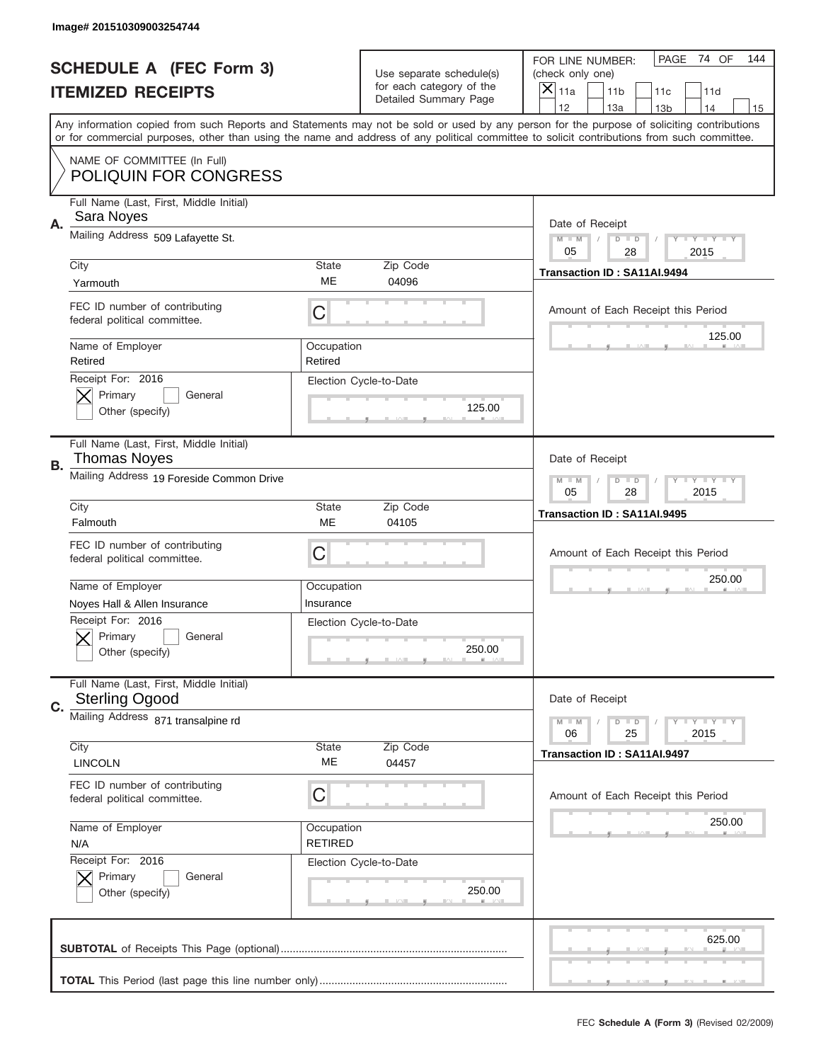|    | Image# 201510309003254744                                        |                              |                                                   |                                                                                                                                                                                                                                                                                                                                     |
|----|------------------------------------------------------------------|------------------------------|---------------------------------------------------|-------------------------------------------------------------------------------------------------------------------------------------------------------------------------------------------------------------------------------------------------------------------------------------------------------------------------------------|
|    | <b>SCHEDULE A (FEC Form 3)</b>                                   |                              | Use separate schedule(s)                          | PAGE 74 OF<br>144<br>FOR LINE NUMBER:<br>(check only one)                                                                                                                                                                                                                                                                           |
|    | <b>ITEMIZED RECEIPTS</b>                                         |                              | for each category of the<br>Detailed Summary Page | ×<br>11a<br>11 <sub>b</sub><br>11c<br>11d                                                                                                                                                                                                                                                                                           |
|    |                                                                  |                              |                                                   | 12<br>13a<br>14<br>13 <sub>b</sub><br>15<br>Any information copied from such Reports and Statements may not be sold or used by any person for the purpose of soliciting contributions<br>or for commercial purposes, other than using the name and address of any political committee to solicit contributions from such committee. |
|    | NAME OF COMMITTEE (In Full)<br><b>POLIQUIN FOR CONGRESS</b>      |                              |                                                   |                                                                                                                                                                                                                                                                                                                                     |
| Α. | Full Name (Last, First, Middle Initial)<br>Sara Noyes            |                              |                                                   | Date of Receipt                                                                                                                                                                                                                                                                                                                     |
|    | Mailing Address 509 Lafayette St.                                |                              |                                                   | $M - M$<br><b>LY LY LY</b><br>$D$ $D$<br>05<br>28<br>2015                                                                                                                                                                                                                                                                           |
|    | City<br>Yarmouth                                                 | State<br>ME                  | Zip Code<br>04096                                 | Transaction ID: SA11AI.9494                                                                                                                                                                                                                                                                                                         |
|    | FEC ID number of contributing<br>federal political committee.    | C                            |                                                   | Amount of Each Receipt this Period<br>125.00                                                                                                                                                                                                                                                                                        |
|    | Name of Employer<br>Retired                                      | Occupation<br>Retired        |                                                   |                                                                                                                                                                                                                                                                                                                                     |
|    | Receipt For: 2016<br>Primary<br>General<br>Other (specify)       |                              | Election Cycle-to-Date<br>125.00                  |                                                                                                                                                                                                                                                                                                                                     |
| В. | Full Name (Last, First, Middle Initial)<br><b>Thomas Noyes</b>   |                              |                                                   | Date of Receipt                                                                                                                                                                                                                                                                                                                     |
|    | Mailing Address 19 Foreside Common Drive                         |                              |                                                   | <b>LY LY LY</b><br>$M$ M<br>$D$ $D$<br>05<br>28<br>2015                                                                                                                                                                                                                                                                             |
|    | City<br>Falmouth                                                 | State<br><b>ME</b>           | Zip Code<br>04105                                 | Transaction ID: SA11AI.9495                                                                                                                                                                                                                                                                                                         |
|    | FEC ID number of contributing<br>federal political committee.    | C                            |                                                   | Amount of Each Receipt this Period                                                                                                                                                                                                                                                                                                  |
|    |                                                                  |                              |                                                   | 250.00                                                                                                                                                                                                                                                                                                                              |
|    | Name of Employer<br>Noyes Hall & Allen Insurance                 | Occupation<br>Insurance      |                                                   |                                                                                                                                                                                                                                                                                                                                     |
|    | Receipt For: 2016<br>General<br>Primary<br>Other (specify)       |                              | Election Cycle-to-Date<br>250.00                  |                                                                                                                                                                                                                                                                                                                                     |
| C. | Full Name (Last, First, Middle Initial)<br><b>Sterling Ogood</b> |                              |                                                   | Date of Receipt                                                                                                                                                                                                                                                                                                                     |
|    | Mailing Address 871 transalpine rd                               |                              |                                                   | <b>LYLYLY</b><br>$M - M$<br>$D$ $D$<br>2015<br>06<br>25                                                                                                                                                                                                                                                                             |
|    | City<br><b>LINCOLN</b>                                           | State<br>МE                  | Zip Code<br>04457                                 | Transaction ID: SA11AI.9497                                                                                                                                                                                                                                                                                                         |
|    | FEC ID number of contributing<br>federal political committee.    | C                            |                                                   | Amount of Each Receipt this Period                                                                                                                                                                                                                                                                                                  |
|    | Name of Employer<br>N/A                                          | Occupation<br><b>RETIRED</b> |                                                   | 250.00                                                                                                                                                                                                                                                                                                                              |
|    | Receipt For: 2016<br>Primary<br>General<br>Other (specify)       |                              | Election Cycle-to-Date<br>250.00                  |                                                                                                                                                                                                                                                                                                                                     |
|    |                                                                  |                              |                                                   | 625.00                                                                                                                                                                                                                                                                                                                              |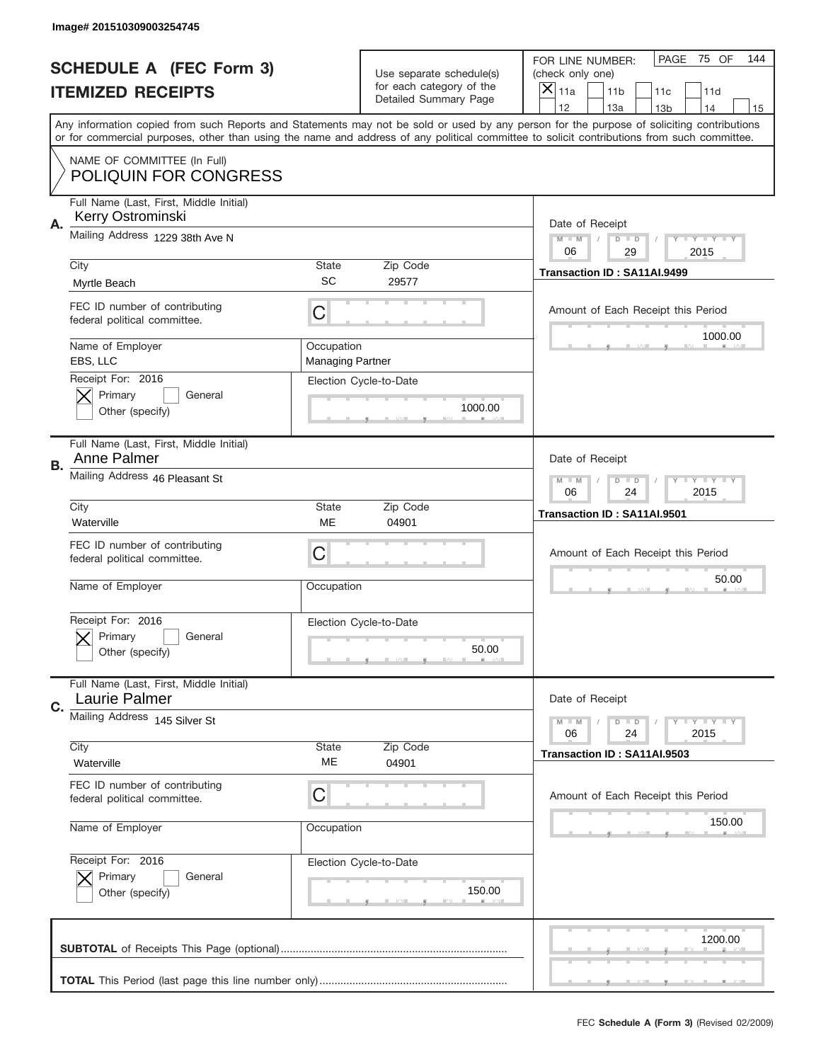|           | Image# 201510309003254745                                     |                                                         |                                                   |                                                                                                                                                                                                                                                                                                                                     |
|-----------|---------------------------------------------------------------|---------------------------------------------------------|---------------------------------------------------|-------------------------------------------------------------------------------------------------------------------------------------------------------------------------------------------------------------------------------------------------------------------------------------------------------------------------------------|
|           | <b>SCHEDULE A (FEC Form 3)</b>                                |                                                         | Use separate schedule(s)                          | PAGE<br>75 OF<br>144<br>FOR LINE NUMBER:<br>(check only one)                                                                                                                                                                                                                                                                        |
|           | <b>ITEMIZED RECEIPTS</b>                                      |                                                         | for each category of the<br>Detailed Summary Page | ×<br>11a<br>11 <sub>b</sub><br>11c<br>11d                                                                                                                                                                                                                                                                                           |
|           |                                                               |                                                         |                                                   | 12<br>13a<br>14<br>13 <sub>b</sub><br>15<br>Any information copied from such Reports and Statements may not be sold or used by any person for the purpose of soliciting contributions<br>or for commercial purposes, other than using the name and address of any political committee to solicit contributions from such committee. |
|           | NAME OF COMMITTEE (In Full)<br><b>POLIQUIN FOR CONGRESS</b>   |                                                         |                                                   |                                                                                                                                                                                                                                                                                                                                     |
| Α.        | Full Name (Last, First, Middle Initial)<br>Kerry Ostrominski  |                                                         |                                                   | Date of Receipt                                                                                                                                                                                                                                                                                                                     |
|           | Mailing Address 1229 38th Ave N                               |                                                         |                                                   | $M - M$<br><b>LYLYLY</b><br>$D$ $D$<br>06<br>29<br>2015                                                                                                                                                                                                                                                                             |
|           | City<br>Myrtle Beach                                          | State<br><b>SC</b>                                      | Zip Code<br>29577                                 | Transaction ID: SA11AI.9499                                                                                                                                                                                                                                                                                                         |
|           | FEC ID number of contributing<br>federal political committee. | C                                                       |                                                   | Amount of Each Receipt this Period                                                                                                                                                                                                                                                                                                  |
|           | Name of Employer<br>EBS, LLC                                  | Occupation<br><b>Managing Partner</b>                   |                                                   | 1000.00                                                                                                                                                                                                                                                                                                                             |
|           | Receipt For: 2016<br>Primary<br>General<br>Other (specify)    |                                                         | Election Cycle-to-Date<br>1000.00                 |                                                                                                                                                                                                                                                                                                                                     |
| <b>B.</b> | Full Name (Last, First, Middle Initial)<br>Anne Palmer        |                                                         |                                                   | Date of Receipt                                                                                                                                                                                                                                                                                                                     |
|           | Mailing Address 46 Pleasant St                                | $M - M$<br>$D$ $D$<br><b>LYLYLY</b><br>06<br>24<br>2015 |                                                   |                                                                                                                                                                                                                                                                                                                                     |
|           | City<br>Waterville                                            | State<br>ME                                             | Zip Code<br>04901                                 | Transaction ID: SA11AI.9501                                                                                                                                                                                                                                                                                                         |
|           | FEC ID number of contributing<br>federal political committee. | C                                                       |                                                   | Amount of Each Receipt this Period                                                                                                                                                                                                                                                                                                  |
|           | Name of Employer                                              | Occupation                                              |                                                   | 50.00                                                                                                                                                                                                                                                                                                                               |
|           | Receipt For: 2016<br>General<br>Primary<br>Other (specify)    |                                                         | Election Cycle-to-Date<br>50.00                   |                                                                                                                                                                                                                                                                                                                                     |
| C.        | Full Name (Last, First, Middle Initial)<br>Laurie Palmer      |                                                         |                                                   | Date of Receipt                                                                                                                                                                                                                                                                                                                     |
|           | Mailing Address 145 Silver St                                 |                                                         |                                                   | <b>LYLYLY</b><br>$M - M$<br>$D$ $D$<br>06<br>2015<br>24                                                                                                                                                                                                                                                                             |
|           | City<br>Waterville                                            | State<br>ME                                             | Zip Code<br>04901                                 | Transaction ID: SA11AI.9503                                                                                                                                                                                                                                                                                                         |
|           | FEC ID number of contributing<br>federal political committee. | С                                                       |                                                   | Amount of Each Receipt this Period                                                                                                                                                                                                                                                                                                  |
|           | Name of Employer                                              | Occupation                                              |                                                   | 150.00                                                                                                                                                                                                                                                                                                                              |
|           | Receipt For: 2016                                             |                                                         | Election Cycle-to-Date                            |                                                                                                                                                                                                                                                                                                                                     |
|           | Primary<br>General<br>Other (specify)                         |                                                         | 150.00                                            |                                                                                                                                                                                                                                                                                                                                     |
|           |                                                               |                                                         |                                                   | 1200.00                                                                                                                                                                                                                                                                                                                             |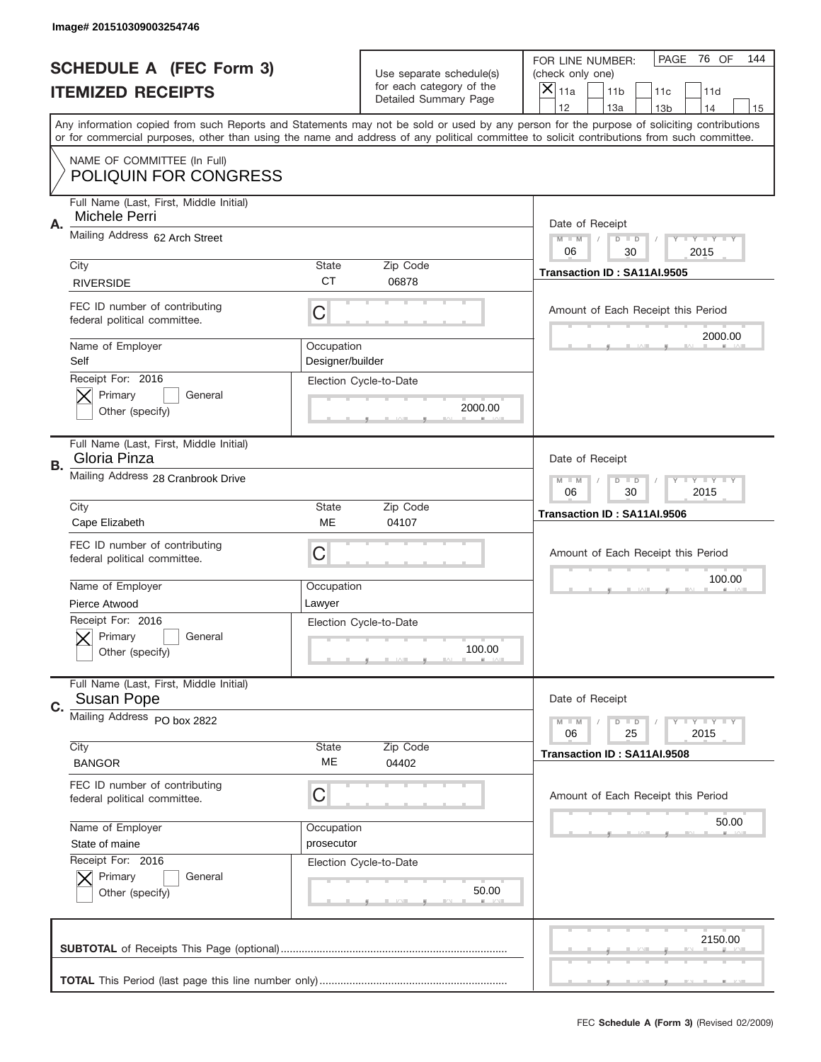|    | Image# 201510309003254746                                     |                                |                                                          |                                                                                                                                                                                                                                                                                                                                     |
|----|---------------------------------------------------------------|--------------------------------|----------------------------------------------------------|-------------------------------------------------------------------------------------------------------------------------------------------------------------------------------------------------------------------------------------------------------------------------------------------------------------------------------------|
|    | <b>SCHEDULE A (FEC Form 3)</b>                                |                                | Use separate schedule(s)                                 | PAGE<br>76 OF<br>144<br>FOR LINE NUMBER:<br>(check only one)                                                                                                                                                                                                                                                                        |
|    | <b>ITEMIZED RECEIPTS</b>                                      |                                | for each category of the<br><b>Detailed Summary Page</b> | ×<br>11a<br>11 <sub>b</sub><br>11c<br>11d                                                                                                                                                                                                                                                                                           |
|    |                                                               |                                |                                                          | 12<br>13a<br>14<br>13 <sub>b</sub><br>15<br>Any information copied from such Reports and Statements may not be sold or used by any person for the purpose of soliciting contributions<br>or for commercial purposes, other than using the name and address of any political committee to solicit contributions from such committee. |
|    | NAME OF COMMITTEE (In Full)<br>POLIQUIN FOR CONGRESS          |                                |                                                          |                                                                                                                                                                                                                                                                                                                                     |
| Α. | Full Name (Last, First, Middle Initial)<br>Michele Perri      |                                |                                                          | Date of Receipt                                                                                                                                                                                                                                                                                                                     |
|    | Mailing Address 62 Arch Street                                |                                |                                                          | $M - M$<br><b>LYLYLY</b><br>$D$ $D$<br>06<br>2015<br>30                                                                                                                                                                                                                                                                             |
|    | City<br><b>RIVERSIDE</b>                                      | State<br><b>CT</b>             | Zip Code<br>06878                                        | Transaction ID: SA11AI.9505                                                                                                                                                                                                                                                                                                         |
|    | FEC ID number of contributing<br>federal political committee. | C                              |                                                          | Amount of Each Receipt this Period<br>2000.00                                                                                                                                                                                                                                                                                       |
|    | Name of Employer<br>Self                                      | Occupation<br>Designer/builder |                                                          |                                                                                                                                                                                                                                                                                                                                     |
|    | Receipt For: 2016<br>Primary<br>General<br>Other (specify)    |                                | Election Cycle-to-Date<br>2000.00                        |                                                                                                                                                                                                                                                                                                                                     |
| В. | Full Name (Last, First, Middle Initial)<br>Gloria Pinza       |                                |                                                          | Date of Receipt                                                                                                                                                                                                                                                                                                                     |
|    | Mailing Address 28 Cranbrook Drive                            |                                |                                                          | $M - M$<br>$D$ $D$<br><b>LYLYLY</b><br>06<br>30<br>2015                                                                                                                                                                                                                                                                             |
|    | City<br>Cape Elizabeth                                        | State<br>ME                    | Zip Code<br>04107                                        | Transaction ID: SA11AI.9506                                                                                                                                                                                                                                                                                                         |
|    | FEC ID number of contributing<br>federal political committee. | C                              |                                                          | Amount of Each Receipt this Period                                                                                                                                                                                                                                                                                                  |
|    | Name of Employer<br>Pierce Atwood                             | Occupation<br>Lawyer           |                                                          | 100.00                                                                                                                                                                                                                                                                                                                              |
|    |                                                               |                                |                                                          |                                                                                                                                                                                                                                                                                                                                     |
|    | Receipt For: 2016<br>General<br>Primary<br>Other (specify)    |                                | Election Cycle-to-Date<br>100.00                         |                                                                                                                                                                                                                                                                                                                                     |
| C. | Full Name (Last, First, Middle Initial)<br><b>Susan Pope</b>  |                                |                                                          | Date of Receipt                                                                                                                                                                                                                                                                                                                     |
|    | Mailing Address PO box 2822                                   |                                |                                                          | <b>LYLYLY</b><br>$M - M$<br>$D$ $D$<br>06<br>2015<br>25                                                                                                                                                                                                                                                                             |
|    | City<br><b>BANGOR</b>                                         | State<br>МE                    | Zip Code<br>04402                                        | Transaction ID: SA11AI.9508                                                                                                                                                                                                                                                                                                         |
|    | FEC ID number of contributing<br>federal political committee. | C                              |                                                          | Amount of Each Receipt this Period                                                                                                                                                                                                                                                                                                  |
|    | Name of Employer                                              | Occupation                     |                                                          | 50.00                                                                                                                                                                                                                                                                                                                               |
|    | State of maine                                                | prosecutor                     |                                                          |                                                                                                                                                                                                                                                                                                                                     |
|    | Receipt For: 2016<br>Primary<br>General<br>Other (specify)    |                                | Election Cycle-to-Date<br>50.00                          |                                                                                                                                                                                                                                                                                                                                     |
|    |                                                               |                                |                                                          | 2150.00                                                                                                                                                                                                                                                                                                                             |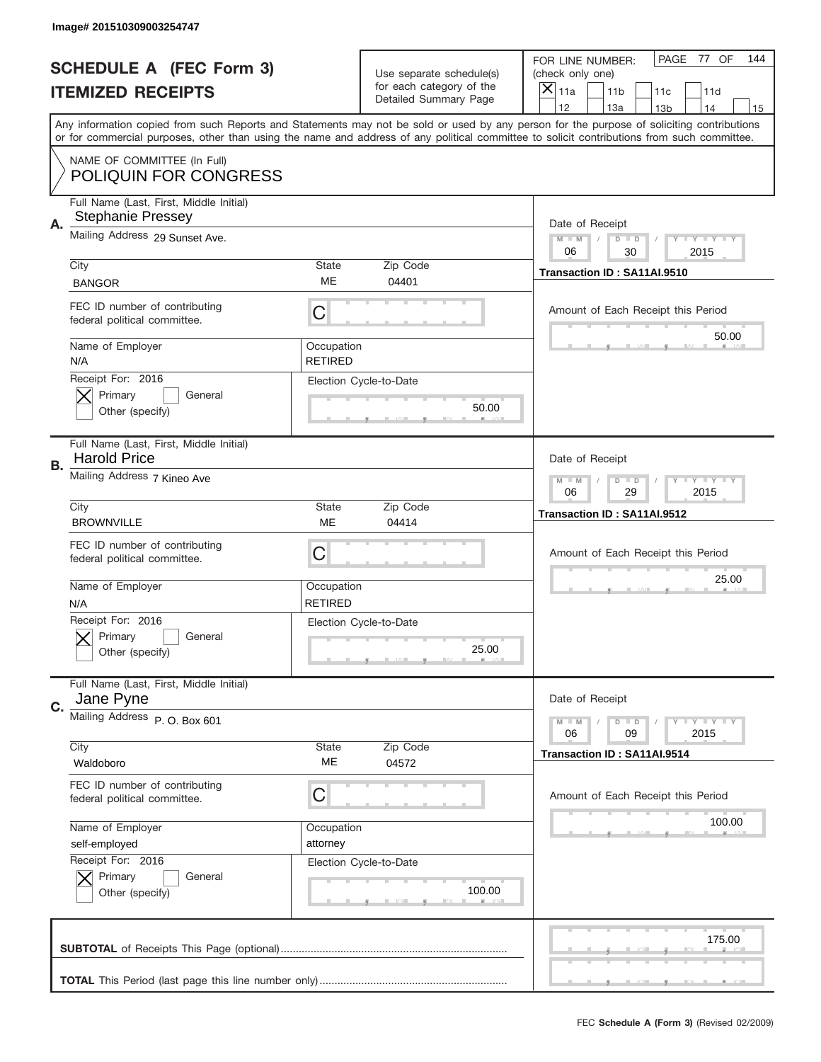|    | Image# 201510309003254747                                                                                                                                                                                                                                                               |                              |                                                   |                                      |                         |                 |                         |     |
|----|-----------------------------------------------------------------------------------------------------------------------------------------------------------------------------------------------------------------------------------------------------------------------------------------|------------------------------|---------------------------------------------------|--------------------------------------|-------------------------|-----------------|-------------------------|-----|
|    | <b>SCHEDULE A (FEC Form 3)</b>                                                                                                                                                                                                                                                          |                              | Use separate schedule(s)                          | FOR LINE NUMBER:<br>(check only one) |                         | PAGE            | 77 OF                   | 144 |
|    | <b>ITEMIZED RECEIPTS</b>                                                                                                                                                                                                                                                                |                              | for each category of the<br>Detailed Summary Page | $\overline{X} _{11a}$                | 11 <sub>b</sub>         | 11c             | 11d                     |     |
|    |                                                                                                                                                                                                                                                                                         |                              |                                                   | 12                                   | 13a                     | 13 <sub>b</sub> | 14                      | 15  |
|    | Any information copied from such Reports and Statements may not be sold or used by any person for the purpose of soliciting contributions<br>or for commercial purposes, other than using the name and address of any political committee to solicit contributions from such committee. |                              |                                                   |                                      |                         |                 |                         |     |
|    | NAME OF COMMITTEE (In Full)<br><b>POLIQUIN FOR CONGRESS</b>                                                                                                                                                                                                                             |                              |                                                   |                                      |                         |                 |                         |     |
| Α. | Full Name (Last, First, Middle Initial)<br><b>Stephanie Pressey</b>                                                                                                                                                                                                                     |                              |                                                   | Date of Receipt                      |                         |                 |                         |     |
|    | Mailing Address 29 Sunset Ave.                                                                                                                                                                                                                                                          |                              |                                                   | $M - M$<br>06                        | $D$ $D$<br>30           |                 | <b>LY LY LY</b><br>2015 |     |
|    | City                                                                                                                                                                                                                                                                                    | <b>State</b>                 | Zip Code                                          | Transaction ID: SA11AI.9510          |                         |                 |                         |     |
|    | <b>BANGOR</b>                                                                                                                                                                                                                                                                           | <b>ME</b>                    | 04401                                             |                                      |                         |                 |                         |     |
|    | FEC ID number of contributing<br>federal political committee.                                                                                                                                                                                                                           | С                            |                                                   | Amount of Each Receipt this Period   |                         |                 |                         |     |
|    | Name of Employer<br>N/A                                                                                                                                                                                                                                                                 | Occupation<br><b>RETIRED</b> |                                                   |                                      |                         |                 | 50.00                   |     |
|    | Receipt For: 2016<br>Primary<br>General<br>Other (specify)                                                                                                                                                                                                                              |                              | Election Cycle-to-Date<br>50.00                   |                                      |                         |                 |                         |     |
| В. | Full Name (Last, First, Middle Initial)<br><b>Harold Price</b>                                                                                                                                                                                                                          |                              |                                                   | Date of Receipt                      |                         |                 |                         |     |
|    | Mailing Address 7 Kineo Ave                                                                                                                                                                                                                                                             | $M - M$<br>06                | $D$ $D$<br>29                                     |                                      | <b>LY LY LY</b><br>2015 |                 |                         |     |
|    | City                                                                                                                                                                                                                                                                                    | <b>State</b>                 | Zip Code                                          | Transaction ID: SA11AI.9512          |                         |                 |                         |     |
|    | <b>BROWNVILLE</b>                                                                                                                                                                                                                                                                       | <b>ME</b>                    | 04414                                             |                                      |                         |                 |                         |     |
|    | FEC ID number of contributing<br>federal political committee.                                                                                                                                                                                                                           | С                            |                                                   | Amount of Each Receipt this Period   |                         |                 |                         |     |
|    | Name of Employer<br>N/A                                                                                                                                                                                                                                                                 | Occupation<br><b>RETIRED</b> |                                                   |                                      |                         |                 | 25.00                   |     |
|    | Receipt For: 2016<br>General<br>Primary<br>Other (specify)                                                                                                                                                                                                                              |                              | Election Cycle-to-Date<br>25.00                   |                                      |                         |                 |                         |     |
| C. | Full Name (Last, First, Middle Initial)<br>Jane Pyne                                                                                                                                                                                                                                    |                              |                                                   | Date of Receipt                      |                         |                 |                         |     |
|    | Mailing Address P.O. Box 601                                                                                                                                                                                                                                                            |                              |                                                   | $M - M$<br>06                        | $D$ $D$<br>09           |                 | <b>LY LY LY</b><br>2015 |     |
|    | City<br>Waldoboro                                                                                                                                                                                                                                                                       | State<br>МE                  | Zip Code<br>04572                                 | Transaction ID: SA11AI.9514          |                         |                 |                         |     |
|    | FEC ID number of contributing<br>federal political committee.                                                                                                                                                                                                                           | С                            |                                                   | Amount of Each Receipt this Period   |                         |                 |                         |     |
|    | Name of Employer                                                                                                                                                                                                                                                                        | Occupation                   |                                                   |                                      |                         |                 | 100.00                  |     |
|    | self-employed                                                                                                                                                                                                                                                                           | attorney                     |                                                   |                                      |                         |                 |                         |     |
|    | Receipt For: 2016<br>Primary<br>General<br>Other (specify)                                                                                                                                                                                                                              |                              | Election Cycle-to-Date<br>100.00                  |                                      |                         |                 |                         |     |
|    |                                                                                                                                                                                                                                                                                         |                              |                                                   |                                      |                         |                 | 175.00                  |     |
|    |                                                                                                                                                                                                                                                                                         |                              |                                                   |                                      |                         |                 |                         |     |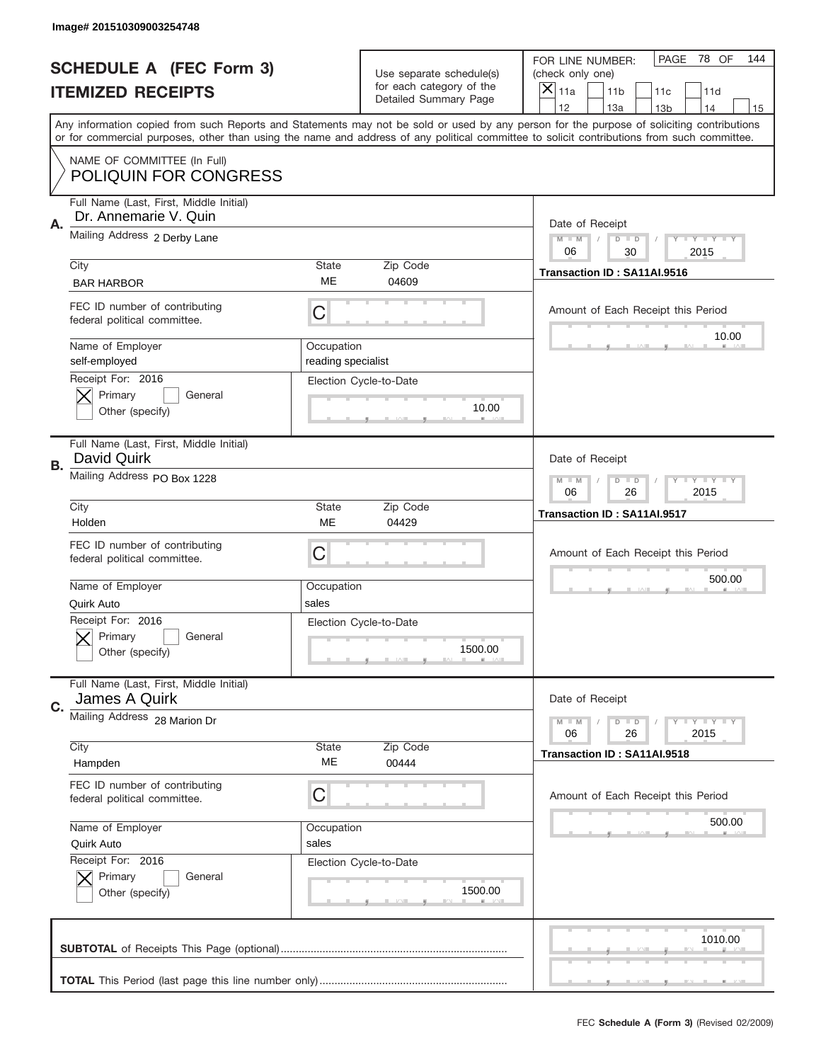|           | Image# 201510309003254748                                                |                                                         |                                                   |                                                                                                                                                                                                                                                                                                                                     |
|-----------|--------------------------------------------------------------------------|---------------------------------------------------------|---------------------------------------------------|-------------------------------------------------------------------------------------------------------------------------------------------------------------------------------------------------------------------------------------------------------------------------------------------------------------------------------------|
|           | <b>SCHEDULE A (FEC Form 3)</b>                                           |                                                         | Use separate schedule(s)                          | PAGE<br>78 OF<br>144<br>FOR LINE NUMBER:<br>(check only one)                                                                                                                                                                                                                                                                        |
|           | <b>ITEMIZED RECEIPTS</b>                                                 |                                                         | for each category of the<br>Detailed Summary Page | ×<br>11a<br>11 <sub>b</sub><br>11c<br>11d                                                                                                                                                                                                                                                                                           |
|           |                                                                          |                                                         |                                                   | 12<br>13a<br>14<br>13 <sub>b</sub><br>15<br>Any information copied from such Reports and Statements may not be sold or used by any person for the purpose of soliciting contributions<br>or for commercial purposes, other than using the name and address of any political committee to solicit contributions from such committee. |
|           | NAME OF COMMITTEE (In Full)<br><b>POLIQUIN FOR CONGRESS</b>              |                                                         |                                                   |                                                                                                                                                                                                                                                                                                                                     |
| Α.        | Full Name (Last, First, Middle Initial)<br>Dr. Annemarie V. Quin         |                                                         |                                                   | Date of Receipt                                                                                                                                                                                                                                                                                                                     |
|           | Mailing Address 2 Derby Lane                                             |                                                         |                                                   | $M - M$<br><b>LYLYLY</b><br>$D$ $D$<br>06<br>30<br>2015                                                                                                                                                                                                                                                                             |
|           | City<br><b>BAR HARBOR</b>                                                | State<br>ME                                             | Zip Code<br>04609                                 | Transaction ID: SA11AI.9516                                                                                                                                                                                                                                                                                                         |
|           | FEC ID number of contributing<br>federal political committee.            | C                                                       |                                                   | Amount of Each Receipt this Period<br>10.00                                                                                                                                                                                                                                                                                         |
|           | Name of Employer<br>self-employed<br>Receipt For: 2016                   | Occupation<br>reading specialist                        |                                                   |                                                                                                                                                                                                                                                                                                                                     |
|           | Primary<br>General<br>Other (specify)                                    |                                                         | Election Cycle-to-Date<br>10.00                   |                                                                                                                                                                                                                                                                                                                                     |
| <b>B.</b> | Full Name (Last, First, Middle Initial)<br>David Quirk                   |                                                         |                                                   | Date of Receipt                                                                                                                                                                                                                                                                                                                     |
|           | Mailing Address PO Box 1228                                              | $M - M$<br>$D$ $D$<br><b>LYLYLY</b><br>06<br>26<br>2015 |                                                   |                                                                                                                                                                                                                                                                                                                                     |
|           | City<br>Holden                                                           | <b>State</b><br>ME                                      | Zip Code<br>04429                                 | Transaction ID: SA11AI.9517                                                                                                                                                                                                                                                                                                         |
|           | FEC ID number of contributing<br>federal political committee.            | C                                                       |                                                   | Amount of Each Receipt this Period                                                                                                                                                                                                                                                                                                  |
|           | Name of Employer                                                         |                                                         |                                                   | 500.00                                                                                                                                                                                                                                                                                                                              |
|           |                                                                          | Occupation                                              |                                                   |                                                                                                                                                                                                                                                                                                                                     |
|           | Quirk Auto<br>Receipt For: 2016<br>General<br>Primary<br>Other (specify) | sales                                                   | Election Cycle-to-Date<br>1500.00                 |                                                                                                                                                                                                                                                                                                                                     |
| C.        | Full Name (Last, First, Middle Initial)<br>James A Quirk                 |                                                         |                                                   | Date of Receipt                                                                                                                                                                                                                                                                                                                     |
|           | Mailing Address 28 Marion Dr                                             |                                                         |                                                   | <b>LY LY LY</b><br>$M - M$<br>$D$ $D$<br>06<br>2015<br>26                                                                                                                                                                                                                                                                           |
|           | City<br>Hampden                                                          | State<br>ME                                             | Zip Code<br>00444                                 | Transaction ID: SA11AI.9518                                                                                                                                                                                                                                                                                                         |
|           | FEC ID number of contributing<br>federal political committee.            | С                                                       |                                                   | Amount of Each Receipt this Period                                                                                                                                                                                                                                                                                                  |
|           | Name of Employer<br>Quirk Auto                                           | Occupation<br>sales                                     |                                                   | 500.00                                                                                                                                                                                                                                                                                                                              |
|           | Receipt For: 2016<br>Primary<br>General<br>Other (specify)               |                                                         | Election Cycle-to-Date<br>1500.00                 |                                                                                                                                                                                                                                                                                                                                     |
|           |                                                                          |                                                         |                                                   | 1010.00                                                                                                                                                                                                                                                                                                                             |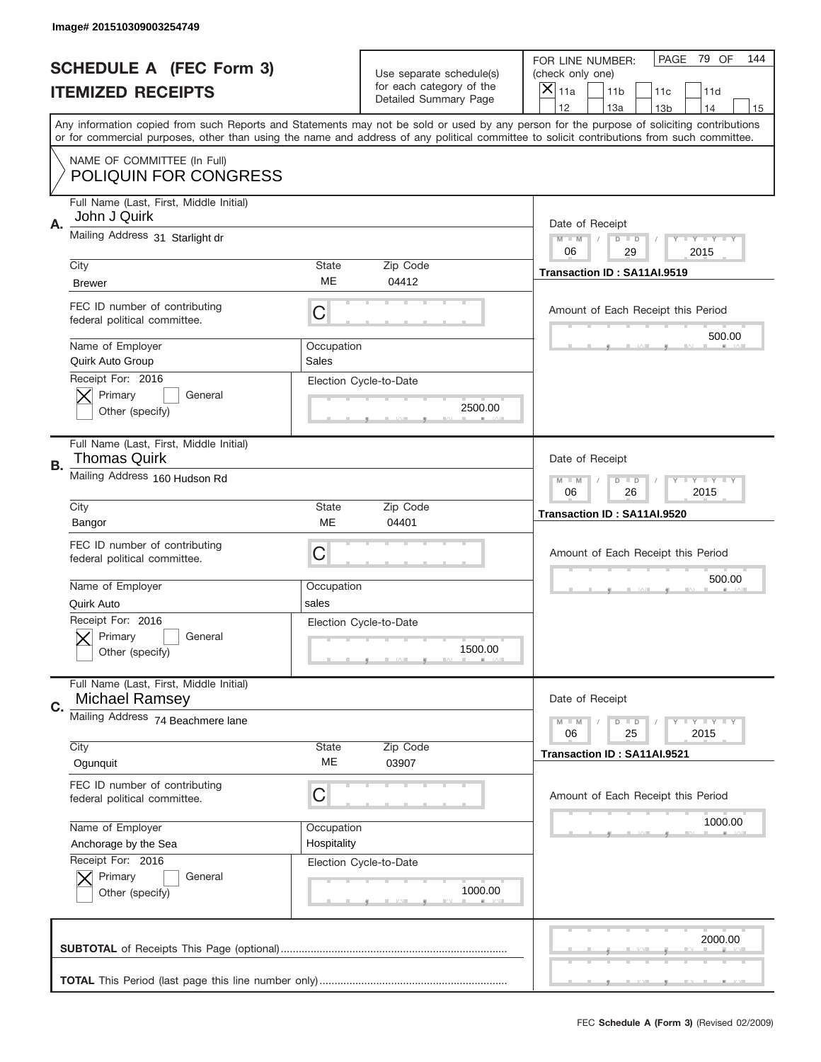|           | Image# 201510309003254749                                        |                           |                                                         |                                                                                                                                                                                                                                                                                                                                     |  |
|-----------|------------------------------------------------------------------|---------------------------|---------------------------------------------------------|-------------------------------------------------------------------------------------------------------------------------------------------------------------------------------------------------------------------------------------------------------------------------------------------------------------------------------------|--|
|           | <b>SCHEDULE A (FEC Form 3)</b>                                   |                           | Use separate schedule(s)                                | PAGE<br>79 OF<br>144<br>FOR LINE NUMBER:<br>(check only one)                                                                                                                                                                                                                                                                        |  |
|           | <b>ITEMIZED RECEIPTS</b>                                         |                           | for each category of the<br>Detailed Summary Page       | ×<br>11a<br>11 <sub>b</sub><br>11c<br>11d                                                                                                                                                                                                                                                                                           |  |
|           |                                                                  |                           |                                                         | 12<br>13a<br>14<br>13 <sub>b</sub><br>15<br>Any information copied from such Reports and Statements may not be sold or used by any person for the purpose of soliciting contributions<br>or for commercial purposes, other than using the name and address of any political committee to solicit contributions from such committee. |  |
|           | NAME OF COMMITTEE (In Full)<br><b>POLIQUIN FOR CONGRESS</b>      |                           |                                                         |                                                                                                                                                                                                                                                                                                                                     |  |
| Α.        | Full Name (Last, First, Middle Initial)<br>John J Quirk          |                           |                                                         | Date of Receipt                                                                                                                                                                                                                                                                                                                     |  |
|           | Mailing Address 31 Starlight dr                                  |                           |                                                         | $M - M$<br><b>LYLYLY</b><br>$D$ $D$<br>06<br>29<br>2015                                                                                                                                                                                                                                                                             |  |
|           | City<br><b>Brewer</b>                                            | State<br>ME               | Zip Code<br>04412                                       | Transaction ID: SA11AI.9519                                                                                                                                                                                                                                                                                                         |  |
|           | FEC ID number of contributing<br>federal political committee.    | C                         |                                                         | Amount of Each Receipt this Period                                                                                                                                                                                                                                                                                                  |  |
|           | Name of Employer<br>Quirk Auto Group                             | Occupation<br>Sales       |                                                         | 500.00                                                                                                                                                                                                                                                                                                                              |  |
|           | Receipt For: 2016<br>Primary<br>General<br>Other (specify)       |                           | Election Cycle-to-Date<br>2500.00                       |                                                                                                                                                                                                                                                                                                                                     |  |
| <b>B.</b> | Full Name (Last, First, Middle Initial)<br>Thomas Quirk          |                           |                                                         | Date of Receipt                                                                                                                                                                                                                                                                                                                     |  |
|           | Mailing Address 160 Hudson Rd                                    |                           | $M - M$<br>$D$ $D$<br><b>LYLYLY</b><br>06<br>26<br>2015 |                                                                                                                                                                                                                                                                                                                                     |  |
|           | City<br>Bangor                                                   | <b>State</b><br>ME        | Zip Code<br>04401                                       | Transaction ID: SA11AI.9520                                                                                                                                                                                                                                                                                                         |  |
|           | FEC ID number of contributing<br>federal political committee.    | C                         |                                                         | Amount of Each Receipt this Period                                                                                                                                                                                                                                                                                                  |  |
|           | Name of Employer<br>Quirk Auto                                   | Occupation<br>sales       |                                                         | 500.00                                                                                                                                                                                                                                                                                                                              |  |
|           | Receipt For: 2016<br>General<br>Primary<br>Other (specify)       |                           | Election Cycle-to-Date<br>1500.00                       |                                                                                                                                                                                                                                                                                                                                     |  |
|           |                                                                  |                           |                                                         |                                                                                                                                                                                                                                                                                                                                     |  |
| C.        | Full Name (Last, First, Middle Initial)<br><b>Michael Ramsey</b> |                           |                                                         | Date of Receipt                                                                                                                                                                                                                                                                                                                     |  |
|           | Mailing Address 74 Beachmere lane                                |                           |                                                         | <b>LYLYLY</b><br>$M - M$<br>$D$ $D$<br>06<br>25<br>2015                                                                                                                                                                                                                                                                             |  |
|           | City<br>Ogunguit                                                 | State<br>ME               | Zip Code<br>03907                                       | Transaction ID: SA11AI.9521                                                                                                                                                                                                                                                                                                         |  |
|           | FEC ID number of contributing<br>federal political committee.    | C                         |                                                         | Amount of Each Receipt this Period                                                                                                                                                                                                                                                                                                  |  |
|           | Name of Employer<br>Anchorage by the Sea                         | Occupation<br>Hospitality |                                                         | 1000.00                                                                                                                                                                                                                                                                                                                             |  |
|           | Receipt For: 2016<br>Primary<br>General<br>Other (specify)       |                           | Election Cycle-to-Date<br>1000.00                       |                                                                                                                                                                                                                                                                                                                                     |  |
|           |                                                                  |                           |                                                         | 2000.00                                                                                                                                                                                                                                                                                                                             |  |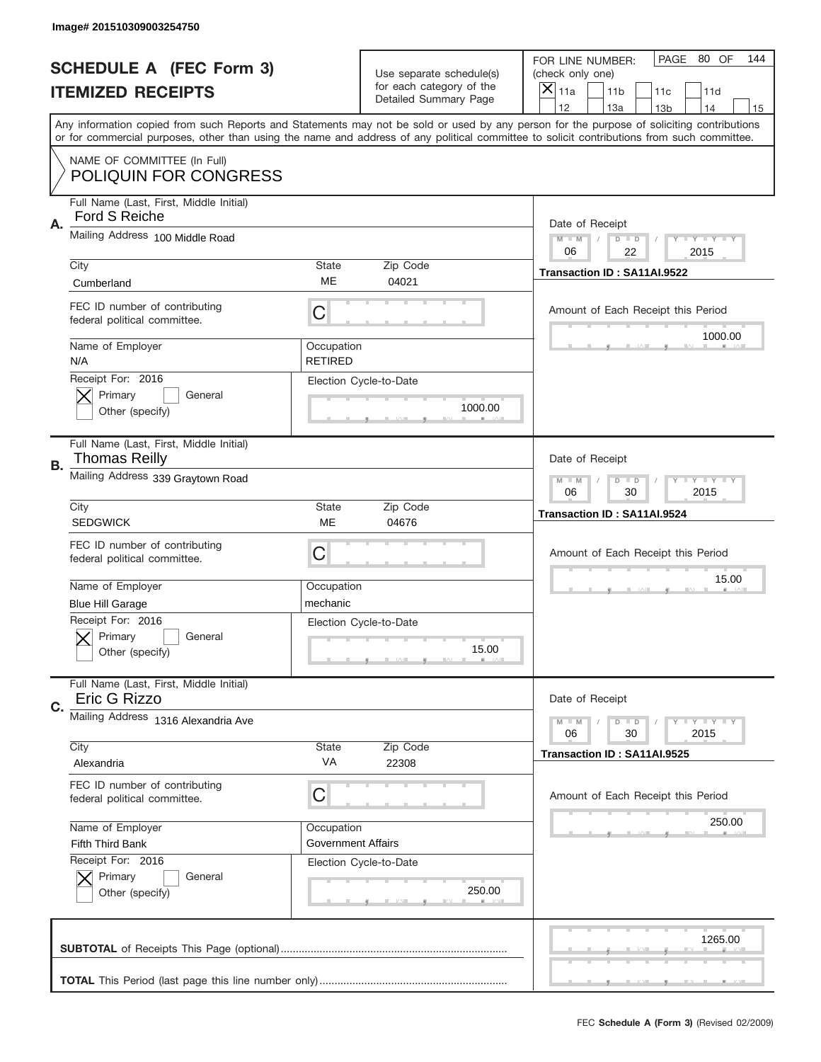|           | Image# 201510309003254750                                                             |                                                         |                                                   |                                                                                                                                                                                                                                                                                                                                     |
|-----------|---------------------------------------------------------------------------------------|---------------------------------------------------------|---------------------------------------------------|-------------------------------------------------------------------------------------------------------------------------------------------------------------------------------------------------------------------------------------------------------------------------------------------------------------------------------------|
|           | <b>SCHEDULE A (FEC Form 3)</b>                                                        |                                                         | Use separate schedule(s)                          | PAGE 80 OF<br>144<br>FOR LINE NUMBER:<br>(check only one)                                                                                                                                                                                                                                                                           |
|           | <b>ITEMIZED RECEIPTS</b>                                                              |                                                         | for each category of the<br>Detailed Summary Page | ×<br>11a<br>11 <sub>b</sub><br>11c<br>11d                                                                                                                                                                                                                                                                                           |
|           |                                                                                       |                                                         |                                                   | 12<br>13a<br>14<br>13 <sub>b</sub><br>15<br>Any information copied from such Reports and Statements may not be sold or used by any person for the purpose of soliciting contributions<br>or for commercial purposes, other than using the name and address of any political committee to solicit contributions from such committee. |
|           | NAME OF COMMITTEE (In Full)<br><b>POLIQUIN FOR CONGRESS</b>                           |                                                         |                                                   |                                                                                                                                                                                                                                                                                                                                     |
| Α.        | Full Name (Last, First, Middle Initial)<br>Ford S Reiche                              |                                                         |                                                   | Date of Receipt                                                                                                                                                                                                                                                                                                                     |
|           | Mailing Address 100 Middle Road                                                       |                                                         |                                                   | $M - M$<br><b>LYLYLY</b><br>$D$ $D$<br>06<br>22<br>2015                                                                                                                                                                                                                                                                             |
|           | City<br>Cumberland                                                                    | State<br>ME                                             | Zip Code<br>04021                                 | Transaction ID: SA11AI.9522                                                                                                                                                                                                                                                                                                         |
|           | FEC ID number of contributing<br>federal political committee.                         | C                                                       |                                                   | Amount of Each Receipt this Period<br>1000.00                                                                                                                                                                                                                                                                                       |
|           | Name of Employer<br>N/A                                                               | Occupation<br><b>RETIRED</b>                            |                                                   |                                                                                                                                                                                                                                                                                                                                     |
|           | Receipt For: 2016<br>Primary<br>General<br>Other (specify)                            |                                                         | Election Cycle-to-Date<br>1000.00                 |                                                                                                                                                                                                                                                                                                                                     |
| <b>B.</b> | Full Name (Last, First, Middle Initial)<br>Thomas Reilly                              |                                                         |                                                   | Date of Receipt                                                                                                                                                                                                                                                                                                                     |
|           | Mailing Address 339 Graytown Road                                                     | $M - M$<br>$D$ $D$<br><b>LYLYLY</b><br>06<br>30<br>2015 |                                                   |                                                                                                                                                                                                                                                                                                                                     |
|           | City<br><b>SEDGWICK</b>                                                               | <b>State</b><br>ME                                      | Zip Code<br>04676                                 | Transaction ID: SA11AI.9524                                                                                                                                                                                                                                                                                                         |
|           | FEC ID number of contributing                                                         | C                                                       |                                                   | Amount of Each Receipt this Period                                                                                                                                                                                                                                                                                                  |
|           | federal political committee.                                                          |                                                         |                                                   |                                                                                                                                                                                                                                                                                                                                     |
|           | Name of Employer                                                                      | Occupation                                              |                                                   | 15.00                                                                                                                                                                                                                                                                                                                               |
|           | <b>Blue Hill Garage</b><br>Receipt For: 2016<br>General<br>Primary<br>Other (specify) | mechanic                                                | Election Cycle-to-Date<br>15.00                   |                                                                                                                                                                                                                                                                                                                                     |
|           | Full Name (Last, First, Middle Initial)<br>Eric G Rizzo                               |                                                         |                                                   | Date of Receipt                                                                                                                                                                                                                                                                                                                     |
| C.        | Mailing Address 1316 Alexandria Ave                                                   |                                                         |                                                   | <b>LY LY LY</b><br>$M - M$<br>$D$ $D$<br>06<br>2015<br>30                                                                                                                                                                                                                                                                           |
|           | City<br>Alexandria                                                                    | State<br>VA                                             | Zip Code<br>22308                                 | Transaction ID: SA11AI.9525                                                                                                                                                                                                                                                                                                         |
|           | FEC ID number of contributing<br>federal political committee.                         | С                                                       |                                                   | Amount of Each Receipt this Period                                                                                                                                                                                                                                                                                                  |
|           | Name of Employer<br>Fifth Third Bank                                                  | Occupation<br><b>Government Affairs</b>                 |                                                   | 250.00                                                                                                                                                                                                                                                                                                                              |
|           | Receipt For: 2016<br>Primary<br>General<br>Other (specify)                            |                                                         | Election Cycle-to-Date<br>250.00                  |                                                                                                                                                                                                                                                                                                                                     |
|           |                                                                                       |                                                         |                                                   | 1265.00                                                                                                                                                                                                                                                                                                                             |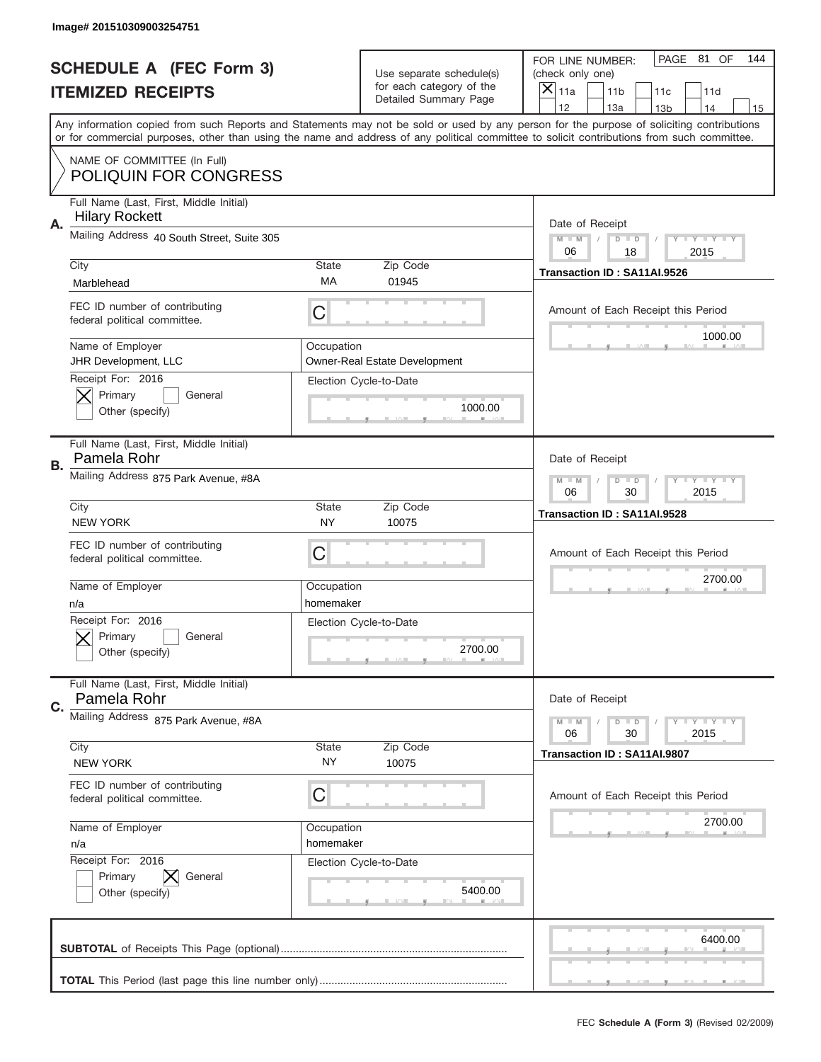|           | Image# 201510309003254751                                        |                                                            |                                                   |                                                                                                                                                                                                                                                                                                                                     |
|-----------|------------------------------------------------------------------|------------------------------------------------------------|---------------------------------------------------|-------------------------------------------------------------------------------------------------------------------------------------------------------------------------------------------------------------------------------------------------------------------------------------------------------------------------------------|
|           | <b>SCHEDULE A (FEC Form 3)</b>                                   |                                                            | Use separate schedule(s)                          | PAGE 81 OF<br>144<br>FOR LINE NUMBER:<br>(check only one)                                                                                                                                                                                                                                                                           |
|           | <b>ITEMIZED RECEIPTS</b>                                         |                                                            | for each category of the<br>Detailed Summary Page | $\boldsymbol{\times}$<br>11a<br>11 <sub>b</sub><br>11c<br>11d                                                                                                                                                                                                                                                                       |
|           |                                                                  |                                                            |                                                   | 12<br>13a<br>14<br>13 <sub>b</sub><br>15<br>Any information copied from such Reports and Statements may not be sold or used by any person for the purpose of soliciting contributions<br>or for commercial purposes, other than using the name and address of any political committee to solicit contributions from such committee. |
|           | NAME OF COMMITTEE (In Full)<br><b>POLIQUIN FOR CONGRESS</b>      |                                                            |                                                   |                                                                                                                                                                                                                                                                                                                                     |
| Α.        | Full Name (Last, First, Middle Initial)<br><b>Hilary Rockett</b> |                                                            |                                                   | Date of Receipt                                                                                                                                                                                                                                                                                                                     |
|           | Mailing Address 40 South Street, Suite 305                       |                                                            |                                                   | $M$ $M$<br>Y FY FY FY<br>$D$ $D$<br>06<br>18<br>2015                                                                                                                                                                                                                                                                                |
|           | City<br>Marblehead                                               | <b>State</b><br>МA                                         | Zip Code<br>01945                                 | Transaction ID: SA11AI.9526                                                                                                                                                                                                                                                                                                         |
|           | FEC ID number of contributing<br>federal political committee.    | C                                                          |                                                   | Amount of Each Receipt this Period<br>1000.00                                                                                                                                                                                                                                                                                       |
|           | Name of Employer<br>JHR Development, LLC<br>Receipt For: 2016    | Occupation                                                 | <b>Owner-Real Estate Development</b>              |                                                                                                                                                                                                                                                                                                                                     |
|           | Primary<br>General<br>Other (specify)                            |                                                            | Election Cycle-to-Date<br>1000.00                 |                                                                                                                                                                                                                                                                                                                                     |
| <b>B.</b> | Full Name (Last, First, Middle Initial)<br>Pamela Rohr           |                                                            |                                                   | Date of Receipt                                                                                                                                                                                                                                                                                                                     |
|           | Mailing Address 875 Park Avenue, #8A                             | $M - M$<br>$D$ $D$<br><b>THEY THEY</b><br>06<br>30<br>2015 |                                                   |                                                                                                                                                                                                                                                                                                                                     |
|           | City<br><b>NEW YORK</b>                                          | <b>State</b><br><b>NY</b>                                  | Zip Code<br>10075                                 | Transaction ID: SA11AI.9528                                                                                                                                                                                                                                                                                                         |
|           | FEC ID number of contributing<br>federal political committee.    | C                                                          |                                                   | Amount of Each Receipt this Period                                                                                                                                                                                                                                                                                                  |
|           | Name of Employer<br>n/a                                          | Occupation<br>homemaker                                    |                                                   | 2700.00                                                                                                                                                                                                                                                                                                                             |
|           | Receipt For: 2016<br>General<br>Primary<br>Other (specify)       |                                                            | Election Cycle-to-Date<br>2700.00                 |                                                                                                                                                                                                                                                                                                                                     |
| C.        | Full Name (Last, First, Middle Initial)<br>Pamela Rohr           |                                                            |                                                   | Date of Receipt                                                                                                                                                                                                                                                                                                                     |
|           | Mailing Address 875 Park Avenue, #8A                             |                                                            |                                                   | <b>LYLYLY</b><br>$M - M$<br>$D$ $D$<br>06<br>30<br>2015                                                                                                                                                                                                                                                                             |
|           | City<br><b>NEW YORK</b>                                          | <b>State</b><br>ΝY                                         | Zip Code<br>10075                                 | Transaction ID: SA11AI.9807                                                                                                                                                                                                                                                                                                         |
|           | FEC ID number of contributing<br>federal political committee.    | C                                                          |                                                   | Amount of Each Receipt this Period                                                                                                                                                                                                                                                                                                  |
|           | Name of Employer<br>n/a<br>Receipt For: 2016                     | Occupation<br>homemaker                                    |                                                   | 2700.00                                                                                                                                                                                                                                                                                                                             |
|           | Primary<br>General<br>Other (specify)                            |                                                            | Election Cycle-to-Date<br>5400.00                 |                                                                                                                                                                                                                                                                                                                                     |
|           |                                                                  |                                                            |                                                   | 6400.00                                                                                                                                                                                                                                                                                                                             |
|           |                                                                  |                                                            |                                                   |                                                                                                                                                                                                                                                                                                                                     |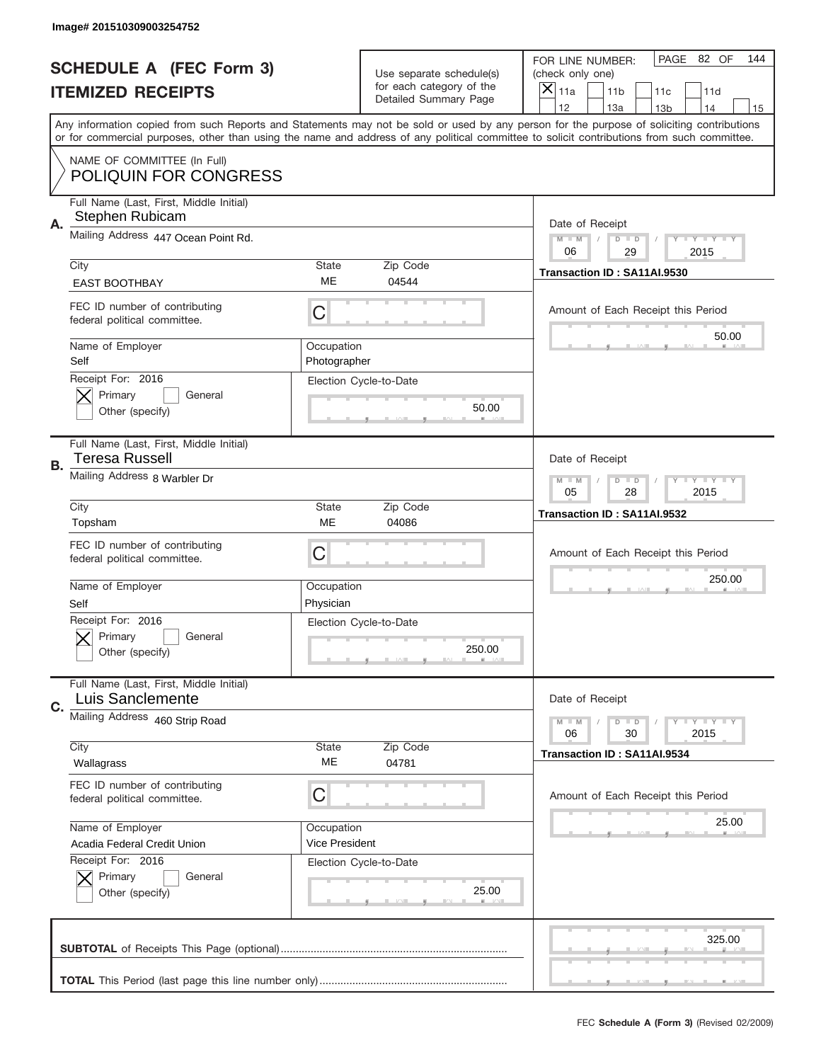|    | Image# 201510309003254752                                     |                              |                                                   |                                                                                                                                                                                                                                                                                                                                     |
|----|---------------------------------------------------------------|------------------------------|---------------------------------------------------|-------------------------------------------------------------------------------------------------------------------------------------------------------------------------------------------------------------------------------------------------------------------------------------------------------------------------------------|
|    | <b>SCHEDULE A (FEC Form 3)</b>                                |                              | Use separate schedule(s)                          | PAGE 82 OF<br>144<br>FOR LINE NUMBER:<br>(check only one)                                                                                                                                                                                                                                                                           |
|    | <b>ITEMIZED RECEIPTS</b>                                      |                              | for each category of the<br>Detailed Summary Page | ×<br>11a<br>11 <sub>b</sub><br>11c<br>11d                                                                                                                                                                                                                                                                                           |
|    |                                                               |                              |                                                   | 12<br>13a<br>14<br>13 <sub>b</sub><br>15<br>Any information copied from such Reports and Statements may not be sold or used by any person for the purpose of soliciting contributions<br>or for commercial purposes, other than using the name and address of any political committee to solicit contributions from such committee. |
|    | NAME OF COMMITTEE (In Full)<br><b>POLIQUIN FOR CONGRESS</b>   |                              |                                                   |                                                                                                                                                                                                                                                                                                                                     |
| Α. | Full Name (Last, First, Middle Initial)<br>Stephen Rubicam    |                              |                                                   | Date of Receipt                                                                                                                                                                                                                                                                                                                     |
|    | Mailing Address 447 Ocean Point Rd.                           |                              |                                                   | $M - M$<br><b>LYLYLY</b><br>$D$ $D$<br>06<br>29<br>2015                                                                                                                                                                                                                                                                             |
|    | City<br><b>EAST BOOTHBAY</b>                                  | State<br>ME                  | Zip Code<br>04544                                 | Transaction ID: SA11AI.9530                                                                                                                                                                                                                                                                                                         |
|    | FEC ID number of contributing<br>federal political committee. | C                            |                                                   | Amount of Each Receipt this Period<br>50.00                                                                                                                                                                                                                                                                                         |
|    | Name of Employer<br>Self<br>Receipt For: 2016                 | Occupation<br>Photographer   |                                                   |                                                                                                                                                                                                                                                                                                                                     |
|    | Primary<br>General<br>Other (specify)                         |                              | Election Cycle-to-Date<br>50.00                   |                                                                                                                                                                                                                                                                                                                                     |
| В. | Full Name (Last, First, Middle Initial)<br>Teresa Russell     |                              |                                                   | Date of Receipt                                                                                                                                                                                                                                                                                                                     |
|    | Mailing Address 8 Warbler Dr                                  |                              |                                                   | $M - M$<br>$D$ $D$<br><b>LYLYLY</b><br>05<br>28<br>2015                                                                                                                                                                                                                                                                             |
|    | City<br>Topsham                                               | <b>State</b><br>ME           | Zip Code<br>04086                                 | Transaction ID: SA11AI.9532                                                                                                                                                                                                                                                                                                         |
|    | FEC ID number of contributing<br>federal political committee. | C                            |                                                   | Amount of Each Receipt this Period                                                                                                                                                                                                                                                                                                  |
|    |                                                               |                              |                                                   | 250.00                                                                                                                                                                                                                                                                                                                              |
|    | Name of Employer<br>Self                                      | Occupation<br>Physician      |                                                   |                                                                                                                                                                                                                                                                                                                                     |
|    | Receipt For: 2016<br>General<br>Primary<br>Other (specify)    |                              | Election Cycle-to-Date<br>250.00                  |                                                                                                                                                                                                                                                                                                                                     |
| C. | Full Name (Last, First, Middle Initial)<br>Luis Sanclemente   |                              |                                                   | Date of Receipt                                                                                                                                                                                                                                                                                                                     |
|    | Mailing Address 460 Strip Road                                |                              |                                                   | <b>LEY LEY LEY</b><br>$M - M$<br>$D$ $D$<br>06<br>2015<br>30                                                                                                                                                                                                                                                                        |
|    | City<br>Wallagrass                                            | State<br>ME                  | Zip Code<br>04781                                 | Transaction ID: SA11AI.9534                                                                                                                                                                                                                                                                                                         |
|    | FEC ID number of contributing<br>federal political committee. | С                            |                                                   | Amount of Each Receipt this Period                                                                                                                                                                                                                                                                                                  |
|    | Name of Employer<br>Acadia Federal Credit Union               | Occupation<br>Vice President |                                                   | 25.00                                                                                                                                                                                                                                                                                                                               |
|    | Receipt For: 2016<br>Primary<br>General<br>Other (specify)    |                              | Election Cycle-to-Date<br>25.00                   |                                                                                                                                                                                                                                                                                                                                     |
|    |                                                               |                              |                                                   | 325.00                                                                                                                                                                                                                                                                                                                              |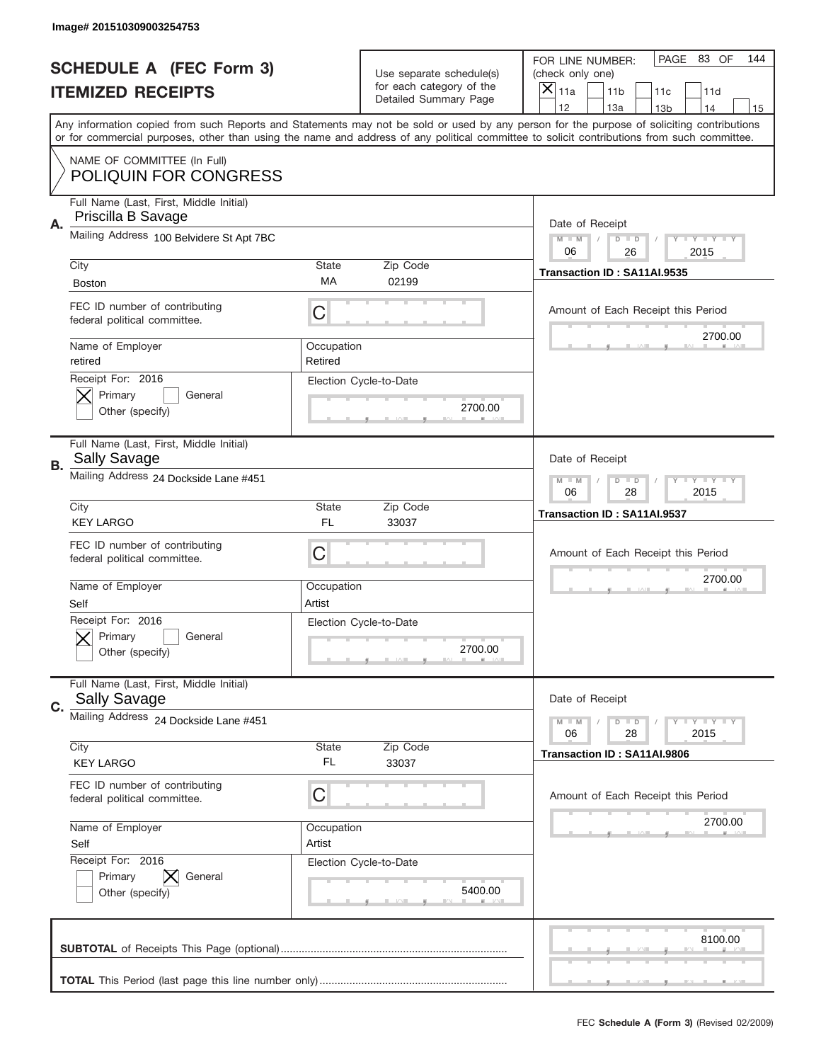|           | Image# 201510309003254753                                                      |                                                         |                                                   |                                                                                                                                                                                                                                                                                                                                     |
|-----------|--------------------------------------------------------------------------------|---------------------------------------------------------|---------------------------------------------------|-------------------------------------------------------------------------------------------------------------------------------------------------------------------------------------------------------------------------------------------------------------------------------------------------------------------------------------|
|           | <b>SCHEDULE A (FEC Form 3)</b>                                                 |                                                         | Use separate schedule(s)                          | PAGE 83 OF<br>144<br>FOR LINE NUMBER:<br>(check only one)                                                                                                                                                                                                                                                                           |
|           | <b>ITEMIZED RECEIPTS</b>                                                       |                                                         | for each category of the<br>Detailed Summary Page | ×<br>11a<br>11 <sub>b</sub><br>11c<br>11d                                                                                                                                                                                                                                                                                           |
|           |                                                                                |                                                         |                                                   | 12<br>13a<br>14<br>13 <sub>b</sub><br>15<br>Any information copied from such Reports and Statements may not be sold or used by any person for the purpose of soliciting contributions<br>or for commercial purposes, other than using the name and address of any political committee to solicit contributions from such committee. |
|           | NAME OF COMMITTEE (In Full)<br><b>POLIQUIN FOR CONGRESS</b>                    |                                                         |                                                   |                                                                                                                                                                                                                                                                                                                                     |
| Α.        | Full Name (Last, First, Middle Initial)<br>Priscilla B Savage                  |                                                         |                                                   | Date of Receipt                                                                                                                                                                                                                                                                                                                     |
|           | Mailing Address 100 Belvidere St Apt 7BC                                       |                                                         |                                                   | $M - M$<br><b>LYLYLY</b><br>$D$ $D$<br>06<br>26<br>2015                                                                                                                                                                                                                                                                             |
|           | City                                                                           | State<br>МA                                             | Zip Code<br>02199                                 | Transaction ID: SA11AI.9535                                                                                                                                                                                                                                                                                                         |
|           | <b>Boston</b><br>FEC ID number of contributing<br>federal political committee. | C                                                       |                                                   | Amount of Each Receipt this Period                                                                                                                                                                                                                                                                                                  |
|           | Name of Employer<br>retired                                                    | Occupation<br>Retired                                   |                                                   | 2700.00                                                                                                                                                                                                                                                                                                                             |
|           | Receipt For: 2016<br>Primary<br>General<br>Other (specify)                     |                                                         | Election Cycle-to-Date<br>2700.00                 |                                                                                                                                                                                                                                                                                                                                     |
| <b>B.</b> | Full Name (Last, First, Middle Initial)<br><b>Sally Savage</b>                 |                                                         |                                                   | Date of Receipt                                                                                                                                                                                                                                                                                                                     |
|           | Mailing Address 24 Dockside Lane #451                                          | $M - M$<br>$D$ $D$<br><b>LYLYLY</b><br>06<br>28<br>2015 |                                                   |                                                                                                                                                                                                                                                                                                                                     |
|           | City<br><b>KEY LARGO</b>                                                       | State<br>FL                                             | Zip Code<br>33037                                 | Transaction ID: SA11AI.9537                                                                                                                                                                                                                                                                                                         |
|           | FEC ID number of contributing<br>federal political committee.                  | C                                                       |                                                   | Amount of Each Receipt this Period                                                                                                                                                                                                                                                                                                  |
|           |                                                                                |                                                         |                                                   | 2700.00                                                                                                                                                                                                                                                                                                                             |
|           | Name of Employer<br>Self                                                       | Occupation<br>Artist                                    |                                                   |                                                                                                                                                                                                                                                                                                                                     |
|           | Receipt For: 2016<br>General<br>Primary<br>Other (specify)                     |                                                         | Election Cycle-to-Date<br>2700.00                 |                                                                                                                                                                                                                                                                                                                                     |
| C.        | Full Name (Last, First, Middle Initial)<br><b>Sally Savage</b>                 |                                                         |                                                   | Date of Receipt                                                                                                                                                                                                                                                                                                                     |
|           | Mailing Address 24 Dockside Lane #451                                          |                                                         |                                                   | <b>LY LY LY</b><br>$M - M$<br>$D$ $D$<br>06<br>2015<br>28                                                                                                                                                                                                                                                                           |
|           | City<br><b>KEY LARGO</b>                                                       | State<br>FL                                             | Zip Code<br>33037                                 | Transaction ID: SA11AI.9806                                                                                                                                                                                                                                                                                                         |
|           | FEC ID number of contributing<br>federal political committee.                  | С                                                       |                                                   | Amount of Each Receipt this Period                                                                                                                                                                                                                                                                                                  |
|           | Name of Employer<br>Self                                                       | Occupation<br>Artist                                    |                                                   | 2700.00                                                                                                                                                                                                                                                                                                                             |
|           | Receipt For: 2016<br>Primary<br>General<br>Other (specify)                     |                                                         | Election Cycle-to-Date<br>5400.00                 |                                                                                                                                                                                                                                                                                                                                     |
|           |                                                                                |                                                         |                                                   | 8100.00                                                                                                                                                                                                                                                                                                                             |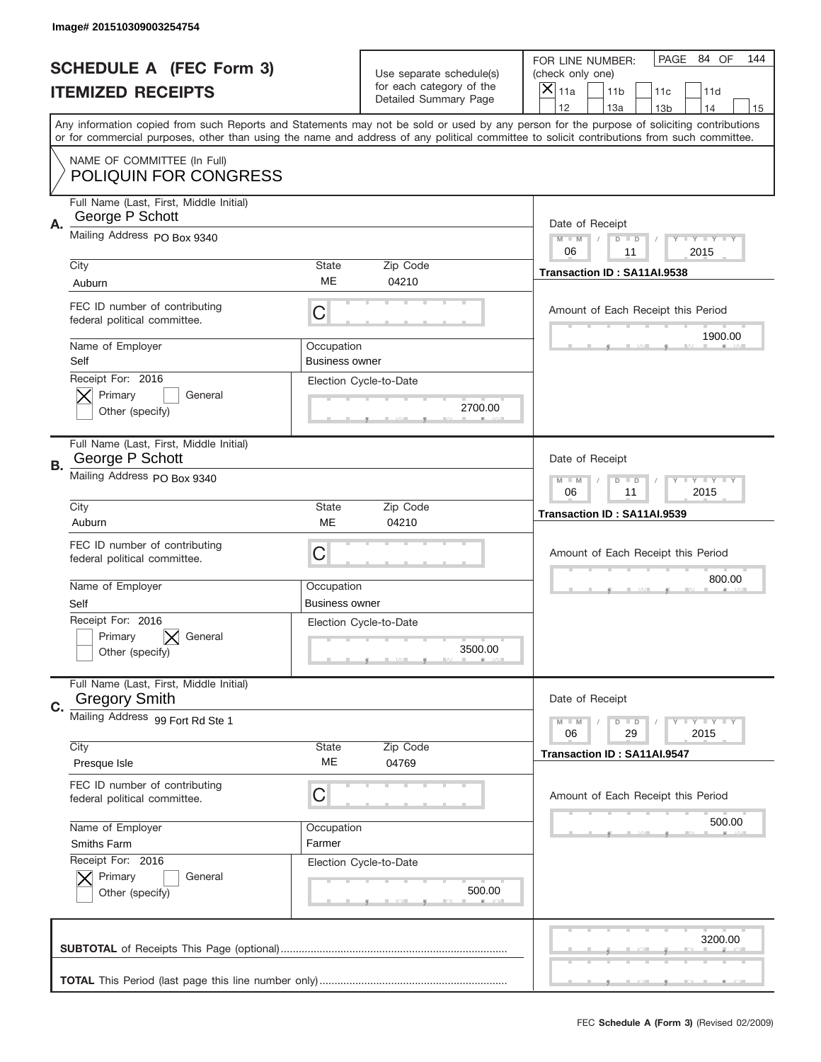|           | Image# 201510309003254754                                       |                                                            |                                                   |                                                                                                                                                                                                                                                                                                                                     |
|-----------|-----------------------------------------------------------------|------------------------------------------------------------|---------------------------------------------------|-------------------------------------------------------------------------------------------------------------------------------------------------------------------------------------------------------------------------------------------------------------------------------------------------------------------------------------|
|           | <b>SCHEDULE A (FEC Form 3)</b>                                  |                                                            | Use separate schedule(s)                          | PAGE 84 OF<br>144<br>FOR LINE NUMBER:<br>(check only one)                                                                                                                                                                                                                                                                           |
|           | <b>ITEMIZED RECEIPTS</b>                                        |                                                            | for each category of the<br>Detailed Summary Page | ×<br>11a<br>11 <sub>b</sub><br>11c<br>11d                                                                                                                                                                                                                                                                                           |
|           |                                                                 |                                                            |                                                   | 12<br>13a<br>14<br>13 <sub>b</sub><br>15<br>Any information copied from such Reports and Statements may not be sold or used by any person for the purpose of soliciting contributions<br>or for commercial purposes, other than using the name and address of any political committee to solicit contributions from such committee. |
|           | NAME OF COMMITTEE (In Full)<br><b>POLIQUIN FOR CONGRESS</b>     |                                                            |                                                   |                                                                                                                                                                                                                                                                                                                                     |
| Α.        | Full Name (Last, First, Middle Initial)<br>George P Schott      |                                                            |                                                   | Date of Receipt                                                                                                                                                                                                                                                                                                                     |
|           | Mailing Address PO Box 9340                                     |                                                            |                                                   | $M - M$<br><b>LYLYLY</b><br>$D$ $D$<br>06<br>2015<br>11                                                                                                                                                                                                                                                                             |
|           | City<br>Auburn                                                  | State<br>ME                                                | Zip Code<br>04210                                 | Transaction ID: SA11AI.9538                                                                                                                                                                                                                                                                                                         |
|           | FEC ID number of contributing<br>federal political committee.   | C                                                          |                                                   | Amount of Each Receipt this Period<br>1900.00                                                                                                                                                                                                                                                                                       |
|           | Name of Employer<br>Self                                        | Occupation<br><b>Business owner</b>                        |                                                   |                                                                                                                                                                                                                                                                                                                                     |
|           | Receipt For: 2016<br>Primary<br>General<br>Other (specify)      |                                                            | Election Cycle-to-Date<br>2700.00                 |                                                                                                                                                                                                                                                                                                                                     |
| <b>B.</b> | Full Name (Last, First, Middle Initial)<br>George P Schott      |                                                            |                                                   | Date of Receipt                                                                                                                                                                                                                                                                                                                     |
|           | Mailing Address PO Box 9340                                     | $M - M$<br>$D$ $D$<br><b>THEY THEY</b><br>06<br>11<br>2015 |                                                   |                                                                                                                                                                                                                                                                                                                                     |
|           | City<br>Auburn                                                  | <b>State</b><br>ME                                         | Zip Code<br>04210                                 | Transaction ID: SA11AI.9539                                                                                                                                                                                                                                                                                                         |
|           | FEC ID number of contributing<br>federal political committee.   | C                                                          |                                                   | Amount of Each Receipt this Period                                                                                                                                                                                                                                                                                                  |
|           | Name of Employer<br>Self                                        | Occupation<br><b>Business owner</b>                        |                                                   | 800.00                                                                                                                                                                                                                                                                                                                              |
|           | Receipt For: 2016<br>Primary<br>General<br>Other (specify)      |                                                            | Election Cycle-to-Date<br>3500.00                 |                                                                                                                                                                                                                                                                                                                                     |
| C.        | Full Name (Last, First, Middle Initial)<br><b>Gregory Smith</b> |                                                            |                                                   | Date of Receipt                                                                                                                                                                                                                                                                                                                     |
|           | Mailing Address 99 Fort Rd Ste 1                                |                                                            |                                                   | <b>LY LY LY</b><br>$M - M$<br>$D$ $D$<br>06<br>2015<br>29                                                                                                                                                                                                                                                                           |
|           | City<br>Presque Isle                                            | <b>State</b><br>ME                                         | Zip Code<br>04769                                 | Transaction ID: SA11AI.9547                                                                                                                                                                                                                                                                                                         |
|           | FEC ID number of contributing<br>federal political committee.   | C                                                          |                                                   | Amount of Each Receipt this Period                                                                                                                                                                                                                                                                                                  |
|           | Name of Employer<br>Smiths Farm                                 | Occupation<br>Farmer                                       |                                                   | 500.00                                                                                                                                                                                                                                                                                                                              |
|           | Receipt For: 2016<br>Primary<br>General<br>Other (specify)      |                                                            | Election Cycle-to-Date<br>500.00                  |                                                                                                                                                                                                                                                                                                                                     |
|           |                                                                 |                                                            |                                                   | 3200.00                                                                                                                                                                                                                                                                                                                             |
|           |                                                                 |                                                            |                                                   | _                                                                                                                                                                                                                                                                                                                                   |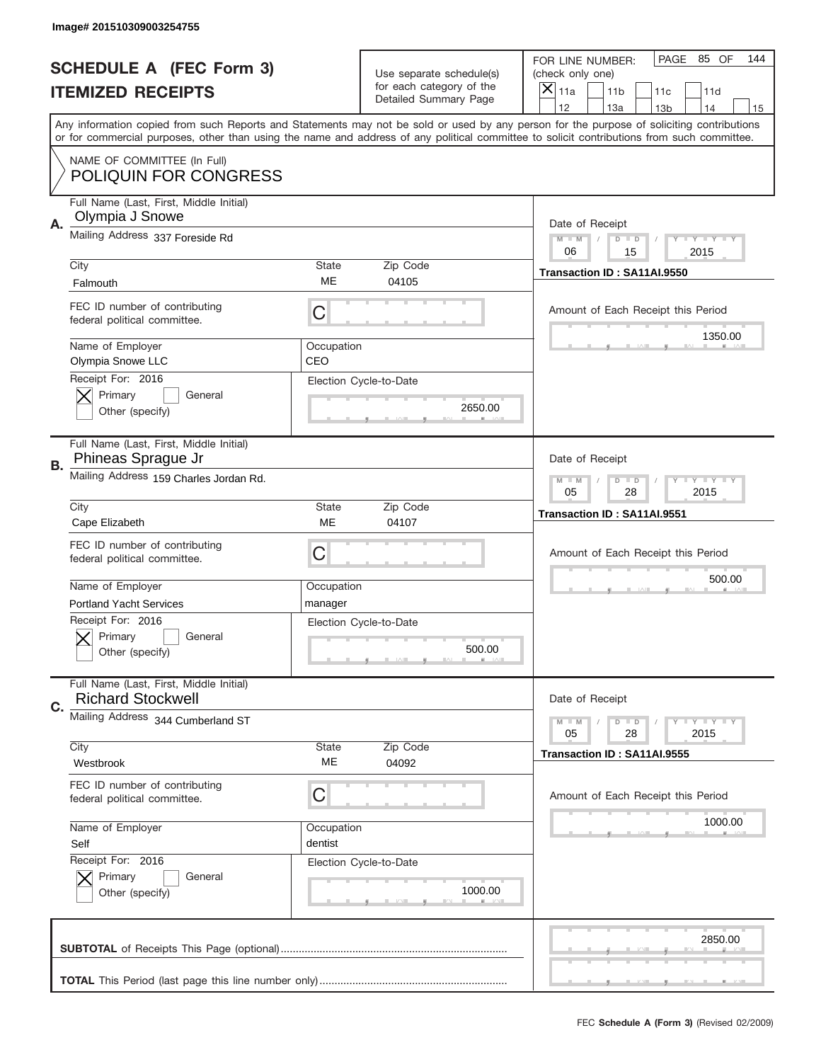|    | Image# 201510309003254755                                                                    |                                                         |                                                   |                                                                                                                                                                                                                                                                                                                                     |
|----|----------------------------------------------------------------------------------------------|---------------------------------------------------------|---------------------------------------------------|-------------------------------------------------------------------------------------------------------------------------------------------------------------------------------------------------------------------------------------------------------------------------------------------------------------------------------------|
|    | <b>SCHEDULE A (FEC Form 3)</b>                                                               |                                                         | Use separate schedule(s)                          | PAGE 85 OF<br>144<br>FOR LINE NUMBER:<br>(check only one)                                                                                                                                                                                                                                                                           |
|    | <b>ITEMIZED RECEIPTS</b>                                                                     |                                                         | for each category of the<br>Detailed Summary Page | ×<br>11a<br>11 <sub>b</sub><br>11c<br>11d                                                                                                                                                                                                                                                                                           |
|    |                                                                                              |                                                         |                                                   | 12<br>13a<br>14<br>13 <sub>b</sub><br>15<br>Any information copied from such Reports and Statements may not be sold or used by any person for the purpose of soliciting contributions<br>or for commercial purposes, other than using the name and address of any political committee to solicit contributions from such committee. |
|    | NAME OF COMMITTEE (In Full)<br><b>POLIQUIN FOR CONGRESS</b>                                  |                                                         |                                                   |                                                                                                                                                                                                                                                                                                                                     |
| Α. | Full Name (Last, First, Middle Initial)<br>Olympia J Snowe                                   |                                                         |                                                   | Date of Receipt                                                                                                                                                                                                                                                                                                                     |
|    | Mailing Address 337 Foreside Rd                                                              |                                                         |                                                   | $M - M$<br><b>LYLYLY</b><br>$D$ $D$<br>06<br>15<br>2015                                                                                                                                                                                                                                                                             |
|    | City<br>Falmouth                                                                             | State<br>ME                                             | Zip Code<br>04105                                 | Transaction ID: SA11AI.9550                                                                                                                                                                                                                                                                                                         |
|    | FEC ID number of contributing<br>federal political committee.                                | С                                                       |                                                   | Amount of Each Receipt this Period<br>1350.00                                                                                                                                                                                                                                                                                       |
|    | Name of Employer<br>Olympia Snowe LLC<br>Receipt For: 2016                                   | Occupation<br>CEO                                       |                                                   |                                                                                                                                                                                                                                                                                                                                     |
|    | Primary<br>General<br>Other (specify)                                                        |                                                         | Election Cycle-to-Date<br>2650.00                 |                                                                                                                                                                                                                                                                                                                                     |
| В. | Full Name (Last, First, Middle Initial)<br>Phineas Sprague Jr                                |                                                         |                                                   | Date of Receipt                                                                                                                                                                                                                                                                                                                     |
|    | Mailing Address 159 Charles Jordan Rd.                                                       | $M - M$<br>$D$ $D$<br><b>LYLYLY</b><br>05<br>28<br>2015 |                                                   |                                                                                                                                                                                                                                                                                                                                     |
|    | City<br>Cape Elizabeth                                                                       | State<br>ME                                             | Zip Code<br>04107                                 | Transaction ID: SA11AI.9551                                                                                                                                                                                                                                                                                                         |
|    | FEC ID number of contributing                                                                |                                                         |                                                   | Amount of Each Receipt this Period                                                                                                                                                                                                                                                                                                  |
|    | federal political committee.                                                                 | C                                                       |                                                   |                                                                                                                                                                                                                                                                                                                                     |
|    | Name of Employer                                                                             | Occupation                                              |                                                   | 500.00                                                                                                                                                                                                                                                                                                                              |
|    | <b>Portland Yacht Services</b><br>Receipt For: 2016<br>General<br>Primary<br>Other (specify) | manager                                                 | Election Cycle-to-Date<br>500.00                  |                                                                                                                                                                                                                                                                                                                                     |
|    | Full Name (Last, First, Middle Initial)<br><b>Richard Stockwell</b>                          |                                                         |                                                   | Date of Receipt                                                                                                                                                                                                                                                                                                                     |
| C. | Mailing Address 344 Cumberland ST                                                            |                                                         |                                                   | <b>LYLYLY</b><br>$M - M$<br>$D$ $D$<br>05<br>2015<br>28                                                                                                                                                                                                                                                                             |
|    | City<br>Westbrook                                                                            | State<br>ME                                             | Zip Code<br>04092                                 | Transaction ID: SA11AI.9555                                                                                                                                                                                                                                                                                                         |
|    | FEC ID number of contributing<br>federal political committee.                                | С                                                       |                                                   | Amount of Each Receipt this Period                                                                                                                                                                                                                                                                                                  |
|    | Name of Employer<br>Self                                                                     | Occupation<br>dentist                                   |                                                   | 1000.00                                                                                                                                                                                                                                                                                                                             |
|    | Receipt For: 2016<br>Primary<br>General<br>Other (specify)                                   |                                                         | Election Cycle-to-Date<br>1000.00                 |                                                                                                                                                                                                                                                                                                                                     |
|    |                                                                                              |                                                         |                                                   | 2850.00                                                                                                                                                                                                                                                                                                                             |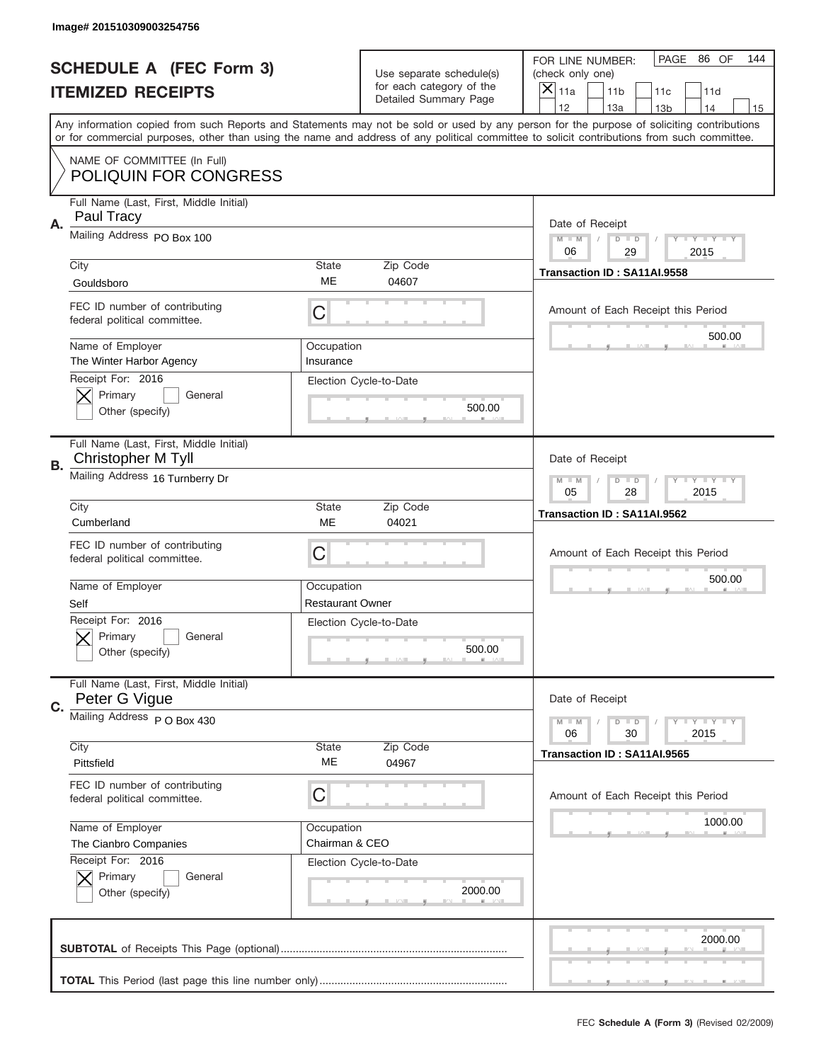|    | Image# 201510309003254756                                     |                                                       |                                                      |                                                                                                                                                                                                                                                                                                                                     |
|----|---------------------------------------------------------------|-------------------------------------------------------|------------------------------------------------------|-------------------------------------------------------------------------------------------------------------------------------------------------------------------------------------------------------------------------------------------------------------------------------------------------------------------------------------|
|    | <b>SCHEDULE A (FEC Form 3)</b>                                |                                                       | Use separate schedule(s)<br>for each category of the | PAGE 86 OF<br>144<br>FOR LINE NUMBER:<br>(check only one)                                                                                                                                                                                                                                                                           |
|    | <b>ITEMIZED RECEIPTS</b>                                      |                                                       | Detailed Summary Page                                | ×<br>11a<br>11 <sub>b</sub><br>11c<br>11d                                                                                                                                                                                                                                                                                           |
|    |                                                               |                                                       |                                                      | 12<br>13a<br>14<br>13 <sub>b</sub><br>15<br>Any information copied from such Reports and Statements may not be sold or used by any person for the purpose of soliciting contributions<br>or for commercial purposes, other than using the name and address of any political committee to solicit contributions from such committee. |
|    | NAME OF COMMITTEE (In Full)<br>POLIQUIN FOR CONGRESS          |                                                       |                                                      |                                                                                                                                                                                                                                                                                                                                     |
| А. | Full Name (Last, First, Middle Initial)<br>Paul Tracy         |                                                       |                                                      | Date of Receipt                                                                                                                                                                                                                                                                                                                     |
|    | Mailing Address PO Box 100                                    |                                                       |                                                      | $M - M$<br><b>LYLYLY</b><br>$D$ $D$<br>06<br>29<br>2015                                                                                                                                                                                                                                                                             |
|    | City<br>Gouldsboro                                            | State<br>ME                                           | Zip Code<br>04607                                    | Transaction ID: SA11AI.9558                                                                                                                                                                                                                                                                                                         |
|    | FEC ID number of contributing<br>federal political committee. | C                                                     |                                                      | Amount of Each Receipt this Period<br>500.00                                                                                                                                                                                                                                                                                        |
|    | Name of Employer<br>The Winter Harbor Agency                  | Occupation<br>Insurance                               |                                                      |                                                                                                                                                                                                                                                                                                                                     |
|    | Receipt For: 2016<br>Primary<br>General<br>Other (specify)    |                                                       | Election Cycle-to-Date<br>500.00                     |                                                                                                                                                                                                                                                                                                                                     |
| В. | Full Name (Last, First, Middle Initial)<br>Christopher M Tyll |                                                       |                                                      | Date of Receipt                                                                                                                                                                                                                                                                                                                     |
|    | Mailing Address 16 Turnberry Dr                               | $M$ M<br>$D$ $D$<br><b>LYLYLY</b><br>05<br>28<br>2015 |                                                      |                                                                                                                                                                                                                                                                                                                                     |
|    | City<br>Cumberland                                            | State<br><b>ME</b>                                    | Zip Code<br>04021                                    | Transaction ID: SA11AI.9562                                                                                                                                                                                                                                                                                                         |
|    | FEC ID number of contributing<br>federal political committee. | C                                                     |                                                      | Amount of Each Receipt this Period                                                                                                                                                                                                                                                                                                  |
|    | Name of Employer<br>Self                                      | Occupation<br><b>Restaurant Owner</b>                 |                                                      | 500.00                                                                                                                                                                                                                                                                                                                              |
|    | Receipt For: 2016<br>General<br>Primary<br>Other (specify)    |                                                       | Election Cycle-to-Date<br>500.00                     |                                                                                                                                                                                                                                                                                                                                     |
|    |                                                               |                                                       |                                                      |                                                                                                                                                                                                                                                                                                                                     |
| C. | Full Name (Last, First, Middle Initial)<br>Peter G Vigue      |                                                       |                                                      | Date of Receipt                                                                                                                                                                                                                                                                                                                     |
|    | Mailing Address P O Box 430                                   |                                                       |                                                      | <b>LYLYLY</b><br>$M - M$<br>$D$ $D$<br>06<br>2015<br>30                                                                                                                                                                                                                                                                             |
|    | City<br>Pittsfield                                            | State<br>МE                                           | Zip Code<br>04967                                    | Transaction ID: SA11AI.9565                                                                                                                                                                                                                                                                                                         |
|    | FEC ID number of contributing<br>federal political committee. | C                                                     |                                                      | Amount of Each Receipt this Period                                                                                                                                                                                                                                                                                                  |
|    | Name of Employer                                              | Occupation                                            |                                                      | 1000.00                                                                                                                                                                                                                                                                                                                             |
|    | The Cianbro Companies                                         | Chairman & CEO                                        |                                                      |                                                                                                                                                                                                                                                                                                                                     |
|    | Receipt For: 2016<br>Primary<br>General<br>Other (specify)    |                                                       | Election Cycle-to-Date<br>2000.00                    |                                                                                                                                                                                                                                                                                                                                     |
|    |                                                               |                                                       |                                                      | 2000.00                                                                                                                                                                                                                                                                                                                             |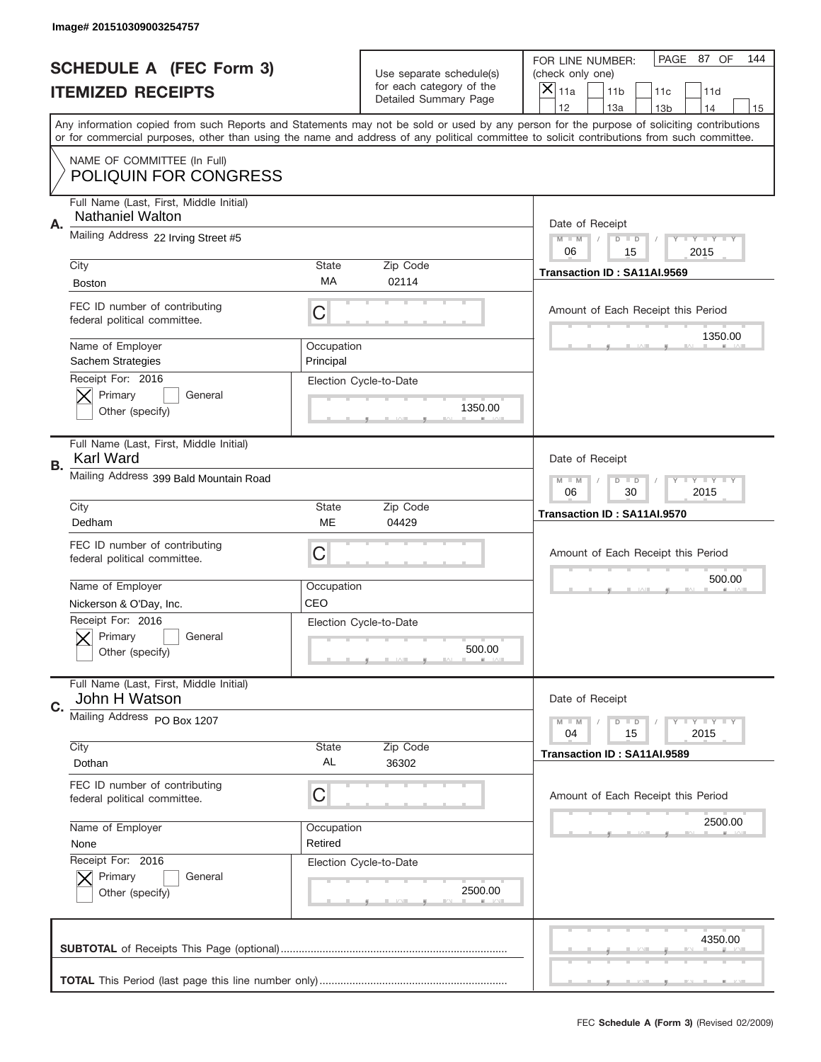|    | Image# 201510309003254757                                          |                                                       |                                                   |                                                                                                                                                                                       |
|----|--------------------------------------------------------------------|-------------------------------------------------------|---------------------------------------------------|---------------------------------------------------------------------------------------------------------------------------------------------------------------------------------------|
|    | <b>SCHEDULE A (FEC Form 3)</b>                                     |                                                       | Use separate schedule(s)                          | PAGE 87 OF<br>144<br>FOR LINE NUMBER:<br>(check only one)                                                                                                                             |
|    | <b>ITEMIZED RECEIPTS</b>                                           |                                                       | for each category of the<br>Detailed Summary Page | ×<br>11a<br>11 <sub>b</sub><br>11c<br>11d                                                                                                                                             |
|    |                                                                    |                                                       |                                                   | 12<br>13a<br>14<br>13 <sub>b</sub><br>15<br>Any information copied from such Reports and Statements may not be sold or used by any person for the purpose of soliciting contributions |
|    |                                                                    |                                                       |                                                   | or for commercial purposes, other than using the name and address of any political committee to solicit contributions from such committee.                                            |
|    | NAME OF COMMITTEE (In Full)<br><b>POLIQUIN FOR CONGRESS</b>        |                                                       |                                                   |                                                                                                                                                                                       |
| Α. | Full Name (Last, First, Middle Initial)<br><b>Nathaniel Walton</b> |                                                       |                                                   | Date of Receipt                                                                                                                                                                       |
|    | Mailing Address 22 Irving Street #5                                |                                                       |                                                   | $M - M$<br><b>LYLYLY</b><br>$D$ $D$<br>06<br>2015<br>15                                                                                                                               |
|    | City                                                               | State                                                 | Zip Code                                          | Transaction ID: SA11AI.9569                                                                                                                                                           |
|    | <b>Boston</b>                                                      | МA                                                    | 02114                                             |                                                                                                                                                                                       |
|    | FEC ID number of contributing<br>federal political committee.      | C                                                     |                                                   | Amount of Each Receipt this Period                                                                                                                                                    |
|    | Name of Employer<br>Sachem Strategies                              | Occupation<br>Principal                               |                                                   | 1350.00                                                                                                                                                                               |
|    | Receipt For: 2016<br>Primary<br>General<br>Other (specify)         |                                                       | Election Cycle-to-Date<br>1350.00                 |                                                                                                                                                                                       |
| В. | Full Name (Last, First, Middle Initial)<br>Karl Ward               | Date of Receipt                                       |                                                   |                                                                                                                                                                                       |
|    | Mailing Address 399 Bald Mountain Road                             | $M$ M<br>$D$ $D$<br><b>LYLYLY</b><br>06<br>30<br>2015 |                                                   |                                                                                                                                                                                       |
|    | City<br>Dedham                                                     | State<br>ME                                           | Zip Code<br>04429                                 | Transaction ID: SA11AI.9570                                                                                                                                                           |
|    |                                                                    |                                                       |                                                   |                                                                                                                                                                                       |
|    | FEC ID number of contributing<br>federal political committee.      | C                                                     |                                                   | Amount of Each Receipt this Period                                                                                                                                                    |
|    |                                                                    |                                                       |                                                   | 500.00                                                                                                                                                                                |
|    | Name of Employer                                                   | Occupation                                            |                                                   |                                                                                                                                                                                       |
|    | Nickerson & O'Day, Inc.                                            | CEO                                                   |                                                   |                                                                                                                                                                                       |
|    | Receipt For: 2016<br>General<br>Primary<br>Other (specify)         |                                                       | Election Cycle-to-Date<br>500.00                  |                                                                                                                                                                                       |
| C. | Full Name (Last, First, Middle Initial)<br>John H Watson           |                                                       |                                                   | Date of Receipt                                                                                                                                                                       |
|    | Mailing Address PO Box 1207                                        |                                                       |                                                   | <b>LY LY LY</b><br>$M - M$<br>$D$ $D$<br>2015<br>04<br>15                                                                                                                             |
|    | City<br>Dothan                                                     | <b>State</b><br>AL                                    | Zip Code<br>36302                                 | Transaction ID: SA11AI.9589                                                                                                                                                           |
|    | FEC ID number of contributing<br>federal political committee.      | C                                                     |                                                   | Amount of Each Receipt this Period                                                                                                                                                    |
|    | Name of Employer                                                   | Occupation                                            |                                                   | 2500.00                                                                                                                                                                               |
|    | None                                                               | Retired                                               |                                                   |                                                                                                                                                                                       |
|    | Receipt For: 2016<br>Primary<br>General<br>Other (specify)         |                                                       | Election Cycle-to-Date<br>2500.00                 |                                                                                                                                                                                       |
|    |                                                                    |                                                       |                                                   | 4350.00                                                                                                                                                                               |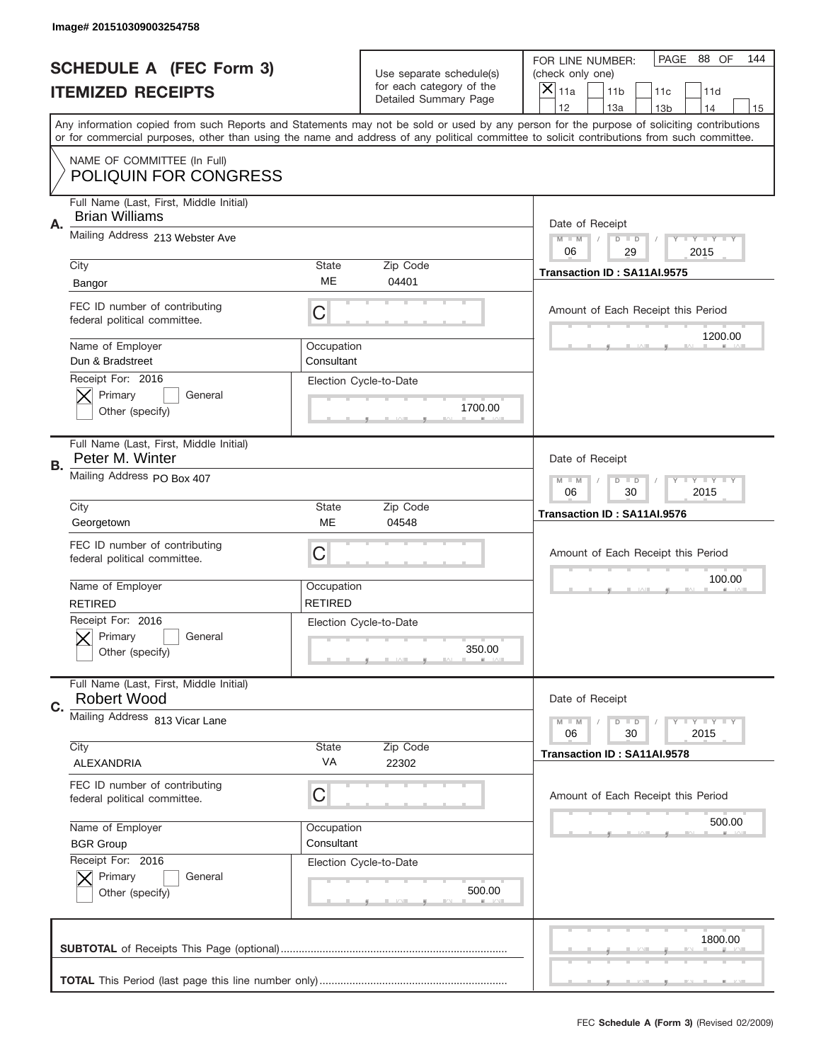|           | Image# 201510309003254758                                        |                                                         |                                                   |                                                                                                                                                                                                                                                                                                                                     |
|-----------|------------------------------------------------------------------|---------------------------------------------------------|---------------------------------------------------|-------------------------------------------------------------------------------------------------------------------------------------------------------------------------------------------------------------------------------------------------------------------------------------------------------------------------------------|
|           | <b>SCHEDULE A (FEC Form 3)</b>                                   |                                                         | Use separate schedule(s)                          | PAGE 88 OF<br>144<br>FOR LINE NUMBER:<br>(check only one)                                                                                                                                                                                                                                                                           |
|           | <b>ITEMIZED RECEIPTS</b>                                         |                                                         | for each category of the<br>Detailed Summary Page | ×<br>11a<br>11 <sub>b</sub><br>11c<br>11d                                                                                                                                                                                                                                                                                           |
|           |                                                                  |                                                         |                                                   | 12<br>13a<br>14<br>13 <sub>b</sub><br>15<br>Any information copied from such Reports and Statements may not be sold or used by any person for the purpose of soliciting contributions<br>or for commercial purposes, other than using the name and address of any political committee to solicit contributions from such committee. |
|           | NAME OF COMMITTEE (In Full)<br><b>POLIQUIN FOR CONGRESS</b>      |                                                         |                                                   |                                                                                                                                                                                                                                                                                                                                     |
| Α.        | Full Name (Last, First, Middle Initial)<br><b>Brian Williams</b> |                                                         |                                                   | Date of Receipt                                                                                                                                                                                                                                                                                                                     |
|           | Mailing Address 213 Webster Ave                                  |                                                         |                                                   | $M - M$<br><b>LYLYLY</b><br>$D$ $D$<br>06<br>29<br>2015                                                                                                                                                                                                                                                                             |
|           | City<br>Bangor                                                   | State<br>ME                                             | Zip Code<br>04401                                 | Transaction ID: SA11AI.9575                                                                                                                                                                                                                                                                                                         |
|           | FEC ID number of contributing<br>federal political committee.    | C                                                       |                                                   | Amount of Each Receipt this Period<br>1200.00                                                                                                                                                                                                                                                                                       |
|           | Name of Employer<br>Dun & Bradstreet<br>Receipt For: 2016        | Occupation<br>Consultant                                |                                                   |                                                                                                                                                                                                                                                                                                                                     |
|           | Primary<br>General<br>Other (specify)                            |                                                         | Election Cycle-to-Date<br>1700.00                 |                                                                                                                                                                                                                                                                                                                                     |
| <b>B.</b> | Full Name (Last, First, Middle Initial)<br>Peter M. Winter       |                                                         |                                                   | Date of Receipt                                                                                                                                                                                                                                                                                                                     |
|           | Mailing Address PO Box 407                                       | $M - M$<br>$D$ $D$<br><b>LYLYLY</b><br>06<br>30<br>2015 |                                                   |                                                                                                                                                                                                                                                                                                                                     |
|           | City<br>Georgetown                                               | State<br>ME                                             | Zip Code<br>04548                                 | Transaction ID: SA11AI.9576                                                                                                                                                                                                                                                                                                         |
|           | FEC ID number of contributing<br>federal political committee.    | C                                                       |                                                   | Amount of Each Receipt this Period                                                                                                                                                                                                                                                                                                  |
|           |                                                                  |                                                         |                                                   |                                                                                                                                                                                                                                                                                                                                     |
|           | Name of Employer<br><b>RETIRED</b>                               | Occupation<br><b>RETIRED</b>                            |                                                   | 100.00                                                                                                                                                                                                                                                                                                                              |
|           | Receipt For: 2016<br>General<br>Primary<br>Other (specify)       |                                                         | Election Cycle-to-Date<br>350.00                  |                                                                                                                                                                                                                                                                                                                                     |
| C.        | Full Name (Last, First, Middle Initial)<br><b>Robert Wood</b>    |                                                         |                                                   | Date of Receipt                                                                                                                                                                                                                                                                                                                     |
|           | Mailing Address 813 Vicar Lane                                   |                                                         |                                                   | <b>LY LY LY</b><br>$M - M$<br>$D$ $D$<br>06<br>2015<br>30                                                                                                                                                                                                                                                                           |
|           | City<br>ALEXANDRIA                                               | State<br>VA                                             | Zip Code<br>22302                                 | Transaction ID: SA11AI.9578                                                                                                                                                                                                                                                                                                         |
|           | FEC ID number of contributing<br>federal political committee.    | С                                                       |                                                   | Amount of Each Receipt this Period                                                                                                                                                                                                                                                                                                  |
|           | Name of Employer<br><b>BGR Group</b>                             | Occupation<br>Consultant                                |                                                   | 500.00                                                                                                                                                                                                                                                                                                                              |
|           | Receipt For: 2016<br>Primary<br>General<br>Other (specify)       |                                                         | Election Cycle-to-Date<br>500.00                  |                                                                                                                                                                                                                                                                                                                                     |
|           |                                                                  |                                                         |                                                   | 1800.00                                                                                                                                                                                                                                                                                                                             |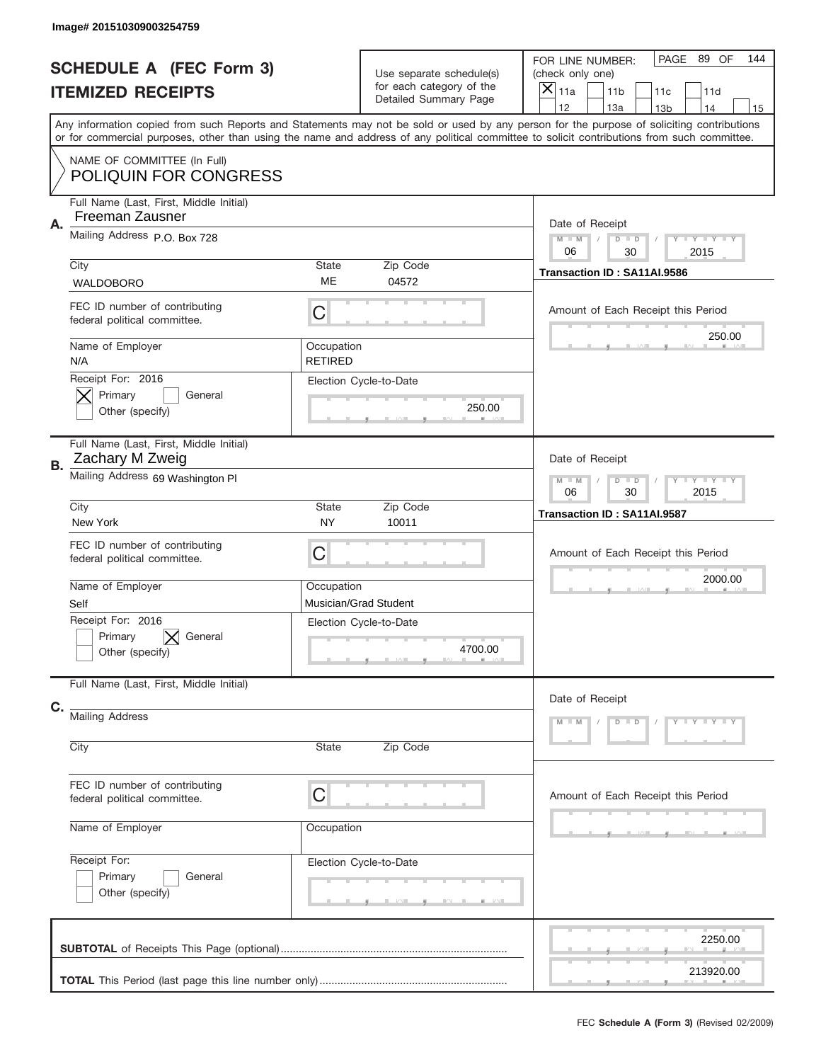|    | Image# 201510309003254759                                                                                                                                                                                                                                                               |                              |                                                      |                                      |                                    |                        |                     |     |
|----|-----------------------------------------------------------------------------------------------------------------------------------------------------------------------------------------------------------------------------------------------------------------------------------------|------------------------------|------------------------------------------------------|--------------------------------------|------------------------------------|------------------------|---------------------|-----|
|    | <b>SCHEDULE A (FEC Form 3)</b>                                                                                                                                                                                                                                                          |                              | Use separate schedule(s)<br>for each category of the | (check only one)                     | FOR LINE NUMBER:                   | PAGE                   | 89 OF               | 144 |
|    | <b>ITEMIZED RECEIPTS</b>                                                                                                                                                                                                                                                                |                              | Detailed Summary Page                                | $\overline{\mathsf{x}}$<br>11a<br>12 | 11 <sub>b</sub><br>13a             | 11c<br>13 <sub>b</sub> | 11d<br>14           | 15  |
|    | Any information copied from such Reports and Statements may not be sold or used by any person for the purpose of soliciting contributions<br>or for commercial purposes, other than using the name and address of any political committee to solicit contributions from such committee. |                              |                                                      |                                      |                                    |                        |                     |     |
|    | NAME OF COMMITTEE (In Full)<br><b>POLIQUIN FOR CONGRESS</b>                                                                                                                                                                                                                             |                              |                                                      |                                      |                                    |                        |                     |     |
| Α. | Full Name (Last, First, Middle Initial)<br>Freeman Zausner                                                                                                                                                                                                                              |                              |                                                      |                                      | Date of Receipt                    |                        |                     |     |
|    | Mailing Address P.O. Box 728                                                                                                                                                                                                                                                            |                              |                                                      | $M$ M<br>06                          | $D$ $D$<br>30                      |                        | Y TY TY TY<br>2015  |     |
|    | City<br><b>WALDOBORO</b>                                                                                                                                                                                                                                                                | State<br>ME                  | Zip Code<br>04572                                    |                                      | Transaction ID: SA11AI.9586        |                        |                     |     |
|    | FEC ID number of contributing<br>federal political committee.                                                                                                                                                                                                                           | C                            |                                                      |                                      | Amount of Each Receipt this Period |                        | 250.00              |     |
|    | Name of Employer<br>N/A                                                                                                                                                                                                                                                                 | Occupation<br><b>RETIRED</b> |                                                      |                                      |                                    |                        |                     |     |
|    | Receipt For: 2016<br>Primary<br>General<br>Other (specify)                                                                                                                                                                                                                              |                              | Election Cycle-to-Date<br>250.00                     |                                      |                                    |                        |                     |     |
| В. | Full Name (Last, First, Middle Initial)<br>Zachary M Zweig                                                                                                                                                                                                                              |                              | Date of Receipt                                      |                                      |                                    |                        |                     |     |
|    | Mailing Address 69 Washington PI                                                                                                                                                                                                                                                        | $M - M$<br>06                | $D$ $D$<br>30                                        |                                      | $T$ $Y$ $T$ $Y$ $T$ $Y$<br>2015    |                        |                     |     |
|    | City<br>New York                                                                                                                                                                                                                                                                        | State<br><b>NY</b>           | Zip Code<br>10011                                    |                                      | Transaction ID: SA11AI.9587        |                        |                     |     |
|    | FEC ID number of contributing<br>federal political committee.                                                                                                                                                                                                                           | C                            |                                                      |                                      | Amount of Each Receipt this Period |                        |                     |     |
|    | Name of Employer<br>Self                                                                                                                                                                                                                                                                | Occupation                   | Musician/Grad Student                                |                                      |                                    |                        | 2000.00             |     |
|    | Receipt For: 2016<br>Primary<br>General<br>Other (specify)                                                                                                                                                                                                                              |                              | Election Cycle-to-Date<br>4700.00                    |                                      |                                    |                        |                     |     |
| C. | Full Name (Last, First, Middle Initial)                                                                                                                                                                                                                                                 |                              |                                                      |                                      | Date of Receipt                    |                        |                     |     |
|    | <b>Mailing Address</b>                                                                                                                                                                                                                                                                  |                              |                                                      | $M - M$                              | $D$ $D$                            |                        | $Y - Y - Y - Y - Y$ |     |
|    | City                                                                                                                                                                                                                                                                                    | State                        | Zip Code                                             |                                      |                                    |                        |                     |     |
|    | FEC ID number of contributing<br>federal political committee.                                                                                                                                                                                                                           | C                            |                                                      |                                      | Amount of Each Receipt this Period |                        |                     |     |
|    | Name of Employer                                                                                                                                                                                                                                                                        | Occupation                   |                                                      |                                      |                                    |                        |                     |     |
|    | Receipt For:<br>Primary<br>General<br>Other (specify)                                                                                                                                                                                                                                   |                              | Election Cycle-to-Date                               |                                      |                                    |                        |                     |     |
|    |                                                                                                                                                                                                                                                                                         |                              |                                                      |                                      |                                    |                        | 2250.00             |     |
|    |                                                                                                                                                                                                                                                                                         |                              |                                                      |                                      |                                    |                        | 213920.00           |     |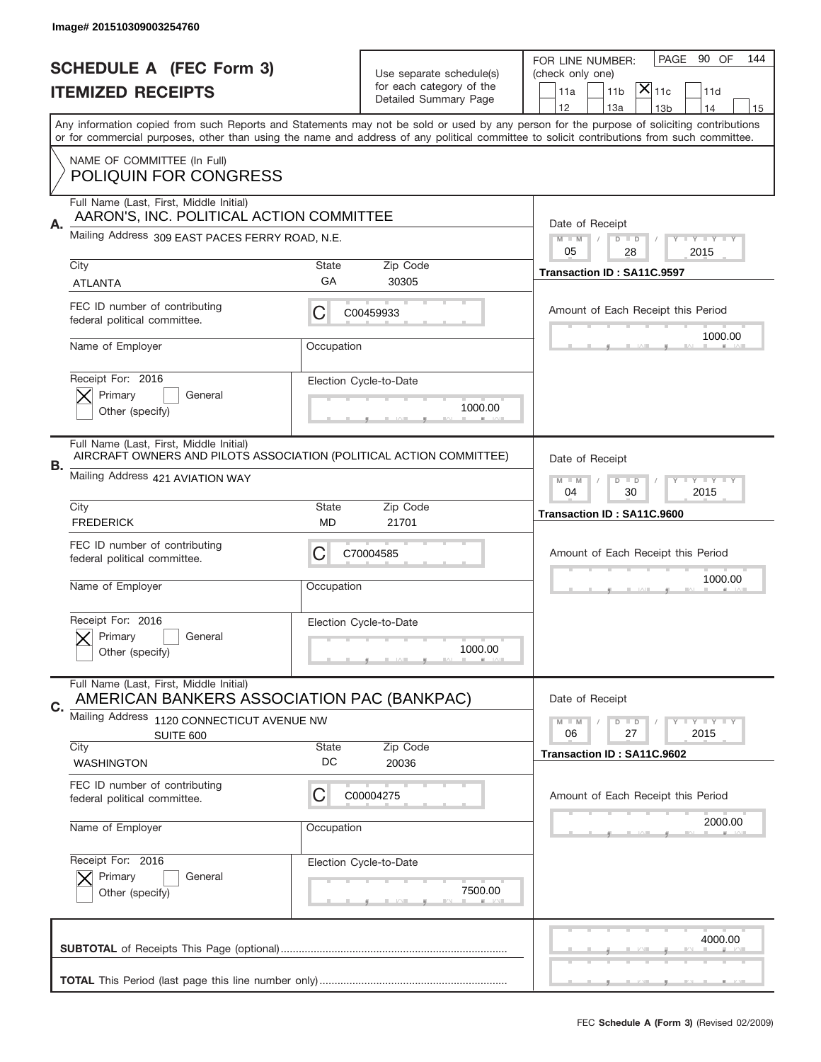|                                | Image# 201510309003254760                                                                                      |                                                           |                        |                                                                                                                                                                                                                                                                                         |
|--------------------------------|----------------------------------------------------------------------------------------------------------------|-----------------------------------------------------------|------------------------|-----------------------------------------------------------------------------------------------------------------------------------------------------------------------------------------------------------------------------------------------------------------------------------------|
| <b>SCHEDULE A (FEC Form 3)</b> |                                                                                                                |                                                           |                        | 90 OF<br>PAGE<br>144<br>FOR LINE NUMBER:                                                                                                                                                                                                                                                |
|                                | <b>ITEMIZED RECEIPTS</b>                                                                                       | Use separate schedule(s)<br>for each category of the      |                        | (check only one)<br>$ \mathsf{X} _{\mathsf{11c}}$<br>11 <sub>b</sub><br>11a<br>11d                                                                                                                                                                                                      |
|                                |                                                                                                                |                                                           | Detailed Summary Page  | 12<br>13a<br>13 <sub>b</sub><br>14<br>15                                                                                                                                                                                                                                                |
|                                |                                                                                                                |                                                           |                        | Any information copied from such Reports and Statements may not be sold or used by any person for the purpose of soliciting contributions<br>or for commercial purposes, other than using the name and address of any political committee to solicit contributions from such committee. |
|                                | NAME OF COMMITTEE (In Full)                                                                                    |                                                           |                        |                                                                                                                                                                                                                                                                                         |
|                                | <b>POLIQUIN FOR CONGRESS</b>                                                                                   |                                                           |                        |                                                                                                                                                                                                                                                                                         |
| Α.                             | Full Name (Last, First, Middle Initial)<br>AARON'S, INC. POLITICAL ACTION COMMITTEE                            |                                                           |                        | Date of Receipt                                                                                                                                                                                                                                                                         |
|                                | Mailing Address 309 EAST PACES FERRY ROAD, N.E.                                                                | $M - M$<br>Y FY FY FY<br>$D$ $D$<br>05                    |                        |                                                                                                                                                                                                                                                                                         |
|                                | City                                                                                                           | <b>State</b>                                              | Zip Code               | 28<br>2015<br>Transaction ID: SA11C.9597                                                                                                                                                                                                                                                |
|                                | <b>ATLANTA</b>                                                                                                 | GA                                                        | 30305                  |                                                                                                                                                                                                                                                                                         |
|                                | FEC ID number of contributing<br>federal political committee.                                                  | С                                                         | C00459933              | Amount of Each Receipt this Period                                                                                                                                                                                                                                                      |
|                                | Name of Employer                                                                                               | Occupation                                                |                        | 1000.00                                                                                                                                                                                                                                                                                 |
|                                | Receipt For: 2016                                                                                              |                                                           | Election Cycle-to-Date |                                                                                                                                                                                                                                                                                         |
|                                | Primary<br>General<br>Other (specify)                                                                          |                                                           | 1000.00                |                                                                                                                                                                                                                                                                                         |
|                                |                                                                                                                |                                                           |                        |                                                                                                                                                                                                                                                                                         |
|                                | Full Name (Last, First, Middle Initial)<br>AIRCRAFT OWNERS AND PILOTS ASSOCIATION (POLITICAL ACTION COMMITTEE) |                                                           |                        | Date of Receipt                                                                                                                                                                                                                                                                         |
| В.                             | Mailing Address 421 AVIATION WAY                                                                               | $D$ $D$<br><b>LY LY LY</b><br>$M - M$<br>04<br>30<br>2015 |                        |                                                                                                                                                                                                                                                                                         |
|                                | City<br><b>State</b><br>Zip Code                                                                               |                                                           |                        | Transaction ID: SA11C.9600                                                                                                                                                                                                                                                              |
|                                | <b>FREDERICK</b>                                                                                               | MD                                                        | 21701                  |                                                                                                                                                                                                                                                                                         |
|                                | FEC ID number of contributing<br>federal political committee.                                                  | C                                                         | C70004585              | Amount of Each Receipt this Period                                                                                                                                                                                                                                                      |
|                                | Name of Employer                                                                                               | Occupation                                                |                        | 1000.00                                                                                                                                                                                                                                                                                 |
|                                |                                                                                                                |                                                           |                        |                                                                                                                                                                                                                                                                                         |
|                                | Receipt For: 2016<br>General<br>Primary                                                                        |                                                           | Election Cycle-to-Date |                                                                                                                                                                                                                                                                                         |
|                                | Other (specify)                                                                                                |                                                           | 1000.00                |                                                                                                                                                                                                                                                                                         |
| C.                             | Full Name (Last, First, Middle Initial)<br>AMERICAN BANKERS ASSOCIATION PAC (BANKPAC)                          |                                                           |                        | Date of Receipt                                                                                                                                                                                                                                                                         |
|                                | Mailing Address 1120 CONNECTICUT AVENUE NW                                                                     |                                                           |                        | <b>LYLYLY</b><br>$M - M$<br>$D$ $D$                                                                                                                                                                                                                                                     |
|                                | SUITE 600<br>City                                                                                              | <b>State</b>                                              | Zip Code               | 06<br>2015<br>27                                                                                                                                                                                                                                                                        |
|                                | <b>WASHINGTON</b>                                                                                              | DC                                                        | 20036                  | Transaction ID: SA11C.9602                                                                                                                                                                                                                                                              |
|                                | FEC ID number of contributing<br>federal political committee.                                                  | C                                                         | C00004275              | Amount of Each Receipt this Period                                                                                                                                                                                                                                                      |
|                                | Name of Employer                                                                                               | Occupation                                                |                        | 2000.00                                                                                                                                                                                                                                                                                 |
|                                |                                                                                                                |                                                           |                        |                                                                                                                                                                                                                                                                                         |
|                                | Receipt For: 2016                                                                                              |                                                           | Election Cycle-to-Date |                                                                                                                                                                                                                                                                                         |
|                                | Primary<br>General                                                                                             |                                                           | 7500.00                |                                                                                                                                                                                                                                                                                         |
|                                | Other (specify)                                                                                                |                                                           |                        |                                                                                                                                                                                                                                                                                         |
|                                |                                                                                                                |                                                           |                        | 4000.00                                                                                                                                                                                                                                                                                 |
|                                |                                                                                                                |                                                           |                        |                                                                                                                                                                                                                                                                                         |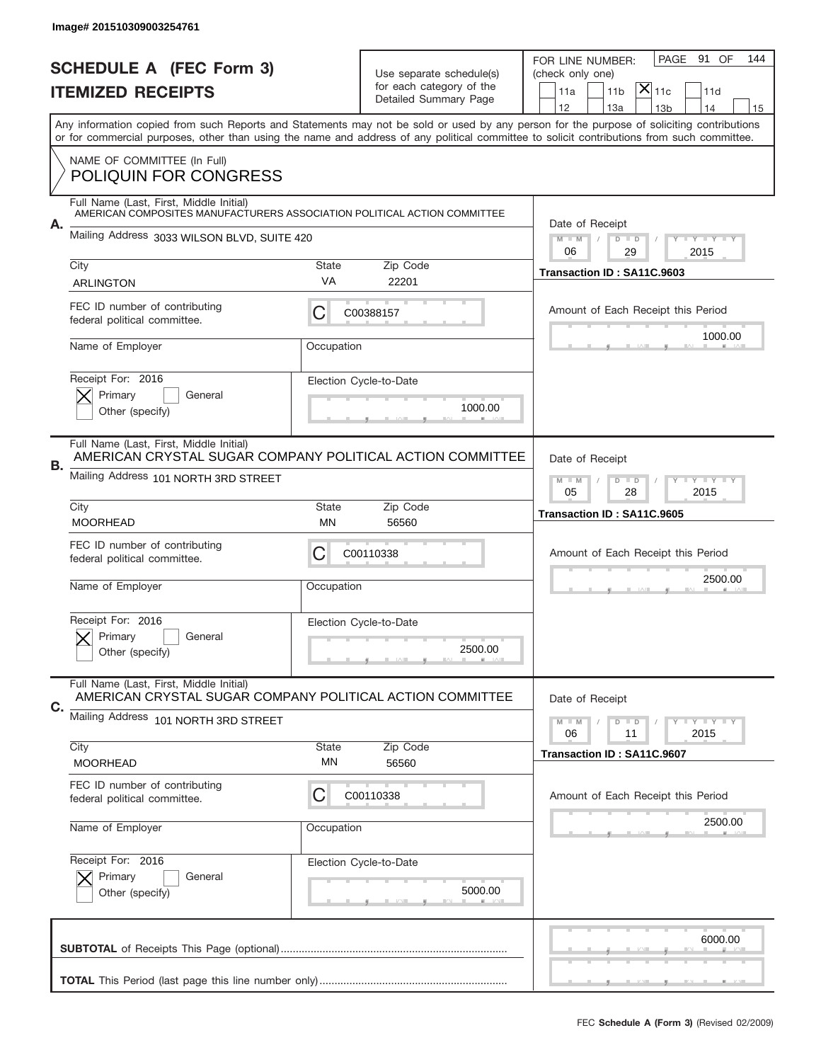|                                | Image# 201510309003254761                                                                                           |                                                           |                                                   |                                                                                                                                                                                                                                                                                                                                     |  |  |
|--------------------------------|---------------------------------------------------------------------------------------------------------------------|-----------------------------------------------------------|---------------------------------------------------|-------------------------------------------------------------------------------------------------------------------------------------------------------------------------------------------------------------------------------------------------------------------------------------------------------------------------------------|--|--|
| <b>SCHEDULE A (FEC Form 3)</b> |                                                                                                                     | Use separate schedule(s)                                  |                                                   | PAGE<br>91 OF<br>144<br>FOR LINE NUMBER:<br>(check only one)                                                                                                                                                                                                                                                                        |  |  |
|                                | <b>ITEMIZED RECEIPTS</b>                                                                                            |                                                           | for each category of the<br>Detailed Summary Page | $ \mathsf{X} _{\mathsf{11c}}$<br>11 <sub>b</sub><br>11d<br>11a                                                                                                                                                                                                                                                                      |  |  |
|                                |                                                                                                                     |                                                           |                                                   | 12<br>13a<br>14<br>13 <sub>b</sub><br>15<br>Any information copied from such Reports and Statements may not be sold or used by any person for the purpose of soliciting contributions<br>or for commercial purposes, other than using the name and address of any political committee to solicit contributions from such committee. |  |  |
|                                | NAME OF COMMITTEE (In Full)<br><b>POLIQUIN FOR CONGRESS</b>                                                         |                                                           |                                                   |                                                                                                                                                                                                                                                                                                                                     |  |  |
|                                | Full Name (Last, First, Middle Initial)<br>AMERICAN COMPOSITES MANUFACTURERS ASSOCIATION POLITICAL ACTION COMMITTEE |                                                           |                                                   |                                                                                                                                                                                                                                                                                                                                     |  |  |
| А.                             | Mailing Address 3033 WILSON BLVD, SUITE 420                                                                         |                                                           |                                                   | Date of Receipt<br>$M$ $M$<br>$D$ $D$<br><b>THEY THEY</b><br>06<br>2015<br>29                                                                                                                                                                                                                                                       |  |  |
|                                | City                                                                                                                | <b>State</b><br>VA                                        | Zip Code                                          | Transaction ID: SA11C.9603                                                                                                                                                                                                                                                                                                          |  |  |
|                                | ARLINGTON                                                                                                           |                                                           | 22201                                             |                                                                                                                                                                                                                                                                                                                                     |  |  |
|                                | FEC ID number of contributing<br>federal political committee.                                                       | С                                                         | C00388157                                         | Amount of Each Receipt this Period<br>1000.00                                                                                                                                                                                                                                                                                       |  |  |
|                                | Name of Employer                                                                                                    | Occupation                                                |                                                   |                                                                                                                                                                                                                                                                                                                                     |  |  |
|                                | Receipt For: 2016<br>Primary<br>General                                                                             |                                                           | Election Cycle-to-Date<br>1000.00                 |                                                                                                                                                                                                                                                                                                                                     |  |  |
|                                | Other (specify)                                                                                                     |                                                           |                                                   |                                                                                                                                                                                                                                                                                                                                     |  |  |
| В.                             | Full Name (Last, First, Middle Initial)<br>AMERICAN CRYSTAL SUGAR COMPANY POLITICAL ACTION COMMITTEE                |                                                           |                                                   | Date of Receipt                                                                                                                                                                                                                                                                                                                     |  |  |
|                                | Mailing Address 101 NORTH 3RD STREET                                                                                | $D$ $D$<br><b>LY LY LY</b><br>$M - M$<br>05<br>28<br>2015 |                                                   |                                                                                                                                                                                                                                                                                                                                     |  |  |
|                                | City<br><b>MOORHEAD</b>                                                                                             | <b>State</b><br>MN                                        | Zip Code<br>56560                                 | Transaction ID: SA11C.9605                                                                                                                                                                                                                                                                                                          |  |  |
|                                | FEC ID number of contributing<br>federal political committee.                                                       | C                                                         | C00110338                                         | Amount of Each Receipt this Period                                                                                                                                                                                                                                                                                                  |  |  |
|                                | Name of Employer                                                                                                    | Occupation                                                |                                                   | 2500.00                                                                                                                                                                                                                                                                                                                             |  |  |
|                                | Receipt For: 2016<br>General<br>Primary                                                                             |                                                           | Election Cycle-to-Date                            |                                                                                                                                                                                                                                                                                                                                     |  |  |
|                                | Other (specify)                                                                                                     |                                                           | 2500.00                                           |                                                                                                                                                                                                                                                                                                                                     |  |  |
| C.                             | Full Name (Last, First, Middle Initial)<br>AMERICAN CRYSTAL SUGAR COMPANY POLITICAL ACTION COMMITTEE                |                                                           |                                                   | Date of Receipt                                                                                                                                                                                                                                                                                                                     |  |  |
|                                | Mailing Address 101 NORTH 3RD STREET                                                                                |                                                           |                                                   | $D$ $D$<br><b>LYLYLY</b><br>$M - M$<br>06<br>2015<br>11                                                                                                                                                                                                                                                                             |  |  |
|                                | City<br><b>MOORHEAD</b>                                                                                             | <b>State</b><br>ΜN                                        | Zip Code<br>56560                                 | Transaction ID: SA11C.9607                                                                                                                                                                                                                                                                                                          |  |  |
|                                | FEC ID number of contributing<br>federal political committee.                                                       | C                                                         | C00110338                                         | Amount of Each Receipt this Period                                                                                                                                                                                                                                                                                                  |  |  |
|                                | Name of Employer                                                                                                    | Occupation                                                |                                                   | 2500.00                                                                                                                                                                                                                                                                                                                             |  |  |
|                                | Receipt For: 2016                                                                                                   |                                                           | Election Cycle-to-Date                            |                                                                                                                                                                                                                                                                                                                                     |  |  |
|                                | Primary<br>General<br>Other (specify)                                                                               |                                                           | 5000.00                                           |                                                                                                                                                                                                                                                                                                                                     |  |  |
|                                |                                                                                                                     |                                                           |                                                   | 6000.00                                                                                                                                                                                                                                                                                                                             |  |  |
|                                |                                                                                                                     |                                                           |                                                   |                                                                                                                                                                                                                                                                                                                                     |  |  |
|                                |                                                                                                                     |                                                           |                                                   |                                                                                                                                                                                                                                                                                                                                     |  |  |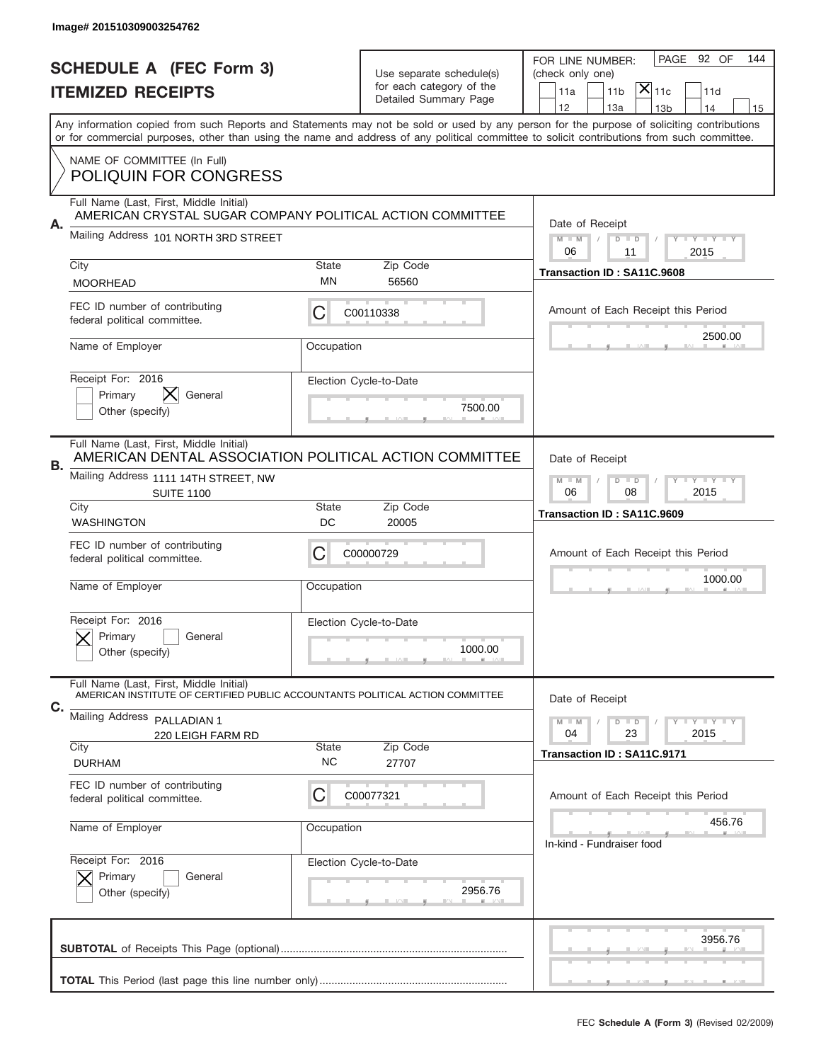|    | Image# 201510309003254762                                                                                                                 |                                                   |                                                      |                                                                                                                                                                                                                                                                                         |
|----|-------------------------------------------------------------------------------------------------------------------------------------------|---------------------------------------------------|------------------------------------------------------|-----------------------------------------------------------------------------------------------------------------------------------------------------------------------------------------------------------------------------------------------------------------------------------------|
|    | <b>SCHEDULE A (FEC Form 3)</b><br><b>ITEMIZED RECEIPTS</b>                                                                                |                                                   | Use separate schedule(s)<br>for each category of the | PAGE 92 OF<br>144<br>FOR LINE NUMBER:<br>(check only one)<br>$ \mathsf{X} _{\mathsf{11c}}$<br>11a<br>11 <sub>b</sub><br>11d                                                                                                                                                             |
|    |                                                                                                                                           |                                                   | Detailed Summary Page                                | 12<br>13a<br>13 <sub>b</sub><br>14<br>15                                                                                                                                                                                                                                                |
|    |                                                                                                                                           |                                                   |                                                      | Any information copied from such Reports and Statements may not be sold or used by any person for the purpose of soliciting contributions<br>or for commercial purposes, other than using the name and address of any political committee to solicit contributions from such committee. |
|    | NAME OF COMMITTEE (In Full)<br><b>POLIQUIN FOR CONGRESS</b>                                                                               |                                                   |                                                      |                                                                                                                                                                                                                                                                                         |
|    | Full Name (Last, First, Middle Initial)<br>AMERICAN CRYSTAL SUGAR COMPANY POLITICAL ACTION COMMITTEE                                      |                                                   |                                                      |                                                                                                                                                                                                                                                                                         |
| А. | Mailing Address 101 NORTH 3RD STREET                                                                                                      |                                                   |                                                      | Date of Receipt<br>$M - M$<br>$D$ $D$<br>Y FY FY FY<br>06<br>11<br>2015                                                                                                                                                                                                                 |
|    | City<br><b>MOORHEAD</b>                                                                                                                   | State<br>ΜN                                       | Zip Code<br>56560                                    | Transaction ID: SA11C.9608                                                                                                                                                                                                                                                              |
|    | FEC ID number of contributing<br>federal political committee.                                                                             | С                                                 | C00110338                                            | Amount of Each Receipt this Period                                                                                                                                                                                                                                                      |
|    | Name of Employer                                                                                                                          | Occupation                                        |                                                      | 2500.00                                                                                                                                                                                                                                                                                 |
|    | Receipt For: 2016<br>Primary<br>General<br>Other (specify)                                                                                |                                                   | Election Cycle-to-Date<br>7500.00                    |                                                                                                                                                                                                                                                                                         |
| В. | Full Name (Last, First, Middle Initial)<br>AMERICAN DENTAL ASSOCIATION POLITICAL ACTION COMMITTEE<br>Mailing Address 1111 14TH STREET, NW | Date of Receipt<br>$M$ M<br>$D$ $D$<br>Y TY TY TY |                                                      |                                                                                                                                                                                                                                                                                         |
|    | <b>SUITE 1100</b>                                                                                                                         | 06<br>2015<br>08                                  |                                                      |                                                                                                                                                                                                                                                                                         |
|    | City<br><b>WASHINGTON</b>                                                                                                                 | State<br>DC                                       | Zip Code<br>20005                                    | Transaction ID: SA11C.9609                                                                                                                                                                                                                                                              |
|    | FEC ID number of contributing<br>federal political committee.                                                                             | C                                                 | C00000729                                            | Amount of Each Receipt this Period                                                                                                                                                                                                                                                      |
|    | Name of Employer                                                                                                                          | Occupation                                        |                                                      | 1000.00                                                                                                                                                                                                                                                                                 |
|    | Receipt For: 2016<br>General<br>Primary<br>Other (specify)                                                                                |                                                   | Election Cycle-to-Date<br>1000.00                    |                                                                                                                                                                                                                                                                                         |
| C. | Full Name (Last, First, Middle Initial)<br>AMERICAN INSTITUTE OF CERTIFIED PUBLIC ACCOUNTANTS POLITICAL ACTION COMMITTEE                  |                                                   |                                                      | Date of Receipt                                                                                                                                                                                                                                                                         |
|    | Mailing Address PALLADIAN 1<br>220 LEIGH FARM RD<br>City                                                                                  | <b>State</b>                                      | Zip Code                                             | $D$ $D$<br><b>LYLYLY</b><br>$M - M$<br>23<br>2015<br>04<br>Transaction ID: SA11C.9171                                                                                                                                                                                                   |
|    | <b>DURHAM</b>                                                                                                                             | <b>NC</b>                                         | 27707                                                |                                                                                                                                                                                                                                                                                         |
|    | FEC ID number of contributing<br>federal political committee.                                                                             | С                                                 | C00077321                                            | Amount of Each Receipt this Period                                                                                                                                                                                                                                                      |
|    | Name of Employer                                                                                                                          | Occupation                                        |                                                      | 456.76<br>In-kind - Fundraiser food                                                                                                                                                                                                                                                     |
|    | Receipt For: 2016<br>Primary<br>General<br>Other (specify)                                                                                |                                                   | Election Cycle-to-Date<br>2956.76                    |                                                                                                                                                                                                                                                                                         |
|    |                                                                                                                                           |                                                   |                                                      | 3956.76                                                                                                                                                                                                                                                                                 |
|    |                                                                                                                                           |                                                   |                                                      |                                                                                                                                                                                                                                                                                         |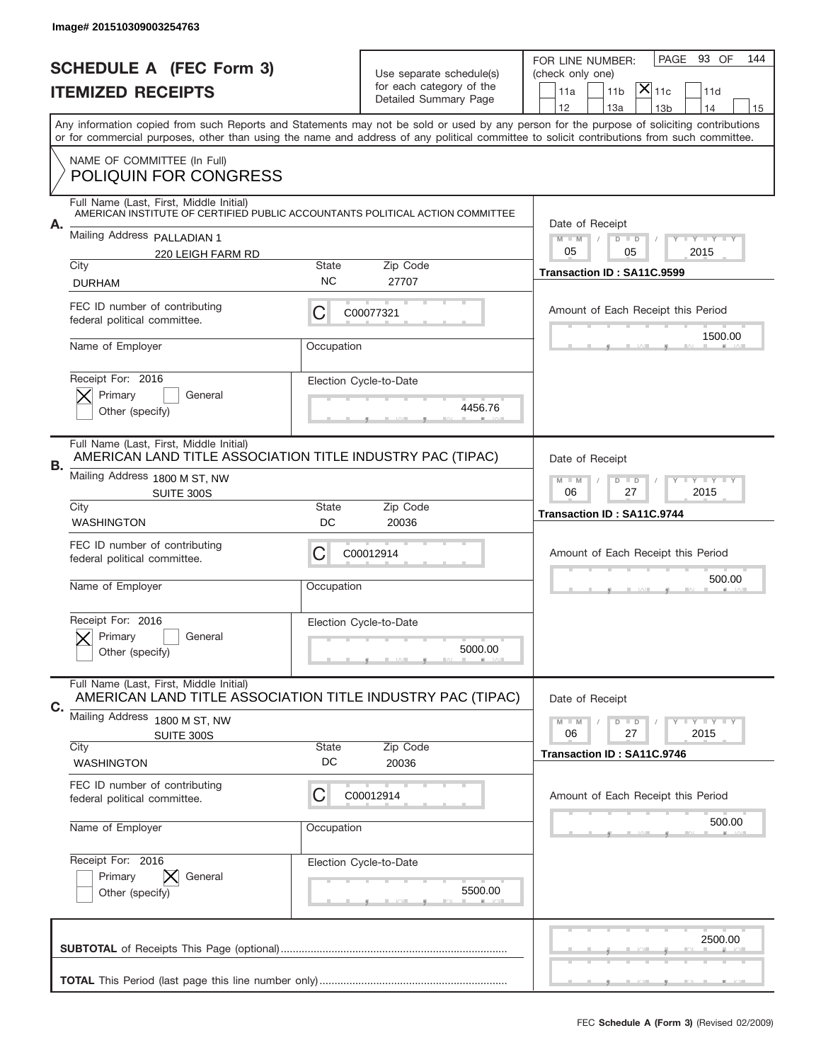|                                | Image# 201510309003254763                                                                                                              |                                                           |                                                   |                                                                                                                                                                                                                                                                                                                                     |  |  |
|--------------------------------|----------------------------------------------------------------------------------------------------------------------------------------|-----------------------------------------------------------|---------------------------------------------------|-------------------------------------------------------------------------------------------------------------------------------------------------------------------------------------------------------------------------------------------------------------------------------------------------------------------------------------|--|--|
| <b>SCHEDULE A (FEC Form 3)</b> |                                                                                                                                        | Use separate schedule(s)                                  |                                                   | PAGE<br>93 OF<br>144<br>FOR LINE NUMBER:<br>(check only one)                                                                                                                                                                                                                                                                        |  |  |
|                                | <b>ITEMIZED RECEIPTS</b>                                                                                                               |                                                           | for each category of the<br>Detailed Summary Page | $ \mathsf{X} _{\mathsf{11c}}$<br>11 <sub>b</sub><br>11a<br>11d                                                                                                                                                                                                                                                                      |  |  |
|                                |                                                                                                                                        |                                                           |                                                   | 12<br>13a<br>14<br>13 <sub>b</sub><br>15<br>Any information copied from such Reports and Statements may not be sold or used by any person for the purpose of soliciting contributions<br>or for commercial purposes, other than using the name and address of any political committee to solicit contributions from such committee. |  |  |
|                                | NAME OF COMMITTEE (In Full)<br><b>POLIQUIN FOR CONGRESS</b>                                                                            |                                                           |                                                   |                                                                                                                                                                                                                                                                                                                                     |  |  |
| А.                             | Full Name (Last, First, Middle Initial)<br>AMERICAN INSTITUTE OF CERTIFIED PUBLIC ACCOUNTANTS POLITICAL ACTION COMMITTEE               |                                                           |                                                   | Date of Receipt                                                                                                                                                                                                                                                                                                                     |  |  |
|                                | Mailing Address PALLADIAN 1<br>220 LEIGH FARM RD                                                                                       |                                                           |                                                   | $M$ M<br>$D$ $D$<br><b>THEY THEY</b><br>05<br>05<br>2015                                                                                                                                                                                                                                                                            |  |  |
|                                | City<br><b>DURHAM</b>                                                                                                                  | <b>State</b><br><b>NC</b>                                 | Zip Code<br>27707                                 | Transaction ID: SA11C.9599                                                                                                                                                                                                                                                                                                          |  |  |
|                                | FEC ID number of contributing<br>federal political committee.                                                                          | C                                                         | C00077321                                         | Amount of Each Receipt this Period<br>1500.00                                                                                                                                                                                                                                                                                       |  |  |
|                                | Name of Employer                                                                                                                       | Occupation                                                |                                                   |                                                                                                                                                                                                                                                                                                                                     |  |  |
|                                | Receipt For: 2016<br>Primary<br>General<br>Other (specify)                                                                             |                                                           | Election Cycle-to-Date<br>4456.76                 |                                                                                                                                                                                                                                                                                                                                     |  |  |
| В.                             | Full Name (Last, First, Middle Initial)<br>AMERICAN LAND TITLE ASSOCIATION TITLE INDUSTRY PAC (TIPAC)<br>Mailing Address 1800 M ST, NW |                                                           |                                                   | Date of Receipt                                                                                                                                                                                                                                                                                                                     |  |  |
|                                | SUITE 300S<br>City                                                                                                                     | $M - M$<br>$D$ $D$<br><b>LY LY LY</b><br>06<br>27<br>2015 |                                                   |                                                                                                                                                                                                                                                                                                                                     |  |  |
|                                | <b>WASHINGTON</b>                                                                                                                      | <b>State</b><br>DC                                        | Zip Code<br>20036                                 | Transaction ID: SA11C.9744                                                                                                                                                                                                                                                                                                          |  |  |
|                                | FEC ID number of contributing<br>federal political committee.                                                                          | C                                                         | C00012914                                         | Amount of Each Receipt this Period                                                                                                                                                                                                                                                                                                  |  |  |
|                                | Name of Employer                                                                                                                       | Occupation                                                |                                                   | 500.00                                                                                                                                                                                                                                                                                                                              |  |  |
|                                | Receipt For: 2016<br>General<br>Primary<br>Other (specify)                                                                             |                                                           | Election Cycle-to-Date<br>5000.00                 |                                                                                                                                                                                                                                                                                                                                     |  |  |
| C.                             | Full Name (Last, First, Middle Initial)<br>AMERICAN LAND TITLE ASSOCIATION TITLE INDUSTRY PAC (TIPAC)                                  |                                                           |                                                   | Date of Receipt                                                                                                                                                                                                                                                                                                                     |  |  |
|                                | Mailing Address<br>1800 M ST, NW<br>SUITE 300S<br>City                                                                                 | <b>State</b>                                              | Zip Code                                          | $D$ $D$<br><b>LYLYLY</b><br>$M - M$<br>06<br>27<br>2015                                                                                                                                                                                                                                                                             |  |  |
|                                | <b>WASHINGTON</b>                                                                                                                      | DC                                                        | 20036                                             | Transaction ID: SA11C.9746                                                                                                                                                                                                                                                                                                          |  |  |
|                                | FEC ID number of contributing<br>federal political committee.                                                                          | C                                                         | C00012914                                         | Amount of Each Receipt this Period                                                                                                                                                                                                                                                                                                  |  |  |
|                                | Name of Employer                                                                                                                       | Occupation                                                |                                                   | 500.00                                                                                                                                                                                                                                                                                                                              |  |  |
|                                | Receipt For: 2016<br>Primary<br>General<br>Other (specify)                                                                             |                                                           | Election Cycle-to-Date<br>5500.00                 |                                                                                                                                                                                                                                                                                                                                     |  |  |
|                                |                                                                                                                                        |                                                           |                                                   | 2500.00                                                                                                                                                                                                                                                                                                                             |  |  |
|                                |                                                                                                                                        |                                                           |                                                   |                                                                                                                                                                                                                                                                                                                                     |  |  |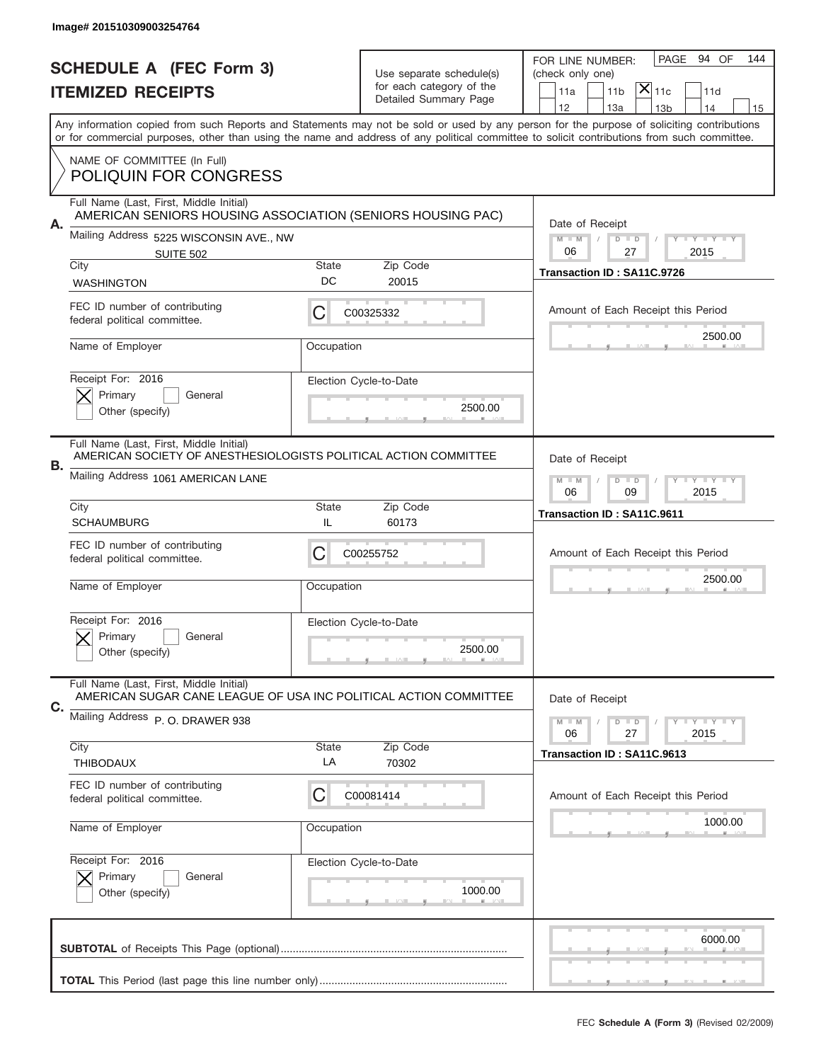|                                | Image# 201510309003254764                                                                                   |                                                           |                          |                                                                                                                                                                                                                                                                                         |
|--------------------------------|-------------------------------------------------------------------------------------------------------------|-----------------------------------------------------------|--------------------------|-----------------------------------------------------------------------------------------------------------------------------------------------------------------------------------------------------------------------------------------------------------------------------------------|
| <b>SCHEDULE A (FEC Form 3)</b> |                                                                                                             |                                                           | Use separate schedule(s) | PAGE<br>94 OF<br>144<br>FOR LINE NUMBER:<br>(check only one)                                                                                                                                                                                                                            |
|                                | <b>ITEMIZED RECEIPTS</b>                                                                                    |                                                           | for each category of the | $ \mathsf{X} _{\mathsf{11c}}$<br>11 <sub>b</sub><br>11d<br>11a                                                                                                                                                                                                                          |
|                                |                                                                                                             |                                                           | Detailed Summary Page    | 12<br>13a<br>14<br>13 <sub>b</sub><br>15                                                                                                                                                                                                                                                |
|                                |                                                                                                             |                                                           |                          | Any information copied from such Reports and Statements may not be sold or used by any person for the purpose of soliciting contributions<br>or for commercial purposes, other than using the name and address of any political committee to solicit contributions from such committee. |
|                                | NAME OF COMMITTEE (In Full)<br><b>POLIQUIN FOR CONGRESS</b>                                                 |                                                           |                          |                                                                                                                                                                                                                                                                                         |
|                                | Full Name (Last, First, Middle Initial)<br>AMERICAN SENIORS HOUSING ASSOCIATION (SENIORS HOUSING PAC)       |                                                           |                          | Date of Receipt                                                                                                                                                                                                                                                                         |
| А.                             | Mailing Address 5225 WISCONSIN AVE., NW<br><b>SUITE 502</b>                                                 |                                                           |                          | $M$ $M$<br>$D$ $D$<br>Y FY FY FY<br>06<br>27<br>2015                                                                                                                                                                                                                                    |
|                                | City                                                                                                        | <b>State</b>                                              | Zip Code                 | Transaction ID: SA11C.9726                                                                                                                                                                                                                                                              |
|                                | <b>WASHINGTON</b>                                                                                           | DC                                                        | 20015                    |                                                                                                                                                                                                                                                                                         |
|                                | FEC ID number of contributing<br>federal political committee.                                               | С                                                         | C00325332                | Amount of Each Receipt this Period                                                                                                                                                                                                                                                      |
|                                | Name of Employer                                                                                            | Occupation                                                |                          | 2500.00                                                                                                                                                                                                                                                                                 |
|                                | Receipt For: 2016                                                                                           |                                                           | Election Cycle-to-Date   |                                                                                                                                                                                                                                                                                         |
|                                | Primary<br>General<br>Other (specify)                                                                       | 2500.00                                                   |                          |                                                                                                                                                                                                                                                                                         |
|                                | Full Name (Last, First, Middle Initial)<br>AMERICAN SOCIETY OF ANESTHESIOLOGISTS POLITICAL ACTION COMMITTEE |                                                           |                          | Date of Receipt                                                                                                                                                                                                                                                                         |
| В.                             | Mailing Address 1061 AMERICAN LANE                                                                          | $M - M$<br>$D$ $D$<br><b>LY LY LY</b><br>06<br>09<br>2015 |                          |                                                                                                                                                                                                                                                                                         |
|                                | City<br><b>SCHAUMBURG</b>                                                                                   | Transaction ID: SA11C.9611                                |                          |                                                                                                                                                                                                                                                                                         |
|                                | FEC ID number of contributing<br>federal political committee.                                               | C                                                         | C00255752                | Amount of Each Receipt this Period                                                                                                                                                                                                                                                      |
|                                | Name of Employer                                                                                            | Occupation                                                |                          | 2500.00                                                                                                                                                                                                                                                                                 |
|                                | Receipt For: 2016                                                                                           |                                                           | Election Cycle-to-Date   |                                                                                                                                                                                                                                                                                         |
|                                | General<br>Primary<br>Other (specify)                                                                       |                                                           | 2500.00                  |                                                                                                                                                                                                                                                                                         |
| C.                             | Full Name (Last, First, Middle Initial)<br>AMERICAN SUGAR CANE LEAGUE OF USA INC POLITICAL ACTION COMMITTEE |                                                           |                          | Date of Receipt                                                                                                                                                                                                                                                                         |
|                                | Mailing Address P. O. DRAWER 938                                                                            |                                                           |                          | $D$ $D$<br><b>LYLYLY</b><br>$M - M$<br>06<br>27<br>2015                                                                                                                                                                                                                                 |
|                                | City<br>THIBODAUX                                                                                           | <b>State</b><br>LA                                        | Zip Code<br>70302        | Transaction ID: SA11C.9613                                                                                                                                                                                                                                                              |
|                                | FEC ID number of contributing<br>federal political committee.                                               | C                                                         | C00081414                | Amount of Each Receipt this Period                                                                                                                                                                                                                                                      |
|                                | Name of Employer                                                                                            | Occupation                                                |                          | 1000.00                                                                                                                                                                                                                                                                                 |
|                                | Receipt For: 2016                                                                                           |                                                           | Election Cycle-to-Date   |                                                                                                                                                                                                                                                                                         |
|                                | Primary<br>General<br>Other (specify)                                                                       |                                                           | 1000.00                  |                                                                                                                                                                                                                                                                                         |
|                                |                                                                                                             |                                                           |                          | 6000.00                                                                                                                                                                                                                                                                                 |
|                                |                                                                                                             |                                                           |                          |                                                                                                                                                                                                                                                                                         |
|                                |                                                                                                             |                                                           |                          |                                                                                                                                                                                                                                                                                         |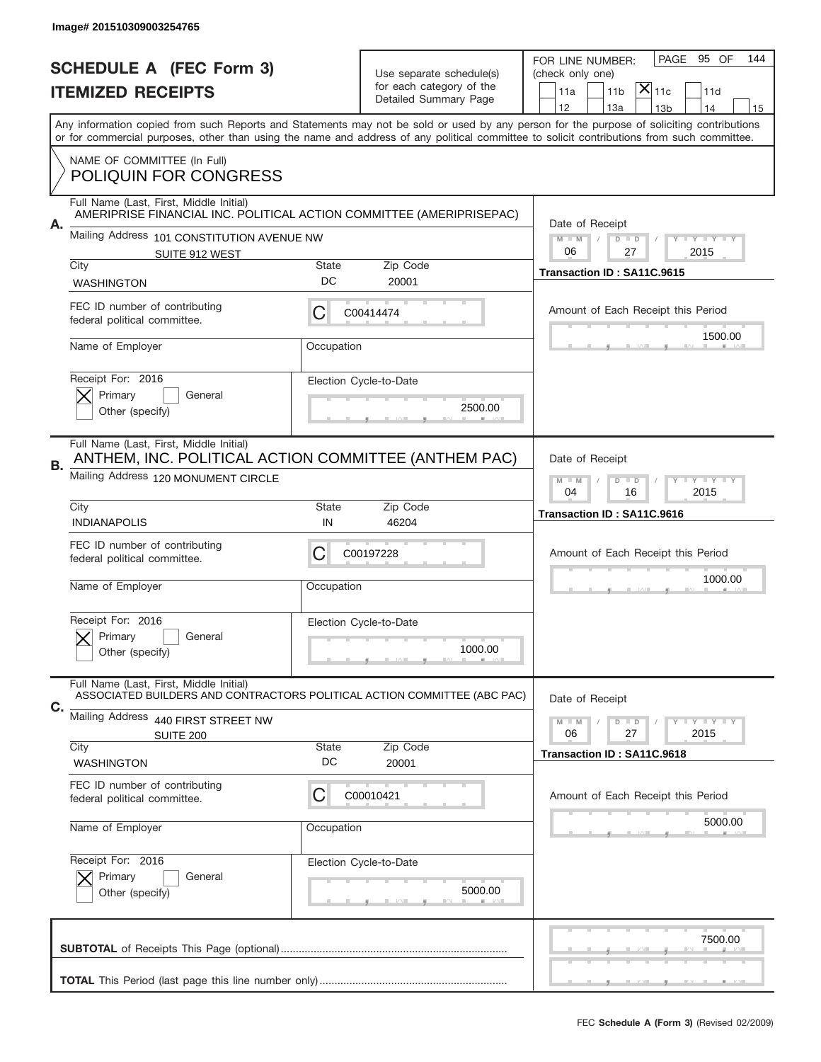|                                | Image# 201510309003254765                                                                                                                 |                                                                              |                                                   |                                                                                                                                            |
|--------------------------------|-------------------------------------------------------------------------------------------------------------------------------------------|------------------------------------------------------------------------------|---------------------------------------------------|--------------------------------------------------------------------------------------------------------------------------------------------|
| <b>SCHEDULE A (FEC Form 3)</b> |                                                                                                                                           |                                                                              | Use separate schedule(s)                          | 95 OF<br>PAGE<br>144<br>FOR LINE NUMBER:<br>(check only one)                                                                               |
|                                | <b>ITEMIZED RECEIPTS</b>                                                                                                                  |                                                                              | for each category of the<br>Detailed Summary Page | $ \mathsf{X} _{\mathsf{11c}}$<br>11 <sub>b</sub><br>11d<br>11a                                                                             |
|                                | Any information copied from such Reports and Statements may not be sold or used by any person for the purpose of soliciting contributions |                                                                              |                                                   | 12<br>13a<br>14<br>13 <sub>b</sub><br>15                                                                                                   |
|                                |                                                                                                                                           |                                                                              |                                                   | or for commercial purposes, other than using the name and address of any political committee to solicit contributions from such committee. |
|                                | NAME OF COMMITTEE (In Full)<br><b>POLIQUIN FOR CONGRESS</b>                                                                               |                                                                              |                                                   |                                                                                                                                            |
| А.                             | Full Name (Last, First, Middle Initial)<br>AMERIPRISE FINANCIAL INC. POLITICAL ACTION COMMITTEE (AMERIPRISEPAC)                           |                                                                              |                                                   | Date of Receipt                                                                                                                            |
|                                | Mailing Address 101 CONSTITUTION AVENUE NW<br>SUITE 912 WEST                                                                              |                                                                              |                                                   | $M - M$<br>$D$ $D$<br>Y FY FY FY<br>06<br>27<br>2015                                                                                       |
|                                | City<br><b>WASHINGTON</b>                                                                                                                 | <b>State</b><br>DC                                                           | Zip Code<br>20001                                 | Transaction ID: SA11C.9615                                                                                                                 |
|                                | FEC ID number of contributing<br>federal political committee.                                                                             | С                                                                            | C00414474                                         | Amount of Each Receipt this Period                                                                                                         |
|                                | Name of Employer                                                                                                                          | Occupation                                                                   |                                                   | 1500.00                                                                                                                                    |
|                                | Receipt For: 2016<br>Primary<br>General<br>Other (specify)                                                                                |                                                                              | Election Cycle-to-Date<br>2500.00                 |                                                                                                                                            |
| В.                             | Full Name (Last, First, Middle Initial)<br>ANTHEM, INC. POLITICAL ACTION COMMITTEE (ANTHEM PAC)<br>Mailing Address 120 MONUMENT CIRCLE    | Date of Receipt<br>$D$ $D$<br><b>LY LY LY</b><br>$M - M$<br>04<br>16<br>2015 |                                                   |                                                                                                                                            |
|                                | City<br><b>INDIANAPOLIS</b>                                                                                                               | <b>State</b><br>IN                                                           | Zip Code<br>46204                                 | Transaction ID: SA11C.9616                                                                                                                 |
|                                | FEC ID number of contributing<br>federal political committee.                                                                             | C                                                                            | C00197228                                         | Amount of Each Receipt this Period                                                                                                         |
|                                | Name of Employer                                                                                                                          | Occupation                                                                   |                                                   | 1000.00                                                                                                                                    |
|                                | Receipt For: 2016<br>Primary<br>General<br>Other (specify)                                                                                |                                                                              | Election Cycle-to-Date<br>1000.00                 |                                                                                                                                            |
| C.                             | Full Name (Last, First, Middle Initial)<br>ASSOCIATED BUILDERS AND CONTRACTORS POLITICAL ACTION COMMITTEE (ABC PAC)                       |                                                                              |                                                   | Date of Receipt                                                                                                                            |
|                                | Mailing Address 440 FIRST STREET NW<br>SUITE 200                                                                                          |                                                                              |                                                   | <b>LYLYLY</b><br>$M - M$<br>$D$ $D$<br>06<br>27<br>2015                                                                                    |
|                                | City<br><b>WASHINGTON</b>                                                                                                                 | <b>State</b><br>DC                                                           | Zip Code<br>20001                                 | Transaction ID: SA11C.9618                                                                                                                 |
|                                | FEC ID number of contributing<br>federal political committee.                                                                             | C                                                                            | C00010421                                         | Amount of Each Receipt this Period                                                                                                         |
|                                | Name of Employer                                                                                                                          | Occupation                                                                   |                                                   | 5000.00                                                                                                                                    |
|                                | Receipt For: 2016<br>Primary<br>General<br>Other (specify)                                                                                |                                                                              | Election Cycle-to-Date<br>5000.00                 |                                                                                                                                            |
|                                |                                                                                                                                           |                                                                              |                                                   | 7500.00                                                                                                                                    |
|                                |                                                                                                                                           |                                                                              |                                                   |                                                                                                                                            |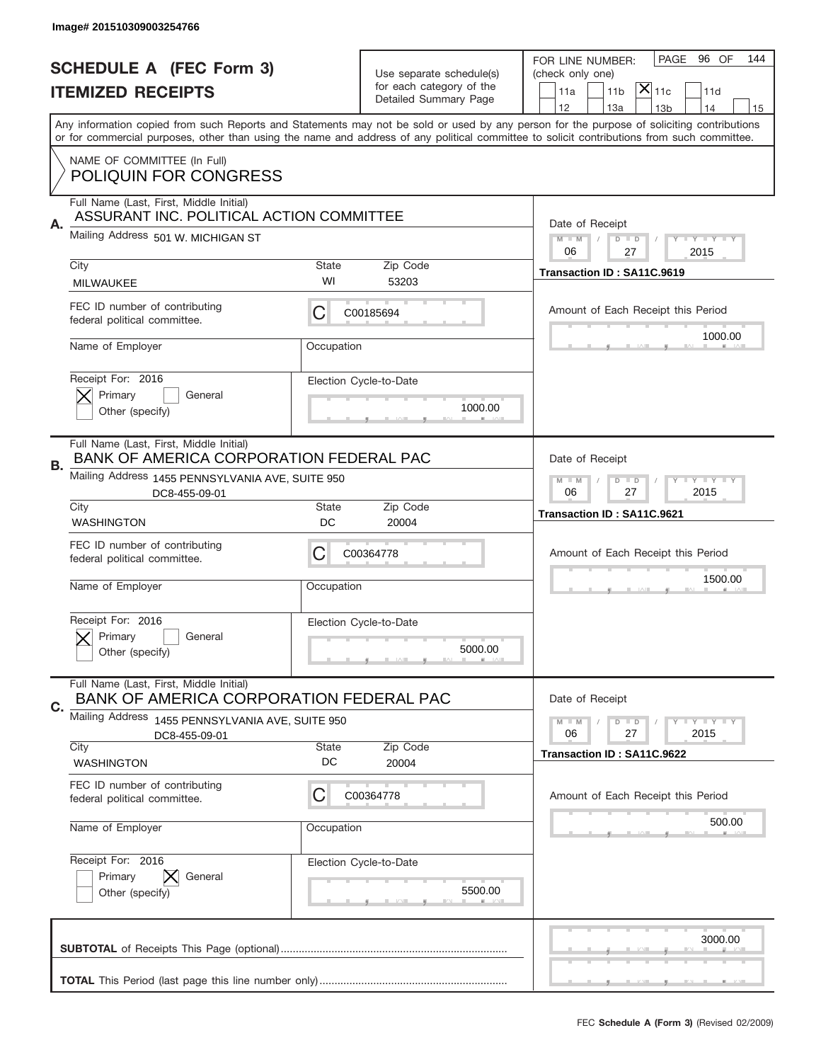|                          | Image# 201510309003254766                                                                                                                  |                                                            |                                                      |                                                                                                                                           |  |
|--------------------------|--------------------------------------------------------------------------------------------------------------------------------------------|------------------------------------------------------------|------------------------------------------------------|-------------------------------------------------------------------------------------------------------------------------------------------|--|
|                          | <b>SCHEDULE A (FEC Form 3)</b>                                                                                                             |                                                            |                                                      | 96 OF<br>PAGE<br>144<br>FOR LINE NUMBER:                                                                                                  |  |
| <b>ITEMIZED RECEIPTS</b> |                                                                                                                                            |                                                            | Use separate schedule(s)<br>for each category of the | (check only one)<br>$ \mathsf{X} _{\mathsf{11c}}$<br>11 <sub>b</sub><br>11d<br>11a                                                        |  |
|                          |                                                                                                                                            |                                                            | Detailed Summary Page                                | 12<br>13a<br>14<br>13 <sub>b</sub><br>15                                                                                                  |  |
|                          | or for commercial purposes, other than using the name and address of any political committee to solicit contributions from such committee. |                                                            |                                                      | Any information copied from such Reports and Statements may not be sold or used by any person for the purpose of soliciting contributions |  |
|                          | NAME OF COMMITTEE (In Full)<br><b>POLIQUIN FOR CONGRESS</b>                                                                                |                                                            |                                                      |                                                                                                                                           |  |
|                          | Full Name (Last, First, Middle Initial)                                                                                                    |                                                            |                                                      |                                                                                                                                           |  |
| Α.                       | ASSURANT INC. POLITICAL ACTION COMMITTEE<br>Mailing Address 501 W. MICHIGAN ST                                                             | Date of Receipt                                            |                                                      |                                                                                                                                           |  |
|                          |                                                                                                                                            |                                                            |                                                      | $M$ $M$<br>Y FY FY FY<br>$D$ $D$<br>06<br>27<br>2015                                                                                      |  |
|                          | City<br><b>MILWAUKEE</b>                                                                                                                   | <b>State</b><br>WI                                         | Zip Code<br>53203                                    | Transaction ID: SA11C.9619                                                                                                                |  |
|                          | FEC ID number of contributing                                                                                                              |                                                            |                                                      |                                                                                                                                           |  |
|                          | federal political committee.                                                                                                               | C                                                          | C00185694                                            | Amount of Each Receipt this Period                                                                                                        |  |
|                          | Name of Employer                                                                                                                           | Occupation                                                 |                                                      | 1000.00                                                                                                                                   |  |
|                          | Receipt For: 2016                                                                                                                          |                                                            | Election Cycle-to-Date                               |                                                                                                                                           |  |
|                          | Primary<br>General<br>Other (specify)                                                                                                      |                                                            | 1000.00                                              |                                                                                                                                           |  |
|                          |                                                                                                                                            |                                                            |                                                      |                                                                                                                                           |  |
| В.                       | Full Name (Last, First, Middle Initial)<br>BANK OF AMERICA CORPORATION FEDERAL PAC                                                         | Date of Receipt                                            |                                                      |                                                                                                                                           |  |
|                          | Mailing Address 1455 PENNSYLVANIA AVE, SUITE 950<br>DC8-455-09-01                                                                          | $D$ $D$<br><b>THEY THEY</b><br>$M - M$<br>06<br>27<br>2015 |                                                      |                                                                                                                                           |  |
|                          | City<br><b>WASHINGTON</b>                                                                                                                  | <b>State</b><br>DC                                         | Zip Code<br>20004                                    | Transaction ID: SA11C.9621                                                                                                                |  |
|                          | FEC ID number of contributing                                                                                                              |                                                            |                                                      |                                                                                                                                           |  |
|                          | federal political committee.                                                                                                               | C                                                          | C00364778                                            | Amount of Each Receipt this Period                                                                                                        |  |
|                          | Name of Employer                                                                                                                           | Occupation                                                 |                                                      | 1500.00                                                                                                                                   |  |
|                          | Receipt For: 2016                                                                                                                          |                                                            | Election Cycle-to-Date                               |                                                                                                                                           |  |
|                          | General<br>Primary<br>Other (specify)                                                                                                      |                                                            | 5000.00                                              |                                                                                                                                           |  |
|                          |                                                                                                                                            |                                                            |                                                      |                                                                                                                                           |  |
| C.                       | Full Name (Last, First, Middle Initial)<br>BANK OF AMERICA CORPORATION FEDERAL PAC                                                         |                                                            |                                                      | Date of Receipt                                                                                                                           |  |
|                          | Mailing Address<br>1455 PENNSYLVANIA AVE, SUITE 950                                                                                        |                                                            |                                                      | <b>LYLYLY</b><br>$M - M$<br>$D$ $D$<br>06<br>27<br>2015                                                                                   |  |
|                          | DC8-455-09-01<br>City                                                                                                                      | <b>State</b>                                               | Zip Code                                             | Transaction ID: SA11C.9622                                                                                                                |  |
|                          | <b>WASHINGTON</b>                                                                                                                          | DC                                                         | 20004                                                |                                                                                                                                           |  |
|                          | FEC ID number of contributing<br>federal political committee.                                                                              | C                                                          | C00364778                                            | Amount of Each Receipt this Period                                                                                                        |  |
|                          | Name of Employer                                                                                                                           | Occupation                                                 |                                                      | 500.00                                                                                                                                    |  |
|                          | Receipt For: 2016                                                                                                                          |                                                            | Election Cycle-to-Date                               |                                                                                                                                           |  |
|                          | Primary<br>General<br>Other (specify)                                                                                                      |                                                            | 5500.00                                              |                                                                                                                                           |  |
|                          |                                                                                                                                            |                                                            |                                                      |                                                                                                                                           |  |
|                          |                                                                                                                                            |                                                            |                                                      | 3000.00                                                                                                                                   |  |
|                          |                                                                                                                                            |                                                            |                                                      |                                                                                                                                           |  |
|                          |                                                                                                                                            |                                                            |                                                      |                                                                                                                                           |  |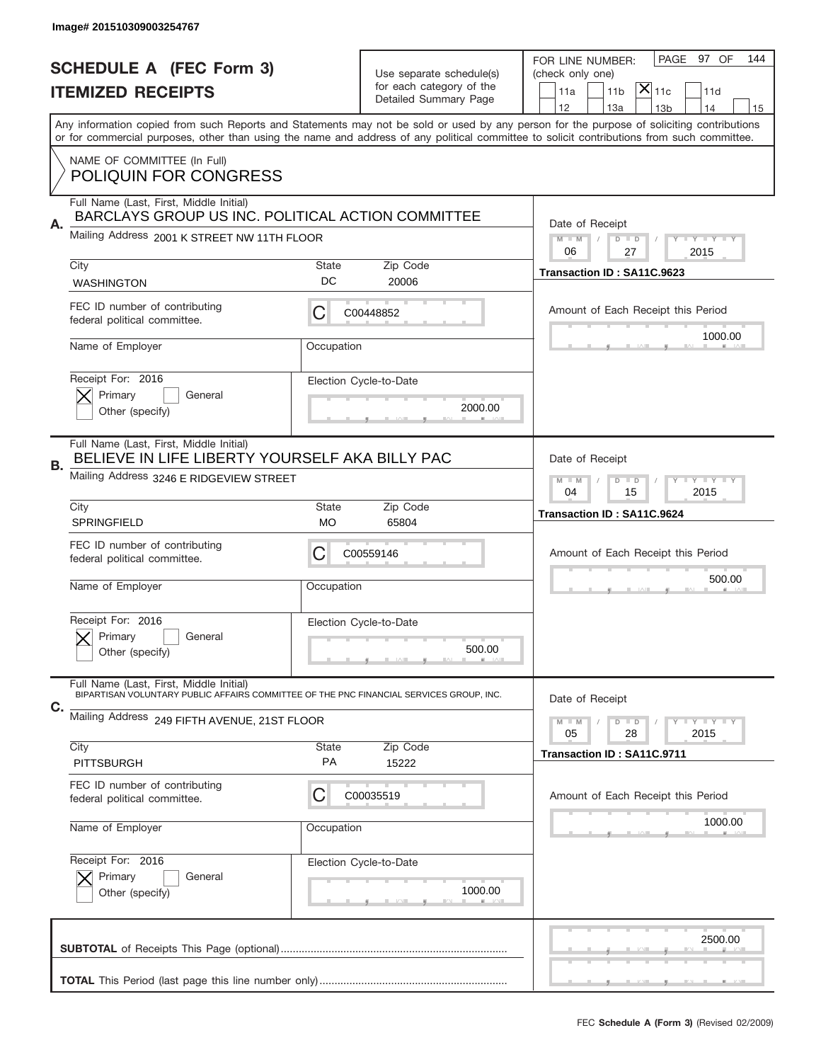|    | Image# 201510309003254767                                                                                                          |                                                            |                          |                                                                                                                                                                                                                                                                                         |
|----|------------------------------------------------------------------------------------------------------------------------------------|------------------------------------------------------------|--------------------------|-----------------------------------------------------------------------------------------------------------------------------------------------------------------------------------------------------------------------------------------------------------------------------------------|
|    | <b>SCHEDULE A (FEC Form 3)</b>                                                                                                     |                                                            | Use separate schedule(s) | PAGE 97 OF<br>144<br>FOR LINE NUMBER:<br>(check only one)                                                                                                                                                                                                                               |
|    | <b>ITEMIZED RECEIPTS</b>                                                                                                           |                                                            | for each category of the | $ \mathsf{X} _{\mathsf{11c}}$<br>11 <sub>b</sub><br>11d<br>11a                                                                                                                                                                                                                          |
|    |                                                                                                                                    |                                                            | Detailed Summary Page    | 12<br>13a<br>14<br>13 <sub>b</sub><br>15                                                                                                                                                                                                                                                |
|    |                                                                                                                                    |                                                            |                          | Any information copied from such Reports and Statements may not be sold or used by any person for the purpose of soliciting contributions<br>or for commercial purposes, other than using the name and address of any political committee to solicit contributions from such committee. |
|    | NAME OF COMMITTEE (In Full)<br><b>POLIQUIN FOR CONGRESS</b>                                                                        |                                                            |                          |                                                                                                                                                                                                                                                                                         |
|    | Full Name (Last, First, Middle Initial)<br>BARCLAYS GROUP US INC. POLITICAL ACTION COMMITTEE                                       |                                                            |                          |                                                                                                                                                                                                                                                                                         |
| Α. | Mailing Address 2001 K STREET NW 11TH FLOOR                                                                                        |                                                            |                          | Date of Receipt<br>$M$ $M$<br>$D$ $D$<br>Y FY FY FY<br>06<br>27<br>2015                                                                                                                                                                                                                 |
|    | City                                                                                                                               | <b>State</b>                                               | Zip Code                 | Transaction ID: SA11C.9623                                                                                                                                                                                                                                                              |
|    | <b>WASHINGTON</b>                                                                                                                  | DC                                                         | 20006                    |                                                                                                                                                                                                                                                                                         |
|    | FEC ID number of contributing<br>federal political committee.                                                                      | С                                                          | C00448852                | Amount of Each Receipt this Period                                                                                                                                                                                                                                                      |
|    | Name of Employer                                                                                                                   | Occupation                                                 |                          | 1000.00                                                                                                                                                                                                                                                                                 |
|    | Receipt For: 2016                                                                                                                  |                                                            | Election Cycle-to-Date   |                                                                                                                                                                                                                                                                                         |
|    | Primary<br>General<br>Other (specify)                                                                                              |                                                            | 2000.00                  |                                                                                                                                                                                                                                                                                         |
|    | Full Name (Last, First, Middle Initial)                                                                                            |                                                            |                          |                                                                                                                                                                                                                                                                                         |
| В. | BELIEVE IN LIFE LIBERTY YOURSELF AKA BILLY PAC                                                                                     | Date of Receipt                                            |                          |                                                                                                                                                                                                                                                                                         |
|    | Mailing Address 3246 E RIDGEVIEW STREET                                                                                            | $D$ $D$<br><b>THEY THEY</b><br>$M - M$<br>04<br>15<br>2015 |                          |                                                                                                                                                                                                                                                                                         |
|    | City<br>SPRINGFIELD                                                                                                                | <b>State</b><br>МO                                         | Zip Code<br>65804        | Transaction ID: SA11C.9624                                                                                                                                                                                                                                                              |
|    | FEC ID number of contributing<br>federal political committee.                                                                      | C                                                          | C00559146                | Amount of Each Receipt this Period                                                                                                                                                                                                                                                      |
|    | Name of Employer                                                                                                                   | Occupation                                                 |                          | 500.00                                                                                                                                                                                                                                                                                  |
|    | Receipt For: 2016                                                                                                                  |                                                            | Election Cycle-to-Date   |                                                                                                                                                                                                                                                                                         |
|    | Primary<br>General<br>Other (specify)                                                                                              |                                                            | 500.00                   |                                                                                                                                                                                                                                                                                         |
|    | Full Name (Last, First, Middle Initial)<br>BIPARTISAN VOLUNTARY PUBLIC AFFAIRS COMMITTEE OF THE PNC FINANCIAL SERVICES GROUP, INC. |                                                            |                          | Date of Receipt                                                                                                                                                                                                                                                                         |
| C. | Mailing Address 249 FIFTH AVENUE, 21ST FLOOR                                                                                       |                                                            |                          | <b>LYLYLY</b><br>$M - M$<br>$D$ $D$                                                                                                                                                                                                                                                     |
|    | City                                                                                                                               | <b>State</b>                                               | Zip Code                 | 05<br>28<br>2015                                                                                                                                                                                                                                                                        |
|    | PITTSBURGH                                                                                                                         | PA                                                         | 15222                    | Transaction ID: SA11C.9711                                                                                                                                                                                                                                                              |
|    | FEC ID number of contributing<br>federal political committee.                                                                      | С                                                          | C00035519                | Amount of Each Receipt this Period                                                                                                                                                                                                                                                      |
|    | Name of Employer                                                                                                                   | Occupation                                                 |                          | 1000.00                                                                                                                                                                                                                                                                                 |
|    | Receipt For: 2016                                                                                                                  |                                                            | Election Cycle-to-Date   |                                                                                                                                                                                                                                                                                         |
|    | Primary<br>General<br>Other (specify)                                                                                              |                                                            | 1000.00                  |                                                                                                                                                                                                                                                                                         |
|    |                                                                                                                                    |                                                            |                          | 2500.00                                                                                                                                                                                                                                                                                 |
|    |                                                                                                                                    |                                                            |                          |                                                                                                                                                                                                                                                                                         |
|    |                                                                                                                                    |                                                            |                          |                                                                                                                                                                                                                                                                                         |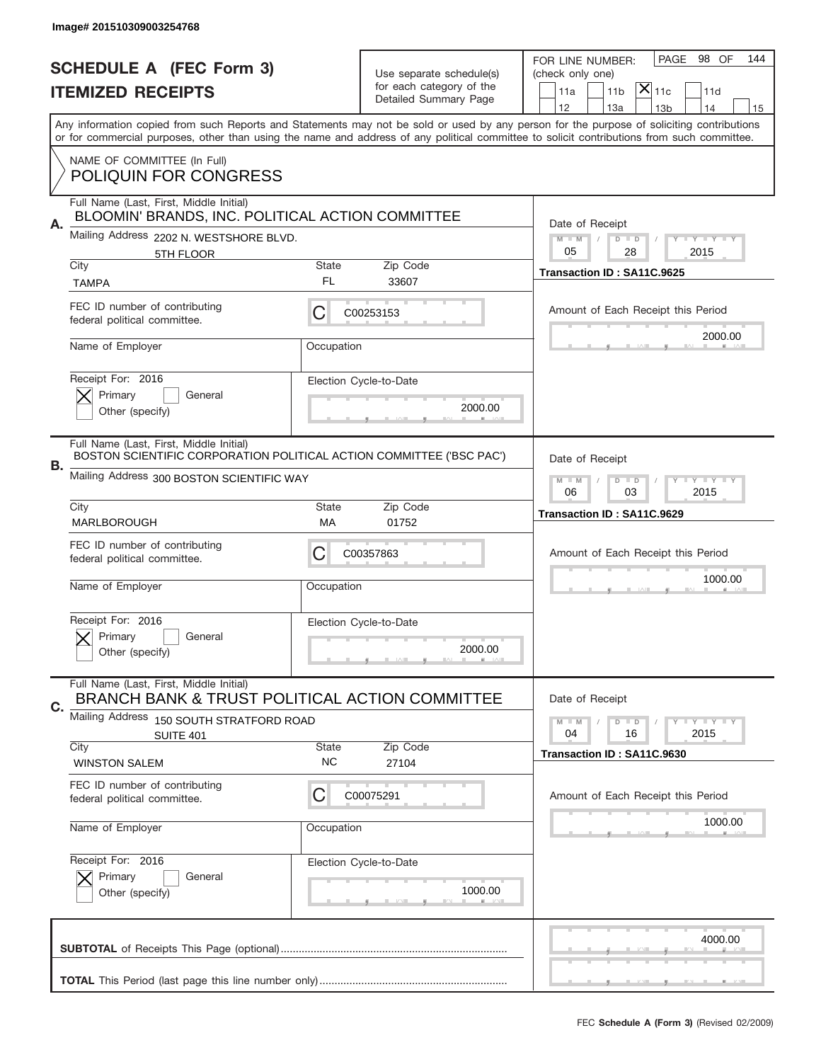|    | Image# 201510309003254768                                                                                       |                                       |                                                      |                                                                                                                                                                                                                                                                                         |
|----|-----------------------------------------------------------------------------------------------------------------|---------------------------------------|------------------------------------------------------|-----------------------------------------------------------------------------------------------------------------------------------------------------------------------------------------------------------------------------------------------------------------------------------------|
|    | <b>SCHEDULE A (FEC Form 3)</b>                                                                                  |                                       |                                                      | 98 OF<br>PAGE<br>144<br>FOR LINE NUMBER:                                                                                                                                                                                                                                                |
|    | <b>ITEMIZED RECEIPTS</b>                                                                                        |                                       | Use separate schedule(s)<br>for each category of the | (check only one)<br>$ \mathsf{X} _{\mathsf{11c}}$<br>11 <sub>b</sub><br>11a<br>11d                                                                                                                                                                                                      |
|    |                                                                                                                 |                                       | Detailed Summary Page                                | 12<br>13a<br>13 <sub>b</sub><br>14<br>15                                                                                                                                                                                                                                                |
|    |                                                                                                                 |                                       |                                                      | Any information copied from such Reports and Statements may not be sold or used by any person for the purpose of soliciting contributions<br>or for commercial purposes, other than using the name and address of any political committee to solicit contributions from such committee. |
|    | NAME OF COMMITTEE (In Full)                                                                                     |                                       |                                                      |                                                                                                                                                                                                                                                                                         |
|    | <b>POLIQUIN FOR CONGRESS</b>                                                                                    |                                       |                                                      |                                                                                                                                                                                                                                                                                         |
|    | Full Name (Last, First, Middle Initial)<br>BLOOMIN' BRANDS, INC. POLITICAL ACTION COMMITTEE                     |                                       |                                                      | Date of Receipt                                                                                                                                                                                                                                                                         |
| Α. | Mailing Address 2202 N. WESTSHORE BLVD.                                                                         |                                       |                                                      | $M - M$<br>Y FY FY FY<br>$D$ $D$                                                                                                                                                                                                                                                        |
|    | 5TH FLOOR<br>City                                                                                               | <b>State</b>                          | Zip Code                                             | 05<br>28<br>2015                                                                                                                                                                                                                                                                        |
|    | <b>TAMPA</b>                                                                                                    | FL                                    | 33607                                                | Transaction ID: SA11C.9625                                                                                                                                                                                                                                                              |
|    | FEC ID number of contributing<br>federal political committee.                                                   | С                                     | C00253153                                            | Amount of Each Receipt this Period                                                                                                                                                                                                                                                      |
|    | Name of Employer                                                                                                | Occupation                            |                                                      | 2000.00                                                                                                                                                                                                                                                                                 |
|    | Receipt For: 2016                                                                                               |                                       | Election Cycle-to-Date                               |                                                                                                                                                                                                                                                                                         |
|    | Primary<br>General<br>Other (specify)                                                                           |                                       | 2000.00                                              |                                                                                                                                                                                                                                                                                         |
|    |                                                                                                                 |                                       |                                                      |                                                                                                                                                                                                                                                                                         |
| В. | Full Name (Last, First, Middle Initial)<br>BOSTON SCIENTIFIC CORPORATION POLITICAL ACTION COMMITTEE ('BSC PAC') | Date of Receipt                       |                                                      |                                                                                                                                                                                                                                                                                         |
|    | Mailing Address 300 BOSTON SCIENTIFIC WAY                                                                       | $M - M$<br>$D$ $D$<br><b>LY LY LY</b> |                                                      |                                                                                                                                                                                                                                                                                         |
|    | City                                                                                                            | 06<br>03<br>2015                      |                                                      |                                                                                                                                                                                                                                                                                         |
|    | MARLBOROUGH                                                                                                     | МA                                    | Zip Code<br>01752                                    | Transaction ID: SA11C.9629                                                                                                                                                                                                                                                              |
|    | FEC ID number of contributing<br>federal political committee.                                                   | C                                     | C00357863                                            | Amount of Each Receipt this Period                                                                                                                                                                                                                                                      |
|    | Name of Employer                                                                                                | Occupation                            |                                                      | 1000.00                                                                                                                                                                                                                                                                                 |
|    | Receipt For: 2016                                                                                               |                                       |                                                      |                                                                                                                                                                                                                                                                                         |
|    | General<br>Primary                                                                                              |                                       | Election Cycle-to-Date                               |                                                                                                                                                                                                                                                                                         |
|    | Other (specify)                                                                                                 |                                       | 2000.00                                              |                                                                                                                                                                                                                                                                                         |
| C. | Full Name (Last, First, Middle Initial)<br>BRANCH BANK & TRUST POLITICAL ACTION COMMITTEE                       |                                       |                                                      | Date of Receipt                                                                                                                                                                                                                                                                         |
|    | Mailing Address<br>150 SOUTH STRATFORD ROAD                                                                     |                                       |                                                      | $D$ $D$<br><b>LY LY LY</b><br>$M - M$<br>2015<br>04<br>16                                                                                                                                                                                                                               |
|    | SUITE 401<br>City                                                                                               | <b>State</b>                          | Zip Code                                             | Transaction ID: SA11C.9630                                                                                                                                                                                                                                                              |
|    | <b>WINSTON SALEM</b>                                                                                            | NC.                                   | 27104                                                |                                                                                                                                                                                                                                                                                         |
|    | FEC ID number of contributing<br>federal political committee.                                                   | C                                     | C00075291                                            | Amount of Each Receipt this Period                                                                                                                                                                                                                                                      |
|    | Name of Employer                                                                                                | Occupation                            |                                                      | 1000.00                                                                                                                                                                                                                                                                                 |
|    | Receipt For: 2016                                                                                               |                                       | Election Cycle-to-Date                               |                                                                                                                                                                                                                                                                                         |
|    | Primary<br>General<br>Other (specify)                                                                           |                                       | 1000.00                                              |                                                                                                                                                                                                                                                                                         |
|    |                                                                                                                 |                                       |                                                      |                                                                                                                                                                                                                                                                                         |
|    |                                                                                                                 |                                       |                                                      | 4000.00                                                                                                                                                                                                                                                                                 |
|    |                                                                                                                 |                                       |                                                      |                                                                                                                                                                                                                                                                                         |
|    |                                                                                                                 |                                       |                                                      |                                                                                                                                                                                                                                                                                         |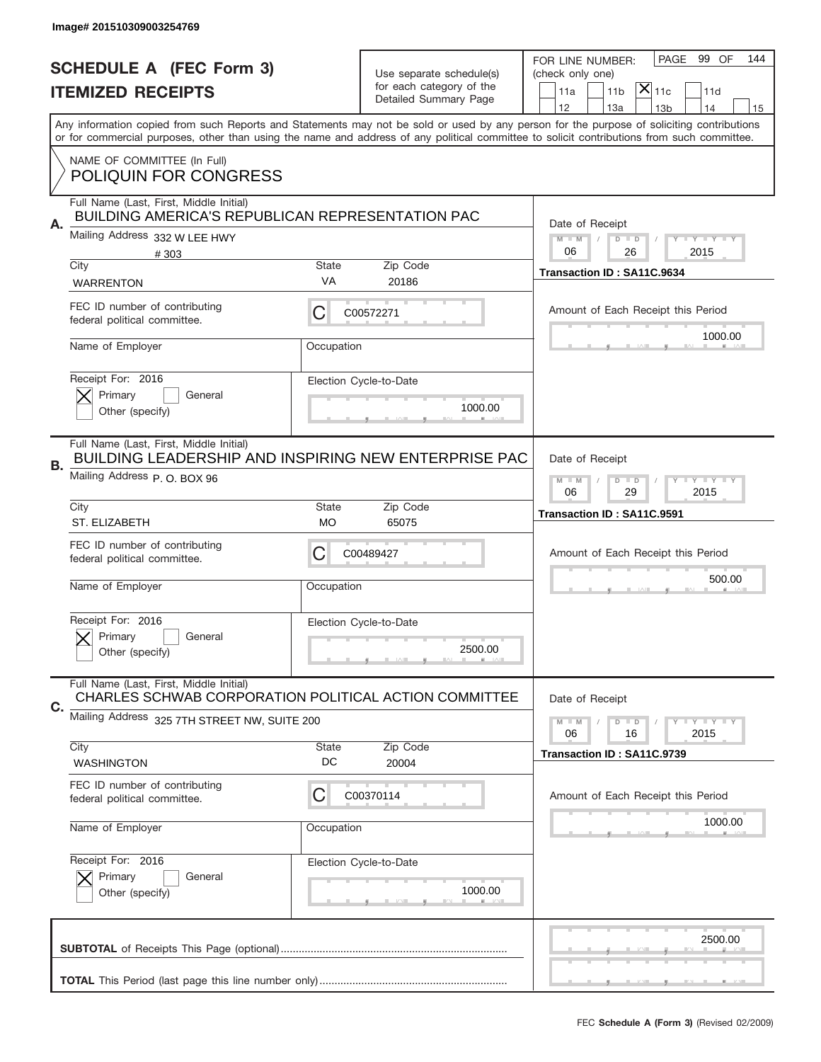|    | Image# 201510309003254769                                                                              |                                                         |                                                      |                                                                                                                                                                                                                                                                                         |
|----|--------------------------------------------------------------------------------------------------------|---------------------------------------------------------|------------------------------------------------------|-----------------------------------------------------------------------------------------------------------------------------------------------------------------------------------------------------------------------------------------------------------------------------------------|
|    | <b>SCHEDULE A (FEC Form 3)</b>                                                                         |                                                         |                                                      | PAGE<br>99 OF<br>144<br>FOR LINE NUMBER:                                                                                                                                                                                                                                                |
|    | <b>ITEMIZED RECEIPTS</b>                                                                               |                                                         | Use separate schedule(s)<br>for each category of the | (check only one)<br>$ \mathsf{X} _{\mathsf{11c}}$<br>11 <sub>b</sub><br>11d<br>11a                                                                                                                                                                                                      |
|    |                                                                                                        |                                                         | Detailed Summary Page                                | 12<br>13a<br>13 <sub>b</sub><br>14<br>15                                                                                                                                                                                                                                                |
|    |                                                                                                        |                                                         |                                                      | Any information copied from such Reports and Statements may not be sold or used by any person for the purpose of soliciting contributions<br>or for commercial purposes, other than using the name and address of any political committee to solicit contributions from such committee. |
|    | NAME OF COMMITTEE (In Full)                                                                            |                                                         |                                                      |                                                                                                                                                                                                                                                                                         |
|    | <b>POLIQUIN FOR CONGRESS</b>                                                                           |                                                         |                                                      |                                                                                                                                                                                                                                                                                         |
|    | Full Name (Last, First, Middle Initial)<br><b>BUILDING AMERICA'S REPUBLICAN REPRESENTATION PAC</b>     |                                                         |                                                      |                                                                                                                                                                                                                                                                                         |
| Α. | Mailing Address 332 W LEE HWY                                                                          |                                                         |                                                      | Date of Receipt<br>$M - M$<br>Y FY FY FY<br>$D$ $D$                                                                                                                                                                                                                                     |
|    | #303<br>City                                                                                           | <b>State</b>                                            | Zip Code                                             | 06<br>26<br>2015                                                                                                                                                                                                                                                                        |
|    | <b>WARRENTON</b>                                                                                       | VA                                                      | 20186                                                | Transaction ID: SA11C.9634                                                                                                                                                                                                                                                              |
|    | FEC ID number of contributing                                                                          | С                                                       | C00572271                                            | Amount of Each Receipt this Period                                                                                                                                                                                                                                                      |
|    | federal political committee.                                                                           |                                                         |                                                      | 1000.00                                                                                                                                                                                                                                                                                 |
|    | Name of Employer                                                                                       | Occupation                                              |                                                      |                                                                                                                                                                                                                                                                                         |
|    | Receipt For: 2016<br>Primary                                                                           |                                                         | Election Cycle-to-Date                               |                                                                                                                                                                                                                                                                                         |
|    | General<br>Other (specify)                                                                             |                                                         | 1000.00                                              |                                                                                                                                                                                                                                                                                         |
|    |                                                                                                        |                                                         |                                                      |                                                                                                                                                                                                                                                                                         |
| В. | Full Name (Last, First, Middle Initial)<br><b>BUILDING LEADERSHIP AND INSPIRING NEW ENTERPRISE PAC</b> | Date of Receipt                                         |                                                      |                                                                                                                                                                                                                                                                                         |
|    | Mailing Address P.O. BOX 96                                                                            | $M$ M<br>$D$ $D$<br><b>LY LY LY</b><br>06<br>29<br>2015 |                                                      |                                                                                                                                                                                                                                                                                         |
|    | City                                                                                                   | <b>State</b>                                            | Zip Code                                             | Transaction ID: SA11C.9591                                                                                                                                                                                                                                                              |
|    | ST. ELIZABETH                                                                                          | МO                                                      | 65075                                                |                                                                                                                                                                                                                                                                                         |
|    |                                                                                                        |                                                         |                                                      |                                                                                                                                                                                                                                                                                         |
|    | FEC ID number of contributing<br>federal political committee.                                          | C                                                       | C00489427                                            | Amount of Each Receipt this Period                                                                                                                                                                                                                                                      |
|    | Name of Employer                                                                                       | Occupation                                              |                                                      | 500.00                                                                                                                                                                                                                                                                                  |
|    |                                                                                                        |                                                         |                                                      |                                                                                                                                                                                                                                                                                         |
|    | Receipt For: 2016                                                                                      |                                                         | Election Cycle-to-Date                               |                                                                                                                                                                                                                                                                                         |
|    | General<br>Primary<br>Other (specify)                                                                  |                                                         | 2500.00                                              |                                                                                                                                                                                                                                                                                         |
|    | Full Name (Last, First, Middle Initial)                                                                |                                                         |                                                      |                                                                                                                                                                                                                                                                                         |
| C. | CHARLES SCHWAB CORPORATION POLITICAL ACTION COMMITTEE                                                  |                                                         |                                                      | Date of Receipt                                                                                                                                                                                                                                                                         |
|    | Mailing Address 325 7TH STREET NW, SUITE 200                                                           |                                                         |                                                      | $D$ $D$<br>$I - Y - I - Y - I - Y$<br>$M - M$<br>06<br>2015<br>16                                                                                                                                                                                                                       |
|    | City                                                                                                   | <b>State</b><br>DC                                      | Zip Code                                             | Transaction ID: SA11C.9739                                                                                                                                                                                                                                                              |
|    | <b>WASHINGTON</b><br>FEC ID number of contributing                                                     |                                                         | 20004                                                |                                                                                                                                                                                                                                                                                         |
|    | federal political committee.                                                                           | C                                                       | C00370114                                            | Amount of Each Receipt this Period                                                                                                                                                                                                                                                      |
|    | Name of Employer                                                                                       | Occupation                                              |                                                      | 1000.00                                                                                                                                                                                                                                                                                 |
|    | Receipt For: 2016                                                                                      |                                                         |                                                      |                                                                                                                                                                                                                                                                                         |
|    | Primary<br>General                                                                                     |                                                         | Election Cycle-to-Date                               |                                                                                                                                                                                                                                                                                         |
|    | Other (specify)                                                                                        |                                                         | 1000.00                                              |                                                                                                                                                                                                                                                                                         |
|    |                                                                                                        |                                                         |                                                      |                                                                                                                                                                                                                                                                                         |
|    |                                                                                                        |                                                         |                                                      | 2500.00                                                                                                                                                                                                                                                                                 |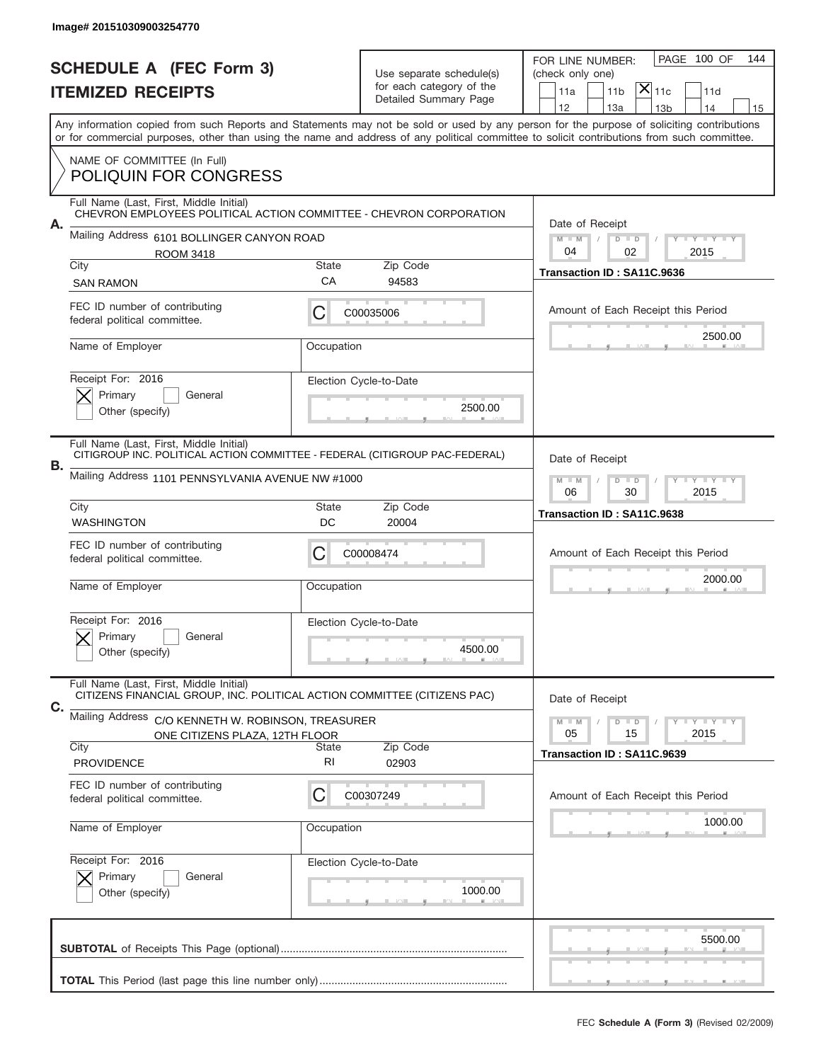|    | Image# 201510309003254770                                                                                              |                                                           |                          |                                                                                                                                                                                       |
|----|------------------------------------------------------------------------------------------------------------------------|-----------------------------------------------------------|--------------------------|---------------------------------------------------------------------------------------------------------------------------------------------------------------------------------------|
|    | <b>SCHEDULE A (FEC Form 3)</b>                                                                                         |                                                           | Use separate schedule(s) | PAGE 100 OF<br>144<br>FOR LINE NUMBER:<br>(check only one)                                                                                                                            |
|    | <b>ITEMIZED RECEIPTS</b>                                                                                               | for each category of the<br>Detailed Summary Page         |                          | $ \mathsf{X} _{\mathsf{11c}}$<br>11 <sub>b</sub><br>11d<br>11a                                                                                                                        |
|    |                                                                                                                        |                                                           |                          | 12<br>13a<br>14<br>13 <sub>b</sub><br>15<br>Any information copied from such Reports and Statements may not be sold or used by any person for the purpose of soliciting contributions |
|    |                                                                                                                        |                                                           |                          | or for commercial purposes, other than using the name and address of any political committee to solicit contributions from such committee.                                            |
|    | NAME OF COMMITTEE (In Full)<br><b>POLIQUIN FOR CONGRESS</b>                                                            |                                                           |                          |                                                                                                                                                                                       |
|    | Full Name (Last, First, Middle Initial)<br>CHEVRON EMPLOYEES POLITICAL ACTION COMMITTEE - CHEVRON CORPORATION          |                                                           |                          |                                                                                                                                                                                       |
| А. | Mailing Address 6101 BOLLINGER CANYON ROAD                                                                             |                                                           |                          | Date of Receipt<br>$M - M$<br>$D$ $D$<br>Y FY FY FY                                                                                                                                   |
|    | <b>ROOM 3418</b><br>City                                                                                               | <b>State</b>                                              | Zip Code                 | 04<br>02<br>2015                                                                                                                                                                      |
|    | <b>SAN RAMON</b>                                                                                                       | СA                                                        | 94583                    | Transaction ID: SA11C.9636                                                                                                                                                            |
|    | FEC ID number of contributing<br>federal political committee.                                                          | С                                                         | C00035006                | Amount of Each Receipt this Period                                                                                                                                                    |
|    | Name of Employer                                                                                                       | Occupation                                                |                          | 2500.00                                                                                                                                                                               |
|    | Receipt For: 2016                                                                                                      |                                                           | Election Cycle-to-Date   |                                                                                                                                                                                       |
|    | Primary<br>General<br>Other (specify)                                                                                  |                                                           | 2500.00                  |                                                                                                                                                                                       |
|    | Full Name (Last, First, Middle Initial)<br>CITIGROUP INC. POLÍTICAL ACTION COMMITTEE - FEDERAL (CITIGROUP PAC-FEDERAL) | Date of Receipt                                           |                          |                                                                                                                                                                                       |
| В. | Mailing Address 1101 PENNSYLVANIA AVENUE NW #1000                                                                      | $M - M$<br>$D$ $D$<br><b>LY LY LY</b><br>06<br>30<br>2015 |                          |                                                                                                                                                                                       |
|    | City<br><b>WASHINGTON</b>                                                                                              | State<br>DC                                               | Zip Code<br>20004        | Transaction ID: SA11C.9638                                                                                                                                                            |
|    | FEC ID number of contributing<br>federal political committee.                                                          | C                                                         | C00008474                | Amount of Each Receipt this Period                                                                                                                                                    |
|    | Name of Employer                                                                                                       | Occupation                                                |                          | 2000.00                                                                                                                                                                               |
|    | Receipt For: 2016                                                                                                      |                                                           | Election Cycle-to-Date   |                                                                                                                                                                                       |
|    | General<br>Primary<br>Other (specify)                                                                                  |                                                           | 4500.00                  |                                                                                                                                                                                       |
|    | Full Name (Last, First, Middle Initial)<br>CITIZENS FINANCIAL GROUP, INC. POLITICAL ACTION COMMITTEE (CITIZENS PAC)    |                                                           |                          | Date of Receipt                                                                                                                                                                       |
| С. | Mailing Address<br>C/O KENNETH W. ROBINSON, TREASURER                                                                  | $I - Y - I - Y - I - Y$<br>$M - M$<br>$D$ $D$             |                          |                                                                                                                                                                                       |
|    |                                                                                                                        |                                                           |                          |                                                                                                                                                                                       |
|    | ONE CITIZENS PLAZA, 12TH FLOOR<br>City                                                                                 | State                                                     | Zip Code                 | 2015<br>05<br>15                                                                                                                                                                      |
|    | <b>PROVIDENCE</b>                                                                                                      | RI                                                        | 02903                    | Transaction ID: SA11C.9639                                                                                                                                                            |
|    | FEC ID number of contributing<br>federal political committee.                                                          | C                                                         | C00307249                | Amount of Each Receipt this Period                                                                                                                                                    |
|    | Name of Employer                                                                                                       | Occupation                                                |                          | 1000.00                                                                                                                                                                               |
|    | Receipt For: 2016                                                                                                      |                                                           | Election Cycle-to-Date   |                                                                                                                                                                                       |
|    | Primary<br>General<br>Other (specify)                                                                                  |                                                           | 1000.00                  |                                                                                                                                                                                       |
|    |                                                                                                                        |                                                           |                          | 5500.00                                                                                                                                                                               |
|    |                                                                                                                        |                                                           |                          |                                                                                                                                                                                       |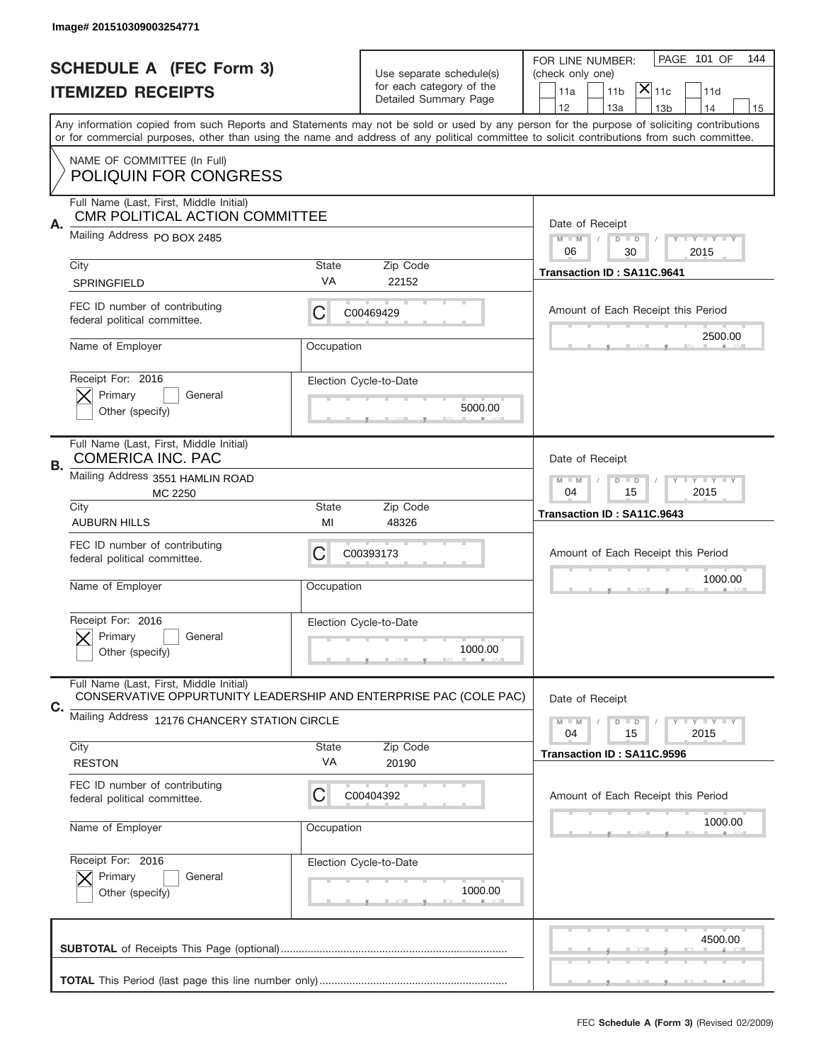|    | Image# 201510309003254771                                                                                    |                                                         |                                                      |                                                                                                                                                                                                                                                                                         |
|----|--------------------------------------------------------------------------------------------------------------|---------------------------------------------------------|------------------------------------------------------|-----------------------------------------------------------------------------------------------------------------------------------------------------------------------------------------------------------------------------------------------------------------------------------------|
|    | <b>SCHEDULE A (FEC Form 3)</b>                                                                               |                                                         | Use separate schedule(s)<br>for each category of the | PAGE 101 OF<br>144<br>FOR LINE NUMBER:<br>(check only one)                                                                                                                                                                                                                              |
|    | <b>ITEMIZED RECEIPTS</b>                                                                                     |                                                         | Detailed Summary Page                                | $ \mathsf{X} _{\mathsf{11c}}$<br>11 <sub>b</sub><br>11d<br>11a<br>12<br>13a<br>14<br>13 <sub>b</sub><br>15                                                                                                                                                                              |
|    |                                                                                                              |                                                         |                                                      | Any information copied from such Reports and Statements may not be sold or used by any person for the purpose of soliciting contributions<br>or for commercial purposes, other than using the name and address of any political committee to solicit contributions from such committee. |
|    | NAME OF COMMITTEE (In Full)<br><b>POLIQUIN FOR CONGRESS</b>                                                  |                                                         |                                                      |                                                                                                                                                                                                                                                                                         |
|    | Full Name (Last, First, Middle Initial)<br>CMR POLITICAL ACTION COMMITTEE                                    |                                                         |                                                      |                                                                                                                                                                                                                                                                                         |
| Α. | Mailing Address PO BOX 2485                                                                                  |                                                         |                                                      | Date of Receipt<br>$M - M$<br>$D$ $D$<br>Y I Y I Y I Y<br>06<br>2015<br>30                                                                                                                                                                                                              |
|    | City                                                                                                         | State                                                   | Zip Code                                             | Transaction ID: SA11C.9641                                                                                                                                                                                                                                                              |
|    | <b>SPRINGFIELD</b>                                                                                           | VA                                                      | 22152                                                |                                                                                                                                                                                                                                                                                         |
|    | FEC ID number of contributing<br>federal political committee.                                                | C                                                       | C00469429                                            | Amount of Each Receipt this Period<br>2500.00                                                                                                                                                                                                                                           |
|    | Name of Employer                                                                                             | Occupation                                              |                                                      |                                                                                                                                                                                                                                                                                         |
|    | Receipt For: 2016                                                                                            |                                                         | Election Cycle-to-Date                               |                                                                                                                                                                                                                                                                                         |
|    | Primary<br>General<br>Other (specify)                                                                        |                                                         | 5000.00                                              |                                                                                                                                                                                                                                                                                         |
| В. | Full Name (Last, First, Middle Initial)<br><b>COMERICA INC. PAC</b>                                          |                                                         |                                                      | Date of Receipt                                                                                                                                                                                                                                                                         |
|    | Mailing Address 3551 HAMLIN ROAD<br>MC 2250                                                                  | $D$ $D$<br>Y I Y I Y I Y<br>$M - M$<br>04<br>15<br>2015 |                                                      |                                                                                                                                                                                                                                                                                         |
|    | City<br><b>AUBURN HILLS</b>                                                                                  | <b>State</b><br>MI                                      | Zip Code<br>48326                                    | Transaction ID: SA11C.9643                                                                                                                                                                                                                                                              |
|    | FEC ID number of contributing<br>federal political committee.                                                | C                                                       | C00393173                                            | Amount of Each Receipt this Period                                                                                                                                                                                                                                                      |
|    | Name of Employer                                                                                             | Occupation                                              |                                                      | 1000.00                                                                                                                                                                                                                                                                                 |
|    | Receipt For: 2016                                                                                            |                                                         | Election Cycle-to-Date                               |                                                                                                                                                                                                                                                                                         |
|    | General<br>Primary<br>Other (specify)                                                                        |                                                         | 1000.00                                              |                                                                                                                                                                                                                                                                                         |
| C. | Full Name (Last, First, Middle Initial)<br>CONSERVATIVE OPPURTUNITY LEADERSHIP AND ENTERPRISE PAC (COLE PAC) |                                                         |                                                      | Date of Receipt                                                                                                                                                                                                                                                                         |
|    | Mailing Address 12176 CHANCERY STATION CIRCLE                                                                |                                                         |                                                      | $D$ $D$<br><b>LYLYLY</b><br>$M - M$<br>04<br>15<br>2015                                                                                                                                                                                                                                 |
|    | City                                                                                                         | State                                                   | Zip Code                                             | Transaction ID: SA11C.9596                                                                                                                                                                                                                                                              |
|    | <b>RESTON</b>                                                                                                | VA                                                      | 20190                                                |                                                                                                                                                                                                                                                                                         |
|    | FEC ID number of contributing<br>federal political committee.                                                | C                                                       | C00404392                                            | Amount of Each Receipt this Period                                                                                                                                                                                                                                                      |
|    | Name of Employer                                                                                             | Occupation                                              |                                                      | 1000.00                                                                                                                                                                                                                                                                                 |
|    | Receipt For: 2016                                                                                            |                                                         | Election Cycle-to-Date                               |                                                                                                                                                                                                                                                                                         |
|    | Primary<br>General<br>Other (specify)                                                                        |                                                         | 1000.00                                              |                                                                                                                                                                                                                                                                                         |
|    |                                                                                                              |                                                         |                                                      | 4500.00                                                                                                                                                                                                                                                                                 |
|    |                                                                                                              |                                                         |                                                      |                                                                                                                                                                                                                                                                                         |
|    |                                                                                                              |                                                         |                                                      |                                                                                                                                                                                                                                                                                         |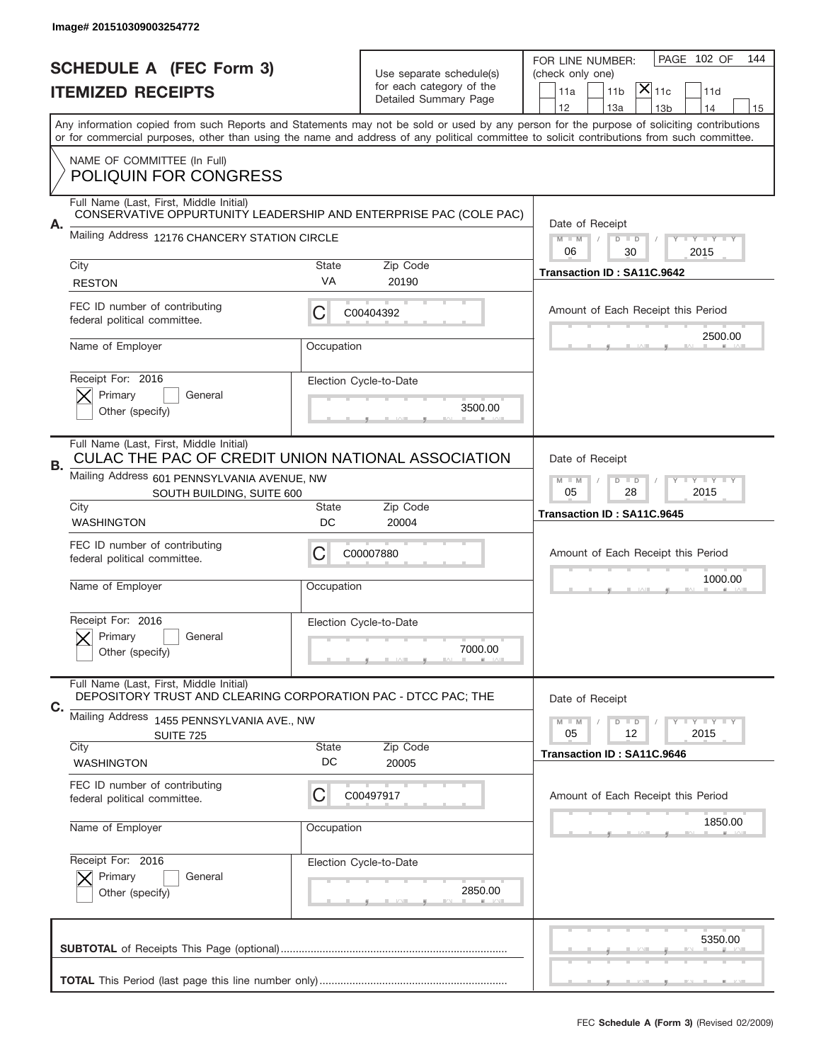|    | Image# 201510309003254772                                                                                |                 |                          |                                                                                                                                                                                                                                                                                         |
|----|----------------------------------------------------------------------------------------------------------|-----------------|--------------------------|-----------------------------------------------------------------------------------------------------------------------------------------------------------------------------------------------------------------------------------------------------------------------------------------|
|    | <b>SCHEDULE A (FEC Form 3)</b>                                                                           |                 | Use separate schedule(s) | PAGE 102 OF<br>144<br>FOR LINE NUMBER:<br>(check only one)                                                                                                                                                                                                                              |
|    | <b>ITEMIZED RECEIPTS</b>                                                                                 |                 | for each category of the | $ \mathsf{X} _{\mathsf{11c}}$<br>11 <sub>b</sub><br>11d<br>11a                                                                                                                                                                                                                          |
|    |                                                                                                          |                 | Detailed Summary Page    | 12<br>13a<br>13 <sub>b</sub><br>14<br>15                                                                                                                                                                                                                                                |
|    |                                                                                                          |                 |                          | Any information copied from such Reports and Statements may not be sold or used by any person for the purpose of soliciting contributions<br>or for commercial purposes, other than using the name and address of any political committee to solicit contributions from such committee. |
|    | NAME OF COMMITTEE (In Full)<br><b>POLIQUIN FOR CONGRESS</b>                                              |                 |                          |                                                                                                                                                                                                                                                                                         |
|    | Full Name (Last, First, Middle Initial)                                                                  |                 |                          |                                                                                                                                                                                                                                                                                         |
| А. | CONSERVATIVE OPPURTUNITY LEADERSHIP AND ENTERPRISE PAC (COLE PAC)                                        |                 |                          | Date of Receipt                                                                                                                                                                                                                                                                         |
|    | Mailing Address 12176 CHANCERY STATION CIRCLE                                                            |                 |                          | $M$ M<br>$D$ $D$<br>Y FY FY FY                                                                                                                                                                                                                                                          |
|    | City                                                                                                     | <b>State</b>    | Zip Code                 | 06<br>30<br>2015                                                                                                                                                                                                                                                                        |
|    | <b>RESTON</b>                                                                                            | VA              | 20190                    | Transaction ID: SA11C.9642                                                                                                                                                                                                                                                              |
|    | FEC ID number of contributing<br>federal political committee.                                            | C               | C00404392                | Amount of Each Receipt this Period                                                                                                                                                                                                                                                      |
|    | Name of Employer                                                                                         | Occupation      |                          | 2500.00                                                                                                                                                                                                                                                                                 |
|    | Receipt For: 2016                                                                                        |                 | Election Cycle-to-Date   |                                                                                                                                                                                                                                                                                         |
|    | Primary<br>General                                                                                       |                 | 3500.00                  |                                                                                                                                                                                                                                                                                         |
|    | Other (specify)                                                                                          |                 |                          |                                                                                                                                                                                                                                                                                         |
| В. | Full Name (Last, First, Middle Initial)<br>CULAC THE PAC OF CREDIT UNION NATIONAL ASSOCIATION            | Date of Receipt |                          |                                                                                                                                                                                                                                                                                         |
|    | Mailing Address 601 PENNSYLVANIA AVENUE, NW<br>SOUTH BUILDING, SUITE 600                                 |                 |                          | $M - M$<br>$D$ $D$<br><b>LY LY LY</b><br>05<br>28<br>2015                                                                                                                                                                                                                               |
|    | City<br><b>WASHINGTON</b>                                                                                | State<br>DC     | Zip Code<br>20004        | Transaction ID: SA11C.9645                                                                                                                                                                                                                                                              |
|    | FEC ID number of contributing<br>federal political committee.                                            | C               | C00007880                | Amount of Each Receipt this Period                                                                                                                                                                                                                                                      |
|    |                                                                                                          |                 |                          | 1000.00                                                                                                                                                                                                                                                                                 |
|    | Name of Employer                                                                                         | Occupation      |                          |                                                                                                                                                                                                                                                                                         |
|    | Receipt For: 2016                                                                                        |                 | Election Cycle-to-Date   |                                                                                                                                                                                                                                                                                         |
|    | General<br>Primary                                                                                       |                 | 7000.00                  |                                                                                                                                                                                                                                                                                         |
|    | Other (specify)                                                                                          |                 |                          |                                                                                                                                                                                                                                                                                         |
| С. | Full Name (Last, First, Middle Initial)<br>DEPOSITORY TRUST AND CLEARING CORPORATION PAC - DTCC PAC; THE |                 |                          | Date of Receipt                                                                                                                                                                                                                                                                         |
|    | Mailing Address 1455 PENNSYLVANIA AVE., NW                                                               |                 |                          | $D$ $D$<br>$I - Y - I - Y - I - Y$<br>$M - M$                                                                                                                                                                                                                                           |
|    | SUITE 725<br>City                                                                                        | <b>State</b>    | Zip Code                 | 05<br>12<br>2015                                                                                                                                                                                                                                                                        |
|    | <b>WASHINGTON</b>                                                                                        | DC              | 20005                    | Transaction ID: SA11C.9646                                                                                                                                                                                                                                                              |
|    | FEC ID number of contributing<br>federal political committee.                                            | C               | C00497917                | Amount of Each Receipt this Period                                                                                                                                                                                                                                                      |
|    | Name of Employer                                                                                         | Occupation      |                          | 1850.00                                                                                                                                                                                                                                                                                 |
|    | Receipt For: 2016                                                                                        |                 | Election Cycle-to-Date   |                                                                                                                                                                                                                                                                                         |
|    | Primary<br>General                                                                                       |                 | 2850.00                  |                                                                                                                                                                                                                                                                                         |
|    | Other (specify)                                                                                          |                 |                          |                                                                                                                                                                                                                                                                                         |
|    |                                                                                                          |                 |                          | 5350.00                                                                                                                                                                                                                                                                                 |
|    |                                                                                                          |                 |                          |                                                                                                                                                                                                                                                                                         |
|    |                                                                                                          |                 |                          |                                                                                                                                                                                                                                                                                         |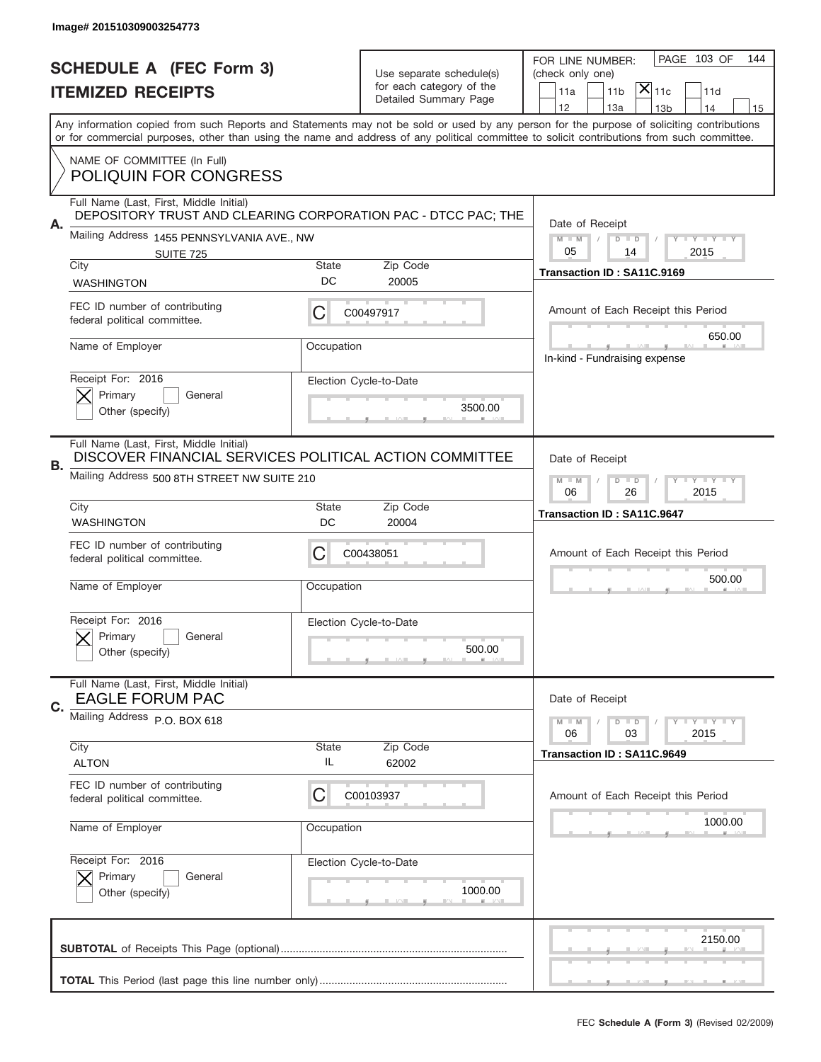|    | Image# 201510309003254773                                                                                |                                                         |                                                   |                                                                                                                                                                                                                                                                                                                                     |
|----|----------------------------------------------------------------------------------------------------------|---------------------------------------------------------|---------------------------------------------------|-------------------------------------------------------------------------------------------------------------------------------------------------------------------------------------------------------------------------------------------------------------------------------------------------------------------------------------|
|    | <b>SCHEDULE A (FEC Form 3)</b>                                                                           |                                                         | Use separate schedule(s)                          | PAGE 103 OF<br>144<br>FOR LINE NUMBER:<br>(check only one)                                                                                                                                                                                                                                                                          |
|    | <b>ITEMIZED RECEIPTS</b>                                                                                 |                                                         | for each category of the<br>Detailed Summary Page | $ \mathsf{X} _{\mathsf{11c}}$<br>11 <sub>b</sub><br>11d<br>11a                                                                                                                                                                                                                                                                      |
|    |                                                                                                          |                                                         |                                                   | 12<br>13a<br>13 <sub>b</sub><br>14<br>15<br>Any information copied from such Reports and Statements may not be sold or used by any person for the purpose of soliciting contributions<br>or for commercial purposes, other than using the name and address of any political committee to solicit contributions from such committee. |
|    | NAME OF COMMITTEE (In Full)                                                                              |                                                         |                                                   |                                                                                                                                                                                                                                                                                                                                     |
|    | <b>POLIQUIN FOR CONGRESS</b>                                                                             |                                                         |                                                   |                                                                                                                                                                                                                                                                                                                                     |
|    | Full Name (Last, First, Middle Initial)<br>DEPOSITORY TRUST AND CLEARING CORPORATION PAC - DTCC PAC; THE |                                                         |                                                   |                                                                                                                                                                                                                                                                                                                                     |
| А. | Mailing Address 1455 PENNSYLVANIA AVE., NW                                                               |                                                         |                                                   | Date of Receipt<br>$M$ M<br><b>LEY LEY LEY</b><br>$D$ $D$                                                                                                                                                                                                                                                                           |
|    | <b>SUITE 725</b><br>City                                                                                 | <b>State</b>                                            | Zip Code                                          | 05<br>14<br>2015                                                                                                                                                                                                                                                                                                                    |
|    | <b>WASHINGTON</b>                                                                                        | DC                                                      | 20005                                             | Transaction ID: SA11C.9169                                                                                                                                                                                                                                                                                                          |
|    | FEC ID number of contributing<br>federal political committee.                                            | C                                                       | C00497917                                         | Amount of Each Receipt this Period                                                                                                                                                                                                                                                                                                  |
|    | Name of Employer                                                                                         | Occupation                                              |                                                   | 650.00<br>In-kind - Fundraising expense                                                                                                                                                                                                                                                                                             |
|    | Receipt For: 2016<br>Primary<br>General                                                                  |                                                         | Election Cycle-to-Date                            |                                                                                                                                                                                                                                                                                                                                     |
|    | Other (specify)                                                                                          |                                                         | 3500.00                                           |                                                                                                                                                                                                                                                                                                                                     |
| В. | Full Name (Last, First, Middle Initial)<br>DISCOVER FINANCIAL SERVICES POLITICAL ACTION COMMITTEE        | Date of Receipt                                         |                                                   |                                                                                                                                                                                                                                                                                                                                     |
|    | Mailing Address 500 8TH STREET NW SUITE 210                                                              | $M$ M<br>$D$ $D$<br><b>LY LY LY</b><br>06<br>26<br>2015 |                                                   |                                                                                                                                                                                                                                                                                                                                     |
|    | City<br><b>WASHINGTON</b>                                                                                | <b>State</b><br>DC                                      | Zip Code<br>20004                                 | Transaction ID: SA11C.9647                                                                                                                                                                                                                                                                                                          |
|    | FEC ID number of contributing<br>federal political committee.                                            | C                                                       | C00438051                                         | Amount of Each Receipt this Period                                                                                                                                                                                                                                                                                                  |
|    | Name of Employer                                                                                         | Occupation                                              |                                                   | 500.00                                                                                                                                                                                                                                                                                                                              |
|    | Receipt For: 2016                                                                                        |                                                         | Election Cycle-to-Date                            |                                                                                                                                                                                                                                                                                                                                     |
|    | Primary<br>General<br>Other (specify)                                                                    |                                                         | 500.00                                            |                                                                                                                                                                                                                                                                                                                                     |
| C. | Full Name (Last, First, Middle Initial)<br><b>EAGLE FORUM PAC</b>                                        |                                                         |                                                   | Date of Receipt                                                                                                                                                                                                                                                                                                                     |
|    | Mailing Address P.O. BOX 618                                                                             |                                                         |                                                   | $I - Y - I - Y - I - Y$<br>$M - M$<br>$D$ $D$<br>06<br>2015<br>03                                                                                                                                                                                                                                                                   |
|    | City<br><b>ALTON</b>                                                                                     | <b>State</b><br>IL                                      | Zip Code<br>62002                                 | Transaction ID: SA11C.9649                                                                                                                                                                                                                                                                                                          |
|    | FEC ID number of contributing                                                                            |                                                         |                                                   |                                                                                                                                                                                                                                                                                                                                     |
|    | federal political committee.                                                                             | C                                                       | C00103937                                         | Amount of Each Receipt this Period                                                                                                                                                                                                                                                                                                  |
|    | Name of Employer                                                                                         | Occupation                                              |                                                   | 1000.00                                                                                                                                                                                                                                                                                                                             |
|    | Receipt For: 2016                                                                                        |                                                         | Election Cycle-to-Date                            |                                                                                                                                                                                                                                                                                                                                     |
|    | Primary<br>General<br>Other (specify)                                                                    |                                                         | 1000.00                                           |                                                                                                                                                                                                                                                                                                                                     |
|    |                                                                                                          |                                                         |                                                   | 2150.00                                                                                                                                                                                                                                                                                                                             |
|    |                                                                                                          |                                                         |                                                   |                                                                                                                                                                                                                                                                                                                                     |
|    |                                                                                                          |                                                         |                                                   |                                                                                                                                                                                                                                                                                                                                     |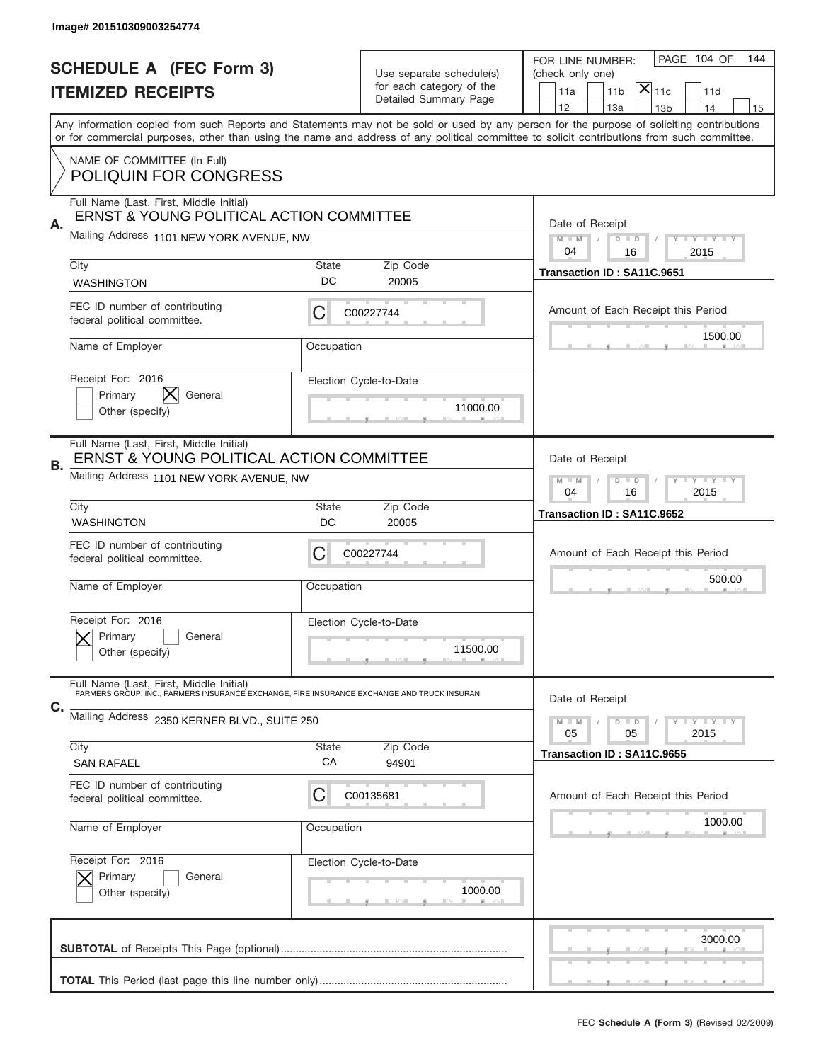|    | Image# 201510309003254774                                                                                                             |                                                         |                                                   |                                                                                                                                                                                                                                                                                         |
|----|---------------------------------------------------------------------------------------------------------------------------------------|---------------------------------------------------------|---------------------------------------------------|-----------------------------------------------------------------------------------------------------------------------------------------------------------------------------------------------------------------------------------------------------------------------------------------|
|    | <b>SCHEDULE A (FEC Form 3)</b>                                                                                                        |                                                         | Use separate schedule(s)                          | PAGE 104 OF<br>144<br>FOR LINE NUMBER:<br>(check only one)                                                                                                                                                                                                                              |
|    | <b>ITEMIZED RECEIPTS</b>                                                                                                              |                                                         | for each category of the<br>Detailed Summary Page | $ \mathsf{X} _{\mathsf{11c}}$<br>11d<br>11a<br>11 <sub>b</sub>                                                                                                                                                                                                                          |
|    |                                                                                                                                       |                                                         |                                                   | 12<br>13a<br>13 <sub>b</sub><br>14<br>15                                                                                                                                                                                                                                                |
|    |                                                                                                                                       |                                                         |                                                   | Any information copied from such Reports and Statements may not be sold or used by any person for the purpose of soliciting contributions<br>or for commercial purposes, other than using the name and address of any political committee to solicit contributions from such committee. |
|    | NAME OF COMMITTEE (In Full)<br><b>POLIQUIN FOR CONGRESS</b>                                                                           |                                                         |                                                   |                                                                                                                                                                                                                                                                                         |
|    | Full Name (Last, First, Middle Initial)<br>ERNST & YOUNG POLITICAL ACTION COMMITTEE                                                   |                                                         |                                                   |                                                                                                                                                                                                                                                                                         |
| А. | Mailing Address 1101 NEW YORK AVENUE, NW                                                                                              |                                                         |                                                   | Date of Receipt<br>$M - M$<br><b>LEY LEY LEY</b><br>$D$ $D$<br>04<br>16<br>2015                                                                                                                                                                                                         |
|    | City<br><b>WASHINGTON</b>                                                                                                             | State<br>DC                                             | Zip Code<br>20005                                 | Transaction ID: SA11C.9651                                                                                                                                                                                                                                                              |
|    | FEC ID number of contributing                                                                                                         |                                                         |                                                   |                                                                                                                                                                                                                                                                                         |
|    | federal political committee.                                                                                                          | С                                                       | C00227744                                         | Amount of Each Receipt this Period<br>1500.00                                                                                                                                                                                                                                           |
|    | Name of Employer                                                                                                                      | Occupation                                              |                                                   |                                                                                                                                                                                                                                                                                         |
|    | Receipt For: 2016<br>General                                                                                                          |                                                         | Election Cycle-to-Date                            |                                                                                                                                                                                                                                                                                         |
|    | Primary<br>Other (specify)                                                                                                            |                                                         | 11000.00                                          |                                                                                                                                                                                                                                                                                         |
|    | Full Name (Last, First, Middle Initial)                                                                                               |                                                         |                                                   |                                                                                                                                                                                                                                                                                         |
| В. | ERNST & YOUNG POLITICAL ACTION COMMITTEE<br>Mailing Address 1101 NEW YORK AVENUE, NW                                                  | Date of Receipt                                         |                                                   |                                                                                                                                                                                                                                                                                         |
|    |                                                                                                                                       | $D$ $D$<br><b>LYLYLY</b><br>$M - M$<br>04<br>16<br>2015 |                                                   |                                                                                                                                                                                                                                                                                         |
|    | City<br><b>WASHINGTON</b>                                                                                                             | State<br>DC                                             | Zip Code<br>20005                                 | Transaction ID: SA11C.9652                                                                                                                                                                                                                                                              |
|    | FEC ID number of contributing<br>federal political committee.                                                                         | C                                                       | C00227744                                         | Amount of Each Receipt this Period                                                                                                                                                                                                                                                      |
|    | Name of Employer                                                                                                                      | Occupation                                              |                                                   | 500.00                                                                                                                                                                                                                                                                                  |
|    |                                                                                                                                       |                                                         |                                                   |                                                                                                                                                                                                                                                                                         |
|    | Receipt For: 2016<br>Primary<br>General                                                                                               |                                                         | Election Cycle-to-Date                            |                                                                                                                                                                                                                                                                                         |
|    | Other (specify)                                                                                                                       |                                                         | 11500.00                                          |                                                                                                                                                                                                                                                                                         |
|    | Full Name (Last, First, Middle Initial)<br>FARMERS GROUP, INC., FARMERS INSURANCE EXCHANGE, FIRE INSURANCE EXCHANGE AND TRUCK INSURAN |                                                         |                                                   | Date of Receipt                                                                                                                                                                                                                                                                         |
| С. | Mailing Address 2350 KERNER BLVD., SUITE 250                                                                                          |                                                         |                                                   | <b>LY LY LY</b><br>$M - M$<br>$D$ $D$                                                                                                                                                                                                                                                   |
|    | City                                                                                                                                  | State                                                   | Zip Code                                          | 2015<br>05<br>05<br>Transaction ID: SA11C.9655                                                                                                                                                                                                                                          |
|    | <b>SAN RAFAEL</b><br>FEC ID number of contributing                                                                                    | СA                                                      | 94901                                             |                                                                                                                                                                                                                                                                                         |
|    | federal political committee.                                                                                                          | C                                                       | C00135681                                         | Amount of Each Receipt this Period                                                                                                                                                                                                                                                      |
|    | Name of Employer                                                                                                                      | Occupation                                              |                                                   | 1000.00                                                                                                                                                                                                                                                                                 |
|    | Receipt For: 2016                                                                                                                     |                                                         | Election Cycle-to-Date                            |                                                                                                                                                                                                                                                                                         |
|    | Primary<br>General<br>Other (specify)                                                                                                 |                                                         | 1000.00                                           |                                                                                                                                                                                                                                                                                         |
|    |                                                                                                                                       |                                                         |                                                   |                                                                                                                                                                                                                                                                                         |
|    |                                                                                                                                       |                                                         |                                                   | 3000.00                                                                                                                                                                                                                                                                                 |
|    |                                                                                                                                       |                                                         |                                                   |                                                                                                                                                                                                                                                                                         |
|    |                                                                                                                                       |                                                         |                                                   |                                                                                                                                                                                                                                                                                         |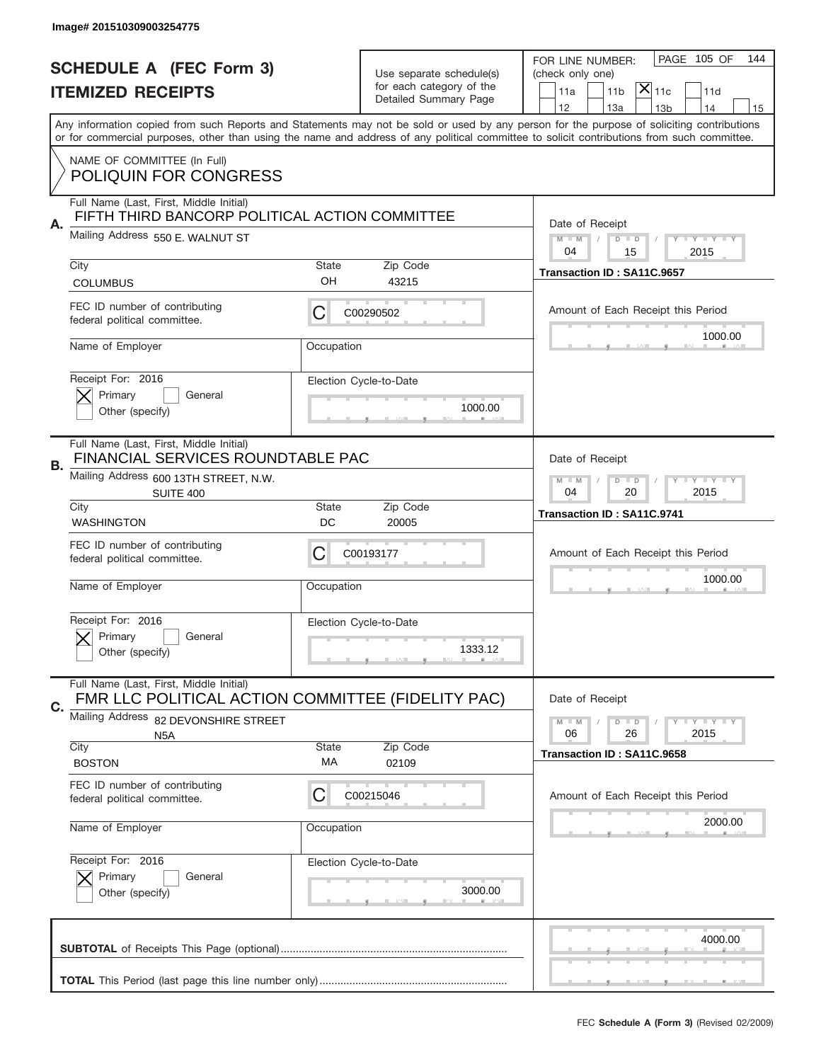|    | Image# 201510309003254775                                                                    |                                                           |                          |                                                                                                                                                                                                                                                                                         |
|----|----------------------------------------------------------------------------------------------|-----------------------------------------------------------|--------------------------|-----------------------------------------------------------------------------------------------------------------------------------------------------------------------------------------------------------------------------------------------------------------------------------------|
|    | <b>SCHEDULE A (FEC Form 3)</b>                                                               |                                                           | Use separate schedule(s) | PAGE 105 OF<br>144<br>FOR LINE NUMBER:                                                                                                                                                                                                                                                  |
|    | <b>ITEMIZED RECEIPTS</b>                                                                     |                                                           | for each category of the | (check only one)<br>$ \mathsf{X} _{\mathsf{11c}}$<br>11 <sub>b</sub><br>11d<br>11a                                                                                                                                                                                                      |
|    |                                                                                              |                                                           | Detailed Summary Page    | 12<br>13a<br>13 <sub>b</sub><br>14<br>15                                                                                                                                                                                                                                                |
|    |                                                                                              |                                                           |                          | Any information copied from such Reports and Statements may not be sold or used by any person for the purpose of soliciting contributions<br>or for commercial purposes, other than using the name and address of any political committee to solicit contributions from such committee. |
|    | NAME OF COMMITTEE (In Full)                                                                  |                                                           |                          |                                                                                                                                                                                                                                                                                         |
|    | <b>POLIQUIN FOR CONGRESS</b>                                                                 |                                                           |                          |                                                                                                                                                                                                                                                                                         |
|    | Full Name (Last, First, Middle Initial)<br>FIFTH THIRD BANCORP POLITICAL ACTION COMMITTEE    |                                                           |                          |                                                                                                                                                                                                                                                                                         |
| Α. | Mailing Address 550 E. WALNUT ST                                                             |                                                           |                          | Date of Receipt<br>$M - M$<br>Y I Y I Y I Y<br>$D$ $D$                                                                                                                                                                                                                                  |
|    | City                                                                                         | <b>State</b>                                              | Zip Code                 | 04<br>15<br>2015                                                                                                                                                                                                                                                                        |
|    | <b>COLUMBUS</b>                                                                              | OH                                                        | 43215                    | Transaction ID: SA11C.9657                                                                                                                                                                                                                                                              |
|    | FEC ID number of contributing<br>federal political committee.                                | С                                                         | C00290502                | Amount of Each Receipt this Period                                                                                                                                                                                                                                                      |
|    | Name of Employer                                                                             | Occupation                                                |                          | 1000.00                                                                                                                                                                                                                                                                                 |
|    | Receipt For: 2016                                                                            |                                                           | Election Cycle-to-Date   |                                                                                                                                                                                                                                                                                         |
|    | Primary<br>General<br>Other (specify)                                                        |                                                           | 1000.00                  |                                                                                                                                                                                                                                                                                         |
|    |                                                                                              |                                                           |                          |                                                                                                                                                                                                                                                                                         |
| В. | Full Name (Last, First, Middle Initial)<br>FINANCIAL SERVICES ROUNDTABLE PAC                 |                                                           |                          | Date of Receipt                                                                                                                                                                                                                                                                         |
|    | Mailing Address 600 13TH STREET, N.W.<br><b>SUITE 400</b>                                    | $D$ $D$<br><b>LY LY LY</b><br>$M - M$<br>04<br>20<br>2015 |                          |                                                                                                                                                                                                                                                                                         |
|    | City<br><b>WASHINGTON</b>                                                                    | <b>State</b><br>DC                                        | Zip Code<br>20005        | Transaction ID: SA11C.9741                                                                                                                                                                                                                                                              |
|    | FEC ID number of contributing<br>federal political committee.                                | С                                                         | C00193177                | Amount of Each Receipt this Period                                                                                                                                                                                                                                                      |
|    | Name of Employer                                                                             | Occupation                                                |                          | 1000.00                                                                                                                                                                                                                                                                                 |
|    | Receipt For: 2016                                                                            |                                                           | Election Cycle-to-Date   |                                                                                                                                                                                                                                                                                         |
|    | General<br>Primary                                                                           |                                                           |                          |                                                                                                                                                                                                                                                                                         |
|    | Other (specify)                                                                              |                                                           | 1333.12                  |                                                                                                                                                                                                                                                                                         |
|    | Full Name (Last, First, Middle Initial)                                                      |                                                           |                          | Date of Receipt                                                                                                                                                                                                                                                                         |
| C. | FMR LLC POLITICAL ACTION COMMITTEE (FIDELITY PAC)<br>Mailing Address<br>82 DEVONSHIRE STREET |                                                           |                          | $I - Y - I - Y - I - Y$<br>$M - M$<br>$D$ $D$                                                                                                                                                                                                                                           |
|    | N <sub>5</sub> A                                                                             | <b>State</b>                                              |                          | 06<br>2015<br>26                                                                                                                                                                                                                                                                        |
|    | City<br><b>BOSTON</b>                                                                        | МA                                                        | Zip Code<br>02109        | Transaction ID: SA11C.9658                                                                                                                                                                                                                                                              |
|    | FEC ID number of contributing<br>federal political committee.                                | С                                                         | C00215046                | Amount of Each Receipt this Period                                                                                                                                                                                                                                                      |
|    | Name of Employer                                                                             | Occupation                                                |                          | 2000.00                                                                                                                                                                                                                                                                                 |
|    | Receipt For: 2016                                                                            |                                                           | Election Cycle-to-Date   |                                                                                                                                                                                                                                                                                         |
|    | Primary<br>General<br>Other (specify)                                                        |                                                           | 3000.00                  |                                                                                                                                                                                                                                                                                         |
|    |                                                                                              |                                                           |                          | 4000.00                                                                                                                                                                                                                                                                                 |
|    |                                                                                              |                                                           |                          |                                                                                                                                                                                                                                                                                         |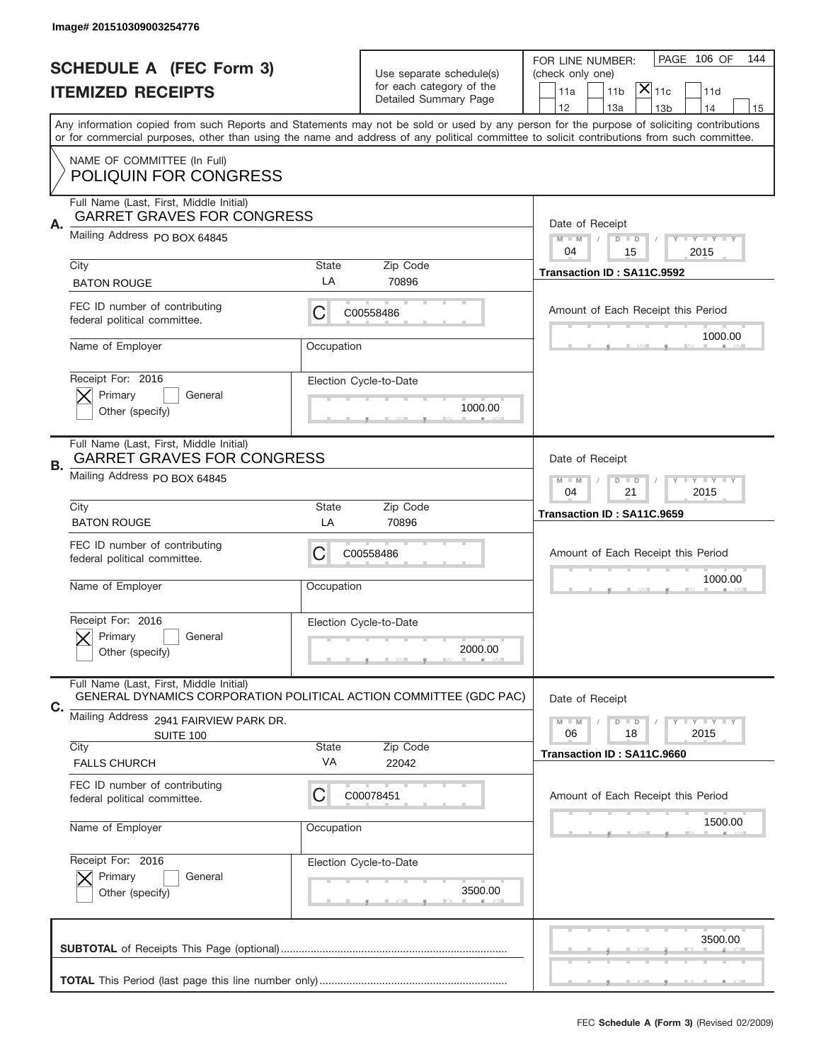|    | Image# 201510309003254776                                                                                    |                                                         |                                                   |                                                                                                                                                                                                                                                                                                                                     |
|----|--------------------------------------------------------------------------------------------------------------|---------------------------------------------------------|---------------------------------------------------|-------------------------------------------------------------------------------------------------------------------------------------------------------------------------------------------------------------------------------------------------------------------------------------------------------------------------------------|
|    | <b>SCHEDULE A (FEC Form 3)</b>                                                                               |                                                         | Use separate schedule(s)                          | PAGE 106 OF<br>144<br>FOR LINE NUMBER:<br>(check only one)                                                                                                                                                                                                                                                                          |
|    | <b>ITEMIZED RECEIPTS</b>                                                                                     |                                                         | for each category of the<br>Detailed Summary Page | $ \mathsf{X} _{\mathsf{11c}}$<br>11 <sub>b</sub><br>11d<br>11a                                                                                                                                                                                                                                                                      |
|    |                                                                                                              |                                                         |                                                   | 12<br>13a<br>14<br>13 <sub>b</sub><br>15<br>Any information copied from such Reports and Statements may not be sold or used by any person for the purpose of soliciting contributions<br>or for commercial purposes, other than using the name and address of any political committee to solicit contributions from such committee. |
|    | NAME OF COMMITTEE (In Full)<br><b>POLIQUIN FOR CONGRESS</b>                                                  |                                                         |                                                   |                                                                                                                                                                                                                                                                                                                                     |
| Α. | Full Name (Last, First, Middle Initial)<br><b>GARRET GRAVES FOR CONGRESS</b>                                 |                                                         |                                                   | Date of Receipt                                                                                                                                                                                                                                                                                                                     |
|    | Mailing Address PO BOX 64845                                                                                 |                                                         |                                                   | $M - M$<br>Y I Y I Y I Y<br>$D$ $D$<br>2015<br>04<br>15                                                                                                                                                                                                                                                                             |
|    | City<br><b>BATON ROUGE</b>                                                                                   | State<br>LA                                             | Zip Code<br>70896                                 | Transaction ID: SA11C.9592                                                                                                                                                                                                                                                                                                          |
|    | FEC ID number of contributing<br>federal political committee.                                                | C                                                       | C00558486                                         | Amount of Each Receipt this Period<br>1000.00                                                                                                                                                                                                                                                                                       |
|    | Name of Employer                                                                                             | Occupation                                              |                                                   |                                                                                                                                                                                                                                                                                                                                     |
|    | Receipt For: 2016<br>Primary<br>General<br>Other (specify)                                                   |                                                         | Election Cycle-to-Date<br>1000.00                 |                                                                                                                                                                                                                                                                                                                                     |
| В. | Full Name (Last, First, Middle Initial)<br><b>GARRET GRAVES FOR CONGRESS</b>                                 | Date of Receipt                                         |                                                   |                                                                                                                                                                                                                                                                                                                                     |
|    | Mailing Address PO BOX 64845                                                                                 | $D$ $D$<br>Y I Y I Y I Y<br>$M - M$<br>04<br>21<br>2015 |                                                   |                                                                                                                                                                                                                                                                                                                                     |
|    | City<br><b>BATON ROUGE</b>                                                                                   | <b>State</b><br>LA                                      | Zip Code<br>70896                                 | Transaction ID: SA11C.9659                                                                                                                                                                                                                                                                                                          |
|    | FEC ID number of contributing<br>federal political committee.                                                | C                                                       | C00558486                                         | Amount of Each Receipt this Period                                                                                                                                                                                                                                                                                                  |
|    | Name of Employer                                                                                             | Occupation                                              |                                                   | 1000.00                                                                                                                                                                                                                                                                                                                             |
|    | Receipt For: 2016<br>General<br>Primary<br>Other (specify)                                                   |                                                         | Election Cycle-to-Date<br>2000.00                 |                                                                                                                                                                                                                                                                                                                                     |
| C. | Full Name (Last, First, Middle Initial)<br>GENERAL DYNAMICS CORPORATION POLITICAL ACTION COMMITTEE (GDC PAC) |                                                         |                                                   | Date of Receipt                                                                                                                                                                                                                                                                                                                     |
|    | Mailing Address 2941 FAIRVIEW PARK DR.<br>SUITE 100                                                          |                                                         |                                                   | $D$ $D$<br><b>LYLYLY</b><br>$M - M$<br>06<br>18<br>2015                                                                                                                                                                                                                                                                             |
|    | City<br><b>FALLS CHURCH</b>                                                                                  | <b>State</b><br>VA                                      | Zip Code<br>22042                                 | Transaction ID: SA11C.9660                                                                                                                                                                                                                                                                                                          |
|    | FEC ID number of contributing<br>federal political committee.                                                | C                                                       | C00078451                                         | Amount of Each Receipt this Period                                                                                                                                                                                                                                                                                                  |
|    | Name of Employer                                                                                             | Occupation                                              |                                                   | 1500.00                                                                                                                                                                                                                                                                                                                             |
|    | Receipt For: 2016<br>Primary<br>General<br>Other (specify)                                                   |                                                         | Election Cycle-to-Date<br>3500.00                 |                                                                                                                                                                                                                                                                                                                                     |
|    |                                                                                                              |                                                         |                                                   | 3500.00                                                                                                                                                                                                                                                                                                                             |
|    |                                                                                                              |                                                         |                                                   |                                                                                                                                                                                                                                                                                                                                     |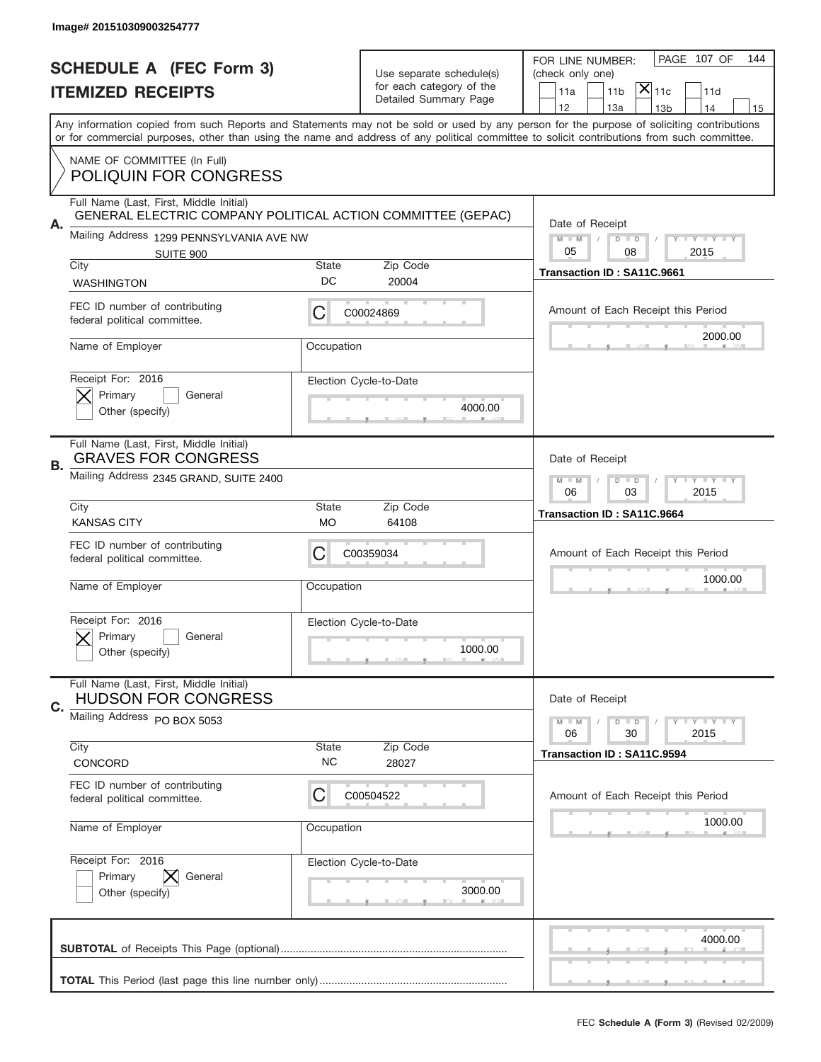|    | Image# 201510309003254777                                                                              |                                                            |                                                   |                                                                                                                                                                                                                                                                                                                                     |
|----|--------------------------------------------------------------------------------------------------------|------------------------------------------------------------|---------------------------------------------------|-------------------------------------------------------------------------------------------------------------------------------------------------------------------------------------------------------------------------------------------------------------------------------------------------------------------------------------|
|    | <b>SCHEDULE A (FEC Form 3)</b>                                                                         |                                                            | Use separate schedule(s)                          | PAGE 107 OF<br>144<br>FOR LINE NUMBER:<br>(check only one)                                                                                                                                                                                                                                                                          |
|    | <b>ITEMIZED RECEIPTS</b>                                                                               |                                                            | for each category of the<br>Detailed Summary Page | $ \mathsf{X} _{\mathsf{11c}}$<br>11 <sub>b</sub><br>11d<br>11a                                                                                                                                                                                                                                                                      |
|    |                                                                                                        |                                                            |                                                   | 12<br>13a<br>14<br>13 <sub>b</sub><br>15<br>Any information copied from such Reports and Statements may not be sold or used by any person for the purpose of soliciting contributions<br>or for commercial purposes, other than using the name and address of any political committee to solicit contributions from such committee. |
|    | NAME OF COMMITTEE (In Full)<br><b>POLIQUIN FOR CONGRESS</b>                                            |                                                            |                                                   |                                                                                                                                                                                                                                                                                                                                     |
| Α. | Full Name (Last, First, Middle Initial)<br>GENERAL ELECTRIC COMPANY POLITICAL ACTION COMMITTEE (GEPAC) |                                                            |                                                   | Date of Receipt                                                                                                                                                                                                                                                                                                                     |
|    | Mailing Address 1299 PENNSYLVANIA AVE NW<br>SUITE 900<br>City                                          | <b>State</b>                                               | Zip Code                                          | $M$ $M$<br>Y I Y I Y I Y<br>$D$ $D$<br>05<br>2015<br>08                                                                                                                                                                                                                                                                             |
|    | <b>WASHINGTON</b>                                                                                      | DC                                                         | 20004                                             | Transaction ID: SA11C.9661                                                                                                                                                                                                                                                                                                          |
|    | FEC ID number of contributing<br>federal political committee.                                          | C                                                          | C00024869                                         | Amount of Each Receipt this Period<br>2000.00                                                                                                                                                                                                                                                                                       |
|    | Name of Employer                                                                                       | Occupation                                                 |                                                   |                                                                                                                                                                                                                                                                                                                                     |
|    | Receipt For: 2016<br>Primary<br>General<br>Other (specify)                                             |                                                            | Election Cycle-to-Date<br>4000.00                 |                                                                                                                                                                                                                                                                                                                                     |
| В. | Full Name (Last, First, Middle Initial)<br><b>GRAVES FOR CONGRESS</b>                                  | Date of Receipt                                            |                                                   |                                                                                                                                                                                                                                                                                                                                     |
|    | Mailing Address 2345 GRAND, SUITE 2400                                                                 | $D$ $D$<br><b>THEY THEY</b><br>$M - M$<br>06<br>03<br>2015 |                                                   |                                                                                                                                                                                                                                                                                                                                     |
|    | City<br><b>KANSAS CITY</b>                                                                             | <b>State</b><br>МO                                         | Zip Code<br>64108                                 | Transaction ID: SA11C.9664                                                                                                                                                                                                                                                                                                          |
|    | FEC ID number of contributing<br>federal political committee.                                          | C                                                          | C00359034                                         | Amount of Each Receipt this Period                                                                                                                                                                                                                                                                                                  |
|    | Name of Employer                                                                                       | Occupation                                                 |                                                   | 1000.00                                                                                                                                                                                                                                                                                                                             |
|    | Receipt For: 2016<br>General<br>Primary<br>Other (specify)                                             |                                                            | Election Cycle-to-Date<br>1000.00                 |                                                                                                                                                                                                                                                                                                                                     |
| C. | Full Name (Last, First, Middle Initial)<br><b>HUDSON FOR CONGRESS</b>                                  |                                                            |                                                   | Date of Receipt                                                                                                                                                                                                                                                                                                                     |
|    | Mailing Address PO BOX 5053                                                                            |                                                            |                                                   | <b>LYLYLY</b><br>$M - M$<br>$D$ $D$<br>06<br>30<br>2015                                                                                                                                                                                                                                                                             |
|    | City<br>CONCORD                                                                                        | <b>State</b><br>NC.                                        | Zip Code<br>28027                                 | Transaction ID: SA11C.9594                                                                                                                                                                                                                                                                                                          |
|    | FEC ID number of contributing<br>federal political committee.                                          | C                                                          | C00504522                                         | Amount of Each Receipt this Period                                                                                                                                                                                                                                                                                                  |
|    | Name of Employer                                                                                       | Occupation                                                 |                                                   | 1000.00                                                                                                                                                                                                                                                                                                                             |
|    | Receipt For: 2016<br>Primary<br>General<br>Other (specify)                                             |                                                            | Election Cycle-to-Date<br>3000.00                 |                                                                                                                                                                                                                                                                                                                                     |
|    |                                                                                                        |                                                            |                                                   | 4000.00                                                                                                                                                                                                                                                                                                                             |
|    |                                                                                                        |                                                            |                                                   | _                                                                                                                                                                                                                                                                                                                                   |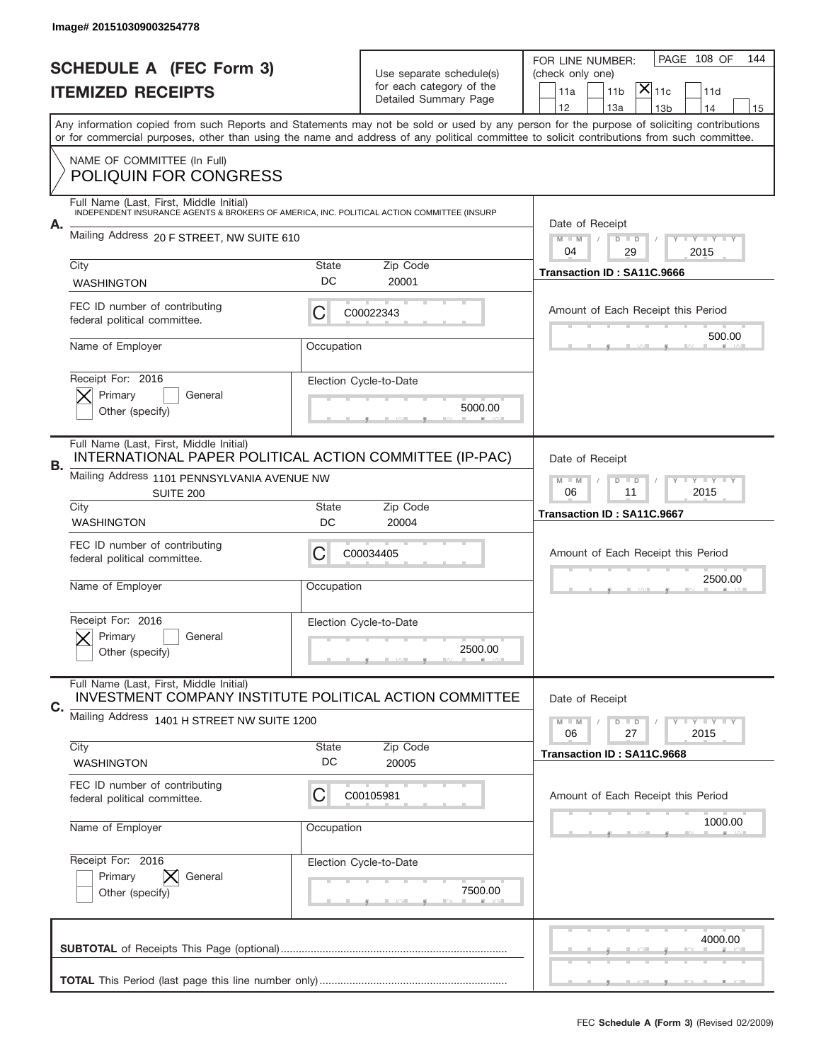|    | Image# 201510309003254778                                                                                                             |                                                              |                          |                                                                                                                                                                                       |
|----|---------------------------------------------------------------------------------------------------------------------------------------|--------------------------------------------------------------|--------------------------|---------------------------------------------------------------------------------------------------------------------------------------------------------------------------------------|
|    | <b>SCHEDULE A (FEC Form 3)</b>                                                                                                        |                                                              | Use separate schedule(s) | PAGE 108 OF<br>144<br>FOR LINE NUMBER:<br>(check only one)                                                                                                                            |
|    | <b>ITEMIZED RECEIPTS</b>                                                                                                              | for each category of the<br>Detailed Summary Page            |                          | $\mathsf{X} _{\mathsf{11c}}$<br>11a<br>11 <sub>b</sub><br>11d                                                                                                                         |
|    |                                                                                                                                       |                                                              |                          | 12<br>13a<br>13 <sub>b</sub><br>14<br>15<br>Any information copied from such Reports and Statements may not be sold or used by any person for the purpose of soliciting contributions |
|    |                                                                                                                                       |                                                              |                          | or for commercial purposes, other than using the name and address of any political committee to solicit contributions from such committee.                                            |
|    | NAME OF COMMITTEE (In Full)<br><b>POLIQUIN FOR CONGRESS</b>                                                                           |                                                              |                          |                                                                                                                                                                                       |
|    | Full Name (Last, First, Middle Initial)<br>INDEPENDENT INSURANCE AGENTS & BROKERS OF AMERICA, INC. POLITICAL ACTION COMMITTEE (INSURP |                                                              |                          |                                                                                                                                                                                       |
| А. | Mailing Address 20 F STREET, NW SUITE 610                                                                                             |                                                              |                          | Date of Receipt<br>$M - M$<br><b>LEY LEY LEY</b><br>$D$ $D$<br>04<br>29<br>2015                                                                                                       |
|    | City                                                                                                                                  | State<br>DC                                                  | Zip Code<br>20001        | Transaction ID: SA11C.9666                                                                                                                                                            |
|    | <b>WASHINGTON</b>                                                                                                                     |                                                              |                          |                                                                                                                                                                                       |
|    | FEC ID number of contributing<br>federal political committee.                                                                         | C                                                            | C00022343                | Amount of Each Receipt this Period                                                                                                                                                    |
|    | Name of Employer                                                                                                                      | Occupation                                                   |                          | 500.00                                                                                                                                                                                |
|    | Receipt For: 2016                                                                                                                     |                                                              | Election Cycle-to-Date   |                                                                                                                                                                                       |
|    | Primary<br>General<br>Other (specify)                                                                                                 |                                                              | 5000.00                  |                                                                                                                                                                                       |
|    |                                                                                                                                       |                                                              |                          |                                                                                                                                                                                       |
| В. | Full Name (Last, First, Middle Initial)<br>INTERNATIONAL PAPER POLITICAL ACTION COMMITTEE (IP-PAC)                                    | Date of Receipt                                              |                          |                                                                                                                                                                                       |
|    | Mailing Address 1101 PENNSYLVANIA AVENUE NW<br>SUITE 200                                                                              | $M - M$<br>$D$ $D$<br><b>LEY LEY LEY</b><br>06<br>11<br>2015 |                          |                                                                                                                                                                                       |
|    | City<br><b>WASHINGTON</b>                                                                                                             | <b>State</b><br>DC                                           | Zip Code<br>20004        | Transaction ID: SA11C.9667                                                                                                                                                            |
|    | FEC ID number of contributing<br>federal political committee.                                                                         | C                                                            | C00034405                | Amount of Each Receipt this Period                                                                                                                                                    |
|    | Name of Employer                                                                                                                      | Occupation                                                   |                          | 2500.00                                                                                                                                                                               |
|    |                                                                                                                                       |                                                              |                          |                                                                                                                                                                                       |
|    | Receipt For: 2016<br>General<br>Primary                                                                                               |                                                              | Election Cycle-to-Date   |                                                                                                                                                                                       |
|    | Other (specify)                                                                                                                       |                                                              | 2500.00                  |                                                                                                                                                                                       |
| C. | Full Name (Last, First, Middle Initial)<br>INVESTMENT COMPANY INSTITUTE POLITICAL ACTION COMMITTEE                                    |                                                              |                          | Date of Receipt                                                                                                                                                                       |
|    | Mailing Address 1401 H STREET NW SUITE 1200                                                                                           |                                                              |                          | $D$ $D$<br><b>LYLYLY</b><br>$M - M$<br>06<br>2015<br>27                                                                                                                               |
|    | City                                                                                                                                  | State<br>DC                                                  | Zip Code                 | Transaction ID: SA11C.9668                                                                                                                                                            |
|    | WASHINGTON<br>FEC ID number of contributing                                                                                           |                                                              | 20005                    |                                                                                                                                                                                       |
|    | federal political committee.                                                                                                          | С                                                            | C00105981                | Amount of Each Receipt this Period                                                                                                                                                    |
|    | Name of Employer                                                                                                                      | Occupation                                                   |                          | 1000.00                                                                                                                                                                               |
|    | Receipt For: 2016                                                                                                                     |                                                              | Election Cycle-to-Date   |                                                                                                                                                                                       |
|    | Primary<br>General<br>Other (specify)                                                                                                 |                                                              | 7500.00                  |                                                                                                                                                                                       |
|    |                                                                                                                                       |                                                              |                          |                                                                                                                                                                                       |
|    |                                                                                                                                       |                                                              |                          | 4000.00                                                                                                                                                                               |
|    |                                                                                                                                       |                                                              |                          | _                                                                                                                                                                                     |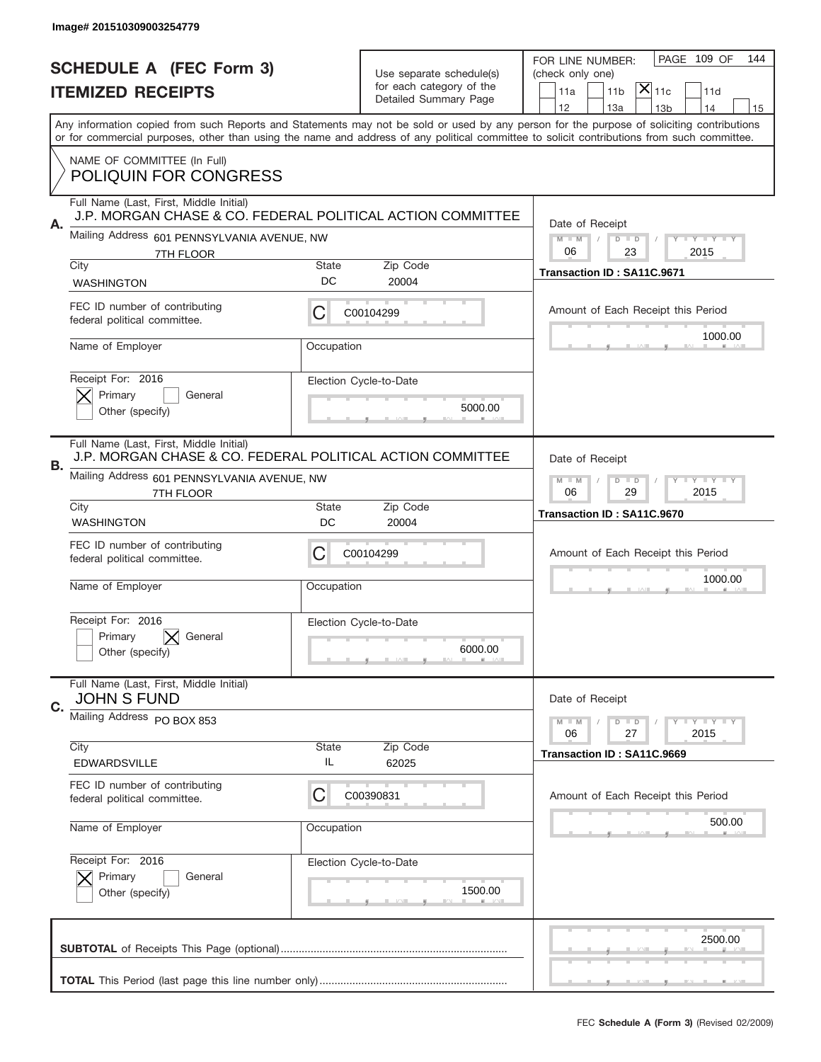|                          | Image# 201510309003254779                                                                             |                                                            |                                                   |                                                                                                                                                                                                                                                                                         |
|--------------------------|-------------------------------------------------------------------------------------------------------|------------------------------------------------------------|---------------------------------------------------|-----------------------------------------------------------------------------------------------------------------------------------------------------------------------------------------------------------------------------------------------------------------------------------------|
|                          | <b>SCHEDULE A (FEC Form 3)</b>                                                                        |                                                            | Use separate schedule(s)                          | PAGE 109 OF<br>144<br>FOR LINE NUMBER:<br>(check only one)                                                                                                                                                                                                                              |
| <b>ITEMIZED RECEIPTS</b> |                                                                                                       |                                                            | for each category of the<br>Detailed Summary Page | $ \mathsf{X} _{\mathsf{11c}}$<br>11 <sub>b</sub><br>11d<br>11a                                                                                                                                                                                                                          |
|                          |                                                                                                       |                                                            |                                                   | 12<br>13a<br>14<br>13 <sub>b</sub><br>15                                                                                                                                                                                                                                                |
|                          |                                                                                                       |                                                            |                                                   | Any information copied from such Reports and Statements may not be sold or used by any person for the purpose of soliciting contributions<br>or for commercial purposes, other than using the name and address of any political committee to solicit contributions from such committee. |
|                          | NAME OF COMMITTEE (In Full)<br><b>POLIQUIN FOR CONGRESS</b>                                           |                                                            |                                                   |                                                                                                                                                                                                                                                                                         |
| Α.                       | Full Name (Last, First, Middle Initial)<br>J.P. MORGAN CHASE & CO. FEDERAL POLITICAL ACTION COMMITTEE |                                                            |                                                   | Date of Receipt                                                                                                                                                                                                                                                                         |
|                          | Mailing Address 601 PENNSYLVANIA AVENUE, NW<br>7TH FLOOR                                              |                                                            |                                                   | $M$ $M$<br>$D$ $D$<br>Y I Y I Y I Y<br>06<br>2015<br>23                                                                                                                                                                                                                                 |
|                          | City                                                                                                  | <b>State</b><br>DC                                         | Zip Code<br>20004                                 | Transaction ID: SA11C.9671                                                                                                                                                                                                                                                              |
|                          | <b>WASHINGTON</b>                                                                                     |                                                            |                                                   |                                                                                                                                                                                                                                                                                         |
|                          | FEC ID number of contributing<br>federal political committee.                                         | C                                                          | C00104299                                         | Amount of Each Receipt this Period<br>1000.00                                                                                                                                                                                                                                           |
|                          | Name of Employer                                                                                      | Occupation                                                 |                                                   |                                                                                                                                                                                                                                                                                         |
|                          | Receipt For: 2016                                                                                     |                                                            | Election Cycle-to-Date                            |                                                                                                                                                                                                                                                                                         |
|                          | Primary<br>General<br>Other (specify)                                                                 |                                                            | 5000.00                                           |                                                                                                                                                                                                                                                                                         |
| В.                       | Full Name (Last, First, Middle Initial)<br>J.P. MORGAN CHASE & CO. FEDERAL POLITICAL ACTION COMMITTEE |                                                            |                                                   | Date of Receipt                                                                                                                                                                                                                                                                         |
|                          | Mailing Address 601 PENNSYLVANIA AVENUE, NW<br>7TH FLOOR                                              | $M - M$<br>$D$ $D$<br><b>THEY THEY</b><br>06<br>29<br>2015 |                                                   |                                                                                                                                                                                                                                                                                         |
|                          | City<br><b>WASHINGTON</b>                                                                             | <b>State</b><br>DC                                         | Zip Code<br>20004                                 | Transaction ID: SA11C.9670                                                                                                                                                                                                                                                              |
|                          | FEC ID number of contributing<br>federal political committee.                                         | C                                                          | C00104299                                         | Amount of Each Receipt this Period                                                                                                                                                                                                                                                      |
|                          | Name of Employer                                                                                      | Occupation                                                 |                                                   | 1000.00                                                                                                                                                                                                                                                                                 |
|                          | Receipt For: 2016                                                                                     |                                                            | Election Cycle-to-Date                            |                                                                                                                                                                                                                                                                                         |
|                          | Primary<br>General<br>Other (specify)                                                                 |                                                            | 6000.00                                           |                                                                                                                                                                                                                                                                                         |
| C.                       | Full Name (Last, First, Middle Initial)<br><b>JOHN S FUND</b>                                         |                                                            |                                                   | Date of Receipt                                                                                                                                                                                                                                                                         |
|                          | Mailing Address PO BOX 853                                                                            |                                                            |                                                   | $D$ $D$<br><b>LY LY LY</b><br>$M - M$<br>06<br>27<br>2015                                                                                                                                                                                                                               |
|                          | City<br><b>EDWARDSVILLE</b>                                                                           | <b>State</b><br>IL                                         | Zip Code<br>62025                                 | Transaction ID: SA11C.9669                                                                                                                                                                                                                                                              |
|                          | FEC ID number of contributing                                                                         |                                                            |                                                   |                                                                                                                                                                                                                                                                                         |
|                          | federal political committee.                                                                          | C                                                          | C00390831                                         | Amount of Each Receipt this Period                                                                                                                                                                                                                                                      |
|                          | Name of Employer                                                                                      | Occupation                                                 |                                                   | 500.00                                                                                                                                                                                                                                                                                  |
|                          | Receipt For: 2016                                                                                     |                                                            | Election Cycle-to-Date                            |                                                                                                                                                                                                                                                                                         |
|                          | Primary<br>General<br>Other (specify)                                                                 |                                                            | 1500.00                                           |                                                                                                                                                                                                                                                                                         |
|                          |                                                                                                       |                                                            |                                                   | 2500.00                                                                                                                                                                                                                                                                                 |
|                          |                                                                                                       |                                                            |                                                   |                                                                                                                                                                                                                                                                                         |
|                          |                                                                                                       |                                                            |                                                   | __                                                                                                                                                                                                                                                                                      |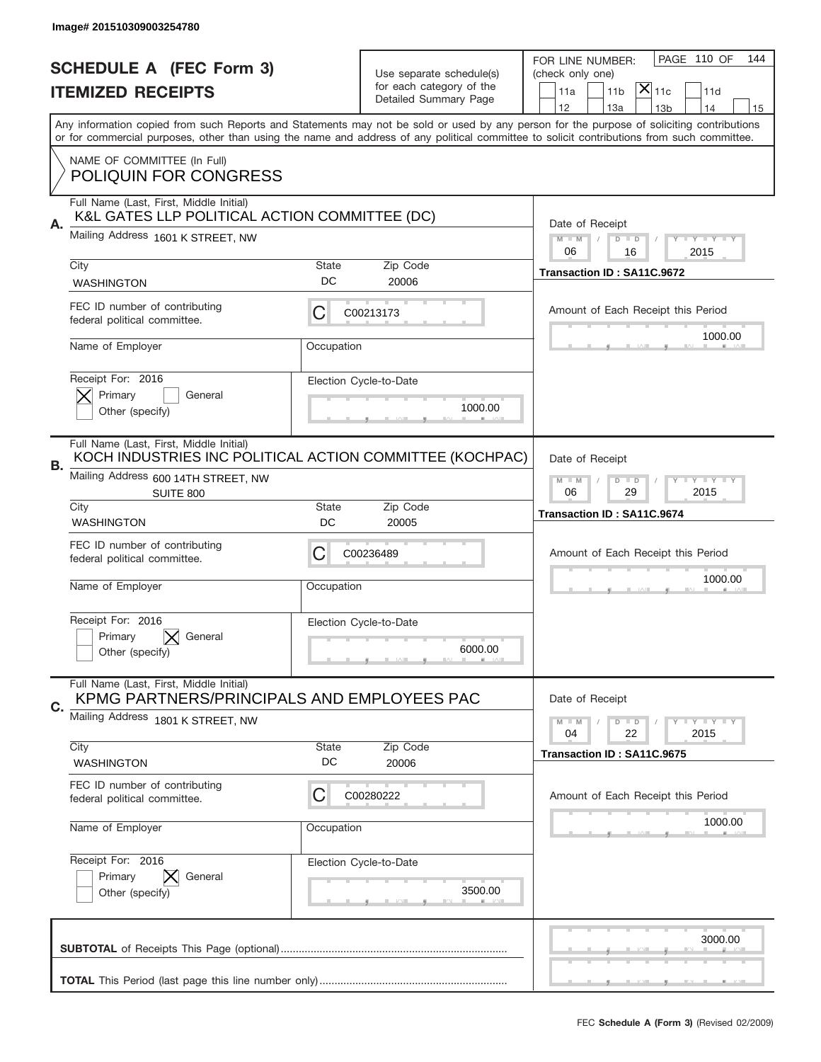|    | Image# 201510309003254780                                                                           |                                                           |                          |                                                                                                                                                                                                                                                                                         |
|----|-----------------------------------------------------------------------------------------------------|-----------------------------------------------------------|--------------------------|-----------------------------------------------------------------------------------------------------------------------------------------------------------------------------------------------------------------------------------------------------------------------------------------|
|    | <b>SCHEDULE A (FEC Form 3)</b>                                                                      |                                                           | Use separate schedule(s) | PAGE 110 OF<br>144<br>FOR LINE NUMBER:<br>(check only one)                                                                                                                                                                                                                              |
|    | <b>ITEMIZED RECEIPTS</b>                                                                            |                                                           | for each category of the | $ \mathsf{X} _{\mathsf{11c}}$<br>11 <sub>b</sub><br>11d<br>11a                                                                                                                                                                                                                          |
|    |                                                                                                     |                                                           | Detailed Summary Page    | 12<br>13a<br>14<br>13 <sub>b</sub><br>15                                                                                                                                                                                                                                                |
|    |                                                                                                     |                                                           |                          | Any information copied from such Reports and Statements may not be sold or used by any person for the purpose of soliciting contributions<br>or for commercial purposes, other than using the name and address of any political committee to solicit contributions from such committee. |
|    | NAME OF COMMITTEE (In Full)                                                                         |                                                           |                          |                                                                                                                                                                                                                                                                                         |
|    | <b>POLIQUIN FOR CONGRESS</b>                                                                        |                                                           |                          |                                                                                                                                                                                                                                                                                         |
|    | Full Name (Last, First, Middle Initial)<br>K&L GATES LLP POLITICAL ACTION COMMITTEE (DC)            |                                                           |                          |                                                                                                                                                                                                                                                                                         |
| Α. | Mailing Address 1601 K STREET, NW                                                                   |                                                           |                          | Date of Receipt<br>$M$ $M$<br>Y FY FY FY<br>$D$ $D$                                                                                                                                                                                                                                     |
|    | City                                                                                                | <b>State</b>                                              | Zip Code                 | 06<br>16<br>2015                                                                                                                                                                                                                                                                        |
|    | <b>WASHINGTON</b>                                                                                   | DC                                                        | 20006                    | Transaction ID: SA11C.9672                                                                                                                                                                                                                                                              |
|    | FEC ID number of contributing                                                                       | С                                                         | C00213173                | Amount of Each Receipt this Period                                                                                                                                                                                                                                                      |
|    | federal political committee.                                                                        |                                                           |                          | 1000.00                                                                                                                                                                                                                                                                                 |
|    | Name of Employer                                                                                    | Occupation                                                |                          |                                                                                                                                                                                                                                                                                         |
|    | Receipt For: 2016                                                                                   |                                                           | Election Cycle-to-Date   |                                                                                                                                                                                                                                                                                         |
|    | Primary<br>General<br>Other (specify)                                                               |                                                           | 1000.00                  |                                                                                                                                                                                                                                                                                         |
|    |                                                                                                     |                                                           |                          |                                                                                                                                                                                                                                                                                         |
| В. | Full Name (Last, First, Middle Initial)<br>KOCH INDUSTRIES INC POLITICAL ACTION COMMITTEE (KOCHPAC) | Date of Receipt                                           |                          |                                                                                                                                                                                                                                                                                         |
|    | Mailing Address 600 14TH STREET, NW<br>SUITE 800                                                    | $M - M$<br>$D$ $D$<br><b>LY LY LY</b><br>06<br>29<br>2015 |                          |                                                                                                                                                                                                                                                                                         |
|    | City<br><b>WASHINGTON</b>                                                                           | <b>State</b><br>DC                                        | Zip Code<br>20005        | Transaction ID: SA11C.9674                                                                                                                                                                                                                                                              |
|    | FEC ID number of contributing                                                                       |                                                           |                          |                                                                                                                                                                                                                                                                                         |
|    | federal political committee.                                                                        | C                                                         | C00236489                | Amount of Each Receipt this Period                                                                                                                                                                                                                                                      |
|    | Name of Employer                                                                                    | Occupation                                                |                          | 1000.00                                                                                                                                                                                                                                                                                 |
|    | Receipt For: 2016                                                                                   |                                                           | Election Cycle-to-Date   |                                                                                                                                                                                                                                                                                         |
|    | Primary<br>General<br>Other (specify)                                                               |                                                           | 6000.00                  |                                                                                                                                                                                                                                                                                         |
|    |                                                                                                     |                                                           |                          |                                                                                                                                                                                                                                                                                         |
| C. | Full Name (Last, First, Middle Initial)<br>KPMG PARTNERS/PRINCIPALS AND EMPLOYEES PAC               |                                                           |                          | Date of Receipt                                                                                                                                                                                                                                                                         |
|    | Mailing Address 1801 K STREET, NW                                                                   |                                                           |                          | $D$ $D$<br><b>LYLYLY</b><br>$M - M$<br>04<br>22<br>2015                                                                                                                                                                                                                                 |
|    | City                                                                                                | <b>State</b>                                              | Zip Code                 | Transaction ID: SA11C.9675                                                                                                                                                                                                                                                              |
|    | WASHINGTON                                                                                          | DC                                                        | 20006                    |                                                                                                                                                                                                                                                                                         |
|    | FEC ID number of contributing<br>federal political committee.                                       | C                                                         | C00280222                | Amount of Each Receipt this Period                                                                                                                                                                                                                                                      |
|    | Name of Employer                                                                                    | Occupation                                                |                          | 1000.00                                                                                                                                                                                                                                                                                 |
|    |                                                                                                     |                                                           |                          |                                                                                                                                                                                                                                                                                         |
|    | Receipt For: 2016<br>Primary<br>General                                                             |                                                           | Election Cycle-to-Date   |                                                                                                                                                                                                                                                                                         |
|    | Other (specify)                                                                                     |                                                           | 3500.00                  |                                                                                                                                                                                                                                                                                         |
|    |                                                                                                     |                                                           |                          |                                                                                                                                                                                                                                                                                         |
|    |                                                                                                     |                                                           |                          | 3000.00                                                                                                                                                                                                                                                                                 |
|    |                                                                                                     |                                                           |                          |                                                                                                                                                                                                                                                                                         |
|    |                                                                                                     |                                                           |                          |                                                                                                                                                                                                                                                                                         |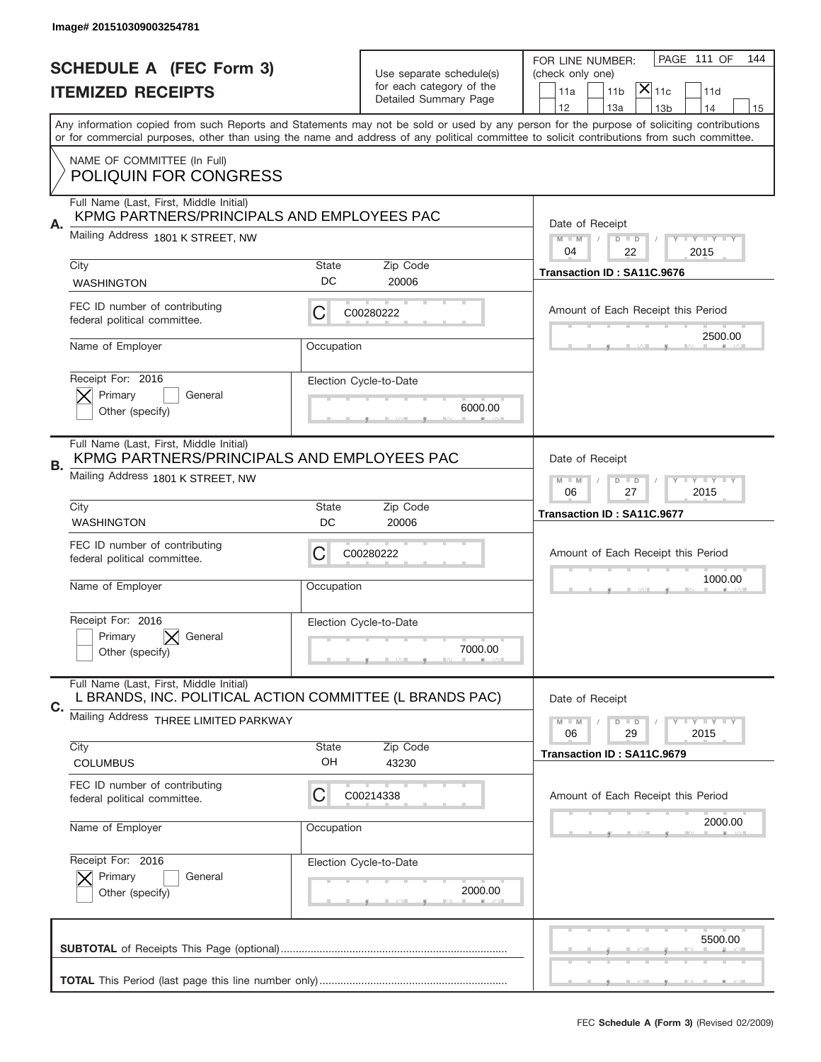|                          | Image# 201510309003254781                                                                           |                                                            |                                                      |                                                                                                                                                                                                                                                                                         |
|--------------------------|-----------------------------------------------------------------------------------------------------|------------------------------------------------------------|------------------------------------------------------|-----------------------------------------------------------------------------------------------------------------------------------------------------------------------------------------------------------------------------------------------------------------------------------------|
|                          | <b>SCHEDULE A (FEC Form 3)</b>                                                                      |                                                            |                                                      | PAGE 111 OF<br>144<br>FOR LINE NUMBER:                                                                                                                                                                                                                                                  |
| <b>ITEMIZED RECEIPTS</b> |                                                                                                     |                                                            | Use separate schedule(s)<br>for each category of the | (check only one)<br>$ \mathsf{X} _{\mathsf{11c}}$<br>11 <sub>b</sub><br>11d<br>11a                                                                                                                                                                                                      |
|                          |                                                                                                     |                                                            | Detailed Summary Page                                | 12<br>13a<br>14<br>13 <sub>b</sub><br>15                                                                                                                                                                                                                                                |
|                          |                                                                                                     |                                                            |                                                      | Any information copied from such Reports and Statements may not be sold or used by any person for the purpose of soliciting contributions<br>or for commercial purposes, other than using the name and address of any political committee to solicit contributions from such committee. |
|                          | NAME OF COMMITTEE (In Full)                                                                         |                                                            |                                                      |                                                                                                                                                                                                                                                                                         |
|                          | <b>POLIQUIN FOR CONGRESS</b>                                                                        |                                                            |                                                      |                                                                                                                                                                                                                                                                                         |
|                          | Full Name (Last, First, Middle Initial)<br>KPMG PARTNERS/PRINCIPALS AND EMPLOYEES PAC               |                                                            |                                                      |                                                                                                                                                                                                                                                                                         |
| Α.                       | Mailing Address 1801 K STREET, NW                                                                   |                                                            |                                                      | Date of Receipt<br>$M$ $M$<br>Y I Y I Y I Y<br>$D$ $D$                                                                                                                                                                                                                                  |
|                          | City                                                                                                | <b>State</b>                                               | Zip Code                                             | 22<br>04<br>2015<br>Transaction ID: SA11C.9676                                                                                                                                                                                                                                          |
|                          | <b>WASHINGTON</b>                                                                                   | DC                                                         | 20006                                                |                                                                                                                                                                                                                                                                                         |
|                          | FEC ID number of contributing<br>federal political committee.                                       | С                                                          | C00280222                                            | Amount of Each Receipt this Period                                                                                                                                                                                                                                                      |
|                          | Name of Employer                                                                                    | Occupation                                                 |                                                      | 2500.00                                                                                                                                                                                                                                                                                 |
|                          | Receipt For: 2016                                                                                   |                                                            | Election Cycle-to-Date                               |                                                                                                                                                                                                                                                                                         |
|                          | Primary<br>General<br>Other (specify)                                                               |                                                            | 6000.00                                              |                                                                                                                                                                                                                                                                                         |
|                          |                                                                                                     |                                                            |                                                      |                                                                                                                                                                                                                                                                                         |
| В.                       | Full Name (Last, First, Middle Initial)<br>KPMG PARTNERS/PRINCIPALS AND EMPLOYEES PAC               | Date of Receipt                                            |                                                      |                                                                                                                                                                                                                                                                                         |
|                          | Mailing Address 1801 K STREET, NW                                                                   | $M - M$<br>$D$ $D$<br><b>THEY THEY</b><br>06<br>27<br>2015 |                                                      |                                                                                                                                                                                                                                                                                         |
|                          | City<br><b>WASHINGTON</b>                                                                           | <b>State</b><br>DC                                         | Zip Code<br>20006                                    | Transaction ID: SA11C.9677                                                                                                                                                                                                                                                              |
|                          | FEC ID number of contributing                                                                       |                                                            |                                                      |                                                                                                                                                                                                                                                                                         |
|                          | federal political committee.                                                                        | C                                                          | C00280222                                            | Amount of Each Receipt this Period                                                                                                                                                                                                                                                      |
|                          | Name of Employer                                                                                    | Occupation                                                 |                                                      | 1000.00                                                                                                                                                                                                                                                                                 |
|                          | Receipt For: 2016                                                                                   |                                                            | Election Cycle-to-Date                               |                                                                                                                                                                                                                                                                                         |
|                          | Primary<br>General<br>Other (specify)                                                               |                                                            | 7000.00                                              |                                                                                                                                                                                                                                                                                         |
|                          | Full Name (Last, First, Middle Initial)<br>L BRANDS, INC. POLITICAL ACTION COMMITTEE (L BRANDS PAC) |                                                            |                                                      | Date of Receipt                                                                                                                                                                                                                                                                         |
| C.                       | Mailing Address THREE LIMITED PARKWAY                                                               |                                                            |                                                      | $D$ $D$<br><b>LYLYLY</b><br>$M - M$                                                                                                                                                                                                                                                     |
|                          | City                                                                                                | <b>State</b>                                               | Zip Code                                             | 06<br>29<br>2015                                                                                                                                                                                                                                                                        |
|                          | <b>COLUMBUS</b>                                                                                     | OH                                                         | 43230                                                | Transaction ID: SA11C.9679                                                                                                                                                                                                                                                              |
|                          | FEC ID number of contributing<br>federal political committee.                                       | C                                                          | C00214338                                            | Amount of Each Receipt this Period                                                                                                                                                                                                                                                      |
|                          | Name of Employer                                                                                    | Occupation                                                 |                                                      | 2000.00                                                                                                                                                                                                                                                                                 |
|                          | Receipt For: 2016                                                                                   |                                                            | Election Cycle-to-Date                               |                                                                                                                                                                                                                                                                                         |
|                          | Primary<br>General<br>Other (specify)                                                               |                                                            | 2000.00                                              |                                                                                                                                                                                                                                                                                         |
|                          |                                                                                                     |                                                            |                                                      | 5500.00                                                                                                                                                                                                                                                                                 |
|                          |                                                                                                     |                                                            |                                                      |                                                                                                                                                                                                                                                                                         |
|                          |                                                                                                     |                                                            |                                                      | _                                                                                                                                                                                                                                                                                       |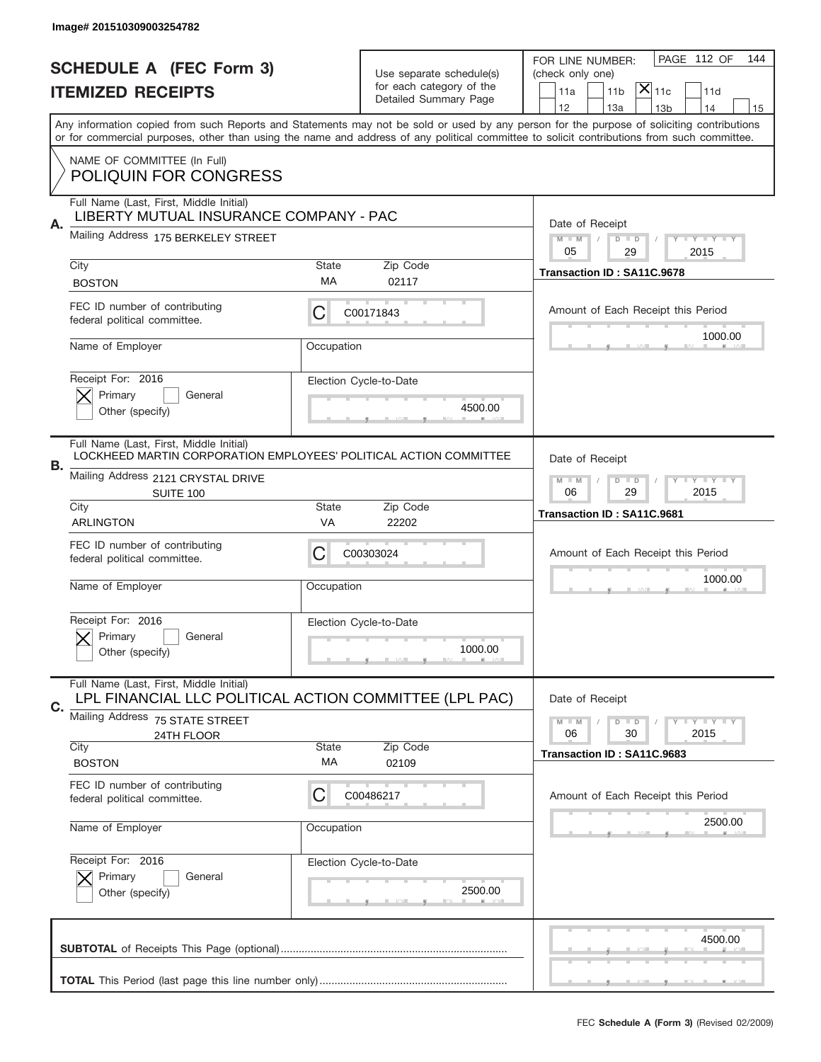|    | Image# 201510309003254782                                                                                    |                                                         |                                                   |                                                                                                                                                                                                                                                                                                                                     |
|----|--------------------------------------------------------------------------------------------------------------|---------------------------------------------------------|---------------------------------------------------|-------------------------------------------------------------------------------------------------------------------------------------------------------------------------------------------------------------------------------------------------------------------------------------------------------------------------------------|
|    | <b>SCHEDULE A (FEC Form 3)</b>                                                                               |                                                         | Use separate schedule(s)                          | PAGE 112 OF<br>144<br>FOR LINE NUMBER:<br>(check only one)                                                                                                                                                                                                                                                                          |
|    | <b>ITEMIZED RECEIPTS</b>                                                                                     |                                                         | for each category of the<br>Detailed Summary Page | $ \mathsf{\overline{X}} _{\mathsf{11c}}$<br>11d<br>11a<br>11 <sub>b</sub>                                                                                                                                                                                                                                                           |
|    |                                                                                                              |                                                         |                                                   | 12<br>13a<br>13 <sub>b</sub><br>14<br>15<br>Any information copied from such Reports and Statements may not be sold or used by any person for the purpose of soliciting contributions<br>or for commercial purposes, other than using the name and address of any political committee to solicit contributions from such committee. |
|    | NAME OF COMMITTEE (In Full)<br><b>POLIQUIN FOR CONGRESS</b>                                                  |                                                         |                                                   |                                                                                                                                                                                                                                                                                                                                     |
|    | Full Name (Last, First, Middle Initial)<br>LIBERTY MUTUAL INSURANCE COMPANY - PAC                            |                                                         |                                                   |                                                                                                                                                                                                                                                                                                                                     |
| А. | Mailing Address 175 BERKELEY STREET                                                                          |                                                         |                                                   | Date of Receipt<br>$M$ M<br><b>LEY LEY LEY</b><br>$D$ $D$<br>05<br>29<br>2015                                                                                                                                                                                                                                                       |
|    | City<br><b>BOSTON</b>                                                                                        | State<br>МA                                             | Zip Code<br>02117                                 | Transaction ID: SA11C.9678                                                                                                                                                                                                                                                                                                          |
|    | FEC ID number of contributing<br>federal political committee.                                                | С                                                       | C00171843                                         | Amount of Each Receipt this Period                                                                                                                                                                                                                                                                                                  |
|    | Name of Employer                                                                                             | Occupation                                              |                                                   | 1000.00                                                                                                                                                                                                                                                                                                                             |
|    | Receipt For: 2016<br>Primary<br>General<br>Other (specify)                                                   |                                                         | Election Cycle-to-Date<br>4500.00                 |                                                                                                                                                                                                                                                                                                                                     |
| В. | Full Name (Last, First, Middle Initial)<br>LOCKHEED MARTIN CORPORATION EMPLOYEES' POLITICAL ACTION COMMITTEE |                                                         |                                                   | Date of Receipt                                                                                                                                                                                                                                                                                                                     |
|    | Mailing Address 2121 CRYSTAL DRIVE<br><b>SUITE 100</b>                                                       | $M - M$<br>$D$ $D$<br><b>LYLYLY</b><br>06<br>29<br>2015 |                                                   |                                                                                                                                                                                                                                                                                                                                     |
|    | City<br><b>ARLINGTON</b>                                                                                     | State<br>VA                                             | Zip Code<br>22202                                 | Transaction ID: SA11C.9681                                                                                                                                                                                                                                                                                                          |
|    |                                                                                                              |                                                         |                                                   |                                                                                                                                                                                                                                                                                                                                     |
|    | FEC ID number of contributing<br>federal political committee.                                                | C                                                       | C00303024                                         | Amount of Each Receipt this Period                                                                                                                                                                                                                                                                                                  |
|    | Name of Employer                                                                                             | Occupation                                              |                                                   | 1000.00                                                                                                                                                                                                                                                                                                                             |
|    | Receipt For: 2016<br>General<br>Primary<br>Other (specify)                                                   |                                                         | Election Cycle-to-Date<br>1000.00                 |                                                                                                                                                                                                                                                                                                                                     |
|    | Full Name (Last, First, Middle Initial)<br>LPL FINANCIAL LLC POLITICAL ACTION COMMITTEE (LPL PAC)            |                                                         |                                                   | Date of Receipt                                                                                                                                                                                                                                                                                                                     |
| С. | Mailing Address 75 STATE STREET<br>24TH FLOOR                                                                |                                                         |                                                   | <b>LY LY LY</b><br>$M \perp M$<br>$D$ $D$<br>2015<br>06<br>30                                                                                                                                                                                                                                                                       |
|    | City<br><b>BOSTON</b>                                                                                        | State<br>МA                                             | Zip Code<br>02109                                 | Transaction ID: SA11C.9683                                                                                                                                                                                                                                                                                                          |
|    | FEC ID number of contributing<br>federal political committee.                                                | С                                                       | C00486217                                         | Amount of Each Receipt this Period                                                                                                                                                                                                                                                                                                  |
|    | Name of Employer                                                                                             | Occupation                                              |                                                   | 2500.00                                                                                                                                                                                                                                                                                                                             |
|    | Receipt For: 2016<br>Primary<br>General<br>Other (specify)                                                   |                                                         | Election Cycle-to-Date<br>2500.00                 |                                                                                                                                                                                                                                                                                                                                     |
|    |                                                                                                              |                                                         |                                                   | 4500.00                                                                                                                                                                                                                                                                                                                             |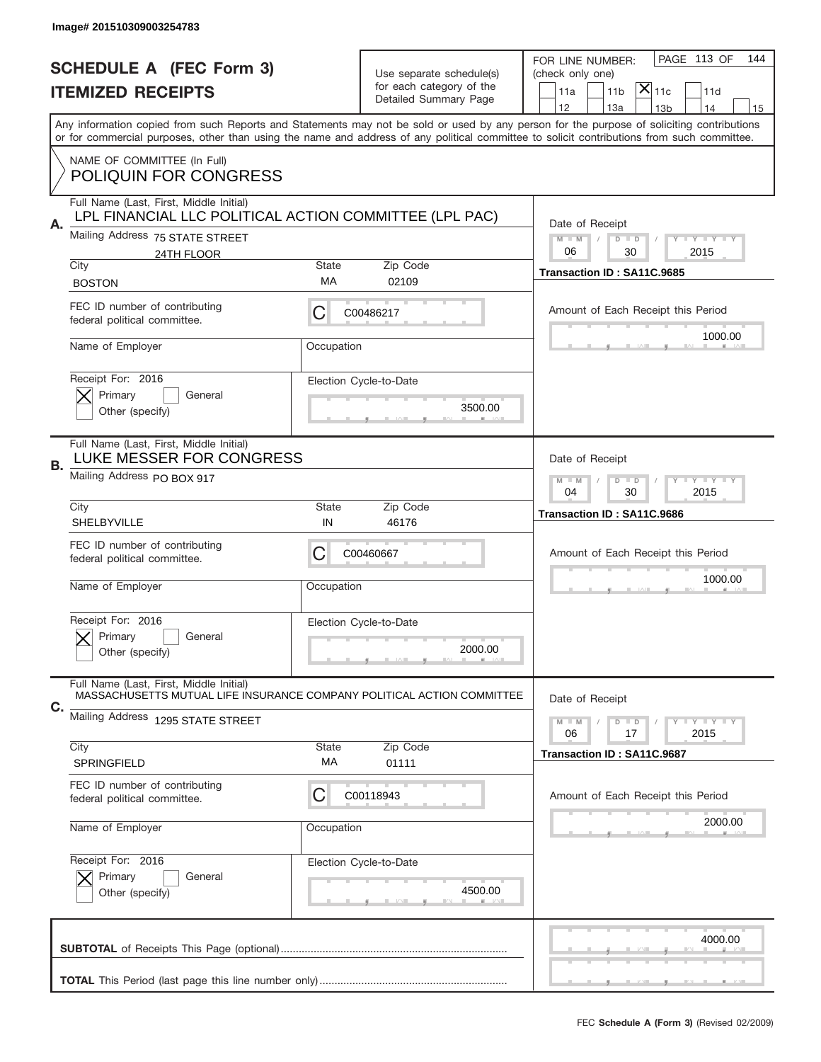|    | Image# 201510309003254783                                                                                         |                                                           |                                                   |                                                                                                                                                                                                                                                                                                                                     |
|----|-------------------------------------------------------------------------------------------------------------------|-----------------------------------------------------------|---------------------------------------------------|-------------------------------------------------------------------------------------------------------------------------------------------------------------------------------------------------------------------------------------------------------------------------------------------------------------------------------------|
|    | <b>SCHEDULE A (FEC Form 3)</b>                                                                                    |                                                           | Use separate schedule(s)                          | PAGE 113 OF<br>144<br>FOR LINE NUMBER:<br>(check only one)                                                                                                                                                                                                                                                                          |
|    | <b>ITEMIZED RECEIPTS</b>                                                                                          |                                                           | for each category of the<br>Detailed Summary Page | $ \mathsf{X} _{\mathsf{11c}}$<br>11 <sub>b</sub><br>11d<br>11a                                                                                                                                                                                                                                                                      |
|    |                                                                                                                   |                                                           |                                                   | 12<br>13a<br>14<br>13 <sub>b</sub><br>15<br>Any information copied from such Reports and Statements may not be sold or used by any person for the purpose of soliciting contributions<br>or for commercial purposes, other than using the name and address of any political committee to solicit contributions from such committee. |
|    | NAME OF COMMITTEE (In Full)                                                                                       |                                                           |                                                   |                                                                                                                                                                                                                                                                                                                                     |
|    | <b>POLIQUIN FOR CONGRESS</b>                                                                                      |                                                           |                                                   |                                                                                                                                                                                                                                                                                                                                     |
|    | Full Name (Last, First, Middle Initial)<br>LPL FINANCIAL LLC POLITICAL ACTION COMMITTEE (LPL PAC)                 |                                                           |                                                   | Date of Receipt                                                                                                                                                                                                                                                                                                                     |
| Α. | Mailing Address 75 STATE STREET                                                                                   |                                                           |                                                   | $M$ $M$<br>Y I Y I Y I Y<br>$D$ $D$                                                                                                                                                                                                                                                                                                 |
|    | 24TH FLOOR<br>City                                                                                                | <b>State</b>                                              | Zip Code                                          | 06<br>2015<br>30                                                                                                                                                                                                                                                                                                                    |
|    | <b>BOSTON</b>                                                                                                     | МA                                                        | 02109                                             | Transaction ID: SA11C.9685                                                                                                                                                                                                                                                                                                          |
|    | FEC ID number of contributing<br>federal political committee.                                                     | С                                                         | C00486217                                         | Amount of Each Receipt this Period                                                                                                                                                                                                                                                                                                  |
|    | Name of Employer                                                                                                  | Occupation                                                |                                                   | 1000.00                                                                                                                                                                                                                                                                                                                             |
|    | Receipt For: 2016                                                                                                 |                                                           | Election Cycle-to-Date                            |                                                                                                                                                                                                                                                                                                                                     |
|    | Primary<br>General<br>Other (specify)                                                                             |                                                           | 3500.00                                           |                                                                                                                                                                                                                                                                                                                                     |
| В. | Full Name (Last, First, Middle Initial)<br>LUKE MESSER FOR CONGRESS                                               |                                                           |                                                   | Date of Receipt                                                                                                                                                                                                                                                                                                                     |
|    | Mailing Address PO BOX 917                                                                                        | <b>LY LY LY</b><br>$M - M$<br>$D$ $D$<br>04<br>30<br>2015 |                                                   |                                                                                                                                                                                                                                                                                                                                     |
|    | City<br>SHELBYVILLE                                                                                               | <b>State</b><br>IN                                        | Zip Code<br>46176                                 | Transaction ID: SA11C.9686                                                                                                                                                                                                                                                                                                          |
|    | FEC ID number of contributing<br>federal political committee.                                                     | C                                                         | C00460667                                         | Amount of Each Receipt this Period                                                                                                                                                                                                                                                                                                  |
|    | Name of Employer                                                                                                  | Occupation                                                |                                                   | 1000.00                                                                                                                                                                                                                                                                                                                             |
|    | Receipt For: 2016                                                                                                 |                                                           | Election Cycle-to-Date                            |                                                                                                                                                                                                                                                                                                                                     |
|    | Primary<br>General<br>Other (specify)                                                                             |                                                           | 2000.00                                           |                                                                                                                                                                                                                                                                                                                                     |
| C. | Full Name (Last, First, Middle Initial)<br>MASSACHUSETTS MUTUAL LIFE INSURANCE COMPANY POLITICAL ACTION COMMITTEE |                                                           |                                                   | Date of Receipt                                                                                                                                                                                                                                                                                                                     |
|    | Mailing Address 1295 STATE STREET                                                                                 |                                                           |                                                   | $D$ $D$<br><b>LYLYLY</b><br>$M - M$<br>06<br>2015<br>17                                                                                                                                                                                                                                                                             |
|    | City                                                                                                              | <b>State</b>                                              | Zip Code                                          | Transaction ID: SA11C.9687                                                                                                                                                                                                                                                                                                          |
|    | SPRINGFIELD                                                                                                       | МA                                                        | 01111                                             |                                                                                                                                                                                                                                                                                                                                     |
|    | FEC ID number of contributing<br>federal political committee.                                                     | C                                                         | C00118943                                         | Amount of Each Receipt this Period                                                                                                                                                                                                                                                                                                  |
|    | Name of Employer                                                                                                  | Occupation                                                |                                                   | 2000.00                                                                                                                                                                                                                                                                                                                             |
|    | Receipt For: 2016<br>Primary<br>General                                                                           |                                                           | Election Cycle-to-Date                            |                                                                                                                                                                                                                                                                                                                                     |
|    | Other (specify)                                                                                                   |                                                           | 4500.00                                           |                                                                                                                                                                                                                                                                                                                                     |
|    |                                                                                                                   |                                                           |                                                   | 4000.00                                                                                                                                                                                                                                                                                                                             |
|    |                                                                                                                   |                                                           |                                                   |                                                                                                                                                                                                                                                                                                                                     |
|    |                                                                                                                   |                                                           |                                                   |                                                                                                                                                                                                                                                                                                                                     |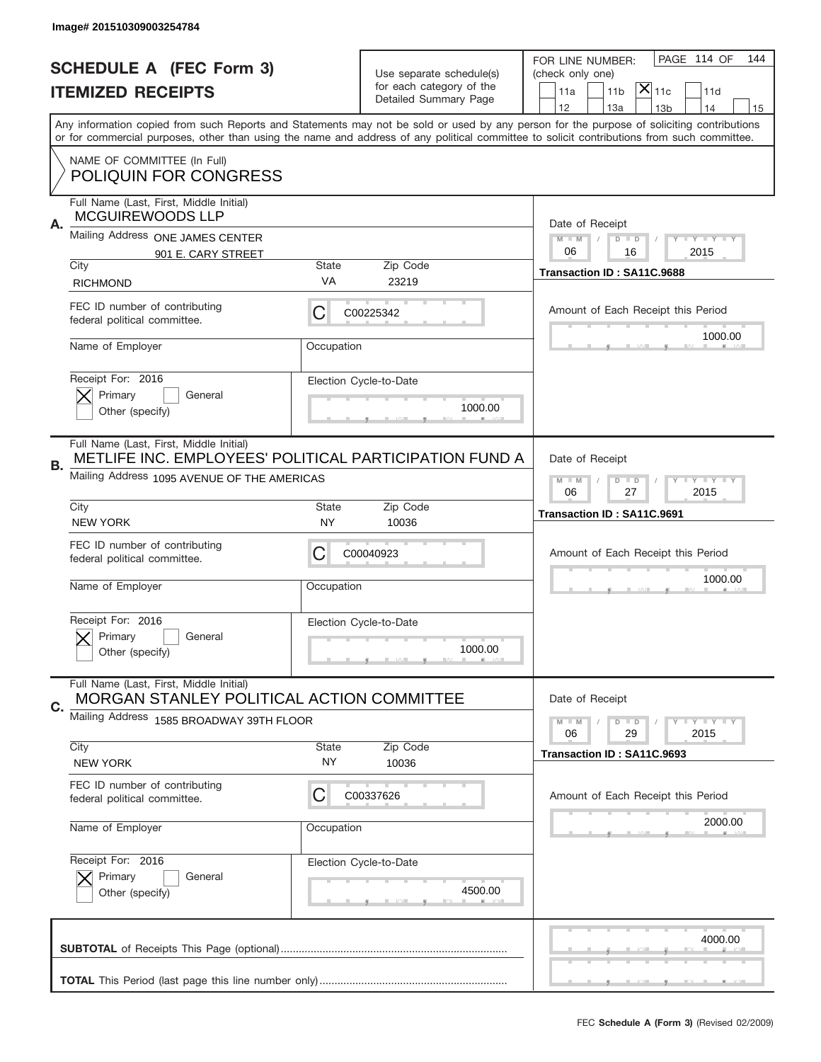|                          | Image# 201510309003254784                                                                                                                        |                                                                   |                                                   |                                                                                                                                                                                                                                                                                                                                     |
|--------------------------|--------------------------------------------------------------------------------------------------------------------------------------------------|-------------------------------------------------------------------|---------------------------------------------------|-------------------------------------------------------------------------------------------------------------------------------------------------------------------------------------------------------------------------------------------------------------------------------------------------------------------------------------|
|                          | <b>SCHEDULE A (FEC Form 3)</b>                                                                                                                   |                                                                   | Use separate schedule(s)                          | PAGE 114 OF<br>144<br>FOR LINE NUMBER:<br>(check only one)                                                                                                                                                                                                                                                                          |
| <b>ITEMIZED RECEIPTS</b> |                                                                                                                                                  |                                                                   | for each category of the<br>Detailed Summary Page | $ \mathsf{X} _{\mathsf{11c}}$<br>11 <sub>b</sub><br>11d<br>11a                                                                                                                                                                                                                                                                      |
|                          |                                                                                                                                                  |                                                                   |                                                   | 12<br>13a<br>14<br>13 <sub>b</sub><br>15<br>Any information copied from such Reports and Statements may not be sold or used by any person for the purpose of soliciting contributions<br>or for commercial purposes, other than using the name and address of any political committee to solicit contributions from such committee. |
|                          | NAME OF COMMITTEE (In Full)<br><b>POLIQUIN FOR CONGRESS</b>                                                                                      |                                                                   |                                                   |                                                                                                                                                                                                                                                                                                                                     |
| Α.                       | Full Name (Last, First, Middle Initial)<br><b>MCGUIREWOODS LLP</b>                                                                               |                                                                   |                                                   | Date of Receipt                                                                                                                                                                                                                                                                                                                     |
|                          | Mailing Address ONE JAMES CENTER<br>901 E. CARY STREET<br>City                                                                                   | <b>State</b>                                                      | Zip Code                                          | $M$ $M$<br>Y FY FY FY<br>$D$ $D$<br>06<br>2015<br>16                                                                                                                                                                                                                                                                                |
|                          | <b>RICHMOND</b>                                                                                                                                  | VA                                                                | 23219                                             | Transaction ID: SA11C.9688                                                                                                                                                                                                                                                                                                          |
|                          | FEC ID number of contributing<br>federal political committee.                                                                                    | С                                                                 | C00225342                                         | Amount of Each Receipt this Period<br>1000.00                                                                                                                                                                                                                                                                                       |
|                          | Name of Employer                                                                                                                                 | Occupation                                                        |                                                   |                                                                                                                                                                                                                                                                                                                                     |
|                          | Receipt For: 2016<br>Primary<br>General<br>Other (specify)                                                                                       |                                                                   | Election Cycle-to-Date<br>1000.00                 |                                                                                                                                                                                                                                                                                                                                     |
| <b>B.</b>                | Full Name (Last, First, Middle Initial)<br>METLIFE INC. EMPLOYEES' POLITICAL PARTICIPATION FUND A<br>Mailing Address 1095 AVENUE OF THE AMERICAS | Date of Receipt                                                   |                                                   |                                                                                                                                                                                                                                                                                                                                     |
|                          |                                                                                                                                                  | $M - M$<br>$D$ $D$<br><b>THEY THEY</b><br>06<br>27<br>2015        |                                                   |                                                                                                                                                                                                                                                                                                                                     |
|                          | City<br><b>NEW YORK</b>                                                                                                                          | <b>State</b><br>NY                                                | Zip Code<br>10036                                 | Transaction ID: SA11C.9691                                                                                                                                                                                                                                                                                                          |
|                          | FEC ID number of contributing<br>federal political committee.                                                                                    | C                                                                 | C00040923                                         | Amount of Each Receipt this Period                                                                                                                                                                                                                                                                                                  |
|                          | Name of Employer                                                                                                                                 | Occupation                                                        |                                                   | 1000.00                                                                                                                                                                                                                                                                                                                             |
|                          | Receipt For: 2016<br>General<br>Primary<br>Other (specify)                                                                                       |                                                                   | Election Cycle-to-Date<br>1000.00                 |                                                                                                                                                                                                                                                                                                                                     |
| C.                       | Full Name (Last, First, Middle Initial)<br>MORGAN STANLEY POLITICAL ACTION COMMITTEE                                                             |                                                                   |                                                   | Date of Receipt                                                                                                                                                                                                                                                                                                                     |
|                          | Mailing Address 1585 BROADWAY 39TH FLOOR                                                                                                         | $I - Y - I - Y - I - Y$<br>$M - M$<br>$D$ $D$<br>06<br>29<br>2015 |                                                   |                                                                                                                                                                                                                                                                                                                                     |
|                          | City<br><b>NEW YORK</b>                                                                                                                          | <b>State</b><br>ΝY                                                | Zip Code<br>10036                                 | Transaction ID: SA11C.9693                                                                                                                                                                                                                                                                                                          |
|                          | FEC ID number of contributing<br>federal political committee.                                                                                    | C                                                                 | C00337626                                         | Amount of Each Receipt this Period                                                                                                                                                                                                                                                                                                  |
|                          | Name of Employer                                                                                                                                 | Occupation                                                        |                                                   | 2000.00                                                                                                                                                                                                                                                                                                                             |
|                          | Receipt For: 2016<br>Primary<br>General<br>Other (specify)                                                                                       |                                                                   | Election Cycle-to-Date<br>4500.00                 |                                                                                                                                                                                                                                                                                                                                     |
|                          |                                                                                                                                                  |                                                                   |                                                   | 4000.00                                                                                                                                                                                                                                                                                                                             |
|                          |                                                                                                                                                  |                                                                   |                                                   |                                                                                                                                                                                                                                                                                                                                     |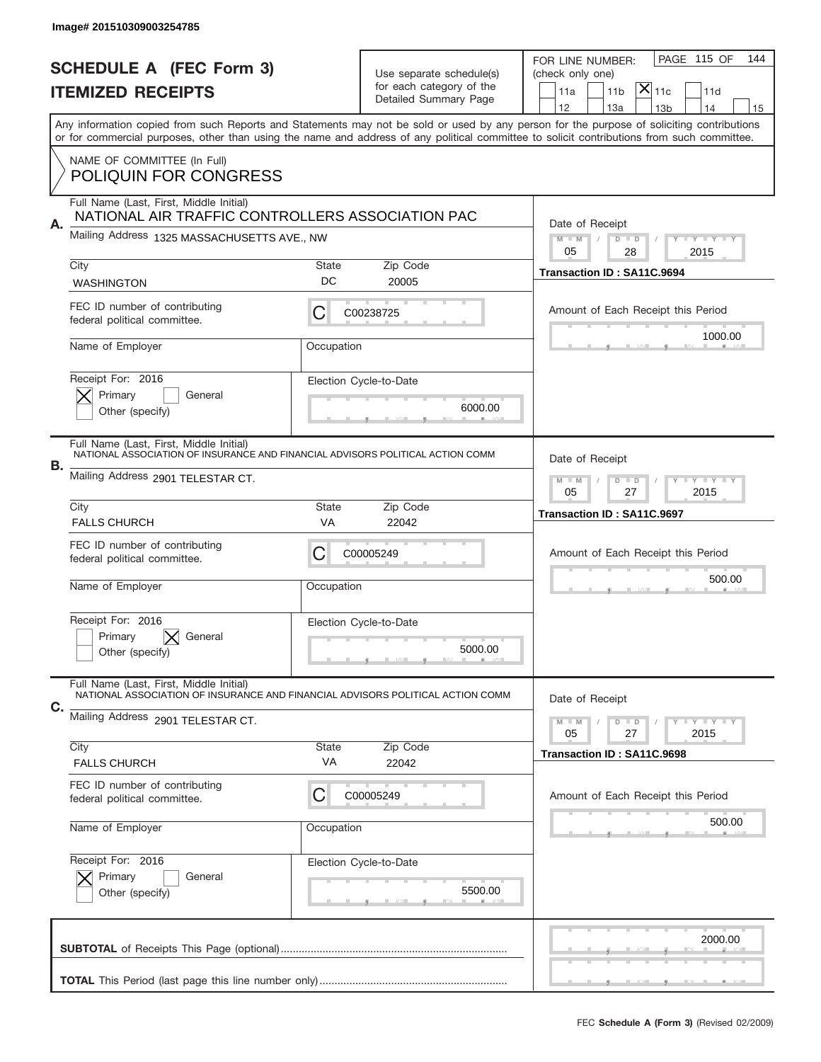|    | Image# 201510309003254785                                                                                                 |                                                         |                                                   |                                                                                                                                                                                                                                                                                         |
|----|---------------------------------------------------------------------------------------------------------------------------|---------------------------------------------------------|---------------------------------------------------|-----------------------------------------------------------------------------------------------------------------------------------------------------------------------------------------------------------------------------------------------------------------------------------------|
|    | <b>SCHEDULE A (FEC Form 3)</b>                                                                                            |                                                         | Use separate schedule(s)                          | PAGE 115 OF<br>144<br>FOR LINE NUMBER:<br>(check only one)                                                                                                                                                                                                                              |
|    | <b>ITEMIZED RECEIPTS</b>                                                                                                  |                                                         | for each category of the<br>Detailed Summary Page | $\mathsf{X} _{\mathsf{11c}}$<br>11 <sub>b</sub><br>11d<br>11a                                                                                                                                                                                                                           |
|    |                                                                                                                           |                                                         |                                                   | 12<br>13a<br>14<br>13 <sub>b</sub><br>15                                                                                                                                                                                                                                                |
|    |                                                                                                                           |                                                         |                                                   | Any information copied from such Reports and Statements may not be sold or used by any person for the purpose of soliciting contributions<br>or for commercial purposes, other than using the name and address of any political committee to solicit contributions from such committee. |
|    | NAME OF COMMITTEE (In Full)                                                                                               |                                                         |                                                   |                                                                                                                                                                                                                                                                                         |
|    | <b>POLIQUIN FOR CONGRESS</b>                                                                                              |                                                         |                                                   |                                                                                                                                                                                                                                                                                         |
|    | Full Name (Last, First, Middle Initial)<br>NATIONAL AIR TRAFFIC CONTROLLERS ASSOCIATION PAC                               |                                                         |                                                   |                                                                                                                                                                                                                                                                                         |
| Α. | Mailing Address 1325 MASSACHUSETTS AVE., NW                                                                               |                                                         |                                                   | Date of Receipt<br>$M - M$<br><b>LEY LEY LEY</b><br>$D$ $D$                                                                                                                                                                                                                             |
|    | City                                                                                                                      | State                                                   | Zip Code                                          | 05<br>28<br>2015                                                                                                                                                                                                                                                                        |
|    | <b>WASHINGTON</b>                                                                                                         | DC                                                      | 20005                                             | Transaction ID: SA11C.9694                                                                                                                                                                                                                                                              |
|    | FEC ID number of contributing<br>federal political committee.                                                             | C                                                       | C00238725                                         | Amount of Each Receipt this Period                                                                                                                                                                                                                                                      |
|    | Name of Employer                                                                                                          | Occupation                                              |                                                   | 1000.00                                                                                                                                                                                                                                                                                 |
|    | Receipt For: 2016                                                                                                         |                                                         | Election Cycle-to-Date                            |                                                                                                                                                                                                                                                                                         |
|    | Primary<br>General<br>Other (specify)                                                                                     | 6000.00                                                 |                                                   |                                                                                                                                                                                                                                                                                         |
|    |                                                                                                                           |                                                         |                                                   |                                                                                                                                                                                                                                                                                         |
| В. | Full Name (Last, First, Middle Initial)<br>NATIONAL ASSOCIATION OF INSURANCE AND FINANCIAL ADVISORS POLITICAL ACTION COMM |                                                         |                                                   | Date of Receipt                                                                                                                                                                                                                                                                         |
|    | Mailing Address 2901 TELESTAR CT.                                                                                         | $M - M$<br>$D$ $D$<br><b>LYLYLY</b><br>05<br>27<br>2015 |                                                   |                                                                                                                                                                                                                                                                                         |
|    | City<br><b>FALLS CHURCH</b>                                                                                               | <b>State</b><br>VA                                      | Zip Code<br>22042                                 | Transaction ID: SA11C.9697                                                                                                                                                                                                                                                              |
|    | FEC ID number of contributing                                                                                             |                                                         |                                                   |                                                                                                                                                                                                                                                                                         |
|    | federal political committee.                                                                                              | C                                                       | C00005249                                         | Amount of Each Receipt this Period                                                                                                                                                                                                                                                      |
|    | Name of Employer                                                                                                          | Occupation                                              |                                                   | 500.00                                                                                                                                                                                                                                                                                  |
|    | Receipt For: 2016                                                                                                         |                                                         | Election Cycle-to-Date                            |                                                                                                                                                                                                                                                                                         |
|    | Primary<br>General<br>Other (specify)                                                                                     |                                                         | 5000.00                                           |                                                                                                                                                                                                                                                                                         |
|    | Full Name (Last, First, Middle Initial)                                                                                   |                                                         |                                                   |                                                                                                                                                                                                                                                                                         |
| C. | NATIONAL ASSOCIATION OF INSURANCE AND FINANCIAL ADVISORS POLITICAL ACTION COMM                                            |                                                         |                                                   | Date of Receipt                                                                                                                                                                                                                                                                         |
|    | Mailing Address 2901 TELESTAR CT.                                                                                         |                                                         |                                                   | <b>LYLYLY</b><br>$M - M$<br>$D$ $D$<br>05<br>2015<br>27                                                                                                                                                                                                                                 |
|    | City                                                                                                                      | State                                                   | Zip Code                                          | Transaction ID: SA11C.9698                                                                                                                                                                                                                                                              |
|    | <b>FALLS CHURCH</b>                                                                                                       | VA                                                      | 22042                                             |                                                                                                                                                                                                                                                                                         |
|    | FEC ID number of contributing<br>federal political committee.                                                             | С                                                       | C00005249                                         | Amount of Each Receipt this Period                                                                                                                                                                                                                                                      |
|    | Name of Employer                                                                                                          | Occupation                                              |                                                   | 500.00                                                                                                                                                                                                                                                                                  |
|    |                                                                                                                           |                                                         |                                                   |                                                                                                                                                                                                                                                                                         |
|    | Receipt For: 2016                                                                                                         |                                                         | Election Cycle-to-Date                            |                                                                                                                                                                                                                                                                                         |
|    | Primary<br>General<br>Other (specify)                                                                                     |                                                         | 5500.00                                           |                                                                                                                                                                                                                                                                                         |
|    |                                                                                                                           |                                                         |                                                   |                                                                                                                                                                                                                                                                                         |
|    |                                                                                                                           |                                                         |                                                   | 2000.00                                                                                                                                                                                                                                                                                 |
|    |                                                                                                                           |                                                         |                                                   |                                                                                                                                                                                                                                                                                         |
|    |                                                                                                                           |                                                         |                                                   | _                                                                                                                                                                                                                                                                                       |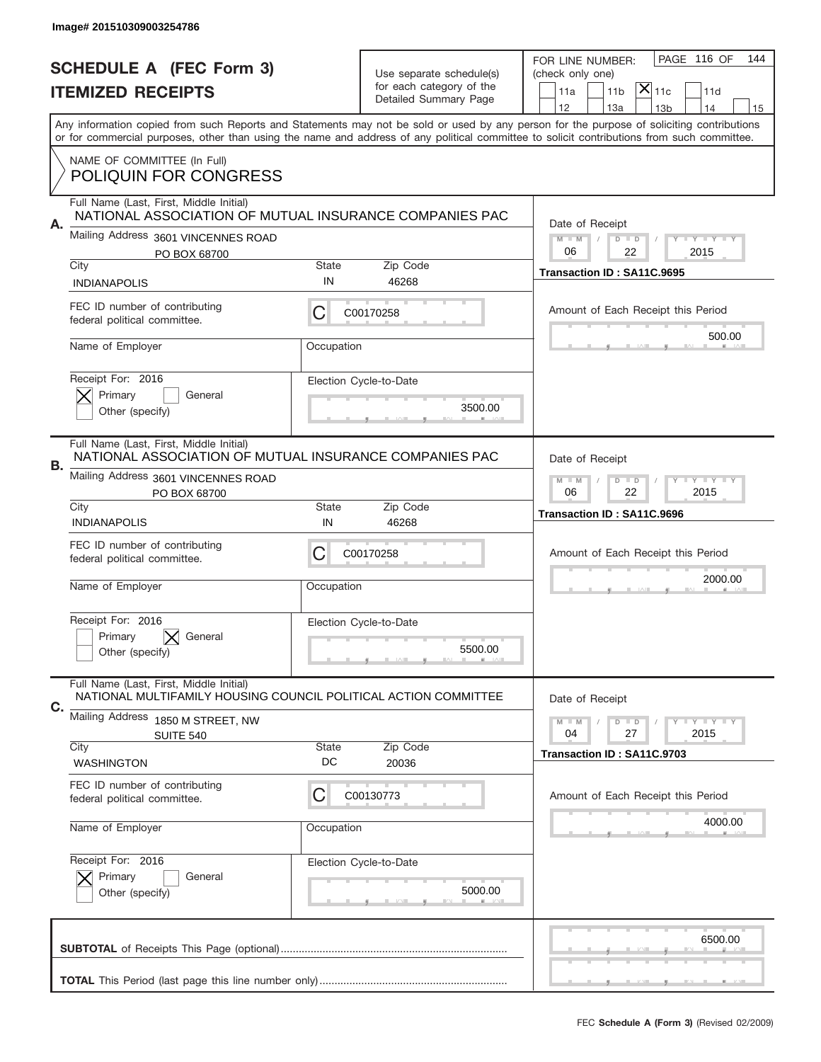|    | Image# 201510309003254786                                                                                  |                                                            |                          |                                                                                                                                                                                                                                                                                         |
|----|------------------------------------------------------------------------------------------------------------|------------------------------------------------------------|--------------------------|-----------------------------------------------------------------------------------------------------------------------------------------------------------------------------------------------------------------------------------------------------------------------------------------|
|    | <b>SCHEDULE A (FEC Form 3)</b>                                                                             |                                                            | Use separate schedule(s) | PAGE 116 OF<br>144<br>FOR LINE NUMBER:<br>(check only one)                                                                                                                                                                                                                              |
|    | <b>ITEMIZED RECEIPTS</b>                                                                                   |                                                            | for each category of the | $ \mathsf{X} _{\mathsf{11c}}$<br>11 <sub>b</sub><br>11d<br>11a                                                                                                                                                                                                                          |
|    |                                                                                                            |                                                            | Detailed Summary Page    | 12<br>13a<br>14<br>13 <sub>b</sub><br>15                                                                                                                                                                                                                                                |
|    |                                                                                                            |                                                            |                          | Any information copied from such Reports and Statements may not be sold or used by any person for the purpose of soliciting contributions<br>or for commercial purposes, other than using the name and address of any political committee to solicit contributions from such committee. |
|    | NAME OF COMMITTEE (In Full)<br><b>POLIQUIN FOR CONGRESS</b>                                                |                                                            |                          |                                                                                                                                                                                                                                                                                         |
|    | Full Name (Last, First, Middle Initial)<br>NATIONAL ASSOCIATION OF MUTUAL INSURANCE COMPANIES PAC          |                                                            |                          | Date of Receipt                                                                                                                                                                                                                                                                         |
| Α. | Mailing Address 3601 VINCENNES ROAD<br>PO BOX 68700                                                        |                                                            |                          | $M$ $M$<br>$D$ $D$<br>Y FY FY FY<br>06<br>22<br>2015                                                                                                                                                                                                                                    |
|    | City                                                                                                       | State<br>IN                                                | Zip Code<br>46268        | Transaction ID: SA11C.9695                                                                                                                                                                                                                                                              |
|    | <b>INDIANAPOLIS</b><br>FEC ID number of contributing                                                       | C                                                          | C00170258                | Amount of Each Receipt this Period                                                                                                                                                                                                                                                      |
|    | federal political committee.                                                                               |                                                            |                          | 500.00                                                                                                                                                                                                                                                                                  |
|    | Name of Employer                                                                                           | Occupation                                                 |                          |                                                                                                                                                                                                                                                                                         |
|    | Receipt For: 2016<br>Primary<br>General                                                                    |                                                            | Election Cycle-to-Date   |                                                                                                                                                                                                                                                                                         |
|    | Other (specify)                                                                                            |                                                            | 3500.00                  |                                                                                                                                                                                                                                                                                         |
|    | Full Name (Last, First, Middle Initial)<br>NATIONAL ASSOCIATION OF MUTUAL INSURANCE COMPANIES PAC          |                                                            |                          | Date of Receipt                                                                                                                                                                                                                                                                         |
| В. | Mailing Address 3601 VINCENNES ROAD<br>PO BOX 68700                                                        | $M - M$<br>$D$ $D$<br><b>THEY THEY</b><br>06<br>22<br>2015 |                          |                                                                                                                                                                                                                                                                                         |
|    | City<br><b>INDIANAPOLIS</b>                                                                                | <b>State</b><br>IN                                         | Zip Code<br>46268        | Transaction ID: SA11C.9696                                                                                                                                                                                                                                                              |
|    | FEC ID number of contributing<br>federal political committee.                                              | C                                                          | C00170258                | Amount of Each Receipt this Period                                                                                                                                                                                                                                                      |
|    | Name of Employer                                                                                           | Occupation                                                 |                          | 2000.00                                                                                                                                                                                                                                                                                 |
|    | Receipt For: 2016                                                                                          |                                                            | Election Cycle-to-Date   |                                                                                                                                                                                                                                                                                         |
|    | Primary<br>General<br>Other (specify)                                                                      |                                                            | 5500.00                  |                                                                                                                                                                                                                                                                                         |
|    | Full Name (Last, First, Middle Initial)<br>NATIONAL MULTIFAMILY HOUSING COUNCIL POLITICAL ACTION COMMITTEE |                                                            |                          | Date of Receipt                                                                                                                                                                                                                                                                         |
| C. | Mailing Address 1850 M STREET, NW                                                                          |                                                            |                          | $D$ $D$<br><b>LYLYLY</b><br>$M - M$<br>04<br>27<br>2015                                                                                                                                                                                                                                 |
|    | <b>SUITE 540</b><br>City<br><b>WASHINGTON</b>                                                              | <b>State</b><br>DC                                         | Zip Code<br>20036        | Transaction ID: SA11C.9703                                                                                                                                                                                                                                                              |
|    | FEC ID number of contributing                                                                              |                                                            |                          |                                                                                                                                                                                                                                                                                         |
|    | federal political committee.                                                                               | C                                                          | C00130773                | Amount of Each Receipt this Period                                                                                                                                                                                                                                                      |
|    | Name of Employer                                                                                           | Occupation                                                 |                          | 4000.00                                                                                                                                                                                                                                                                                 |
|    | Receipt For: 2016<br>Primary<br>General                                                                    |                                                            | Election Cycle-to-Date   |                                                                                                                                                                                                                                                                                         |
|    | Other (specify)                                                                                            |                                                            | 5000.00                  |                                                                                                                                                                                                                                                                                         |
|    |                                                                                                            |                                                            |                          |                                                                                                                                                                                                                                                                                         |
|    |                                                                                                            |                                                            |                          | 6500.00                                                                                                                                                                                                                                                                                 |
|    |                                                                                                            |                                                            |                          |                                                                                                                                                                                                                                                                                         |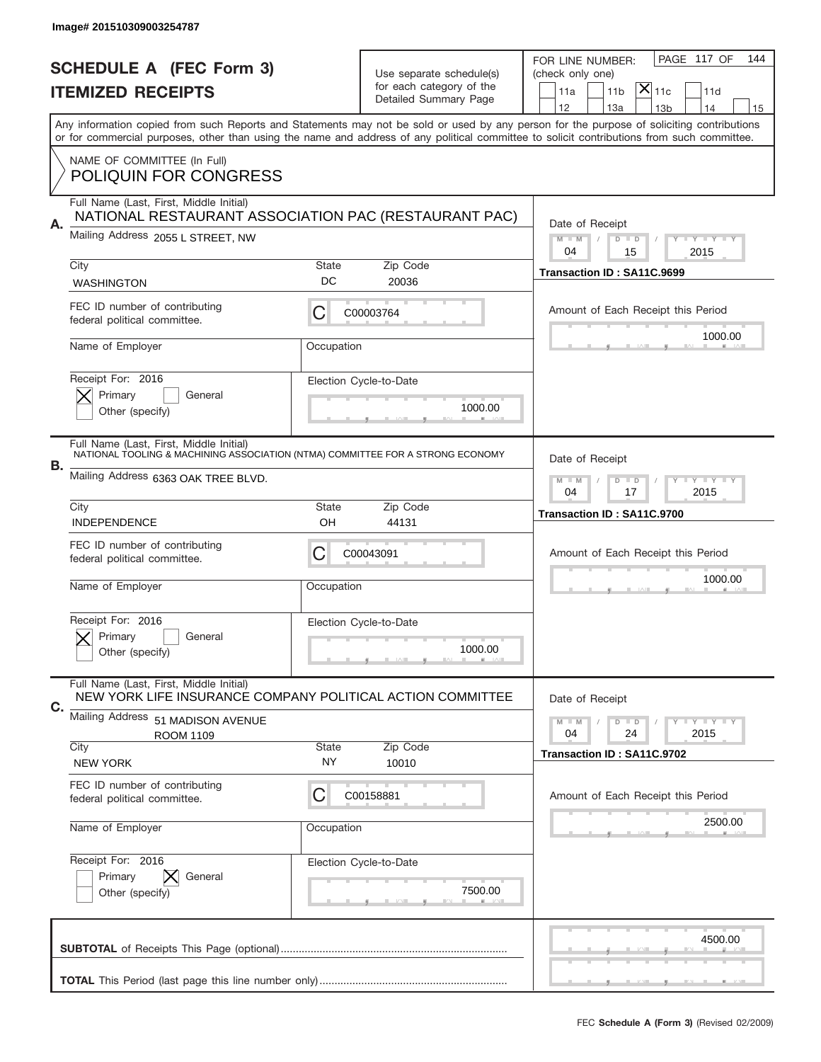|                          | Image# 201510309003254787                                                                                                 |                                                           |                          |                                                                                                                                                                                                                                                                                         |
|--------------------------|---------------------------------------------------------------------------------------------------------------------------|-----------------------------------------------------------|--------------------------|-----------------------------------------------------------------------------------------------------------------------------------------------------------------------------------------------------------------------------------------------------------------------------------------|
|                          | <b>SCHEDULE A (FEC Form 3)</b>                                                                                            |                                                           | Use separate schedule(s) | PAGE 117 OF<br>144<br>FOR LINE NUMBER:<br>(check only one)                                                                                                                                                                                                                              |
| <b>ITEMIZED RECEIPTS</b> |                                                                                                                           |                                                           | for each category of the | $ \mathsf{X} _{\mathsf{11c}}$<br>11 <sub>b</sub><br>11d<br>11a                                                                                                                                                                                                                          |
|                          |                                                                                                                           |                                                           | Detailed Summary Page    | 12<br>13a<br>13 <sub>b</sub><br>14<br>15                                                                                                                                                                                                                                                |
|                          |                                                                                                                           |                                                           |                          | Any information copied from such Reports and Statements may not be sold or used by any person for the purpose of soliciting contributions<br>or for commercial purposes, other than using the name and address of any political committee to solicit contributions from such committee. |
|                          | NAME OF COMMITTEE (In Full)<br><b>POLIQUIN FOR CONGRESS</b>                                                               |                                                           |                          |                                                                                                                                                                                                                                                                                         |
|                          | Full Name (Last, First, Middle Initial)<br>NATIONAL RESTAURANT ASSOCIATION PAC (RESTAURANT PAC)                           |                                                           |                          |                                                                                                                                                                                                                                                                                         |
| Α.                       | Mailing Address 2055 L STREET, NW                                                                                         |                                                           |                          | Date of Receipt<br>$M - M$<br>Y FY FY FY<br>$D$ $D$<br>04<br>15<br>2015                                                                                                                                                                                                                 |
|                          | City                                                                                                                      | <b>State</b>                                              | Zip Code                 | Transaction ID: SA11C.9699                                                                                                                                                                                                                                                              |
|                          | <b>WASHINGTON</b>                                                                                                         | DC                                                        | 20036                    |                                                                                                                                                                                                                                                                                         |
|                          | FEC ID number of contributing<br>federal political committee.                                                             | С                                                         | C00003764                | Amount of Each Receipt this Period                                                                                                                                                                                                                                                      |
|                          | Name of Employer                                                                                                          | Occupation                                                |                          | 1000.00                                                                                                                                                                                                                                                                                 |
|                          | Receipt For: 2016                                                                                                         |                                                           | Election Cycle-to-Date   |                                                                                                                                                                                                                                                                                         |
|                          | Primary<br>General<br>Other (specify)                                                                                     |                                                           | 1000.00                  |                                                                                                                                                                                                                                                                                         |
|                          | Full Name (Last, First, Middle Initial)<br>NATIONAL TOOLING & MACHINING ASSOCIATION (NTMA) COMMITTEE FOR A STRONG ECONOMY |                                                           |                          | Date of Receipt                                                                                                                                                                                                                                                                         |
| В.                       | Mailing Address 6363 OAK TREE BLVD.                                                                                       | $D$ $D$<br><b>LY LY LY</b><br>$M - M$<br>04<br>2015<br>17 |                          |                                                                                                                                                                                                                                                                                         |
|                          | City<br><b>INDEPENDENCE</b>                                                                                               | <b>State</b><br>OH                                        | Zip Code<br>44131        | Transaction ID: SA11C.9700                                                                                                                                                                                                                                                              |
|                          |                                                                                                                           |                                                           |                          |                                                                                                                                                                                                                                                                                         |
|                          | FEC ID number of contributing<br>federal political committee.                                                             | C                                                         | C00043091                | Amount of Each Receipt this Period                                                                                                                                                                                                                                                      |
|                          | Name of Employer                                                                                                          | Occupation                                                |                          | 1000.00                                                                                                                                                                                                                                                                                 |
|                          | Receipt For: 2016                                                                                                         |                                                           | Election Cycle-to-Date   |                                                                                                                                                                                                                                                                                         |
|                          | General<br>Primary<br>Other (specify)                                                                                     |                                                           | 1000.00                  |                                                                                                                                                                                                                                                                                         |
|                          | Full Name (Last, First, Middle Initial)<br>NEW YORK LIFE INSURANCE COMPANY POLITICAL ACTION COMMITTEE                     |                                                           |                          | Date of Receipt                                                                                                                                                                                                                                                                         |
| С.                       | Mailing Address 51 MADISON AVENUE                                                                                         |                                                           |                          | $I - Y - I - Y - I - Y$<br>$M - M$<br>$D$ $D$                                                                                                                                                                                                                                           |
|                          | <b>ROOM 1109</b><br>City                                                                                                  | <b>State</b>                                              | Zip Code                 | 04<br>24<br>2015                                                                                                                                                                                                                                                                        |
|                          | <b>NEW YORK</b>                                                                                                           | <b>NY</b>                                                 | 10010                    | Transaction ID: SA11C.9702                                                                                                                                                                                                                                                              |
|                          | FEC ID number of contributing<br>federal political committee.                                                             | C                                                         | C00158881                | Amount of Each Receipt this Period                                                                                                                                                                                                                                                      |
|                          | Name of Employer                                                                                                          | Occupation                                                |                          | 2500.00                                                                                                                                                                                                                                                                                 |
|                          | Receipt For: 2016                                                                                                         |                                                           | Election Cycle-to-Date   |                                                                                                                                                                                                                                                                                         |
|                          | Primary<br>General<br>Other (specify)                                                                                     |                                                           | 7500.00                  |                                                                                                                                                                                                                                                                                         |
|                          |                                                                                                                           |                                                           |                          | 4500.00                                                                                                                                                                                                                                                                                 |
|                          |                                                                                                                           |                                                           |                          |                                                                                                                                                                                                                                                                                         |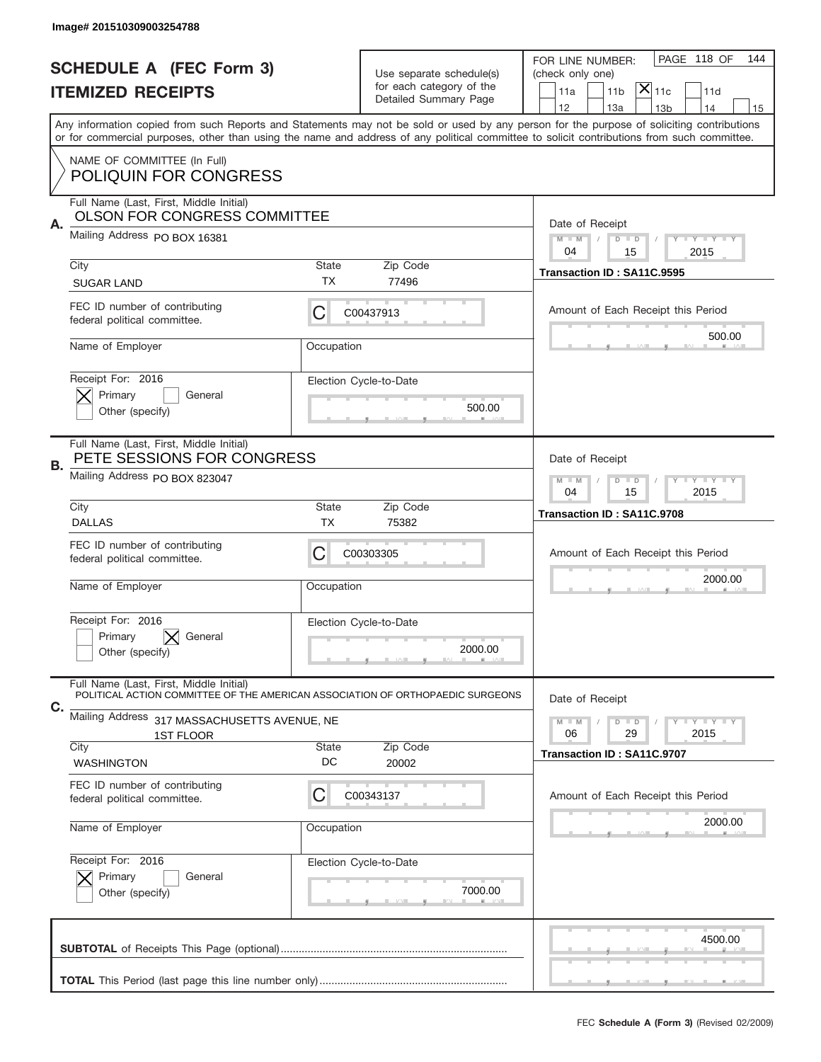|                          | Image# 201510309003254788                                                                                                 |                                                         |                          |                                                                                                                                                                                                                                                                                         |
|--------------------------|---------------------------------------------------------------------------------------------------------------------------|---------------------------------------------------------|--------------------------|-----------------------------------------------------------------------------------------------------------------------------------------------------------------------------------------------------------------------------------------------------------------------------------------|
|                          | <b>SCHEDULE A (FEC Form 3)</b>                                                                                            |                                                         | Use separate schedule(s) | PAGE 118 OF<br>144<br>FOR LINE NUMBER:<br>(check only one)                                                                                                                                                                                                                              |
| <b>ITEMIZED RECEIPTS</b> |                                                                                                                           |                                                         | for each category of the | $\mathsf{\bar{X}}\vert_{\mathsf{11c}}$<br>11 <sub>b</sub><br>11d<br>11a                                                                                                                                                                                                                 |
|                          |                                                                                                                           |                                                         | Detailed Summary Page    | 12<br>13a<br>13 <sub>b</sub><br>14<br>15                                                                                                                                                                                                                                                |
|                          |                                                                                                                           |                                                         |                          | Any information copied from such Reports and Statements may not be sold or used by any person for the purpose of soliciting contributions<br>or for commercial purposes, other than using the name and address of any political committee to solicit contributions from such committee. |
|                          | NAME OF COMMITTEE (In Full)<br><b>POLIQUIN FOR CONGRESS</b>                                                               |                                                         |                          |                                                                                                                                                                                                                                                                                         |
|                          | Full Name (Last, First, Middle Initial)<br><b>OLSON FOR CONGRESS COMMITTEE</b>                                            |                                                         |                          |                                                                                                                                                                                                                                                                                         |
| Α.                       | Mailing Address PO BOX 16381                                                                                              |                                                         |                          | Date of Receipt<br>$M - M$<br><b>LYLYLY</b><br>$D$ $D$                                                                                                                                                                                                                                  |
|                          | City                                                                                                                      | State                                                   | Zip Code                 | 04<br>2015<br>15                                                                                                                                                                                                                                                                        |
|                          | <b>SUGAR LAND</b>                                                                                                         | ТX                                                      | 77496                    | Transaction ID: SA11C.9595                                                                                                                                                                                                                                                              |
|                          | FEC ID number of contributing<br>federal political committee.                                                             | С                                                       | C00437913                | Amount of Each Receipt this Period                                                                                                                                                                                                                                                      |
|                          | Name of Employer                                                                                                          | Occupation                                              |                          | 500.00                                                                                                                                                                                                                                                                                  |
|                          | Receipt For: 2016<br>Primary<br>General                                                                                   |                                                         | Election Cycle-to-Date   |                                                                                                                                                                                                                                                                                         |
|                          | Other (specify)                                                                                                           |                                                         | 500.00                   |                                                                                                                                                                                                                                                                                         |
| В.                       | Full Name (Last, First, Middle Initial)<br>PETE SESSIONS FOR CONGRESS                                                     |                                                         |                          | Date of Receipt                                                                                                                                                                                                                                                                         |
|                          | Mailing Address PO BOX 823047                                                                                             | $D$ $D$<br><b>LYLYLY</b><br>$M - M$<br>04<br>15<br>2015 |                          |                                                                                                                                                                                                                                                                                         |
|                          | City<br><b>DALLAS</b>                                                                                                     | State<br>ТX                                             | Zip Code<br>75382        | Transaction ID: SA11C.9708                                                                                                                                                                                                                                                              |
|                          | FEC ID number of contributing<br>federal political committee.                                                             | С                                                       | C00303305                | Amount of Each Receipt this Period                                                                                                                                                                                                                                                      |
|                          | Name of Employer                                                                                                          | Occupation                                              |                          | 2000.00                                                                                                                                                                                                                                                                                 |
|                          |                                                                                                                           |                                                         |                          |                                                                                                                                                                                                                                                                                         |
|                          | Receipt For: 2016<br>Primary<br>General                                                                                   |                                                         | Election Cycle-to-Date   |                                                                                                                                                                                                                                                                                         |
|                          | Other (specify)                                                                                                           |                                                         | 2000.00                  |                                                                                                                                                                                                                                                                                         |
| C.                       | Full Name (Last, First, Middle Initial)<br>POLITICAL ACTION COMMITTEE OF THE AMERICAN ASSOCIATION OF ORTHOPAEDIC SURGEONS |                                                         |                          | Date of Receipt                                                                                                                                                                                                                                                                         |
|                          | Mailing Address 317 MASSACHUSETTS AVENUE, NE                                                                              |                                                         |                          | <b>LYLYLY</b><br>$M - M$<br>$D$ $D$                                                                                                                                                                                                                                                     |
|                          | <b>1ST FLOOR</b><br>City                                                                                                  | State                                                   | Zip Code                 | 06<br>2015<br>29<br>Transaction ID: SA11C.9707                                                                                                                                                                                                                                          |
|                          | <b>WASHINGTON</b>                                                                                                         | DC                                                      | 20002                    |                                                                                                                                                                                                                                                                                         |
|                          | FEC ID number of contributing<br>federal political committee.                                                             | C                                                       | C00343137                | Amount of Each Receipt this Period                                                                                                                                                                                                                                                      |
|                          | Name of Employer                                                                                                          | Occupation                                              |                          | 2000.00                                                                                                                                                                                                                                                                                 |
|                          | Receipt For: 2016                                                                                                         |                                                         | Election Cycle-to-Date   |                                                                                                                                                                                                                                                                                         |
|                          | Primary<br>General                                                                                                        |                                                         | 7000.00                  |                                                                                                                                                                                                                                                                                         |
|                          | Other (specify)                                                                                                           |                                                         |                          |                                                                                                                                                                                                                                                                                         |
|                          |                                                                                                                           |                                                         |                          | 4500.00                                                                                                                                                                                                                                                                                 |
|                          |                                                                                                                           |                                                         |                          |                                                                                                                                                                                                                                                                                         |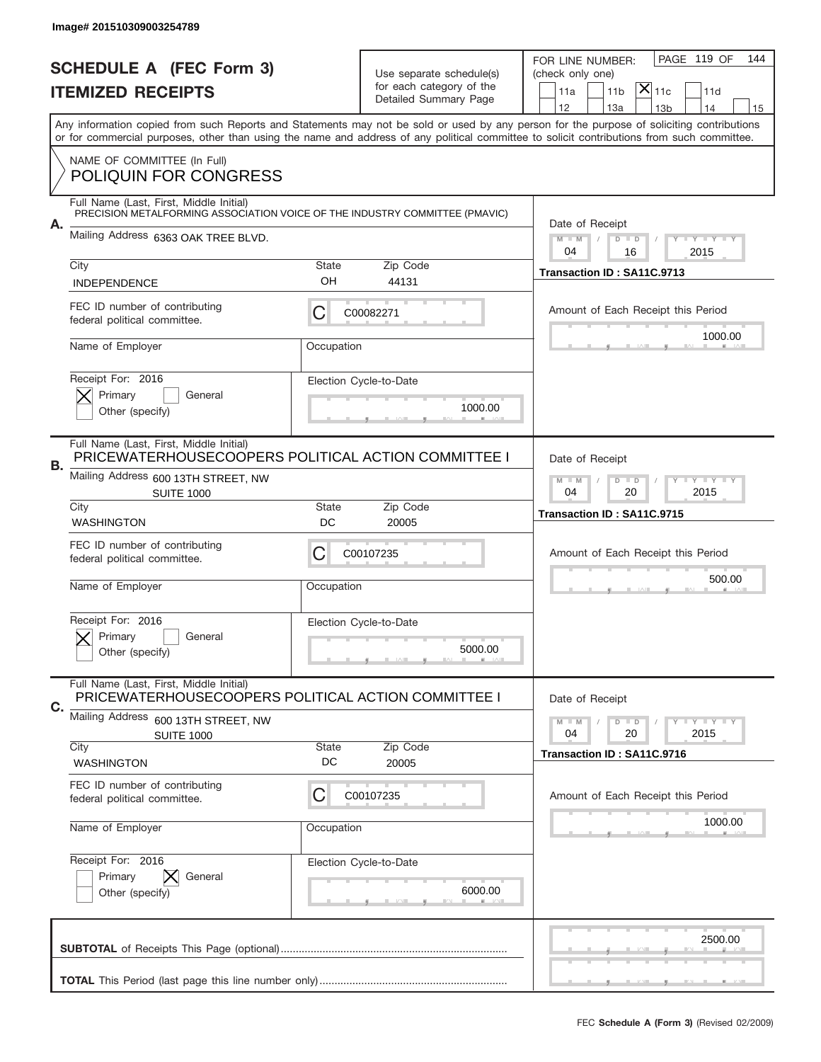|    | Image# 201510309003254789                                                                                              |                                                            |                                                      |                                                                                                                                                                                                                                                                                         |
|----|------------------------------------------------------------------------------------------------------------------------|------------------------------------------------------------|------------------------------------------------------|-----------------------------------------------------------------------------------------------------------------------------------------------------------------------------------------------------------------------------------------------------------------------------------------|
|    | <b>SCHEDULE A (FEC Form 3)</b>                                                                                         |                                                            |                                                      | PAGE 119 OF<br>144<br>FOR LINE NUMBER:                                                                                                                                                                                                                                                  |
|    | <b>ITEMIZED RECEIPTS</b>                                                                                               |                                                            | Use separate schedule(s)<br>for each category of the | (check only one)<br>$ \mathsf{X} _{\mathsf{11c}}$<br>11 <sub>b</sub><br>11d<br>11a                                                                                                                                                                                                      |
|    |                                                                                                                        |                                                            | Detailed Summary Page                                | 12<br>13a<br>14<br>13 <sub>b</sub><br>15                                                                                                                                                                                                                                                |
|    |                                                                                                                        |                                                            |                                                      | Any information copied from such Reports and Statements may not be sold or used by any person for the purpose of soliciting contributions<br>or for commercial purposes, other than using the name and address of any political committee to solicit contributions from such committee. |
|    | NAME OF COMMITTEE (In Full)                                                                                            |                                                            |                                                      |                                                                                                                                                                                                                                                                                         |
|    | <b>POLIQUIN FOR CONGRESS</b>                                                                                           |                                                            |                                                      |                                                                                                                                                                                                                                                                                         |
|    | Full Name (Last, First, Middle Initial)<br>PRECISION METALFORMING ASSOCIATION VOICE OF THE INDUSTRY COMMITTEE (PMAVIC) |                                                            |                                                      |                                                                                                                                                                                                                                                                                         |
| А. | Mailing Address 6363 OAK TREE BLVD.                                                                                    |                                                            |                                                      | Date of Receipt<br>$M$ $M$<br>$D$ $D$<br>Y FY FY FY                                                                                                                                                                                                                                     |
|    | City                                                                                                                   | <b>State</b>                                               | Zip Code                                             | 2015<br>04<br>16                                                                                                                                                                                                                                                                        |
|    | <b>INDEPENDENCE</b>                                                                                                    | OH                                                         | 44131                                                | Transaction ID: SA11C.9713                                                                                                                                                                                                                                                              |
|    | FEC ID number of contributing<br>federal political committee.                                                          | С                                                          | C00082271                                            | Amount of Each Receipt this Period                                                                                                                                                                                                                                                      |
|    | Name of Employer                                                                                                       | Occupation                                                 |                                                      | 1000.00                                                                                                                                                                                                                                                                                 |
|    | Receipt For: 2016                                                                                                      |                                                            | Election Cycle-to-Date                               |                                                                                                                                                                                                                                                                                         |
|    | Primary<br>General<br>Other (specify)                                                                                  |                                                            | 1000.00                                              |                                                                                                                                                                                                                                                                                         |
|    |                                                                                                                        |                                                            |                                                      |                                                                                                                                                                                                                                                                                         |
| В. | Full Name (Last, First, Middle Initial)<br>PRICEWATERHOUSECOOPERS POLITICAL ACTION COMMITTEE I                         | Date of Receipt                                            |                                                      |                                                                                                                                                                                                                                                                                         |
|    | Mailing Address 600 13TH STREET, NW<br><b>SUITE 1000</b>                                                               | $D$ $D$<br><b>THEY THEY</b><br>$M - M$<br>04<br>20<br>2015 |                                                      |                                                                                                                                                                                                                                                                                         |
|    | City<br><b>WASHINGTON</b>                                                                                              | <b>State</b><br>DC                                         | Zip Code<br>20005                                    | Transaction ID: SA11C.9715                                                                                                                                                                                                                                                              |
|    | FEC ID number of contributing<br>federal political committee.                                                          | C                                                          | C00107235                                            | Amount of Each Receipt this Period                                                                                                                                                                                                                                                      |
|    |                                                                                                                        |                                                            |                                                      | 500.00                                                                                                                                                                                                                                                                                  |
|    | Name of Employer                                                                                                       | Occupation                                                 |                                                      |                                                                                                                                                                                                                                                                                         |
|    | Receipt For: 2016                                                                                                      |                                                            | Election Cycle-to-Date                               |                                                                                                                                                                                                                                                                                         |
|    | General<br>Primary<br>Other (specify)                                                                                  |                                                            | 5000.00                                              |                                                                                                                                                                                                                                                                                         |
|    | Full Name (Last, First, Middle Initial)<br>PRICEWATERHOUSECOOPERS POLITICAL ACTION COMMITTEE I                         |                                                            |                                                      | Date of Receipt                                                                                                                                                                                                                                                                         |
| C. | Mailing Address<br>600 13TH STREET, NW                                                                                 |                                                            |                                                      | $D$ $D$<br>$I - Y - I - Y - I - Y$<br>$M - M$                                                                                                                                                                                                                                           |
|    | <b>SUITE 1000</b><br>City                                                                                              | <b>State</b>                                               | Zip Code                                             | 04<br>20<br>2015                                                                                                                                                                                                                                                                        |
|    | <b>WASHINGTON</b>                                                                                                      | DC                                                         | 20005                                                | Transaction ID: SA11C.9716                                                                                                                                                                                                                                                              |
|    | FEC ID number of contributing<br>federal political committee.                                                          | C                                                          | C00107235                                            | Amount of Each Receipt this Period                                                                                                                                                                                                                                                      |
|    | Name of Employer                                                                                                       | Occupation                                                 |                                                      | 1000.00                                                                                                                                                                                                                                                                                 |
|    | Receipt For: 2016                                                                                                      |                                                            | Election Cycle-to-Date                               |                                                                                                                                                                                                                                                                                         |
|    | Primary<br>General                                                                                                     |                                                            |                                                      |                                                                                                                                                                                                                                                                                         |
|    | Other (specify)                                                                                                        |                                                            | 6000.00                                              |                                                                                                                                                                                                                                                                                         |
|    |                                                                                                                        |                                                            |                                                      | 2500.00                                                                                                                                                                                                                                                                                 |
|    |                                                                                                                        |                                                            |                                                      |                                                                                                                                                                                                                                                                                         |
|    |                                                                                                                        |                                                            |                                                      |                                                                                                                                                                                                                                                                                         |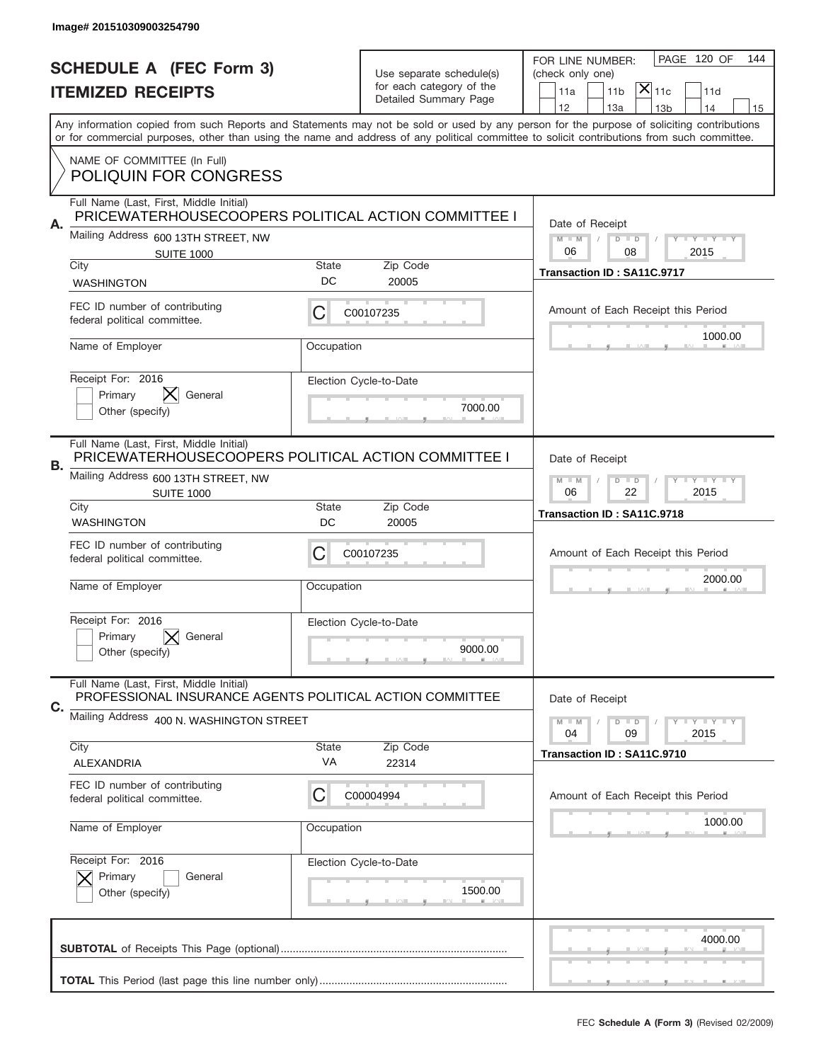|    | Image# 201510309003254790                                                                           |                                                           |                                                      |                                                                                                                                                                                                                                                                                         |
|----|-----------------------------------------------------------------------------------------------------|-----------------------------------------------------------|------------------------------------------------------|-----------------------------------------------------------------------------------------------------------------------------------------------------------------------------------------------------------------------------------------------------------------------------------------|
|    | <b>SCHEDULE A (FEC Form 3)</b>                                                                      |                                                           |                                                      | PAGE 120 OF<br>144<br>FOR LINE NUMBER:                                                                                                                                                                                                                                                  |
|    | <b>ITEMIZED RECEIPTS</b>                                                                            |                                                           | Use separate schedule(s)<br>for each category of the | (check only one)<br>$ \mathsf{X} _{\mathsf{11c}}$<br>11 <sub>b</sub><br>11d<br>11a                                                                                                                                                                                                      |
|    |                                                                                                     |                                                           | Detailed Summary Page                                | 12<br>13a<br>14<br>13 <sub>b</sub><br>15                                                                                                                                                                                                                                                |
|    |                                                                                                     |                                                           |                                                      | Any information copied from such Reports and Statements may not be sold or used by any person for the purpose of soliciting contributions<br>or for commercial purposes, other than using the name and address of any political committee to solicit contributions from such committee. |
|    | NAME OF COMMITTEE (In Full)<br><b>POLIQUIN FOR CONGRESS</b>                                         |                                                           |                                                      |                                                                                                                                                                                                                                                                                         |
|    | Full Name (Last, First, Middle Initial)<br>PRICEWATERHOUSECOOPERS POLITICAL ACTION COMMITTEE I      |                                                           |                                                      |                                                                                                                                                                                                                                                                                         |
| Α. | Mailing Address 600 13TH STREET, NW<br><b>SUITE 1000</b>                                            |                                                           |                                                      | Date of Receipt<br>$M - M$<br>Y FY FY FY<br>$D$ $D$<br>06<br>2015<br>08                                                                                                                                                                                                                 |
|    | City                                                                                                | State                                                     | Zip Code                                             | Transaction ID: SA11C.9717                                                                                                                                                                                                                                                              |
|    | <b>WASHINGTON</b>                                                                                   | DC                                                        | 20005                                                |                                                                                                                                                                                                                                                                                         |
|    | FEC ID number of contributing<br>federal political committee.                                       | С                                                         | C00107235                                            | Amount of Each Receipt this Period                                                                                                                                                                                                                                                      |
|    | Name of Employer                                                                                    | Occupation                                                |                                                      | 1000.00                                                                                                                                                                                                                                                                                 |
|    | Receipt For: 2016                                                                                   |                                                           | Election Cycle-to-Date                               |                                                                                                                                                                                                                                                                                         |
|    | Primary<br>General<br>Other (specify)                                                               |                                                           | 7000.00                                              |                                                                                                                                                                                                                                                                                         |
|    | Full Name (Last, First, Middle Initial)<br>PRICEWATERHOUSECOOPERS POLITICAL ACTION COMMITTEE I      |                                                           |                                                      | Date of Receipt                                                                                                                                                                                                                                                                         |
| В. | Mailing Address 600 13TH STREET, NW<br><b>SUITE 1000</b>                                            | $M - M$<br>$D$ $D$<br><b>LY LY LY</b><br>06<br>22<br>2015 |                                                      |                                                                                                                                                                                                                                                                                         |
|    | City<br><b>WASHINGTON</b>                                                                           | <b>State</b><br>DC                                        | Zip Code<br>20005                                    | Transaction ID: SA11C.9718                                                                                                                                                                                                                                                              |
|    | FEC ID number of contributing<br>federal political committee.                                       | C                                                         | C00107235                                            | Amount of Each Receipt this Period                                                                                                                                                                                                                                                      |
|    | Name of Employer                                                                                    | Occupation                                                |                                                      | 2000.00                                                                                                                                                                                                                                                                                 |
|    | Receipt For: 2016                                                                                   |                                                           | Election Cycle-to-Date                               |                                                                                                                                                                                                                                                                                         |
|    | Primary<br>General<br>Other (specify)                                                               |                                                           | 9000.00                                              |                                                                                                                                                                                                                                                                                         |
|    | Full Name (Last, First, Middle Initial)<br>PROFESSIONAL INSURANCE AGENTS POLITICAL ACTION COMMITTEE |                                                           |                                                      | Date of Receipt                                                                                                                                                                                                                                                                         |
| C. | Mailing Address 400 N. WASHINGTON STREET                                                            | $D$ $D$<br><b>LYLYLY</b><br>$M - M$<br>04<br>09<br>2015   |                                                      |                                                                                                                                                                                                                                                                                         |
|    | City<br>ALEXANDRIA                                                                                  | State<br>VA                                               | Zip Code<br>22314                                    | Transaction ID: SA11C.9710                                                                                                                                                                                                                                                              |
|    | FEC ID number of contributing<br>federal political committee.                                       | C                                                         | C00004994                                            | Amount of Each Receipt this Period                                                                                                                                                                                                                                                      |
|    | Name of Employer                                                                                    | Occupation                                                |                                                      | 1000.00                                                                                                                                                                                                                                                                                 |
|    |                                                                                                     |                                                           |                                                      |                                                                                                                                                                                                                                                                                         |
|    | Receipt For: 2016<br>Primary<br>General                                                             |                                                           | Election Cycle-to-Date                               |                                                                                                                                                                                                                                                                                         |
|    | Other (specify)                                                                                     |                                                           | 1500.00                                              |                                                                                                                                                                                                                                                                                         |
|    |                                                                                                     |                                                           |                                                      | 4000.00                                                                                                                                                                                                                                                                                 |
|    |                                                                                                     |                                                           |                                                      |                                                                                                                                                                                                                                                                                         |
|    |                                                                                                     |                                                           |                                                      | __                                                                                                                                                                                                                                                                                      |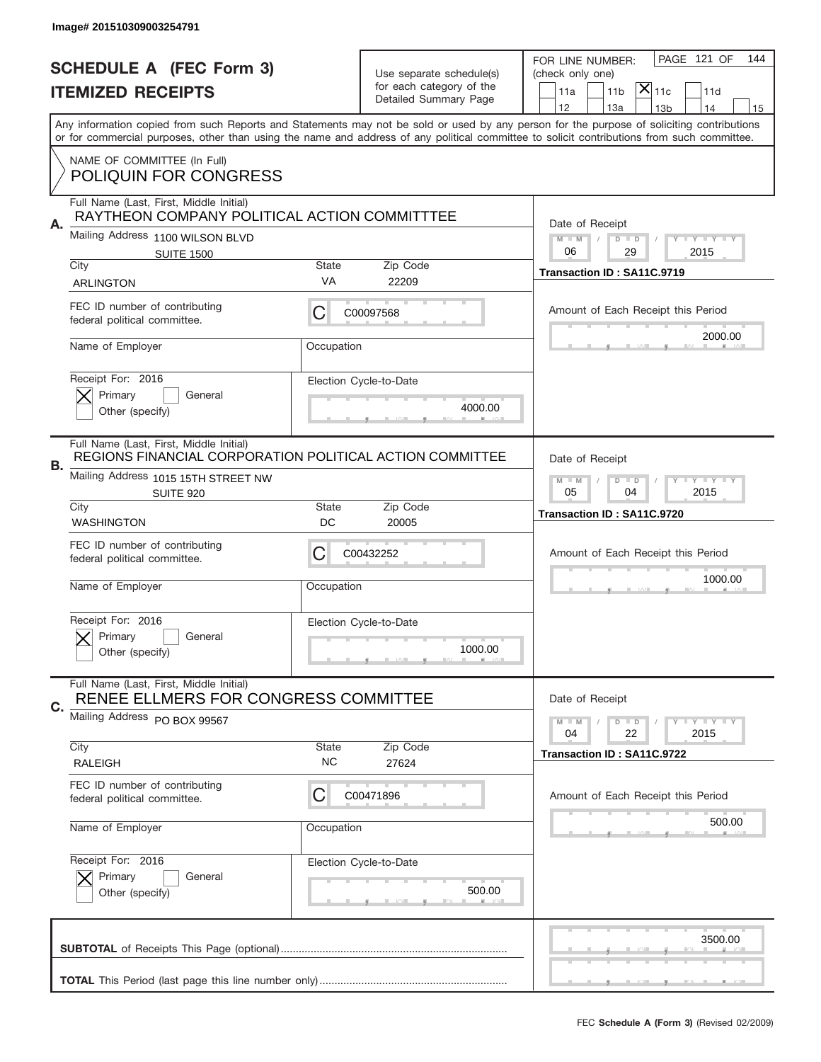|                          | Image# 201510309003254791                                                                           |                                                           |                          |                                                                                                                                                                                                                                                                                         |
|--------------------------|-----------------------------------------------------------------------------------------------------|-----------------------------------------------------------|--------------------------|-----------------------------------------------------------------------------------------------------------------------------------------------------------------------------------------------------------------------------------------------------------------------------------------|
|                          | <b>SCHEDULE A (FEC Form 3)</b>                                                                      |                                                           | Use separate schedule(s) | PAGE 121 OF<br>144<br>FOR LINE NUMBER:<br>(check only one)                                                                                                                                                                                                                              |
| <b>ITEMIZED RECEIPTS</b> |                                                                                                     |                                                           | for each category of the | $ \mathsf{X} _{\mathsf{11c}}$<br>11 <sub>b</sub><br>11d<br>11a                                                                                                                                                                                                                          |
|                          |                                                                                                     |                                                           | Detailed Summary Page    | 12<br>13a<br>13 <sub>b</sub><br>14<br>15                                                                                                                                                                                                                                                |
|                          |                                                                                                     |                                                           |                          | Any information copied from such Reports and Statements may not be sold or used by any person for the purpose of soliciting contributions<br>or for commercial purposes, other than using the name and address of any political committee to solicit contributions from such committee. |
|                          | NAME OF COMMITTEE (In Full)<br><b>POLIQUIN FOR CONGRESS</b>                                         |                                                           |                          |                                                                                                                                                                                                                                                                                         |
|                          |                                                                                                     |                                                           |                          |                                                                                                                                                                                                                                                                                         |
| Α.                       | Full Name (Last, First, Middle Initial)<br>RAYTHEON COMPANY POLITICAL ACTION COMMITTTEE             |                                                           |                          | Date of Receipt                                                                                                                                                                                                                                                                         |
|                          | Mailing Address 1100 WILSON BLVD                                                                    |                                                           |                          | $M - M$<br>Y FY FY FY<br>$D$ $D$                                                                                                                                                                                                                                                        |
|                          | <b>SUITE 1500</b><br>City                                                                           | <b>State</b>                                              | Zip Code                 | 06<br>29<br>2015                                                                                                                                                                                                                                                                        |
|                          | <b>ARLINGTON</b>                                                                                    | VA                                                        | 22209                    | Transaction ID: SA11C.9719                                                                                                                                                                                                                                                              |
|                          | FEC ID number of contributing<br>federal political committee.                                       | С                                                         | C00097568                | Amount of Each Receipt this Period                                                                                                                                                                                                                                                      |
|                          | Name of Employer                                                                                    | Occupation                                                |                          | 2000.00                                                                                                                                                                                                                                                                                 |
|                          | Receipt For: 2016                                                                                   |                                                           | Election Cycle-to-Date   |                                                                                                                                                                                                                                                                                         |
|                          | Primary<br>General<br>Other (specify)                                                               |                                                           | 4000.00                  |                                                                                                                                                                                                                                                                                         |
|                          |                                                                                                     |                                                           |                          |                                                                                                                                                                                                                                                                                         |
| В.                       | Full Name (Last, First, Middle Initial)<br>REGIONS FINANCIAL CORPORATION POLITICAL ACTION COMMITTEE |                                                           |                          | Date of Receipt                                                                                                                                                                                                                                                                         |
|                          | Mailing Address 1015 15TH STREET NW<br><b>SUITE 920</b>                                             | $M - M$<br>$D$ $D$<br><b>LY LY LY</b><br>05<br>04<br>2015 |                          |                                                                                                                                                                                                                                                                                         |
|                          | City<br><b>WASHINGTON</b>                                                                           | <b>State</b><br>DC                                        | Zip Code<br>20005        | Transaction ID: SA11C.9720                                                                                                                                                                                                                                                              |
|                          | FEC ID number of contributing<br>federal political committee.                                       | C                                                         | C00432252                | Amount of Each Receipt this Period                                                                                                                                                                                                                                                      |
|                          |                                                                                                     |                                                           |                          | 1000.00                                                                                                                                                                                                                                                                                 |
|                          | Name of Employer                                                                                    | Occupation                                                |                          |                                                                                                                                                                                                                                                                                         |
|                          | Receipt For: 2016                                                                                   |                                                           | Election Cycle-to-Date   |                                                                                                                                                                                                                                                                                         |
|                          | Primary<br>General<br>Other (specify)                                                               |                                                           | 1000.00                  |                                                                                                                                                                                                                                                                                         |
|                          | Full Name (Last, First, Middle Initial)<br>RENEE ELLMERS FOR CONGRESS COMMITTEE                     |                                                           |                          | Date of Receipt                                                                                                                                                                                                                                                                         |
| C.                       | Mailing Address PO BOX 99567                                                                        |                                                           |                          | $I - Y - I - Y - I - Y$<br>$M - M$<br>$D$ $D$<br>22<br>2015<br>04                                                                                                                                                                                                                       |
|                          | City<br><b>RALEIGH</b>                                                                              | <b>State</b><br>NC.                                       | Zip Code                 | Transaction ID: SA11C.9722                                                                                                                                                                                                                                                              |
|                          |                                                                                                     |                                                           | 27624                    |                                                                                                                                                                                                                                                                                         |
|                          | FEC ID number of contributing<br>federal political committee.                                       | C                                                         | C00471896                | Amount of Each Receipt this Period                                                                                                                                                                                                                                                      |
|                          | Name of Employer                                                                                    | Occupation                                                |                          | 500.00                                                                                                                                                                                                                                                                                  |
|                          | Receipt For: 2016                                                                                   |                                                           | Election Cycle-to-Date   |                                                                                                                                                                                                                                                                                         |
|                          | Primary<br>General<br>Other (specify)                                                               |                                                           | 500.00                   |                                                                                                                                                                                                                                                                                         |
|                          |                                                                                                     |                                                           |                          |                                                                                                                                                                                                                                                                                         |
|                          |                                                                                                     |                                                           |                          | 3500.00                                                                                                                                                                                                                                                                                 |
|                          |                                                                                                     |                                                           |                          |                                                                                                                                                                                                                                                                                         |
|                          |                                                                                                     |                                                           |                          |                                                                                                                                                                                                                                                                                         |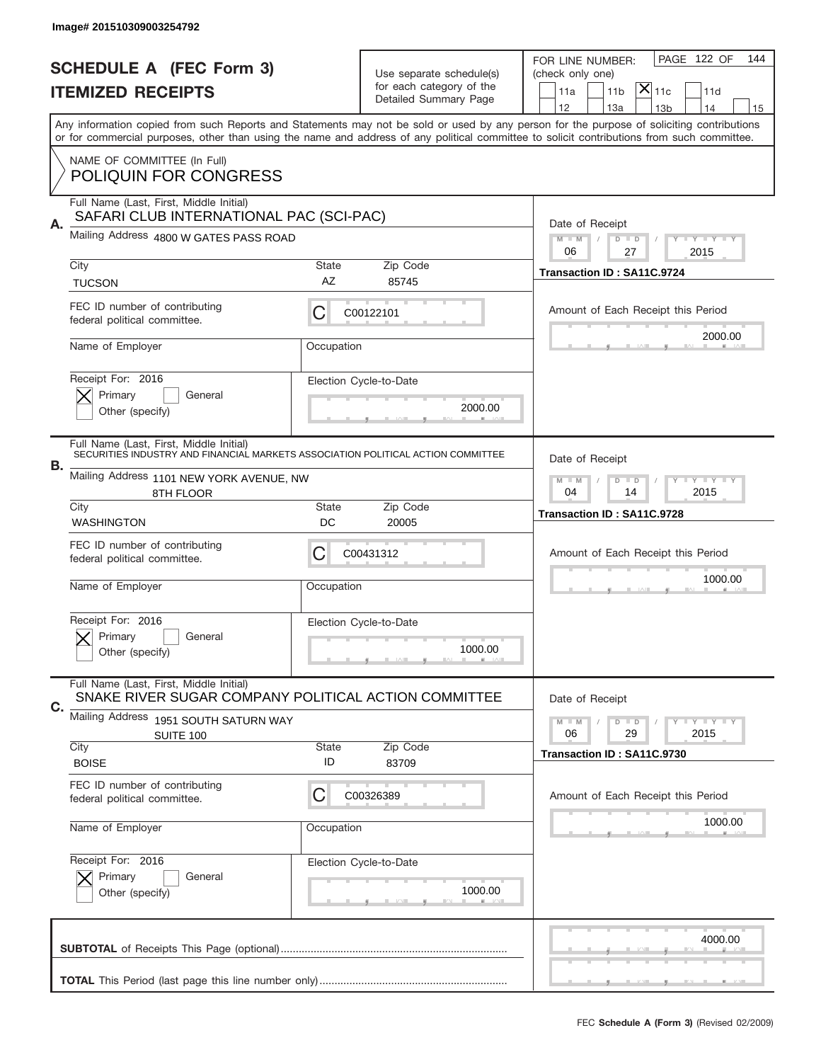|                          | Image# 201510309003254792                                                                       |                                                              |                                                   |                                                                                                                                                                                       |
|--------------------------|-------------------------------------------------------------------------------------------------|--------------------------------------------------------------|---------------------------------------------------|---------------------------------------------------------------------------------------------------------------------------------------------------------------------------------------|
|                          | <b>SCHEDULE A (FEC Form 3)</b>                                                                  |                                                              | Use separate schedule(s)                          | PAGE 122 OF<br>144<br>FOR LINE NUMBER:<br>(check only one)                                                                                                                            |
| <b>ITEMIZED RECEIPTS</b> |                                                                                                 |                                                              | for each category of the<br>Detailed Summary Page | $\mathsf{X} _{\mathsf{11c}}$<br>11 <sub>b</sub><br>11a<br>11d                                                                                                                         |
|                          |                                                                                                 |                                                              |                                                   | 12<br>13a<br>14<br>13 <sub>b</sub><br>15<br>Any information copied from such Reports and Statements may not be sold or used by any person for the purpose of soliciting contributions |
|                          | NAME OF COMMITTEE (In Full)                                                                     |                                                              |                                                   | or for commercial purposes, other than using the name and address of any political committee to solicit contributions from such committee.                                            |
|                          | <b>POLIQUIN FOR CONGRESS</b>                                                                    |                                                              |                                                   |                                                                                                                                                                                       |
| Α.                       | Full Name (Last, First, Middle Initial)<br>SAFARI CLUB INTERNATIONAL PAC (SCI-PAC)              | Date of Receipt                                              |                                                   |                                                                                                                                                                                       |
|                          | Mailing Address 4800 W GATES PASS ROAD                                                          | $M - M$<br><b>LEY LEY LEY</b><br>$D$ $D$<br>06<br>27<br>2015 |                                                   |                                                                                                                                                                                       |
|                          | City                                                                                            | State<br>AZ                                                  | Zip Code<br>85745                                 | Transaction ID: SA11C.9724                                                                                                                                                            |
|                          | <b>TUCSON</b><br>FEC ID number of contributing                                                  |                                                              |                                                   |                                                                                                                                                                                       |
|                          | federal political committee.                                                                    | С                                                            | C00122101                                         | Amount of Each Receipt this Period                                                                                                                                                    |
|                          | Name of Employer                                                                                | Occupation                                                   |                                                   | 2000.00                                                                                                                                                                               |
|                          | Receipt For: 2016                                                                               |                                                              | Election Cycle-to-Date                            |                                                                                                                                                                                       |
|                          | Primary<br>General<br>Other (specify)                                                           |                                                              | 2000.00                                           |                                                                                                                                                                                       |
|                          | Full Name (Last, First, Middle Initial)                                                         |                                                              |                                                   |                                                                                                                                                                                       |
| В.                       | SECURITIES INDUSTRY AND FINANCIAL MARKETS ASSOCIATION POLITICAL ACTION COMMITTEE                | Date of Receipt                                              |                                                   |                                                                                                                                                                                       |
|                          | Mailing Address 1101 NEW YORK AVENUE, NW<br>8TH FLOOR                                           | $M - M$<br>$D$ $D$<br><b>LYLYLY</b><br>04<br>14<br>2015      |                                                   |                                                                                                                                                                                       |
|                          | City<br><b>WASHINGTON</b>                                                                       | State<br>DC                                                  | Zip Code<br>20005                                 | Transaction ID: SA11C.9728                                                                                                                                                            |
|                          | FEC ID number of contributing                                                                   | C                                                            | C00431312                                         | Amount of Each Receipt this Period                                                                                                                                                    |
|                          | federal political committee.                                                                    |                                                              |                                                   | 1000.00                                                                                                                                                                               |
|                          | Name of Employer                                                                                | Occupation                                                   |                                                   |                                                                                                                                                                                       |
|                          | Receipt For: 2016<br>General<br>Primary                                                         |                                                              | Election Cycle-to-Date                            |                                                                                                                                                                                       |
|                          | Other (specify)                                                                                 |                                                              | 1000.00                                           |                                                                                                                                                                                       |
| C.                       | Full Name (Last, First, Middle Initial)<br>SNAKE RIVER SUGAR COMPANY POLITICAL ACTION COMMITTEE |                                                              |                                                   | Date of Receipt                                                                                                                                                                       |
|                          | Mailing Address 1951 SOUTH SATURN WAY<br>SUITE 100                                              |                                                              |                                                   | <b>LY LY LY</b><br>$M - M$<br>$D$ $D$<br>06<br>2015<br>29                                                                                                                             |
|                          | City<br><b>BOISE</b>                                                                            | <b>State</b><br>ID                                           | Zip Code<br>83709                                 | Transaction ID: SA11C.9730                                                                                                                                                            |
|                          | FEC ID number of contributing                                                                   |                                                              |                                                   |                                                                                                                                                                                       |
|                          | federal political committee.                                                                    | С                                                            | C00326389                                         | Amount of Each Receipt this Period                                                                                                                                                    |
|                          | Name of Employer                                                                                | Occupation                                                   |                                                   | 1000.00                                                                                                                                                                               |
|                          | Receipt For: 2016<br>Primary<br>General                                                         |                                                              | Election Cycle-to-Date                            |                                                                                                                                                                                       |
|                          | Other (specify)                                                                                 |                                                              | 1000.00                                           |                                                                                                                                                                                       |
|                          |                                                                                                 |                                                              |                                                   | 4000.00                                                                                                                                                                               |
|                          |                                                                                                 |                                                              |                                                   |                                                                                                                                                                                       |
|                          |                                                                                                 |                                                              |                                                   |                                                                                                                                                                                       |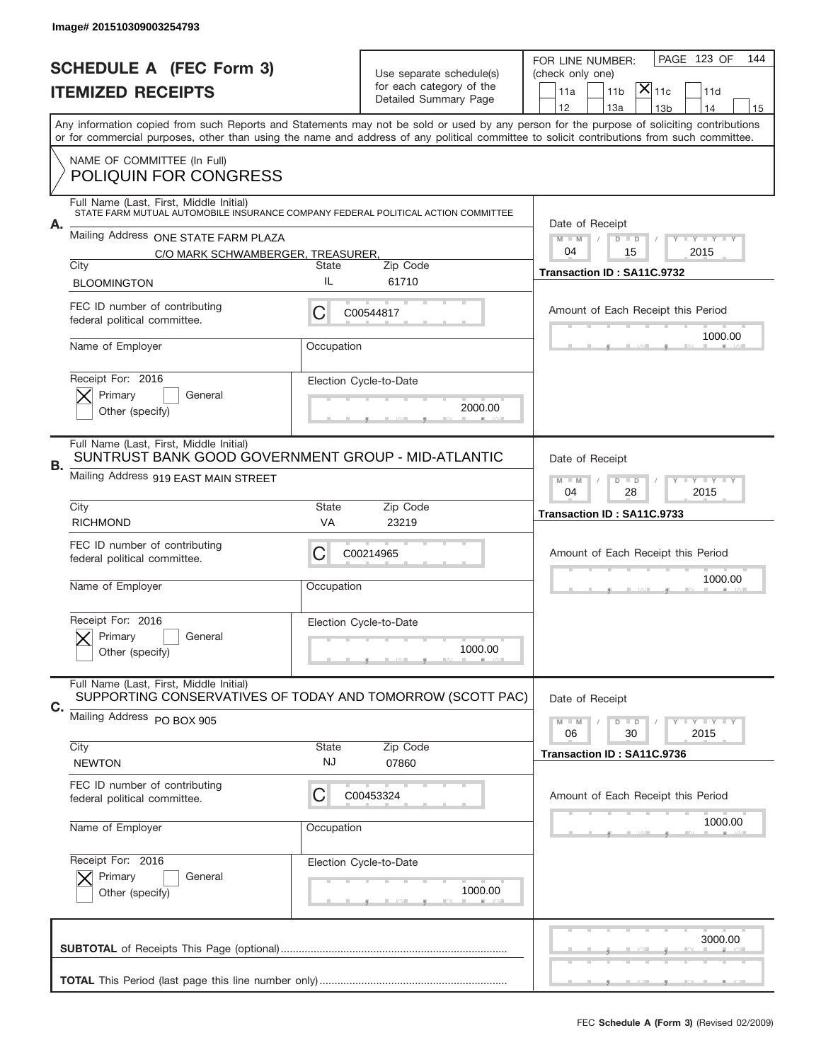|                          | Image# 201510309003254793                                                                                                                 |                                                    |                                                   |                                                                                                                                            |
|--------------------------|-------------------------------------------------------------------------------------------------------------------------------------------|----------------------------------------------------|---------------------------------------------------|--------------------------------------------------------------------------------------------------------------------------------------------|
|                          | <b>SCHEDULE A (FEC Form 3)</b>                                                                                                            |                                                    | Use separate schedule(s)                          | PAGE 123 OF<br>144<br>FOR LINE NUMBER:<br>(check only one)                                                                                 |
| <b>ITEMIZED RECEIPTS</b> |                                                                                                                                           |                                                    | for each category of the<br>Detailed Summary Page | $\overline{ {\mathsf X} }_{\text{11c}}$<br>11 <sub>b</sub><br>11d<br>11a                                                                   |
|                          | Any information copied from such Reports and Statements may not be sold or used by any person for the purpose of soliciting contributions |                                                    |                                                   | 12<br>13a<br>14<br>13 <sub>b</sub><br>15                                                                                                   |
|                          |                                                                                                                                           |                                                    |                                                   | or for commercial purposes, other than using the name and address of any political committee to solicit contributions from such committee. |
|                          | NAME OF COMMITTEE (In Full)<br><b>POLIQUIN FOR CONGRESS</b>                                                                               |                                                    |                                                   |                                                                                                                                            |
| А.                       | Full Name (Last, First, Middle Initial)<br>STATE FARM MUTUAL AUTOMOBILE INSURANCE COMPANY FEDERAL POLITICAL ACTION COMMITTEE              |                                                    |                                                   | Date of Receipt                                                                                                                            |
|                          | Mailing Address ONE STATE FARM PLAZA                                                                                                      | $M - M$<br><b>THEY THEY</b><br>$D$ $D$             |                                                   |                                                                                                                                            |
|                          | C/O MARK SCHWAMBERGER, TREASURER,<br>City                                                                                                 | State                                              | Zip Code                                          | 04<br>15<br>2015                                                                                                                           |
|                          | <b>BLOOMINGTON</b>                                                                                                                        | IL                                                 | 61710                                             | Transaction ID: SA11C.9732                                                                                                                 |
|                          | FEC ID number of contributing<br>federal political committee.                                                                             | C                                                  | C00544817                                         | Amount of Each Receipt this Period                                                                                                         |
|                          | Name of Employer                                                                                                                          | Occupation                                         |                                                   | 1000.00                                                                                                                                    |
|                          | Receipt For: 2016<br>Primary<br>General<br>Other (specify)                                                                                |                                                    | Election Cycle-to-Date<br>2000.00                 |                                                                                                                                            |
| В.                       | Full Name (Last, First, Middle Initial)<br>Mailing Address 919 EAST MAIN STREET                                                           | SUNTRUST BANK GOOD GOVERNMENT GROUP - MID-ATLANTIC |                                                   |                                                                                                                                            |
|                          |                                                                                                                                           | 04<br>28<br>2015                                   |                                                   |                                                                                                                                            |
|                          | City<br><b>RICHMOND</b>                                                                                                                   | <b>State</b><br>VA                                 | Zip Code<br>23219                                 | Transaction ID: SA11C.9733                                                                                                                 |
|                          | FEC ID number of contributing<br>federal political committee.                                                                             | C                                                  | C00214965                                         | Amount of Each Receipt this Period                                                                                                         |
|                          | Name of Employer                                                                                                                          | Occupation                                         |                                                   | 1000.00                                                                                                                                    |
|                          | Receipt For: 2016<br>General<br>Primary<br>Other (specify)                                                                                |                                                    | Election Cycle-to-Date<br>1000.00                 |                                                                                                                                            |
| C.                       | Full Name (Last, First, Middle Initial)<br>SUPPORTING CONSERVATIVES OF TODAY AND TOMORROW (SCOTT PAC)                                     | Date of Receipt                                    |                                                   |                                                                                                                                            |
|                          | Mailing Address PO BOX 905                                                                                                                |                                                    |                                                   | $I - Y - I - Y - I - Y$<br>$M - M$<br>$D$ $D$<br>06<br>30<br>2015                                                                          |
|                          | City<br><b>NEWTON</b>                                                                                                                     | <b>State</b><br><b>NJ</b>                          | Zip Code<br>07860                                 | Transaction ID: SA11C.9736                                                                                                                 |
|                          | FEC ID number of contributing<br>federal political committee.                                                                             | C                                                  | C00453324                                         | Amount of Each Receipt this Period                                                                                                         |
|                          | Name of Employer                                                                                                                          | Occupation                                         |                                                   | 1000.00                                                                                                                                    |
|                          | Receipt For: 2016                                                                                                                         |                                                    | Election Cycle-to-Date                            |                                                                                                                                            |
|                          | Primary<br>General<br>Other (specify)                                                                                                     |                                                    | 1000.00                                           |                                                                                                                                            |
|                          |                                                                                                                                           |                                                    |                                                   | 3000.00                                                                                                                                    |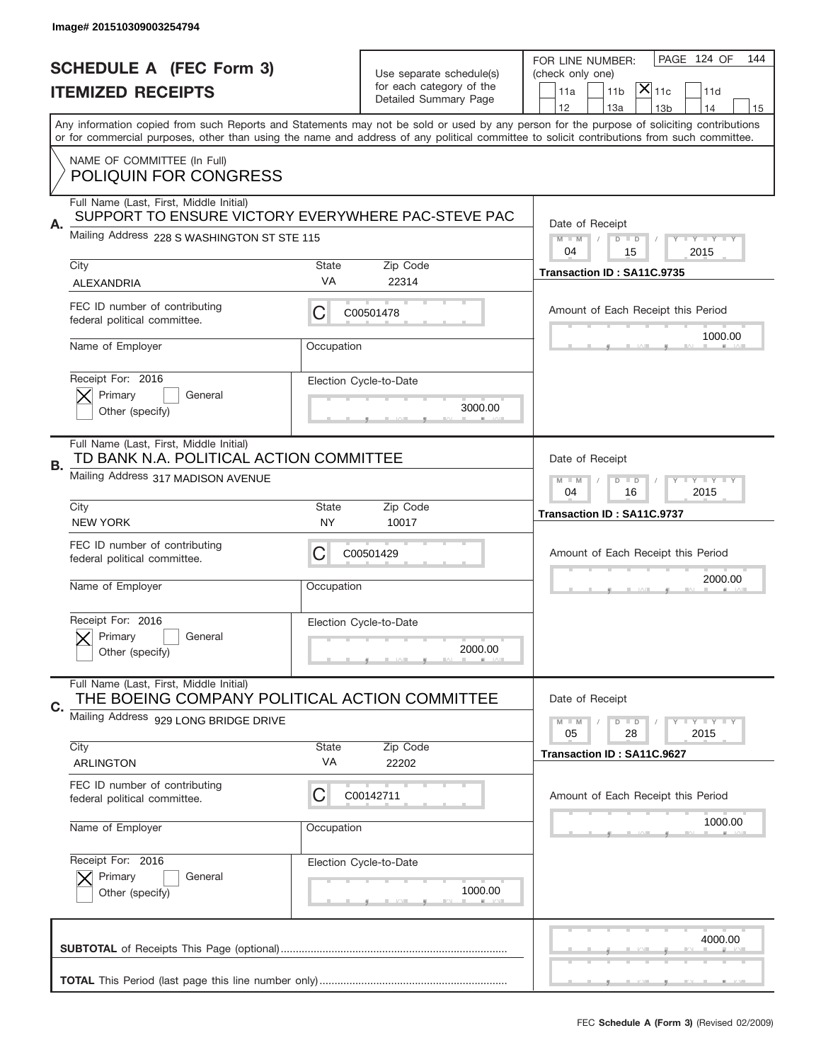|                                | Image# 201510309003254794                                                                     |                                                           |                                                   |                                                                                                                                                                                       |
|--------------------------------|-----------------------------------------------------------------------------------------------|-----------------------------------------------------------|---------------------------------------------------|---------------------------------------------------------------------------------------------------------------------------------------------------------------------------------------|
| <b>SCHEDULE A (FEC Form 3)</b> |                                                                                               | Use separate schedule(s)                                  |                                                   | PAGE 124 OF<br>144<br>FOR LINE NUMBER:<br>(check only one)                                                                                                                            |
|                                | <b>ITEMIZED RECEIPTS</b>                                                                      |                                                           | for each category of the<br>Detailed Summary Page | $ \mathsf{X} _{\mathsf{11c}}$<br>11 <sub>b</sub><br>11d<br>11a                                                                                                                        |
|                                |                                                                                               |                                                           |                                                   | 12<br>13a<br>13 <sub>b</sub><br>14<br>15<br>Any information copied from such Reports and Statements may not be sold or used by any person for the purpose of soliciting contributions |
|                                |                                                                                               |                                                           |                                                   | or for commercial purposes, other than using the name and address of any political committee to solicit contributions from such committee.                                            |
|                                | NAME OF COMMITTEE (In Full)<br><b>POLIQUIN FOR CONGRESS</b>                                   |                                                           |                                                   |                                                                                                                                                                                       |
| Α.                             | Full Name (Last, First, Middle Initial)<br>SUPPORT TO ENSURE VICTORY EVERYWHERE PAC-STEVE PAC |                                                           |                                                   | Date of Receipt                                                                                                                                                                       |
|                                | Mailing Address 228 S WASHINGTON ST STE 115                                                   |                                                           |                                                   | $M$ M<br>Y FY FY FY<br>$D$ $D$<br>04<br>15<br>2015                                                                                                                                    |
|                                | City                                                                                          | <b>State</b><br>VA                                        | Zip Code<br>22314                                 | Transaction ID: SA11C.9735                                                                                                                                                            |
|                                | <b>ALEXANDRIA</b>                                                                             |                                                           |                                                   |                                                                                                                                                                                       |
|                                | FEC ID number of contributing<br>federal political committee.                                 | С                                                         | C00501478                                         | Amount of Each Receipt this Period<br>1000.00                                                                                                                                         |
|                                | Name of Employer                                                                              | Occupation                                                |                                                   |                                                                                                                                                                                       |
|                                | Receipt For: 2016<br>Primary<br>General                                                       |                                                           | Election Cycle-to-Date                            |                                                                                                                                                                                       |
|                                | Other (specify)                                                                               |                                                           | 3000.00                                           |                                                                                                                                                                                       |
|                                | Full Name (Last, First, Middle Initial)<br>TD BANK N.A. POLITICAL ACTION COMMITTEE            | Date of Receipt                                           |                                                   |                                                                                                                                                                                       |
| В.                             | Mailing Address 317 MADISON AVENUE                                                            | $D$ $D$<br><b>LY LY LY</b><br>$M - M$<br>04<br>16<br>2015 |                                                   |                                                                                                                                                                                       |
|                                | City<br><b>NEW YORK</b>                                                                       | <b>State</b><br>NY                                        | Zip Code<br>10017                                 | Transaction ID: SA11C.9737                                                                                                                                                            |
|                                | FEC ID number of contributing<br>federal political committee.                                 | C                                                         | C00501429                                         | Amount of Each Receipt this Period                                                                                                                                                    |
|                                | Name of Employer                                                                              | Occupation                                                |                                                   | 2000.00                                                                                                                                                                               |
|                                | Receipt For: 2016                                                                             |                                                           | Election Cycle-to-Date                            |                                                                                                                                                                                       |
|                                | General<br>Primary<br>Other (specify)                                                         |                                                           | 2000.00                                           |                                                                                                                                                                                       |
| C.                             | Full Name (Last, First, Middle Initial)<br>THE BOEING COMPANY POLITICAL ACTION COMMITTEE      |                                                           |                                                   | Date of Receipt                                                                                                                                                                       |
|                                | Mailing Address 929 LONG BRIDGE DRIVE                                                         |                                                           |                                                   | $I - Y - I - Y - I - Y$<br>$M - M$<br>$D$ $D$<br>2015<br>05<br>28                                                                                                                     |
|                                | City<br><b>ARLINGTON</b>                                                                      | <b>State</b><br>VA                                        | Zip Code<br>22202                                 | Transaction ID: SA11C.9627                                                                                                                                                            |
|                                | FEC ID number of contributing<br>federal political committee.                                 | C                                                         | C00142711                                         | Amount of Each Receipt this Period                                                                                                                                                    |
|                                | Name of Employer                                                                              | Occupation                                                |                                                   | 1000.00                                                                                                                                                                               |
|                                | Receipt For: 2016                                                                             |                                                           | Election Cycle-to-Date                            |                                                                                                                                                                                       |
|                                | Primary<br>General<br>Other (specify)                                                         |                                                           | 1000.00                                           |                                                                                                                                                                                       |
|                                |                                                                                               |                                                           |                                                   | 4000.00                                                                                                                                                                               |
|                                |                                                                                               |                                                           |                                                   |                                                                                                                                                                                       |
|                                |                                                                                               |                                                           |                                                   |                                                                                                                                                                                       |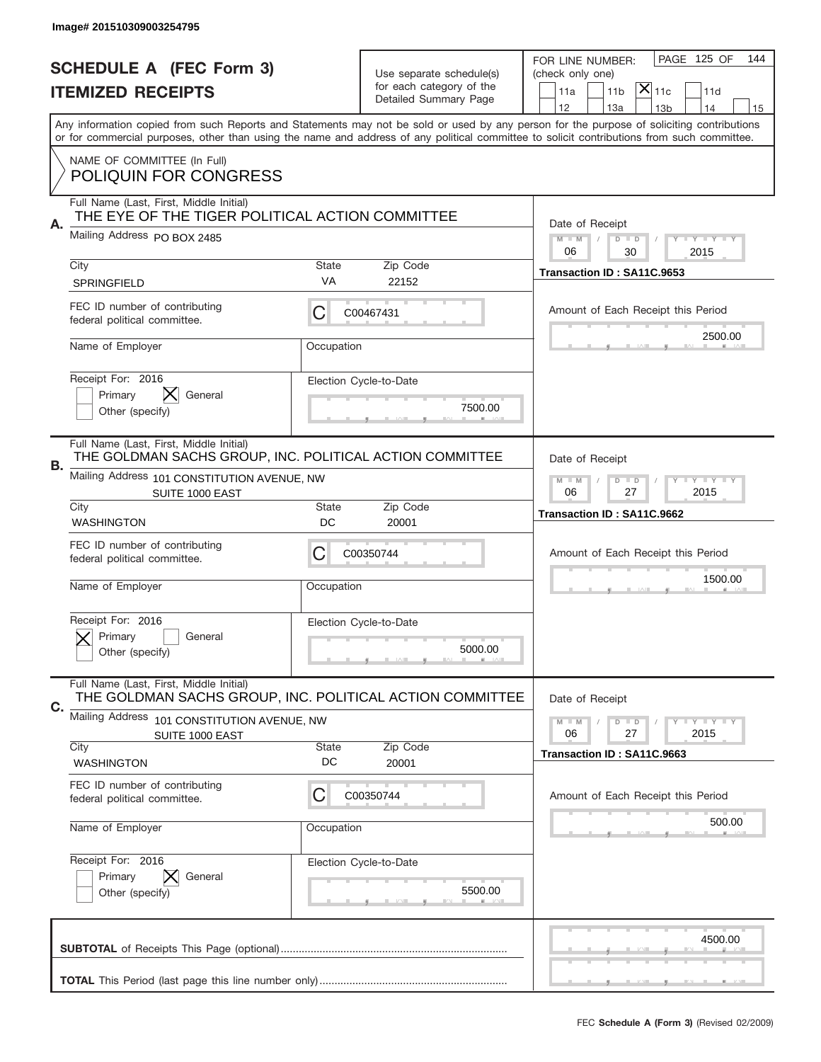|    | Image# 201510309003254795                                                                           |                                                           |                                                      |                                                                                                                                                                                                                                                                                         |
|----|-----------------------------------------------------------------------------------------------------|-----------------------------------------------------------|------------------------------------------------------|-----------------------------------------------------------------------------------------------------------------------------------------------------------------------------------------------------------------------------------------------------------------------------------------|
|    | <b>SCHEDULE A (FEC Form 3)</b>                                                                      |                                                           |                                                      | PAGE 125 OF<br>144<br>FOR LINE NUMBER:<br>(check only one)                                                                                                                                                                                                                              |
|    | <b>ITEMIZED RECEIPTS</b>                                                                            |                                                           | Use separate schedule(s)<br>for each category of the | $ \mathsf{X} _{\mathsf{11c}}$<br>11 <sub>b</sub><br>11d<br>11a                                                                                                                                                                                                                          |
|    |                                                                                                     |                                                           | Detailed Summary Page                                | 12<br>13a<br>14<br>13 <sub>b</sub><br>15                                                                                                                                                                                                                                                |
|    |                                                                                                     |                                                           |                                                      | Any information copied from such Reports and Statements may not be sold or used by any person for the purpose of soliciting contributions<br>or for commercial purposes, other than using the name and address of any political committee to solicit contributions from such committee. |
|    | NAME OF COMMITTEE (In Full)                                                                         |                                                           |                                                      |                                                                                                                                                                                                                                                                                         |
|    | <b>POLIQUIN FOR CONGRESS</b>                                                                        |                                                           |                                                      |                                                                                                                                                                                                                                                                                         |
|    | Full Name (Last, First, Middle Initial)<br>THE EYE OF THE TIGER POLITICAL ACTION COMMITTEE          |                                                           |                                                      |                                                                                                                                                                                                                                                                                         |
| Α. | Mailing Address PO BOX 2485                                                                         | Date of Receipt<br>$M$ $M$<br><b>THEY THEY</b><br>$D$ $D$ |                                                      |                                                                                                                                                                                                                                                                                         |
|    | City                                                                                                | <b>State</b>                                              | Zip Code                                             | 06<br>2015<br>30                                                                                                                                                                                                                                                                        |
|    | <b>SPRINGFIELD</b>                                                                                  | VA                                                        | 22152                                                | Transaction ID: SA11C.9653                                                                                                                                                                                                                                                              |
|    | FEC ID number of contributing                                                                       | С                                                         | C00467431                                            | Amount of Each Receipt this Period                                                                                                                                                                                                                                                      |
|    | federal political committee.                                                                        |                                                           |                                                      | 2500.00                                                                                                                                                                                                                                                                                 |
|    | Name of Employer                                                                                    | Occupation                                                |                                                      |                                                                                                                                                                                                                                                                                         |
|    | Receipt For: 2016                                                                                   |                                                           | Election Cycle-to-Date                               |                                                                                                                                                                                                                                                                                         |
|    | IХ.<br>Primary<br>General<br>Other (specify)                                                        |                                                           | 7500.00                                              |                                                                                                                                                                                                                                                                                         |
|    |                                                                                                     |                                                           |                                                      |                                                                                                                                                                                                                                                                                         |
|    | Full Name (Last, First, Middle Initial)<br>THE GOLDMAN SACHS GROUP, INC. POLITICAL ACTION COMMITTEE | Date of Receipt                                           |                                                      |                                                                                                                                                                                                                                                                                         |
| В. | Mailing Address 101 CONSTITUTION AVENUE, NW                                                         | $M - M$<br>$D$ $D$<br><b>THEY THEY</b>                    |                                                      |                                                                                                                                                                                                                                                                                         |
|    | SUITE 1000 EAST<br>City                                                                             | 06<br>27<br>2015                                          |                                                      |                                                                                                                                                                                                                                                                                         |
|    | <b>WASHINGTON</b>                                                                                   | <b>State</b><br>DC                                        | Zip Code<br>20001                                    | Transaction ID: SA11C.9662                                                                                                                                                                                                                                                              |
|    | FEC ID number of contributing<br>federal political committee.                                       | C                                                         | C00350744                                            | Amount of Each Receipt this Period                                                                                                                                                                                                                                                      |
|    |                                                                                                     |                                                           |                                                      | 1500.00                                                                                                                                                                                                                                                                                 |
|    | Name of Employer                                                                                    | Occupation                                                |                                                      |                                                                                                                                                                                                                                                                                         |
|    | Receipt For: 2016                                                                                   |                                                           | Election Cycle-to-Date                               |                                                                                                                                                                                                                                                                                         |
|    | General<br>Primary<br>Other (specify)                                                               |                                                           | 5000.00                                              |                                                                                                                                                                                                                                                                                         |
|    |                                                                                                     |                                                           |                                                      |                                                                                                                                                                                                                                                                                         |
|    | Full Name (Last, First, Middle Initial)<br>THE GOLDMAN SACHS GROUP, INC. POLITICAL ACTION COMMITTEE |                                                           |                                                      | Date of Receipt                                                                                                                                                                                                                                                                         |
| C. | Mailing Address<br>101 CONSTITUTION AVENUE, NW                                                      | $D$ $D$<br>$I - Y - I - Y - I - Y$<br>$M - M$             |                                                      |                                                                                                                                                                                                                                                                                         |
|    | SUITE 1000 EAST<br>City                                                                             | <b>State</b>                                              | Zip Code                                             | 06<br>27<br>2015                                                                                                                                                                                                                                                                        |
|    | <b>WASHINGTON</b>                                                                                   | DC                                                        | 20001                                                | Transaction ID: SA11C.9663                                                                                                                                                                                                                                                              |
|    | FEC ID number of contributing<br>federal political committee.                                       | C                                                         | C00350744                                            | Amount of Each Receipt this Period                                                                                                                                                                                                                                                      |
|    |                                                                                                     |                                                           |                                                      | 500.00                                                                                                                                                                                                                                                                                  |
|    | Name of Employer                                                                                    | Occupation                                                |                                                      |                                                                                                                                                                                                                                                                                         |
|    | Receipt For: 2016                                                                                   |                                                           | Election Cycle-to-Date                               |                                                                                                                                                                                                                                                                                         |
|    | Primary<br>General<br>Other (specify)                                                               |                                                           | 5500.00                                              |                                                                                                                                                                                                                                                                                         |
|    |                                                                                                     |                                                           |                                                      |                                                                                                                                                                                                                                                                                         |
|    |                                                                                                     |                                                           |                                                      | 4500.00                                                                                                                                                                                                                                                                                 |
|    |                                                                                                     |                                                           |                                                      |                                                                                                                                                                                                                                                                                         |
|    |                                                                                                     |                                                           |                                                      |                                                                                                                                                                                                                                                                                         |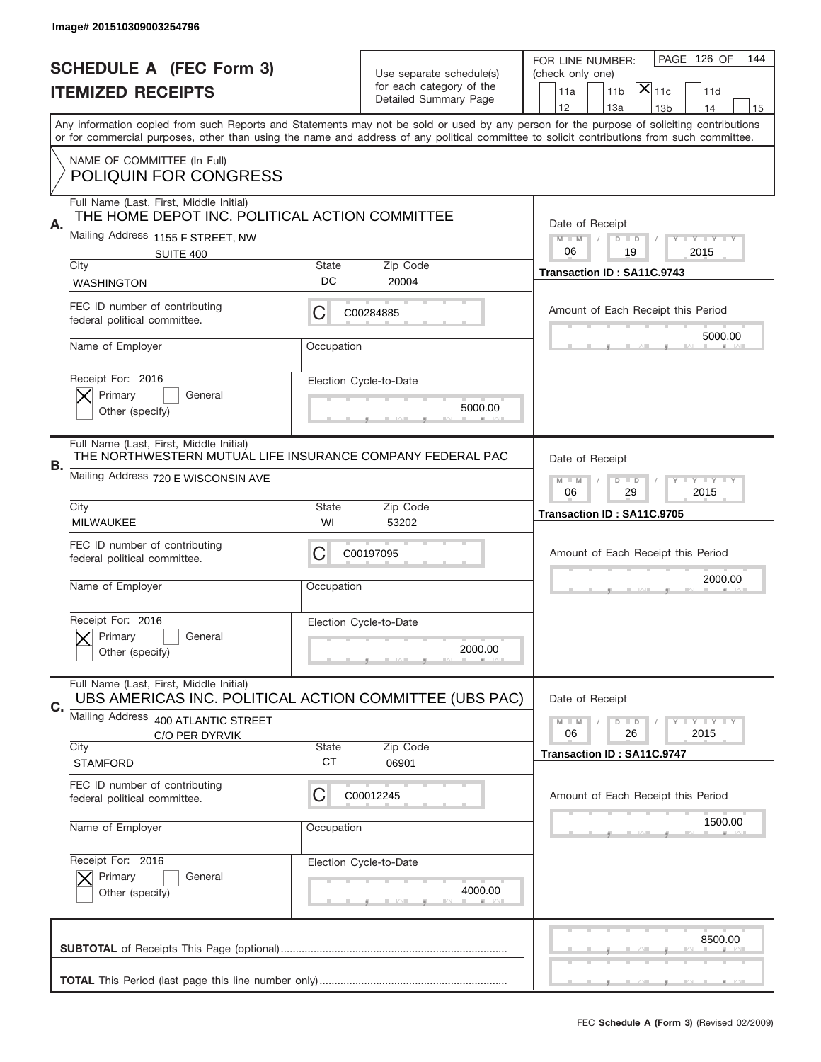|    | Image# 201510309003254796                                                                                                                    |                                                                              |                                   |                                                                                                                                                                                                                                                                                         |
|----|----------------------------------------------------------------------------------------------------------------------------------------------|------------------------------------------------------------------------------|-----------------------------------|-----------------------------------------------------------------------------------------------------------------------------------------------------------------------------------------------------------------------------------------------------------------------------------------|
|    | <b>SCHEDULE A (FEC Form 3)</b>                                                                                                               |                                                                              |                                   | PAGE 126 OF<br>144<br>FOR LINE NUMBER:                                                                                                                                                                                                                                                  |
|    | <b>ITEMIZED RECEIPTS</b>                                                                                                                     | Use separate schedule(s)<br>for each category of the                         |                                   | (check only one)<br>$ \mathsf{X} _{\mathsf{11c}}$<br>11 <sub>b</sub><br>11d<br>11a                                                                                                                                                                                                      |
|    |                                                                                                                                              |                                                                              | Detailed Summary Page             | 12<br>13a<br>14<br>13 <sub>b</sub><br>15                                                                                                                                                                                                                                                |
|    |                                                                                                                                              |                                                                              |                                   | Any information copied from such Reports and Statements may not be sold or used by any person for the purpose of soliciting contributions<br>or for commercial purposes, other than using the name and address of any political committee to solicit contributions from such committee. |
|    | NAME OF COMMITTEE (In Full)<br><b>POLIQUIN FOR CONGRESS</b>                                                                                  |                                                                              |                                   |                                                                                                                                                                                                                                                                                         |
| Α. | Full Name (Last, First, Middle Initial)<br>THE HOME DEPOT INC, POLITICAL ACTION COMMITTEE                                                    |                                                                              |                                   | Date of Receipt                                                                                                                                                                                                                                                                         |
|    | Mailing Address 1155 F STREET, NW<br>SUITE 400                                                                                               |                                                                              |                                   | $M$ $M$<br>Y FY FY FY<br>$D$ $D$<br>06<br>2015<br>19                                                                                                                                                                                                                                    |
|    | City<br><b>WASHINGTON</b>                                                                                                                    | State<br>DC                                                                  | Zip Code<br>20004                 | Transaction ID: SA11C.9743                                                                                                                                                                                                                                                              |
|    | FEC ID number of contributing<br>federal political committee.                                                                                | С                                                                            | C00284885                         | Amount of Each Receipt this Period                                                                                                                                                                                                                                                      |
|    | Name of Employer                                                                                                                             | Occupation                                                                   |                                   | 5000.00                                                                                                                                                                                                                                                                                 |
|    | Receipt For: 2016<br>Primary<br>General<br>Other (specify)                                                                                   |                                                                              | Election Cycle-to-Date<br>5000.00 |                                                                                                                                                                                                                                                                                         |
| В. | Full Name (Last, First, Middle Initial)<br>THE NORTHWESTERN MUTUAL LIFE INSURANCE COMPANY FEDERAL PAC<br>Mailing Address 720 E WISCONSIN AVE | Date of Receipt<br>$M - M$<br>$D$ $D$<br><b>LY LY LY</b><br>06<br>29<br>2015 |                                   |                                                                                                                                                                                                                                                                                         |
|    | City<br><b>MILWAUKEE</b>                                                                                                                     | <b>State</b><br>WI                                                           | Zip Code<br>53202                 | Transaction ID: SA11C.9705                                                                                                                                                                                                                                                              |
|    | FEC ID number of contributing<br>federal political committee.                                                                                | C                                                                            | C00197095                         | Amount of Each Receipt this Period                                                                                                                                                                                                                                                      |
|    | Name of Employer                                                                                                                             | Occupation                                                                   |                                   | 2000.00                                                                                                                                                                                                                                                                                 |
|    | Receipt For: 2016                                                                                                                            |                                                                              | Election Cycle-to-Date            |                                                                                                                                                                                                                                                                                         |
|    | General<br>Primary<br>Other (specify)                                                                                                        |                                                                              | 2000.00                           |                                                                                                                                                                                                                                                                                         |
|    | Full Name (Last, First, Middle Initial)<br>UBS AMERICAS INC. POLITICAL ACTION COMMITTEE (UBS PAC)                                            |                                                                              |                                   | Date of Receipt                                                                                                                                                                                                                                                                         |
| C. | Mailing Address<br>400 ATLANTIC STREET<br>C/O PER DYRVIK                                                                                     |                                                                              |                                   | $I - Y - I - Y - I - Y$<br>$M - M$<br>$D$ $D$<br>06<br>26<br>2015                                                                                                                                                                                                                       |
|    | City<br><b>STAMFORD</b>                                                                                                                      | <b>State</b><br><b>CT</b>                                                    | Zip Code<br>06901                 | Transaction ID: SA11C.9747                                                                                                                                                                                                                                                              |
|    | FEC ID number of contributing<br>federal political committee.                                                                                | С                                                                            | C00012245                         | Amount of Each Receipt this Period                                                                                                                                                                                                                                                      |
|    | Name of Employer                                                                                                                             | Occupation                                                                   |                                   | 1500.00                                                                                                                                                                                                                                                                                 |
|    | Receipt For: 2016<br>Primary<br>General<br>Other (specify)                                                                                   |                                                                              | Election Cycle-to-Date<br>4000.00 |                                                                                                                                                                                                                                                                                         |
|    |                                                                                                                                              |                                                                              |                                   | 8500.00                                                                                                                                                                                                                                                                                 |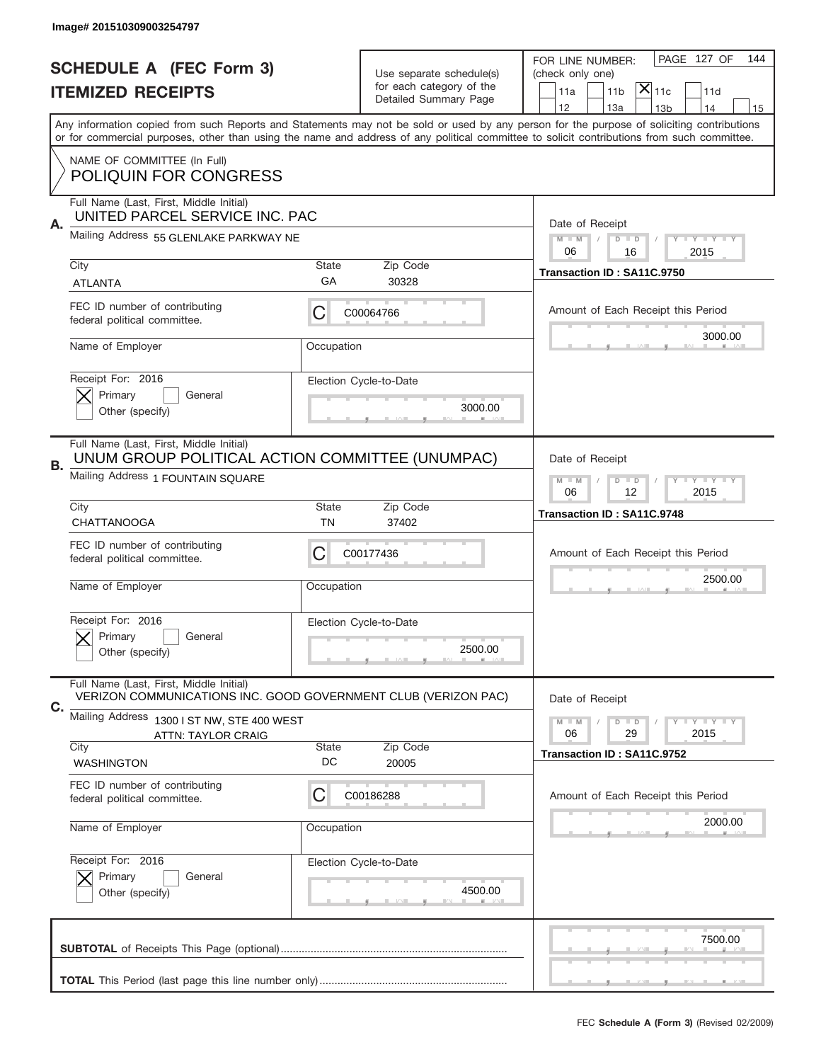|                          | Image# 201510309003254797                                                                                 |                                                                                 |                                                   |                                                                                                                                                                                                                                                                                         |
|--------------------------|-----------------------------------------------------------------------------------------------------------|---------------------------------------------------------------------------------|---------------------------------------------------|-----------------------------------------------------------------------------------------------------------------------------------------------------------------------------------------------------------------------------------------------------------------------------------------|
|                          | <b>SCHEDULE A (FEC Form 3)</b>                                                                            |                                                                                 | Use separate schedule(s)                          | PAGE 127 OF<br>144<br>FOR LINE NUMBER:<br>(check only one)                                                                                                                                                                                                                              |
| <b>ITEMIZED RECEIPTS</b> |                                                                                                           |                                                                                 | for each category of the<br>Detailed Summary Page | $ \mathsf{X} _{\mathsf{11c}}$<br>11 <sub>b</sub><br>11d<br>11a                                                                                                                                                                                                                          |
|                          |                                                                                                           |                                                                                 |                                                   | 12<br>13a<br>13 <sub>b</sub><br>14<br>15                                                                                                                                                                                                                                                |
|                          |                                                                                                           |                                                                                 |                                                   | Any information copied from such Reports and Statements may not be sold or used by any person for the purpose of soliciting contributions<br>or for commercial purposes, other than using the name and address of any political committee to solicit contributions from such committee. |
|                          | NAME OF COMMITTEE (In Full)<br><b>POLIQUIN FOR CONGRESS</b>                                               |                                                                                 |                                                   |                                                                                                                                                                                                                                                                                         |
|                          | Full Name (Last, First, Middle Initial)<br>UNITED PARCEL SERVICE INC. PAC                                 |                                                                                 |                                                   |                                                                                                                                                                                                                                                                                         |
| Α.                       | Mailing Address 55 GLENLAKE PARKWAY NE                                                                    | Date of Receipt<br>$M - M$<br><b>LEY LEY LEY</b><br>$D$ $D$<br>06<br>16<br>2015 |                                                   |                                                                                                                                                                                                                                                                                         |
|                          | City                                                                                                      | <b>State</b>                                                                    | Zip Code                                          | Transaction ID: SA11C.9750                                                                                                                                                                                                                                                              |
|                          | <b>ATLANTA</b>                                                                                            | GA                                                                              | 30328                                             |                                                                                                                                                                                                                                                                                         |
|                          | FEC ID number of contributing<br>federal political committee.                                             | С                                                                               | C00064766                                         | Amount of Each Receipt this Period                                                                                                                                                                                                                                                      |
|                          | Name of Employer                                                                                          | Occupation                                                                      |                                                   | 3000.00                                                                                                                                                                                                                                                                                 |
|                          | Receipt For: 2016<br>Primary<br>General                                                                   |                                                                                 | Election Cycle-to-Date                            |                                                                                                                                                                                                                                                                                         |
|                          | Other (specify)                                                                                           |                                                                                 | 3000.00                                           |                                                                                                                                                                                                                                                                                         |
| В.                       | Full Name (Last, First, Middle Initial)<br>UNUM GROUP POLITICAL ACTION COMMITTEE (UNUMPAC)                | Date of Receipt                                                                 |                                                   |                                                                                                                                                                                                                                                                                         |
|                          | Mailing Address 1 FOUNTAIN SQUARE                                                                         | $D$ $D$<br><b>LY LY LY</b><br>$M - M$<br>06<br>12<br>2015                       |                                                   |                                                                                                                                                                                                                                                                                         |
|                          | City<br><b>CHATTANOOGA</b>                                                                                | <b>State</b><br>TN                                                              | Zip Code<br>37402                                 | Transaction ID: SA11C.9748                                                                                                                                                                                                                                                              |
|                          | FEC ID number of contributing<br>federal political committee.                                             | С                                                                               | C00177436                                         | Amount of Each Receipt this Period                                                                                                                                                                                                                                                      |
|                          | Name of Employer                                                                                          | Occupation                                                                      |                                                   | 2500.00                                                                                                                                                                                                                                                                                 |
|                          | Receipt For: 2016                                                                                         |                                                                                 | Election Cycle-to-Date                            |                                                                                                                                                                                                                                                                                         |
|                          | General<br>Primary<br>Other (specify)                                                                     |                                                                                 | 2500.00                                           |                                                                                                                                                                                                                                                                                         |
| С.                       | Full Name (Last, First, Middle Initial)<br>VERIZON COMMUNICATIONS INC. GOOD GOVERNMENT CLUB (VERIZON PAC) |                                                                                 |                                                   | Date of Receipt                                                                                                                                                                                                                                                                         |
|                          | Mailing Address 1300 I ST NW, STE 400 WEST<br><b>ATTN: TAYLOR CRAIG</b>                                   |                                                                                 |                                                   | <b>LYLYLY</b><br>$M - M$<br>$D$ $D$<br>06<br>29<br>2015                                                                                                                                                                                                                                 |
|                          | City                                                                                                      | <b>State</b>                                                                    | Zip Code                                          | Transaction ID: SA11C.9752                                                                                                                                                                                                                                                              |
|                          | <b>WASHINGTON</b>                                                                                         | DC                                                                              | 20005                                             |                                                                                                                                                                                                                                                                                         |
|                          | FEC ID number of contributing<br>federal political committee.                                             | C                                                                               | C00186288                                         | Amount of Each Receipt this Period                                                                                                                                                                                                                                                      |
|                          | Name of Employer                                                                                          | Occupation                                                                      |                                                   | 2000.00                                                                                                                                                                                                                                                                                 |
|                          | Receipt For: 2016                                                                                         |                                                                                 | Election Cycle-to-Date                            |                                                                                                                                                                                                                                                                                         |
|                          | Primary<br>General<br>Other (specify)                                                                     |                                                                                 | 4500.00                                           |                                                                                                                                                                                                                                                                                         |
|                          |                                                                                                           |                                                                                 |                                                   | 7500.00                                                                                                                                                                                                                                                                                 |
|                          |                                                                                                           |                                                                                 |                                                   |                                                                                                                                                                                                                                                                                         |
|                          |                                                                                                           |                                                                                 |                                                   |                                                                                                                                                                                                                                                                                         |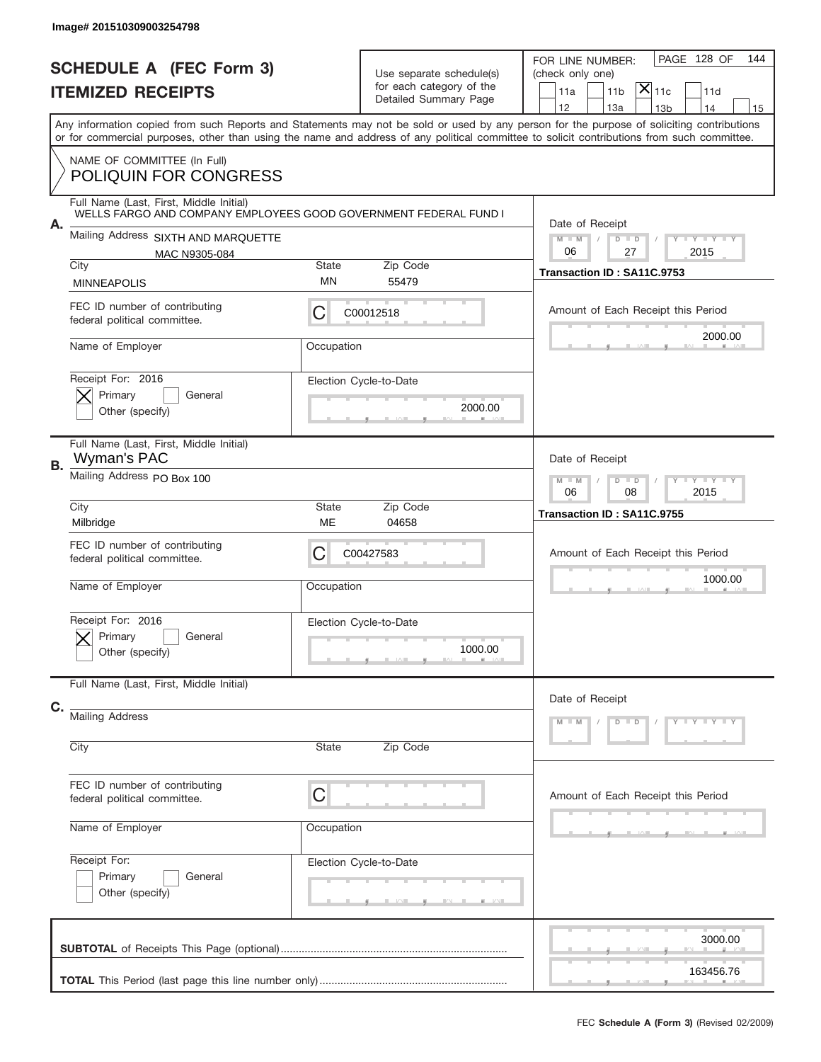|    | Image# 201510309003254798                                                                                   |                                                           |                                                                               |                                                                                                                                                                                                                                                                                         |
|----|-------------------------------------------------------------------------------------------------------------|-----------------------------------------------------------|-------------------------------------------------------------------------------|-----------------------------------------------------------------------------------------------------------------------------------------------------------------------------------------------------------------------------------------------------------------------------------------|
|    | <b>SCHEDULE A (FEC Form 3)</b><br><b>ITEMIZED RECEIPTS</b>                                                  |                                                           | Use separate schedule(s)<br>for each category of the<br>Detailed Summary Page | PAGE 128 OF<br>144<br>FOR LINE NUMBER:<br>(check only one)<br>$ \mathsf{X} _{\mathsf{11c}}$<br>11 <sub>b</sub><br>11d<br>11a<br>12<br>13a<br>14<br>13 <sub>b</sub><br>15                                                                                                                |
|    |                                                                                                             |                                                           |                                                                               | Any information copied from such Reports and Statements may not be sold or used by any person for the purpose of soliciting contributions<br>or for commercial purposes, other than using the name and address of any political committee to solicit contributions from such committee. |
|    | NAME OF COMMITTEE (In Full)<br>POLIQUIN FOR CONGRESS                                                        |                                                           |                                                                               |                                                                                                                                                                                                                                                                                         |
| А. | Full Name (Last, First, Middle Initial)<br>WELLS FARGO AND COMPANY EMPLOYEES GOOD GOVERNMENT FEDERAL FUND I |                                                           |                                                                               | Date of Receipt                                                                                                                                                                                                                                                                         |
|    | Mailing Address SIXTH AND MARQUETTE<br>MAC N9305-084<br>City<br>Zip Code<br>State                           |                                                           |                                                                               | $M$ M<br>Y I Y I Y I Y<br>$D$ $D$<br>06<br>27<br>2015                                                                                                                                                                                                                                   |
|    | <b>MINNEAPOLIS</b>                                                                                          | MN                                                        | 55479                                                                         | Transaction ID: SA11C.9753                                                                                                                                                                                                                                                              |
|    | FEC ID number of contributing<br>federal political committee.                                               | C                                                         | C00012518                                                                     | Amount of Each Receipt this Period                                                                                                                                                                                                                                                      |
|    | Name of Employer                                                                                            | Occupation                                                |                                                                               | 2000.00                                                                                                                                                                                                                                                                                 |
|    | Receipt For: 2016<br>Primary<br>General<br>Other (specify)                                                  |                                                           | Election Cycle-to-Date<br>2000.00                                             |                                                                                                                                                                                                                                                                                         |
| В. | Full Name (Last, First, Middle Initial)<br>Wyman's PAC                                                      | Date of Receipt                                           |                                                                               |                                                                                                                                                                                                                                                                                         |
|    | Mailing Address PO Box 100                                                                                  | <b>LY LY LY</b><br>$M - M$<br>$D$ $D$<br>06<br>08<br>2015 |                                                                               |                                                                                                                                                                                                                                                                                         |
|    | City<br>Milbridge                                                                                           | State<br>ME                                               | Zip Code<br>04658                                                             | Transaction ID: SA11C.9755                                                                                                                                                                                                                                                              |
|    | FEC ID number of contributing<br>federal political committee.                                               | C                                                         | C00427583                                                                     | Amount of Each Receipt this Period                                                                                                                                                                                                                                                      |
|    | Name of Employer                                                                                            | Occupation                                                |                                                                               | 1000.00                                                                                                                                                                                                                                                                                 |
|    | Receipt For: 2016<br>General<br>Primary<br>Other (specify)                                                  |                                                           | Election Cycle-to-Date<br>1000.00                                             |                                                                                                                                                                                                                                                                                         |
|    | Full Name (Last, First, Middle Initial)                                                                     |                                                           |                                                                               | Date of Receipt                                                                                                                                                                                                                                                                         |
| C. | <b>Mailing Address</b>                                                                                      |                                                           |                                                                               | Y TY TY TY<br>$D$ $D$<br>$M - M$                                                                                                                                                                                                                                                        |
|    | City                                                                                                        | State                                                     | Zip Code                                                                      |                                                                                                                                                                                                                                                                                         |
|    | FEC ID number of contributing<br>federal political committee.                                               | C                                                         |                                                                               | Amount of Each Receipt this Period                                                                                                                                                                                                                                                      |
|    | Name of Employer                                                                                            | Occupation                                                |                                                                               |                                                                                                                                                                                                                                                                                         |
|    | Receipt For:<br>Primary<br>General<br>Other (specify)                                                       |                                                           | Election Cycle-to-Date                                                        |                                                                                                                                                                                                                                                                                         |
|    |                                                                                                             |                                                           |                                                                               | 3000.00<br>163456.76                                                                                                                                                                                                                                                                    |
|    |                                                                                                             |                                                           |                                                                               |                                                                                                                                                                                                                                                                                         |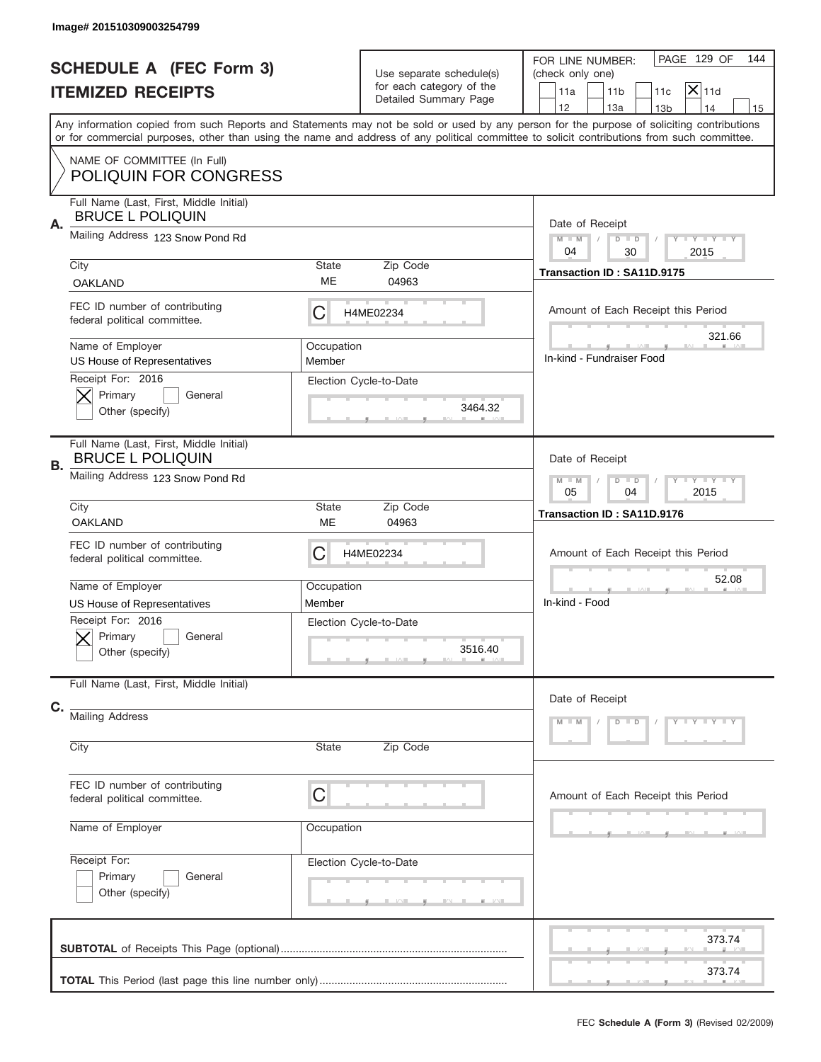|    | Image# 201510309003254799                                                                              |                                                                   |                                                                               |                                                                                                                                                                                                                                                                                         |  |
|----|--------------------------------------------------------------------------------------------------------|-------------------------------------------------------------------|-------------------------------------------------------------------------------|-----------------------------------------------------------------------------------------------------------------------------------------------------------------------------------------------------------------------------------------------------------------------------------------|--|
|    | <b>SCHEDULE A (FEC Form 3)</b><br><b>ITEMIZED RECEIPTS</b>                                             |                                                                   | Use separate schedule(s)<br>for each category of the<br>Detailed Summary Page | PAGE 129 OF<br>144<br>FOR LINE NUMBER:<br>(check only one)<br>$X _{11d}$<br>11a<br>11 <sub>b</sub><br>11c<br>12<br>13a<br>14<br>13 <sub>b</sub><br>15                                                                                                                                   |  |
|    |                                                                                                        |                                                                   |                                                                               | Any information copied from such Reports and Statements may not be sold or used by any person for the purpose of soliciting contributions<br>or for commercial purposes, other than using the name and address of any political committee to solicit contributions from such committee. |  |
|    | NAME OF COMMITTEE (In Full)<br><b>POLIQUIN FOR CONGRESS</b>                                            |                                                                   |                                                                               |                                                                                                                                                                                                                                                                                         |  |
| Α. | Full Name (Last, First, Middle Initial)<br><b>BRUCE L POLIQUIN</b><br>Mailing Address 123 Snow Pond Rd | Date of Receipt                                                   |                                                                               |                                                                                                                                                                                                                                                                                         |  |
|    | City                                                                                                   | State                                                             | Zip Code                                                                      | $M - M$<br>Y I Y I Y I Y<br>$D$ $D$<br>04<br>30<br>2015<br>Transaction ID: SA11D.9175                                                                                                                                                                                                   |  |
|    | <b>OAKLAND</b>                                                                                         | ME                                                                | 04963                                                                         |                                                                                                                                                                                                                                                                                         |  |
|    | FEC ID number of contributing<br>federal political committee.                                          | C                                                                 | H4ME02234                                                                     | Amount of Each Receipt this Period<br>321.66                                                                                                                                                                                                                                            |  |
|    | Name of Employer<br>US House of Representatives                                                        | Occupation<br>Member                                              |                                                                               | In-kind - Fundraiser Food                                                                                                                                                                                                                                                               |  |
|    | Receipt For: 2016<br>Primary<br>General<br>Other (specify)                                             |                                                                   | Election Cycle-to-Date<br>3464.32                                             |                                                                                                                                                                                                                                                                                         |  |
| В. | Full Name (Last, First, Middle Initial)<br><b>BRUCE L POLIQUIN</b>                                     | Date of Receipt                                                   |                                                                               |                                                                                                                                                                                                                                                                                         |  |
|    | Mailing Address 123 Snow Pond Rd                                                                       | $T$ $Y$ $T$ $Y$ $T$ $Y$<br>$M - M$<br>$D$ $D$<br>05<br>04<br>2015 |                                                                               |                                                                                                                                                                                                                                                                                         |  |
|    | City<br><b>OAKLAND</b>                                                                                 | State<br>ME                                                       | Zip Code<br>04963                                                             | Transaction ID: SA11D.9176                                                                                                                                                                                                                                                              |  |
|    | FEC ID number of contributing<br>federal political committee.                                          | C                                                                 | H4ME02234                                                                     | Amount of Each Receipt this Period                                                                                                                                                                                                                                                      |  |
|    |                                                                                                        | Occupation                                                        |                                                                               | 52.08                                                                                                                                                                                                                                                                                   |  |
|    | Name of Employer                                                                                       |                                                                   |                                                                               |                                                                                                                                                                                                                                                                                         |  |
|    | US House of Representatives                                                                            | Member                                                            |                                                                               | In-kind - Food                                                                                                                                                                                                                                                                          |  |
|    | Receipt For: 2016<br>General<br>Primary<br>Other (specify)                                             |                                                                   | Election Cycle-to-Date<br>3516.40                                             |                                                                                                                                                                                                                                                                                         |  |
|    | Full Name (Last, First, Middle Initial)                                                                |                                                                   |                                                                               | Date of Receipt                                                                                                                                                                                                                                                                         |  |
| C. | <b>Mailing Address</b>                                                                                 |                                                                   |                                                                               | Y FYTYTY<br>$M - M$<br>$D$ $D$                                                                                                                                                                                                                                                          |  |
|    | City                                                                                                   | State                                                             | Zip Code                                                                      |                                                                                                                                                                                                                                                                                         |  |
|    | FEC ID number of contributing<br>federal political committee.                                          | C                                                                 |                                                                               | Amount of Each Receipt this Period                                                                                                                                                                                                                                                      |  |
|    | Name of Employer                                                                                       | Occupation                                                        |                                                                               |                                                                                                                                                                                                                                                                                         |  |
|    | Receipt For:<br>Primary<br>General<br>Other (specify)                                                  |                                                                   | Election Cycle-to-Date                                                        |                                                                                                                                                                                                                                                                                         |  |
|    |                                                                                                        |                                                                   |                                                                               | 373.74                                                                                                                                                                                                                                                                                  |  |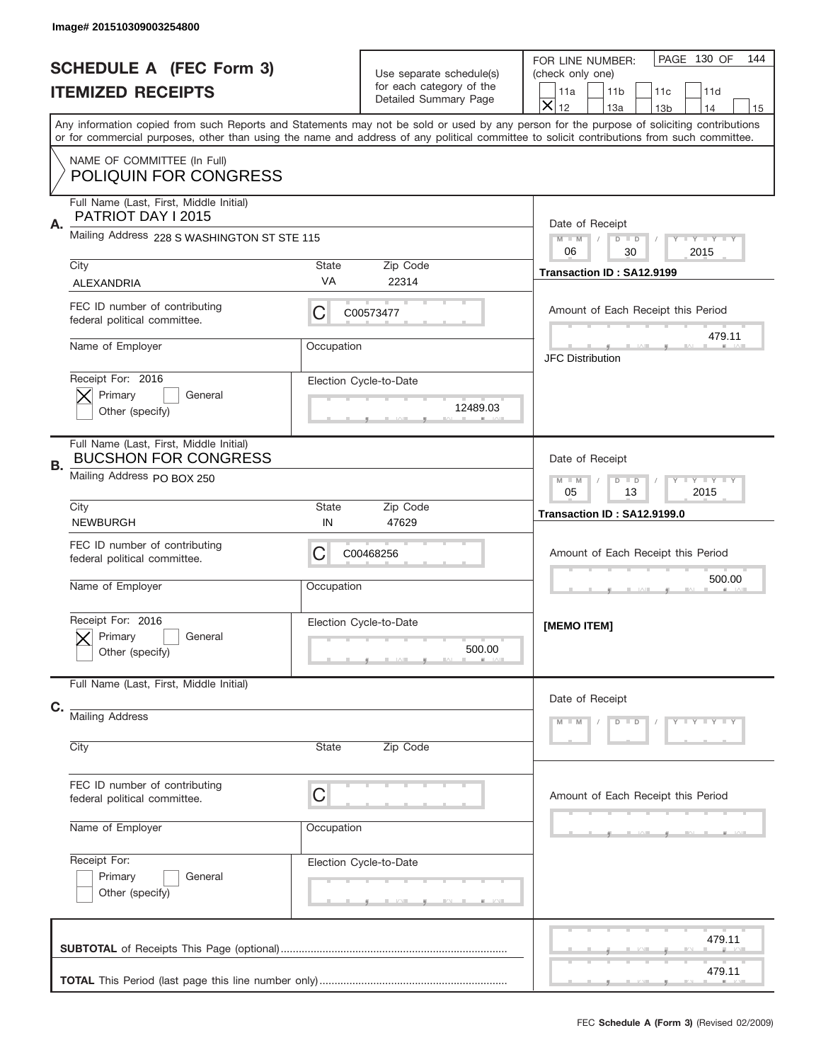|    | Image# 201510309003254800                                                                                    |                                                                                        |                                                                               |                                                                                                                                                                                                                                                                                                                                                                |
|----|--------------------------------------------------------------------------------------------------------------|----------------------------------------------------------------------------------------|-------------------------------------------------------------------------------|----------------------------------------------------------------------------------------------------------------------------------------------------------------------------------------------------------------------------------------------------------------------------------------------------------------------------------------------------------------|
|    | <b>SCHEDULE A (FEC Form 3)</b><br><b>ITEMIZED RECEIPTS</b>                                                   |                                                                                        | Use separate schedule(s)<br>for each category of the<br>Detailed Summary Page | PAGE 130 OF<br>144<br>FOR LINE NUMBER:<br>(check only one)<br>11 <sub>b</sub><br>11c<br>11d<br>11a                                                                                                                                                                                                                                                             |
|    |                                                                                                              |                                                                                        |                                                                               | $\overline{\mathsf{x}}$<br>12<br>13a<br>13 <sub>b</sub><br>14<br>15<br>Any information copied from such Reports and Statements may not be sold or used by any person for the purpose of soliciting contributions<br>or for commercial purposes, other than using the name and address of any political committee to solicit contributions from such committee. |
|    | NAME OF COMMITTEE (In Full)<br><b>POLIQUIN FOR CONGRESS</b>                                                  |                                                                                        |                                                                               |                                                                                                                                                                                                                                                                                                                                                                |
| Α. | Full Name (Last, First, Middle Initial)<br>PATRIOT DAY I 2015<br>Mailing Address 228 S WASHINGTON ST STE 115 |                                                                                        |                                                                               | Date of Receipt                                                                                                                                                                                                                                                                                                                                                |
|    | City                                                                                                         | State                                                                                  | Zip Code                                                                      | $M - M$<br><b>LEY LEY LEY</b><br>$D$ $D$<br>06<br>30<br>2015<br>Transaction ID: SA12.9199                                                                                                                                                                                                                                                                      |
|    | <b>ALEXANDRIA</b><br>FEC ID number of contributing<br>federal political committee.                           | <b>VA</b><br>C                                                                         | 22314<br>C00573477                                                            | Amount of Each Receipt this Period                                                                                                                                                                                                                                                                                                                             |
|    | Name of Employer                                                                                             | Occupation                                                                             |                                                                               | 479.11<br><b>JFC Distribution</b>                                                                                                                                                                                                                                                                                                                              |
|    | Receipt For: 2016<br>Primary<br>General<br>Other (specify)                                                   | Election Cycle-to-Date<br>12489.03                                                     |                                                                               |                                                                                                                                                                                                                                                                                                                                                                |
| В. | Full Name (Last, First, Middle Initial)<br><b>BUCSHON FOR CONGRESS</b><br>Mailing Address PO BOX 250         | Date of Receipt                                                                        |                                                                               |                                                                                                                                                                                                                                                                                                                                                                |
|    | City                                                                                                         | $M - M$<br>$D$ $D$<br><b>LYLYLY</b><br>05<br>13<br>2015<br>Transaction ID: SA12.9199.0 |                                                                               |                                                                                                                                                                                                                                                                                                                                                                |
|    | <b>NEWBURGH</b><br>FEC ID number of contributing<br>federal political committee.<br>Name of Employer         | IN<br>С<br>Occupation                                                                  | 47629<br>C00468256                                                            | Amount of Each Receipt this Period<br>500.00                                                                                                                                                                                                                                                                                                                   |
|    | Receipt For: 2016<br>General<br>Primary<br>Other (specify)                                                   |                                                                                        | Election Cycle-to-Date<br>500.00                                              | [MEMO ITEM]                                                                                                                                                                                                                                                                                                                                                    |
| C. | Full Name (Last, First, Middle Initial)                                                                      |                                                                                        |                                                                               | Date of Receipt                                                                                                                                                                                                                                                                                                                                                |
|    | <b>Mailing Address</b><br>City                                                                               | State                                                                                  | Zip Code                                                                      | $Y - Y - Y - Y - Y$<br>$M - M$<br>$D$ $D$                                                                                                                                                                                                                                                                                                                      |
|    | FEC ID number of contributing<br>federal political committee.                                                | C                                                                                      |                                                                               | Amount of Each Receipt this Period                                                                                                                                                                                                                                                                                                                             |
|    | Name of Employer                                                                                             | Occupation                                                                             |                                                                               |                                                                                                                                                                                                                                                                                                                                                                |
|    | Receipt For:<br>Primary<br>General<br>Other (specify)                                                        |                                                                                        | Election Cycle-to-Date                                                        |                                                                                                                                                                                                                                                                                                                                                                |
|    |                                                                                                              |                                                                                        |                                                                               | 479.11                                                                                                                                                                                                                                                                                                                                                         |
|    |                                                                                                              |                                                                                        |                                                                               | 479.11                                                                                                                                                                                                                                                                                                                                                         |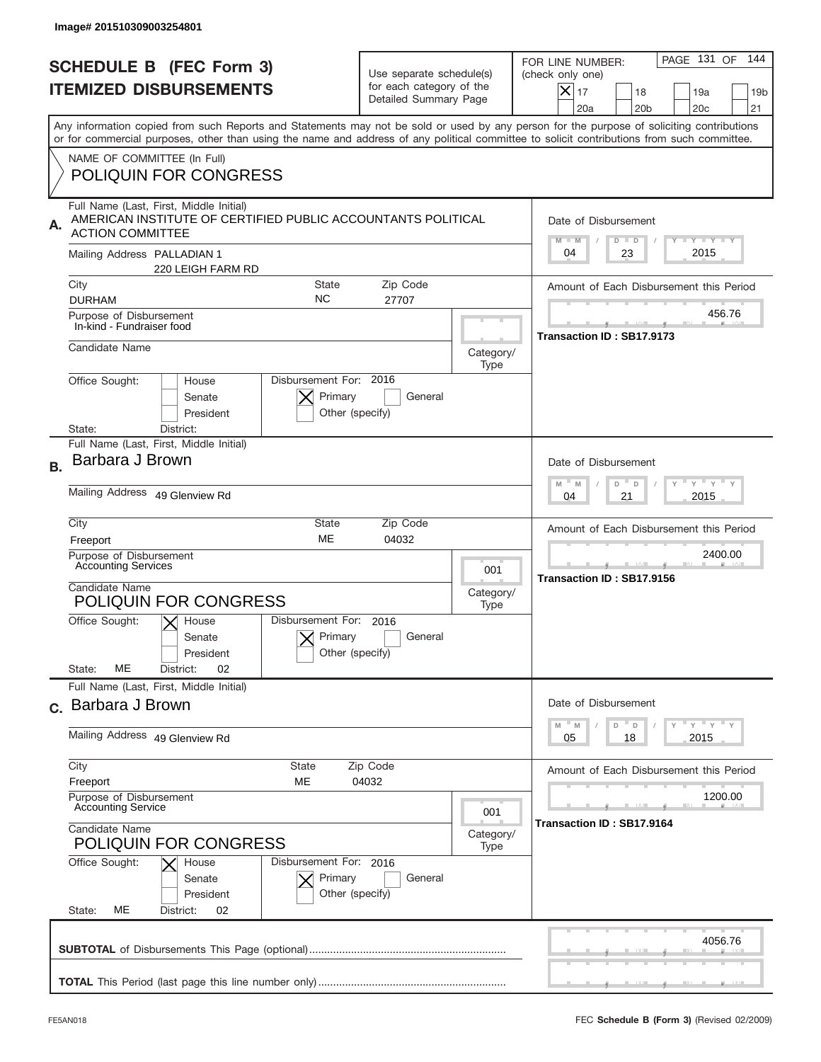|                                                                 | Image# 201510309003254801                                                                                                                                                                                                                                                                                              |                                                                               |                                                                                        |                                                                                                                                                          |  |
|-----------------------------------------------------------------|------------------------------------------------------------------------------------------------------------------------------------------------------------------------------------------------------------------------------------------------------------------------------------------------------------------------|-------------------------------------------------------------------------------|----------------------------------------------------------------------------------------|----------------------------------------------------------------------------------------------------------------------------------------------------------|--|
| <b>SCHEDULE B (FEC Form 3)</b><br><b>ITEMIZED DISBURSEMENTS</b> |                                                                                                                                                                                                                                                                                                                        | Use separate schedule(s)<br>for each category of the<br>Detailed Summary Page |                                                                                        | PAGE 131 OF<br>144<br>FOR LINE NUMBER:<br>(check only one)<br>$ \mathsf{X} _{17}$<br>18<br>19a<br>19 <sub>b</sub><br>20a<br>20 <sub>b</sub><br>20c<br>21 |  |
|                                                                 | Any information copied from such Reports and Statements may not be sold or used by any person for the purpose of soliciting contributions<br>or for commercial purposes, other than using the name and address of any political committee to solicit contributions from such committee.<br>NAME OF COMMITTEE (In Full) |                                                                               |                                                                                        |                                                                                                                                                          |  |
|                                                                 | <b>POLIQUIN FOR CONGRESS</b>                                                                                                                                                                                                                                                                                           |                                                                               |                                                                                        |                                                                                                                                                          |  |
| А.                                                              | Full Name (Last, First, Middle Initial)<br>AMERICAN INSTITUTE OF CERTIFIED PUBLIC ACCOUNTANTS POLITICAL<br><b>ACTION COMMITTEE</b>                                                                                                                                                                                     |                                                                               |                                                                                        | Date of Disbursement<br>Y TY TY TY<br>$M - M$<br>$D$ $D$                                                                                                 |  |
|                                                                 | Mailing Address PALLADIAN 1<br>220 LEIGH FARM RD                                                                                                                                                                                                                                                                       |                                                                               |                                                                                        | 2015<br>23<br>04                                                                                                                                         |  |
|                                                                 | City<br><b>State</b><br>NC.<br><b>DURHAM</b>                                                                                                                                                                                                                                                                           | Zip Code<br>27707                                                             |                                                                                        | Amount of Each Disbursement this Period                                                                                                                  |  |
|                                                                 | Purpose of Disbursement<br>In-kind - Fundraiser food                                                                                                                                                                                                                                                                   |                                                                               |                                                                                        | 456.76<br>Transaction ID: SB17.9173                                                                                                                      |  |
|                                                                 | Candidate Name                                                                                                                                                                                                                                                                                                         |                                                                               | Category/<br>Type                                                                      |                                                                                                                                                          |  |
|                                                                 | Disbursement For: 2016<br>Office Sought:<br>House<br>Primary<br>Senate<br>President<br>State:<br>District:                                                                                                                                                                                                             | General<br>Other (specify)                                                    |                                                                                        |                                                                                                                                                          |  |
| <b>B.</b>                                                       | Full Name (Last, First, Middle Initial)<br>Barbara J Brown                                                                                                                                                                                                                                                             |                                                                               |                                                                                        | Date of Disbursement<br>$-\gamma + \gamma - \gamma$<br>D                                                                                                 |  |
|                                                                 | Mailing Address 49 Glenview Rd                                                                                                                                                                                                                                                                                         | M<br>M<br>$\Box$<br>21<br>2015<br>04                                          |                                                                                        |                                                                                                                                                          |  |
|                                                                 | City<br><b>State</b><br>ME<br>Freeport<br>Purpose of Disbursement                                                                                                                                                                                                                                                      |                                                                               | Amount of Each Disbursement this Period<br>2400.00                                     |                                                                                                                                                          |  |
|                                                                 | <b>Accounting Services</b><br>Candidate Name<br>POLIQUIN FOR CONGRESS                                                                                                                                                                                                                                                  | 001<br>Category/<br>Type                                                      | Transaction ID: SB17.9156                                                              |                                                                                                                                                          |  |
|                                                                 | Disbursement For:<br>Office Sought:<br>$X$ House<br>Primary<br>Senate<br>President<br>MЕ                                                                                                                                                                                                                               | 2016<br>General<br>Other (specify)                                            |                                                                                        |                                                                                                                                                          |  |
|                                                                 | 02<br>State:<br>District:<br>Full Name (Last, First, Middle Initial)                                                                                                                                                                                                                                                   |                                                                               |                                                                                        |                                                                                                                                                          |  |
|                                                                 | c. Barbara J Brown                                                                                                                                                                                                                                                                                                     |                                                                               |                                                                                        | Date of Disbursement                                                                                                                                     |  |
|                                                                 | Mailing Address 49 Glenview Rd                                                                                                                                                                                                                                                                                         |                                                                               | $\gamma$ = $\gamma$ = $\gamma$ = $\gamma$<br>$M$ $M$<br>$-$ D<br>D<br>2015<br>05<br>18 |                                                                                                                                                          |  |
|                                                                 | City<br><b>State</b><br>Freeport<br>ME                                                                                                                                                                                                                                                                                 | Zip Code<br>04032                                                             |                                                                                        | Amount of Each Disbursement this Period<br>1200.00                                                                                                       |  |
|                                                                 | Purpose of Disbursement<br><b>Accounting Service</b><br>Candidate Name                                                                                                                                                                                                                                                 |                                                                               | 001                                                                                    | Transaction ID: SB17.9164                                                                                                                                |  |
|                                                                 | <b>POLIQUIN FOR CONGRESS</b>                                                                                                                                                                                                                                                                                           |                                                                               | Category/<br>Type                                                                      |                                                                                                                                                          |  |
|                                                                 | Office Sought:<br>Disbursement For: 2016<br>House<br>Primary<br>Senate<br>President<br>Other (specify)<br>МE<br>State:<br>District:<br>02                                                                                                                                                                              |                                                                               |                                                                                        |                                                                                                                                                          |  |
|                                                                 |                                                                                                                                                                                                                                                                                                                        |                                                                               |                                                                                        | 4056.76                                                                                                                                                  |  |
|                                                                 |                                                                                                                                                                                                                                                                                                                        |                                                                               |                                                                                        |                                                                                                                                                          |  |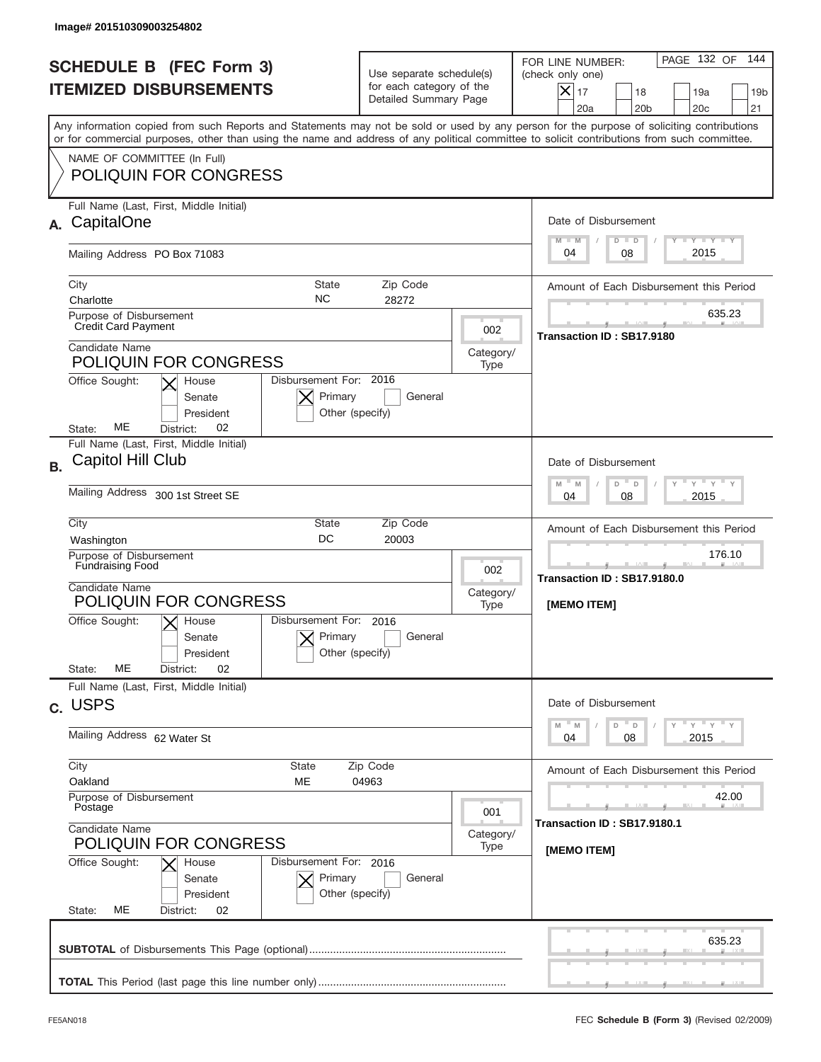|           | Image# 201510309003254802                                                                                                                                                                                                                                                               |                                                                               |                                                            |                                                                                                                                                          |
|-----------|-----------------------------------------------------------------------------------------------------------------------------------------------------------------------------------------------------------------------------------------------------------------------------------------|-------------------------------------------------------------------------------|------------------------------------------------------------|----------------------------------------------------------------------------------------------------------------------------------------------------------|
|           | <b>SCHEDULE B (FEC Form 3)</b><br><b>ITEMIZED DISBURSEMENTS</b>                                                                                                                                                                                                                         | Use separate schedule(s)<br>for each category of the<br>Detailed Summary Page |                                                            | 144<br>PAGE 132 OF<br>FOR LINE NUMBER:<br>(check only one)<br>X<br>17<br>18<br>19a<br>19 <sub>b</sub><br>21<br>20a<br>20 <sub>b</sub><br>20 <sub>c</sub> |
|           | Any information copied from such Reports and Statements may not be sold or used by any person for the purpose of soliciting contributions<br>or for commercial purposes, other than using the name and address of any political committee to solicit contributions from such committee. |                                                                               |                                                            |                                                                                                                                                          |
|           | NAME OF COMMITTEE (In Full)<br><b>POLIQUIN FOR CONGRESS</b>                                                                                                                                                                                                                             |                                                                               |                                                            |                                                                                                                                                          |
| А.        | Full Name (Last, First, Middle Initial)<br>CapitalOne                                                                                                                                                                                                                                   |                                                                               |                                                            | Date of Disbursement<br>$T - Y$ $T - Y$<br>$M - M$<br>$D$ $D$                                                                                            |
|           | Mailing Address PO Box 71083                                                                                                                                                                                                                                                            |                                                                               |                                                            | 2015<br>08<br>04                                                                                                                                         |
|           | <b>State</b><br>City<br><b>NC</b><br>Charlotte<br>Purpose of Disbursement                                                                                                                                                                                                               | Zip Code<br>28272                                                             |                                                            | Amount of Each Disbursement this Period<br>635.23                                                                                                        |
|           | <b>Credit Card Payment</b><br>Candidate Name                                                                                                                                                                                                                                            |                                                                               | 002<br>Category/                                           | Transaction ID: SB17.9180                                                                                                                                |
|           | <b>POLIQUIN FOR CONGRESS</b><br>Disbursement For: 2016<br>Office Sought:<br>House<br>Primary<br>Senate<br>President<br>Other (specify)<br>ME<br>02<br>State:<br>District:                                                                                                               | General                                                                       | Type                                                       |                                                                                                                                                          |
| <b>B.</b> | Full Name (Last, First, Middle Initial)<br>Capitol Hill Club                                                                                                                                                                                                                            |                                                                               |                                                            | Date of Disbursement<br>$\cdots$ $\gamma$ $\cdots$ $\gamma$ $\cdots$ $\gamma$<br>$M - M$<br>D<br>$\Box$                                                  |
|           | Mailing Address 300 1st Street SE                                                                                                                                                                                                                                                       | 2015<br>04<br>08                                                              |                                                            |                                                                                                                                                          |
|           | City<br>State<br>DC<br>Washington                                                                                                                                                                                                                                                       | Zip Code<br>20003                                                             | Amount of Each Disbursement this Period                    |                                                                                                                                                          |
|           | Purpose of Disbursement<br><b>Fundraising Food</b><br>Candidate Name<br><b>POLIQUIN FOR CONGRESS</b>                                                                                                                                                                                    | 002<br>Category/<br>Type                                                      | 176.10<br>__<br>Transaction ID: SB17.9180.0<br>[MEMO ITEM] |                                                                                                                                                          |
|           | Disbursement For:<br>Office Sought:<br>$X$ House<br>Primary<br>Senate<br>Other (specify)<br>President<br>MЕ<br>02<br>State:<br>District:                                                                                                                                                | 2016<br>General                                                               |                                                            |                                                                                                                                                          |
|           | Full Name (Last, First, Middle Initial)<br>c. USPS                                                                                                                                                                                                                                      |                                                                               |                                                            | Date of Disbursement                                                                                                                                     |
|           | Mailing Address 62 Water St                                                                                                                                                                                                                                                             | ү"ү"ү"ү<br>$-M$<br>D<br>M<br>D<br>08<br>2015<br>04                            |                                                            |                                                                                                                                                          |
|           | City<br><b>State</b><br>Oakland<br>MЕ                                                                                                                                                                                                                                                   | Zip Code<br>04963                                                             |                                                            | Amount of Each Disbursement this Period                                                                                                                  |
|           | Purpose of Disbursement<br>Postage<br>Candidate Name                                                                                                                                                                                                                                    |                                                                               | 001<br>Category/                                           | 42.00<br>Transaction ID: SB17.9180.1                                                                                                                     |
|           | <b>POLIQUIN FOR CONGRESS</b><br>Office Sought:<br>Disbursement For: 2016<br>House<br>Primary<br>Senate<br>Other (specify)<br>President<br>State:<br>МE<br>District:<br>02                                                                                                               | [MEMO ITEM]                                                                   |                                                            |                                                                                                                                                          |
|           |                                                                                                                                                                                                                                                                                         |                                                                               |                                                            | 635.23                                                                                                                                                   |
|           |                                                                                                                                                                                                                                                                                         |                                                                               |                                                            |                                                                                                                                                          |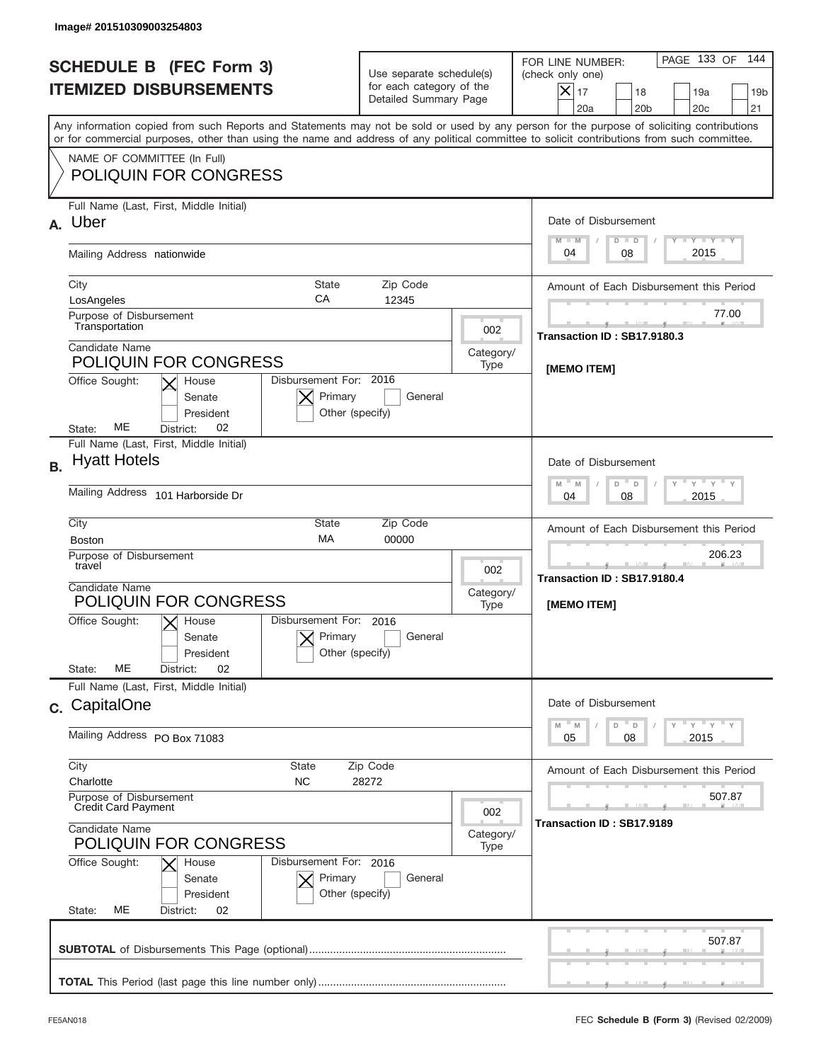|                                                                 | Image# 201510309003254803                                                                                                                                                                                                                                                               |                                                                                                 |                  |                                                                                                                                                            |  |  |
|-----------------------------------------------------------------|-----------------------------------------------------------------------------------------------------------------------------------------------------------------------------------------------------------------------------------------------------------------------------------------|-------------------------------------------------------------------------------------------------|------------------|------------------------------------------------------------------------------------------------------------------------------------------------------------|--|--|
| <b>SCHEDULE B</b> (FEC Form 3)<br><b>ITEMIZED DISBURSEMENTS</b> |                                                                                                                                                                                                                                                                                         | Use separate schedule(s)<br>for each category of the<br>Detailed Summary Page                   |                  | 144<br>PAGE 133 OF<br>FOR LINE NUMBER:<br>(check only one)<br>$X _{17}$<br>18<br>19a<br>19 <sub>b</sub><br>20a<br>20 <sub>b</sub><br>20 <sub>c</sub><br>21 |  |  |
|                                                                 | Any information copied from such Reports and Statements may not be sold or used by any person for the purpose of soliciting contributions<br>or for commercial purposes, other than using the name and address of any political committee to solicit contributions from such committee. |                                                                                                 |                  |                                                                                                                                                            |  |  |
|                                                                 | NAME OF COMMITTEE (In Full)<br><b>POLIQUIN FOR CONGRESS</b>                                                                                                                                                                                                                             |                                                                                                 |                  |                                                                                                                                                            |  |  |
| А.                                                              | Full Name (Last, First, Middle Initial)<br>Uber                                                                                                                                                                                                                                         |                                                                                                 |                  | Date of Disbursement<br><b>TANK TANK</b><br>$M - M$<br>$D$ $D$                                                                                             |  |  |
|                                                                 | Mailing Address nationwide                                                                                                                                                                                                                                                              |                                                                                                 |                  | 2015<br>08<br>04                                                                                                                                           |  |  |
|                                                                 | City<br>State<br>CA<br>LosAngeles<br>Purpose of Disbursement                                                                                                                                                                                                                            | Amount of Each Disbursement this Period<br>77.00                                                |                  |                                                                                                                                                            |  |  |
|                                                                 | Transportation<br>Candidate Name<br><b>POLIQUIN FOR CONGRESS</b>                                                                                                                                                                                                                        |                                                                                                 | 002<br>Category/ | Transaction ID: SB17.9180.3                                                                                                                                |  |  |
|                                                                 | Disbursement For: 2016<br>Office Sought:<br>House<br>Primary<br>Senate<br>President<br>Other (specify)<br>ME<br>02<br>State:<br>District:                                                                                                                                               | General                                                                                         | Type             | <b>IMEMO ITEM1</b>                                                                                                                                         |  |  |
| <b>B.</b>                                                       | Full Name (Last, First, Middle Initial)<br><b>Hyatt Hotels</b>                                                                                                                                                                                                                          |                                                                                                 |                  | Date of Disbursement<br>$-\gamma + \gamma - \gamma$<br>$M - M$<br>D                                                                                        |  |  |
|                                                                 | Mailing Address 101 Harborside Dr                                                                                                                                                                                                                                                       | $\Box$<br>2015<br>04<br>08                                                                      |                  |                                                                                                                                                            |  |  |
|                                                                 | City<br>State<br>MA<br><b>Boston</b><br>Purpose of Disbursement                                                                                                                                                                                                                         | Amount of Each Disbursement this Period<br>206.23<br>Transaction ID: SB17.9180.4<br>[MEMO ITEM] |                  |                                                                                                                                                            |  |  |
|                                                                 | travel<br>Candidate Name<br>POLIQUIN FOR CONGRESS                                                                                                                                                                                                                                       |                                                                                                 |                  |                                                                                                                                                            |  |  |
|                                                                 | Disbursement For:<br>Office Sought:<br>$X$ House<br>Primary<br>Senate<br>Other (specify)<br>President<br>MЕ<br>02<br>State:<br>District:                                                                                                                                                | 2016<br>General                                                                                 |                  |                                                                                                                                                            |  |  |
|                                                                 | Full Name (Last, First, Middle Initial)<br>c. CapitalOne                                                                                                                                                                                                                                |                                                                                                 |                  | Date of Disbursement                                                                                                                                       |  |  |
|                                                                 | Mailing Address PO Box 71083                                                                                                                                                                                                                                                            | ү " ү " ү " ү<br>M<br>M<br>D<br>D<br>2015<br>05<br>08                                           |                  |                                                                                                                                                            |  |  |
|                                                                 | City<br>State<br>Zip Code<br>Charlotte<br>NC.<br>28272                                                                                                                                                                                                                                  | Amount of Each Disbursement this Period                                                         |                  |                                                                                                                                                            |  |  |
|                                                                 | Purpose of Disbursement<br><b>Credit Card Payment</b><br>Candidate Name<br><b>POLIQUIN FOR CONGRESS</b>                                                                                                                                                                                 |                                                                                                 |                  | 507.87<br>Transaction ID: SB17.9189                                                                                                                        |  |  |
|                                                                 | Office Sought:<br>Disbursement For: 2016<br>House<br>Primary<br>Senate<br>Other (specify)<br>President<br>State:<br>МE<br>District:<br>02                                                                                                                                               |                                                                                                 |                  |                                                                                                                                                            |  |  |
|                                                                 |                                                                                                                                                                                                                                                                                         |                                                                                                 |                  | 507.87                                                                                                                                                     |  |  |
|                                                                 |                                                                                                                                                                                                                                                                                         |                                                                                                 |                  |                                                                                                                                                            |  |  |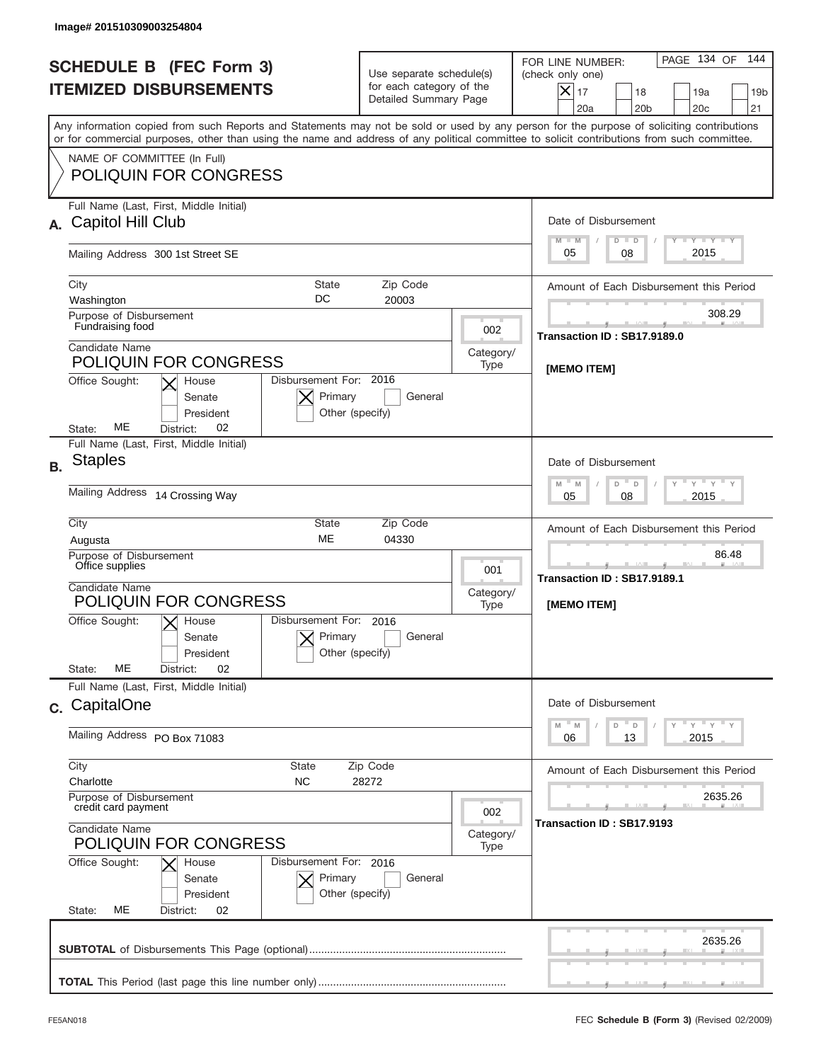|                                                                 | Image# 201510309003254804                                                                                                                                                                                                                                                                                              |                                                                               |      |                                                                                                                                                            |  |  |
|-----------------------------------------------------------------|------------------------------------------------------------------------------------------------------------------------------------------------------------------------------------------------------------------------------------------------------------------------------------------------------------------------|-------------------------------------------------------------------------------|------|------------------------------------------------------------------------------------------------------------------------------------------------------------|--|--|
| <b>SCHEDULE B (FEC Form 3)</b><br><b>ITEMIZED DISBURSEMENTS</b> |                                                                                                                                                                                                                                                                                                                        | Use separate schedule(s)<br>for each category of the<br>Detailed Summary Page |      | 144<br>PAGE 134 OF<br>FOR LINE NUMBER:<br>(check only one)<br>$X _{17}$<br>18<br>19a<br>19 <sub>b</sub><br>20a<br>20 <sub>b</sub><br>20 <sub>c</sub><br>21 |  |  |
|                                                                 | Any information copied from such Reports and Statements may not be sold or used by any person for the purpose of soliciting contributions<br>or for commercial purposes, other than using the name and address of any political committee to solicit contributions from such committee.<br>NAME OF COMMITTEE (In Full) |                                                                               |      |                                                                                                                                                            |  |  |
|                                                                 | <b>POLIQUIN FOR CONGRESS</b>                                                                                                                                                                                                                                                                                           |                                                                               |      |                                                                                                                                                            |  |  |
| А.                                                              | Full Name (Last, First, Middle Initial)<br>Capitol Hill Club                                                                                                                                                                                                                                                           |                                                                               |      | Date of Disbursement<br><b>TANK TANK</b><br>$M - M$<br>$D$ $D$                                                                                             |  |  |
|                                                                 | Mailing Address 300 1st Street SE                                                                                                                                                                                                                                                                                      |                                                                               |      | 2015<br>05<br>08                                                                                                                                           |  |  |
|                                                                 | City<br><b>State</b><br>DC<br>Washington                                                                                                                                                                                                                                                                               | Amount of Each Disbursement this Period<br>308.29                             |      |                                                                                                                                                            |  |  |
|                                                                 | Purpose of Disbursement<br>Fundraising food<br>Candidate Name                                                                                                                                                                                                                                                          |                                                                               |      | Transaction ID: SB17.9189.0                                                                                                                                |  |  |
|                                                                 | <b>POLIQUIN FOR CONGRESS</b><br>Disbursement For: 2016<br>Office Sought:<br>House<br>Primary<br>Senate<br>President<br>Other (specify)<br>ME<br>02<br>State:<br>District:                                                                                                                                              | General                                                                       | Type | [MEMO ITEM]                                                                                                                                                |  |  |
| <b>B.</b>                                                       | Full Name (Last, First, Middle Initial)<br><b>Staples</b>                                                                                                                                                                                                                                                              |                                                                               |      | Date of Disbursement<br>$M - M$<br>≡ γ ≡ γ ≡ γ<br>D<br>$\Box$                                                                                              |  |  |
|                                                                 | Mailing Address 14 Crossing Way                                                                                                                                                                                                                                                                                        | 2015<br>05<br>08                                                              |      |                                                                                                                                                            |  |  |
|                                                                 | City<br>State<br>ME<br>Augusta<br>Purpose of Disbursement                                                                                                                                                                                                                                                              | Amount of Each Disbursement this Period<br>86.48                              |      |                                                                                                                                                            |  |  |
|                                                                 | Office supplies<br>Candidate Name<br><b>POLIQUIN FOR CONGRESS</b>                                                                                                                                                                                                                                                      |                                                                               |      | <u>.</u><br>Transaction ID: SB17.9189.1<br>[MEMO ITEM]                                                                                                     |  |  |
|                                                                 | Disbursement For:<br>Office Sought:<br>$X$ House<br>Primary<br>Senate<br>Other (specify)<br>President<br>MЕ<br>02<br>State:<br>District:                                                                                                                                                                               | 2016<br>General                                                               |      |                                                                                                                                                            |  |  |
|                                                                 | Full Name (Last, First, Middle Initial)<br>c. CapitalOne                                                                                                                                                                                                                                                               |                                                                               |      | Date of Disbursement                                                                                                                                       |  |  |
|                                                                 | Mailing Address PO Box 71083                                                                                                                                                                                                                                                                                           | ү " ү " ү " ү<br>M<br>M<br>D<br>D<br>2015<br>06<br>13                         |      |                                                                                                                                                            |  |  |
|                                                                 | City<br>State<br>Zip Code<br>Charlotte<br>NC.<br>28272                                                                                                                                                                                                                                                                 | Amount of Each Disbursement this Period                                       |      |                                                                                                                                                            |  |  |
|                                                                 | Purpose of Disbursement<br>credit card payment<br>Candidate Name<br><b>POLIQUIN FOR CONGRESS</b>                                                                                                                                                                                                                       |                                                                               |      | 2635.26<br>Transaction ID: SB17.9193                                                                                                                       |  |  |
|                                                                 | Office Sought:<br>Disbursement For: 2016<br>House<br>Primary<br>Senate<br>Other (specify)<br>President<br>State:<br>МE<br>District:<br>02                                                                                                                                                                              |                                                                               |      |                                                                                                                                                            |  |  |
|                                                                 |                                                                                                                                                                                                                                                                                                                        |                                                                               |      | 2635.26                                                                                                                                                    |  |  |
|                                                                 |                                                                                                                                                                                                                                                                                                                        |                                                                               |      |                                                                                                                                                            |  |  |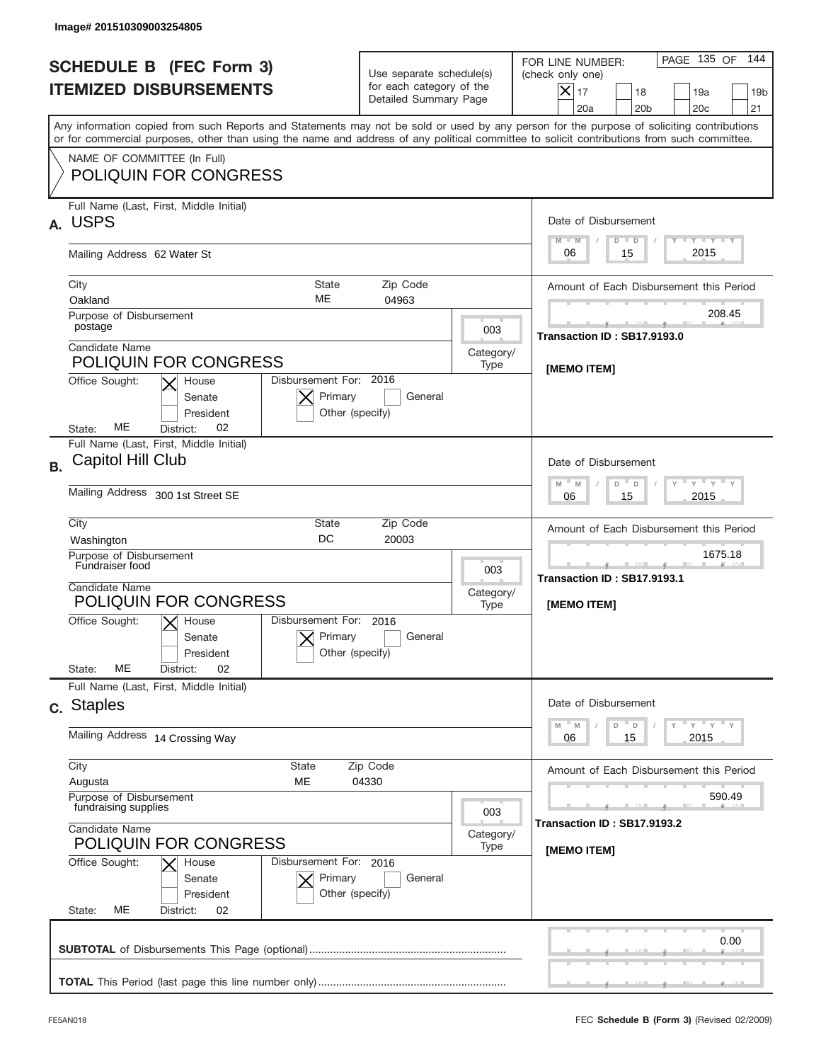|                                                                 | Image# 201510309003254805                                                                                                                                                                                                                                                               |                                                                               |                   |                                                                                                                                                                 |  |  |  |
|-----------------------------------------------------------------|-----------------------------------------------------------------------------------------------------------------------------------------------------------------------------------------------------------------------------------------------------------------------------------------|-------------------------------------------------------------------------------|-------------------|-----------------------------------------------------------------------------------------------------------------------------------------------------------------|--|--|--|
| <b>SCHEDULE B (FEC Form 3)</b><br><b>ITEMIZED DISBURSEMENTS</b> |                                                                                                                                                                                                                                                                                         | Use separate schedule(s)<br>for each category of the<br>Detailed Summary Page |                   | 144<br>PAGE 135 OF<br>FOR LINE NUMBER:<br>(check only one)<br>$\times$<br>17<br>18<br>19a<br>19 <sub>b</sub><br>20 <sub>c</sub><br>21<br>20a<br>20 <sub>b</sub> |  |  |  |
|                                                                 | Any information copied from such Reports and Statements may not be sold or used by any person for the purpose of soliciting contributions<br>or for commercial purposes, other than using the name and address of any political committee to solicit contributions from such committee. |                                                                               |                   |                                                                                                                                                                 |  |  |  |
|                                                                 | NAME OF COMMITTEE (In Full)<br><b>POLIQUIN FOR CONGRESS</b>                                                                                                                                                                                                                             |                                                                               |                   |                                                                                                                                                                 |  |  |  |
| А.                                                              | Full Name (Last, First, Middle Initial)<br><b>USPS</b>                                                                                                                                                                                                                                  |                                                                               |                   | Date of Disbursement<br>$T - Y$ $T - Y$<br>$M - M$<br>$D$ $D$                                                                                                   |  |  |  |
|                                                                 | Mailing Address 62 Water St                                                                                                                                                                                                                                                             | 2015<br>06<br>15                                                              |                   |                                                                                                                                                                 |  |  |  |
|                                                                 | <b>State</b><br>City<br>ME<br>Oakland                                                                                                                                                                                                                                                   | Amount of Each Disbursement this Period<br>208.45                             |                   |                                                                                                                                                                 |  |  |  |
|                                                                 | Purpose of Disbursement<br>postage<br>Candidate Name                                                                                                                                                                                                                                    |                                                                               | 003               | Transaction ID: SB17.9193.0                                                                                                                                     |  |  |  |
|                                                                 | <b>POLIQUIN FOR CONGRESS</b><br>Disbursement For: 2016<br>Office Sought:<br>House                                                                                                                                                                                                       |                                                                               | Category/<br>Type | [MEMO ITEM]                                                                                                                                                     |  |  |  |
|                                                                 | Primary<br>Senate<br>President<br>Other (specify)<br>ME<br>02<br>District:<br>State:                                                                                                                                                                                                    | General                                                                       |                   |                                                                                                                                                                 |  |  |  |
| <b>B.</b>                                                       | Full Name (Last, First, Middle Initial)<br>Capitol Hill Club                                                                                                                                                                                                                            |                                                                               |                   | Date of Disbursement<br>$\cdots$ $\gamma$ $\cdots$ $\gamma$ $\cdots$ $\gamma$                                                                                   |  |  |  |
|                                                                 | Mailing Address 300 1st Street SE                                                                                                                                                                                                                                                       | $M - M$<br>D<br>D<br>2015<br>06<br>15                                         |                   |                                                                                                                                                                 |  |  |  |
|                                                                 | City<br>State<br>DC<br>Washington                                                                                                                                                                                                                                                       | Amount of Each Disbursement this Period                                       |                   |                                                                                                                                                                 |  |  |  |
|                                                                 | Purpose of Disbursement<br>Fundraiser food<br>Candidate Name<br>POLIQUIN FOR CONGRESS                                                                                                                                                                                                   |                                                                               |                   | 1675.18<br>Transaction ID: SB17.9193.1<br>[MEMO ITEM]                                                                                                           |  |  |  |
|                                                                 | Disbursement For:<br>Office Sought:<br>$\mathsf{X}$ House<br>Primary<br>Senate<br>President<br>Other (specify)<br>ME<br>02<br>State:<br>District:                                                                                                                                       | 2016<br>General                                                               |                   |                                                                                                                                                                 |  |  |  |
|                                                                 | Full Name (Last, First, Middle Initial)<br>c. Staples                                                                                                                                                                                                                                   |                                                                               |                   | Date of Disbursement                                                                                                                                            |  |  |  |
|                                                                 | Mailing Address 14 Crossing Way                                                                                                                                                                                                                                                         | ү" ү" ү" ү<br>$-$ M<br>M<br>D<br>D<br>2015<br>06<br>15                        |                   |                                                                                                                                                                 |  |  |  |
|                                                                 | City<br>State<br>ME<br>Augusta                                                                                                                                                                                                                                                          | Zip Code<br>04330                                                             |                   | Amount of Each Disbursement this Period                                                                                                                         |  |  |  |
|                                                                 | Purpose of Disbursement<br>fundraising supplies<br>Candidate Name<br>Category/                                                                                                                                                                                                          |                                                                               |                   | 590.49<br>Transaction ID: SB17.9193.2                                                                                                                           |  |  |  |
|                                                                 | <b>POLIQUIN FOR CONGRESS</b><br>Office Sought:<br>Disbursement For: 2016<br>House<br>Primary<br>Senate<br>President<br>Other (specify)<br>МE<br>State:<br>District:<br>02                                                                                                               | General                                                                       | [MEMO ITEM]       |                                                                                                                                                                 |  |  |  |
|                                                                 |                                                                                                                                                                                                                                                                                         |                                                                               |                   | 0.00                                                                                                                                                            |  |  |  |
|                                                                 |                                                                                                                                                                                                                                                                                         |                                                                               |                   |                                                                                                                                                                 |  |  |  |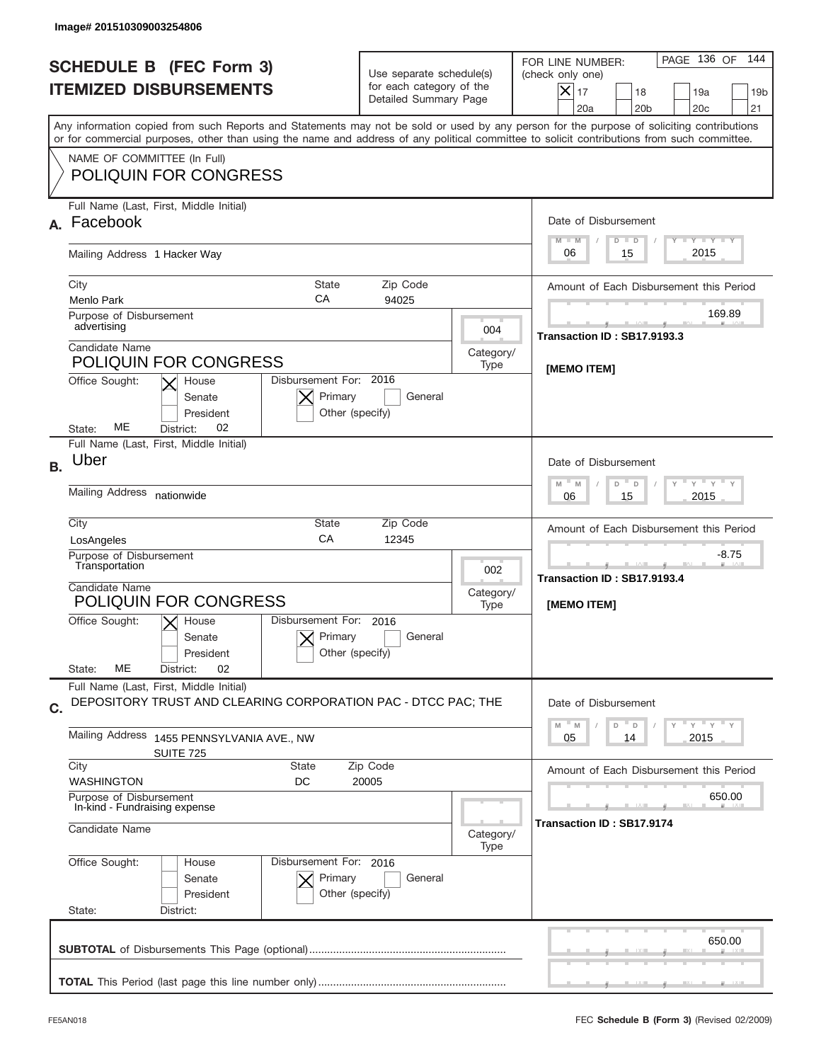| Image# 201510309003254806                                       |                                                                                                         |                                                                                      |                          |                                                                                                                                                                                                                                                                                         |  |  |
|-----------------------------------------------------------------|---------------------------------------------------------------------------------------------------------|--------------------------------------------------------------------------------------|--------------------------|-----------------------------------------------------------------------------------------------------------------------------------------------------------------------------------------------------------------------------------------------------------------------------------------|--|--|
| <b>SCHEDULE B (FEC Form 3)</b><br><b>ITEMIZED DISBURSEMENTS</b> |                                                                                                         | Use separate schedule(s)<br>for each category of the<br>Detailed Summary Page        |                          | PAGE 136 OF<br>144<br>FOR LINE NUMBER:<br>(check only one)<br>$ \mathsf{X} _{17}$<br>18<br>19a<br>19 <sub>b</sub><br>20a<br>20 <sub>b</sub><br>20 <sub>c</sub><br>21                                                                                                                    |  |  |
|                                                                 |                                                                                                         |                                                                                      |                          | Any information copied from such Reports and Statements may not be sold or used by any person for the purpose of soliciting contributions<br>or for commercial purposes, other than using the name and address of any political committee to solicit contributions from such committee. |  |  |
| NAME OF COMMITTEE (In Full)                                     | <b>POLIQUIN FOR CONGRESS</b>                                                                            |                                                                                      |                          |                                                                                                                                                                                                                                                                                         |  |  |
| Full Name (Last, First, Middle Initial)<br>Facebook<br>А.       |                                                                                                         |                                                                                      |                          | Date of Disbursement<br>Y FY FY FY<br>$M - M$                                                                                                                                                                                                                                           |  |  |
| Mailing Address 1 Hacker Way                                    |                                                                                                         |                                                                                      |                          | $D$ $D$<br>2015<br>06<br>15                                                                                                                                                                                                                                                             |  |  |
| City<br><b>State</b><br>СA<br>Menlo Park                        |                                                                                                         | Zip Code<br>94025                                                                    |                          | Amount of Each Disbursement this Period                                                                                                                                                                                                                                                 |  |  |
| Purpose of Disbursement<br>advertising                          |                                                                                                         |                                                                                      | 004                      | 169.89<br>Transaction ID: SB17.9193.3                                                                                                                                                                                                                                                   |  |  |
| Candidate Name                                                  | <b>POLIQUIN FOR CONGRESS</b>                                                                            |                                                                                      | Category/<br>Type        | <b>IMEMO ITEMI</b>                                                                                                                                                                                                                                                                      |  |  |
| Office Sought:<br>MЕ<br>State:                                  | Disbursement For: 2016<br>House<br>Primary<br>Senate<br>President<br>Other (specify)<br>02<br>District: | General                                                                              |                          |                                                                                                                                                                                                                                                                                         |  |  |
| Full Name (Last, First, Middle Initial)<br>Uber<br><b>B.</b>    |                                                                                                         |                                                                                      |                          | Date of Disbursement                                                                                                                                                                                                                                                                    |  |  |
| Mailing Address nationwide                                      |                                                                                                         | ү " ү " ү " ү<br>$M$ M<br>D<br>$\Box$<br>2015<br>06<br>15                            |                          |                                                                                                                                                                                                                                                                                         |  |  |
| City<br>LosAngeles                                              | State<br>CA                                                                                             | Zip Code<br>12345                                                                    |                          | Amount of Each Disbursement this Period                                                                                                                                                                                                                                                 |  |  |
| Purpose of Disbursement<br>Transportation<br>Candidate Name     | <b>POLIQUIN FOR CONGRESS</b>                                                                            |                                                                                      | 002<br>Category/<br>Type | $-8.75$<br>____<br>Transaction ID: SB17.9193.4<br>[MEMO ITEM]                                                                                                                                                                                                                           |  |  |
| Office Sought:<br>MЕ<br>State:                                  | Disbursement For:<br>$X$ House<br>Primary<br>Senate<br>President<br>Other (specify)<br>02<br>District:  | 2016<br>General                                                                      |                          |                                                                                                                                                                                                                                                                                         |  |  |
| Full Name (Last, First, Middle Initial)<br>C.                   | DEPOSITORY TRUST AND CLEARING CORPORATION PAC - DTCC PAC; THE                                           |                                                                                      |                          | Date of Disbursement                                                                                                                                                                                                                                                                    |  |  |
| Mailing Address                                                 | 1455 PENNSYLVANIA AVE., NW<br>SUITE 725                                                                 | $\gamma$ $\gamma$ $\gamma$ $\gamma$ $\gamma$<br>D<br>M<br>M<br>D<br>2015<br>05<br>14 |                          |                                                                                                                                                                                                                                                                                         |  |  |
| City<br><b>WASHINGTON</b>                                       | State<br>DC                                                                                             | Zip Code<br>20005                                                                    |                          | Amount of Each Disbursement this Period                                                                                                                                                                                                                                                 |  |  |
|                                                                 | Purpose of Disbursement<br>In-kind - Fundraising expense                                                |                                                                                      |                          | 650.00<br>Transaction ID : SB17.9174                                                                                                                                                                                                                                                    |  |  |
|                                                                 | Candidate Name<br>Category/<br>Type                                                                     |                                                                                      |                          |                                                                                                                                                                                                                                                                                         |  |  |
| Office Sought:<br>State:                                        | Disbursement For: 2016<br>House<br>Senate<br>Primary<br>President<br>Other (specify)<br>District:       | General                                                                              |                          |                                                                                                                                                                                                                                                                                         |  |  |
|                                                                 |                                                                                                         |                                                                                      |                          | 650.00                                                                                                                                                                                                                                                                                  |  |  |
|                                                                 |                                                                                                         |                                                                                      |                          |                                                                                                                                                                                                                                                                                         |  |  |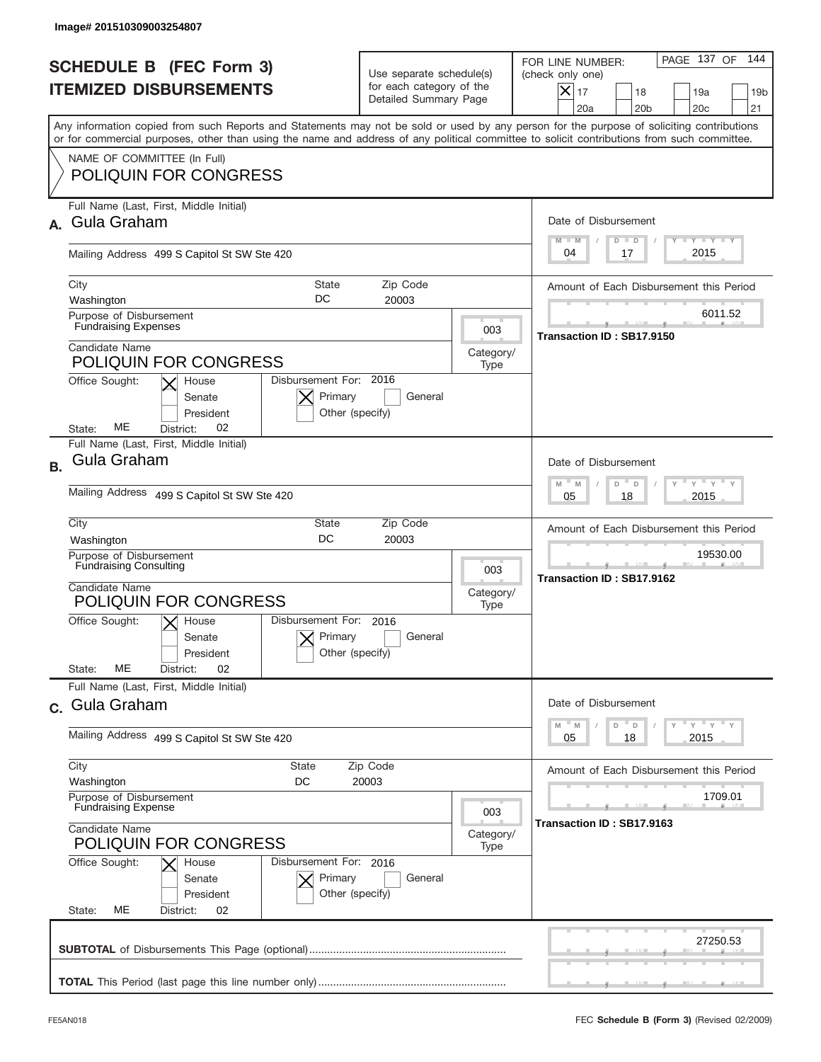|                                                                 | Image# 201510309003254807                                                                                                                                                                                                                                                               |                                                                               |                   |                                                                                                                                                            |  |  |
|-----------------------------------------------------------------|-----------------------------------------------------------------------------------------------------------------------------------------------------------------------------------------------------------------------------------------------------------------------------------------|-------------------------------------------------------------------------------|-------------------|------------------------------------------------------------------------------------------------------------------------------------------------------------|--|--|
| <b>SCHEDULE B (FEC Form 3)</b><br><b>ITEMIZED DISBURSEMENTS</b> |                                                                                                                                                                                                                                                                                         | Use separate schedule(s)<br>for each category of the<br>Detailed Summary Page |                   | PAGE 137 OF<br>144<br>FOR LINE NUMBER:<br>(check only one)<br>$X _{17}$<br>18<br>19a<br>19 <sub>b</sub><br>20a<br>20 <sub>b</sub><br>20 <sub>c</sub><br>21 |  |  |
|                                                                 | Any information copied from such Reports and Statements may not be sold or used by any person for the purpose of soliciting contributions<br>or for commercial purposes, other than using the name and address of any political committee to solicit contributions from such committee. |                                                                               |                   |                                                                                                                                                            |  |  |
|                                                                 | NAME OF COMMITTEE (In Full)<br><b>POLIQUIN FOR CONGRESS</b>                                                                                                                                                                                                                             |                                                                               |                   |                                                                                                                                                            |  |  |
|                                                                 | Full Name (Last, First, Middle Initial)<br><b>Gula Graham</b>                                                                                                                                                                                                                           |                                                                               |                   | Date of Disbursement<br>Y I Y I Y I Y<br>$M - M$<br>$D$ $D$                                                                                                |  |  |
|                                                                 | Mailing Address 499 S Capitol St SW Ste 420                                                                                                                                                                                                                                             |                                                                               |                   | 2015<br>04<br>17                                                                                                                                           |  |  |
|                                                                 | City<br>State<br>DC<br>Washington                                                                                                                                                                                                                                                       | Amount of Each Disbursement this Period                                       |                   |                                                                                                                                                            |  |  |
|                                                                 | Purpose of Disbursement<br><b>Fundraising Expenses</b>                                                                                                                                                                                                                                  |                                                                               | 003               | 6011.52<br>Transaction ID: SB17.9150                                                                                                                       |  |  |
|                                                                 | Candidate Name<br><b>POLIQUIN FOR CONGRESS</b>                                                                                                                                                                                                                                          |                                                                               | Category/<br>Type |                                                                                                                                                            |  |  |
|                                                                 | Disbursement For: 2016<br>Office Sought:<br>House<br>Primary<br>Senate<br>President<br>Other (specify)<br>ME<br>02<br>District:<br>State:                                                                                                                                               | General                                                                       |                   |                                                                                                                                                            |  |  |
| <b>B.</b>                                                       | Full Name (Last, First, Middle Initial)<br>Gula Graham                                                                                                                                                                                                                                  |                                                                               |                   | Date of Disbursement<br>$\cdots$ $\gamma$ $\cdots$ $\gamma$ $\cdots$ $\gamma$<br>$-M$<br>M<br>D<br>D                                                       |  |  |
|                                                                 | Mailing Address 499 S Capitol St SW Ste 420                                                                                                                                                                                                                                             | 2015<br>05<br>18                                                              |                   |                                                                                                                                                            |  |  |
|                                                                 | City<br>State<br>DC<br>Washington                                                                                                                                                                                                                                                       | Zip Code<br>20003                                                             |                   |                                                                                                                                                            |  |  |
|                                                                 | Purpose of Disbursement<br><b>Fundraising Consulting</b>                                                                                                                                                                                                                                |                                                                               |                   | 19530.00<br>Transaction ID: SB17.9162                                                                                                                      |  |  |
|                                                                 | Candidate Name<br><b>POLIQUIN FOR CONGRESS</b>                                                                                                                                                                                                                                          |                                                                               |                   |                                                                                                                                                            |  |  |
|                                                                 | Disbursement For:<br>Office Sought:<br>$X$ House<br>Primary<br>Senate<br>Other (specify)<br>President                                                                                                                                                                                   | 2016<br>General                                                               |                   |                                                                                                                                                            |  |  |
|                                                                 | ME<br>02<br>State:<br>District:<br>Full Name (Last, First, Middle Initial)                                                                                                                                                                                                              |                                                                               |                   |                                                                                                                                                            |  |  |
|                                                                 | c. Gula Graham                                                                                                                                                                                                                                                                          |                                                                               |                   | Date of Disbursement<br>$\gamma$ = $\gamma$ = $\gamma$ = $\gamma$<br>M<br>D<br>M<br>D                                                                      |  |  |
|                                                                 | Mailing Address 499 S Capitol St SW Ste 420                                                                                                                                                                                                                                             |                                                                               |                   | 2015<br>05<br>18                                                                                                                                           |  |  |
|                                                                 | City<br>State<br>Washington<br>DC                                                                                                                                                                                                                                                       | Zip Code<br>20003                                                             |                   | Amount of Each Disbursement this Period                                                                                                                    |  |  |
|                                                                 | Purpose of Disbursement<br><b>Fundraising Expense</b>                                                                                                                                                                                                                                   |                                                                               |                   | 1709.01<br>Transaction ID: SB17.9163                                                                                                                       |  |  |
|                                                                 | Candidate Name<br><b>POLIQUIN FOR CONGRESS</b>                                                                                                                                                                                                                                          |                                                                               |                   |                                                                                                                                                            |  |  |
|                                                                 | Office Sought:<br>Disbursement For: 2016<br>House<br>Primary<br>Senate<br>Other (specify)<br>President<br>МE<br>State:<br>02<br>District:                                                                                                                                               | General                                                                       |                   |                                                                                                                                                            |  |  |
|                                                                 |                                                                                                                                                                                                                                                                                         |                                                                               |                   | 27250.53                                                                                                                                                   |  |  |
|                                                                 |                                                                                                                                                                                                                                                                                         |                                                                               |                   |                                                                                                                                                            |  |  |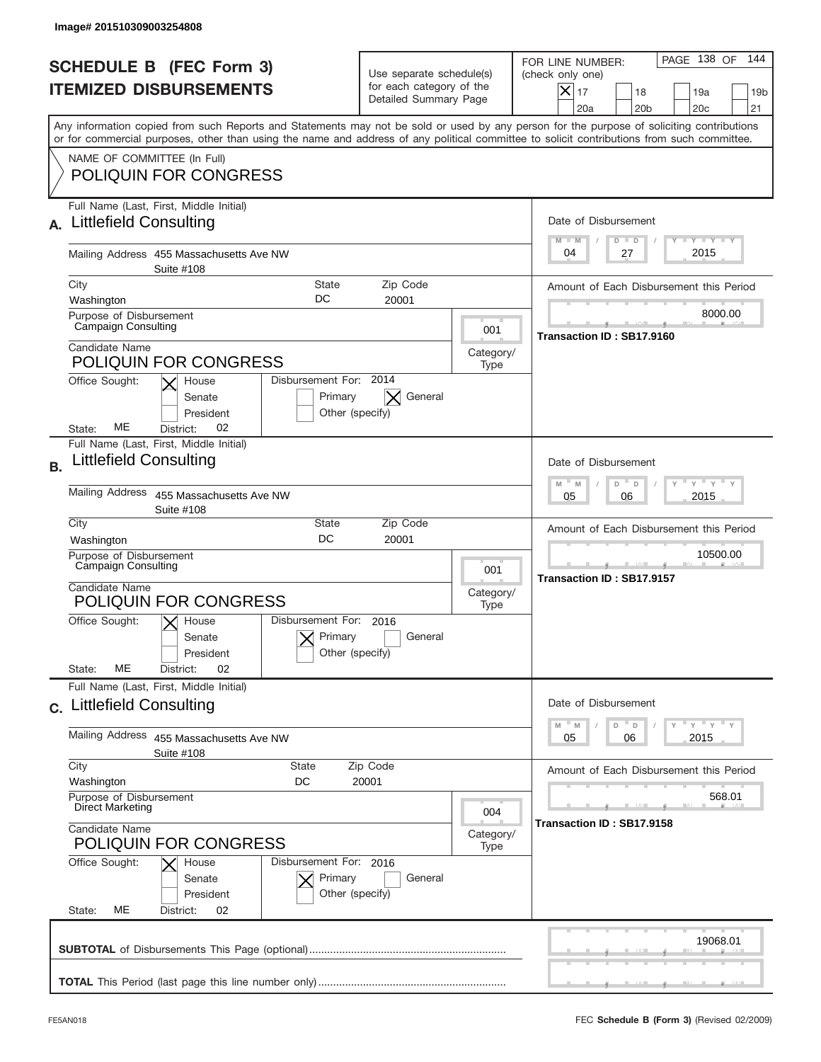|                                                                 | Image# 201510309003254808                                                                                                                                                                                                                                                               |                                                                               |                   |                                                                                                                                                                 |  |  |
|-----------------------------------------------------------------|-----------------------------------------------------------------------------------------------------------------------------------------------------------------------------------------------------------------------------------------------------------------------------------------|-------------------------------------------------------------------------------|-------------------|-----------------------------------------------------------------------------------------------------------------------------------------------------------------|--|--|
| <b>SCHEDULE B</b> (FEC Form 3)<br><b>ITEMIZED DISBURSEMENTS</b> |                                                                                                                                                                                                                                                                                         | Use separate schedule(s)<br>for each category of the<br>Detailed Summary Page |                   | PAGE 138 OF<br>144<br>FOR LINE NUMBER:<br>(check only one)<br>$\times$<br>17<br>18<br>19a<br>19 <sub>b</sub><br>20 <sub>b</sub><br>20 <sub>c</sub><br>21<br>20a |  |  |
|                                                                 | Any information copied from such Reports and Statements may not be sold or used by any person for the purpose of soliciting contributions<br>or for commercial purposes, other than using the name and address of any political committee to solicit contributions from such committee. |                                                                               |                   |                                                                                                                                                                 |  |  |
|                                                                 | NAME OF COMMITTEE (In Full)<br><b>POLIQUIN FOR CONGRESS</b>                                                                                                                                                                                                                             |                                                                               |                   |                                                                                                                                                                 |  |  |
|                                                                 | Full Name (Last, First, Middle Initial)<br><b>Littlefield Consulting</b>                                                                                                                                                                                                                |                                                                               |                   | Date of Disbursement<br>Y TY TY TY<br>$M - M$<br>$D$ $D$                                                                                                        |  |  |
|                                                                 | Mailing Address 455 Massachusetts Ave NW<br>Suite #108                                                                                                                                                                                                                                  |                                                                               |                   | 2015<br>04<br>27                                                                                                                                                |  |  |
|                                                                 | City<br>Zip Code<br>State<br>DC<br>20001<br>Washington                                                                                                                                                                                                                                  |                                                                               |                   | Amount of Each Disbursement this Period                                                                                                                         |  |  |
|                                                                 | Purpose of Disbursement<br><b>Campaign Consulting</b>                                                                                                                                                                                                                                   |                                                                               | 001               | 8000.00                                                                                                                                                         |  |  |
|                                                                 | Candidate Name<br><b>POLIQUIN FOR CONGRESS</b>                                                                                                                                                                                                                                          |                                                                               | Category/<br>Type | Transaction ID: SB17.9160                                                                                                                                       |  |  |
|                                                                 | Disbursement For: 2014<br>Office Sought:<br>House<br>Primary<br>Senate<br>President<br>Other (specify)<br>ME<br>02<br>District:<br>State:                                                                                                                                               | General                                                                       |                   |                                                                                                                                                                 |  |  |
| <b>B.</b>                                                       | Full Name (Last, First, Middle Initial)<br><b>Littlefield Consulting</b>                                                                                                                                                                                                                |                                                                               |                   | Date of Disbursement<br>$\cdots$ $\gamma$ $\cdots$ $\gamma$ $\cdots$                                                                                            |  |  |
|                                                                 | Mailing Address<br>455 Massachusetts Ave NW<br>Suite #108                                                                                                                                                                                                                               | $M - M$<br>D<br>$\Box$<br>2015<br>05<br>06                                    |                   |                                                                                                                                                                 |  |  |
|                                                                 | City<br>State<br><b>DC</b><br>Washington                                                                                                                                                                                                                                                | Zip Code<br>20001                                                             |                   | Amount of Each Disbursement this Period                                                                                                                         |  |  |
|                                                                 | Purpose of Disbursement<br>Campaign Consulting<br>Candidate Name<br>POLIQUIN FOR CONGRESS                                                                                                                                                                                               |                                                                               | 001<br>Category/  | 10500.00<br>Transaction ID: SB17.9157                                                                                                                           |  |  |
|                                                                 | Disbursement For: 2016<br>Office Sought:<br>$\vert\mathsf{X}\vert$ House<br>Primary<br>Senate<br>Other (specify)<br>President<br>MЕ<br>02<br>State:<br>District:                                                                                                                        | General                                                                       | Type              |                                                                                                                                                                 |  |  |
|                                                                 | Full Name (Last, First, Middle Initial)<br>c. Littlefield Consulting                                                                                                                                                                                                                    |                                                                               |                   | Date of Disbursement                                                                                                                                            |  |  |
|                                                                 | Mailing Address<br>455 Massachusetts Ave NW<br>Suite #108                                                                                                                                                                                                                               |                                                                               |                   | $\gamma$ = $\gamma$ = $\gamma$ = $\gamma$<br>$M$ <sup><math>=</math></sup><br>D<br>M<br>D<br>2015<br>05<br>06                                                   |  |  |
|                                                                 | City<br><b>State</b>                                                                                                                                                                                                                                                                    | Zip Code                                                                      |                   | Amount of Each Disbursement this Period                                                                                                                         |  |  |
|                                                                 | Washington<br>DC<br>Purpose of Disbursement<br>Direct Marketing                                                                                                                                                                                                                         | 20001                                                                         | 004               | 568.01                                                                                                                                                          |  |  |
| Candidate Name<br><b>POLIQUIN FOR CONGRESS</b>                  |                                                                                                                                                                                                                                                                                         |                                                                               | Category/<br>Type | Transaction ID: SB17.9158                                                                                                                                       |  |  |
|                                                                 | Office Sought:<br>Disbursement For: 2016<br>House<br>Primary<br>Senate<br>Other (specify)<br>President<br>State:<br>МE<br>District:<br>02                                                                                                                                               | General                                                                       |                   |                                                                                                                                                                 |  |  |
|                                                                 |                                                                                                                                                                                                                                                                                         |                                                                               |                   | 19068.01                                                                                                                                                        |  |  |
|                                                                 |                                                                                                                                                                                                                                                                                         |                                                                               |                   |                                                                                                                                                                 |  |  |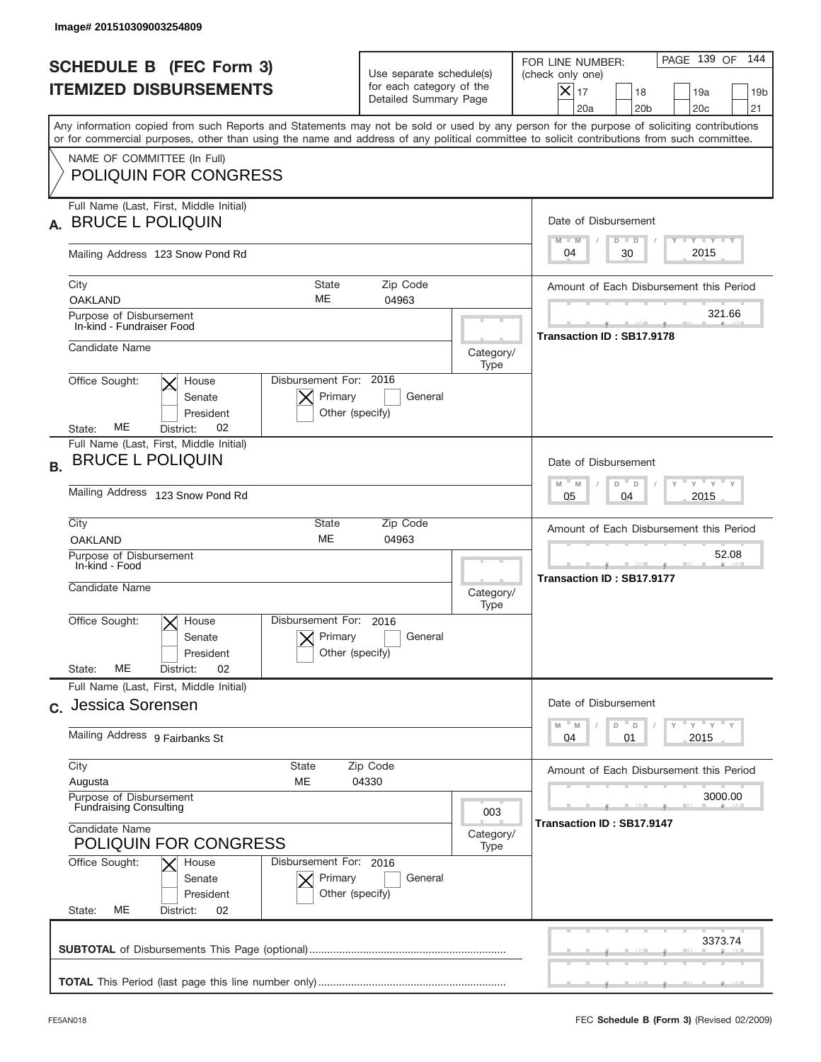|                                                                 | Image# 201510309003254809                                                                                                                                                                                                                                                                                              |                                                                               |                   |                                                                                                                                                                 |  |  |
|-----------------------------------------------------------------|------------------------------------------------------------------------------------------------------------------------------------------------------------------------------------------------------------------------------------------------------------------------------------------------------------------------|-------------------------------------------------------------------------------|-------------------|-----------------------------------------------------------------------------------------------------------------------------------------------------------------|--|--|
| <b>SCHEDULE B (FEC Form 3)</b><br><b>ITEMIZED DISBURSEMENTS</b> |                                                                                                                                                                                                                                                                                                                        | Use separate schedule(s)<br>for each category of the<br>Detailed Summary Page |                   | 144<br>PAGE 139 OF<br>FOR LINE NUMBER:<br>(check only one)<br>$\times$<br>17<br>18<br>19a<br>19 <sub>b</sub><br>20a<br>20 <sub>b</sub><br>20 <sub>c</sub><br>21 |  |  |
|                                                                 | Any information copied from such Reports and Statements may not be sold or used by any person for the purpose of soliciting contributions<br>or for commercial purposes, other than using the name and address of any political committee to solicit contributions from such committee.<br>NAME OF COMMITTEE (In Full) |                                                                               |                   |                                                                                                                                                                 |  |  |
|                                                                 | <b>POLIQUIN FOR CONGRESS</b>                                                                                                                                                                                                                                                                                           |                                                                               |                   |                                                                                                                                                                 |  |  |
|                                                                 | Full Name (Last, First, Middle Initial)<br><b>BRUCE L POLIQUIN</b>                                                                                                                                                                                                                                                     |                                                                               |                   | Date of Disbursement<br>$T - Y$ $T - Y$<br>$M - M$<br>$D$ $D$                                                                                                   |  |  |
|                                                                 | Mailing Address 123 Snow Pond Rd                                                                                                                                                                                                                                                                                       |                                                                               |                   | 2015<br>30<br>04                                                                                                                                                |  |  |
|                                                                 | City<br><b>State</b><br>ME<br><b>OAKLAND</b><br>Purpose of Disbursement                                                                                                                                                                                                                                                | Amount of Each Disbursement this Period<br>321.66                             |                   |                                                                                                                                                                 |  |  |
|                                                                 | In-kind - Fundraiser Food                                                                                                                                                                                                                                                                                              |                                                                               |                   | Transaction ID: SB17.9178                                                                                                                                       |  |  |
|                                                                 | Candidate Name<br>Disbursement For: 2016<br>House                                                                                                                                                                                                                                                                      |                                                                               | Category/<br>Type |                                                                                                                                                                 |  |  |
|                                                                 | Office Sought:<br>Primary<br>Senate<br>President<br>Other (specify)<br>MЕ<br>02<br>State:<br>District:                                                                                                                                                                                                                 | General                                                                       |                   |                                                                                                                                                                 |  |  |
| В.                                                              | Full Name (Last, First, Middle Initial)<br><b>BRUCE L POLIQUIN</b>                                                                                                                                                                                                                                                     |                                                                               |                   | Date of Disbursement                                                                                                                                            |  |  |
|                                                                 | Mailing Address 123 Snow Pond Rd                                                                                                                                                                                                                                                                                       | $M - M$<br>≡ γ ≡ γ ≡<br>D<br>D<br>2015<br>05<br>04                            |                   |                                                                                                                                                                 |  |  |
|                                                                 | City<br>State<br><b>ME</b><br><b>OAKLAND</b>                                                                                                                                                                                                                                                                           | Amount of Each Disbursement this Period                                       |                   |                                                                                                                                                                 |  |  |
|                                                                 | Purpose of Disbursement<br>In-kind - Food<br>Candidate Name                                                                                                                                                                                                                                                            |                                                                               |                   | 52.08<br>Transaction ID: SB17.9177                                                                                                                              |  |  |
|                                                                 | Disbursement For: 2016<br>Office Sought:<br>$\times$ House<br>Primary<br>Senate<br>Other (specify)<br>President<br>ME<br>02<br>State:<br>District:                                                                                                                                                                     | General                                                                       | Type              |                                                                                                                                                                 |  |  |
|                                                                 | Full Name (Last, First, Middle Initial)<br>c. Jessica Sorensen                                                                                                                                                                                                                                                         |                                                                               |                   | Date of Disbursement                                                                                                                                            |  |  |
|                                                                 | Mailing Address 9 Fairbanks St                                                                                                                                                                                                                                                                                         | ≡ γ ≡ γ ≡ γ<br>M<br>M<br>D<br>D<br>2015<br>04<br>01                           |                   |                                                                                                                                                                 |  |  |
|                                                                 | City<br><b>State</b><br>Zip Code<br>МE<br>Augusta                                                                                                                                                                                                                                                                      | Amount of Each Disbursement this Period                                       |                   |                                                                                                                                                                 |  |  |
|                                                                 | 04330<br>Purpose of Disbursement<br><b>Fundraising Consulting</b>                                                                                                                                                                                                                                                      |                                                                               |                   | 3000.00<br>Transaction ID: SB17.9147                                                                                                                            |  |  |
|                                                                 | Candidate Name<br><b>POLIQUIN FOR CONGRESS</b>                                                                                                                                                                                                                                                                         |                                                                               |                   |                                                                                                                                                                 |  |  |
|                                                                 | Office Sought:<br>Disbursement For: 2016<br>House<br>Primary<br>Senate<br>Other (specify)<br>President<br>MЕ<br>State:<br>District:<br>02                                                                                                                                                                              |                                                                               |                   |                                                                                                                                                                 |  |  |
|                                                                 |                                                                                                                                                                                                                                                                                                                        |                                                                               |                   | 3373.74                                                                                                                                                         |  |  |
|                                                                 |                                                                                                                                                                                                                                                                                                                        |                                                                               |                   |                                                                                                                                                                 |  |  |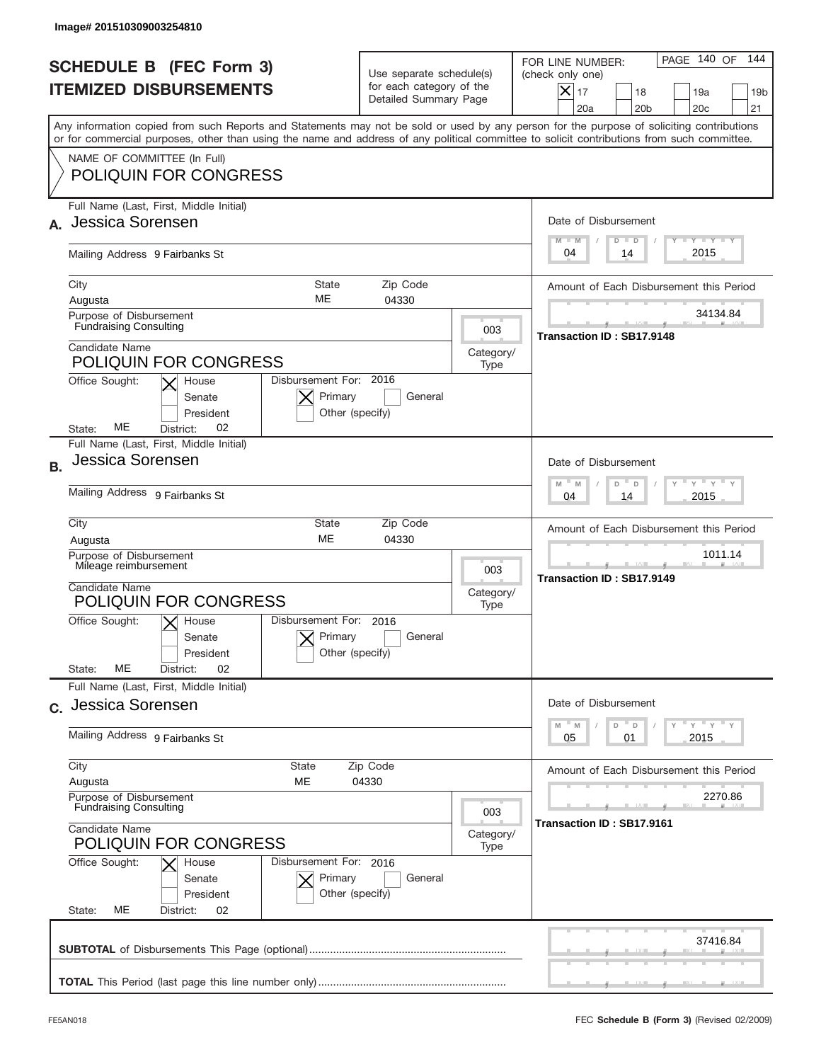|                                                                 | Image# 201510309003254810                                                                                                                                                                                                                                                               |                                                                                                     |                   |                                                                                                                                                                 |  |  |
|-----------------------------------------------------------------|-----------------------------------------------------------------------------------------------------------------------------------------------------------------------------------------------------------------------------------------------------------------------------------------|-----------------------------------------------------------------------------------------------------|-------------------|-----------------------------------------------------------------------------------------------------------------------------------------------------------------|--|--|
| <b>SCHEDULE B (FEC Form 3)</b><br><b>ITEMIZED DISBURSEMENTS</b> |                                                                                                                                                                                                                                                                                         | Use separate schedule(s)<br>for each category of the<br>Detailed Summary Page                       |                   | 144<br>PAGE 140 OF<br>FOR LINE NUMBER:<br>(check only one)<br>$\times$<br>17<br>18<br>19a<br>19 <sub>b</sub><br>20a<br>20 <sub>b</sub><br>20 <sub>c</sub><br>21 |  |  |
|                                                                 | Any information copied from such Reports and Statements may not be sold or used by any person for the purpose of soliciting contributions<br>or for commercial purposes, other than using the name and address of any political committee to solicit contributions from such committee. |                                                                                                     |                   |                                                                                                                                                                 |  |  |
|                                                                 | NAME OF COMMITTEE (In Full)<br><b>POLIQUIN FOR CONGRESS</b>                                                                                                                                                                                                                             |                                                                                                     |                   |                                                                                                                                                                 |  |  |
|                                                                 | Full Name (Last, First, Middle Initial)<br>Jessica Sorensen                                                                                                                                                                                                                             |                                                                                                     |                   | Date of Disbursement<br><b>TANK TANK</b><br>$M - M$<br>$D$ $D$                                                                                                  |  |  |
|                                                                 | Mailing Address 9 Fairbanks St                                                                                                                                                                                                                                                          | 2015<br>04<br>14                                                                                    |                   |                                                                                                                                                                 |  |  |
|                                                                 | City<br><b>State</b><br>ME<br>Augusta<br>Purpose of Disbursement<br><b>Fundraising Consulting</b>                                                                                                                                                                                       | Zip Code<br>04330                                                                                   | 003               | Amount of Each Disbursement this Period<br>34134.84                                                                                                             |  |  |
|                                                                 | Candidate Name<br><b>POLIQUIN FOR CONGRESS</b><br>Disbursement For: 2016<br>Office Sought:<br>House<br>Primary<br>Senate<br>President<br>Other (specify)<br>MЕ<br>02<br>State:<br>District:                                                                                             | General                                                                                             | Category/<br>Type | Transaction ID: SB17.9148                                                                                                                                       |  |  |
| <b>B.</b>                                                       | Full Name (Last, First, Middle Initial)<br>Jessica Sorensen                                                                                                                                                                                                                             |                                                                                                     |                   | Date of Disbursement<br>$M - M$<br>≡ γ ≡ γ ≡ γ<br>D<br>D                                                                                                        |  |  |
|                                                                 | Mailing Address 9 Fairbanks St                                                                                                                                                                                                                                                          | 2015<br>04<br>14<br>Amount of Each Disbursement this Period<br>1011.14<br>Transaction ID: SB17.9149 |                   |                                                                                                                                                                 |  |  |
|                                                                 | City<br><b>State</b><br><b>ME</b><br>Augusta<br>Purpose of Disbursement                                                                                                                                                                                                                 |                                                                                                     |                   |                                                                                                                                                                 |  |  |
|                                                                 | Mileage reimbursement<br>Candidate Name<br><b>POLIQUIN FOR CONGRESS</b>                                                                                                                                                                                                                 |                                                                                                     |                   |                                                                                                                                                                 |  |  |
|                                                                 | Disbursement For: 2016<br>Office Sought:<br>$X$ House<br>Primary<br>Senate<br>Other (specify)<br>President<br>ME<br>02<br>State:<br>District:                                                                                                                                           | General                                                                                             |                   |                                                                                                                                                                 |  |  |
|                                                                 | Full Name (Last, First, Middle Initial)<br>c. Jessica Sorensen                                                                                                                                                                                                                          |                                                                                                     |                   | Date of Disbursement                                                                                                                                            |  |  |
|                                                                 | Mailing Address 9 Fairbanks St                                                                                                                                                                                                                                                          | ≡ γ ≡ γ ≡ γ<br>$-M$<br>D<br>M<br>D<br>2015<br>05<br>01                                              |                   |                                                                                                                                                                 |  |  |
|                                                                 | City<br><b>State</b><br>Zip Code<br>МE<br>04330<br>Augusta                                                                                                                                                                                                                              | Amount of Each Disbursement this Period                                                             |                   |                                                                                                                                                                 |  |  |
|                                                                 | Purpose of Disbursement<br><b>Fundraising Consulting</b><br>Candidate Name<br><b>POLIQUIN FOR CONGRESS</b>                                                                                                                                                                              |                                                                                                     |                   | 2270.86<br>Transaction ID: SB17.9161                                                                                                                            |  |  |
|                                                                 | Office Sought:<br>Disbursement For: 2016<br>House<br>Primary<br>Senate<br>Other (specify)<br>President<br>MЕ<br>State:<br>District:<br>02                                                                                                                                               | General                                                                                             |                   |                                                                                                                                                                 |  |  |
|                                                                 |                                                                                                                                                                                                                                                                                         |                                                                                                     |                   | 37416.84                                                                                                                                                        |  |  |
|                                                                 |                                                                                                                                                                                                                                                                                         |                                                                                                     |                   |                                                                                                                                                                 |  |  |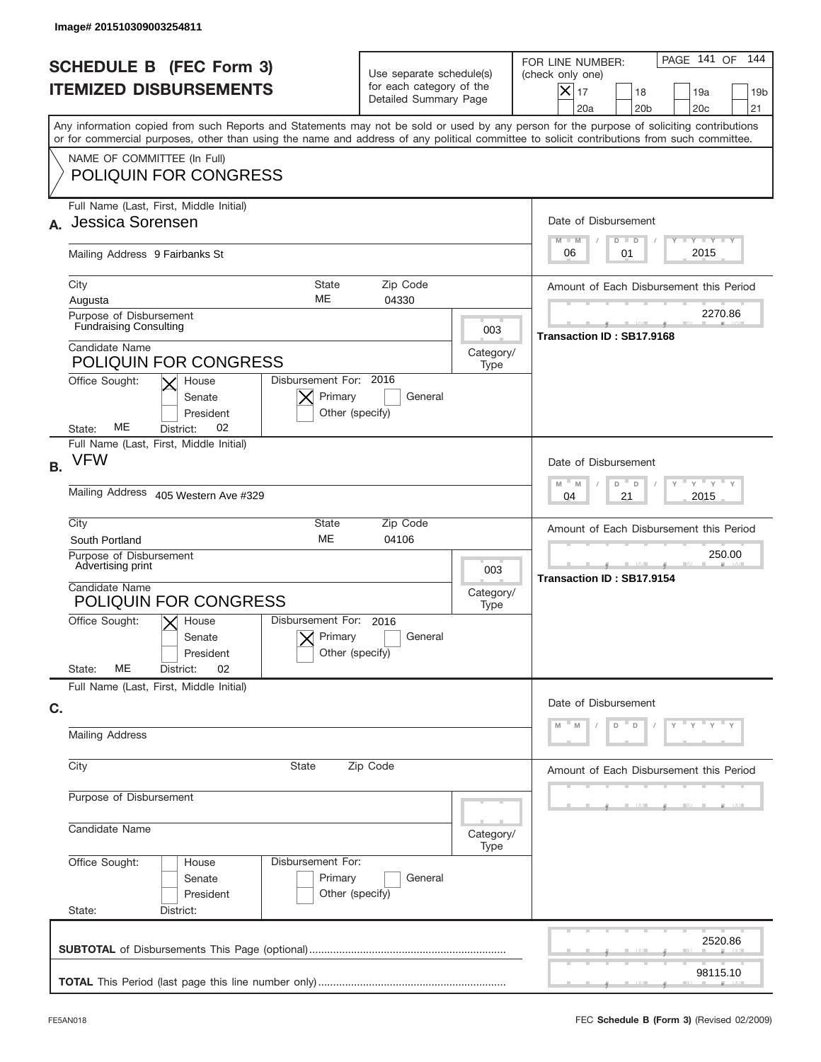|                                                                 | Image# 201510309003254811                                                                                                                                                                                                                                                               |                                                                               |                                     |                                                                                                                                                            |  |  |
|-----------------------------------------------------------------|-----------------------------------------------------------------------------------------------------------------------------------------------------------------------------------------------------------------------------------------------------------------------------------------|-------------------------------------------------------------------------------|-------------------------------------|------------------------------------------------------------------------------------------------------------------------------------------------------------|--|--|
| <b>SCHEDULE B (FEC Form 3)</b><br><b>ITEMIZED DISBURSEMENTS</b> |                                                                                                                                                                                                                                                                                         | Use separate schedule(s)<br>for each category of the<br>Detailed Summary Page |                                     | 144<br>PAGE 141 OF<br>FOR LINE NUMBER:<br>(check only one)<br>$X _{17}$<br>18<br>19a<br>19 <sub>b</sub><br>20a<br>20 <sub>b</sub><br>20 <sub>c</sub><br>21 |  |  |
|                                                                 | Any information copied from such Reports and Statements may not be sold or used by any person for the purpose of soliciting contributions<br>or for commercial purposes, other than using the name and address of any political committee to solicit contributions from such committee. |                                                                               |                                     |                                                                                                                                                            |  |  |
|                                                                 | NAME OF COMMITTEE (In Full)<br><b>POLIQUIN FOR CONGRESS</b>                                                                                                                                                                                                                             |                                                                               |                                     |                                                                                                                                                            |  |  |
|                                                                 | Full Name (Last, First, Middle Initial)<br>Jessica Sorensen                                                                                                                                                                                                                             |                                                                               |                                     | Date of Disbursement<br><b>TANK TANK</b><br>$M - M$<br>$D$ $D$                                                                                             |  |  |
|                                                                 | Mailing Address 9 Fairbanks St                                                                                                                                                                                                                                                          |                                                                               |                                     | 2015<br>06<br>01                                                                                                                                           |  |  |
|                                                                 | City<br><b>State</b><br>ME<br>Augusta                                                                                                                                                                                                                                                   | Zip Code<br>04330                                                             |                                     | Amount of Each Disbursement this Period<br>2270.86                                                                                                         |  |  |
|                                                                 | Purpose of Disbursement<br><b>Fundraising Consulting</b><br>Candidate Name                                                                                                                                                                                                              |                                                                               | 003                                 | Transaction ID: SB17.9168                                                                                                                                  |  |  |
|                                                                 | <b>POLIQUIN FOR CONGRESS</b>                                                                                                                                                                                                                                                            |                                                                               | Category/<br>Type                   |                                                                                                                                                            |  |  |
|                                                                 | Disbursement For: 2016<br>Office Sought:<br>House<br>Primary<br>Senate<br>President<br>Other (specify)<br>ME<br>02<br>State:<br>District:                                                                                                                                               | General                                                                       |                                     |                                                                                                                                                            |  |  |
| <b>B.</b>                                                       | Full Name (Last, First, Middle Initial)<br>VFW                                                                                                                                                                                                                                          |                                                                               |                                     | Date of Disbursement                                                                                                                                       |  |  |
|                                                                 | Mailing Address 405 Western Ave #329                                                                                                                                                                                                                                                    | $M - M$<br>≡ γ ≡ γ ≡ γ<br>D<br>D<br>2015<br>04<br>21                          |                                     |                                                                                                                                                            |  |  |
|                                                                 | City<br>State<br>ME<br>South Portland                                                                                                                                                                                                                                                   | Amount of Each Disbursement this Period                                       |                                     |                                                                                                                                                            |  |  |
|                                                                 | Purpose of Disbursement<br>Advertising print<br>Candidate Name<br>POLIQUIN FOR CONGRESS                                                                                                                                                                                                 | 003<br>Category/                                                              | 250.00<br>Transaction ID: SB17.9154 |                                                                                                                                                            |  |  |
|                                                                 | Disbursement For:<br>Office Sought:<br>$X$ House<br>Primary<br>Senate<br>Other (specify)<br>President                                                                                                                                                                                   | 2016<br>General                                                               | Type                                |                                                                                                                                                            |  |  |
|                                                                 | MЕ<br>State:<br>02<br>District:<br>Full Name (Last, First, Middle Initial)                                                                                                                                                                                                              |                                                                               |                                     |                                                                                                                                                            |  |  |
| C.                                                              |                                                                                                                                                                                                                                                                                         |                                                                               |                                     | Date of Disbursement<br><u>"γ</u><br>D<br>$\mathsf D$                                                                                                      |  |  |
|                                                                 | <b>Mailing Address</b>                                                                                                                                                                                                                                                                  |                                                                               |                                     |                                                                                                                                                            |  |  |
|                                                                 | City<br>State<br>Zip Code                                                                                                                                                                                                                                                               | Amount of Each Disbursement this Period                                       |                                     |                                                                                                                                                            |  |  |
|                                                                 | Purpose of Disbursement<br>Candidate Name                                                                                                                                                                                                                                               |                                                                               |                                     |                                                                                                                                                            |  |  |
|                                                                 | Office Sought:<br>Disbursement For:<br>House<br>Primary<br>Senate                                                                                                                                                                                                                       |                                                                               |                                     |                                                                                                                                                            |  |  |
|                                                                 | Other (specify)<br>President<br>State:<br>District:                                                                                                                                                                                                                                     |                                                                               |                                     |                                                                                                                                                            |  |  |
|                                                                 |                                                                                                                                                                                                                                                                                         |                                                                               |                                     | 2520.86                                                                                                                                                    |  |  |
|                                                                 |                                                                                                                                                                                                                                                                                         |                                                                               |                                     | 98115.10                                                                                                                                                   |  |  |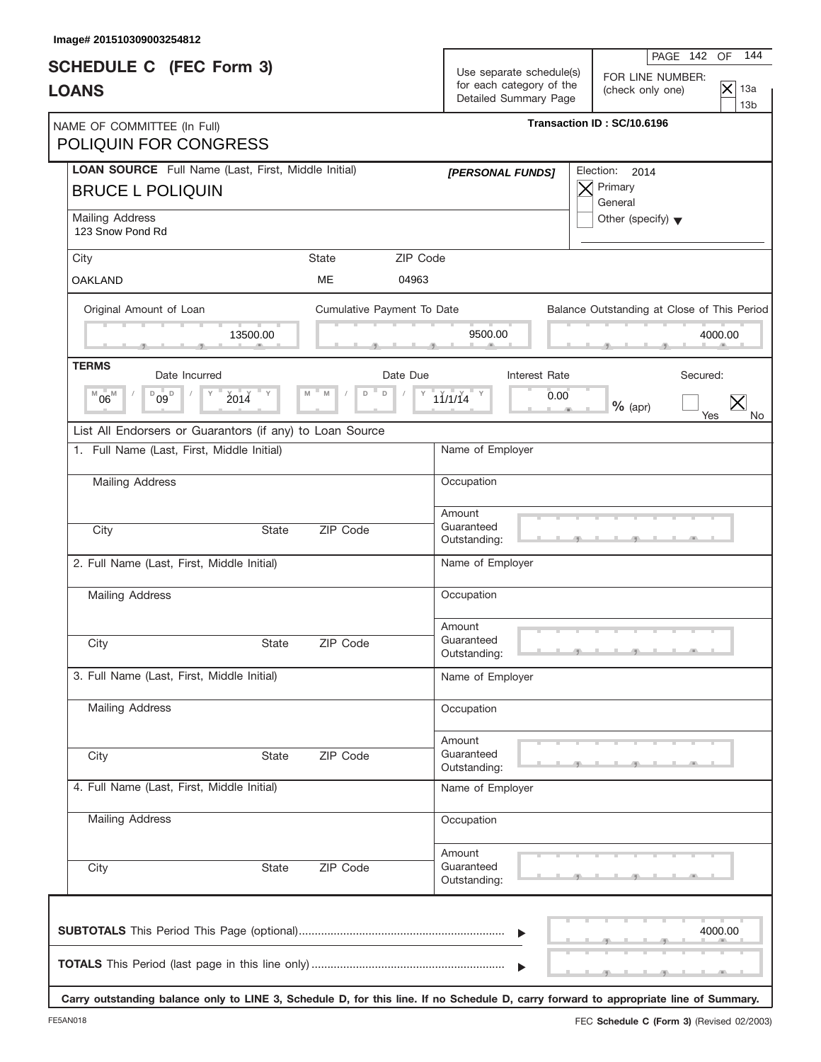| 144<br>PAGE 142 OF<br>FOR LINE NUMBER:<br>$\overline{\times}$<br>13a<br>(check only one)<br>13 <sub>b</sub> |
|-------------------------------------------------------------------------------------------------------------|
| Transaction ID: SC/10.6196                                                                                  |
| Election: 2014                                                                                              |
| Other (specify) $\blacktriangledown$                                                                        |
|                                                                                                             |
|                                                                                                             |
| Balance Outstanding at Close of This Period<br>4000.00                                                      |
| Secured:                                                                                                    |
| $%$ (apr)                                                                                                   |
| Yes<br>No.                                                                                                  |
|                                                                                                             |
|                                                                                                             |
|                                                                                                             |
|                                                                                                             |
|                                                                                                             |
|                                                                                                             |
|                                                                                                             |
|                                                                                                             |
|                                                                                                             |
|                                                                                                             |
|                                                                                                             |
|                                                                                                             |
|                                                                                                             |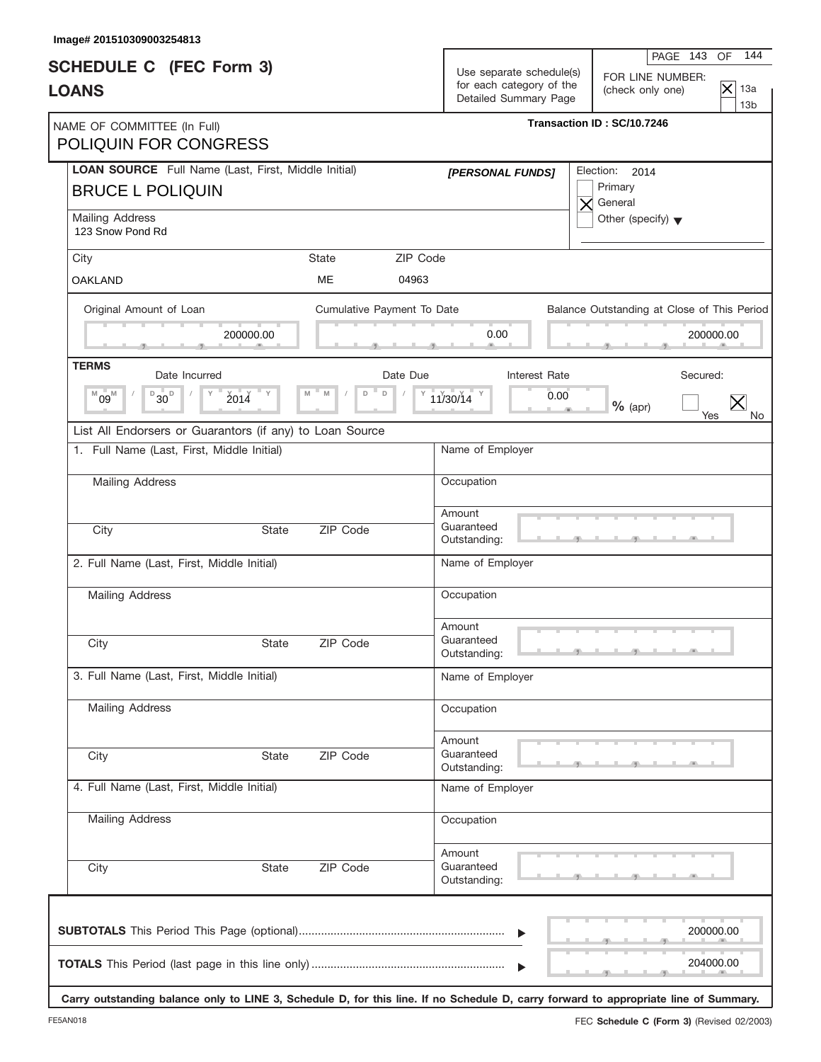| Image# 201510309003254813                                   |                                                      |                                      |                                                                                                 |                                             |                        |                 |
|-------------------------------------------------------------|------------------------------------------------------|--------------------------------------|-------------------------------------------------------------------------------------------------|---------------------------------------------|------------------------|-----------------|
| <b>SCHEDULE C</b> (FEC Form 3)<br><b>LOANS</b>              | Use separate schedule(s)<br>for each category of the |                                      | 144<br>PAGE 143<br>OF<br>FOR LINE NUMBER:<br>$\overline{\mathsf{x}}$<br>13a<br>(check only one) |                                             |                        |                 |
|                                                             |                                                      | Detailed Summary Page                |                                                                                                 |                                             |                        | 13 <sub>b</sub> |
| NAME OF COMMITTEE (In Full)<br><b>POLIQUIN FOR CONGRESS</b> |                                                      |                                      | Transaction ID: SC/10.7246                                                                      |                                             |                        |                 |
| <b>LOAN SOURCE</b> Full Name (Last, First, Middle Initial)  |                                                      | [PERSONAL FUNDS]                     |                                                                                                 | Election: 2014                              |                        |                 |
| <b>BRUCE L POLIQUIN</b>                                     |                                                      |                                      |                                                                                                 | Primary<br>$\times$ General                 |                        |                 |
| Mailing Address<br>123 Snow Pond Rd                         |                                                      |                                      |                                                                                                 | Other (specify) $\blacktriangledown$        |                        |                 |
| <b>State</b><br>City                                        |                                                      | ZIP Code                             |                                                                                                 |                                             |                        |                 |
| <b>OAKLAND</b>                                              | ME                                                   | 04963                                |                                                                                                 |                                             |                        |                 |
| Original Amount of Loan                                     | Cumulative Payment To Date                           |                                      |                                                                                                 | Balance Outstanding at Close of This Period |                        |                 |
| 200000.00                                                   |                                                      | 0.00                                 |                                                                                                 |                                             | 200000.00              |                 |
| <b>TERMS</b><br>Date Incurred                               | Date Due                                             |                                      | Interest Rate                                                                                   | Secured:                                    |                        |                 |
| $B_{30}$<br>2014<br>$^{M}09^{M}$<br>M                       | $\mathsf D$<br>M<br>D                                | 11/30/14 Y                           | 0.00                                                                                            |                                             |                        |                 |
|                                                             |                                                      |                                      |                                                                                                 | $%$ (apr)                                   | Yes                    | No.             |
| List All Endorsers or Guarantors (if any) to Loan Source    |                                                      |                                      |                                                                                                 |                                             |                        |                 |
| 1. Full Name (Last, First, Middle Initial)                  |                                                      | Name of Employer                     |                                                                                                 |                                             |                        |                 |
| Mailing Address                                             |                                                      | Occupation                           |                                                                                                 |                                             |                        |                 |
|                                                             |                                                      | Amount<br>Guaranteed                 |                                                                                                 |                                             |                        |                 |
| City<br><b>State</b>                                        | ZIP Code                                             | Outstanding:                         |                                                                                                 |                                             |                        |                 |
| 2. Full Name (Last, First, Middle Initial)                  |                                                      | Name of Employer                     |                                                                                                 |                                             |                        |                 |
| <b>Mailing Address</b>                                      |                                                      | Occupation                           |                                                                                                 |                                             |                        |                 |
|                                                             |                                                      | Amount                               |                                                                                                 |                                             |                        |                 |
| City<br>State                                               | ZIP Code                                             | Guaranteed<br>Outstanding:           |                                                                                                 |                                             |                        |                 |
| 3. Full Name (Last, First, Middle Initial)                  |                                                      | Name of Employer                     |                                                                                                 |                                             |                        |                 |
| Mailing Address                                             |                                                      | Occupation                           |                                                                                                 |                                             |                        |                 |
|                                                             |                                                      | Amount                               |                                                                                                 |                                             |                        |                 |
| City<br><b>State</b>                                        | ZIP Code                                             | Guaranteed<br>Outstanding:           |                                                                                                 |                                             |                        |                 |
| 4. Full Name (Last, First, Middle Initial)                  |                                                      | Name of Employer                     |                                                                                                 |                                             |                        |                 |
| Mailing Address                                             |                                                      | Occupation                           |                                                                                                 |                                             |                        |                 |
| City<br>State                                               | ZIP Code                                             | Amount<br>Guaranteed<br>Outstanding: |                                                                                                 |                                             |                        |                 |
|                                                             |                                                      |                                      |                                                                                                 |                                             | 200000.00<br>204000.00 |                 |

**Carry outstanding balance only to LINE 3, Schedule D, for this line. If no Schedule D, carry forward to appropriate line of Summary.**